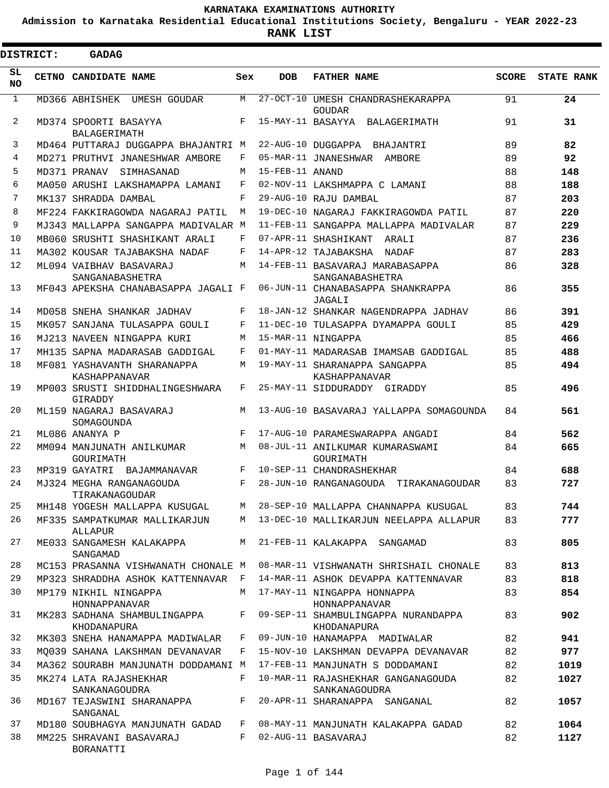**Admission to Karnataka Residential Educational Institutions Society, Bengaluru - YEAR 2022-23**

**RANK LIST**

Е

|                 | <b>DISTRICT:</b> | <b>GADAG</b>                                 |            |                 |                                                     |              |                   |
|-----------------|------------------|----------------------------------------------|------------|-----------------|-----------------------------------------------------|--------------|-------------------|
| SL<br><b>NO</b> |                  | CETNO CANDIDATE NAME                         | Sex        | <b>DOB</b>      | <b>FATHER NAME</b>                                  | <b>SCORE</b> | <b>STATE RANK</b> |
| $\mathbf{1}$    |                  | MD366 ABHISHEK UMESH GOUDAR                  | M          |                 | 27-OCT-10 UMESH CHANDRASHEKARAPPA<br><b>GOUDAR</b>  | 91           | 24                |
| 2               |                  | MD374 SPOORTI BASAYYA<br>BALAGERIMATH        | F          |                 | 15-MAY-11 BASAYYA BALAGERIMATH                      | 91           | 31                |
| 3               |                  | MD464 PUTTARAJ DUGGAPPA BHAJANTRI M          |            |                 | 22-AUG-10 DUGGAPPA BHAJANTRI                        | 89           | 82                |
| 4               |                  | MD271 PRUTHVI JNANESHWAR AMBORE              | F          |                 | 05-MAR-11 JNANESHWAR AMBORE                         | 89           | 92                |
| 5               |                  | MD371 PRANAV SIMHASANAD                      | М          | 15-FEB-11 ANAND |                                                     | 88           | 148               |
| 6               |                  | MA050 ARUSHI LAKSHAMAPPA LAMANI              | F          |                 | 02-NOV-11 LAKSHMAPPA C LAMANI                       | 88           | 188               |
| 7               |                  | MK137 SHRADDA DAMBAL                         | F          |                 | 29-AUG-10 RAJU DAMBAL                               | 87           | 203               |
| 8               |                  | MF224 FAKKIRAGOWDA NAGARAJ PATIL             | M          |                 | 19-DEC-10 NAGARAJ FAKKIRAGOWDA PATIL                | 87           | 220               |
| 9               |                  | MJ343 MALLAPPA SANGAPPA MADIVALAR M          |            |                 | 11-FEB-11 SANGAPPA MALLAPPA MADIVALAR               | 87           | 229               |
| 10              |                  | MB060 SRUSHTI SHASHIKANT ARALI               | F          |                 | 07-APR-11 SHASHIKANT ARALI                          | 87           | 236               |
| 11              |                  | MA302 KOUSAR TAJABAKSHA NADAF                | F          |                 | 14-APR-12 TAJABAKSHA NADAF                          | 87           | 283               |
| $12 \,$         |                  | ML094 VAIBHAV BASAVARAJ<br>SANGANABASHETRA   | M          |                 | 14-FEB-11 BASAVARAJ MARABASAPPA<br>SANGANABASHETRA  | 86           | 328               |
| 13              |                  | MF043 APEKSHA CHANABASAPPA JAGALI F          |            |                 | 06-JUN-11 CHANABASAPPA SHANKRAPPA<br>JAGALI         | 86           | 355               |
| 14              |                  | MD058 SNEHA SHANKAR JADHAV                   | F          |                 | 18-JAN-12 SHANKAR NAGENDRAPPA JADHAV                | 86           | 391               |
| 15              |                  | MK057 SANJANA TULASAPPA GOULI                | F          |                 | 11-DEC-10 TULASAPPA DYAMAPPA GOULI                  | 85           | 429               |
| 16              |                  | MJ213 NAVEEN NINGAPPA KURI                   | M          |                 | 15-MAR-11 NINGAPPA                                  | 85           | 466               |
| 17              |                  | MH135 SAPNA MADARASAB GADDIGAL               | F          |                 | 01-MAY-11 MADARASAB IMAMSAB GADDIGAL                | 85           | 488               |
| 18              |                  | MF081 YASHAVANTH SHARANAPPA<br>KASHAPPANAVAR | M          |                 | 19-MAY-11 SHARANAPPA SANGAPPA<br>KASHAPPANAVAR      | 85           | 494               |
| 19              |                  | MP003 SRUSTI SHIDDHALINGESHWARA<br>GIRADDY   | F          |                 | 25-MAY-11 SIDDURADDY GIRADDY                        | 85           | 496               |
| 20              |                  | ML159 NAGARAJ BASAVARAJ<br>SOMAGOUNDA        | M          |                 | 13-AUG-10 BASAVARAJ YALLAPPA SOMAGOUNDA             | 84           | 561               |
| 21              |                  | ML086 ANANYA P                               | $_{\rm F}$ |                 | 17-AUG-10 PARAMESWARAPPA ANGADI                     | 84           | 562               |
| 22              |                  | MM094 MANJUNATH ANILKUMAR<br>GOURIMATH       | M          |                 | 08-JUL-11 ANILKUMAR KUMARASWAMI<br>GOURIMATH        | 84           | 665               |
| 23              |                  | MP319 GAYATRI BAJAMMANAVAR                   | F          |                 | 10-SEP-11 CHANDRASHEKHAR                            | 84           | 688               |
| 24              |                  | MJ324 MEGHA RANGANAGOUDA<br>TIRAKANAGOUDAR   | F          |                 | 28-JUN-10 RANGANAGOUDA TIRAKANAGOUDAR               | 83           | 727               |
| 25              |                  | MH148 YOGESH MALLAPPA KUSUGAL                | M          |                 | 28-SEP-10 MALLAPPA CHANNAPPA KUSUGAL                | 83           | 744               |
| 26              |                  | MF335 SAMPATKUMAR MALLIKARJUN<br>ALLAPUR     | M          |                 | 13-DEC-10 MALLIKARJUN NEELAPPA ALLAPUR              | 83           | 777               |
| 27              |                  | ME033 SANGAMESH KALAKAPPA<br>SANGAMAD        | M          |                 | 21-FEB-11 KALAKAPPA SANGAMAD                        | 83           | 805               |
| 28              |                  | MC153 PRASANNA VISHWANATH CHONALE M          |            |                 | 08-MAR-11 VISHWANATH SHRISHAIL CHONALE              | 83           | 813               |
| 29              |                  | MP323 SHRADDHA ASHOK KATTENNAVAR             | F          |                 | 14-MAR-11 ASHOK DEVAPPA KATTENNAVAR                 | 83           | 818               |
| 30              |                  | MP179 NIKHIL NINGAPPA<br>HONNAPPANAVAR       | М          |                 | 17-MAY-11 NINGAPPA HONNAPPA<br>HONNAPPANAVAR        | 83           | 854               |
| 31              |                  | MK283 SADHANA SHAMBULINGAPPA<br>KHODANAPURA  | F          |                 | 09-SEP-11 SHAMBULINGAPPA NURANDAPPA<br>KHODANAPURA  | 83           | 902               |
| 32              |                  | MK303 SNEHA HANAMAPPA MADIWALAR              | F          |                 | 09-JUN-10 HANAMAPPA MADIWALAR                       | 82           | 941               |
| 33              |                  | MO039 SAHANA LAKSHMAN DEVANAVAR              | F          |                 | 15-NOV-10 LAKSHMAN DEVAPPA DEVANAVAR                | 82           | 977               |
| 34              |                  | MA362 SOURABH MANJUNATH DODDAMANI M          |            |                 | 17-FEB-11 MANJUNATH S DODDAMANI                     | 82           | 1019              |
| 35              |                  | MK274 LATA RAJASHEKHAR<br>SANKANAGOUDRA      | F          |                 | 10-MAR-11 RAJASHEKHAR GANGANAGOUDA<br>SANKANAGOUDRA | 82           | 1027              |
| 36              |                  | MD167 TEJASWINI SHARANAPPA<br>SANGANAL       | F          |                 | 20-APR-11 SHARANAPPA SANGANAL                       | 82           | 1057              |
| 37              |                  | MD180 SOUBHAGYA MANJUNATH GADAD              | F          |                 | 08-MAY-11 MANJUNATH KALAKAPPA GADAD                 | 82           | 1064              |
| 38              |                  | MM225 SHRAVANI BASAVARAJ<br>BORANATTI        | F          |                 | 02-AUG-11 BASAVARAJ                                 | 82           | 1127              |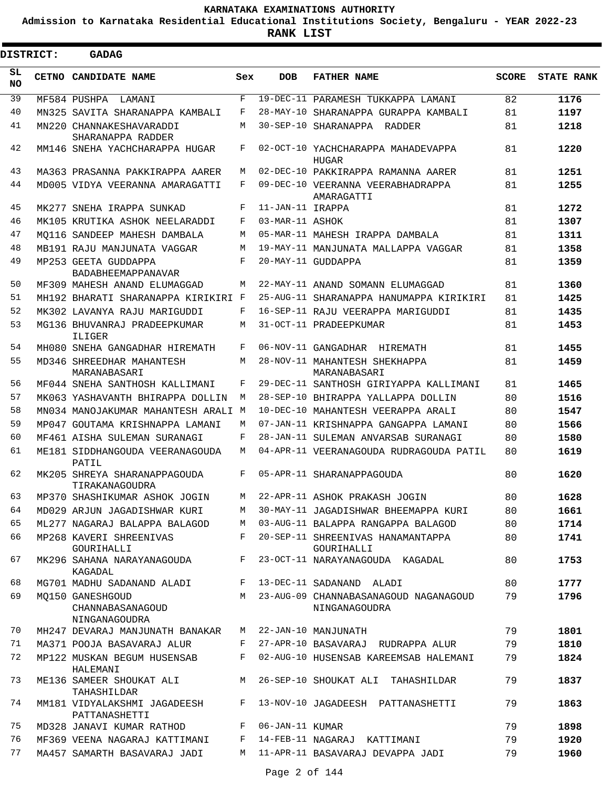**Admission to Karnataka Residential Educational Institutions Society, Bengaluru - YEAR 2022-23**

**RANK LIST**

|           | <b>DISTRICT:</b> | <b>GADAG</b>                                          |     |                  |                                                        |              |                   |
|-----------|------------------|-------------------------------------------------------|-----|------------------|--------------------------------------------------------|--------------|-------------------|
| SL<br>NO. |                  | CETNO CANDIDATE NAME                                  | Sex | <b>DOB</b>       | <b>FATHER NAME</b>                                     | <b>SCORE</b> | <b>STATE RANK</b> |
| 39        |                  | MF584 PUSHPA<br>LAMANI                                | F   |                  | 19-DEC-11 PARAMESH TUKKAPPA LAMANI                     | 82           | 1176              |
| 40        |                  | MN325 SAVITA SHARANAPPA KAMBALI                       | F   |                  | 28-MAY-10 SHARANAPPA GURAPPA KAMBALI                   | 81           | 1197              |
| 41        |                  | MN220 CHANNAKESHAVARADDI<br>SHARANAPPA RADDER         | М   |                  | 30-SEP-10 SHARANAPPA RADDER                            | 81           | 1218              |
| 42        |                  | MM146 SNEHA YACHCHARAPPA HUGAR                        | F   |                  | 02-OCT-10 YACHCHARAPPA MAHADEVAPPA<br>HUGAR            | 81           | 1220              |
| 43        |                  | MA363 PRASANNA PAKKIRAPPA AARER                       | М   |                  | 02-DEC-10 PAKKIRAPPA RAMANNA AARER                     | 81           | 1251              |
| 44        |                  | MD005 VIDYA VEERANNA AMARAGATTI                       | F   |                  | 09-DEC-10 VEERANNA VEERABHADRAPPA<br>AMARAGATTI        | 81           | 1255              |
| 45        |                  | MK277 SNEHA IRAPPA SUNKAD                             | F   | 11-JAN-11 IRAPPA |                                                        | 81           | 1272              |
| 46        |                  | MK105 KRUTIKA ASHOK NEELARADDI                        | F   | 03-MAR-11 ASHOK  |                                                        | 81           | 1307              |
| 47        |                  | MO116 SANDEEP MAHESH DAMBALA                          | М   |                  | 05-MAR-11 MAHESH IRAPPA DAMBALA                        | 81           | 1311              |
| 48        |                  | MB191 RAJU MANJUNATA VAGGAR                           | M   |                  | 19-MAY-11 MANJUNATA MALLAPPA VAGGAR                    | 81           | 1358              |
| 49        |                  | MP253 GEETA GUDDAPPA<br><b>BADABHEEMAPPANAVAR</b>     | F   |                  | 20-MAY-11 GUDDAPPA                                     | 81           | 1359              |
| 50        |                  | MF309 MAHESH ANAND ELUMAGGAD                          | М   |                  | 22-MAY-11 ANAND SOMANN ELUMAGGAD                       | 81           | 1360              |
| 51        |                  | MH192 BHARATI SHARANAPPA KIRIKIRI F                   |     |                  | 25-AUG-11 SHARANAPPA HANUMAPPA KIRIKIRI                | 81           | 1425              |
| 52        |                  | MK302 LAVANYA RAJU MARIGUDDI                          | F   |                  | 16-SEP-11 RAJU VEERAPPA MARIGUDDI                      | 81           | 1435              |
| 53        |                  | MG136 BHUVANRAJ PRADEEPKUMAR<br>ILIGER                | М   |                  | 31-OCT-11 PRADEEPKUMAR                                 | 81           | 1453              |
| 54        |                  | MH080 SNEHA GANGADHAR HIREMATH                        | F   |                  | 06-NOV-11 GANGADHAR HIREMATH                           | 81           | 1455              |
| 55        |                  | MD346 SHREEDHAR MAHANTESH<br>MARANABASARI             | М   |                  | 28-NOV-11 MAHANTESH SHEKHAPPA<br>MARANABASARI          | 81           | 1459              |
| 56        |                  | MF044 SNEHA SANTHOSH KALLIMANI                        | F   |                  | 29-DEC-11 SANTHOSH GIRIYAPPA KALLIMANI                 | 81           | 1465              |
| 57        |                  | MK063 YASHAVANTH BHIRAPPA DOLLIN                      | М   |                  | 28-SEP-10 BHIRAPPA YALLAPPA DOLLIN                     | 80           | 1516              |
| 58        |                  | MN034 MANOJAKUMAR MAHANTESH ARALI M                   |     |                  | 10-DEC-10 MAHANTESH VEERAPPA ARALI                     | 80           | 1547              |
| 59        |                  | MP047 GOUTAMA KRISHNAPPA LAMANI                       | М   |                  | 07-JAN-11 KRISHNAPPA GANGAPPA LAMANI                   | 80           | 1566              |
| 60        |                  | MF461 AISHA SULEMAN SURANAGI                          | F   |                  | 28-JAN-11 SULEMAN ANVARSAB SURANAGI                    | 80           | 1580              |
| 61        |                  | ME181 SIDDHANGOUDA VEERANAGOUDA<br>PATIL              | М   |                  | 04-APR-11 VEERANAGOUDA RUDRAGOUDA PATIL                | 80           | 1619              |
| 62        |                  | MK205 SHREYA SHARANAPPAGOUDA<br>TIRAKANAGOUDRA        | F   |                  | 05-APR-11 SHARANAPPAGOUDA                              | 80           | 1620              |
| 63        |                  | MP370 SHASHIKUMAR ASHOK JOGIN                         | M   |                  | 22-APR-11 ASHOK PRAKASH JOGIN                          | 80           | 1628              |
| 64        |                  | MD029 ARJUN JAGADISHWAR KURI                          | М   |                  | 30-MAY-11 JAGADISHWAR BHEEMAPPA KURI                   | 80           | 1661              |
| 65        |                  | ML277 NAGARAJ BALAPPA BALAGOD                         | М   |                  | 03-AUG-11 BALAPPA RANGAPPA BALAGOD                     | 80           | 1714              |
| 66        |                  | MP268 KAVERI SHREENIVAS<br>GOURIHALLI                 | F   |                  | 20-SEP-11 SHREENIVAS HANAMANTAPPA<br>GOURIHALLI        | 80           | 1741              |
| 67        |                  | MK296 SAHANA NARAYANAGOUDA<br>KAGADAL                 | F   |                  | 23-OCT-11 NARAYANAGOUDA KAGADAL                        | 80           | 1753              |
| 68        |                  | MG701 MADHU SADANAND ALADI                            | F   |                  | 13-DEC-11 SADANAND ALADI                               | 80           | 1777              |
| 69        |                  | MO150 GANESHGOUD<br>CHANNABASANAGOUD<br>NINGANAGOUDRA | M   |                  | 23-AUG-09 CHANNABASANAGOUD NAGANAGOUD<br>NINGANAGOUDRA | 79           | 1796              |
| 70        |                  | MH247 DEVARAJ MANJUNATH BANAKAR                       | М   |                  | 22-JAN-10 MANJUNATH                                    | 79           | 1801              |
| 71        |                  | MA371 POOJA BASAVARAJ ALUR                            | F   |                  | 27-APR-10 BASAVARAJ RUDRAPPA ALUR                      | 79           | 1810              |
| 72        |                  | MP122 MUSKAN BEGUM HUSENSAB<br>HALEMANI               | F   |                  | 02-AUG-10 HUSENSAB KAREEMSAB HALEMANI                  | 79           | 1824              |
| 73        |                  | ME136 SAMEER SHOUKAT ALI<br>TAHASHILDAR               | М   |                  | 26-SEP-10 SHOUKAT ALI TAHASHILDAR                      | 79           | 1837              |
| 74        |                  | MM181 VIDYALAKSHMI JAGADEESH<br>PATTANASHETTI         | F   |                  | 13-NOV-10 JAGADEESH PATTANASHETTI                      | 79           | 1863              |
| 75        |                  | MD328 JANAVI KUMAR RATHOD                             | F   | 06-JAN-11 KUMAR  |                                                        | 79           | 1898              |
| 76        |                  | MF369 VEENA NAGARAJ KATTIMANI                         | F   |                  | 14-FEB-11 NAGARAJ KATTIMANI                            | 79           | 1920              |
| 77        |                  | MA457 SAMARTH BASAVARAJ JADI                          | М   |                  | 11-APR-11 BASAVARAJ DEVAPPA JADI                       | 79           | 1960              |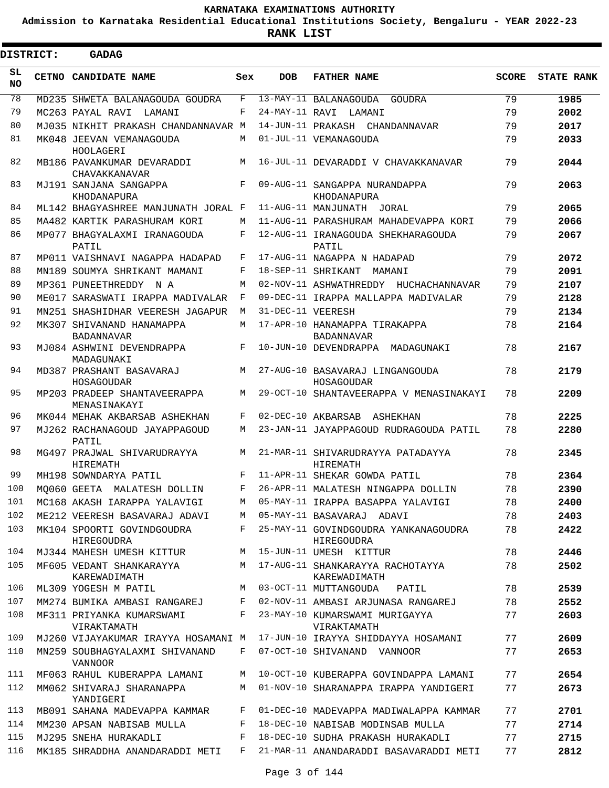**Admission to Karnataka Residential Educational Institutions Society, Bengaluru - YEAR 2022-23**

 $\blacksquare$ 

**RANK LIST**

| <b>DISTRICT:</b> | <b>GADAG</b>                                   |     |                   |                                                    |              |                   |
|------------------|------------------------------------------------|-----|-------------------|----------------------------------------------------|--------------|-------------------|
| SL.<br><b>NO</b> | CETNO CANDIDATE NAME                           | Sex | <b>DOB</b>        | <b>FATHER NAME</b>                                 | <b>SCORE</b> | <b>STATE RANK</b> |
| 78               | MD235 SHWETA BALANAGOUDA GOUDRA                | F   |                   | 13-MAY-11 BALANAGOUDA GOUDRA                       | 79           | 1985              |
| 79               | MC263 PAYAL RAVI<br>LAMANI                     | F   |                   | 24-MAY-11 RAVI LAMANI                              | 79           | 2002              |
| 80               | MJ035 NIKHIT PRAKASH CHANDANNAVAR M            |     |                   | 14-JUN-11 PRAKASH CHANDANNAVAR                     | 79           | 2017              |
| 81               | MK048 JEEVAN VEMANAGOUDA<br>HOOLAGERI          | M   |                   | 01-JUL-11 VEMANAGOUDA                              | 79           | 2033              |
| 82               | MB186 PAVANKUMAR DEVARADDI<br>CHAVAKKANAVAR    | M   |                   | 16-JUL-11 DEVARADDI V CHAVAKKANAVAR                | 79           | 2044              |
| 83               | MJ191 SANJANA SANGAPPA<br>KHODANAPURA          | F   |                   | 09-AUG-11 SANGAPPA NURANDAPPA<br>KHODANAPURA       | 79           | 2063              |
| 84               | ML142 BHAGYASHREE MANJUNATH JORAL F            |     |                   | 11-AUG-11 MANJUNATH JORAL                          | 79           | 2065              |
| 85               | MA482 KARTIK PARASHURAM KORI                   | M   |                   | 11-AUG-11 PARASHURAM MAHADEVAPPA KORI              | 79           | 2066              |
| 86               | MP077 BHAGYALAXMI IRANAGOUDA<br>PATIL          | F   |                   | 12-AUG-11 IRANAGOUDA SHEKHARAGOUDA<br>PATIL        | 79           | 2067              |
| 87               | MP011 VAISHNAVI NAGAPPA HADAPAD                | F   |                   | 17-AUG-11 NAGAPPA N HADAPAD                        | 79           | 2072              |
| 88               | MN189 SOUMYA SHRIKANT MAMANI                   | F   |                   | 18-SEP-11 SHRIKANT MAMANI                          | 79           | 2091              |
| 89               | MP361 PUNEETHREDDY N A                         | М   |                   | 02-NOV-11 ASHWATHREDDY HUCHACHANNAVAR              | 79           | 2107              |
| 90               | ME017 SARASWATI IRAPPA MADIVALAR               | F   |                   | 09-DEC-11 IRAPPA MALLAPPA MADIVALAR                | 79           | 2128              |
| 91               | MN251 SHASHIDHAR VEERESH JAGAPUR               | M   | 31-DEC-11 VEERESH |                                                    | 79           | 2134              |
| 92               | MK307 SHIVANAND HANAMAPPA<br><b>BADANNAVAR</b> | M   |                   | 17-APR-10 HANAMAPPA TIRAKAPPA<br><b>BADANNAVAR</b> | 78           | 2164              |
| 93               | MJ084 ASHWINI DEVENDRAPPA<br>MADAGUNAKI        | F   |                   | 10-JUN-10 DEVENDRAPPA MADAGUNAKI                   | 78           | 2167              |
| 94               | MD387 PRASHANT BASAVARAJ<br>HOSAGOUDAR         | M   |                   | 27-AUG-10 BASAVARAJ LINGANGOUDA<br>HOSAGOUDAR      | 78           | 2179              |
| 95               | MP203 PRADEEP SHANTAVEERAPPA<br>MENASINAKAYI   | M   |                   | 29-OCT-10 SHANTAVEERAPPA V MENASINAKAYI            | 78           | 2209              |
| 96               | MK044 MEHAK AKBARSAB ASHEKHAN                  | F   |                   | 02-DEC-10 AKBARSAB ASHEKHAN                        | 78           | 2225              |
| 97               | MJ262 RACHANAGOUD JAYAPPAGOUD<br>PATIL         | M   |                   | 23-JAN-11 JAYAPPAGOUD RUDRAGOUDA PATIL             | 78           | 2280              |
| 98               | MG497 PRAJWAL SHIVARUDRAYYA<br>HIREMATH        | M   |                   | 21-MAR-11 SHIVARUDRAYYA PATADAYYA<br>HIREMATH      | 78           | 2345              |
| 99               | MH198 SOWNDARYA PATIL                          | F   |                   | 11-APR-11 SHEKAR GOWDA PATIL                       | 78           | 2364              |
| 100              | MO060 GEETA MALATESH DOLLIN                    | F   |                   | 26-APR-11 MALATESH NINGAPPA DOLLIN                 | 78           | 2390              |
| 101              | MC168 AKASH IARAPPA YALAVIGI                   | М   |                   | 05-MAY-11 IRAPPA BASAPPA YALAVIGI                  | 78           | 2400              |
| 102              | ME212 VEERESH BASAVARAJ ADAVI                  | М   |                   | 05-MAY-11 BASAVARAJ ADAVI                          | 78           | 2403              |
| 103              | MK104 SPOORTI GOVINDGOUDRA<br>HIREGOUDRA       | F   |                   | 25-MAY-11 GOVINDGOUDRA YANKANAGOUDRA<br>HIREGOUDRA | 78           | 2422              |
| 104              | MJ344 MAHESH UMESH KITTUR                      | М   |                   | 15-JUN-11 UMESH KITTUR                             | 78           | 2446              |
| 105              | MF605 VEDANT SHANKARAYYA<br>KAREWADIMATH       | M   |                   | 17-AUG-11 SHANKARAYYA RACHOTAYYA<br>KAREWADIMATH   | 78           | 2502              |
| 106              | ML309 YOGESH M PATIL                           | М   |                   | 03-OCT-11 MUTTANGOUDA<br>PATIL                     | 78           | 2539              |
| 107              | MM274 BUMIKA AMBASI RANGAREJ                   | F   |                   | 02-NOV-11 AMBASI ARJUNASA RANGAREJ                 | 78           | 2552              |
| 108              | MF311 PRIYANKA KUMARSWAMI<br>VIRAKTAMATH       | F   |                   | 23-MAY-10 KUMARSWAMI MURIGAYYA<br>VIRAKTAMATH      | 77           | 2603              |
| 109              | MJ260 VIJAYAKUMAR IRAYYA HOSAMANI M            |     |                   | 17-JUN-10 IRAYYA SHIDDAYYA HOSAMANI                | 77           | 2609              |
| 110              | MN259 SOUBHAGYALAXMI SHIVANAND<br>VANNOOR      | F   |                   | 07-OCT-10 SHIVANAND VANNOOR                        | 77           | 2653              |
| 111              | MF063 RAHUL KUBERAPPA LAMANI                   | М   |                   | 10-OCT-10 KUBERAPPA GOVINDAPPA LAMANI              | 77           | 2654              |
| 112              | MM062 SHIVARAJ SHARANAPPA<br>YANDIGERI         | M   |                   | 01-NOV-10 SHARANAPPA IRAPPA YANDIGERI              | 77           | 2673              |
| 113              | MB091 SAHANA MADEVAPPA KAMMAR                  | F   |                   | 01-DEC-10 MADEVAPPA MADIWALAPPA KAMMAR             | 77           | 2701              |
| 114              | MM230 APSAN NABISAB MULLA                      | F   |                   | 18-DEC-10 NABISAB MODINSAB MULLA                   | 77           | 2714              |
| 115              | MJ295 SNEHA HURAKADLI                          | F   |                   | 18-DEC-10 SUDHA PRAKASH HURAKADLI                  | 77           | 2715              |
| 116              | MK185 SHRADDHA ANANDARADDI METI                | F   |                   | 21-MAR-11 ANANDARADDI BASAVARADDI METI             | 77           | 2812              |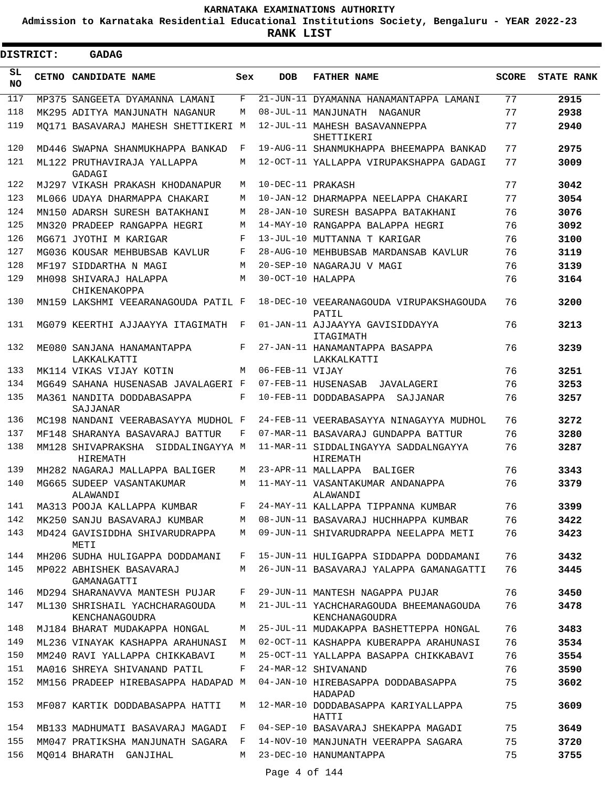**Admission to Karnataka Residential Educational Institutions Society, Bengaluru - YEAR 2022-23**

**RANK LIST**

Ξ

| DISTRICT:       | <b>GADAG</b>                                      |            |                   |                                                          |              |                   |
|-----------------|---------------------------------------------------|------------|-------------------|----------------------------------------------------------|--------------|-------------------|
| SL<br><b>NO</b> | CETNO CANDIDATE NAME                              | Sex        | <b>DOB</b>        | <b>FATHER NAME</b>                                       | <b>SCORE</b> | <b>STATE RANK</b> |
| 117             | MP375 SANGEETA DYAMANNA LAMANI                    | F          |                   | 21-JUN-11 DYAMANNA HANAMANTAPPA LAMANI                   | 77           | 2915              |
| 118             | MK295 ADITYA MANJUNATH NAGANUR                    | М          |                   | 08-JUL-11 MANJUNATH NAGANUR                              | 77           | 2938              |
| 119             | MQ171 BASAVARAJ MAHESH SHETTIKERI M               |            |                   | 12-JUL-11 MAHESH BASAVANNEPPA<br>SHETTIKERI              | 77           | 2940              |
| 120             | MD446 SWAPNA SHANMUKHAPPA BANKAD                  | F          |                   | 19-AUG-11 SHANMUKHAPPA BHEEMAPPA BANKAD                  | 77           | 2975              |
| 121             | ML122 PRUTHAVIRAJA YALLAPPA<br>GADAGI             | М          |                   | 12-OCT-11 YALLAPPA VIRUPAKSHAPPA GADAGI                  | 77           | 3009              |
| 122             | MJ297 VIKASH PRAKASH KHODANAPUR                   | M          | 10-DEC-11 PRAKASH |                                                          | 77           | 3042              |
| 123             | ML066 UDAYA DHARMAPPA CHAKARI                     | М          |                   | 10-JAN-12 DHARMAPPA NEELAPPA CHAKARI                     | 77           | 3054              |
| 124             | MN150 ADARSH SURESH BATAKHANI                     | М          |                   | 28-JAN-10 SURESH BASAPPA BATAKHANI                       | 76           | 3076              |
| 125             | MN320 PRADEEP RANGAPPA HEGRI                      | М          |                   | 14-MAY-10 RANGAPPA BALAPPA HEGRI                         | 76           | 3092              |
| 126             | MG671 JYOTHI M KARIGAR                            | F          |                   | 13-JUL-10 MUTTANNA T KARIGAR                             | 76           | 3100              |
| 127             | MG036 KOUSAR MEHBUBSAB KAVLUR                     | F          |                   | 28-AUG-10 MEHBUBSAB MARDANSAB KAVLUR                     | 76           | 3119              |
| 128             | MF197 SIDDARTHA N MAGI                            | M          |                   | 20-SEP-10 NAGARAJU V MAGI                                | 76           | 3139              |
| 129             | MH098 SHIVARAJ HALAPPA<br>CHIKENAKOPPA            | M          | 30-OCT-10 HALAPPA |                                                          | 76           | 3164              |
| 130             | MN159 LAKSHMI VEEARANAGOUDA PATIL F               |            |                   | 18-DEC-10 VEEARANAGOUDA VIRUPAKSHAGOUDA<br>PATIL         | 76           | 3200              |
| 131             | MG079 KEERTHI AJJAAYYA ITAGIMATH                  | F          |                   | 01-JAN-11 AJJAAYYA GAVISIDDAYYA<br>ITAGIMATH             | 76           | 3213              |
| 132             | ME080 SANJANA HANAMANTAPPA<br>LAKKALKATTI         | F          |                   | 27-JAN-11 HANAMANTAPPA BASAPPA<br>LAKKALKATTI            | 76           | 3239              |
| 133             | MK114 VIKAS VIJAY KOTIN                           | М          | 06-FEB-11 VIJAY   |                                                          | 76           | 3251              |
| 134             | MG649 SAHANA HUSENASAB JAVALAGERI F               |            |                   | 07-FEB-11 HUSENASAB<br>JAVALAGERI                        | 76           | 3253              |
| 135             | MA361 NANDITA DODDABASAPPA<br>SAJJANAR            | $_{\rm F}$ |                   | 10-FEB-11 DODDABASAPPA<br>SAJJANAR                       | 76           | 3257              |
| 136             | MC198 NANDANI VEERABASAYYA MUDHOL F               |            |                   | 24-FEB-11 VEERABASAYYA NINAGAYYA MUDHOL                  | 76           | 3272              |
| 137             | MF148 SHARANYA BASAVARAJ BATTUR                   | F          |                   | 07-MAR-11 BASAVARAJ GUNDAPPA BATTUR                      | 76           | 3280              |
| 138             | MM128 SHIVAPRAKSHA<br>SIDDALINGAYYA M<br>HIREMATH |            |                   | 11-MAR-11 SIDDALINGAYYA SADDALNGAYYA<br>HIREMATH         | 76           | 3287              |
| 139             | MH282 NAGARAJ MALLAPPA BALIGER                    | М          |                   | 23-APR-11 MALLAPPA<br>BALIGER                            | 76           | 3343              |
| 140             | MG665 SUDEEP VASANTAKUMAR<br>ALAWANDI             | M          |                   | 11-MAY-11 VASANTAKUMAR ANDANAPPA<br>ALAWANDI             | 76           | 3379              |
| 141             | MA313 POOJA KALLAPPA KUMBAR                       | F          |                   | 24-MAY-11 KALLAPPA TIPPANNA KUMBAR                       | 76           | 3399              |
| 142             | MK250 SANJU BASAVARAJ KUMBAR                      | М          |                   | 08-JUN-11 BASAVARAJ HUCHHAPPA KUMBAR                     | 76           | 3422              |
| 143             | MD424 GAVISIDDHA SHIVARUDRAPPA<br>METT.           | M          |                   | 09-JUN-11 SHIVARUDRAPPA NEELAPPA METI                    | 76           | 3423              |
| 144             | MH206 SUDHA HULIGAPPA DODDAMANI                   | F          |                   | 15-JUN-11 HULIGAPPA SIDDAPPA DODDAMANI                   | 76           | 3432              |
| 145             | MP022 ABHISHEK BASAVARAJ<br>GAMANAGATTI           | М          |                   | 26-JUN-11 BASAVARAJ YALAPPA GAMANAGATTI                  | 76           | 3445              |
| 146             | MD294 SHARANAVVA MANTESH PUJAR                    | F          |                   | 29-JUN-11 MANTESH NAGAPPA PUJAR                          | 76           | 3450              |
| 147             | ML130 SHRISHAIL YACHCHARAGOUDA<br>KENCHANAGOUDRA  | M          |                   | 21-JUL-11 YACHCHARAGOUDA BHEEMANAGOUDA<br>KENCHANAGOUDRA | 76           | 3478              |
| 148             | MJ184 BHARAT MUDAKAPPA HONGAL                     | М          |                   | 25-JUL-11 MUDAKAPPA BASHETTEPPA HONGAL                   | 76           | 3483              |
| 149             | ML236 VINAYAK KASHAPPA ARAHUNASI                  | M          |                   | 02-OCT-11 KASHAPPA KUBERAPPA ARAHUNASI                   | 76           | 3534              |
| 150             | MM240 RAVI YALLAPPA CHIKKABAVI                    | M          |                   | 25-OCT-11 YALLAPPA BASAPPA CHIKKABAVI                    | 76           | 3554              |
| 151             | MA016 SHREYA SHIVANAND PATIL                      | F          |                   | 24-MAR-12 SHIVANAND                                      | 76           | 3590              |
| 152             | MM156 PRADEEP HIREBASAPPA HADAPAD M               |            |                   | 04-JAN-10 HIREBASAPPA DODDABASAPPA<br>HADAPAD            | 75           | 3602              |
| 153             | MF087 KARTIK DODDABASAPPA HATTI                   | М          |                   | 12-MAR-10 DODDABASAPPA KARIYALLAPPA<br>HATTI             | 75           | 3609              |
| 154             | MB133 MADHUMATI BASAVARAJ MAGADI                  | F          |                   | 04-SEP-10 BASAVARAJ SHEKAPPA MAGADI                      | 75           | 3649              |
| 155             | MM047 PRATIKSHA MANJUNATH SAGARA                  | F          |                   | 14-NOV-10 MANJUNATH VEERAPPA SAGARA                      | 75           | 3720              |
| 156             | MO014 BHARATH GANJIHAL                            | М          |                   | 23-DEC-10 HANUMANTAPPA                                   | 75           | 3755              |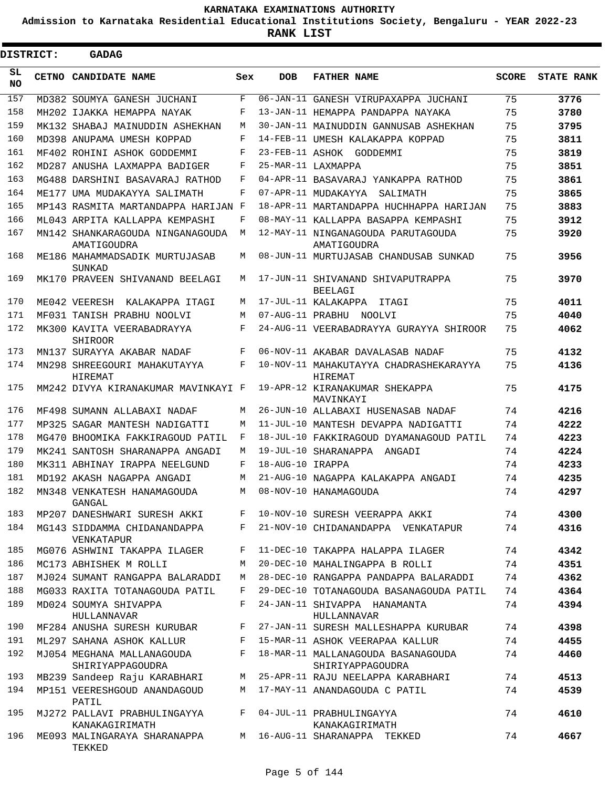**Admission to Karnataka Residential Educational Institutions Society, Bengaluru - YEAR 2022-23**

|                 | DISTRICT: | <b>GADAG</b>                                    |     |                  |                                                          |              |                   |
|-----------------|-----------|-------------------------------------------------|-----|------------------|----------------------------------------------------------|--------------|-------------------|
| SL<br><b>NO</b> |           | CETNO CANDIDATE NAME                            | Sex | <b>DOB</b>       | <b>FATHER NAME</b>                                       | <b>SCORE</b> | <b>STATE RANK</b> |
| 157             |           | MD382 SOUMYA GANESH JUCHANI                     | F   |                  | 06-JAN-11 GANESH VIRUPAXAPPA JUCHANI                     | 75           | 3776              |
| 158             |           | MH202 IJAKKA HEMAPPA NAYAK                      | F   |                  | 13-JAN-11 HEMAPPA PANDAPPA NAYAKA                        | 75           | 3780              |
| 159             |           | MK132 SHABAJ MAINUDDIN ASHEKHAN                 | M   |                  | 30-JAN-11 MAINUDDIN GANNUSAB ASHEKHAN                    | 75           | 3795              |
| 160             |           | MD398 ANUPAMA UMESH KOPPAD                      | F   |                  | 14-FEB-11 UMESH KALAKAPPA KOPPAD                         | 75           | 3811              |
| 161             |           | MF402 ROHINI ASHOK GODDEMMI                     | F   |                  | 23-FEB-11 ASHOK GODDEMMI                                 | 75           | 3819              |
| 162             |           | MD287 ANUSHA LAXMAPPA BADIGER                   | F   |                  | 25-MAR-11 LAXMAPPA                                       | 75           | 3851              |
| 163             |           | MG488 DARSHINI BASAVARAJ RATHOD                 | F   |                  | 04-APR-11 BASAVARAJ YANKAPPA RATHOD                      | 75           | 3861              |
| 164             |           | ME177 UMA MUDAKAYYA SALIMATH                    | F   |                  | 07-APR-11 MUDAKAYYA SALIMATH                             | 75           | 3865              |
| 165             |           | MP143 RASMITA MARTANDAPPA HARIJAN F             |     |                  | 18-APR-11 MARTANDAPPA HUCHHAPPA HARIJAN                  | 75           | 3883              |
| 166             |           | ML043 ARPITA KALLAPPA KEMPASHI                  | F   |                  | 08-MAY-11 KALLAPPA BASAPPA KEMPASHI                      | 75           | 3912              |
| 167             |           | MN142 SHANKARAGOUDA NINGANAGOUDA<br>AMATIGOUDRA | M   |                  | 12-MAY-11 NINGANAGOUDA PARUTAGOUDA<br>AMATIGOUDRA        | 75           | 3920              |
| 168             |           | ME186 MAHAMMADSADIK MURTUJASAB<br>SUNKAD        | M   |                  | 08-JUN-11 MURTUJASAB CHANDUSAB SUNKAD                    | 75           | 3956              |
| 169             |           | MK170 PRAVEEN SHIVANAND BEELAGI                 | M   |                  | 17-JUN-11 SHIVANAND SHIVAPUTRAPPA<br><b>BEELAGI</b>      | 75           | 3970              |
| 170             |           | ME042 VEERESH KALAKAPPA ITAGI                   | M   |                  | 17-JUL-11 KALAKAPPA ITAGI                                | 75           | 4011              |
| 171             |           | MF031 TANISH PRABHU NOOLVI                      | M   |                  | 07-AUG-11 PRABHU NOOLVI                                  | 75           | 4040              |
| 172             |           | MK300 KAVITA VEERABADRAYYA<br>SHIROOR           | F   |                  | 24-AUG-11 VEERABADRAYYA GURAYYA SHIROOR                  | 75           | 4062              |
| 173             |           | MN137 SURAYYA AKABAR NADAF                      | F   |                  | 06-NOV-11 AKABAR DAVALASAB NADAF                         | 75           | 4132              |
| 174             |           | MN298 SHREEGOURI MAHAKUTAYYA<br>HIREMAT         | F   |                  | 10-NOV-11 MAHAKUTAYYA CHADRASHEKARAYYA<br><b>HIREMAT</b> | 75           | 4136              |
| 175             |           | MM242 DIVYA KIRANAKUMAR MAVINKAYI F             |     |                  | 19-APR-12 KIRANAKUMAR SHEKAPPA<br>MAVINKAYI              | 75           | 4175              |
| 176             |           | MF498 SUMANN ALLABAXI NADAF                     | M   |                  | 26-JUN-10 ALLABAXI HUSENASAB NADAF                       | 74           | 4216              |
| 177             |           | MP325 SAGAR MANTESH NADIGATTI                   | M   |                  | 11-JUL-10 MANTESH DEVAPPA NADIGATTI                      | 74           | 4222              |
| 178             |           | MG470 BHOOMIKA FAKKIRAGOUD PATIL                | F   |                  | 18-JUL-10 FAKKIRAGOUD DYAMANAGOUD PATIL                  | 74           | 4223              |
| 179             |           | MK241 SANTOSH SHARANAPPA ANGADI                 | M   |                  | 19-JUL-10 SHARANAPPA ANGADI                              | 74           | 4224              |
| 180             |           | MK311 ABHINAY IRAPPA NEELGUND                   | F   | 18-AUG-10 IRAPPA |                                                          | 74           | 4233              |
| 181             |           | MD192 AKASH NAGAPPA ANGADI                      | M   |                  | 21-AUG-10 NAGAPPA KALAKAPPA ANGADI                       | 74           | 4235              |
| 182             |           | MN348 VENKATESH HANAMAGOUDA<br>GANGAL           | M   |                  | 08-NOV-10 HANAMAGOUDA                                    | 74           | 4297              |
| 183             |           | MP207 DANESHWARI SURESH AKKI                    | F   |                  | 10-NOV-10 SURESH VEERAPPA AKKI                           | 74           | 4300              |
| 184             |           | MG143 SIDDAMMA CHIDANANDAPPA<br>VENKATAPUR      | F   |                  | 21-NOV-10 CHIDANANDAPPA VENKATAPUR                       | 74           | 4316              |
| 185             |           | MG076 ASHWINI TAKAPPA ILAGER                    | F   |                  | 11-DEC-10 TAKAPPA HALAPPA ILAGER                         | 74           | 4342              |
| 186             |           | MC173 ABHISHEK M ROLLI                          | М   |                  | 20-DEC-10 MAHALINGAPPA B ROLLI                           | 74           | 4351              |
| 187             |           | MJ024 SUMANT RANGAPPA BALARADDI                 | М   |                  | 28-DEC-10 RANGAPPA PANDAPPA BALARADDI                    | 74           | 4362              |
| 188             |           | MG033 RAXITA TOTANAGOUDA PATIL                  | F   |                  | 29-DEC-10 TOTANAGOUDA BASANAGOUDA PATIL                  | 74           | 4364              |
| 189             |           | MD024 SOUMYA SHIVAPPA<br><b>HULLANNAVAR</b>     | F   |                  | 24-JAN-11 SHIVAPPA HANAMANTA<br>HULLANNAVAR              | 74           | 4394              |
| 190             |           | MF284 ANUSHA SURESH KURUBAR                     | F   |                  | 27-JAN-11 SURESH MALLESHAPPA KURUBAR                     | 74           | 4398              |
| 191             |           | ML297 SAHANA ASHOK KALLUR                       | F   |                  | 15-MAR-11 ASHOK VEERAPAA KALLUR                          | 74           | 4455              |
| 192             |           | MJ054 MEGHANA MALLANAGOUDA<br>SHIRIYAPPAGOUDRA  | F   |                  | 18-MAR-11 MALLANAGOUDA BASANAGOUDA<br>SHIRIYAPPAGOUDRA   | 74           | 4460              |
| 193             |           | MB239 Sandeep Raju KARABHARI                    | М   |                  | 25-APR-11 RAJU NEELAPPA KARABHARI                        | 74           | 4513              |
| 194             |           | MP151 VEERESHGOUD ANANDAGOUD<br>PATIL           | М   |                  | 17-MAY-11 ANANDAGOUDA C PATIL                            | 74           | 4539              |
| 195             |           | MJ272 PALLAVI PRABHULINGAYYA<br>KANAKAGIRIMATH  | F   |                  | 04-JUL-11 PRABHULINGAYYA<br>KANAKAGIRIMATH               | 74           | 4610              |
| 196             |           | ME093 MALINGARAYA SHARANAPPA<br>TEKKED          | M   |                  | 16-AUG-11 SHARANAPPA TEKKED                              | 74           | 4667              |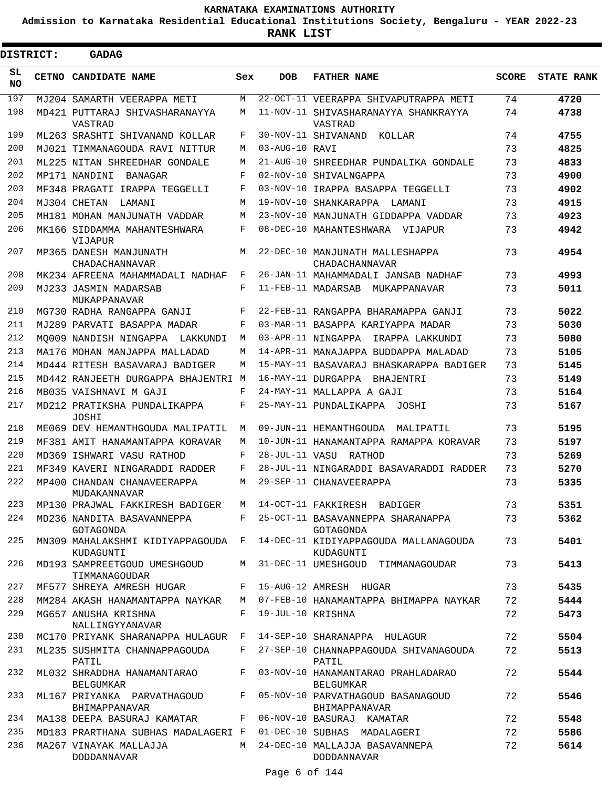**Admission to Karnataka Residential Educational Institutions Society, Bengaluru - YEAR 2022-23**

 $\blacksquare$ 

| <b>DISTRICT:</b> | <b>GADAG</b>                                    |     |                        |                                                        |              |                   |
|------------------|-------------------------------------------------|-----|------------------------|--------------------------------------------------------|--------------|-------------------|
| SL<br>NO.        | CETNO CANDIDATE NAME                            | Sex | <b>DOB</b>             | <b>FATHER NAME</b>                                     | <b>SCORE</b> | <b>STATE RANK</b> |
| 197              | MJ204 SAMARTH VEERAPPA METI                     | M   |                        | 22-OCT-11 VEERAPPA SHIVAPUTRAPPA METI                  | 74           | 4720              |
| 198              | MD421 PUTTARAJ SHIVASHARANAYYA<br>VASTRAD       | M   |                        | 11-NOV-11 SHIVASHARANAYYA SHANKRAYYA<br>VASTRAD        | 74           | 4738              |
| 199              | ML263 SRASHTI SHIVANAND KOLLAR                  | F   |                        | 30-NOV-11 SHIVANAND<br>KOLLAR                          | 74           | 4755              |
| 200              | MJ021 TIMMANAGOUDA RAVI NITTUR                  | М   | 03-AUG-10 RAVI         |                                                        | 73           | 4825              |
| 201              | ML225 NITAN SHREEDHAR GONDALE                   | M   |                        | 21-AUG-10 SHREEDHAR PUNDALIKA GONDALE                  | 73           | 4833              |
| 202              | MP171 NANDINI<br>BANAGAR                        | F   | $02 - \text{NOV} - 10$ | SHIVALNGAPPA                                           | 73           | 4900              |
| 203              | MF348 PRAGATI IRAPPA TEGGELLI                   | F   |                        | 03-NOV-10 IRAPPA BASAPPA TEGGELLI                      | 73           | 4902              |
| 204              | MJ304 CHETAN<br>LAMANI                          | M   | 19-NOV-10              | SHANKARAPPA LAMANI                                     | 73           | 4915              |
| 205              | MH181 MOHAN MANJUNATH VADDAR                    | M   |                        | 23-NOV-10 MANJUNATH GIDDAPPA VADDAR                    | 73           | 4923              |
| 206              | MK166 SIDDAMMA MAHANTESHWARA<br><b>VIJAPUR</b>  | F   |                        | 08-DEC-10 MAHANTESHWARA VIJAPUR                        | 73           | 4942              |
| 207              | MP365 DANESH MANJUNATH<br>CHADACHANNAVAR        | M   |                        | 22-DEC-10 MANJUNATH MALLESHAPPA<br>CHADACHANNAVAR      | 73           | 4954              |
| 208              | MK234 AFREENA MAHAMMADALI NADHAF                | F   |                        | 26-JAN-11 MAHAMMADALI JANSAB NADHAF                    | 73           | 4993              |
| 209              | MJ233 JASMIN MADARSAB<br>MUKAPPANAVAR           | F   |                        | 11-FEB-11 MADARSAB MUKAPPANAVAR                        | 73           | 5011              |
| 210              | MG730 RADHA RANGAPPA GANJI                      | F   |                        | 22-FEB-11 RANGAPPA BHARAMAPPA GANJI                    | 73           | 5022              |
| 211              | MJ289 PARVATI BASAPPA MADAR                     | F   |                        | 03-MAR-11 BASAPPA KARIYAPPA MADAR                      | 73           | 5030              |
| 212              | MO009 NANDISH NINGAPPA LAKKUNDI                 | M   |                        | 03-APR-11 NINGAPPA<br>IRAPPA LAKKUNDI                  | 73           | 5080              |
| 213              | MA176 MOHAN MANJAPPA MALLADAD                   | М   |                        | 14-APR-11 MANAJAPPA BUDDAPPA MALADAD                   | 73           | 5105              |
| 214              | MD444 RITESH BASAVARAJ BADIGER                  | M   |                        | 15-MAY-11 BASAVARAJ BHASKARAPPA BADIGER                | 73           | 5145              |
| 215              | MD442 RANJEETH DURGAPPA BHAJENTRI M             |     |                        | 16-MAY-11 DURGAPPA BHAJENTRI                           | 73           | 5149              |
| 216              | MB035 VAISHNAVI M GAJI                          | F   |                        | 24-MAY-11 MALLAPPA A GAJI                              | 73           | 5164              |
| 217              | MD212 PRATIKSHA PUNDALIKAPPA<br>JOSHI           | F   |                        | 25-MAY-11 PUNDALIKAPPA JOSHI                           | 73           | 5167              |
| 218              | ME069 DEV HEMANTHGOUDA MALIPATIL                | M   |                        | 09-JUN-11 HEMANTHGOUDA<br>MALIPATIL                    | 73           | 5195              |
| 219              | MF381 AMIT HANAMANTAPPA KORAVAR                 | M   |                        | 10-JUN-11 HANAMANTAPPA RAMAPPA KORAVAR                 | 73           | 5197              |
| 220              | MD369 ISHWARI VASU RATHOD                       | F   |                        | 28-JUL-11 VASU RATHOD                                  | 73           | 5269              |
| 221              | MF349 KAVERI NINGARADDI RADDER                  | F   |                        | 28-JUL-11 NINGARADDI BASAVARADDI RADDER                | 73           | 5270              |
| 222              | MP400 CHANDAN CHANAVEERAPPA<br>MUDAKANNAVAR     | M   |                        | 29-SEP-11 CHANAVEERAPPA                                | 73           | 5335              |
| 223              | MP130 PRAJWAL FAKKIRESH BADIGER                 | М   |                        | 14-OCT-11 FAKKIRESH BADIGER                            | 73           | 5351              |
| 224              | MD236 NANDITA BASAVANNEPPA<br>GOTAGONDA         | F   |                        | 25-OCT-11 BASAVANNEPPA SHARANAPPA<br>GOTAGONDA         | 73           | 5362              |
| 225              | MN309 MAHALAKSHMI KIDIYAPPAGOUDA F<br>KUDAGUNTI |     |                        | 14-DEC-11 KIDIYAPPAGOUDA MALLANAGOUDA<br>KUDAGUNTI     | 73           | 5401              |
| 226              | MD193 SAMPREETGOUD UMESHGOUD<br>TIMMANAGOUDAR   | M   |                        | 31-DEC-11 UMESHGOUD TIMMANAGOUDAR                      | 73           | 5413              |
| 227              | MF577 SHREYA AMRESH HUGAR                       | F   |                        | 15-AUG-12 AMRESH HUGAR                                 | 73           | 5435              |
| 228              | MM284 AKASH HANAMANTAPPA NAYKAR                 | M   |                        | 07-FEB-10 HANAMANTAPPA BHIMAPPA NAYKAR                 | 72           | 5444              |
| 229              | MG657 ANUSHA KRISHNA<br>NALLINGYYANAVAR         | F   | 19-JUL-10 KRISHNA      |                                                        | 72           | 5473              |
| 230              | MC170 PRIYANK SHARANAPPA HULAGUR                | F   |                        | 14-SEP-10 SHARANAPPA HULAGUR                           | 72           | 5504              |
| 231              | ML235 SUSHMITA CHANNAPPAGOUDA<br>PATIL          | F   |                        | 27-SEP-10 CHANNAPPAGOUDA SHIVANAGOUDA<br>PATIL         | 72           | 5513              |
| 232              | ML032 SHRADDHA HANAMANTARAO<br>BELGUMKAR        | F   |                        | 03-NOV-10 HANAMANTARAO PRAHLADARAO<br><b>BELGUMKAR</b> | 72           | 5544              |
| 233              | ML167 PRIYANKA PARVATHAGOUD<br>BHIMAPPANAVAR    | F   |                        | 05-NOV-10 PARVATHAGOUD BASANAGOUD<br>BHIMAPPANAVAR     | 72           | 5546              |
| 234              | MA138 DEEPA BASURAJ KAMATAR                     | F   |                        | 06-NOV-10 BASURAJ KAMATAR                              | 72           | 5548              |
| 235              | MD183 PRARTHANA SUBHAS MADALAGERI F             |     |                        | 01-DEC-10 SUBHAS MADALAGERI                            | 72           | 5586              |
| 236              | MA267 VINAYAK MALLAJJA<br><b>DODDANNAVAR</b>    | M   |                        | 24-DEC-10 MALLAJJA BASAVANNEPA<br>DODDANNAVAR          | 72           | 5614              |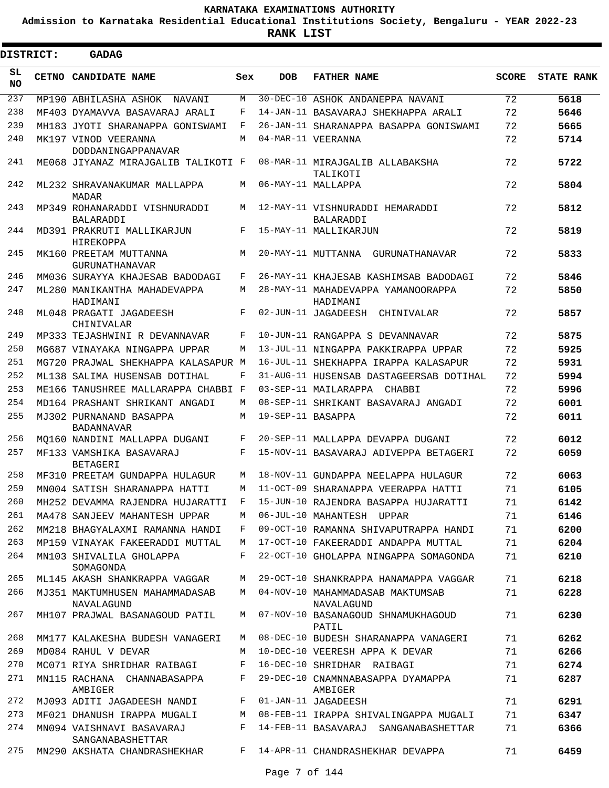**Admission to Karnataka Residential Educational Institutions Society, Bengaluru - YEAR 2022-23**

**RANK LIST**

| <b>DISTRICT:</b> | <b>GADAG</b>                                             |        |                   |                                                                               |              |                   |
|------------------|----------------------------------------------------------|--------|-------------------|-------------------------------------------------------------------------------|--------------|-------------------|
| SL<br><b>NO</b>  | CETNO CANDIDATE NAME                                     | Sex    | <b>DOB</b>        | <b>FATHER NAME</b>                                                            | <b>SCORE</b> | <b>STATE RANK</b> |
| 237              | MP190 ABHILASHA ASHOK<br>NAVANI                          | М      |                   | 30-DEC-10 ASHOK ANDANEPPA NAVANI                                              | 72           | 5618              |
| 238              | MF403 DYAMAVVA BASAVARAJ ARALI                           | F      |                   | 14-JAN-11 BASAVARAJ SHEKHAPPA ARALI                                           | 72           | 5646              |
| 239              | MH183 JYOTI SHARANAPPA GONISWAMI                         | F      |                   | 26-JAN-11 SHARANAPPA BASAPPA GONISWAMI                                        | 72           | 5665              |
| 240              | MK197 VINOD VEERANNA<br>DODDANINGAPPANAVAR               | M      |                   | 04-MAR-11 VEERANNA                                                            | 72           | 5714              |
| 241              | ME068 JIYANAZ MIRAJGALIB TALIKOTI F                      |        |                   | 08-MAR-11 MIRAJGALIB ALLABAKSHA<br>TALIKOTI                                   | 72           | 5722              |
| 242              | ML232 SHRAVANAKUMAR MALLAPPA<br><b>MADAR</b>             | M      |                   | 06-MAY-11 MALLAPPA                                                            | 72           | 5804              |
| 243              | MP349 ROHANARADDI VISHNURADDI<br><b>BALARADDI</b>        | M      |                   | 12-MAY-11 VISHNURADDI HEMARADDI<br>BALARADDI                                  | 72           | 5812              |
| 244              | MD391 PRAKRUTI MALLIKARJUN<br>HIREKOPPA                  | F      |                   | 15-MAY-11 MALLIKARJUN                                                         | 72           | 5819              |
| 245              | MK160 PREETAM MUTTANNA<br><b>GURUNATHANAVAR</b>          | M      |                   | 20-MAY-11 MUTTANNA GURUNATHANAVAR                                             | 72           | 5833              |
| 246              | MM036 SURAYYA KHAJESAB BADODAGI                          | F      |                   | 26-MAY-11 KHAJESAB KASHIMSAB BADODAGI                                         | 72           | 5846              |
| 247              | ML280 MANIKANTHA MAHADEVAPPA<br>HADIMANI                 | М      |                   | 28-MAY-11 MAHADEVAPPA YAMANOORAPPA<br>HADIMANI                                | 72           | 5850              |
| 248              | ML048 PRAGATI JAGADEESH<br>CHINIVALAR                    | F      |                   | 02-JUN-11 JAGADEESH CHINIVALAR                                                | 72           | 5857              |
| 249              | MP333 TEJASHWINI R DEVANNAVAR                            | F      |                   | 10-JUN-11 RANGAPPA S DEVANNAVAR                                               | 72           | 5875              |
| 250              | MG687 VINAYAKA NINGAPPA UPPAR                            | М      |                   | 13-JUL-11 NINGAPPA PAKKIRAPPA UPPAR                                           | 72           | 5925              |
| 251              | MG720 PRAJWAL SHEKHAPPA KALASAPUR M                      |        |                   | 16-JUL-11 SHEKHAPPA IRAPPA KALASAPUR                                          | 72           | 5931              |
| 252              | ML138 SALIMA HUSENSAB DOTIHAL                            | F      |                   | 31-AUG-11 HUSENSAB DASTAGEERSAB DOTIHAL                                       | 72           | 5994              |
| 253              | ME166 TANUSHREE MALLARAPPA CHABBI F                      |        |                   | 03-SEP-11 MAILARAPPA CHABBI                                                   | 72           | 5996              |
| 254              | MD164 PRASHANT SHRIKANT ANGADI                           | M      |                   | 08-SEP-11 SHRIKANT BASAVARAJ ANGADI                                           | 72           | 6001              |
| 255              | MJ302 PURNANAND BASAPPA<br><b>BADANNAVAR</b>             | М      | 19-SEP-11 BASAPPA |                                                                               | 72           | 6011              |
| 256              | MO160 NANDINI MALLAPPA DUGANI                            | F      |                   | 20-SEP-11 MALLAPPA DEVAPPA DUGANI                                             | 72           | 6012              |
| 257              | MF133 VAMSHIKA BASAVARAJ<br><b>BETAGERI</b>              | F      |                   | 15-NOV-11 BASAVARAJ ADIVEPPA BETAGERI                                         | 72           | 6059              |
| 258              | MF310 PREETAM GUNDAPPA HULAGUR                           | М      |                   | 18-NOV-11 GUNDAPPA NEELAPPA HULAGUR                                           | 72           | 6063              |
| 259              | MN004 SATISH SHARANAPPA HATTI                            | M      |                   | 11-OCT-09 SHARANAPPA VEERAPPA HATTI                                           | 71           | 6105              |
| 260              | MH252 DEVAMMA RAJENDRA HUJARATTI                         | F      |                   | 15-JUN-10 RAJENDRA BASAPPA HUJARATTI                                          | 71           | 6142              |
| 261              | MA478 SANJEEV MAHANTESH UPPAR                            | М      |                   | 06-JUL-10 MAHANTESH UPPAR                                                     | 71           | 6146              |
| 262              | MM218 BHAGYALAXMI RAMANNA HANDI                          | F      |                   | 09-OCT-10 RAMANNA SHIVAPUTRAPPA HANDI                                         | 71           | 6200              |
| 263              | MP159 VINAYAK FAKEERADDI MUTTAL                          | M      |                   | 17-OCT-10 FAKEERADDI ANDAPPA MUTTAL                                           | 71           | 6204              |
| 264              | MN103 SHIVALILA GHOLAPPA<br>SOMAGONDA                    | F      |                   | 22-OCT-10 GHOLAPPA NINGAPPA SOMAGONDA                                         | 71           | 6210              |
| 265              | ML145 AKASH SHANKRAPPA VAGGAR                            | М      |                   | 29-OCT-10 SHANKRAPPA HANAMAPPA VAGGAR                                         | 71           | 6218              |
| 266              | MJ351 MAKTUMHUSEN MAHAMMADASAB<br>NAVALAGUND             | М      |                   | 04-NOV-10 MAHAMMADASAB MAKTUMSAB<br>NAVALAGUND                                | 71           | 6228              |
| 267              | MH107 PRAJWAL BASANAGOUD PATIL                           | М      |                   | 07-NOV-10 BASANAGOUD SHNAMUKHAGOUD<br>PATIL                                   | 71           | 6230              |
| 268              | MM177 KALAKESHA BUDESH VANAGERI                          | М      |                   | 08-DEC-10 BUDESH SHARANAPPA VANAGERI                                          | 71           | 6262              |
| 269              | MD084 RAHUL V DEVAR                                      | М      |                   | 10-DEC-10 VEERESH APPA K DEVAR                                                | 71           | 6266              |
| 270              | MC071 RIYA SHRIDHAR RAIBAGI                              | F      |                   | 16-DEC-10 SHRIDHAR RAIBAGI                                                    | 71           | 6274              |
| 271              | MN115 RACHANA CHANNABASAPPA<br>AMBIGER                   | F      |                   | 29-DEC-10 CNAMNNABASAPPA DYAMAPPA<br>AMBIGER                                  | 71           | 6287              |
| 272              | MJ093 ADITI JAGADEESH NANDI                              | F      |                   | 01-JAN-11 JAGADEESH                                                           | 71           | 6291              |
| 273<br>274       | MF021 DHANUSH IRAPPA MUGALI<br>MN094 VAISHNAVI BASAVARAJ | М<br>F |                   | 08-FEB-11 IRAPPA SHIVALINGAPPA MUGALI<br>14-FEB-11 BASAVARAJ SANGANABASHETTAR | 71<br>71     | 6347<br>6366      |
| 275              | SANGANABASHETTAR<br>MN290 AKSHATA CHANDRASHEKHAR         | F      |                   | 14-APR-11 CHANDRASHEKHAR DEVAPPA                                              | 71           | 6459              |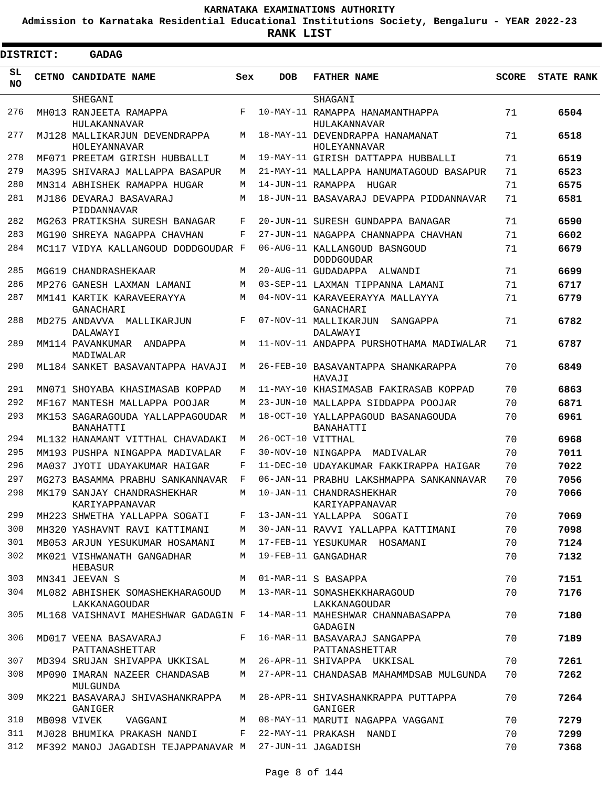**Admission to Karnataka Residential Educational Institutions Society, Bengaluru - YEAR 2022-23**

| <b>DISTRICT:</b> |  | GADAG                                                  |       |                   |                                                    |              |                   |
|------------------|--|--------------------------------------------------------|-------|-------------------|----------------------------------------------------|--------------|-------------------|
| SL<br>NO.        |  | CETNO CANDIDATE NAME                                   | Sex   | <b>DOB</b>        | <b>FATHER NAME</b>                                 | <b>SCORE</b> | <b>STATE RANK</b> |
|                  |  | SHEGANI                                                |       |                   | SHAGANI                                            |              |                   |
| 276              |  | MH013 RANJEETA RAMAPPA<br>HULAKANNAVAR                 | F     |                   | 10-MAY-11 RAMAPPA HANAMANTHAPPA<br>HULAKANNAVAR    | 71           | 6504              |
| 277              |  | MJ128 MALLIKARJUN DEVENDRAPPA<br>HOLEYANNAVAR          | М     |                   | 18-MAY-11 DEVENDRAPPA HANAMANAT<br>HOLEYANNAVAR    | 71           | 6518              |
| 278              |  | MF071 PREETAM GIRISH HUBBALLI                          | М     |                   | 19-MAY-11 GIRISH DATTAPPA HUBBALLI                 | 71           | 6519              |
| 279              |  | MA395 SHIVARAJ MALLAPPA BASAPUR                        | М     |                   | 21-MAY-11 MALLAPPA HANUMATAGOUD BASAPUR            | 71           | 6523              |
| 280              |  | MN314 ABHISHEK RAMAPPA HUGAR                           | M     | 14-JUN-11 RAMAPPA | HUGAR                                              | 71           | 6575              |
| 281              |  | MJ186 DEVARAJ BASAVARAJ<br>PIDDANNAVAR                 | M     |                   | 18-JUN-11 BASAVARAJ DEVAPPA PIDDANNAVAR            | 71           | 6581              |
| 282              |  | MG263 PRATIKSHA SURESH BANAGAR                         | F     |                   | 20-JUN-11 SURESH GUNDAPPA BANAGAR                  | 71           | 6590              |
| 283              |  | MG190 SHREYA NAGAPPA CHAVHAN                           | F     |                   | 27-JUN-11 NAGAPPA CHANNAPPA CHAVHAN                | 71           | 6602              |
| 284              |  | MC117 VIDYA KALLANGOUD DODDGOUDAR F                    |       |                   | 06-AUG-11 KALLANGOUD BASNGOUD<br><b>DODDGOUDAR</b> | 71           | 6679              |
| 285              |  | MG619 CHANDRASHEKAAR                                   | M     |                   | 20-AUG-11 GUDADAPPA ALWANDI                        | 71           | 6699              |
| 286              |  | MP276 GANESH LAXMAN LAMANI                             | M     |                   | 03-SEP-11 LAXMAN TIPPANNA LAMANI                   | 71           | 6717              |
| 287              |  | MM141 KARTIK KARAVEERAYYA<br>GANACHARI                 | M     |                   | 04-NOV-11 KARAVEERAYYA MALLAYYA<br>GANACHARI       | 71           | 6779              |
| 288              |  | MD275 ANDAVVA MALLIKARJUN<br>DALAWAYI                  | F     |                   | 07-NOV-11 MALLIKARJUN<br>SANGAPPA<br>DALAWAYI      | 71           | 6782              |
| 289              |  | MM114 PAVANKUMAR<br>ANDAPPA<br>MADIWALAR               | M     |                   | 11-NOV-11 ANDAPPA PURSHOTHAMA MADIWALAR            | 71           | 6787              |
| 290              |  | ML184 SANKET BASAVANTAPPA HAVAJI                       | М     |                   | 26-FEB-10 BASAVANTAPPA SHANKARAPPA<br>HAVAJI       | 70           | 6849              |
| 291              |  | MN071 SHOYABA KHASIMASAB KOPPAD                        | М     |                   | 11-MAY-10 KHASIMASAB FAKIRASAB KOPPAD              | 70           | 6863              |
| 292              |  | MF167 MANTESH MALLAPPA POOJAR                          | M     |                   | 23-JUN-10 MALLAPPA SIDDAPPA POOJAR                 | 70           | 6871              |
| 293              |  | MK153 SAGARAGOUDA YALLAPPAGOUDAR<br>BANAHATTI          | M     |                   | 18-OCT-10 YALLAPPAGOUD BASANAGOUDA<br>BANAHATTI    | 70           | 6961              |
| 294              |  | ML132 HANAMANT VITTHAL CHAVADAKI                       | M     | 26-OCT-10 VITTHAL |                                                    | 70           | 6968              |
| 295              |  | MM193 PUSHPA NINGAPPA MADIVALAR                        | F     |                   | 30-NOV-10 NINGAPPA<br>MADIVALAR                    | 70           | 7011              |
| 296              |  | MA037 JYOTI UDAYAKUMAR HAIGAR                          | F     |                   | 11-DEC-10 UDAYAKUMAR FAKKIRAPPA HAIGAR             | 70           | 7022              |
| 297              |  | MG273 BASAMMA PRABHU SANKANNAVAR                       | F     |                   | 06-JAN-11 PRABHU LAKSHMAPPA SANKANNAVAR            | 70           | 7056              |
| 298              |  | MK179 SANJAY CHANDRASHEKHAR<br>KARIYAPPANAVAR          | М     |                   | 10-JAN-11 CHANDRASHEKHAR<br>KARIYAPPANAVAR         | 70           | 7066              |
| 299              |  | MH223 SHWETHA YALLAPPA SOGATI                          | $F$ – |                   | 13-JAN-11 YALLAPPA SOGATI                          | 70           | 7069              |
| 300              |  | MH320 YASHAVNT RAVI KATTIMANI                          | M     |                   | 30-JAN-11 RAVVI YALLAPPA KATTIMANI                 | 70           | 7098              |
| 301              |  | MB053 ARJUN YESUKUMAR HOSAMANI                         |       |                   | M 17-FEB-11 YESUKUMAR HOSAMANI                     | 70           | 7124              |
| 302              |  | MK021 VISHWANATH GANGADHAR<br><b>HEBASUR</b>           | M     |                   | 19-FEB-11 GANGADHAR                                | 70           | 7132              |
| 303              |  | MN341 JEEVAN S                                         |       |                   | M 01-MAR-11 S BASAPPA                              | 70           | 7151              |
| 304              |  | ML082 ABHISHEK SOMASHEKHARAGOUD<br>LAKKANAGOUDAR       |       |                   | M 13-MAR-11 SOMASHEKKHARAGOUD<br>LAKKANAGOUDAR     | 70           | 7176              |
| 305              |  | ML168 VAISHNAVI MAHESHWAR GADAGIN F                    |       |                   | 14-MAR-11 MAHESHWAR CHANNABASAPPA<br>GADAGIN       | 70           | 7180              |
| 306              |  | MD017 VEENA BASAVARAJ<br>PATTANASHETTAR                | F     |                   | 16-MAR-11 BASAVARAJ SANGAPPA<br>PATTANASHETTAR     | 70           | 7189              |
| 307              |  | MD394 SRUJAN SHIVAPPA UKKISAL                          | M     |                   | 26-APR-11 SHIVAPPA UKKISAL                         | 70           | 7261              |
| 308              |  | MP090 IMARAN NAZEER CHANDASAB<br>MULGUNDA              |       |                   | M 27-APR-11 CHANDASAB MAHAMMDSAB MULGUNDA          | 70           | 7262              |
| 309              |  | MK221 BASAVARAJ SHIVASHANKRAPPA<br>GANIGER             | M     |                   | 28-APR-11 SHIVASHANKRAPPA PUTTAPPA<br>GANIGER      | 70           | 7264              |
| 310              |  | MB098 VIVEK<br>VAGGANI                                 |       |                   | M 08-MAY-11 MARUTI NAGAPPA VAGGANI                 | 70           | 7279              |
| 311              |  | MJ028 BHUMIKA PRAKASH NANDI                            |       |                   | F 22-MAY-11 PRAKASH NANDI                          | 70           | 7299              |
| 312              |  | MF392 MANOJ JAGADISH TEJAPPANAVAR M 27-JUN-11 JAGADISH |       |                   |                                                    | 70           | 7368              |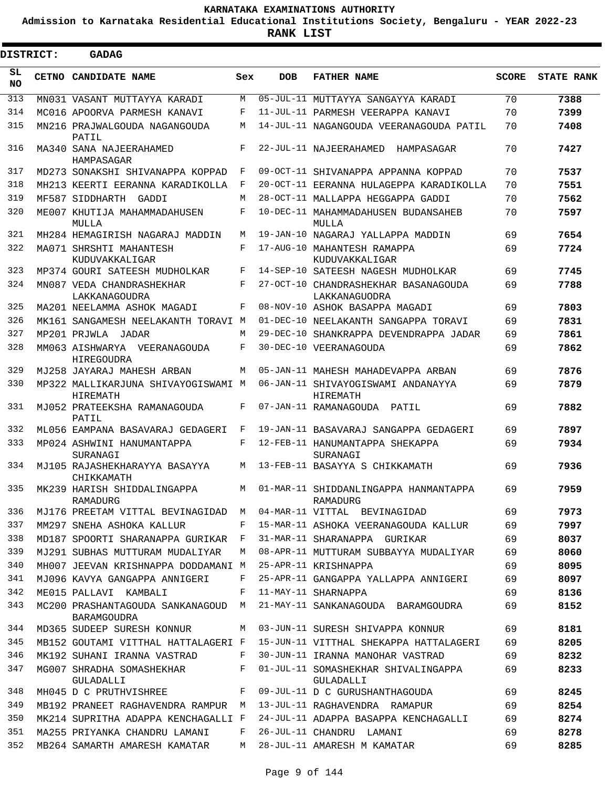**Admission to Karnataka Residential Educational Institutions Society, Bengaluru - YEAR 2022-23**

**RANK LIST**

Е

| <b>DISTRICT:</b> | <b>GADAG</b>                                             |              |            |                                                       |              |                   |
|------------------|----------------------------------------------------------|--------------|------------|-------------------------------------------------------|--------------|-------------------|
| SL<br><b>NO</b>  | CETNO CANDIDATE NAME                                     | Sex          | <b>DOB</b> | <b>FATHER NAME</b>                                    | <b>SCORE</b> | <b>STATE RANK</b> |
| 313              | MN031 VASANT MUTTAYYA KARADI                             | M            |            | 05-JUL-11 MUTTAYYA SANGAYYA KARADI                    | 70           | 7388              |
| 314              | MC016 APOORVA PARMESH KANAVI                             | F            |            | 11-JUL-11 PARMESH VEERAPPA KANAVI                     | 70           | 7399              |
| 315              | MN216 PRAJWALGOUDA NAGANGOUDA<br>PATIL                   | M            |            | 14-JUL-11 NAGANGOUDA VEERANAGOUDA PATIL               | 70           | 7408              |
| 316              | MA340 SANA NAJEERAHAMED<br>HAMPASAGAR                    | F            |            | 22-JUL-11 NAJEERAHAMED HAMPASAGAR                     | 70           | 7427              |
| 317              | MD273 SONAKSHI SHIVANAPPA KOPPAD                         | F            |            | 09-OCT-11 SHIVANAPPA APPANNA KOPPAD                   | 70           | 7537              |
| 318              | MH213 KEERTI EERANNA KARADIKOLLA                         | F            |            | 20-OCT-11 EERANNA HULAGEPPA KARADIKOLLA               | 70           | 7551              |
| 319              | MF587 SIDDHARTH GADDI                                    | M            |            | 28-OCT-11 MALLAPPA HEGGAPPA GADDI                     | 70           | 7562              |
| 320              | ME007 KHUTIJA MAHAMMADAHUSEN<br>MULLA                    | F            |            | 10-DEC-11 MAHAMMADAHUSEN BUDANSAHEB<br>MULLA          | 70           | 7597              |
| 321              | MH284 HEMAGIRISH NAGARAJ MADDIN                          | M            |            | 19-JAN-10 NAGARAJ YALLAPPA MADDIN                     | 69           | 7654              |
| 322              | MA071 SHRSHTI MAHANTESH<br>KUDUVAKKALIGAR                | F            |            | 17-AUG-10 MAHANTESH RAMAPPA<br>KUDUVAKKALIGAR         | 69           | 7724              |
| 323              | MP374 GOURI SATEESH MUDHOLKAR                            | F            |            | 14-SEP-10 SATEESH NAGESH MUDHOLKAR                    | 69           | 7745              |
| 324              | MN087 VEDA CHANDRASHEKHAR<br>LAKKANAGOUDRA               | F            |            | 27-OCT-10 CHANDRASHEKHAR BASANAGOUDA<br>LAKKANAGUODRA | 69           | 7788              |
| 325              | MA201 NEELAMMA ASHOK MAGADI                              | F            |            | 08-NOV-10 ASHOK BASAPPA MAGADI                        | 69           | 7803              |
| 326              | MK161 SANGAMESH NEELAKANTH TORAVI M                      |              |            | 01-DEC-10 NEELAKANTH SANGAPPA TORAVI                  | 69           | 7831              |
| 327              | MP201 PRJWLA JADAR                                       | M            |            | 29-DEC-10 SHANKRAPPA DEVENDRAPPA JADAR                | 69           | 7861              |
| 328              | MM063 AISHWARYA VEERANAGOUDA<br><b>HIREGOUDRA</b>        | F            |            | 30-DEC-10 VEERANAGOUDA                                | 69           | 7862              |
| 329              | MJ258 JAYARAJ MAHESH ARBAN                               | M            |            | 05-JAN-11 MAHESH MAHADEVAPPA ARBAN                    | 69           | 7876              |
| 330              | MP322 MALLIKARJUNA SHIVAYOGISWAMI M<br><b>HIREMATH</b>   |              |            | 06-JAN-11 SHIVAYOGISWAMI ANDANAYYA<br>HIREMATH        | 69           | 7879              |
| 331              | MJ052 PRATEEKSHA RAMANAGOUDA<br>PATIL                    | F            |            | 07-JAN-11 RAMANAGOUDA PATIL                           | 69           | 7882              |
| 332              | ML056 EAMPANA BASAVARAJ GEDAGERI                         | F            |            | 19-JAN-11 BASAVARAJ SANGAPPA GEDAGERI                 | 69           | 7897              |
| 333              | MP024 ASHWINI HANUMANTAPPA<br>SURANAGI                   | F            |            | 12-FEB-11 HANUMANTAPPA SHEKAPPA<br>SURANAGI           | 69           | 7934              |
| 334              | MJ105 RAJASHEKHARAYYA BASAYYA<br>CHIKKAMATH              | M            |            | 13-FEB-11 BASAYYA S CHIKKAMATH                        | 69           | 7936              |
| 335              | MK239 HARISH SHIDDALINGAPPA<br>RAMADURG                  | M            |            | 01-MAR-11 SHIDDANLINGAPPA HANMANTAPPA<br>RAMADURG     | 69           | 7959              |
| 336              | MJ176 PREETAM VITTAL BEVINAGIDAD M                       |              |            | 04-MAR-11 VITTAL BEVINAGIDAD                          | 69           | 7973              |
| 337              | MM297 SNEHA ASHOKA KALLUR                                | F            |            | 15-MAR-11 ASHOKA VEERANAGOUDA KALLUR                  | 69           | 7997              |
| 338              | MD187 SPOORTI SHARANAPPA GURIKAR                         | $\mathbf{F}$ |            | 31-MAR-11 SHARANAPPA GURIKAR                          | 69           | 8037              |
| 339              | MJ291 SUBHAS MUTTURAM MUDALIYAR                          | M            |            | 08-APR-11 MUTTURAM SUBBAYYA MUDALIYAR                 | 69           | 8060              |
| 340              | MH007 JEEVAN KRISHNAPPA DODDAMANI M                      |              |            | 25-APR-11 KRISHNAPPA                                  | 69           | 8095              |
| 341              | MJ096 KAVYA GANGAPPA ANNIGERI                            | F            |            | 25-APR-11 GANGAPPA YALLAPPA ANNIGERI                  | 69           | 8097              |
| 342              | ME015 PALLAVI KAMBALI                                    | F            |            | 11-MAY-11 SHARNAPPA                                   | 69           | 8136              |
| 343              | MC200 PRASHANTAGOUDA SANKANAGOUD M<br><b>BARAMGOUDRA</b> |              |            | 21-MAY-11 SANKANAGOUDA BARAMGOUDRA                    | 69           | 8152              |
| 344              | MD365 SUDEEP SURESH KONNUR                               | M            |            | 03-JUN-11 SURESH SHIVAPPA KONNUR                      | 69           | 8181              |
| 345              | MB152 GOUTAMI VITTHAL HATTALAGERI F                      |              |            | 15-JUN-11 VITTHAL SHEKAPPA HATTALAGERI                | 69           | 8205              |
| 346              | MK192 SUHANI IRANNA VASTRAD                              | F            |            | 30-JUN-11 IRANNA MANOHAR VASTRAD                      | 69           | 8232              |
| 347              | MG007 SHRADHA SOMASHEKHAR<br>GULADALLI                   | F            |            | 01-JUL-11 SOMASHEKHAR SHIVALINGAPPA<br>GULADALLI      | 69           | 8233              |
| 348              | MH045 D C PRUTHVISHREE                                   | F            |            | 09-JUL-11 D C GURUSHANTHAGOUDA                        | 69           | 8245              |
| 349              | MB192 PRANEET RAGHAVENDRA RAMPUR M                       |              |            | 13-JUL-11 RAGHAVENDRA RAMAPUR                         | 69           | 8254              |
| 350              | MK214 SUPRITHA ADAPPA KENCHAGALLI F                      |              |            | 24-JUL-11 ADAPPA BASAPPA KENCHAGALLI                  | 69           | 8274              |
| 351              | MA255 PRIYANKA CHANDRU LAMANI                            | F            |            | 26-JUL-11 CHANDRU LAMANI                              | 69           | 8278              |
| 352              | MB264 SAMARTH AMARESH KAMATAR                            | М            |            | 28-JUL-11 AMARESH M KAMATAR                           | 69           | 8285              |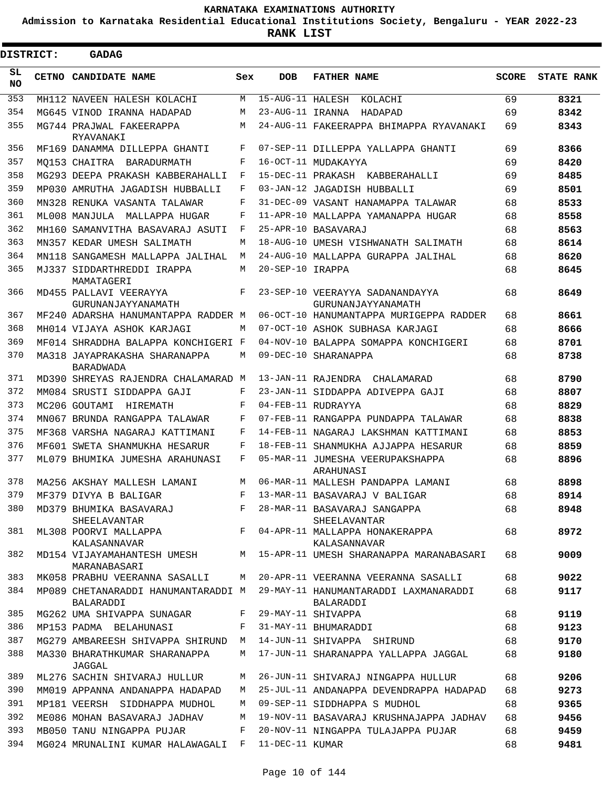**Admission to Karnataka Residential Educational Institutions Society, Bengaluru - YEAR 2022-23**

ı

| <b>DISTRICT:</b> | <b>GADAG</b>                                                  |     |                  |                                                                                        |              |                   |
|------------------|---------------------------------------------------------------|-----|------------------|----------------------------------------------------------------------------------------|--------------|-------------------|
| SL<br><b>NO</b>  | CETNO CANDIDATE NAME                                          | Sex | <b>DOB</b>       | <b>FATHER NAME</b>                                                                     | <b>SCORE</b> | <b>STATE RANK</b> |
| 353              | MH112 NAVEEN HALESH KOLACHI                                   | M   |                  | 15-AUG-11 HALESH KOLACHI                                                               | 69           | 8321              |
| 354              | MG645 VINOD IRANNA HADAPAD                                    | М   | 23-AUG-11 IRANNA | HADAPAD                                                                                | 69           | 8342              |
| 355              | MG744 PRAJWAL FAKEERAPPA<br>RYAVANAKI                         | M   |                  | 24-AUG-11 FAKEERAPPA BHIMAPPA RYAVANAKI                                                | 69           | 8343              |
| 356              | MF169 DANAMMA DILLEPPA GHANTI                                 | F   |                  | 07-SEP-11 DILLEPPA YALLAPPA GHANTI                                                     | 69           | 8366              |
| 357              | MO153 CHAITRA BARADURMATH                                     | F   |                  | 16-OCT-11 MUDAKAYYA                                                                    | 69           | 8420              |
| 358              | MG293 DEEPA PRAKASH KABBERAHALLI                              | F   |                  | 15-DEC-11 PRAKASH KABBERAHALLI                                                         | 69           | 8485              |
| 359              | MP030 AMRUTHA JAGADISH HUBBALLI                               | F   |                  | 03-JAN-12 JAGADISH HUBBALLI                                                            | 69           | 8501              |
| 360              | MN328 RENUKA VASANTA TALAWAR                                  | F   |                  | 31-DEC-09 VASANT HANAMAPPA TALAWAR                                                     | 68           | 8533              |
| 361              | ML008 MANJULA MALLAPPA HUGAR                                  | F   |                  | 11-APR-10 MALLAPPA YAMANAPPA HUGAR                                                     | 68           | 8558              |
| 362              | MH160 SAMANVITHA BASAVARAJ ASUTI                              | F   |                  | 25-APR-10 BASAVARAJ                                                                    | 68           | 8563              |
| 363              | MN357 KEDAR UMESH SALIMATH                                    | М   |                  | 18-AUG-10 UMESH VISHWANATH SALIMATH                                                    | 68           | 8614              |
| 364              | MN118 SANGAMESH MALLAPPA JALIHAL                              | M   |                  | 24-AUG-10 MALLAPPA GURAPPA JALIHAL                                                     | 68           | 8620              |
| 365              | MJ337 SIDDARTHREDDI IRAPPA<br>MAMATAGERI                      | М   | 20-SEP-10 IRAPPA |                                                                                        | 68           | 8645              |
| 366              | MD455 PALLAVI VEERAYYA<br>GURUNANJAYYANAMATH                  | F   |                  | 23-SEP-10 VEERAYYA SADANANDAYYA<br>GURUNANJAYYANAMATH                                  | 68           | 8649              |
| 367              | MF240 ADARSHA HANUMANTAPPA RADDER M                           |     |                  | 06-OCT-10 HANUMANTAPPA MURIGEPPA RADDER                                                | 68           | 8661              |
| 368              | MH014 VIJAYA ASHOK KARJAGI                                    | М   |                  | 07-OCT-10 ASHOK SUBHASA KARJAGI                                                        | 68           | 8666              |
| 369              | MF014 SHRADDHA BALAPPA KONCHIGERI F                           |     |                  | 04-NOV-10 BALAPPA SOMAPPA KONCHIGERI                                                   | 68           | 8701              |
| 370              | MA318 JAYAPRAKASHA SHARANAPPA<br><b>BARADWADA</b>             | М   |                  | 09-DEC-10 SHARANAPPA                                                                   | 68           | 8738              |
| 371              | MD390 SHREYAS RAJENDRA CHALAMARAD M                           |     |                  | 13-JAN-11 RAJENDRA CHALAMARAD                                                          | 68           | 8790              |
| 372              | MM084 SRUSTI SIDDAPPA GAJI                                    | F   |                  | 23-JAN-11 SIDDAPPA ADIVEPPA GAJI                                                       | 68           | 8807              |
| 373              | MC206 GOUTAMI HIREMATH                                        | F   |                  | 04-FEB-11 RUDRAYYA                                                                     | 68           | 8829              |
| 374              | MN067 BRUNDA RANGAPPA TALAWAR                                 | F   |                  | 07-FEB-11 RANGAPPA PUNDAPPA TALAWAR                                                    | 68           | 8838              |
| 375              | MF368 VARSHA NAGARAJ KATTIMANI                                | F   |                  | 14-FEB-11 NAGARAJ LAKSHMAN KATTIMANI                                                   | 68           | 8853              |
| 376              | MF601 SWETA SHANMUKHA HESARUR                                 | F   |                  | 18-FEB-11 SHANMUKHA AJJAPPA HESARUR                                                    | 68           | 8859              |
| 377              | ML079 BHUMIKA JUMESHA ARAHUNASI                               | F   |                  | 05-MAR-11 JUMESHA VEERUPAKSHAPPA<br>ARAHUNASI                                          | 68           | 8896              |
| 378              | MA256 AKSHAY MALLESH LAMANI                                   | М   |                  | 06-MAR-11 MALLESH PANDAPPA LAMANI                                                      | 68           | 8898              |
| 379              | MF379 DIVYA B BALIGAR                                         | F   |                  | 13-MAR-11 BASAVARAJ V BALIGAR                                                          | 68           | 8914              |
| 380              | MD379 BHUMIKA BASAVARAJ<br>SHEELAVANTAR                       | F   |                  | 28-MAR-11 BASAVARAJ SANGAPPA<br>SHEELAVANTAR                                           | 68           | 8948              |
| 381              | KALASANNAVAR                                                  |     |                  | ML308 POORVI MALLAPPA F 04-APR-11 MALLAPPA HONAKERAPPA<br>KALASANNAVAR                 | 68           | 8972              |
| 382              | MARANABASARI                                                  |     |                  | MD154 VIJAYAMAHANTESH UMESH M 15-APR-11 UMESH SHARANAPPA MARANABASARI                  | 68           | 9009              |
| 383              |                                                               |     |                  | MK058 PRABHU VEERANNA SASALLI MATA 20-APR-11 VEERANNA VEERANNA SASALLI                 | 68           | 9022              |
| 384              | BALARADDI                                                     |     |                  | MP089 CHETANARADDI HANUMANTARADDI M 29-MAY-11 HANUMANTARADDI LAXMANARADDI<br>BALARADDI | 68           | 9117              |
| 385              | MG262 UMA SHIVAPPA SUNAGAR F                                  |     |                  | 29-MAY-11 SHIVAPPA                                                                     | 68           | 9119              |
| 386              | MP153 PADMA BELAHUNASI                                        | F   |                  | 31-MAY-11 BHUMARADDI                                                                   | 68           | 9123              |
| 387              | MG279 AMBAREESH SHIVAPPA SHIRUND M 14-JUN-11 SHIVAPPA SHIRUND |     |                  |                                                                                        | 68           | 9170              |
| 388              | MA330 BHARATHKUMAR SHARANAPPA<br>JAGGAL                       | M   |                  | 17-JUN-11 SHARANAPPA YALLAPPA JAGGAL                                                   | 68           | 9180              |
| 389              | ML276 SACHIN SHIVARAJ HULLUR                                  | M   |                  | 26-JUN-11 SHIVARAJ NINGAPPA HULLUR                                                     | 68           | 9206              |
| 390              | MM019 APPANNA ANDANAPPA HADAPAD                               |     |                  | M 25-JUL-11 ANDANAPPA DEVENDRAPPA HADAPAD                                              | 68           | 9273              |
| 391              | MP181 VEERSH SIDDHAPPA MUDHOL                                 | M   |                  | 09-SEP-11 SIDDHAPPA S MUDHOL                                                           | 68           | 9365              |
| 392              | ME086 MOHAN BASAVARAJ JADHAV                                  | M   |                  | 19-NOV-11 BASAVARAJ KRUSHNAJAPPA JADHAV                                                | 68           | 9456              |
| 393              | MB050 TANU NINGAPPA PUJAR                                     | F   |                  | 20-NOV-11 NINGAPPA TULAJAPPA PUJAR                                                     | 68           | 9459              |
| 394              | MG024 MRUNALINI KUMAR HALAWAGALI F 11-DEC-11 KUMAR            |     |                  |                                                                                        | 68           | 9481              |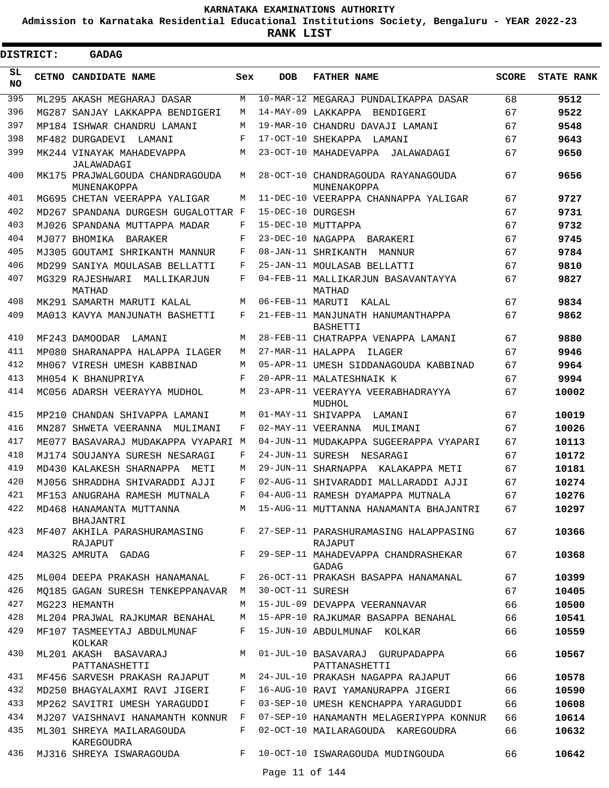**Admission to Karnataka Residential Educational Institutions Society, Bengaluru - YEAR 2022-23**

 $\blacksquare$ 

**RANK LIST**

Ξ

| <b>DISTRICT:</b> | <b>GADAG</b>                                   |              |                   |                                                      |              |                   |
|------------------|------------------------------------------------|--------------|-------------------|------------------------------------------------------|--------------|-------------------|
| SL.<br><b>NO</b> | CETNO CANDIDATE NAME                           | Sex          | <b>DOB</b>        | <b>FATHER NAME</b>                                   | <b>SCORE</b> | <b>STATE RANK</b> |
| 395              | ML295 AKASH MEGHARAJ DASAR                     | M            |                   | 10-MAR-12 MEGARAJ PUNDALIKAPPA DASAR                 | 68           | 9512              |
| 396              | MG287 SANJAY LAKKAPPA BENDIGERI                | M            |                   | 14-MAY-09 LAKKAPPA<br>BENDIGERI                      | 67           | 9522              |
| 397              | MP184 ISHWAR CHANDRU LAMANI                    | M            |                   | 19-MAR-10 CHANDRU DAVAJI LAMANI                      | 67           | 9548              |
| 398              | MF482 DURGADEVI<br>LAMANI                      | F            |                   | 17-OCT-10 SHEKAPPA LAMANI                            | 67           | 9643              |
| 399              | MK244 VINAYAK MAHADEVAPPA<br>JALAWADAGI        | М            |                   | 23-OCT-10 MAHADEVAPPA JALAWADAGI                     | 67           | 9650              |
| 400              | MK175 PRAJWALGOUDA CHANDRAGOUDA<br>MUNENAKOPPA | M            |                   | 28-OCT-10 CHANDRAGOUDA RAYANAGOUDA<br>MUNENAKOPPA    | 67           | 9656              |
| 401              | MG695 CHETAN VEERAPPA YALIGAR                  | М            |                   | 11-DEC-10 VEERAPPA CHANNAPPA YALIGAR                 | 67           | 9727              |
| 402              | MD267 SPANDANA DURGESH GUGALOTTAR F            |              | 15-DEC-10 DURGESH |                                                      | 67           | 9731              |
| 403              | MJ026 SPANDANA MUTTAPPA MADAR                  | F            |                   | 15-DEC-10 MUTTAPPA                                   | 67           | 9732              |
| 404              | MJ077 BHOMIKA<br>BARAKER                       | F            | 23-DEC-10 NAGAPPA | BARAKERI                                             | 67           | 9745              |
| 405              | MJ305 GOUTAMI SHRIKANTH MANNUR                 | F            |                   | 08-JAN-11 SHRIKANTH<br>MANNUR                        | 67           | 9784              |
| 406              | MD299 SANIYA MOULASAB BELLATTI                 | F            |                   | 25-JAN-11 MOULASAB BELLATTI                          | 67           | 9810              |
| 407              | MG329 RAJESHWARI<br>MALLIKARJUN<br>MATHAD      | F            |                   | 04-FEB-11 MALLIKARJUN BASAVANTAYYA<br>MATHAD         | 67           | 9827              |
| 408              | MK291 SAMARTH MARUTI KALAL                     | M            | 06-FEB-11 MARUTI  | KALAL                                                | 67           | 9834              |
| 409              | MA013 KAVYA MANJUNATH BASHETTI                 | F            |                   | 21-FEB-11 MANJUNATH HANUMANTHAPPA<br><b>BASHETTI</b> | 67           | 9862              |
| 410              | MF243 DAMOODAR<br>LAMANI                       | M            |                   | 28-FEB-11 CHATRAPPA VENAPPA LAMANI                   | 67           | 9880              |
| 411              | MP080 SHARANAPPA HALAPPA ILAGER                | M            |                   | 27-MAR-11 HALAPPA ILAGER                             | 67           | 9946              |
| 412              | MH067 VIRESH UMESH KABBINAD                    | M            |                   | 05-APR-11 UMESH SIDDANAGOUDA KABBINAD                | 67           | 9964              |
| 413              | MH054 K BHANUPRIYA                             | F            |                   | 20-APR-11 MALATESHNAIK K                             | 67           | 9994              |
| 414              | MC056 ADARSH VEERAYYA MUDHOL                   | M            |                   | 23-APR-11 VEERAYYA VEERABHADRAYYA<br>MUDHOL          | 67           | 10002             |
| 415              | MP210 CHANDAN SHIVAPPA LAMANI                  | M            |                   | 01-MAY-11 SHIVAPPA<br>LAMANI                         | 67           | 10019             |
| 416              | MN287 SHWETA VEERANNA<br>MULIMANI              | F            |                   | 02-MAY-11 VEERANNA<br>MULIMANI                       | 67           | 10026             |
| 417              | ME077 BASAVARAJ MUDAKAPPA VYAPARI M            |              |                   | 04-JUN-11 MUDAKAPPA SUGEERAPPA VYAPARI               | 67           | 10113             |
| 418              | MJ174 SOUJANYA SURESH NESARAGI                 | F            |                   | 24-JUN-11 SURESH NESARAGI                            | 67           | 10172             |
| 419              | MD430 KALAKESH SHARNAPPA<br>METI               | M            |                   | 29-JUN-11 SHARNAPPA KALAKAPPA METI                   | 67           | 10181             |
| 420              | MJ056 SHRADDHA SHIVARADDI AJJI                 | F            |                   | 02-AUG-11 SHIVARADDI MALLARADDI AJJI                 | 67           | 10274             |
| 421              | MF153 ANUGRAHA RAMESH MUTNALA                  |              |                   | 04-AUG-11 RAMESH DYAMAPPA MUTNALA                    | 67           | 10276             |
| 422              | MD468 HANAMANTA MUTTANNA<br>BHAJANTRI          | M            |                   | 15-AUG-11 MUTTANNA HANAMANTA BHAJANTRI               | 67           | 10297             |
| 423              | MF407 AKHILA PARASHURAMASING<br>RAJAPUT        | F            |                   | 27-SEP-11 PARASHURAMASING HALAPPASING<br>RAJAPUT     | 67           | 10366             |
| 424              | MA325 AMRUTA GADAG                             | F            |                   | 29-SEP-11 MAHADEVAPPA CHANDRASHEKAR<br><b>GADAG</b>  | 67           | 10368             |
| 425              | ML004 DEEPA PRAKASH HANAMANAL                  | F            |                   | 26-OCT-11 PRAKASH BASAPPA HANAMANAL                  | 67           | 10399             |
| 426              | MO185 GAGAN SURESH TENKEPPANAVAR               | M            | 30-OCT-11 SURESH  |                                                      | 67           | 10405             |
| 427              | MG223 HEMANTH                                  | M            |                   | 15-JUL-09 DEVAPPA VEERANNAVAR                        | 66           | 10500             |
| 428              | ML204 PRAJWAL RAJKUMAR BENAHAL                 | M            |                   | 15-APR-10 RAJKUMAR BASAPPA BENAHAL                   | 66           | 10541             |
| 429              | MF107 TASMEEYTAJ ABDULMUNAF<br>KOLKAR          | F            |                   | 15-JUN-10 ABDULMUNAF KOLKAR                          | 66           | 10559             |
| 430              | ML201 AKASH BASAVARAJ<br>PATTANASHETTI         | M            |                   | 01-JUL-10 BASAVARAJ GURUPADAPPA<br>PATTANASHETTI     | 66           | 10567             |
| 431              | MF456 SARVESH PRAKASH RAJAPUT                  | М            |                   | 24-JUL-10 PRAKASH NAGAPPA RAJAPUT                    | 66           | 10578             |
| 432              | MD250 BHAGYALAXMI RAVI JIGERI                  | F            |                   | 16-AUG-10 RAVI YAMANURAPPA JIGERI                    | 66           | 10590             |
| 433              | MP262 SAVITRI UMESH YARAGUDDI                  | F            |                   | 03-SEP-10 UMESH KENCHAPPA YARAGUDDI                  | 66           | 10608             |
| 434              | MJ207 VAISHNAVI HANAMANTH KONNUR               | $\mathbf{F}$ |                   | 07-SEP-10 HANAMANTH MELAGERIYPPA KONNUR              | 66           | 10614             |
| 435              | ML301 SHREYA MAILARAGOUDA<br>KAREGOUDRA        | F            |                   | 02-OCT-10 MAILARAGOUDA KAREGOUDRA                    | 66           | 10632             |
| 436              | MJ316 SHREYA ISWARAGOUDA                       | F            |                   | 10-OCT-10 ISWARAGOUDA MUDINGOUDA                     | 66           | 10642             |
|                  |                                                |              | Page 11 of 144    |                                                      |              |                   |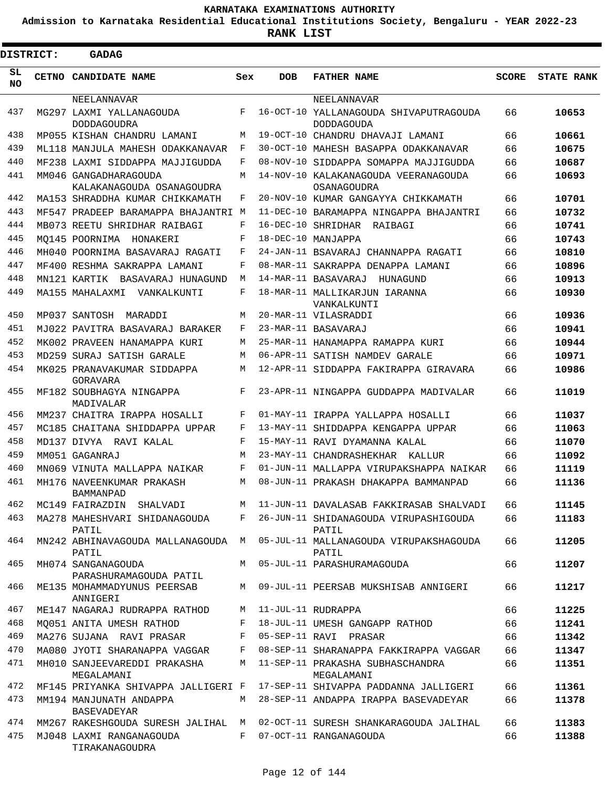**Admission to Karnataka Residential Educational Institutions Society, Bengaluru - YEAR 2022-23**

 $\blacksquare$ 

| <b>DISTRICT:</b> |  | <b>GADAG</b>                                       |     |            |                                                             |              |                   |
|------------------|--|----------------------------------------------------|-----|------------|-------------------------------------------------------------|--------------|-------------------|
| SL.<br>NO.       |  | CETNO CANDIDATE NAME                               | Sex | <b>DOB</b> | <b>FATHER NAME</b>                                          | <b>SCORE</b> | <b>STATE RANK</b> |
|                  |  | NEELANNAVAR                                        |     |            | NEELANNAVAR                                                 |              |                   |
| 437              |  | MG297 LAXMI YALLANAGOUDA<br><b>DODDAGOUDRA</b>     | F   |            | 16-OCT-10 YALLANAGOUDA SHIVAPUTRAGOUDA<br><b>DODDAGOUDA</b> | 66           | 10653             |
| 438              |  | MP055 KISHAN CHANDRU LAMANI                        | M   |            | 19-OCT-10 CHANDRU DHAVAJI LAMANI                            | 66           | 10661             |
| 439              |  | ML118 MANJULA MAHESH ODAKKANAVAR                   | F   |            | 30-OCT-10 MAHESH BASAPPA ODAKKANAVAR                        | 66           | 10675             |
| 440              |  | MF238 LAXMI SIDDAPPA MAJJIGUDDA                    | F   |            | 08-NOV-10 SIDDAPPA SOMAPPA MAJJIGUDDA                       | 66           | 10687             |
| 441              |  | MM046 GANGADHARAGOUDA<br>KALAKANAGOUDA OSANAGOUDRA | M   |            | 14-NOV-10 KALAKANAGOUDA VEERANAGOUDA<br>OSANAGOUDRA         | 66           | 10693             |
| 442              |  | MA153 SHRADDHA KUMAR CHIKKAMATH                    | F   |            | 20-NOV-10 KUMAR GANGAYYA CHIKKAMATH                         | 66           | 10701             |
| 443              |  | MF547 PRADEEP BARAMAPPA BHAJANTRI M                |     |            | 11-DEC-10 BARAMAPPA NINGAPPA BHAJANTRI                      | 66           | 10732             |
| 444              |  | MB073 REETU SHRIDHAR RAIBAGI                       | F   |            | 16-DEC-10 SHRIDHAR<br>RAIBAGI                               | 66           | 10741             |
| 445              |  | MO145 POORNIMA<br>HONAKERI                         | F   |            | 18-DEC-10 MANJAPPA                                          | 66           | 10743             |
| 446              |  | MH040 POORNIMA BASAVARAJ RAGATI                    | F   |            | 24-JAN-11 BSAVARAJ CHANNAPPA RAGATI                         | 66           | 10810             |
| 447              |  | MF400 RESHMA SAKRAPPA LAMANI                       | F   |            | 08-MAR-11 SAKRAPPA DENAPPA LAMANI                           | 66           | 10896             |
| 448              |  | MN121 KARTIK BASAVARAJ HUNAGUND                    | M   |            | 14-MAR-11 BASAVARAJ<br>HUNAGUND                             | 66           | 10913             |
| 449              |  | MA155 MAHALAXMI VANKALKUNTI                        | F   |            | 18-MAR-11 MALLIKARJUN IARANNA<br>VANKALKUNTI                | 66           | 10930             |
| 450              |  | MP037 SANTOSH<br>MARADDI                           | M   |            | 20-MAR-11 VILASRADDI                                        | 66           | 10936             |
| 451              |  | MJ022 PAVITRA BASAVARAJ BARAKER                    | F   |            | 23-MAR-11 BASAVARAJ                                         | 66           | 10941             |
| 452              |  | MK002 PRAVEEN HANAMAPPA KURI                       | М   |            | 25-MAR-11 HANAMAPPA RAMAPPA KURI                            | 66           | 10944             |
| 453              |  | MD259 SURAJ SATISH GARALE                          | M   |            | 06-APR-11 SATISH NAMDEV GARALE                              | 66           | 10971             |
| 454              |  | MK025 PRANAVAKUMAR SIDDAPPA<br>GORAVARA            | M   |            | 12-APR-11 SIDDAPPA FAKIRAPPA GIRAVARA                       | 66           | 10986             |
| 455              |  | MF182 SOUBHAGYA NINGAPPA<br>MADIVALAR              | F   |            | 23-APR-11 NINGAPPA GUDDAPPA MADIVALAR                       | 66           | 11019             |
| 456              |  | MM237 CHAITRA IRAPPA HOSALLI                       | F   |            | 01-MAY-11 IRAPPA YALLAPPA HOSALLI                           | 66           | 11037             |
| 457              |  | MC185 CHAITANA SHIDDAPPA UPPAR                     | F   |            | 13-MAY-11 SHIDDAPPA KENGAPPA UPPAR                          | 66           | 11063             |
| 458              |  | MD137 DIVYA RAVI KALAL                             | F   |            | 15-MAY-11 RAVI DYAMANNA KALAL                               | 66           | 11070             |
| 459              |  | MM051 GAGANRAJ                                     | M   |            | 23-MAY-11 CHANDRASHEKHAR KALLUR                             | 66           | 11092             |
| 460              |  | MN069 VINUTA MALLAPPA NAIKAR                       | F   |            | 01-JUN-11 MALLAPPA VIRUPAKSHAPPA NAIKAR                     | 66           | 11119             |
| 461              |  | MH176 NAVEENKUMAR PRAKASH<br>BAMMANPAD             | M   |            | 08-JUN-11 PRAKASH DHAKAPPA BAMMANPAD                        | 66           | 11136             |
| 462              |  | MC149 FAIRAZDIN SHALVADI                           | M   |            | 11-JUN-11 DAVALASAB FAKKIRASAB SHALVADI                     | 66           | 11145             |
| 463              |  | MA278 MAHESHVARI SHIDANAGOUDA<br>PATIL             | F   |            | 26-JUN-11 SHIDANAGOUDA VIRUPASHIGOUDA<br>PATIL              | 66           | 11183             |
| 464              |  | MN242 ABHINAVAGOUDA MALLANAGOUDA M<br>PATIL        |     |            | 05-JUL-11 MALLANAGOUDA VIRUPAKSHAGOUDA<br>PATIL             | 66           | 11205             |
| 465              |  | MH074 SANGANAGOUDA<br>PARASHURAMAGOUDA PATIL       | M   |            | 05-JUL-11 PARASHURAMAGOUDA                                  | 66           | 11207             |
| 466              |  | ME135 MOHAMMADYUNUS PEERSAB<br>ANNIGERI            | M   |            | 09-JUL-11 PEERSAB MUKSHISAB ANNIGERI                        | 66           | 11217             |
| 467              |  | ME147 NAGARAJ RUDRAPPA RATHOD                      | М   |            | 11-JUL-11 RUDRAPPA                                          | 66           | 11225             |
| 468              |  | MO051 ANITA UMESH RATHOD                           | F   |            | 18-JUL-11 UMESH GANGAPP RATHOD                              | 66           | 11241             |
| 469              |  | MA276 SUJANA RAVI PRASAR                           | F   |            | 05-SEP-11 RAVI PRASAR                                       | 66           | 11342             |
| 470              |  | MA080 JYOTI SHARANAPPA VAGGAR                      | F   |            | 08-SEP-11 SHARANAPPA FAKKIRAPPA VAGGAR                      | 66           | 11347             |
| 471              |  | MH010 SANJEEVAREDDI PRAKASHA<br>MEGALAMANI         | M   |            | 11-SEP-11 PRAKASHA SUBHASCHANDRA<br>MEGALAMANI              | 66           | 11351             |
| 472              |  | MF145 PRIYANKA SHIVAPPA JALLIGERI F                |     |            | 17-SEP-11 SHIVAPPA PADDANNA JALLIGERI                       | 66           | 11361             |
| 473              |  | MM194 MANJUNATH ANDAPPA<br>BASEVADEYAR             | M   |            | 28-SEP-11 ANDAPPA IRAPPA BASEVADEYAR                        | 66           | 11378             |
| 474              |  | MM267 RAKESHGOUDA SURESH JALIHAL M                 |     |            | 02-OCT-11 SURESH SHANKARAGOUDA JALIHAL                      | 66           | 11383             |
| 475              |  | MJ048 LAXMI RANGANAGOUDA<br>TIRAKANAGOUDRA         | F   |            | 07-OCT-11 RANGANAGOUDA                                      | 66           | 11388             |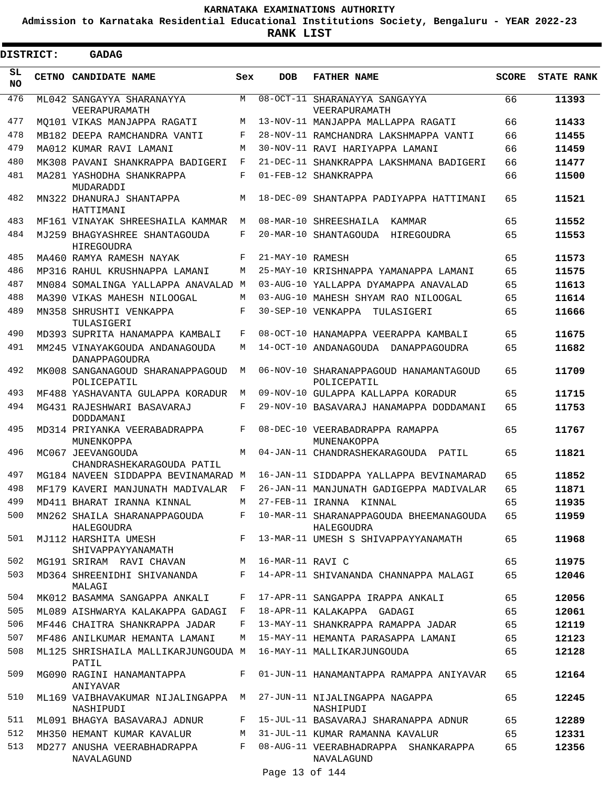**Admission to Karnataka Residential Educational Institutions Society, Bengaluru - YEAR 2022-23**

 $\blacksquare$ 

**RANK LIST**

| <b>DISTRICT:</b> | <b>GADAG</b>                                    |       |                  |                                                       |              |                   |
|------------------|-------------------------------------------------|-------|------------------|-------------------------------------------------------|--------------|-------------------|
| SL<br>NO.        | CETNO CANDIDATE NAME                            | Sex   | <b>DOB</b>       | <b>FATHER NAME</b>                                    | <b>SCORE</b> | <b>STATE RANK</b> |
| 476              | ML042 SANGAYYA SHARANAYYA<br>VEERAPURAMATH      | M     |                  | 08-OCT-11 SHARANAYYA SANGAYYA<br>VEERAPURAMATH        | 66           | 11393             |
| 477              | MO101 VIKAS MANJAPPA RAGATI                     | M     |                  | 13-NOV-11 MANJAPPA MALLAPPA RAGATI                    | 66           | 11433             |
| 478              | MB182 DEEPA RAMCHANDRA VANTI                    | F     |                  | 28-NOV-11 RAMCHANDRA LAKSHMAPPA VANTI                 | 66           | 11455             |
| 479              | MA012 KUMAR RAVI LAMANI                         | M     |                  | 30-NOV-11 RAVI HARIYAPPA LAMANI                       | 66           | 11459             |
| 480              | MK308 PAVANI SHANKRAPPA BADIGERI                | F     |                  | 21-DEC-11 SHANKRAPPA LAKSHMANA BADIGERI               | 66           | 11477             |
| 481              | MA281 YASHODHA SHANKRAPPA<br>MUDARADDI          | F     |                  | 01-FEB-12 SHANKRAPPA                                  | 66           | 11500             |
| 482              | MN322 DHANURAJ SHANTAPPA<br>HATTIMANI           | M     |                  | 18-DEC-09 SHANTAPPA PADIYAPPA HATTIMANI               | 65           | 11521             |
| 483              | MF161 VINAYAK SHREESHAILA KAMMAR                | M     |                  | 08-MAR-10 SHREESHAILA KAMMAR                          | 65           | 11552             |
| 484              | MJ259 BHAGYASHREE SHANTAGOUDA<br>HIREGOUDRA     | F     |                  | 20-MAR-10 SHANTAGOUDA HIREGOUDRA                      | 65           | 11553             |
| 485              | MA460 RAMYA RAMESH NAYAK                        | F     | 21-MAY-10 RAMESH |                                                       | 65           | 11573             |
| 486              | MP316 RAHUL KRUSHNAPPA LAMANI                   | M     |                  | 25-MAY-10 KRISHNAPPA YAMANAPPA LAMANI                 | 65           | 11575             |
| 487              | MN084 SOMALINGA YALLAPPA ANAVALAD M             |       |                  | 03-AUG-10 YALLAPPA DYAMAPPA ANAVALAD                  | 65           | 11613             |
| 488              | MA390 VIKAS MAHESH NILOOGAL                     | M     |                  | 03-AUG-10 MAHESH SHYAM RAO NILOOGAL                   | 65           | 11614             |
| 489              | MN358 SHRUSHTI VENKAPPA<br>TULASIGERI           | F     |                  | 30-SEP-10 VENKAPPA TULASIGERI                         | 65           | 11666             |
| 490              | MD393 SUPRITA HANAMAPPA KAMBALI                 | F     |                  | 08-OCT-10 HANAMAPPA VEERAPPA KAMBALI                  | 65           | 11675             |
| 491              | MM245 VINAYAKGOUDA ANDANAGOUDA<br>DANAPPAGOUDRA | M     |                  | 14-OCT-10 ANDANAGOUDA DANAPPAGOUDRA                   | 65           | 11682             |
| 492              | MK008 SANGANAGOUD SHARANAPPAGOUD<br>POLICEPATIL | M     |                  | 06-NOV-10 SHARANAPPAGOUD HANAMANTAGOUD<br>POLICEPATIL | 65           | 11709             |
| 493              | MF488 YASHAVANTA GULAPPA KORADUR                | М     |                  | 09-NOV-10 GULAPPA KALLAPPA KORADUR                    | 65           | 11715             |
| 494              | MG431 RAJESHWARI BASAVARAJ<br>DODDAMANI         | F     |                  | 29-NOV-10 BASAVARAJ HANAMAPPA DODDAMANI               | 65           | 11753             |
| 495              | MD314 PRIYANKA VEERABADRAPPA<br>MUNENKOPPA      | F     |                  | 08-DEC-10 VEERABADRAPPA RAMAPPA<br>MUNENAKOPPA        | 65           | 11767             |
| 496              | MC067 JEEVANGOUDA<br>CHANDRASHEKARAGOUDA PATIL  | M     |                  | 04-JAN-11 CHANDRASHEKARAGOUDA PATIL                   | 65           | 11821             |
| 497              | MG184 NAVEEN SIDDAPPA BEVINAMARAD M             |       |                  | 16-JAN-11 SIDDAPPA YALLAPPA BEVINAMARAD               | 65           | 11852             |
| 498              | MF179 KAVERI MANJUNATH MADIVALAR                | F     |                  | 26-JAN-11 MANJUNATH GADIGEPPA MADIVALAR               | 65           | 11871             |
| 499              | MD411 BHARAT IRANNA KINNAL                      | M     |                  | 27-FEB-11 IRANNA KINNAL                               | 65           | 11935             |
| 500              | MN262 SHAILA SHARANAPPAGOUDA<br>HALEGOUDRA      | F     |                  | 10-MAR-11 SHARANAPPAGOUDA BHEEMANAGOUDA<br>HALEGOUDRA | 65           | 11959             |
| 501              | MJ112 HARSHITA UMESH<br>SHIVAPPAYYANAMATH       | $F -$ |                  | 13-MAR-11 UMESH S SHIVAPPAYYANAMATH                   | 65           | 11968             |
| 502              | MG191 SRIRAM RAVI CHAVAN                        | M     | 16-MAR-11 RAVI C |                                                       | 65           | 11975             |
| 503              | MD364 SHREENIDHI SHIVANANDA<br>MALAGI           | F     |                  | 14-APR-11 SHIVANANDA CHANNAPPA MALAGI                 | 65           | 12046             |
| 504              | MK012 BASAMMA SANGAPPA ANKALI                   | F     |                  | 17-APR-11 SANGAPPA IRAPPA ANKALI                      | 65           | 12056             |
| 505              | ML089 AISHWARYA KALAKAPPA GADAGI F              |       |                  | 18-APR-11 KALAKAPPA GADAGI                            | 65           | 12061             |
| 506              | MF446 CHAITRA SHANKRAPPA JADAR                  | F     |                  | 13-MAY-11 SHANKRAPPA RAMAPPA JADAR                    | 65           | 12119             |
| 507              | MF486 ANILKUMAR HEMANTA LAMANI                  | М     |                  | 15-MAY-11 HEMANTA PARASAPPA LAMANI                    | 65           | 12123             |
| 508              | ML125 SHRISHAILA MALLIKARJUNGOUDA M<br>PATIL    |       |                  | 16-MAY-11 MALLIKARJUNGOUDA                            | 65           | 12128             |
| 509              | MG090 RAGINI HANAMANTAPPA<br>ANIYAVAR           | F     |                  | 01-JUN-11 HANAMANTAPPA RAMAPPA ANIYAVAR               | 65           | 12164             |
| 510              | ML169 VAIBHAVAKUMAR NIJALINGAPPA M<br>NASHIPUDI |       |                  | 27-JUN-11 NIJALINGAPPA NAGAPPA<br>NASHIPUDI           | 65           | 12245             |
| 511              | ML091 BHAGYA BASAVARAJ ADNUR                    | F     |                  | 15-JUL-11 BASAVARAJ SHARANAPPA ADNUR                  | 65           | 12289             |
| 512              | MH350 HEMANT KUMAR KAVALUR                      | M     |                  | 31-JUL-11 KUMAR RAMANNA KAVALUR                       | 65           | 12331             |
| 513              | MD277 ANUSHA VEERABHADRAPPA<br>NAVALAGUND       | F     |                  | 08-AUG-11 VEERABHADRAPPA SHANKARAPPA<br>NAVALAGUND    | 65           | 12356             |

Page 13 of 144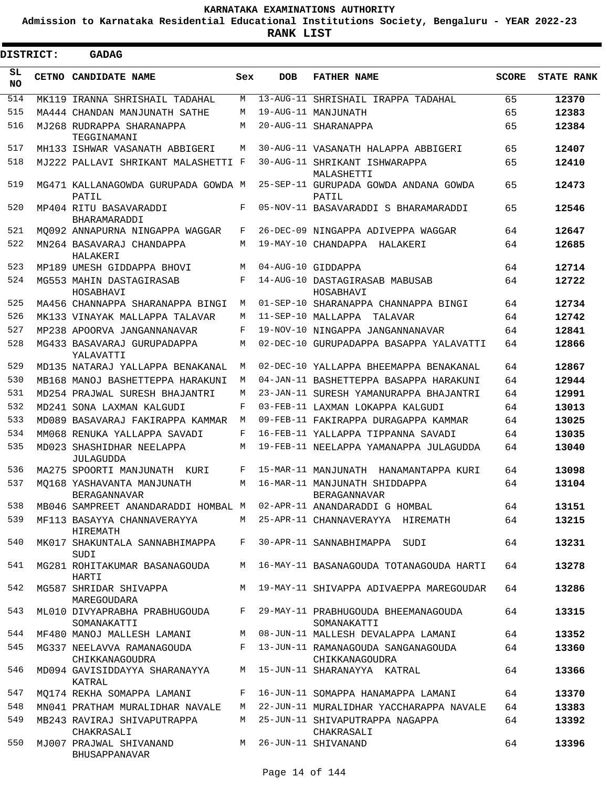**Admission to Karnataka Residential Educational Institutions Society, Bengaluru - YEAR 2022-23**

 $\blacksquare$ 

**RANK LIST**

Е

| <b>DISTRICT:</b> | <b>GADAG</b>                                                       |     |            |                                                    |              |                   |
|------------------|--------------------------------------------------------------------|-----|------------|----------------------------------------------------|--------------|-------------------|
| SL<br><b>NO</b>  | CETNO CANDIDATE NAME                                               | Sex | <b>DOB</b> | <b>FATHER NAME</b>                                 | <b>SCORE</b> | <b>STATE RANK</b> |
| 514              | MK119 IRANNA SHRISHAIL TADAHAL                                     | М   |            | 13-AUG-11 SHRISHAIL IRAPPA TADAHAL                 | 65           | 12370             |
| 515              | MA444 CHANDAN MANJUNATH SATHE                                      | М   |            | 19-AUG-11 MANJUNATH                                | 65           | 12383             |
| 516              | MJ268 RUDRAPPA SHARANAPPA<br>TEGGINAMANI                           | М   |            | 20-AUG-11 SHARANAPPA                               | 65           | 12384             |
| 517              | MH133 ISHWAR VASANATH ABBIGERI                                     | М   |            | 30-AUG-11 VASANATH HALAPPA ABBIGERI                | 65           | 12407             |
| 518              | MJ222 PALLAVI SHRIKANT MALASHETTI F                                |     |            | 30-AUG-11 SHRIKANT ISHWARAPPA<br>MALASHETTI        | 65           | 12410             |
| 519              | MG471 KALLANAGOWDA GURUPADA GOWDA M<br>PATIL                       |     |            | 25-SEP-11 GURUPADA GOWDA ANDANA GOWDA<br>PATIL     | 65           | 12473             |
| 520              | MP404 RITU BASAVARADDI<br>BHARAMARADDI                             | F   |            | 05-NOV-11 BASAVARADDI S BHARAMARADDI               | 65           | 12546             |
| 521              | MO092 ANNAPURNA NINGAPPA WAGGAR                                    | F   |            | 26-DEC-09 NINGAPPA ADIVEPPA WAGGAR                 | 64           | 12647             |
| 522              | MN264 BASAVARAJ CHANDAPPA<br>HALAKERI                              | М   |            | 19-MAY-10 CHANDAPPA HALAKERI                       | 64           | 12685             |
| 523              | MP189 UMESH GIDDAPPA BHOVI                                         | М   |            | 04-AUG-10 GIDDAPPA                                 | 64           | 12714             |
| 524              | MG553 MAHIN DASTAGIRASAB<br>HOSABHAVI                              | F   |            | 14-AUG-10 DASTAGIRASAB MABUSAB<br>HOSABHAVI        | 64           | 12722             |
| 525              | MA456 CHANNAPPA SHARANAPPA BINGI                                   | М   |            | 01-SEP-10 SHARANAPPA CHANNAPPA BINGI               | 64           | 12734             |
| 526              | MK133 VINAYAK MALLAPPA TALAVAR                                     | М   |            | 11-SEP-10 MALLAPPA TALAVAR                         | 64           | 12742             |
| 527              | MP238 APOORVA JANGANNANAVAR                                        | F   |            | 19-NOV-10 NINGAPPA JANGANNANAVAR                   | 64           | 12841             |
| 528              | MG433 BASAVARAJ GURUPADAPPA<br>YALAVATTI                           | M   |            | 02-DEC-10 GURUPADAPPA BASAPPA YALAVATTI            | 64           | 12866             |
| 529              | MD135 NATARAJ YALLAPPA BENAKANAL                                   | M   |            | 02-DEC-10 YALLAPPA BHEEMAPPA BENAKANAL             | 64           | 12867             |
| 530              | MB168 MANOJ BASHETTEPPA HARAKUNI                                   | M   |            | 04-JAN-11 BASHETTEPPA BASAPPA HARAKUNI             | 64           | 12944             |
| 531              | MD254 PRAJWAL SURESH BHAJANTRI                                     | М   |            | 23-JAN-11 SURESH YAMANURAPPA BHAJANTRI             | 64           | 12991             |
| 532              | MD241 SONA LAXMAN KALGUDI                                          | F   |            | 03-FEB-11 LAXMAN LOKAPPA KALGUDI                   | 64           | 13013             |
| 533              | MD089 BASAVARAJ FAKIRAPPA KAMMAR                                   | M   |            | 09-FEB-11 FAKIRAPPA DURAGAPPA KAMMAR               | 64           | 13025             |
| 534              | MM068 RENUKA YALLAPPA SAVADI                                       | F   |            | 16-FEB-11 YALLAPPA TIPPANNA SAVADI                 | 64           | 13035             |
| 535              | MD023 SHASHIDHAR NEELAPPA<br>JULAGUDDA                             | М   |            | 19-FEB-11 NEELAPPA YAMANAPPA JULAGUDDA             | 64           | 13040             |
| 536              | MA275 SPOORTI MANJUNATH KURI                                       | F   |            | 15-MAR-11 MANJUNATH HANAMANTAPPA KURI              | 64           | 13098             |
| 537              | MO168 YASHAVANTA MANJUNATH<br><b>BERAGANNAVAR</b>                  | М   |            | 16-MAR-11 MANJUNATH SHIDDAPPA<br>BERAGANNAVAR      | 64           | 13104             |
| 538              | MB046 SAMPREET ANANDARADDI HOMBAL M 02-APR-11 ANANDARADDI G HOMBAL |     |            |                                                    | 64           | 13151             |
| 539              | MF113 BASAYYA CHANNAVERAYYA<br>HIREMATH                            |     |            | M 25-APR-11 CHANNAVERAYYA HIREMATH                 | 64           | 13215             |
| 540              | MK017 SHAKUNTALA SANNABHIMAPPA<br>SUDI                             |     |            | F 30-APR-11 SANNABHIMAPPA SUDI                     | 64           | 13231             |
| 541              | MG281 ROHITAKUMAR BASANAGOUDA<br>HARTI                             |     |            | M 16-MAY-11 BASANAGOUDA TOTANAGOUDA HARTI          | 64           | 13278             |
| 542              | MG587 SHRIDAR SHIVAPPA<br>MAREGOUDARA                              |     |            | M 19-MAY-11 SHIVAPPA ADIVAEPPA MAREGOUDAR          | 64           | 13286             |
| 543              | ML010 DIVYAPRABHA PRABHUGOUDA<br>SOMANAKATTI                       | F   |            | 29-MAY-11 PRABHUGOUDA BHEEMANAGOUDA<br>SOMANAKATTI | 64           | 13315             |
| 544              | MF480 MANOJ MALLESH LAMANI                                         |     |            | M 08-JUN-11 MALLESH DEVALAPPA LAMANI               | 64           | 13352             |
| 545              | MG337 NEELAVVA RAMANAGOUDA                                         |     |            | F 13-JUN-11 RAMANAGOUDA SANGANAGOUDA               | 64           | 13360             |
| 546              | CHIKKANAGOUDRA<br>MD094 GAVISIDDAYYA SHARANAYYA                    |     |            | CHIKKANAGOUDRA<br>M 15-JUN-11 SHARANAYYA KATRAL    | 64           | 13366             |
| 547              | KATRAL                                                             | F   |            | 16-JUN-11 SOMAPPA HANAMAPPA LAMANI                 |              |                   |
|                  | MO174 REKHA SOMAPPA LAMANI                                         |     |            |                                                    | 64           | 13370             |
| 548              | MN041 PRATHAM MURALIDHAR NAVALE                                    | M   |            | 22-JUN-11 MURALIDHAR YACCHARAPPA NAVALE            | 64           | 13383             |
| 549              | MB243 RAVIRAJ SHIVAPUTRAPPA<br>CHAKRASALI                          |     |            | M 25-JUN-11 SHIVAPUTRAPPA NAGAPPA<br>CHAKRASALI    | 64           | 13392             |
| 550              | MJ007 PRAJWAL SHIVANAND<br>BHUSAPPANAVAR                           |     |            | M 26-JUN-11 SHIVANAND                              | 64           | 13396             |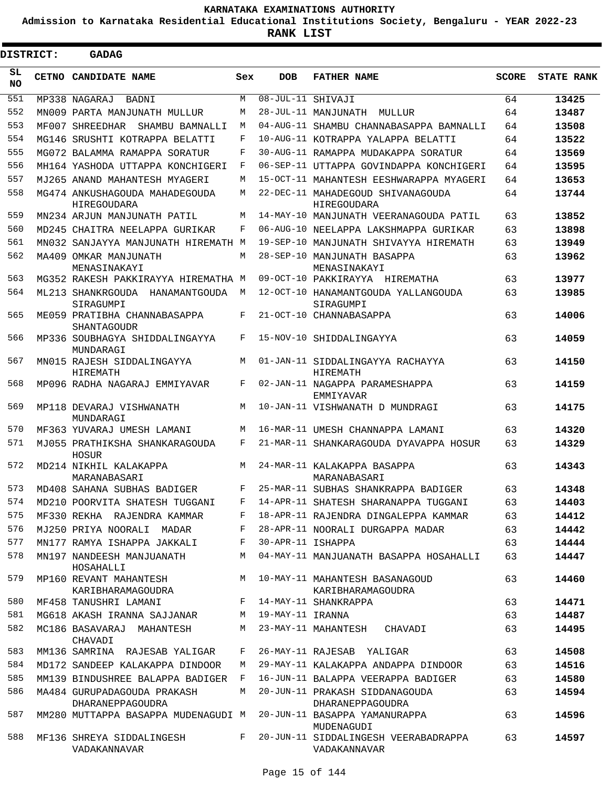**Admission to Karnataka Residential Educational Institutions Society, Bengaluru - YEAR 2022-23**

ı

| <b>DISTRICT:</b> | <b>GADAG</b>                                            |     |                   |                                                       |              |                   |
|------------------|---------------------------------------------------------|-----|-------------------|-------------------------------------------------------|--------------|-------------------|
| SL<br><b>NO</b>  | CETNO CANDIDATE NAME                                    | Sex | <b>DOB</b>        | <b>FATHER NAME</b>                                    | <b>SCORE</b> | <b>STATE RANK</b> |
| 551              | MP338 NAGARAJ BADNI                                     | M   | 08-JUL-11 SHIVAJI |                                                       | 64           | 13425             |
| 552              | MN009 PARTA MANJUNATH MULLUR                            | М   |                   | 28-JUL-11 MANJUNATH<br>MULLUR                         | 64           | 13487             |
| 553              | MF007 SHREEDHAR<br>SHAMBU BAMNALLI                      | М   |                   | 04-AUG-11 SHAMBU CHANNABASAPPA BAMNALLI               | 64           | 13508             |
| 554              | MG146 SRUSHTI KOTRAPPA BELATTI                          | F   |                   | 10-AUG-11 KOTRAPPA YALAPPA BELATTI                    | 64           | 13522             |
| 555              | MG072 BALAMMA RAMAPPA SORATUR                           | F   |                   | 30-AUG-11 RAMAPPA MUDAKAPPA SORATUR                   | 64           | 13569             |
| 556              | MH164 YASHODA UTTAPPA KONCHIGERI                        | F   |                   | 06-SEP-11 UTTAPPA GOVINDAPPA KONCHIGERI               | 64           | 13595             |
| 557              | MJ265 ANAND MAHANTESH MYAGERI                           | М   |                   | 15-OCT-11 MAHANTESH EESHWARAPPA MYAGERI               | 64           | 13653             |
| 558              | MG474 ANKUSHAGOUDA MAHADEGOUDA<br>HIREGOUDARA           | M   |                   | 22-DEC-11 MAHADEGOUD SHIVANAGOUDA<br>HIREGOUDARA      | 64           | 13744             |
| 559              | MN234 ARJUN MANJUNATH PATIL                             | M   |                   | 14-MAY-10 MANJUNATH VEERANAGOUDA PATIL                | 63           | 13852             |
| 560              | MD245 CHAITRA NEELAPPA GURIKAR                          | F   |                   | 06-AUG-10 NEELAPPA LAKSHMAPPA GURIKAR                 | 63           | 13898             |
| 561              | MN032 SANJAYYA MANJUNATH HIREMATH M                     |     |                   | 19-SEP-10 MANJUNATH SHIVAYYA HIREMATH                 | 63           | 13949             |
| 562              | MA409 OMKAR MANJUNATH<br>MENASINAKAYI                   | M   |                   | 28-SEP-10 MANJUNATH BASAPPA<br>MENASINAKAYI           | 63           | 13962             |
| 563              | MG352 RAKESH PAKKIRAYYA HIREMATHA M                     |     |                   | 09-OCT-10 PAKKIRAYYA HIREMATHA                        | 63           | 13977             |
| 564              | ML213 SHANKRGOUDA<br>HANAMANTGOUDA<br>SIRAGUMPI         | M   |                   | 12-OCT-10 HANAMANTGOUDA YALLANGOUDA<br>SIRAGUMPI      | 63           | 13985             |
| 565              | ME059 PRATIBHA CHANNABASAPPA<br><b>SHANTAGOUDR</b>      | F   |                   | 21-OCT-10 CHANNABASAPPA                               | 63           | 14006             |
| 566              | MP336 SOUBHAGYA SHIDDALINGAYYA<br>MUNDARAGI             | F   |                   | 15-NOV-10 SHIDDALINGAYYA                              | 63           | 14059             |
| 567              | MN015 RAJESH SIDDALINGAYYA<br>HIREMATH                  | M   |                   | 01-JAN-11 SIDDALINGAYYA RACHAYYA<br>HIREMATH          | 63           | 14150             |
| 568              | MP096 RADHA NAGARAJ EMMIYAVAR                           | F   |                   | 02-JAN-11 NAGAPPA PARAMESHAPPA<br>EMMIYAVAR           | 63           | 14159             |
| 569              | MP118 DEVARAJ VISHWANATH<br>MUNDARAGI                   | М   |                   | 10-JAN-11 VISHWANATH D MUNDRAGI                       | 63           | 14175             |
| 570              | MF363 YUVARAJ UMESH LAMANI                              | M   |                   | 16-MAR-11 UMESH CHANNAPPA LAMANI                      | 63           | 14320             |
| 571              | MJ055 PRATHIKSHA SHANKARAGOUDA<br><b>HOSUR</b>          | F   |                   | 21-MAR-11 SHANKARAGOUDA DYAVAPPA HOSUR                | 63           | 14329             |
| 572              | MD214 NIKHIL KALAKAPPA<br>MARANABASARI                  | M   |                   | 24-MAR-11 KALAKAPPA BASAPPA<br>MARANABASARI           | 63           | 14343             |
| 573              | MD408 SAHANA SUBHAS BADIGER                             | F   |                   | 25-MAR-11 SUBHAS SHANKRAPPA BADIGER                   | 63           | 14348             |
| 574              | MD210 POORVITA SHATESH TUGGANI                          | F   |                   | 14-APR-11 SHATESH SHARANAPPA TUGGANI                  | 63           | 14403             |
| 575              | MF330 REKHA RAJENDRA KAMMAR                             | F   |                   | 18-APR-11 RAJENDRA DINGALEPPA KAMMAR                  | 63           | 14412             |
| 576              | MJ250 PRIYA NOORALI MADAR                               | F   |                   | 28-APR-11 NOORALI DURGAPPA MADAR                      | 63           | 14442             |
| 577              | MN177 RAMYA ISHAPPA JAKKALI                             | F   | 30-APR-11 ISHAPPA |                                                       | 63           | 14444             |
| 578              | MN197 NANDEESH MANJUANATH<br>HOSAHALLI                  | М   |                   | 04-MAY-11 MANJUANATH BASAPPA HOSAHALLI                | 63           | 14447             |
| 579              | MP160 REVANT MAHANTESH<br>KARIBHARAMAGOUDRA             |     |                   | M 10-MAY-11 MAHANTESH BASANAGOUD<br>KARIBHARAMAGOUDRA | 63           | 14460             |
| 580              | MF458 TANUSHRI LAMANI                                   |     |                   | F 14-MAY-11 SHANKRAPPA                                | 63           | 14471             |
| 581              | MG618 AKASH IRANNA SAJJANAR                             | M   | 19-MAY-11 IRANNA  |                                                       | 63           | 14487             |
| 582              | MC186 BASAVARAJ MAHANTESH<br>CHAVADI                    | M   |                   | 23-MAY-11 MAHANTESH<br>CHAVADI                        | 63           | 14495             |
| 583              | MM136 SAMRINA RAJESAB YALIGAR                           | F   |                   | 26-MAY-11 RAJESAB YALIGAR                             | 63           | 14508             |
| 584              | MD172 SANDEEP KALAKAPPA DINDOOR                         | M   |                   | 29-MAY-11 KALAKAPPA ANDAPPA DINDOOR                   | 63           | 14516             |
| 585              | MM139 BINDUSHREE BALAPPA BADIGER F                      |     |                   | 16-JUN-11 BALAPPA VEERAPPA BADIGER                    | 63           | 14580             |
| 586              | MA484 GURUPADAGOUDA PRAKASH                             | M   |                   | 20-JUN-11 PRAKASH SIDDANAGOUDA                        | 63           | 14594             |
| 587              | DHARANEPPAGOUDRA<br>MM280 MUTTAPPA BASAPPA MUDENAGUDI M |     |                   | DHARANEPPAGOUDRA<br>20-JUN-11 BASAPPA YAMANURAPPA     | 63           | 14596             |
|                  |                                                         |     |                   | MUDENAGUDI                                            |              |                   |
| 588              | MF136 SHREYA SIDDALINGESH F<br>VADAKANNAVAR             |     |                   | 20-JUN-11 SIDDALINGESH VEERABADRAPPA<br>VADAKANNAVAR  | 63           | 14597             |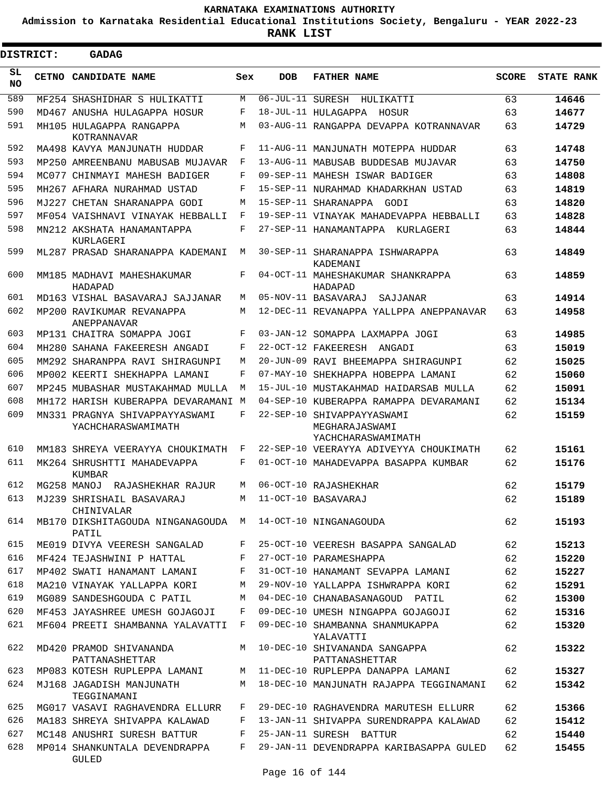**Admission to Karnataka Residential Educational Institutions Society, Bengaluru - YEAR 2022-23**

**RANK LIST**

Ξ

| <b>DISTRICT:</b> | <b>GADAG</b>                                         |     |                  |                                                                    |              |                   |
|------------------|------------------------------------------------------|-----|------------------|--------------------------------------------------------------------|--------------|-------------------|
| SL<br>NO         | <b>CETNO CANDIDATE NAME</b>                          | Sex | <b>DOB</b>       | <b>FATHER NAME</b>                                                 | <b>SCORE</b> | <b>STATE RANK</b> |
| 589              | MF254 SHASHIDHAR S HULIKATTI                         | М   | 06-JUL-11 SURESH | HULIKATTI                                                          | 63           | 14646             |
| 590              | MD467 ANUSHA HULAGAPPA HOSUR                         | F   |                  | 18-JUL-11 HULAGAPPA HOSUR                                          | 63           | 14677             |
| 591              | MH105 HULAGAPPA RANGAPPA<br>KOTRANNAVAR              | М   |                  | 03-AUG-11 RANGAPPA DEVAPPA KOTRANNAVAR                             | 63           | 14729             |
| 592              | MA498 KAVYA MANJUNATH HUDDAR                         | F   |                  | 11-AUG-11 MANJUNATH MOTEPPA HUDDAR                                 | 63           | 14748             |
| 593              | MP250 AMREENBANU MABUSAB MUJAVAR                     | F   |                  | 13-AUG-11 MABUSAB BUDDESAB MUJAVAR                                 | 63           | 14750             |
| 594              | MC077 CHINMAYI MAHESH BADIGER                        | F   |                  | 09-SEP-11 MAHESH ISWAR BADIGER                                     | 63           | 14808             |
| 595              | MH267 AFHARA NURAHMAD USTAD                          | F   |                  | 15-SEP-11 NURAHMAD KHADARKHAN USTAD                                | 63           | 14819             |
| 596              | MJ227 CHETAN SHARANAPPA GODI                         | М   |                  | 15-SEP-11 SHARANAPPA GODI                                          | 63           | 14820             |
| 597              | MF054 VAISHNAVI VINAYAK HEBBALLI                     | F   |                  | 19-SEP-11 VINAYAK MAHADEVAPPA HEBBALLI                             | 63           | 14828             |
| 598              | MN212 AKSHATA HANAMANTAPPA<br>KURLAGERI              | F   |                  | 27-SEP-11 HANAMANTAPPA KURLAGERI                                   | 63           | 14844             |
| 599              | ML287 PRASAD SHARANAPPA KADEMANI                     | M   |                  | 30-SEP-11 SHARANAPPA ISHWARAPPA<br>KADEMANI                        | 63           | 14849             |
| 600              | MM185 MADHAVI MAHESHAKUMAR<br>HADAPAD                | F   |                  | 04-OCT-11 MAHESHAKUMAR SHANKRAPPA<br>HADAPAD                       | 63           | 14859             |
| 601              | MD163 VISHAL BASAVARAJ SAJJANAR                      | М   |                  | 05-NOV-11 BASAVARAJ<br>SAJJANAR                                    | 63           | 14914             |
| 602              | MP200 RAVIKUMAR REVANAPPA<br>ANEPPANAVAR             | М   |                  | 12-DEC-11 REVANAPPA YALLPPA ANEPPANAVAR                            | 63           | 14958             |
| 603              | MP131 CHAITRA SOMAPPA JOGI                           | F   |                  | 03-JAN-12 SOMAPPA LAXMAPPA JOGI                                    | 63           | 14985             |
| 604              | MH280 SAHANA FAKEERESH ANGADI                        | F   |                  | 22-OCT-12 FAKEERESH ANGADI                                         | 63           | 15019             |
| 605              | MM292 SHARANPPA RAVI SHIRAGUNPI                      | М   |                  | 20-JUN-09 RAVI BHEEMAPPA SHIRAGUNPI                                | 62           | 15025             |
| 606              | MP002 KEERTI SHEKHAPPA LAMANI                        | F   |                  | 07-MAY-10 SHEKHAPPA HOBEPPA LAMANI                                 | 62           | 15060             |
| 607              | MP245 MUBASHAR MUSTAKAHMAD MULLA                     | М   |                  | 15-JUL-10 MUSTAKAHMAD HAIDARSAB MULLA                              | 62           | 15091             |
| 608              | MH172 HARISH KUBERAPPA DEVARAMANI M                  |     |                  | 04-SEP-10 KUBERAPPA RAMAPPA DEVARAMANI                             | 62           | 15134             |
| 609              | MN331 PRAGNYA SHIVAPPAYYASWAMI<br>YACHCHARASWAMIMATH | F   |                  | 22-SEP-10 SHIVAPPAYYASWAMI<br>MEGHARAJASWAMI<br>YACHCHARASWAMIMATH | 62           | 15159             |
| 610              | MM183 SHREYA VEERAYYA CHOUKIMATH                     | F   |                  | 22-SEP-10 VEERAYYA ADIVEYYA CHOUKIMATH                             | 62           | 15161             |
| 611              | MK264 SHRUSHTTI MAHADEVAPPA<br>KUMBAR                | F   |                  | 01-OCT-10 MAHADEVAPPA BASAPPA KUMBAR                               | 62           | 15176             |
| 612              | MG258 MANOJ RAJASHEKHAR RAJUR                        | М   |                  | 06-OCT-10 RAJASHEKHAR                                              | 62           | 15179             |
| 613              | MJ239 SHRISHAIL BASAVARAJ<br>CHINIVALAR              |     |                  | M 11-OCT-10 BASAVARAJ                                              | 62           | 15189             |
| 614              | MB170 DIKSHITAGOUDA NINGANAGOUDA M<br>PATIL          |     |                  | 14-OCT-10 NINGANAGOUDA                                             | 62           | 15193             |
| 615              | ME019 DIVYA VEERESH SANGALAD                         | F   |                  | 25-OCT-10 VEERESH BASAPPA SANGALAD                                 | 62           | 15213             |
| 616              | MF424 TEJASHWINI P HATTAL                            | F   |                  | 27-OCT-10 PARAMESHAPPA                                             | 62           | 15220             |
| 617              | MP402 SWATI HANAMANT LAMANI                          | F   |                  | 31-OCT-10 HANAMANT SEVAPPA LAMANI                                  | 62           | 15227             |
| 618              | MA210 VINAYAK YALLAPPA KORI                          | М   |                  | 29-NOV-10 YALLAPPA ISHWRAPPA KORI                                  | 62           | 15291             |
| 619              | MG089 SANDESHGOUDA C PATIL                           | М   |                  | 04-DEC-10 CHANABASANAGOUD PATIL                                    | 62           | 15300             |
| 620              | MF453 JAYASHREE UMESH GOJAGOJI                       | F   |                  | 09-DEC-10 UMESH NINGAPPA GOJAGOJI                                  | 62           | 15316             |
| 621              | MF604 PREETI SHAMBANNA YALAVATTI                     | F   |                  | 09-DEC-10 SHAMBANNA SHANMUKAPPA<br>YALAVATTI                       | 62           | 15320             |
| 622              | MD420 PRAMOD SHIVANANDA<br>PATTANASHETTAR            | M   |                  | 10-DEC-10 SHIVANANDA SANGAPPA<br>PATTANASHETTAR                    | 62           | 15322             |
| 623              | MP083 KOTESH RUPLEPPA LAMANI                         | М   |                  | 11-DEC-10 RUPLEPPA DANAPPA LAMANI                                  | 62           | 15327             |
| 624              | MJ168 JAGADISH MANJUNATH<br>TEGGINAMANI              | М   |                  | 18-DEC-10 MANJUNATH RAJAPPA TEGGINAMANI                            | 62           | 15342             |
| 625              | MG017 VASAVI RAGHAVENDRA ELLURR                      | F   |                  | 29-DEC-10 RAGHAVENDRA MARUTESH ELLURR                              | 62           | 15366             |
| 626              | MA183 SHREYA SHIVAPPA KALAWAD                        | F   |                  | 13-JAN-11 SHIVAPPA SURENDRAPPA KALAWAD                             | 62           | 15412             |
| 627              | MC148 ANUSHRI SURESH BATTUR                          | F   |                  | 25-JAN-11 SURESH BATTUR                                            | 62           | 15440             |
| 628              | MP014 SHANKUNTALA DEVENDRAPPA<br>GULED               | F   |                  | 29-JAN-11 DEVENDRAPPA KARIBASAPPA GULED                            | 62           | 15455             |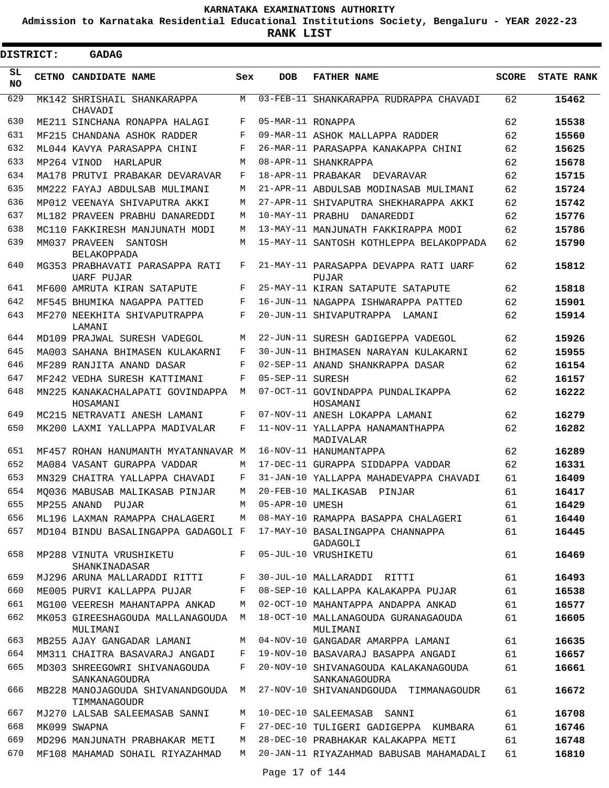**Admission to Karnataka Residential Educational Institutions Society, Bengaluru - YEAR 2022-23**

**RANK LIST**

| DISTRICT:       |  | <b>GADAG</b>                                     |     |                   |                                                       |              |                   |
|-----------------|--|--------------------------------------------------|-----|-------------------|-------------------------------------------------------|--------------|-------------------|
| SL<br><b>NO</b> |  | CETNO CANDIDATE NAME                             | Sex | <b>DOB</b>        | <b>FATHER NAME</b>                                    | <b>SCORE</b> | <b>STATE RANK</b> |
| 629             |  | MK142 SHRISHAIL SHANKARAPPA<br>CHAVADI           | M   |                   | 03-FEB-11 SHANKARAPPA RUDRAPPA CHAVADI                | 62           | 15462             |
| 630             |  | ME211 SINCHANA RONAPPA HALAGI                    | F   | 05-MAR-11 RONAPPA |                                                       | 62           | 15538             |
| 631             |  | MF215 CHANDANA ASHOK RADDER                      | F   |                   | 09-MAR-11 ASHOK MALLAPPA RADDER                       | 62           | 15560             |
| 632             |  | ML044 KAVYA PARASAPPA CHINI                      | F   |                   | 26-MAR-11 PARASAPPA KANAKAPPA CHINI                   | 62           | 15625             |
| 633             |  | MP264 VINOD<br>HARLAPUR                          | М   |                   | 08-APR-11 SHANKRAPPA                                  | 62           | 15678             |
| 634             |  | MA178 PRUTVI PRABAKAR DEVARAVAR                  | F   |                   | 18-APR-11 PRABAKAR DEVARAVAR                          | 62           | 15715             |
| 635             |  | MM222 FAYAJ ABDULSAB MULIMANI                    | М   |                   | 21-APR-11 ABDULSAB MODINASAB MULIMANI                 | 62           | 15724             |
| 636             |  | MP012 VEENAYA SHIVAPUTRA AKKI                    | М   |                   | 27-APR-11 SHIVAPUTRA SHEKHARAPPA AKKI                 | 62           | 15742             |
| 637             |  | ML182 PRAVEEN PRABHU DANAREDDI                   | М   | 10-MAY-11 PRABHU  | DANAREDDI                                             | 62           | 15776             |
| 638             |  | MC110 FAKKIRESH MANJUNATH MODI                   | М   |                   | 13-MAY-11 MANJUNATH FAKKIRAPPA MODI                   | 62           | 15786             |
| 639             |  | MM037 PRAVEEN<br>SANTOSH<br><b>BELAKOPPADA</b>   | М   |                   | 15-MAY-11 SANTOSH KOTHLEPPA BELAKOPPADA               | 62           | 15790             |
| 640             |  | MG353 PRABHAVATI PARASAPPA RATI<br>UARF PUJAR    | F   |                   | 21-MAY-11 PARASAPPA DEVAPPA RATI UARF<br><b>PUJAR</b> | 62           | 15812             |
| 641             |  | MF600 AMRUTA KIRAN SATAPUTE                      | F   |                   | 25-MAY-11 KIRAN SATAPUTE SATAPUTE                     | 62           | 15818             |
| 642             |  | MF545 BHUMIKA NAGAPPA PATTED                     | F   |                   | 16-JUN-11 NAGAPPA ISHWARAPPA PATTED                   | 62           | 15901             |
| 643             |  | MF270 NEEKHITA SHIVAPUTRAPPA<br>LAMANI           | F   |                   | 20-JUN-11 SHIVAPUTRAPPA<br>T.AMANT                    | 62           | 15914             |
| 644             |  | MD109 PRAJWAL SURESH VADEGOL                     | М   |                   | 22-JUN-11 SURESH GADIGEPPA VADEGOL                    | 62           | 15926             |
| 645             |  | MA003 SAHANA BHIMASEN KULAKARNI                  | F   |                   | 30-JUN-11 BHIMASEN NARAYAN KULAKARNI                  | 62           | 15955             |
| 646             |  | MF289 RANJITA ANAND DASAR                        | F   |                   | 02-SEP-11 ANAND SHANKRAPPA DASAR                      | 62           | 16154             |
| 647             |  | MF242 VEDHA SURESH KATTIMANI                     | F   | 05-SEP-11 SURESH  |                                                       | 62           | 16157             |
| 648             |  | MN225 KANAKACHALAPATI GOVINDAPPA<br>HOSAMANI     | М   |                   | 07-OCT-11 GOVINDAPPA PUNDALIKAPPA<br>HOSAMANI         | 62           | 16222             |
| 649             |  | MC215 NETRAVATI ANESH LAMANI                     | F   |                   | 07-NOV-11 ANESH LOKAPPA LAMANI                        | 62           | 16279             |
| 650             |  | MK200 LAXMI YALLAPPA MADIVALAR                   | F   |                   | 11-NOV-11 YALLAPPA HANAMANTHAPPA<br>MADIVALAR         | 62           | 16282             |
| 651             |  | MF457 ROHAN HANUMANTH MYATANNAVAR M              |     |                   | 16-NOV-11 HANUMANTAPPA                                | 62           | 16289             |
| 652             |  | MA084 VASANT GURAPPA VADDAR                      | М   |                   | 17-DEC-11 GURAPPA SIDDAPPA VADDAR                     | 62           | 16331             |
| 653             |  | MN329 CHAITRA YALLAPPA CHAVADI                   | F   |                   | 31-JAN-10 YALLAPPA MAHADEVAPPA CHAVADI                | 61           | 16409             |
| 654             |  | MQ036 MABUSAB MALIKASAB PINJAR                   | M   |                   | 20-FEB-10 MALIKASAB PINJAR                            | 61           | 16417             |
| 655             |  | MP255 ANAND PUJAR                                | M   | 05-APR-10 UMESH   |                                                       | 61           | 16429             |
| 656             |  | ML196 LAXMAN RAMAPPA CHALAGERI                   | M   |                   | 08-MAY-10 RAMAPPA BASAPPA CHALAGERI                   | 61           | 16440             |
| 657             |  | MD104 BINDU BASALINGAPPA GADAGOLI F              |     |                   | 17-MAY-10 BASALINGAPPA CHANNAPPA<br>GADAGOLI          | 61           | 16445             |
| 658             |  | MP288 VINUTA VRUSHIKETU<br>SHANKINADASAR         | F   |                   | 05-JUL-10 VRUSHIKETU                                  | 61           | 16469             |
| 659             |  | MJ296 ARUNA MALLARADDI RITTI                     | F   |                   | 30-JUL-10 MALLARADDI RITTI                            | 61           | 16493             |
| 660             |  | ME005 PURVI KALLAPPA PUJAR                       | F   |                   | 08-SEP-10 KALLAPPA KALAKAPPA PUJAR                    | 61           | 16538             |
| 661             |  | MG100 VEERESH MAHANTAPPA ANKAD                   | M   |                   | 02-OCT-10 MAHANTAPPA ANDAPPA ANKAD                    | 61           | 16577             |
| 662             |  | MK053 GIREESHAGOUDA MALLANAGOUDA<br>MULIMANI     | M   |                   | 18-OCT-10 MALLANAGOUDA GURANAGAOUDA<br>MULIMANI       | 61           | 16605             |
| 663             |  | MB255 AJAY GANGADAR LAMANI                       | M   |                   | 04-NOV-10 GANGADAR AMARPPA LAMANI                     | 61           | 16635             |
| 664             |  | MM311 CHAITRA BASAVARAJ ANGADI                   | F   |                   | 19-NOV-10 BASAVARAJ BASAPPA ANGADI                    | 61           | 16657             |
| 665             |  | MD303 SHREEGOWRI SHIVANAGOUDA<br>SANKANAGOUDRA   | F   |                   | 20-NOV-10 SHIVANAGOUDA KALAKANAGOUDA<br>SANKANAGOUDRA | 61           | 16661             |
| 666             |  | MB228 MANOJAGOUDA SHIVANANDGOUDA<br>TIMMANAGOUDR | M   |                   | 27-NOV-10 SHIVANANDGOUDA TIMMANAGOUDR                 | 61           | 16672             |
| 667             |  | MJ270 LALSAB SALEEMASAB SANNI                    | М   |                   | 10-DEC-10 SALEEMASAB SANNI                            | 61           | 16708             |
| 668             |  | MK099 SWAPNA                                     | F   |                   | 27-DEC-10 TULIGERI GADIGEPPA KUMBARA                  | 61           | 16746             |
| 669             |  | MD296 MANJUNATH PRABHAKAR METI                   | M   |                   | 28-DEC-10 PRABHAKAR KALAKAPPA METI                    | 61           | 16748             |
| 670             |  | MF108 MAHAMAD SOHAIL RIYAZAHMAD                  | M   |                   | 20-JAN-11 RIYAZAHMAD BABUSAB MAHAMADALI               | 61           | 16810             |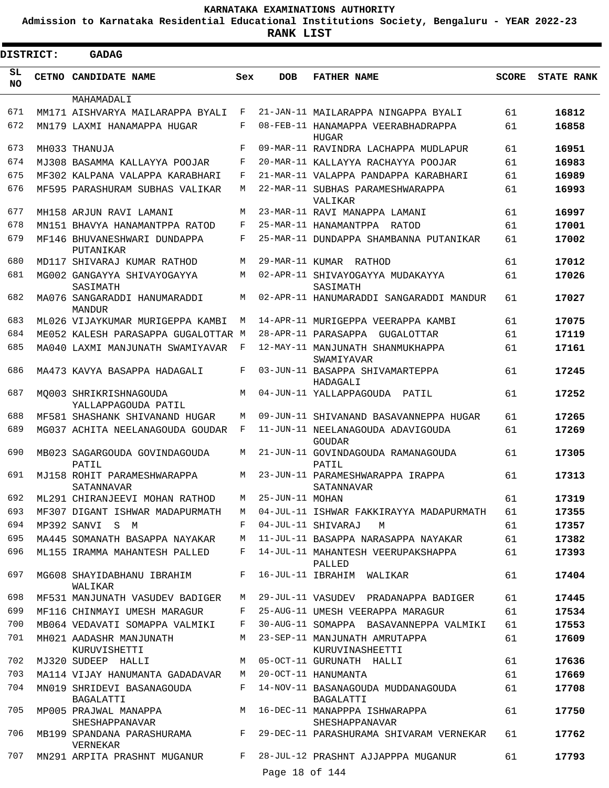**Admission to Karnataka Residential Educational Institutions Society, Bengaluru - YEAR 2022-23**

ı

**RANK LIST**

| <b>DISTRICT:</b> |              | <b>GADAG</b>                                                    |              |                 |                                                                           |              |                   |
|------------------|--------------|-----------------------------------------------------------------|--------------|-----------------|---------------------------------------------------------------------------|--------------|-------------------|
| SL<br>NO.        | <b>CETNO</b> | <b>CANDIDATE NAME</b>                                           | Sex          | <b>DOB</b>      | <b>FATHER NAME</b>                                                        | <b>SCORE</b> | <b>STATE RANK</b> |
|                  |              | MAHAMADALI                                                      |              |                 |                                                                           |              |                   |
| 671<br>672       |              | MM171 AISHVARYA MAILARAPPA BYALI                                | F<br>F       |                 | 21-JAN-11 MAILARAPPA NINGAPPA BYALI<br>08-FEB-11 HANAMAPPA VEERABHADRAPPA | 61           | 16812             |
|                  |              | MN179 LAXMI HANAMAPPA HUGAR                                     |              |                 | HUGAR                                                                     | 61           | 16858             |
| 673              |              | MH033 THANUJA                                                   | $_{\rm F}$   |                 | 09-MAR-11 RAVINDRA LACHAPPA MUDLAPUR                                      | 61           | 16951             |
| 674              |              | MJ308 BASAMMA KALLAYYA POOJAR                                   | F            |                 | 20-MAR-11 KALLAYYA RACHAYYA POOJAR                                        | 61           | 16983             |
| 675              |              | MF302 KALPANA VALAPPA KARABHARI                                 | F            |                 | 21-MAR-11 VALAPPA PANDAPPA KARABHARI                                      | 61           | 16989             |
| 676              |              | MF595 PARASHURAM SUBHAS VALIKAR                                 | M            |                 | 22-MAR-11 SUBHAS PARAMESHWARAPPA<br>VALIKAR                               | 61           | 16993             |
| 677              |              | MH158 ARJUN RAVI LAMANI                                         | М            |                 | 23-MAR-11 RAVI MANAPPA LAMANI                                             | 61           | 16997             |
| 678              |              | MN151 BHAVYA HANAMANTPPA RATOD                                  | F            |                 | 25-MAR-11 HANAMANTPPA RATOD                                               | 61           | 17001             |
| 679              |              | MF146 BHUVANESHWARI DUNDAPPA<br>PUTANIKAR                       | F            |                 | 25-MAR-11 DUNDAPPA SHAMBANNA PUTANIKAR                                    | 61           | 17002             |
| 680              |              | MD117 SHIVARAJ KUMAR RATHOD                                     | М            |                 | 29-MAR-11 KUMAR RATHOD                                                    | 61           | 17012             |
| 681              |              | MG002 GANGAYYA SHIVAYOGAYYA<br>SASIMATH                         | М            |                 | 02-APR-11 SHIVAYOGAYYA MUDAKAYYA<br>SASIMATH                              | 61           | 17026             |
| 682              |              | MA076 SANGARADDI HANUMARADDI<br><b>MANDUR</b>                   | М            |                 | 02-APR-11 HANUMARADDI SANGARADDI MANDUR                                   | 61           | 17027             |
| 683              |              | ML026 VIJAYKUMAR MURIGEPPA KAMBI                                | M            |                 | 14-APR-11 MURIGEPPA VEERAPPA KAMBI                                        | 61           | 17075             |
| 684              |              | ME052 KALESH PARASAPPA GUGALOTTAR M                             |              |                 | 28-APR-11 PARASAPPA<br>GUGALOTTAR                                         | 61           | 17119             |
| 685              |              | MA040 LAXMI MANJUNATH SWAMIYAVAR                                | F            |                 | 12-MAY-11 MANJUNATH SHANMUKHAPPA<br>SWAMIYAVAR                            | 61           | 17161             |
| 686              |              | MA473 KAVYA BASAPPA HADAGALI                                    | F            |                 | 03-JUN-11 BASAPPA SHIVAMARTEPPA<br>HADAGALI                               | 61           | 17245             |
| 687              |              | MO003 SHRIKRISHNAGOUDA<br>YALLAPPAGOUDA PATIL                   | M            |                 | 04-JUN-11 YALLAPPAGOUDA PATIL                                             | 61           | 17252             |
| 688              |              | MF581 SHASHANK SHIVANAND HUGAR                                  | М            |                 | 09-JUN-11 SHIVANAND BASAVANNEPPA HUGAR                                    | 61           | 17265             |
| 689              |              | MG037 ACHITA NEELANAGOUDA GOUDAR                                | F            |                 | 11-JUN-11 NEELANAGOUDA ADAVIGOUDA<br>GOUDAR                               | 61           | 17269             |
| 690<br>691       |              | MB023 SAGARGOUDA GOVINDAGOUDA<br>PATIL                          | М            |                 | 21-JUN-11 GOVINDAGOUDA RAMANAGOUDA<br>PATIL                               | 61           | 17305             |
|                  |              | MJ158 ROHIT PARAMESHWARAPPA<br>SATANNAVAR                       | М            | 25-JUN-11 MOHAN | 23-JUN-11 PARAMESHWARAPPA IRAPPA<br>SATANNAVAR                            | 61           | 17313             |
| 692              |              | ML291 CHIRANJEEVI MOHAN RATHOD                                  | М            |                 |                                                                           | 61           | 17319             |
| 693              |              | MF307 DIGANT ISHWAR MADAPURMATH                                 | M            |                 | 04-JUL-11 ISHWAR FAKKIRAYYA MADAPURMATH                                   | 61           | 17355             |
| 694              |              | MP392 SANVI S M                                                 | F            |                 | 04-JUL-11 SHIVARAJ<br>М                                                   | 61           | 17357             |
| 695<br>696       |              | MA445 SOMANATH BASAPPA NAYAKAR<br>ML155 IRAMMA MAHANTESH PALLED | М<br>F       |                 | 11-JUL-11 BASAPPA NARASAPPA NAYAKAR<br>14-JUL-11 MAHANTESH VEERUPAKSHAPPA | 61<br>61     | 17382<br>17393    |
| 697              |              | MG608 SHAYIDABHANU IBRAHIM<br>WALIKAR                           | F            |                 | PALLED<br>16-JUL-11 IBRAHIM WALIKAR                                       | 61           | 17404             |
| 698              |              | MF531 MANJUNATH VASUDEV BADIGER                                 | М            |                 | 29-JUL-11 VASUDEV PRADANAPPA BADIGER                                      | 61           | 17445             |
| 699              |              | MF116 CHINMAYI UMESH MARAGUR                                    | F            |                 | 25-AUG-11 UMESH VEERAPPA MARAGUR                                          | 61           | 17534             |
| 700              |              | MB064 VEDAVATI SOMAPPA VALMIKI                                  | F            |                 | 30-AUG-11 SOMAPPA BASAVANNEPPA VALMIKI                                    | 61           | 17553             |
| 701              |              | MH021 AADASHR MANJUNATH<br>KURUVISHETTI                         | M            |                 | 23-SEP-11 MANJUNATH AMRUTAPPA<br>KURUVINASHEETTI                          | 61           | 17609             |
| 702              |              | MJ320 SUDEEP HALLI                                              | М            |                 | 05-OCT-11 GURUNATH HALLI                                                  | 61           | 17636             |
| 703              |              | MA114 VIJAY HANUMANTA GADADAVAR                                 | М            |                 | 20-OCT-11 HANUMANTA                                                       | 61           | 17669             |
| 704              |              | MN019 SHRIDEVI BASANAGOUDA<br>BAGALATTI                         | F            |                 | 14-NOV-11 BASANAGOUDA MUDDANAGOUDA<br>BAGALATTI                           | 61           | 17708             |
| 705              |              | MP005 PRAJWAL MANAPPA<br>SHESHAPPANAVAR                         | M            |                 | 16-DEC-11 MANAPPPA ISHWARAPPA<br>SHESHAPPANAVAR                           | 61           | 17750             |
| 706              |              | MB199 SPANDANA PARASHURAMA<br>VERNEKAR                          | $\mathbf{F}$ |                 | 29-DEC-11 PARASHURAMA SHIVARAM VERNEKAR                                   | 61           | 17762             |
| 707              |              | MN291 ARPITA PRASHNT MUGANUR                                    | F            |                 | 28-JUL-12 PRASHNT AJJAPPPA MUGANUR                                        | 61           | 17793             |
|                  |              |                                                                 |              | Page 18 of 144  |                                                                           |              |                   |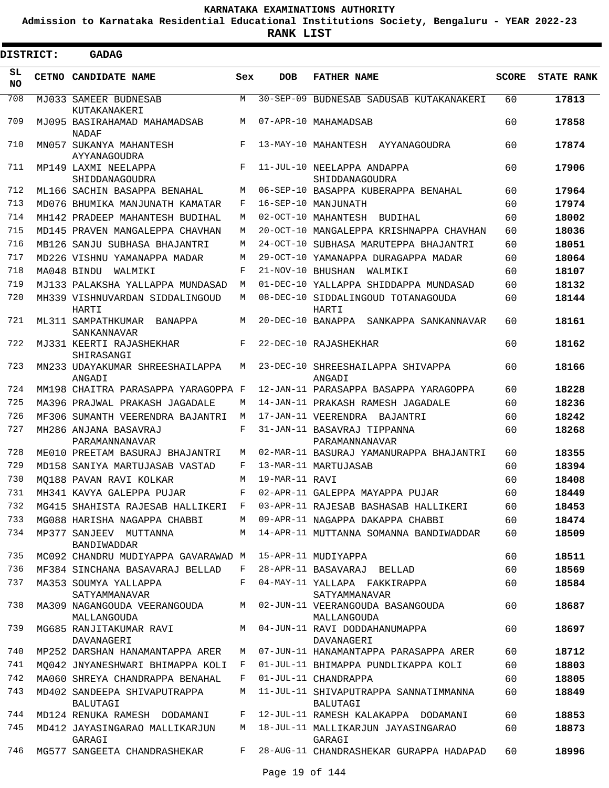**Admission to Karnataka Residential Educational Institutions Society, Bengaluru - YEAR 2022-23**

**RANK LIST**

| <b>DISTRICT:</b> | <b>GADAG</b>                                 |     |                   |                                                   |              |                   |
|------------------|----------------------------------------------|-----|-------------------|---------------------------------------------------|--------------|-------------------|
| SL<br><b>NO</b>  | <b>CETNO CANDIDATE NAME</b>                  | Sex | <b>DOB</b>        | <b>FATHER NAME</b>                                | <b>SCORE</b> | <b>STATE RANK</b> |
| 708              | MJ033 SAMEER BUDNESAB<br>KUTAKANAKERI        | M   |                   | 30-SEP-09 BUDNESAB SADUSAB KUTAKANAKERI           | 60           | 17813             |
| 709              | MJ095 BASIRAHAMAD MAHAMADSAB<br><b>NADAF</b> | М   |                   | 07-APR-10 MAHAMADSAB                              | 60           | 17858             |
| 710              | MN057 SUKANYA MAHANTESH<br>AYYANAGOUDRA      | F   |                   | 13-MAY-10 MAHANTESH AYYANAGOUDRA                  | 60           | 17874             |
| 711              | MP149 LAXMI NEELAPPA<br>SHIDDANAGOUDRA       | F   |                   | 11-JUL-10 NEELAPPA ANDAPPA<br>SHIDDANAGOUDRA      | 60           | 17906             |
| 712              | ML166 SACHIN BASAPPA BENAHAL                 | M   |                   | 06-SEP-10 BASAPPA KUBERAPPA BENAHAL               | 60           | 17964             |
| 713              | MD076 BHUMIKA MANJUNATH KAMATAR              | F   |                   | 16-SEP-10 MANJUNATH                               | 60           | 17974             |
| 714              | MH142 PRADEEP MAHANTESH BUDIHAL              | M   |                   | 02-OCT-10 MAHANTESH BUDIHAL                       | 60           | 18002             |
| 715              | MD145 PRAVEN MANGALEPPA CHAVHAN              | М   |                   | 20-OCT-10 MANGALEPPA KRISHNAPPA CHAVHAN           | 60           | 18036             |
| 716              | MB126 SANJU SUBHASA BHAJANTRI                | М   |                   | 24-OCT-10 SUBHASA MARUTEPPA BHAJANTRI             | 60           | 18051             |
| 717              | MD226 VISHNU YAMANAPPA MADAR                 | М   |                   | 29-OCT-10 YAMANAPPA DURAGAPPA MADAR               | 60           | 18064             |
| 718              | MA048 BINDU<br>WALMIKI                       | F   | 21-NOV-10 BHUSHAN | WALMIKI                                           | 60           | 18107             |
| 719              | MJ133 PALAKSHA YALLAPPA MUNDASAD             | M   |                   | 01-DEC-10 YALLAPPA SHIDDAPPA MUNDASAD             | 60           | 18132             |
| 720              | MH339 VISHNUVARDAN SIDDALINGOUD<br>HARTI     | М   |                   | 08-DEC-10 SIDDALINGOUD TOTANAGOUDA<br>HARTI       | 60           | 18144             |
| 721              | ML311 SAMPATHKUMAR BANAPPA<br>SANKANNAVAR    | М   |                   | 20-DEC-10 BANAPPA SANKAPPA SANKANNAVAR            | 60           | 18161             |
| 722              | MJ331 KEERTI RAJASHEKHAR<br>SHIRASANGI       | F   |                   | 22-DEC-10 RAJASHEKHAR                             | 60           | 18162             |
| 723              | MN233 UDAYAKUMAR SHREESHAILAPPA<br>ANGADI    | М   |                   | 23-DEC-10 SHREESHAILAPPA SHIVAPPA<br>ANGADI       | 60           | 18166             |
| 724              | MM198 CHAITRA PARASAPPA YARAGOPPA F          |     |                   | 12-JAN-11 PARASAPPA BASAPPA YARAGOPPA             | 60           | 18228             |
| 725              | MA396 PRAJWAL PRAKASH JAGADALE               | M   |                   | 14-JAN-11 PRAKASH RAMESH JAGADALE                 | 60           | 18236             |
| 726              | MF306 SUMANTH VEERENDRA BAJANTRI             | М   |                   | 17-JAN-11 VEERENDRA BAJANTRI                      | 60           | 18242             |
| 727              | MH286 ANJANA BASAVRAJ<br>PARAMANNANAVAR      | F   |                   | 31-JAN-11 BASAVRAJ TIPPANNA<br>PARAMANNANAVAR     | 60           | 18268             |
| 728              | ME010 PREETAM BASURAJ BHAJANTRI              | M   |                   | 02-MAR-11 BASURAJ YAMANURAPPA BHAJANTRI           | 60           | 18355             |
| 729              | MD158 SANIYA MARTUJASAB VASTAD               | F   |                   | 13-MAR-11 MARTUJASAB                              | 60           | 18394             |
| 730              | MO188 PAVAN RAVI KOLKAR                      | М   | 19-MAR-11 RAVI    |                                                   | 60           | 18408             |
| 731              | MH341 KAVYA GALEPPA PUJAR                    |     |                   | F 02-APR-11 GALEPPA MAYAPPA PUJAR                 | 60           | 18449             |
| 732              | MG415 SHAHISTA RAJESAB HALLIKERI             | F   |                   | 03-APR-11 RAJESAB BASHASAB HALLIKERI              | 60           | 18453             |
| 733              | MG088 HARISHA NAGAPPA CHABBI                 | M   |                   | 09-APR-11 NAGAPPA DAKAPPA CHABBI                  | 60           | 18474             |
| 734              | MP377 SANJEEV MUTTANNA<br>BANDIWADDAR        | M   |                   | 14-APR-11 MUTTANNA SOMANNA BANDIWADDAR            | 60           | 18509             |
| 735              | MC092 CHANDRU MUDIYAPPA GAVARAWAD M          |     |                   | 15-APR-11 MUDIYAPPA                               | 60           | 18511             |
| 736              | MF384 SINCHANA BASAVARAJ BELLAD              | F   |                   | 28-APR-11 BASAVARAJ BELLAD                        | 60           | 18569             |
| 737              | MA353 SOUMYA YALLAPPA<br>SATYAMMANAVAR       | F   |                   | 04-MAY-11 YALLAPA FAKKIRAPPA<br>SATYAMMANAVAR     | 60           | 18584             |
| 738              | MA309 NAGANGOUDA VEERANGOUDA<br>MALLANGOUDA  | M   |                   | 02-JUN-11 VEERANGOUDA BASANGOUDA<br>MALLANGOUDA   | 60           | 18687             |
| 739              | MG685 RANJITAKUMAR RAVI<br>DAVANAGERI        | M   |                   | 04-JUN-11 RAVI DODDAHANUMAPPA<br>DAVANAGERI       | 60           | 18697             |
| 740              | MP252 DARSHAN HANAMANTAPPA ARER              | М   |                   | 07-JUN-11 HANAMANTAPPA PARASAPPA ARER             | 60           | 18712             |
| 741              | MO042 JNYANESHWARI BHIMAPPA KOLI             | F   |                   | 01-JUL-11 BHIMAPPA PUNDLIKAPPA KOLI               | 60           | 18803             |
| 742              | MA060 SHREYA CHANDRAPPA BENAHAL              | F   |                   | 01-JUL-11 CHANDRAPPA                              | 60           | 18805             |
| 743              | MD402 SANDEEPA SHIVAPUTRAPPA<br>BALUTAGI     | М   |                   | 11-JUL-11 SHIVAPUTRAPPA SANNATIMMANNA<br>BALUTAGI | 60           | 18849             |
| 744              | MD124 RENUKA RAMESH DODAMANI                 | F   |                   | 12-JUL-11 RAMESH KALAKAPPA DODAMANI               | 60           | 18853             |
| 745              | MD412 JAYASINGARAO MALLIKARJUN<br>GARAGI     | М   |                   | 18-JUL-11 MALLIKARJUN JAYASINGARAO<br>GARAGI      | 60           | 18873             |
| 746              | MG577 SANGEETA CHANDRASHEKAR                 | F   |                   | 28-AUG-11 CHANDRASHEKAR GURAPPA HADAPAD           | 60           | 18996             |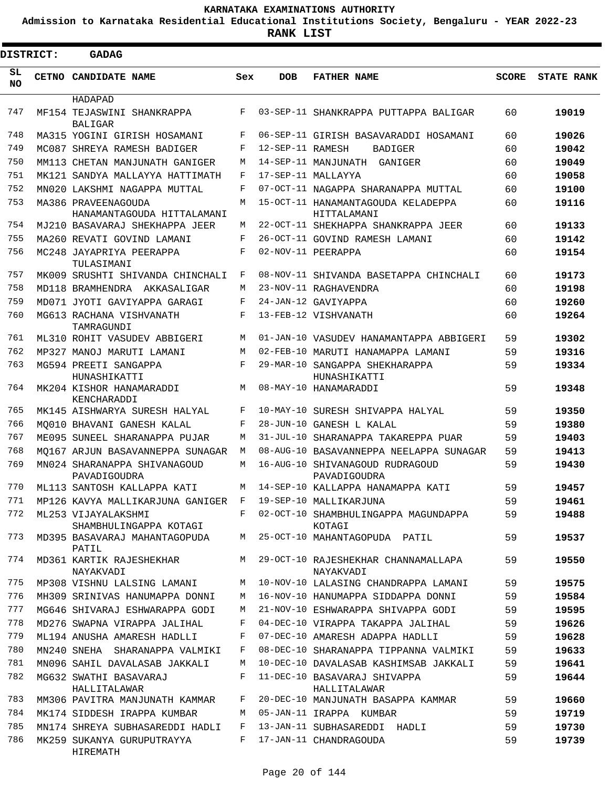**Admission to Karnataka Residential Educational Institutions Society, Bengaluru - YEAR 2022-23**

ı

|                 | <b>DISTRICT:</b> | GADAG                                                        |     |                  |                                                    |              |                   |
|-----------------|------------------|--------------------------------------------------------------|-----|------------------|----------------------------------------------------|--------------|-------------------|
| SL<br><b>NO</b> |                  | CETNO CANDIDATE NAME                                         | Sex | <b>DOB</b>       | <b>FATHER NAME</b>                                 | <b>SCORE</b> | <b>STATE RANK</b> |
|                 |                  | HADAPAD                                                      |     |                  |                                                    |              |                   |
| 747             |                  | MF154 TEJASWINI SHANKRAPPA<br><b>BALIGAR</b>                 | F   |                  | 03-SEP-11 SHANKRAPPA PUTTAPPA BALIGAR              | 60           | 19019             |
| 748             |                  | MA315 YOGINI GIRISH HOSAMANI                                 | F   |                  | 06-SEP-11 GIRISH BASAVARADDI HOSAMANI              | 60           | 19026             |
| 749             |                  | MC087 SHREYA RAMESH BADIGER                                  | F   | 12-SEP-11 RAMESH | <b>BADIGER</b>                                     | 60           | 19042             |
| 750             |                  | MM113 CHETAN MANJUNATH GANIGER                               | M   |                  | 14-SEP-11 MANJUNATH GANIGER                        | 60           | 19049             |
| 751             |                  | MK121 SANDYA MALLAYYA HATTIMATH                              | F   |                  | 17-SEP-11 MALLAYYA                                 | 60           | 19058             |
| 752             |                  | MN020 LAKSHMI NAGAPPA MUTTAL                                 | F   |                  | 07-OCT-11 NAGAPPA SHARANAPPA MUTTAL                | 60           | 19100             |
| 753             |                  | MA386 PRAVEENAGOUDA                                          | M   |                  | 15-OCT-11 HANAMANTAGOUDA KELADEPPA                 | 60           | 19116             |
| 754             |                  | HANAMANTAGOUDA HITTALAMANI<br>MJ210 BASAVARAJ SHEKHAPPA JEER | М   |                  | HITTALAMANI<br>22-OCT-11 SHEKHAPPA SHANKRAPPA JEER | 60           | 19133             |
| 755             |                  | MA260 REVATI GOVIND LAMANI                                   | F   |                  | 26-OCT-11 GOVIND RAMESH LAMANI                     | 60           | 19142             |
| 756             |                  | MC248 JAYAPRIYA PEERAPPA<br>TULASIMANI                       | F   |                  | 02-NOV-11 PEERAPPA                                 | 60           | 19154             |
| 757             |                  | MK009 SRUSHTI SHIVANDA CHINCHALI                             | F   |                  | 08-NOV-11 SHIVANDA BASETAPPA CHINCHALI             | 60           | 19173             |
| 758             |                  | MD118 BRAMHENDRA AKKASALIGAR                                 | М   |                  | 23-NOV-11 RAGHAVENDRA                              | 60           | 19198             |
| 759             |                  | MD071 JYOTI GAVIYAPPA GARAGI                                 | F   |                  | 24-JAN-12 GAVIYAPPA                                | 60           | 19260             |
| 760             |                  | MG613 RACHANA VISHVANATH<br>TAMRAGUNDI                       | F   |                  | 13-FEB-12 VISHVANATH                               | 60           | 19264             |
| 761             |                  | ML310 ROHIT VASUDEV ABBIGERI                                 | M   |                  | 01-JAN-10 VASUDEV HANAMANTAPPA ABBIGERI            | 59           | 19302             |
| 762             |                  | MP327 MANOJ MARUTI LAMANI                                    | M   |                  | 02-FEB-10 MARUTI HANAMAPPA LAMANI                  | 59           | 19316             |
| 763             |                  | MG594 PREETI SANGAPPA                                        | F   |                  | 29-MAR-10 SANGAPPA SHEKHARAPPA                     | 59           | 19334             |
| 764             |                  | HUNASHIKATTI<br>MK204 KISHOR HANAMARADDI<br>KENCHARADDI      | М   |                  | HUNASHIKATTI<br>08-MAY-10 HANAMARADDI              | 59           | 19348             |
| 765             |                  | MK145 AISHWARYA SURESH HALYAL                                | F   | $10-MAY-10$      | SURESH SHIVAPPA HALYAL                             | 59           | 19350             |
| 766             |                  | MO010 BHAVANI GANESH KALAL                                   | F   |                  | 28-JUN-10 GANESH L KALAL                           | 59           | 19380             |
| 767             |                  | ME095 SUNEEL SHARANAPPA PUJAR                                | М   |                  | 31-JUL-10 SHARANAPPA TAKAREPPA PUAR                | 59           | 19403             |
| 768             |                  | MO167 ARJUN BASAVANNEPPA SUNAGAR                             | M   |                  | 08-AUG-10 BASAVANNEPPA NEELAPPA SUNAGAR            | 59           | 19413             |
| 769             |                  | MN024 SHARANAPPA SHIVANAGOUD<br>PAVADIGOUDRA                 | М   |                  | 16-AUG-10 SHIVANAGOUD RUDRAGOUD<br>PAVADIGOUDRA    | 59           | 19430             |
| 770             |                  | ML113 SANTOSH KALLAPPA KATI                                  | М   |                  | 14-SEP-10 KALLAPPA HANAMAPPA KATI                  | 59           | 19457             |
| 771             |                  | MP126 KAVYA MALLIKARJUNA GANIGER                             | F   |                  | 19-SEP-10 MALLIKARJUNA                             | 59           | 19461             |
| 772             |                  | ML253 VIJAYALAKSHMI<br>SHAMBHULINGAPPA KOTAGI                | F   |                  | 02-OCT-10 SHAMBHULINGAPPA MAGUNDAPPA<br>KOTAGI     | 59           | 19488             |
| 773             |                  | MD395 BASAVARAJ MAHANTAGOPUDA<br>PATIL                       | M   |                  | 25-OCT-10 MAHANTAGOPUDA PATIL                      | 59           | 19537             |
| 774             |                  | MD361 KARTIK RAJESHEKHAR<br>NAYAKVADI                        | M   |                  | 29-OCT-10 RAJESHEKHAR CHANNAMALLAPA<br>NAYAKVADI   | 59           | 19550             |
| 775             |                  | MP308 VISHNU LALSING LAMANI                                  | М   |                  | 10-NOV-10 LALASING CHANDRAPPA LAMANI               | 59           | 19575             |
| 776             |                  | MH309 SRINIVAS HANUMAPPA DONNI                               | М   |                  | 16-NOV-10 HANUMAPPA SIDDAPPA DONNI                 | 59           | 19584             |
| 777             |                  | MG646 SHIVARAJ ESHWARAPPA GODI                               | М   |                  | 21-NOV-10 ESHWARAPPA SHIVAPPA GODI                 | 59           | 19595             |
| 778             |                  | MD276 SWAPNA VIRAPPA JALIHAL                                 | F   |                  | 04-DEC-10 VIRAPPA TAKAPPA JALIHAL                  | 59           | 19626             |
| 779             |                  | ML194 ANUSHA AMARESH HADLLI                                  | F   |                  | 07-DEC-10 AMARESH ADAPPA HADLLI                    | 59           | 19628             |
| 780             |                  | MN240 SNEHA SHARANAPPA VALMIKI                               | F   |                  | 08-DEC-10 SHARANAPPA TIPPANNA VALMIKI              | 59           | 19633             |
| 781             |                  | MN096 SAHIL DAVALASAB JAKKALI                                | М   |                  | 10-DEC-10 DAVALASAB KASHIMSAB JAKKALI              | 59           | 19641             |
| 782             |                  | MG632 SWATHI BASAVARAJ<br>HALLITALAWAR                       | F   |                  | 11-DEC-10 BASAVARAJ SHIVAPPA<br>HALLITALAWAR       | 59           | 19644             |
| 783             |                  | MM306 PAVITRA MANJUNATH KAMMAR                               | F   |                  | 20-DEC-10 MANJUNATH BASAPPA KAMMAR                 | 59           | 19660             |
| 784             |                  | MK174 SIDDESH IRAPPA KUMBAR                                  | М   |                  | 05-JAN-11 IRAPPA KUMBAR                            | 59           | 19719             |
| 785             |                  | MN174 SHREYA SUBHASAREDDI HADLI                              | F   |                  | 13-JAN-11 SUBHASAREDDI HADLI                       | 59           | 19730             |
| 786             |                  | MK259 SUKANYA GURUPUTRAYYA<br>HIREMATH                       | F   |                  | 17-JAN-11 CHANDRAGOUDA                             | 59           | 19739             |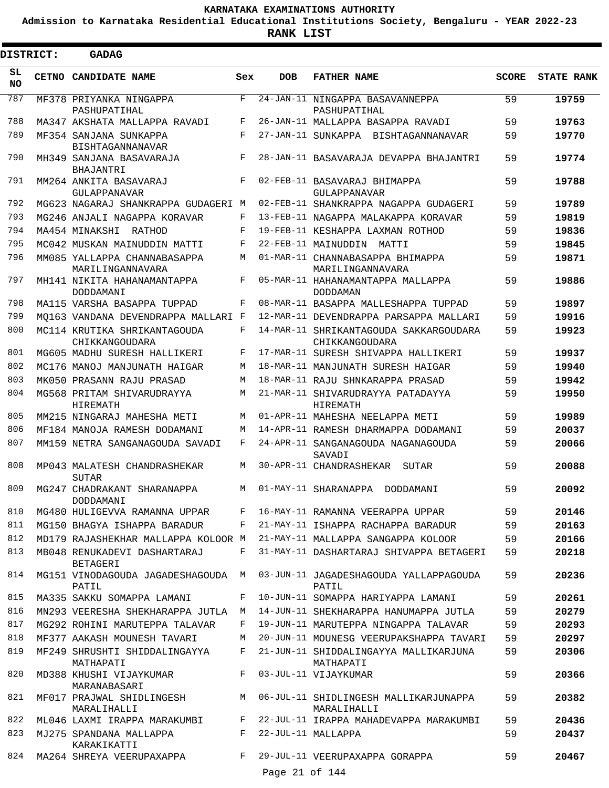**Admission to Karnataka Residential Educational Institutions Society, Bengaluru - YEAR 2022-23**

**RANK LIST**

Ξ

| <b>DISTRICT:</b> | <b>GADAG</b>                                                     |     |                |                                                          |              |                   |
|------------------|------------------------------------------------------------------|-----|----------------|----------------------------------------------------------|--------------|-------------------|
| SL.<br><b>NO</b> | CETNO CANDIDATE NAME                                             | Sex | <b>DOB</b>     | <b>FATHER NAME</b>                                       | <b>SCORE</b> | <b>STATE RANK</b> |
| 787              | MF378 PRIYANKA NINGAPPA<br>PASHUPATIHAL                          | F   |                | 24-JAN-11 NINGAPPA BASAVANNEPPA<br>PASHUPATIHAL          | 59           | 19759             |
| 788              | MA347 AKSHATA MALLAPPA RAVADI                                    | F   |                | 26-JAN-11 MALLAPPA BASAPPA RAVADI                        | 59           | 19763             |
| 789              | MF354 SANJANA SUNKAPPA                                           | F   |                | 27-JAN-11 SUNKAPPA BISHTAGANNANAVAR                      | 59           | 19770             |
| 790              | <b>BISHTAGANNANAVAR</b><br>MH349 SANJANA BASAVARAJA<br>BHAJANTRI | F   |                | 28-JAN-11 BASAVARAJA DEVAPPA BHAJANTRI                   | 59           | 19774             |
| 791              | MM264 ANKITA BASAVARAJ<br><b>GULAPPANAVAR</b>                    | F   |                | 02-FEB-11 BASAVARAJ BHIMAPPA<br>GULAPPANAVAR             | 59           | 19788             |
| 792              | MG623 NAGARAJ SHANKRAPPA GUDAGERI M                              |     |                | 02-FEB-11 SHANKRAPPA NAGAPPA GUDAGERI                    | 59           | 19789             |
| 793              | MG246 ANJALI NAGAPPA KORAVAR                                     | F   |                | 13-FEB-11 NAGAPPA MALAKAPPA KORAVAR                      | 59           | 19819             |
| 794              | MA454 MINAKSHI RATHOD                                            | F   |                | 19-FEB-11 KESHAPPA LAXMAN ROTHOD                         | 59           | 19836             |
| 795              | MC042 MUSKAN MAINUDDIN MATTI                                     | F   |                | 22-FEB-11 MAINUDDIN<br>MATTI                             | 59           | 19845             |
| 796              | MM085 YALLAPPA CHANNABASAPPA<br>MARILINGANNAVARA                 | M   |                | 01-MAR-11 CHANNABASAPPA BHIMAPPA<br>MARILINGANNAVARA     | 59           | 19871             |
| 797              | MH141 NIKITA HAHANAMANTAPPA<br>DODDAMANI                         | F   |                | 05-MAR-11 HAHANAMANTAPPA MALLAPPA<br><b>DODDAMAN</b>     | 59           | 19886             |
| 798              | MA115 VARSHA BASAPPA TUPPAD                                      | F   |                | 08-MAR-11 BASAPPA MALLESHAPPA TUPPAD                     | 59           | 19897             |
| 799              | MO163 VANDANA DEVENDRAPPA MALLARI F                              |     |                | 12-MAR-11 DEVENDRAPPA PARSAPPA MALLARI                   | 59           | 19916             |
| 800              | MC114 KRUTIKA SHRIKANTAGOUDA<br>CHIKKANGOUDARA                   | F   |                | 14-MAR-11 SHRIKANTAGOUDA SAKKARGOUDARA<br>CHIKKANGOUDARA | 59           | 19923             |
| 801              | MG605 MADHU SURESH HALLIKERI                                     | F   |                | 17-MAR-11 SURESH SHIVAPPA HALLIKERI                      | 59           | 19937             |
| 802              | MC176 MANOJ MANJUNATH HAIGAR                                     | М   |                | 18-MAR-11 MANJUNATH SURESH HAIGAR                        | 59           | 19940             |
| 803              | MK050 PRASANN RAJU PRASAD                                        | М   |                | 18-MAR-11 RAJU SHNKARAPPA PRASAD                         | 59           | 19942             |
| 804              | MG568 PRITAM SHIVARUDRAYYA<br>HIREMATH                           | M   |                | 21-MAR-11 SHIVARUDRAYYA PATADAYYA<br>HIREMATH            | 59           | 19950             |
| 805              | MM215 NINGARAJ MAHESHA METI                                      | М   |                | 01-APR-11 MAHESHA NEELAPPA METI                          | 59           | 19989             |
| 806              | MF184 MANOJA RAMESH DODAMANI                                     | М   |                | 14-APR-11 RAMESH DHARMAPPA DODAMANI                      | 59           | 20037             |
| 807              | MM159 NETRA SANGANAGOUDA SAVADI                                  | F   |                | 24-APR-11 SANGANAGOUDA NAGANAGOUDA<br>SAVADI             | 59           | 20066             |
| 808              | MP043 MALATESH CHANDRASHEKAR<br><b>SUTAR</b>                     | M   |                | 30-APR-11 CHANDRASHEKAR SUTAR                            | 59           | 20088             |
| 809              | MG247 CHADRAKANT SHARANAPPA<br>DODDAMANI                         | М   |                | 01-MAY-11 SHARANAPPA DODDAMANI                           | 59           | 20092             |
| 810              | MG480 HULIGEVVA RAMANNA UPPAR                                    | F   |                | 16-MAY-11 RAMANNA VEERAPPA UPPAR                         | 59           | 20146             |
| 811              | MG150 BHAGYA ISHAPPA BARADUR                                     | F   |                | 21-MAY-11 ISHAPPA RACHAPPA BARADUR                       | 59           | 20163             |
| 812              | MD179 RAJASHEKHAR MALLAPPA KOLOOR M                              |     |                | 21-MAY-11 MALLAPPA SANGAPPA KOLOOR                       | 59           | 20166             |
| 813              | MB048 RENUKADEVI DASHARTARAJ<br><b>BETAGERI</b>                  | F   |                | 31-MAY-11 DASHARTARAJ SHIVAPPA BETAGERI                  | 59           | 20218             |
| 814              | MG151 VINODAGOUDA JAGADESHAGOUDA M<br>PATIL                      |     |                | 03-JUN-11 JAGADESHAGOUDA YALLAPPAGOUDA<br>PATIL          | 59           | 20236             |
| 815              | MA335 SAKKU SOMAPPA LAMANI                                       | F   |                | 10-JUN-11 SOMAPPA HARIYAPPA LAMANI                       | 59           | 20261             |
| 816              | MN293 VEERESHA SHEKHARAPPA JUTLA                                 | M   |                | 14-JUN-11 SHEKHARAPPA HANUMAPPA JUTLA                    | 59           | 20279             |
| 817              | MG292 ROHINI MARUTEPPA TALAVAR                                   | F   |                | 19-JUN-11 MARUTEPPA NINGAPPA TALAVAR                     | 59           | 20293             |
| 818              | MF377 AAKASH MOUNESH TAVARI                                      | М   |                | 20-JUN-11 MOUNESG VEERUPAKSHAPPA TAVARI                  | 59           | 20297             |
| 819              | MF249 SHRUSHTI SHIDDALINGAYYA<br>MATHAPATI                       | F   |                | 21-JUN-11 SHIDDALINGAYYA MALLIKARJUNA<br>MATHAPATI       | 59           | 20306             |
| 820              | MD388 KHUSHI VIJAYKUMAR<br>MARANABASARI                          | F   |                | 03-JUL-11 VIJAYKUMAR                                     | 59           | 20366             |
| 821              | MF017 PRAJWAL SHIDLINGESH<br>MARALIHALLI                         | М   |                | 06-JUL-11 SHIDLINGESH MALLIKARJUNAPPA<br>MARALIHALLI     | 59           | 20382             |
| 822              | ML046 LAXMI IRAPPA MARAKUMBI                                     | F   |                | 22-JUL-11 IRAPPA MAHADEVAPPA MARAKUMBI                   | 59           | 20436             |
| 823              | MJ275 SPANDANA MALLAPPA<br>KARAKIKATTI                           | F   |                | 22-JUL-11 MALLAPPA                                       | 59           | 20437             |
| 824              | MA264 SHREYA VEERUPAXAPPA                                        | F   |                | 29-JUL-11 VEERUPAXAPPA GORAPPA                           | 59           | 20467             |
|                  |                                                                  |     | Page 21 of 144 |                                                          |              |                   |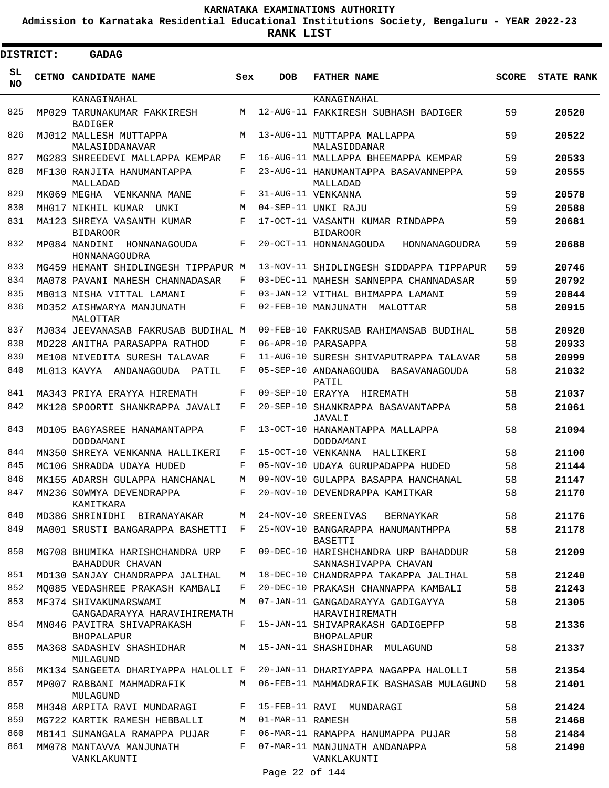**Admission to Karnataka Residential Educational Institutions Society, Bengaluru - YEAR 2022-23**

**RANK LIST**

| <b>DISTRICT:</b> | <b>GADAG</b>                                         |             |                  |                                                              |              |                   |
|------------------|------------------------------------------------------|-------------|------------------|--------------------------------------------------------------|--------------|-------------------|
| SL<br><b>NO</b>  | <b>CETNO CANDIDATE NAME</b>                          | Sex         | <b>DOB</b>       | <b>FATHER NAME</b>                                           | <b>SCORE</b> | <b>STATE RANK</b> |
|                  | KANAGINAHAL                                          |             |                  | KANAGINAHAL                                                  |              |                   |
| 825              | MP029 TARUNAKUMAR FAKKIRESH<br><b>BADIGER</b>        | M           |                  | 12-AUG-11 FAKKIRESH SUBHASH BADIGER                          | 59           | 20520             |
| 826              | MJ012 MALLESH MUTTAPPA<br>MALASIDDANAVAR             | M           |                  | 13-AUG-11 MUTTAPPA MALLAPPA<br>MALASIDDANAR                  | 59           | 20522             |
| 827              | MG283 SHREEDEVI MALLAPPA KEMPAR                      | F           |                  | 16-AUG-11 MALLAPPA BHEEMAPPA KEMPAR                          | 59           | 20533             |
| 828              | MF130 RANJITA HANUMANTAPPA<br>MALLADAD               | F           |                  | 23-AUG-11 HANUMANTAPPA BASAVANNEPPA<br>MALLADAD              | 59           | 20555             |
| 829              | MK069 MEGHA VENKANNA MANE                            | F           |                  | 31-AUG-11 VENKANNA                                           | 59           | 20578             |
| 830              | MH017 NIKHIL KUMAR<br>UNKI                           | М           |                  | 04-SEP-11 UNKI RAJU                                          | 59           | 20588             |
| 831              | MA123 SHREYA VASANTH KUMAR<br><b>BIDAROOR</b>        | F           |                  | 17-OCT-11 VASANTH KUMAR RINDAPPA<br><b>BIDAROOR</b>          | 59           | 20681             |
| 832              | MP084 NANDINI HONNANAGOUDA<br>HONNANAGOUDRA          | $\mathbf F$ |                  | 20-OCT-11 HONNANAGOUDA<br>HONNANAGOUDRA                      | 59           | 20688             |
| 833              | MG459 HEMANT SHIDLINGESH TIPPAPUR M                  |             |                  | 13-NOV-11 SHIDLINGESH SIDDAPPA TIPPAPUR                      | 59           | 20746             |
| 834              | MA078 PAVANI MAHESH CHANNADASAR                      | F           |                  | 03-DEC-11 MAHESH SANNEPPA CHANNADASAR                        | 59           | 20792             |
| 835              | MB013 NISHA VITTAL LAMANI                            | F           |                  | 03-JAN-12 VITHAL BHIMAPPA LAMANI                             | 59           | 20844             |
| 836              | MD352 AISHWARYA MANJUNATH<br>MALOTTAR                | F           |                  | 02-FEB-10 MANJUNATH<br>MALOTTAR                              | 58           | 20915             |
| 837              | MJ034 JEEVANASAB FAKRUSAB BUDIHAL M                  |             |                  | 09-FEB-10 FAKRUSAB RAHIMANSAB BUDIHAL                        | 58           | 20920             |
| 838              | MD228 ANITHA PARASAPPA RATHOD                        | F           |                  | 06-APR-10 PARASAPPA                                          | 58           | 20933             |
| 839              | ME108 NIVEDITA SURESH TALAVAR                        | F           |                  | 11-AUG-10 SURESH SHIVAPUTRAPPA TALAVAR                       | 58           | 20999             |
| 840              | ML013 KAVYA ANDANAGOUDA PATIL                        | F           |                  | 05-SEP-10 ANDANAGOUDA BASAVANAGOUDA<br>PATIL                 | 58           | 21032             |
| 841              | MA343 PRIYA ERAYYA HIREMATH                          | F           |                  | 09-SEP-10 ERAYYA HIREMATH                                    | 58           | 21037             |
| 842              | MK128 SPOORTI SHANKRAPPA JAVALI                      | F           |                  | 20-SEP-10 SHANKRAPPA BASAVANTAPPA<br>JAVALI                  | 58           | 21061             |
| 843              | MD105 BAGYASREE HANAMANTAPPA<br>DODDAMANI            | F           |                  | 13-OCT-10 HANAMANTAPPA MALLAPPA<br>DODDAMANI                 | 58           | 21094             |
| 844              | MN350 SHREYA VENKANNA HALLIKERI                      | F           |                  | 15-OCT-10 VENKANNA HALLIKERI                                 | 58           | 21100             |
| 845              | MC106 SHRADDA UDAYA HUDED                            | F           |                  | 05-NOV-10 UDAYA GURUPADAPPA HUDED                            | 58           | 21144             |
| 846              | MK155 ADARSH GULAPPA HANCHANAL                       | М           |                  | 09-NOV-10 GULAPPA BASAPPA HANCHANAL                          | 58           | 21147             |
| 847              | MN236 SOWMYA DEVENDRAPPA<br>KAMITKARA                | F           |                  | 20-NOV-10 DEVENDRAPPA KAMITKAR                               | 58           | 21170             |
| 848              | MD386 SHRINIDHI BIRANAYAKAR                          | M           |                  | 24-NOV-10 SREENIVAS<br>BERNAYKAR                             | 58           | 21176             |
| 849              | MA001 SRUSTI BANGARAPPA BASHETTI                     | F           |                  | 25-NOV-10 BANGARAPPA HANUMANTHPPA<br>BASETTI                 | 58           | 21178             |
| 850              | MG708 BHUMIKA HARISHCHANDRA URP<br>BAHADDUR CHAVAN   | F           |                  | 09-DEC-10 HARISHCHANDRA URP BAHADDUR<br>SANNASHIVAPPA CHAVAN | 58           | 21209             |
| 851              | MD130 SANJAY CHANDRAPPA JALIHAL                      | M           |                  | 18-DEC-10 CHANDRAPPA TAKAPPA JALIHAL                         | 58           | 21240             |
| 852              | MO085 VEDASHREE PRAKASH KAMBALI                      | F           |                  | 20-DEC-10 PRAKASH CHANNAPPA KAMBALI                          | 58           | 21243             |
| 853              | MF374 SHIVAKUMARSWAMI<br>GANGADARAYYA HARAVIHIREMATH | M           |                  | 07-JAN-11 GANGADARAYYA GADIGAYYA<br>HARAVIHIREMATH           | 58           | 21305             |
| 854              | MN046 PAVITRA SHIVAPRAKASH<br>BHOPALAPUR             | F           |                  | 15-JAN-11 SHIVAPRAKASH GADIGEPFP<br><b>BHOPALAPUR</b>        | 58           | 21336             |
| 855              | MA368 SADASHIV SHASHIDHAR<br>MULAGUND                |             |                  | M 15-JAN-11 SHASHIDHAR MULAGUND                              | 58           | 21337             |
| 856              | MK134 SANGEETA DHARIYAPPA HALOLLI F                  |             |                  | 20-JAN-11 DHARIYAPPA NAGAPPA HALOLLI                         | 58           | 21354             |
| 857              | MP007 RABBANI MAHMADRAFIK<br>MULAGUND                | М           |                  | 06-FEB-11 MAHMADRAFIK BASHASAB MULAGUND                      | 58           | 21401             |
| 858              | MH348 ARPITA RAVI MUNDARAGI                          | F           |                  | 15-FEB-11 RAVI MUNDARAGI                                     | 58           | 21424             |
| 859              | MG722 KARTIK RAMESH HEBBALLI                         | М           | 01-MAR-11 RAMESH |                                                              | 58           | 21468             |
| 860              | MB141 SUMANGALA RAMAPPA PUJAR                        | F           |                  | 06-MAR-11 RAMAPPA HANUMAPPA PUJAR                            | 58           | 21484             |
| 861              | MM078 MANTAVVA MANJUNATH<br>VANKLAKUNTI              | F           |                  | 07-MAR-11 MANJUNATH ANDANAPPA<br>VANKLAKUNTI                 | 58           | 21490             |

Page 22 of 144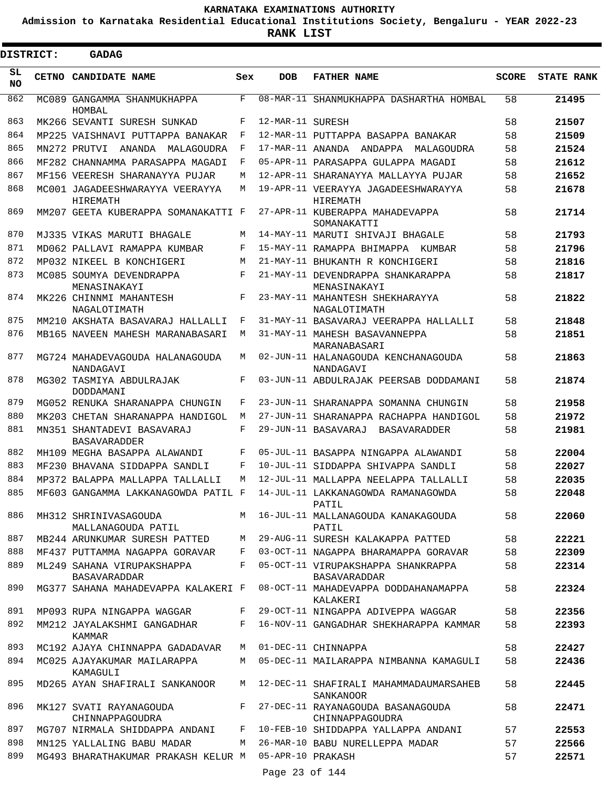**Admission to Karnataka Residential Educational Institutions Society, Bengaluru - YEAR 2022-23**

**RANK LIST**

|                  | <b>DISTRICT:</b> | <b>GADAG</b>                                          |     |                  |                                                       |              |                   |
|------------------|------------------|-------------------------------------------------------|-----|------------------|-------------------------------------------------------|--------------|-------------------|
| SL.<br><b>NO</b> |                  | CETNO CANDIDATE NAME                                  | Sex | <b>DOB</b>       | <b>FATHER NAME</b>                                    | <b>SCORE</b> | <b>STATE RANK</b> |
| 862              |                  | MC089 GANGAMMA SHANMUKHAPPA<br>HOMBAL                 | F   |                  | 08-MAR-11 SHANMUKHAPPA DASHARTHA HOMBAL               | 58           | 21495             |
| 863              |                  | MK266 SEVANTI SURESH SUNKAD                           | F   | 12-MAR-11 SURESH |                                                       | 58           | 21507             |
| 864              |                  | MP225 VAISHNAVI PUTTAPPA BANAKAR                      | F   |                  | 12-MAR-11 PUTTAPPA BASAPPA BANAKAR                    | 58           | 21509             |
| 865              |                  | MN272 PRUTVI ANANDA MALAGOUDRA                        | F   |                  | 17-MAR-11 ANANDA ANDAPPA MALAGOUDRA                   | 58           | 21524             |
| 866              |                  | MF282 CHANNAMMA PARASAPPA MAGADI                      | F   |                  | 05-APR-11 PARASAPPA GULAPPA MAGADI                    | 58           | 21612             |
| 867              |                  | MF156 VEERESH SHARANAYYA PUJAR                        | M   |                  | 12-APR-11 SHARANAYYA MALLAYYA PUJAR                   | 58           | 21652             |
| 868              |                  | MC001 JAGADEESHWARAYYA VEERAYYA<br>HIREMATH           | М   |                  | 19-APR-11 VEERAYYA JAGADEESHWARAYYA<br>HIREMATH       | 58           | 21678             |
| 869              |                  | MM207 GEETA KUBERAPPA SOMANAKATTI F                   |     |                  | 27-APR-11 KUBERAPPA MAHADEVAPPA<br>SOMANAKATTI        | 58           | 21714             |
| 870              |                  | MJ335 VIKAS MARUTI BHAGALE                            | M   |                  | 14-MAY-11 MARUTI SHIVAJI BHAGALE                      | 58           | 21793             |
| 871              |                  | MD062 PALLAVI RAMAPPA KUMBAR                          | F   |                  | 15-MAY-11 RAMAPPA BHIMAPPA KUMBAR                     | 58           | 21796             |
| 872              |                  | MP032 NIKEEL B KONCHIGERI                             | М   |                  | 21-MAY-11 BHUKANTH R KONCHIGERI                       | 58           | 21816             |
| 873              |                  | MC085 SOUMYA DEVENDRAPPA<br>MENASINAKAYI              | F   |                  | 21-MAY-11 DEVENDRAPPA SHANKARAPPA<br>MENASINAKAYI     | 58           | 21817             |
| 874              |                  | MK226 CHINNMI MAHANTESH<br>NAGALOTIMATH               | F   |                  | 23-MAY-11 MAHANTESH SHEKHARAYYA<br>NAGALOTIMATH       | 58           | 21822             |
| 875              |                  | MM210 AKSHATA BASAVARAJ HALLALLI                      | F   |                  | 31-MAY-11 BASAVARAJ VEERAPPA HALLALLI                 | 58           | 21848             |
| 876              |                  | MB165 NAVEEN MAHESH MARANABASARI                      | M   |                  | 31-MAY-11 MAHESH BASAVANNEPPA<br>MARANABASARI         | 58           | 21851             |
| 877              |                  | MG724 MAHADEVAGOUDA HALANAGOUDA<br>NANDAGAVI          | М   |                  | 02-JUN-11 HALANAGOUDA KENCHANAGOUDA<br>NANDAGAVI      | 58           | 21863             |
| 878              |                  | MG302 TASMIYA ABDULRAJAK<br>DODDAMANI                 | F   |                  | 03-JUN-11 ABDULRAJAK PEERSAB DODDAMANI                | 58           | 21874             |
| 879              |                  | MG052 RENUKA SHARANAPPA CHUNGIN                       | F   |                  | 23-JUN-11 SHARANAPPA SOMANNA CHUNGIN                  | 58           | 21958             |
| 880              |                  | MK203 CHETAN SHARANAPPA HANDIGOL                      | М   |                  | 27-JUN-11 SHARANAPPA RACHAPPA HANDIGOL                | 58           | 21972             |
| 881              |                  | MN351 SHANTADEVI BASAVARAJ<br><b>BASAVARADDER</b>     | F   |                  | 29-JUN-11 BASAVARAJ<br>BASAVARADDER                   | 58           | 21981             |
| 882              |                  | MH109 MEGHA BASAPPA ALAWANDI                          | F   |                  | 05-JUL-11 BASAPPA NINGAPPA ALAWANDI                   | 58           | 22004             |
| 883              |                  | MF230 BHAVANA SIDDAPPA SANDLI                         | F   |                  | 10-JUL-11 SIDDAPPA SHIVAPPA SANDLI                    | 58           | 22027             |
| 884              |                  | MP372 BALAPPA MALLAPPA TALLALLI                       | M   |                  | 12-JUL-11 MALLAPPA NEELAPPA TALLALLI                  | 58           | 22035             |
| 885              |                  | MF603 GANGAMMA LAKKANAGOWDA PATIL F                   |     |                  | 14-JUL-11 LAKKANAGOWDA RAMANAGOWDA<br>PATIL           | 58           | 22048             |
| 886              |                  | MH312 SHRINIVASAGOUDA<br>MALLANAGOUDA PATIL           |     |                  | M 16-JUL-11 MALLANAGOUDA KANAKAGOUDA<br>PATIL         | 58           | 22060             |
| 887              |                  | MB244 ARUNKUMAR SURESH PATTED                         | M   |                  | 29-AUG-11 SURESH KALAKAPPA PATTED                     | 58           | 22221             |
| 888              |                  | MF437 PUTTAMMA NAGAPPA GORAVAR                        | F   |                  | 03-OCT-11 NAGAPPA BHARAMAPPA GORAVAR                  | 58           | 22309             |
| 889              |                  | ML249 SAHANA VIRUPAKSHAPPA<br><b>BASAVARADDAR</b>     | F   |                  | 05-OCT-11 VIRUPAKSHAPPA SHANKRAPPA<br>BASAVARADDAR    | 58           | 22314             |
| 890              |                  | MG377 SAHANA MAHADEVAPPA KALAKERI F                   |     |                  | 08-OCT-11 MAHADEVAPPA DODDAHANAMAPPA<br>KALAKERI      | 58           | 22324             |
| 891              |                  | MP093 RUPA NINGAPPA WAGGAR                            | F   |                  | 29-OCT-11 NINGAPPA ADIVEPPA WAGGAR                    | 58           | 22356             |
| 892              |                  | MM212 JAYALAKSHMI GANGADHAR<br>KAMMAR                 | F   |                  | 16-NOV-11 GANGADHAR SHEKHARAPPA KAMMAR                | 58           | 22393             |
| 893              |                  | MC192 AJAYA CHINNAPPA GADADAVAR                       |     |                  | M 01-DEC-11 CHINNAPPA                                 | 58           | 22427             |
| 894              |                  | MC025 AJAYAKUMAR MAILARAPPA<br>KAMAGULI               | M   |                  | 05-DEC-11 MAILARAPPA NIMBANNA KAMAGULI                | 58           | 22436             |
| 895              |                  | MD265 AYAN SHAFIRALI SANKANOOR                        |     |                  | M 12-DEC-11 SHAFIRALI MAHAMMADAUMARSAHEB<br>SANKANOOR | 58           | 22445             |
| 896              |                  | MK127 SVATI RAYANAGOUDA<br>CHINNAPPAGOUDRA            | F   |                  | 27-DEC-11 RAYANAGOUDA BASANAGOUDA<br>CHINNAPPAGOUDRA  | 58           | 22471             |
| 897              |                  | MG707 NIRMALA SHIDDAPPA ANDANI                        | F   |                  | 10-FEB-10 SHIDDAPPA YALLAPPA ANDANI                   | 57           | 22553             |
| 898              |                  | MN125 YALLALING BABU MADAR                            | M   |                  | 26-MAR-10 BABU NURELLEPPA MADAR                       | 57           | 22566             |
| 899              |                  | MG493 BHARATHAKUMAR PRAKASH KELUR M 05-APR-10 PRAKASH |     |                  |                                                       | 57           | 22571             |
|                  |                  |                                                       |     | Page 23 of 144   |                                                       |              |                   |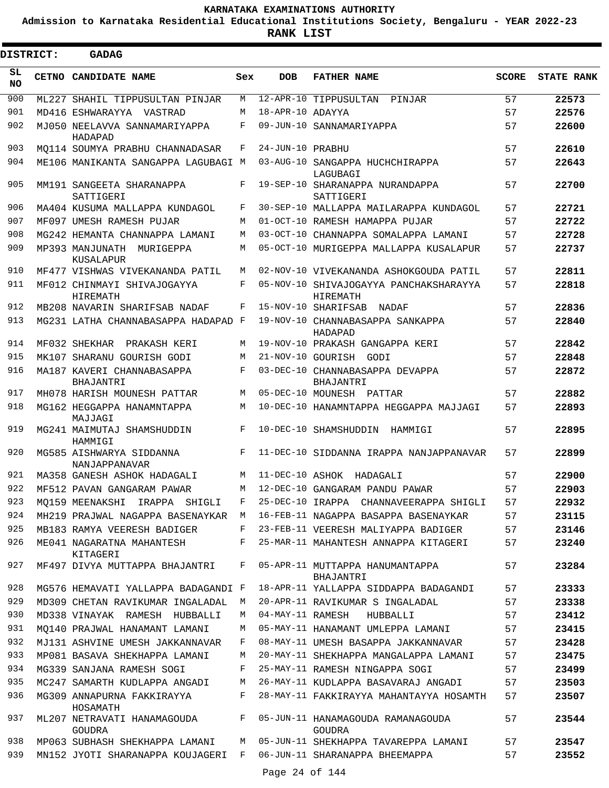**Admission to Karnataka Residential Educational Institutions Society, Bengaluru - YEAR 2022-23**

**RANK LIST**

Ξ

| <b>DISTRICT:</b> | <b>GADAG</b>                              |     |                  |                                                    |              |                   |
|------------------|-------------------------------------------|-----|------------------|----------------------------------------------------|--------------|-------------------|
| SL<br><b>NO</b>  | CETNO CANDIDATE NAME                      | Sex | <b>DOB</b>       | <b>FATHER NAME</b>                                 | <b>SCORE</b> | <b>STATE RANK</b> |
| 900              | ML227 SHAHIL TIPPUSULTAN PINJAR           | M   |                  | 12-APR-10 TIPPUSULTAN<br>PINJAR                    | 57           | 22573             |
| 901              | MD416 ESHWARAYYA VASTRAD                  | М   | 18-APR-10 ADAYYA |                                                    | 57           | 22576             |
| 902              | MJ050 NEELAVVA SANNAMARIYAPPA<br>HADAPAD  | F   |                  | 09-JUN-10 SANNAMARIYAPPA                           | 57           | 22600             |
| 903              | MO114 SOUMYA PRABHU CHANNADASAR           | F   | 24-JUN-10 PRABHU |                                                    | 57           | 22610             |
| 904              | ME106 MANIKANTA SANGAPPA LAGUBAGI M       |     |                  | 03-AUG-10 SANGAPPA HUCHCHIRAPPA<br>LAGUBAGI        | 57           | 22643             |
| 905              | MM191 SANGEETA SHARANAPPA<br>SATTIGERI    | F   |                  | 19-SEP-10 SHARANAPPA NURANDAPPA<br>SATTIGERI       | 57           | 22700             |
| 906              | MA404 KUSUMA MALLAPPA KUNDAGOL            | F   |                  | 30-SEP-10 MALLAPPA MAILARAPPA KUNDAGOL             | 57           | 22721             |
| 907              | MF097 UMESH RAMESH PUJAR                  | M   |                  | 01-OCT-10 RAMESH HAMAPPA PUJAR                     | 57           | 22722             |
| 908              | MG242 HEMANTA CHANNAPPA LAMANI            | M   |                  | 03-OCT-10 CHANNAPPA SOMALAPPA LAMANI               | 57           | 22728             |
| 909              | MP393 MANJUNATH MURIGEPPA<br>KUSALAPUR    | M   |                  | 05-OCT-10 MURIGEPPA MALLAPPA KUSALAPUR             | 57           | 22737             |
| 910              | MF477 VISHWAS VIVEKANANDA PATIL           | M   |                  | 02-NOV-10 VIVEKANANDA ASHOKGOUDA PATIL             | 57           | 22811             |
| 911              | MF012 CHINMAYI SHIVAJOGAYYA<br>HIREMATH   | F   |                  | 05-NOV-10 SHIVAJOGAYYA PANCHAKSHARAYYA<br>HIREMATH | 57           | 22818             |
| 912              | MB208 NAVARIN SHARIFSAB NADAF             | F   |                  | 15-NOV-10 SHARIFSAB NADAF                          | 57           | 22836             |
| 913              | MG231 LATHA CHANNABASAPPA HADAPAD F       |     |                  | 19-NOV-10 CHANNABASAPPA SANKAPPA<br>HADAPAD        | 57           | 22840             |
| 914              | MF032 SHEKHAR PRAKASH KERI                | M   |                  | 19-NOV-10 PRAKASH GANGAPPA KERI                    | 57           | 22842             |
| 915              | MK107 SHARANU GOURISH GODI                | М   |                  | 21-NOV-10 GOURISH GODI                             | 57           | 22848             |
| 916              | MA187 KAVERI CHANNABASAPPA<br>BHAJANTRI   | F   |                  | 03-DEC-10 CHANNABASAPPA DEVAPPA<br>BHAJANTRI       | 57           | 22872             |
| 917              | MH078 HARISH MOUNESH PATTAR               | M   |                  | 05-DEC-10 MOUNESH PATTAR                           | 57           | 22882             |
| 918              | MG162 HEGGAPPA HANAMNTAPPA<br>MAJJAGI     | M   |                  | 10-DEC-10 HANAMNTAPPA HEGGAPPA MAJJAGI             | 57           | 22893             |
| 919              | MG241 MAIMUTAJ SHAMSHUDDIN<br>HAMMIGI     | F   |                  | 10-DEC-10 SHAMSHUDDIN<br>HAMMIGI                   | 57           | 22895             |
| 920              | MG585 AISHWARYA SIDDANNA<br>NANJAPPANAVAR | F   |                  | 11-DEC-10 SIDDANNA IRAPPA NANJAPPANAVAR            | 57           | 22899             |
| 921              | MA358 GANESH ASHOK HADAGALI               | M   |                  | 11-DEC-10 ASHOK HADAGALI                           | 57           | 22900             |
| 922              | MF512 PAVAN GANGARAM PAWAR                | M   |                  | 12-DEC-10 GANGARAM PANDU PAWAR                     | 57           | 22903             |
| 923              | MO159 MEENAKSHI IRAPPA SHIGLI             | F   |                  | 25-DEC-10 IRAPPA CHANNAVEERAPPA SHIGLI             | 57           | 22932             |
| 924              | MH219 PRAJWAL NAGAPPA BASENAYKAR M        |     |                  | 16-FEB-11 NAGAPPA BASAPPA BASENAYKAR               | 57           | 23115             |
| 925              | MB183 RAMYA VEERESH BADIGER               | F   |                  | 23-FEB-11 VEERESH MALIYAPPA BADIGER                | 57           | 23146             |
| 926              | ME041 NAGARATNA MAHANTESH<br>KITAGERI     | F   |                  | 25-MAR-11 MAHANTESH ANNAPPA KITAGERI               | 57           | 23240             |
| 927              | MF497 DIVYA MUTTAPPA BHAJANTRI            | F   |                  | 05-APR-11 MUTTAPPA HANUMANTAPPA<br>BHAJANTRI       | 57           | 23284             |
| 928              | MG576 HEMAVATI YALLAPPA BADAGANDI F       |     |                  | 18-APR-11 YALLAPPA SIDDAPPA BADAGANDI              | 57           | 23333             |
| 929              | MD309 CHETAN RAVIKUMAR INGALADAL          | M   |                  | 20-APR-11 RAVIKUMAR S INGALADAL                    | 57           | 23338             |
| 930              | MD338 VINAYAK RAMESH HUBBALLI             | M   |                  | 04-MAY-11 RAMESH<br>HUBBALLI                       | 57           | 23412             |
| 931              | MO140 PRAJWAL HANAMANT LAMANI             | M   |                  | 05-MAY-11 HANAMANT UMLEPPA LAMANI                  | 57           | 23415             |
| 932              | MJ131 ASHVINE UMESH JAKKANNAVAR           | F   |                  | 08-MAY-11 UMESH BASAPPA JAKKANNAVAR                | 57           | 23428             |
| 933              | MP081 BASAVA SHEKHAPPA LAMANI             | M   |                  | 20-MAY-11 SHEKHAPPA MANGALAPPA LAMANI              | 57           | 23475             |
| 934              | MG339 SANJANA RAMESH SOGI                 | F   |                  | 25-MAY-11 RAMESH NINGAPPA SOGI                     | 57           | 23499             |
| 935              | MC247 SAMARTH KUDLAPPA ANGADI             | M   |                  | 26-MAY-11 KUDLAPPA BASAVARAJ ANGADI                | 57           | 23503             |
| 936              | MG309 ANNAPURNA FAKKIRAYYA<br>HOSAMATH    | F   |                  | 28-MAY-11 FAKKIRAYYA MAHANTAYYA HOSAMTH            | 57           | 23507             |
| 937              | ML207 NETRAVATI HANAMAGOUDA<br>GOUDRA     | F   |                  | 05-JUN-11 HANAMAGOUDA RAMANAGOUDA<br>GOUDRA        | 57           | 23544             |
| 938              | MP063 SUBHASH SHEKHAPPA LAMANI            | M   |                  | 05-JUN-11 SHEKHAPPA TAVAREPPA LAMANI               | 57           | 23547             |
| 939              | MN152 JYOTI SHARANAPPA KOUJAGERI F        |     |                  | 06-JUN-11 SHARANAPPA BHEEMAPPA                     | 57           | 23552             |
|                  |                                           |     | Page 24 of 144   |                                                    |              |                   |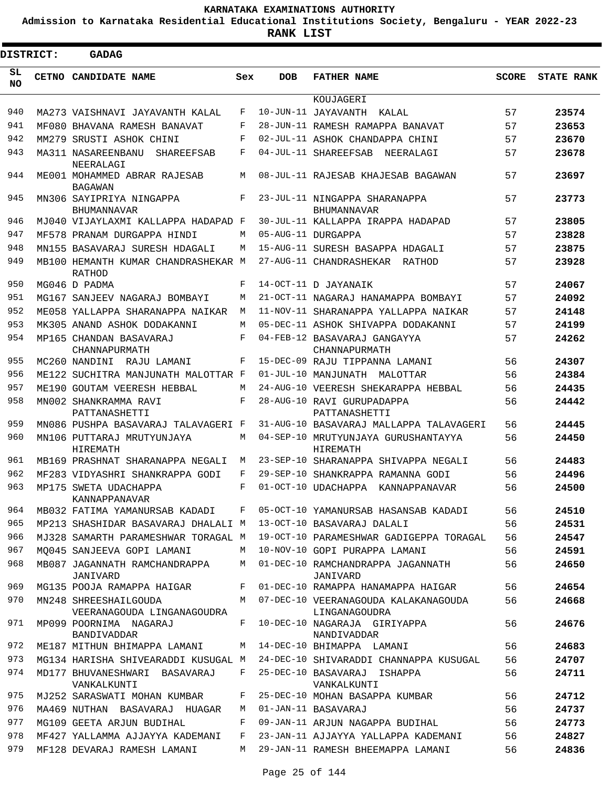**Admission to Karnataka Residential Educational Institutions Society, Bengaluru - YEAR 2022-23**

| <b>DISTRICT:</b> | GADAG                                                                       |     |            |                                                       |              |                   |
|------------------|-----------------------------------------------------------------------------|-----|------------|-------------------------------------------------------|--------------|-------------------|
| SL<br><b>NO</b>  | <b>CETNO CANDIDATE NAME</b>                                                 | Sex | <b>DOB</b> | <b>FATHER NAME</b>                                    | <b>SCORE</b> | <b>STATE RANK</b> |
|                  |                                                                             |     |            | KOUJAGERI                                             |              |                   |
| 940              | MA273 VAISHNAVI JAYAVANTH KALAL                                             | F   |            | 10-JUN-11 JAYAVANTH<br>KALAL                          | 57           | 23574             |
| 941              | MF080 BHAVANA RAMESH BANAVAT                                                | F   |            | 28-JUN-11 RAMESH RAMAPPA BANAVAT                      | 57           | 23653             |
| 942              | MM279 SRUSTI ASHOK CHINI                                                    | F   |            | 02-JUL-11 ASHOK CHANDAPPA CHINI                       | 57           | 23670             |
| 943              | MA311 NASAREENBANU<br><b>SHAREEFSAB</b><br>NEERALAGI                        | F   |            | 04-JUL-11 SHAREEFSAB<br>NEERALAGI                     | 57           | 23678             |
| 944              | ME001 MOHAMMED ABRAR RAJESAB<br><b>BAGAWAN</b>                              | M   |            | 08-JUL-11 RAJESAB KHAJESAB BAGAWAN                    | 57           | 23697             |
| 945              | MN306 SAYIPRIYA NINGAPPA<br><b>BHUMANNAVAR</b>                              | F   |            | 23-JUL-11 NINGAPPA SHARANAPPA<br>BHUMANNAVAR          | 57           | 23773             |
| 946              | MJ040 VIJAYLAXMI KALLAPPA HADAPAD F                                         |     |            | 30-JUL-11 KALLAPPA IRAPPA HADAPAD                     | 57           | 23805             |
| 947              | MF578 PRANAM DURGAPPA HINDI                                                 | M   |            | 05-AUG-11 DURGAPPA                                    | 57           | 23828             |
| 948              | MN155 BASAVARAJ SURESH HDAGALI                                              | М   |            | 15-AUG-11 SURESH BASAPPA HDAGALI                      | 57           | 23875             |
| 949              | MB100 HEMANTH KUMAR CHANDRASHEKAR M<br><b>RATHOD</b>                        |     |            | 27-AUG-11 CHANDRASHEKAR<br>RATHOD                     | 57           | 23928             |
| 950              | MG046 D PADMA                                                               | F   |            | 14-OCT-11 D JAYANAIK                                  | 57           | 24067             |
| 951              | MG167 SANJEEV NAGARAJ BOMBAYI                                               | М   |            | 21-OCT-11 NAGARAJ HANAMAPPA BOMBAYI                   | 57           | 24092             |
| 952              | ME058 YALLAPPA SHARANAPPA NAIKAR                                            | M   |            | 11-NOV-11 SHARANAPPA YALLAPPA NAIKAR                  | 57           | 24148             |
| 953              | MK305 ANAND ASHOK DODAKANNI                                                 | М   |            | 05-DEC-11 ASHOK SHIVAPPA DODAKANNI                    | 57           | 24199             |
| 954              | MP165 CHANDAN BASAVARAJ<br>CHANNAPURMATH                                    | F   |            | 04-FEB-12 BASAVARAJ GANGAYYA<br>CHANNAPURMATH         | 57           | 24262             |
| 955              | MC260 NANDINI<br>RAJU LAMANI                                                | F   |            | 15-DEC-09 RAJU TIPPANNA LAMANI                        | 56           | 24307             |
| 956              | ME122 SUCHITRA MANJUNATH MALOTTAR F                                         |     |            | 01-JUL-10 MANJUNATH MALOTTAR                          | 56           | 24384             |
| 957              | ME190 GOUTAM VEERESH HEBBAL                                                 | М   |            | 24-AUG-10 VEERESH SHEKARAPPA HEBBAL                   | 56           | 24435             |
| 958              | MN002 SHANKRAMMA RAVI<br>PATTANASHETTI                                      | F   |            | 28-AUG-10 RAVI GURUPADAPPA<br>PATTANASHETTI           | 56           | 24442             |
| 959              | MN086 PUSHPA BASAVARAJ TALAVAGERI F                                         |     |            | 31-AUG-10 BASAVARAJ MALLAPPA TALAVAGERI               | 56           | 24445             |
| 960              | MN106 PUTTARAJ MRUTYUNJAYA<br><b>HIREMATH</b>                               | M   |            | 04-SEP-10 MRUTYUNJAYA GURUSHANTAYYA<br>HIREMATH       | 56           | 24450             |
| 961              | MB169 PRASHNAT SHARANAPPA NEGALI                                            | М   |            | 23-SEP-10 SHARANAPPA SHIVAPPA NEGALI                  | 56           | 24483             |
| 962              | MF283 VIDYASHRI SHANKRAPPA GODI                                             | F   |            | 29-SEP-10 SHANKRAPPA RAMANNA GODI                     | 56           | 24496             |
| 963              | MP175 SWETA UDACHAPPA<br>KANNAPPANAVAR                                      | F   |            | 01-OCT-10 UDACHAPPA KANNAPPANAVAR                     | 56           | 24500             |
| 964              | MB032 FATIMA YAMANURSAB KADADI     F   05-OCT-10 YAMANURSAB HASANSAB KADADI |     |            |                                                       | 56           | 24510             |
| 965              | MP213 SHASHIDAR BASAVARAJ DHALALI M                                         |     |            | 13-OCT-10 BASAVARAJ DALALI                            | 56           | 24531             |
| 966              | MJ328 SAMARTH PARAMESHWAR TORAGAL M                                         |     |            | 19-OCT-10 PARAMESHWAR GADIGEPPA TORAGAL               | 56           | 24547             |
| 967              | MO045 SANJEEVA GOPI LAMANI                                                  | М   |            | 10-NOV-10 GOPI PURAPPA LAMANI                         | 56           | 24591             |
| 968              | MB087 JAGANNATH RAMCHANDRAPPA<br>JANIVARD                                   | M   |            | 01-DEC-10 RAMCHANDRAPPA JAGANNATH<br>JANIVARD         | 56           | 24650             |
| 969              | MG135 POOJA RAMAPPA HAIGAR                                                  | F   |            | 01-DEC-10 RAMAPPA HANAMAPPA HAIGAR                    | 56           | 24654             |
| 970              | MN248 SHREESHAILGOUDA<br>VEERANAGOUDA LINGANAGOUDRA                         | M   |            | 07-DEC-10 VEERANAGOUDA KALAKANAGOUDA<br>LINGANAGOUDRA | 56           | 24668             |
| 971              | MP099 POORNIMA NAGARAJ<br>BANDIVADDAR                                       | F   |            | 10-DEC-10 NAGARAJA GIRIYAPPA<br>NANDIVADDAR           | 56           | 24676             |
| 972              | ME187 MITHUN BHIMAPPA LAMANI                                                | М   |            | 14-DEC-10 BHIMAPPA LAMANI                             | 56           | 24683             |
| 973              | MG134 HARISHA SHIVEARADDI KUSUGAL M                                         |     |            | 24-DEC-10 SHIVARADDI CHANNAPPA KUSUGAL                | 56           | 24707             |
| 974              | MD177 BHUVANESHWARI BASAVARAJ<br>VANKALKUNTI                                | F   |            | 25-DEC-10 BASAVARAJ ISHAPPA<br>VANKALKUNTI            | 56           | 24711             |
| 975              | MJ252 SARASWATI MOHAN KUMBAR                                                | F   |            | 25-DEC-10 MOHAN BASAPPA KUMBAR                        | 56           | 24712             |
| 976              | MA469 NUTHAN BASAVARAJ HUAGAR                                               | M   |            | 01-JAN-11 BASAVARAJ                                   | 56           | 24737             |
| 977              | MG109 GEETA ARJUN BUDIHAL                                                   | F   |            | 09-JAN-11 ARJUN NAGAPPA BUDIHAL                       | 56           | 24773             |
| 978              | MF427 YALLAMMA AJJAYYA KADEMANI                                             | F   |            | 23-JAN-11 AJJAYYA YALLAPPA KADEMANI                   | 56           | 24827             |
| 979              | MF128 DEVARAJ RAMESH LAMANI                                                 | M   |            | 29-JAN-11 RAMESH BHEEMAPPA LAMANI                     | 56           | 24836             |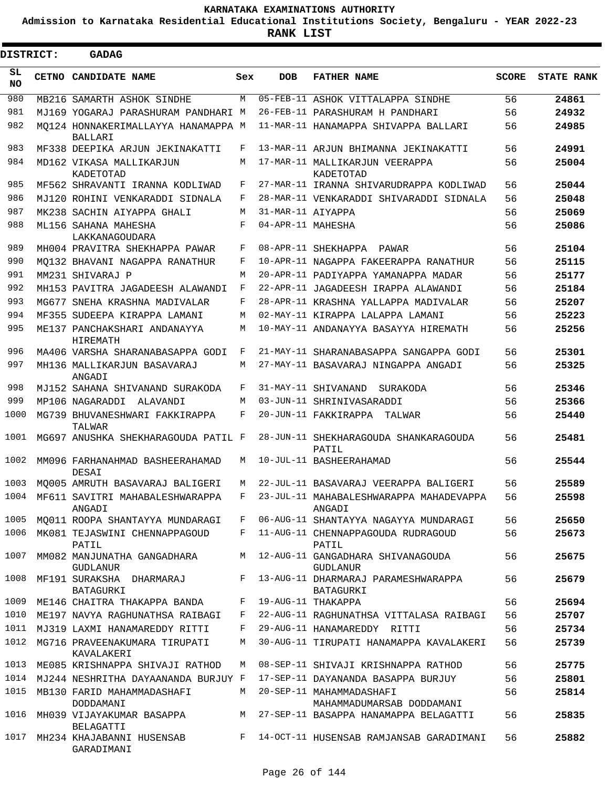**Admission to Karnataka Residential Educational Institutions Society, Bengaluru - YEAR 2022-23**

 $\blacksquare$ 

**RANK LIST**

| <b>DISTRICT:</b> | <b>GADAG</b>                                         |     |                   |                                                                    |              |                   |
|------------------|------------------------------------------------------|-----|-------------------|--------------------------------------------------------------------|--------------|-------------------|
| SL<br>NO.        | CETNO CANDIDATE NAME                                 | Sex | <b>DOB</b>        | <b>FATHER NAME</b>                                                 | <b>SCORE</b> | <b>STATE RANK</b> |
| 980              | MB216 SAMARTH ASHOK SINDHE                           | M   |                   | 05-FEB-11 ASHOK VITTALAPPA SINDHE                                  | 56           | 24861             |
| 981              | MJ169 YOGARAJ PARASHURAM PANDHARI M                  |     |                   | 26-FEB-11 PARASHURAM H PANDHARI                                    | 56           | 24932             |
| 982              | MO124 HONNAKERIMALLAYYA HANAMAPPA M<br>BALLARI       |     |                   | 11-MAR-11 HANAMAPPA SHIVAPPA BALLARI                               | 56           | 24985             |
| 983              | MF338 DEEPIKA ARJUN JEKINAKATTI                      | F   |                   | 13-MAR-11 ARJUN BHIMANNA JEKINAKATTI                               | 56           | 24991             |
| 984              | MD162 VIKASA MALLIKARJUN<br>KADETOTAD                | М   |                   | 17-MAR-11 MALLIKARJUN VEERAPPA<br>KADETOTAD                        | 56           | 25004             |
| 985              | MF562 SHRAVANTI IRANNA KODLIWAD                      | F   |                   | 27-MAR-11 IRANNA SHIVARUDRAPPA KODLIWAD                            | 56           | 25044             |
| 986              | MJ120 ROHINI VENKARADDI SIDNALA                      | F   |                   | 28-MAR-11 VENKARADDI SHIVARADDI SIDNALA                            | 56           | 25048             |
| 987              | MK238 SACHIN AIYAPPA GHALI                           | M   | 31-MAR-11 AIYAPPA |                                                                    | 56           | 25069             |
| 988              | ML156 SAHANA MAHESHA<br>LAKKANAGOUDARA               | F   | 04-APR-11 MAHESHA |                                                                    | 56           | 25086             |
| 989              | MH004 PRAVITRA SHEKHAPPA PAWAR                       | F   |                   | 08-APR-11 SHEKHAPPA PAWAR                                          | 56           | 25104             |
| 990              | MQ132 BHAVANI NAGAPPA RANATHUR                       | F   |                   | 10-APR-11 NAGAPPA FAKEERAPPA RANATHUR                              | 56           | 25115             |
| 991              | MM231 SHIVARAJ P                                     | M   |                   | 20-APR-11 PADIYAPPA YAMANAPPA MADAR                                | 56           | 25177             |
| 992              | MH153 PAVITRA JAGADEESH ALAWANDI                     | F   |                   | 22-APR-11 JAGADEESH IRAPPA ALAWANDI                                | 56           | 25184             |
| 993              | MG677 SNEHA KRASHNA MADIVALAR                        | F   |                   | 28-APR-11 KRASHNA YALLAPPA MADIVALAR                               | 56           | 25207             |
| 994              | MF355 SUDEEPA KIRAPPA LAMANI                         | M   |                   | 02-MAY-11 KIRAPPA LALAPPA LAMANI                                   | 56           | 25223             |
| 995              | ME137 PANCHAKSHARI ANDANAYYA<br>HIREMATH             | M   |                   | 10-MAY-11 ANDANAYYA BASAYYA HIREMATH                               | 56           | 25256             |
| 996              | MA406 VARSHA SHARANABASAPPA GODI                     | F   |                   | 21-MAY-11 SHARANABASAPPA SANGAPPA GODI                             | 56           | 25301             |
| 997              | MH136 MALLIKARJUN BASAVARAJ<br>ANGADI                | М   |                   | 27-MAY-11 BASAVARAJ NINGAPPA ANGADI                                | 56           | 25325             |
| 998              | MJ152 SAHANA SHIVANAND SURAKODA                      | F   |                   | 31-MAY-11 SHIVANAND SURAKODA                                       | 56           | 25346             |
| 999              | MP106 NAGARADDI ALAVANDI                             | M   |                   | 03-JUN-11 SHRINIVASARADDI                                          | 56           | 25366             |
| 1000             | MG739 BHUVANESHWARI FAKKIRAPPA<br>TALWAR             | F   |                   | 20-JUN-11 FAKKIRAPPA<br>TALWAR                                     | 56           | 25440             |
| 1001             | MG697 ANUSHKA SHEKHARAGOUDA PATIL F                  |     |                   | 28-JUN-11 SHEKHARAGOUDA SHANKARAGOUDA<br>PATIL                     | 56           | 25481             |
| 1002             | MM096 FARHANAHMAD BASHEERAHAMAD<br>DESAI             | М   |                   | 10-JUL-11 BASHEERAHAMAD                                            | 56           | 25544             |
|                  | 1003 MQ005 AMRUTH BASAVARAJ BALIGERI                 | М   |                   | 22-JUL-11 BASAVARAJ VEERAPPA BALIGERI                              | 56           | 25589             |
|                  | 1004 MF611 SAVITRI MAHABALESHWARAPPA<br>ANGADI       |     |                   | F 23-JUL-11 MAHABALESHWARAPPA MAHADEVAPPA<br>ANGADI                | 56           | 25598             |
| 1005             | MQ011 ROOPA SHANTAYYA MUNDARAGI                      | F   |                   | 06-AUG-11 SHANTAYYA NAGAYYA MUNDARAGI                              | 56           | 25650             |
| 1006             | MK081 TEJASWINI CHENNAPPAGOUD<br>PATIL               | F   |                   | 11-AUG-11 CHENNAPPAGOUDA RUDRAGOUD<br>PATIL                        | 56           | 25673             |
| 1007             | MM082 MANJUNATHA GANGADHARA<br>GUDLANUR              | М   |                   | 12-AUG-11 GANGADHARA SHIVANAGOUDA<br><b>GUDLANUR</b>               | 56           | 25675             |
| 1008             | MF191 SURAKSHA DHARMARAJ<br>BATAGURKI                | F   |                   | 13-AUG-11 DHARMARAJ PARAMESHWARAPPA<br>BATAGURKI                   | 56           | 25679             |
| 1009             | ME146 CHAITRA THAKAPPA BANDA                         | F   |                   | 19-AUG-11 THAKAPPA                                                 | 56           | 25694             |
| 1010             | ME197 NAVYA RAGHUNATHSA RAIBAGI                      | F   |                   | 22-AUG-11 RAGHUNATHSA VITTALASA RAIBAGI                            | 56           | 25707             |
| 1011             | MJ319 LAXMI HANAMAREDDY RITTI                        | F   |                   | 29-AUG-11 HANAMAREDDY RITTI                                        | 56           | 25734             |
| 1012             | MG716 PRAVEENAKUMARA TIRUPATI<br>KAVALAKERI          | M   |                   | 30-AUG-11 TIRUPATI HANAMAPPA KAVALAKERI                            | 56           | 25739             |
| 1013             | ME085 KRISHNAPPA SHIVAJI RATHOD                      | М   |                   | 08-SEP-11 SHIVAJI KRISHNAPPA RATHOD                                | 56           | 25775             |
| 1014             | MJ244 NESHRITHA DAYAANANDA BURJUY F                  |     |                   | 17-SEP-11 DAYANANDA BASAPPA BURJUY                                 | 56           | 25801             |
| 1015             | MB130 FARID MAHAMMADASHAFI                           | M   |                   | 20-SEP-11 MAHAMMADASHAFI                                           | 56           | 25814             |
| 1016             | DODDAMANI<br>MH039 VIJAYAKUMAR BASAPPA               | М   |                   | MAHAMMADUMARSAB DODDAMANI<br>27-SEP-11 BASAPPA HANAMAPPA BELAGATTI | 56           | 25835             |
| 1017             | BELAGATTI<br>MH234 KHAJABANNI HUSENSAB<br>GARADIMANI | F   |                   | 14-OCT-11 HUSENSAB RAMJANSAB GARADIMANI                            | 56           | 25882             |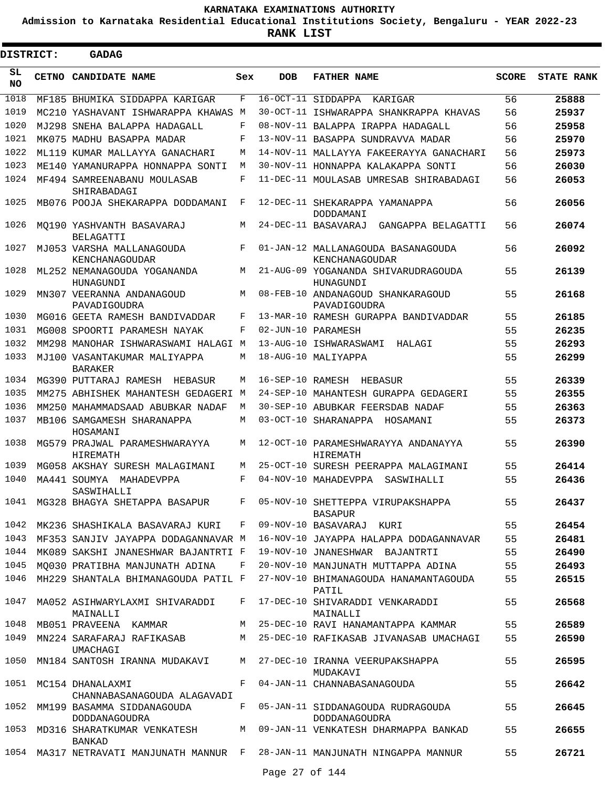**Admission to Karnataka Residential Educational Institutions Society, Bengaluru - YEAR 2022-23**

| <b>DISTRICT:</b> | <b>GADAG</b>                                                                |     |            |                                                         |              |                   |
|------------------|-----------------------------------------------------------------------------|-----|------------|---------------------------------------------------------|--------------|-------------------|
| SL<br><b>NO</b>  | CETNO CANDIDATE NAME                                                        | Sex | <b>DOB</b> | <b>FATHER NAME</b>                                      | <b>SCORE</b> | <b>STATE RANK</b> |
| 1018             | MF185 BHUMIKA SIDDAPPA KARIGAR                                              | F   |            | 16-OCT-11 SIDDAPPA<br>KARIGAR                           | 56           | 25888             |
| 1019             | MC210 YASHAVANT ISHWARAPPA KHAWAS M                                         |     |            | 30-OCT-11 ISHWARAPPA SHANKRAPPA KHAVAS                  | 56           | 25937             |
| 1020             | MJ298 SNEHA BALAPPA HADAGALL                                                | F   |            | 08-NOV-11 BALAPPA IRAPPA HADAGALL                       | 56           | 25958             |
| 1021             | MK075 MADHU BASAPPA MADAR                                                   | F   |            | 13-NOV-11 BASAPPA SUNDRAVVA MADAR                       | 56           | 25970             |
| 1022             | ML119 KUMAR MALLAYYA GANACHARI                                              | M   |            | 14-NOV-11 MALLAYYA FAKEERAYYA GANACHARI                 | 56           | 25973             |
| 1023             | ME140 YAMANURAPPA HONNAPPA SONTI                                            | M   |            | 30-NOV-11 HONNAPPA KALAKAPPA SONTI                      | 56           | 26030             |
| 1024             | MF494 SAMREENABANU MOULASAB<br>SHIRABADAGI                                  | F   |            | 11-DEC-11 MOULASAB UMRESAB SHIRABADAGI                  | 56           | 26053             |
| 1025             | MB076 POOJA SHEKARAPPA DODDAMANI                                            | F   |            | 12-DEC-11 SHEKARAPPA YAMANAPPA<br>DODDAMANI             | 56           | 26056             |
| 1026             | MO190 YASHVANTH BASAVARAJ<br>BELAGATTI                                      | M   |            | 24-DEC-11 BASAVARAJ<br>GANGAPPA BELAGATTI               | 56           | 26074             |
| 1027             | MJ053 VARSHA MALLANAGOUDA<br>KENCHANAGOUDAR                                 | F   |            | 01-JAN-12 MALLANAGOUDA BASANAGOUDA<br>KENCHANAGOUDAR    | 56           | 26092             |
| 1028             | ML252 NEMANAGOUDA YOGANANDA<br>HUNAGUNDI                                    | M   |            | 21-AUG-09 YOGANANDA SHIVARUDRAGOUDA<br><b>HUNAGUNDI</b> | 55           | 26139             |
| 1029             | MN307 VEERANNA ANDANAGOUD<br>PAVADIGOUDRA                                   | M   |            | 08-FEB-10 ANDANAGOUD SHANKARAGOUD<br>PAVADIGOUDRA       | 55           | 26168             |
| 1030             | MG016 GEETA RAMESH BANDIVADDAR                                              | F   |            | 13-MAR-10 RAMESH GURAPPA BANDIVADDAR                    | 55           | 26185             |
| 1031             | MG008 SPOORTI PARAMESH NAYAK                                                | F   |            | 02-JUN-10 PARAMESH                                      | 55           | 26235             |
| 1032<br>1033     | MM298 MANOHAR ISHWARASWAMI HALAGI M<br>MJ100 VASANTAKUMAR MALIYAPPA         | M   |            | 13-AUG-10 ISHWARASWAMI<br>HALAGI<br>18-AUG-10 MALIYAPPA | 55<br>55     | 26293<br>26299    |
| 1034             | <b>BARAKER</b><br>MG390 PUTTARAJ RAMESH<br>HEBASUR                          | M   |            | 16-SEP-10 RAMESH HEBASUR                                | 55           | 26339             |
| 1035             | MM275 ABHISHEK MAHANTESH GEDAGERI M                                         |     |            | 24-SEP-10 MAHANTESH GURAPPA GEDAGERI                    | 55           | 26355             |
| 1036             | MM250 MAHAMMADSAAD ABUBKAR NADAF                                            | M   |            | 30-SEP-10 ABUBKAR FEERSDAB NADAF                        | 55           | 26363             |
| 1037             | MB106 SAMGAMESH SHARANAPPA<br>HOSAMANI                                      | M   |            | 03-OCT-10 SHARANAPPA HOSAMANI                           | 55           | 26373             |
| 1038             | MG579 PRAJWAL PARAMESHWARAYYA<br>HIREMATH                                   | M   |            | 12-OCT-10 PARAMESHWARAYYA ANDANAYYA<br>HIREMATH         | 55           | 26390             |
| 1039             | MG058 AKSHAY SURESH MALAGIMANI                                              | M   |            | 25-OCT-10 SURESH PEERAPPA MALAGIMANI                    | 55           | 26414             |
| 1040             | MA441 SOUMYA MAHADEVPPA<br>SASWIHALLI                                       | F   |            | 04-NOV-10 MAHADEVPPA<br>SASWIHALLI                      | 55           | 26436             |
| 1041             | MG328 BHAGYA SHETAPPA BASAPUR                                               | F   |            | 05-NOV-10 SHETTEPPA VIRUPAKSHAPPA<br>BASAPUR            | 55           | 26437             |
| 1042             | MK236 SHASHIKALA BASAVARAJ KURI                                             | F   |            | 09-NOV-10 BASAVARAJ KURI                                | 55           | 26454             |
| 1043             | MF353 SANJIV JAYAPPA DODAGANNAVAR M                                         |     |            | 16-NOV-10 JAYAPPA HALAPPA DODAGANNAVAR                  | 55           | 26481             |
| 1044             | MK089 SAKSHI JNANESHWAR BAJANTRTI F                                         |     |            | 19-NOV-10 JNANESHWAR BAJANTRTI                          | 55           | 26490             |
| 1045             | MO030 PRATIBHA MANJUNATH ADINA                                              | F   |            | 20-NOV-10 MANJUNATH MUTTAPPA ADINA                      | 55           | 26493             |
| 1046             | MH229 SHANTALA BHIMANAGOUDA PATIL F                                         |     |            | 27-NOV-10 BHIMANAGOUDA HANAMANTAGOUDA<br>PATIL          | 55           | 26515             |
| 1047             | MA052 ASIHWARYLAXMI SHIVARADDI<br>MAINALLI                                  | F   |            | 17-DEC-10 SHIVARADDI VENKARADDI<br>MAINALLI             | 55           | 26568             |
| 1048             | MB051 PRAVEENA KAMMAR                                                       | М   |            | 25-DEC-10 RAVI HANAMANTAPPA KAMMAR                      | 55           | 26589             |
| 1049             | MN224 SARAFARAJ RAFIKASAB<br>UMACHAGI                                       | M   |            | 25-DEC-10 RAFIKASAB JIVANASAB UMACHAGI                  | 55           | 26590             |
| 1050             | MN184 SANTOSH IRANNA MUDAKAVI                                               | М   |            | 27-DEC-10 IRANNA VEERUPAKSHAPPA<br>MUDAKAVI             | 55           | 26595             |
|                  | 1051 MC154 DHANALAXMI<br>CHANNABASANAGOUDA ALAGAVADI                        | F   |            | 04-JAN-11 CHANNABASANAGOUDA                             | 55           | 26642             |
|                  | 1052 MM199 BASAMMA SIDDANAGOUDA<br>DODDANAGOUDRA                            | F   |            | 05-JAN-11 SIDDANAGOUDA RUDRAGOUDA<br>DODDANAGOUDRA      | 55           | 26645             |
| 1053             | MD316 SHARATKUMAR VENKATESH<br>BANKAD                                       | M   |            | 09-JAN-11 VENKATESH DHARMAPPA BANKAD                    | 55           | 26655             |
|                  | 1054 MA317 NETRAVATI MANJUNATH MANNUR F 28-JAN-11 MANJUNATH NINGAPPA MANNUR |     |            |                                                         | 55           | 26721             |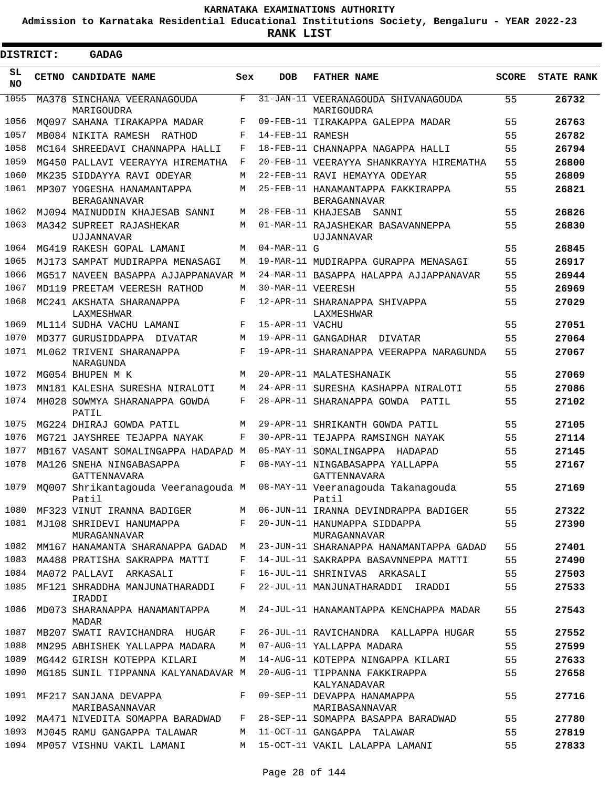**Admission to Karnataka Residential Educational Institutions Society, Bengaluru - YEAR 2022-23**

 $\blacksquare$ 

| <b>DISTRICT:</b> |  | <b>GADAG</b>                                                                    |         |                   |                                                   |              |                   |
|------------------|--|---------------------------------------------------------------------------------|---------|-------------------|---------------------------------------------------|--------------|-------------------|
| SL<br>NO         |  | CETNO CANDIDATE NAME                                                            | Sex     | <b>DOB</b>        | <b>FATHER NAME</b>                                | <b>SCORE</b> | <b>STATE RANK</b> |
| 1055             |  | MA378 SINCHANA VEERANAGOUDA<br>MARIGOUDRA                                       | F       |                   | 31-JAN-11 VEERANAGOUDA SHIVANAGOUDA<br>MARIGOUDRA | 55           | 26732             |
| 1056             |  | MO097 SAHANA TIRAKAPPA MADAR                                                    | F       |                   | 09-FEB-11 TIRAKAPPA GALEPPA MADAR                 | 55           | 26763             |
| 1057             |  | MB084 NIKITA RAMESH RATHOD                                                      | F       | 14-FEB-11 RAMESH  |                                                   | 55           | 26782             |
| 1058             |  | MC164 SHREEDAVI CHANNAPPA HALLI                                                 | F       |                   | 18-FEB-11 CHANNAPPA NAGAPPA HALLI                 | 55           | 26794             |
| 1059             |  | MG450 PALLAVI VEERAYYA HIREMATHA                                                | F       |                   | 20-FEB-11 VEERAYYA SHANKRAYYA HIREMATHA           | 55           | 26800             |
| 1060             |  | MK235 SIDDAYYA RAVI ODEYAR                                                      | M       |                   | 22-FEB-11 RAVI HEMAYYA ODEYAR                     | 55           | 26809             |
| 1061             |  | MP307 YOGESHA HANAMANTAPPA<br><b>BERAGANNAVAR</b>                               | M       |                   | 25-FEB-11 HANAMANTAPPA FAKKIRAPPA<br>BERAGANNAVAR | 55           | 26821             |
| 1062             |  | MJ094 MAINUDDIN KHAJESAB SANNI                                                  | M       |                   | 28-FEB-11 KHAJESAB SANNI                          | 55           | 26826             |
| 1063             |  | MA342 SUPREET RAJASHEKAR<br>UJJANNAVAR                                          | M       |                   | 01-MAR-11 RAJASHEKAR BASAVANNEPPA<br>UJJANNAVAR   | 55           | 26830             |
| 1064             |  | MG419 RAKESH GOPAL LAMANI                                                       | M       | $04-MAR-11$ G     |                                                   | 55           | 26845             |
| 1065             |  | MJ173 SAMPAT MUDIRAPPA MENASAGI                                                 | M       |                   | 19-MAR-11 MUDIRAPPA GURAPPA MENASAGI              | 55           | 26917             |
| 1066             |  | MG517 NAVEEN BASAPPA AJJAPPANAVAR M                                             |         |                   | 24-MAR-11 BASAPPA HALAPPA AJJAPPANAVAR            | 55           | 26944             |
| 1067             |  | MD119 PREETAM VEERESH RATHOD                                                    | M       | 30-MAR-11 VEERESH |                                                   | 55           | 26969             |
| 1068             |  | MC241 AKSHATA SHARANAPPA<br>LAXMESHWAR                                          | F       |                   | 12-APR-11 SHARANAPPA SHIVAPPA<br>LAXMESHWAR       | 55           | 27029             |
| 1069             |  | ML114 SUDHA VACHU LAMANI                                                        | F       | 15-APR-11 VACHU   |                                                   | 55           | 27051             |
| 1070             |  | MD377 GURUSIDDAPPA DIVATAR                                                      | M       |                   | 19-APR-11 GANGADHAR DIVATAR                       | 55           | 27064             |
| 1071             |  | ML062 TRIVENI SHARANAPPA<br>NARAGUNDA                                           | F       |                   | 19-APR-11 SHARANAPPA VEERAPPA NARAGUNDA           | 55           | 27067             |
| 1072             |  | MG054 BHUPEN M K                                                                | M       |                   | 20-APR-11 MALATESHANAIK                           | 55           | 27069             |
| 1073             |  | MN181 KALESHA SURESHA NIRALOTI                                                  | M       |                   | 24-APR-11 SURESHA KASHAPPA NIRALOTI               | 55           | 27086             |
| 1074             |  | MH028 SOWMYA SHARANAPPA GOWDA<br>PATIL                                          | F       |                   | 28-APR-11 SHARANAPPA GOWDA PATIL                  | 55           | 27102             |
| 1075             |  | MG224 DHIRAJ GOWDA PATIL                                                        | M       |                   | 29-APR-11 SHRIKANTH GOWDA PATIL                   | 55           | 27105             |
| 1076             |  | MG721 JAYSHREE TEJAPPA NAYAK                                                    | F       |                   | 30-APR-11 TEJAPPA RAMSINGH NAYAK                  | 55           | 27114             |
| 1077             |  | MB167 VASANT SOMALINGAPPA HADAPAD M                                             |         |                   | 05-MAY-11 SOMALINGAPPA HADAPAD                    | 55           | 27145             |
| 1078             |  | MA126 SNEHA NINGABASAPPA<br>GATTENNAVARA                                        | F       |                   | 08-MAY-11 NINGABASAPPA YALLAPPA<br>GATTENNAVARA   | 55           | 27167             |
| 1079             |  | MQ007 Shrikantagouda Veeranagouda M 08-MAY-11 Veeranagouda Takanagouda<br>Patil |         |                   | Patil                                             | 55           | 27169             |
| 1080             |  | MF323 VINUT IRANNA BADIGER                                                      |         |                   | M 06-JUN-11 IRANNA DEVINDRAPPA BADIGER            | 55           | 27322             |
|                  |  | 1081 MJ108 SHRIDEVI HANUMAPPA<br>MURAGANNAVAR                                   | $F$ and |                   | 20-JUN-11 HANUMAPPA SIDDAPPA<br>MURAGANNAVAR      | 55           | 27390             |
| 1082             |  | MM167 HANAMANTA SHARANAPPA GADAD                                                | M       |                   | 23-JUN-11 SHARANAPPA HANAMANTAPPA GADAD           | 55           | 27401             |
| 1083             |  | MA488 PRATISHA SAKRAPPA MATTI                                                   | F       |                   | 14-JUL-11 SAKRAPPA BASAVNNEPPA MATTI              | 55           | 27490             |
| 1084             |  | MA072 PALLAVI ARKASALI                                                          | F       |                   | 16-JUL-11 SHRINIVAS ARKASALI                      | 55           | 27503             |
| 1085             |  | MF121 SHRADDHA MANJUNATHARADDI<br>IRADDI                                        | F       |                   | 22-JUL-11 MANJUNATHARADDI IRADDI                  | 55           | 27533             |
| 1086             |  | MD073 SHARANAPPA HANAMANTAPPA<br>MADAR                                          | M       |                   | 24-JUL-11 HANAMANTAPPA KENCHAPPA MADAR            | 55           | 27543             |
| 1087             |  | MB207 SWATI RAVICHANDRA HUGAR                                                   | F       |                   | 26-JUL-11 RAVICHANDRA KALLAPPA HUGAR              | 55           | 27552             |
| 1088             |  | MN295 ABHISHEK YALLAPPA MADARA                                                  | M       |                   | 07-AUG-11 YALLAPPA MADARA                         | 55           | 27599             |
| 1089             |  | MG442 GIRISH KOTEPPA KILARI                                                     | M       |                   | 14-AUG-11 KOTEPPA NINGAPPA KILARI                 | 55           | 27633             |
| 1090             |  | MG185 SUNIL TIPPANNA KALYANADAVAR M                                             |         |                   | 20-AUG-11 TIPPANNA FAKKIRAPPA<br>KALYANADAVAR     | 55           | 27658             |
| 1091             |  | MF217 SANJANA DEVAPPA<br>MARIBASANNAVAR                                         | F       |                   | 09-SEP-11 DEVAPPA HANAMAPPA<br>MARIBASANNAVAR     | 55           | 27716             |
| 1092             |  | MA471 NIVEDITA SOMAPPA BARADWAD                                                 | F       |                   | 28-SEP-11 SOMAPPA BASAPPA BARADWAD                | 55           | 27780             |
| 1093             |  | MJ045 RAMU GANGAPPA TALAWAR                                                     | M       |                   | 11-OCT-11 GANGAPPA TALAWAR                        | 55           | 27819             |
| 1094             |  | MP057 VISHNU VAKIL LAMANI                                                       | M       |                   | 15-OCT-11 VAKIL LALAPPA LAMANI                    | 55           | 27833             |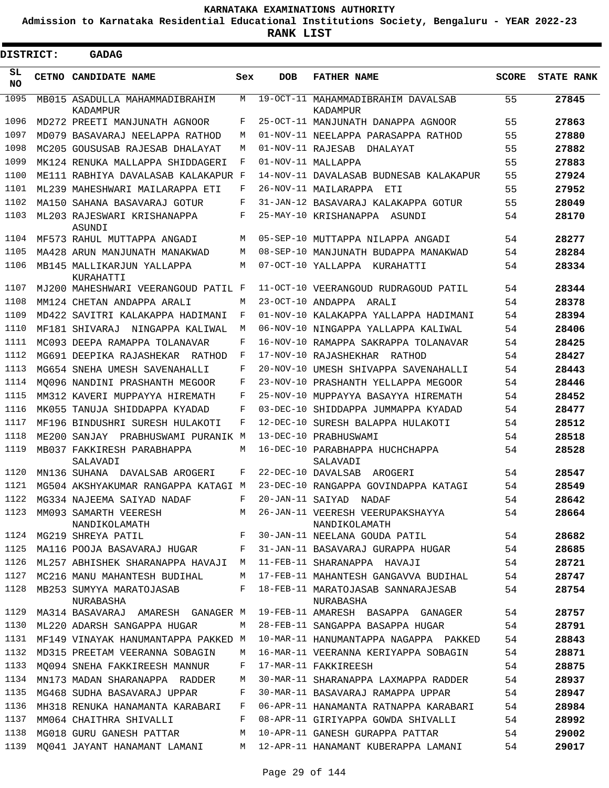**Admission to Karnataka Residential Educational Institutions Society, Bengaluru - YEAR 2022-23**

| <b>DISTRICT:</b> | <b>GADAG</b>                               |     |                   |                                                   |              |                   |
|------------------|--------------------------------------------|-----|-------------------|---------------------------------------------------|--------------|-------------------|
| SL<br><b>NO</b>  | CETNO CANDIDATE NAME                       | Sex | <b>DOB</b>        | <b>FATHER NAME</b>                                | <b>SCORE</b> | <b>STATE RANK</b> |
| 1095             | MB015 ASADULLA MAHAMMADIBRAHIM<br>KADAMPUR | М   |                   | 19-OCT-11 MAHAMMADIBRAHIM DAVALSAB<br>KADAMPUR    | 55           | 27845             |
| 1096             | MD272 PREETI MANJUNATH AGNOOR              | F   |                   | 25-OCT-11 MANJUNATH DANAPPA AGNOOR                | 55           | 27863             |
| 1097             | MD079 BASAVARAJ NEELAPPA RATHOD            | M   |                   | 01-NOV-11 NEELAPPA PARASAPPA RATHOD               | 55           | 27880             |
| 1098             | MC205 GOUSUSAB RAJESAB DHALAYAT            | M   | 01-NOV-11 RAJESAB | DHALAYAT                                          | 55           | 27882             |
| 1099             | MK124 RENUKA MALLAPPA SHIDDAGERI           | F   |                   | 01-NOV-11 MALLAPPA                                | 55           | 27883             |
| 1100             | ME111 RABHIYA DAVALASAB KALAKAPUR F        |     |                   | 14-NOV-11 DAVALASAB BUDNESAB KALAKAPUR            | 55           | 27924             |
| 1101             | ML239 MAHESHWARI MAILARAPPA ETI            | F   |                   | 26-NOV-11 MAILARAPPA ETI                          | 55           | 27952             |
| 1102             | MA150 SAHANA BASAVARAJ GOTUR               | F   |                   | 31-JAN-12 BASAVARAJ KALAKAPPA GOTUR               | 55           | 28049             |
| 1103             | ML203 RAJESWARI KRISHANAPPA<br>ASUNDI      | F   |                   | 25-MAY-10 KRISHANAPPA ASUNDI                      | 54           | 28170             |
| 1104             | MF573 RAHUL MUTTAPPA ANGADI                | М   |                   | 05-SEP-10 MUTTAPPA NILAPPA ANGADI                 | 54           | 28277             |
| 1105             | MA428 ARUN MANJUNATH MANAKWAD              | M   |                   | 08-SEP-10 MANJUNATH BUDAPPA MANAKWAD              | 54           | 28284             |
| 1106             | MB145 MALLIKARJUN YALLAPPA<br>KURAHATTI    | M   |                   | 07-OCT-10 YALLAPPA<br>KURAHATTI                   | 54           | 28334             |
| 1107             | MJ200 MAHESHWARI VEERANGOUD PATIL F        |     |                   | 11-OCT-10 VEERANGOUD RUDRAGOUD PATIL              | 54           | 28344             |
| 1108             | MM124 CHETAN ANDAPPA ARALI                 | M   |                   | 23-OCT-10 ANDAPPA ARALI                           | 54           | 28378             |
| 1109             | MD422 SAVITRI KALAKAPPA HADIMANI           | F   |                   | 01-NOV-10 KALAKAPPA YALLAPPA HADIMANI             | 54           | 28394             |
| 1110             | MF181 SHIVARAJ<br>NINGAPPA KALIWAL         | М   |                   | 06-NOV-10 NINGAPPA YALLAPPA KALIWAL               | 54           | 28406             |
| 1111             | MC093 DEEPA RAMAPPA TOLANAVAR              | F   |                   | 16-NOV-10 RAMAPPA SAKRAPPA TOLANAVAR              | 54           | 28425             |
| 1112             | MG691 DEEPIKA RAJASHEKAR<br>RATHOD         | F   |                   | 17-NOV-10 RAJASHEKHAR<br>RATHOD                   | 54           | 28427             |
| 1113             | MG654 SNEHA UMESH SAVENAHALLI              | F   |                   | 20-NOV-10 UMESH SHIVAPPA SAVENAHALLI              | 54           | 28443             |
| 1114             | MO096 NANDINI PRASHANTH MEGOOR             | F   |                   | 23-NOV-10 PRASHANTH YELLAPPA MEGOOR               | 54           | 28446             |
| 1115             | MM312 KAVERI MUPPAYYA HIREMATH             | F   |                   | 25-NOV-10 MUPPAYYA BASAYYA HIREMATH               | 54           | 28452             |
| 1116             | MK055 TANUJA SHIDDAPPA KYADAD              | F   | $03 - DEC - 10$   | SHIDDAPPA JUMMAPPA KYADAD                         | 54           | 28477             |
| 1117             | MF196 BINDUSHRI SURESH HULAKOTI            | F   |                   | 12-DEC-10 SURESH BALAPPA HULAKOTI                 | 54           | 28512             |
| 1118             | ME200 SANJAY<br>PRABHUSWAMI PURANIK M      |     |                   | 13-DEC-10 PRABHUSWAMI                             | 54           | 28518             |
| 1119             | MB037 FAKKIRESH PARABHAPPA<br>SALAVADI     | М   |                   | 16-DEC-10 PARABHAPPA HUCHCHAPPA<br>SALAVADI       | 54           | 28528             |
| 1120             | MN136 SUHANA DAVALSAB AROGERI              | F   |                   | 22-DEC-10 DAVALSAB<br>AROGERI                     | 54           | 28547             |
| 1121             | MG504 AKSHYAKUMAR RANGAPPA KATAGI M        |     |                   | 23-DEC-10 RANGAPPA GOVINDAPPA KATAGI              | 54           | 28549             |
| 1122             | MG334 NAJEEMA SAIYAD NADAF                 | F   |                   | 20-JAN-11 SAIYAD NADAF                            | 54           | 28642             |
| 1123             | MM093 SAMARTH VEERESH<br>NANDIKOLAMATH     | M   |                   | 26-JAN-11 VEERESH VEERUPAKSHAYYA<br>NANDIKOLAMATH | 54           | 28664             |
| 1124             | MG219 SHREYA PATIL                         | F   |                   | 30-JAN-11 NEELANA GOUDA PATIL                     | 54           | 28682             |
| 1125             | MA116 POOJA BASAVARAJ HUGAR                | F   |                   | 31-JAN-11 BASAVARAJ GURAPPA HUGAR                 | 54           | 28685             |
| 1126             | ML257 ABHISHEK SHARANAPPA HAVAJI M         |     |                   | 11-FEB-11 SHARANAPPA HAVAJI                       | 54           | 28721             |
| 1127             | MC216 MANU MAHANTESH BUDIHAL               | М   |                   | 17-FEB-11 MAHANTESH GANGAVVA BUDIHAL              | 54           | 28747             |
| 1128             | MB253 SUMYYA MARATOJASAB<br>NURABASHA      | F   |                   | 18-FEB-11 MARATOJASAB SANNARAJESAB<br>NURABASHA   | 54           | 28754             |
| 1129             | MA314 BASAVARAJ AMARESH GANAGER M          |     |                   | 19-FEB-11 AMARESH BASAPPA GANAGER                 | 54           | 28757             |
| 1130             | ML220 ADARSH SANGAPPA HUGAR                | M   |                   | 28-FEB-11 SANGAPPA BASAPPA HUGAR                  | 54           | 28791             |
| 1131             | MF149 VINAYAK HANUMANTAPPA PAKKED M        |     |                   | 10-MAR-11 HANUMANTAPPA NAGAPPA PAKKED             | 54           | 28843             |
| 1132             | MD315 PREETAM VEERANNA SOBAGIN             | М   |                   | 16-MAR-11 VEERANNA KERIYAPPA SOBAGIN              | 54           | 28871             |
| 1133             | MO094 SNEHA FAKKIREESH MANNUR              | F   |                   | 17-MAR-11 FAKKIREESH                              | 54           | 28875             |
| 1134             | MN173 MADAN SHARANAPPA RADDER              | M   |                   | 30-MAR-11 SHARANAPPA LAXMAPPA RADDER              | 54           | 28937             |
| 1135             | MG468 SUDHA BASAVARAJ UPPAR                | F   |                   | 30-MAR-11 BASAVARAJ RAMAPPA UPPAR                 | 54           | 28947             |
| 1136             | MH318 RENUKA HANAMANTA KARABARI            | F   |                   | 06-APR-11 HANAMANTA RATNAPPA KARABARI             | 54           | 28984             |
| 1137             | MM064 CHAITHRA SHIVALLI                    | F   |                   | 08-APR-11 GIRIYAPPA GOWDA SHIVALLI                | 54           | 28992             |
| 1138             | MG018 GURU GANESH PATTAR                   | M   |                   | 10-APR-11 GANESH GURAPPA PATTAR                   | 54           | 29002             |
| 1139             | MQ041 JAYANT HANAMANT LAMANI               | M   |                   | 12-APR-11 HANAMANT KUBERAPPA LAMANI               | 54           | 29017             |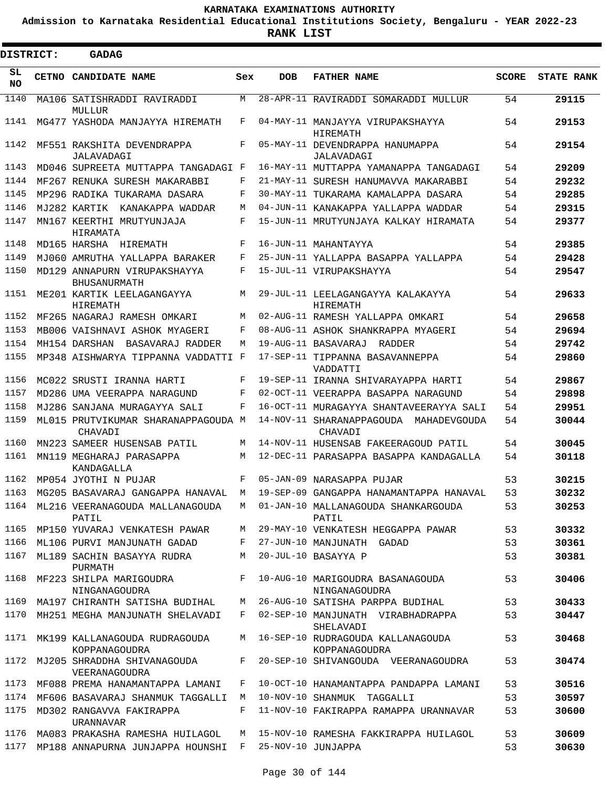**Admission to Karnataka Residential Educational Institutions Society, Bengaluru - YEAR 2022-23**

**RANK LIST**

| <b>DISTRICT:</b> | <b>GADAG</b>                                        |     |            |                                                                                 |              |                   |
|------------------|-----------------------------------------------------|-----|------------|---------------------------------------------------------------------------------|--------------|-------------------|
| SL<br><b>NO</b>  | CETNO CANDIDATE NAME                                | Sex | <b>DOB</b> | <b>FATHER NAME</b>                                                              | <b>SCORE</b> | <b>STATE RANK</b> |
| 1140             | MA106 SATISHRADDI RAVIRADDI<br>MULLUR               | M   |            | 28-APR-11 RAVIRADDI SOMARADDI MULLUR                                            | 54           | 29115             |
| 1141             | MG477 YASHODA MANJAYYA HIREMATH                     | F   |            | 04-MAY-11 MANJAYYA VIRUPAKSHAYYA<br>HIREMATH                                    | 54           | 29153             |
| 1142             | MF551 RAKSHITA DEVENDRAPPA<br>JALAVADAGI            | F   |            | 05-MAY-11 DEVENDRAPPA HANUMAPPA<br>JALAVADAGI                                   | 54           | 29154             |
| 1143             | MD046 SUPREETA MUTTAPPA TANGADAGI F                 |     |            | 16-MAY-11 MUTTAPPA YAMANAPPA TANGADAGI                                          | 54           | 29209             |
| 1144             | MF267 RENUKA SURESH MAKARABBI                       | F   |            | 21-MAY-11 SURESH HANUMAVVA MAKARABBI                                            | 54           | 29232             |
| 1145             | MP296 RADIKA TUKARAMA DASARA                        | F   |            | 30-MAY-11 TUKARAMA KAMALAPPA DASARA                                             | 54           | 29285             |
| 1146             | MJ282 KARTIK KANAKAPPA WADDAR                       | М   |            | 04-JUN-11 KANAKAPPA YALLAPPA WADDAR                                             | 54           | 29315             |
| 1147             | MN167 KEERTHI MRUTYUNJAJA<br>HIRAMATA               | F   |            | 15-JUN-11 MRUTYUNJAYA KALKAY HIRAMATA                                           | 54           | 29377             |
| 1148             | MD165 HARSHA HIREMATH                               | F   |            | 16-JUN-11 MAHANTAYYA                                                            | 54           | 29385             |
| 1149             | MJ060 AMRUTHA YALLAPPA BARAKER                      | F   |            | 25-JUN-11 YALLAPPA BASAPPA YALLAPPA                                             | 54           | 29428             |
| 1150             | MD129 ANNAPURN VIRUPAKSHAYYA<br><b>BHUSANURMATH</b> | F   |            | 15-JUL-11 VIRUPAKSHAYYA                                                         | 54           | 29547             |
| 1151             | ME201 KARTIK LEELAGANGAYYA<br><b>HIREMATH</b>       | M   |            | 29-JUL-11 LEELAGANGAYYA KALAKAYYA<br>HIREMATH                                   | 54           | 29633             |
| 1152             | MF265 NAGARAJ RAMESH OMKARI                         | M   |            | 02-AUG-11 RAMESH YALLAPPA OMKARI                                                | 54           | 29658             |
| 1153             | MB006 VAISHNAVI ASHOK MYAGERI                       | F   |            | 08-AUG-11 ASHOK SHANKRAPPA MYAGERI                                              | 54           | 29694             |
| 1154             | MH154 DARSHAN BASAVARAJ RADDER                      | M   |            | 19-AUG-11 BASAVARAJ RADDER                                                      | 54           | 29742             |
| 1155             | MP348 AISHWARYA TIPPANNA VADDATTI F                 |     |            | 17-SEP-11 TIPPANNA BASAVANNEPPA<br>VADDATTI                                     | 54           | 29860             |
| 1156             | MC022 SRUSTI IRANNA HARTI                           | F   |            | 19-SEP-11 IRANNA SHIVARAYAPPA HARTI                                             | 54           | 29867             |
| 1157             | MD286 UMA VEERAPPA NARAGUND                         | F   |            | 02-OCT-11 VEERAPPA BASAPPA NARAGUND                                             | 54           | 29898             |
| 1158             | MJ286 SANJANA MURAGAYYA SALI                        | F   |            | 16-OCT-11 MURAGAYYA SHANTAVEERAYYA SALI                                         | 54           | 29951             |
| 1159             | ML015 PRUTVIKUMAR SHARANAPPAGOUDA M<br>CHAVADI      |     |            | 14-NOV-11 SHARANAPPAGOUDA MAHADEVGOUDA<br>CHAVADI                               | 54           | 30044             |
| 1160             | MN223 SAMEER HUSENSAB PATIL                         | М   |            | 14-NOV-11 HUSENSAB FAKEERAGOUD PATIL                                            | 54           | 30045             |
| 1161             | MN119 MEGHARAJ PARASAPPA<br>KANDAGALLA              | M   |            | 12-DEC-11 PARASAPPA BASAPPA KANDAGALLA                                          | 54           | 30118             |
| 1162             | MP054 JYOTHI N PUJAR                                | F   |            | 05-JAN-09 NARASAPPA PUJAR                                                       | 53           | 30215             |
|                  |                                                     |     |            | 1163 MG205 BASAVARAJ GANGAPPA HANAVAL M 19-SEP-09 GANGAPPA HANAMANTAPPA HANAVAL | 53           | 30232             |
| 1164             | ML216 VEERANAGOUDA MALLANAGOUDA<br>PATIL            | M   |            | 01-JAN-10 MALLANAGOUDA SHANKARGOUDA<br>PATIL                                    | 53           | 30253             |
| 1165             | MP150 YUVARAJ VENKATESH PAWAR                       | M   |            | 29-MAY-10 VENKATESH HEGGAPPA PAWAR                                              | 53           | 30332             |
| 1166             | ML106 PURVI MANJUNATH GADAD                         | F   |            | 27-JUN-10 MANJUNATH GADAD                                                       | 53           | 30361             |
| 1167             | ML189 SACHIN BASAYYA RUDRA<br>PURMATH               | М   |            | 20-JUL-10 BASAYYA P                                                             | 53           | 30381             |
| 1168             | MF223 SHILPA MARIGOUDRA<br>NINGANAGOUDRA            | F   |            | 10-AUG-10 MARIGOUDRA BASANAGOUDA<br>NINGANAGOUDRA                               | 53           | 30406             |
| 1169             | MA197 CHIRANTH SATISHA BUDIHAL                      | M   |            | 26-AUG-10 SATISHA PARPPA BUDIHAL                                                | 53           | 30433             |
| 1170             | MH251 MEGHA MANJUNATH SHELAVADI                     | F   |            | 02-SEP-10 MANJUNATH VIRABHADRAPPA<br>SHELAVADI                                  | 53           | 30447             |
| 1171             | MK199 KALLANAGOUDA RUDRAGOUDA<br>KOPPANAGOUDRA      | M   |            | 16-SEP-10 RUDRAGOUDA KALLANAGOUDA<br>KOPPANAGOUDRA                              | 53           | 30468             |
| 1172             | MJ205 SHRADDHA SHIVANAGOUDA<br>VEERANAGOUDRA        | F   |            | 20-SEP-10 SHIVANGOUDA VEERANAGOUDRA                                             | 53           | 30474             |
| 1173             | MF088 PREMA HANAMANTAPPA LAMANI                     | F   |            | 10-OCT-10 HANAMANTAPPA PANDAPPA LAMANI                                          | 53           | 30516             |
| 1174             | MF606 BASAVARAJ SHANMUK TAGGALLI                    | M   |            | 10-NOV-10 SHANMUK TAGGALLI                                                      | 53           | 30597             |
| 1175             | MD302 RANGAVVA FAKIRAPPA<br>URANNAVAR               | F   |            | 11-NOV-10 FAKIRAPPA RAMAPPA URANNAVAR                                           | 53           | 30600             |
| 1176             | MA083 PRAKASHA RAMESHA HUILAGOL                     | M   |            | 15-NOV-10 RAMESHA FAKKIRAPPA HUILAGOL                                           | 53           | 30609             |
| 1177             | MP188 ANNAPURNA JUNJAPPA HOUNSHI F                  |     |            | 25-NOV-10 JUNJAPPA                                                              | 53           | 30630             |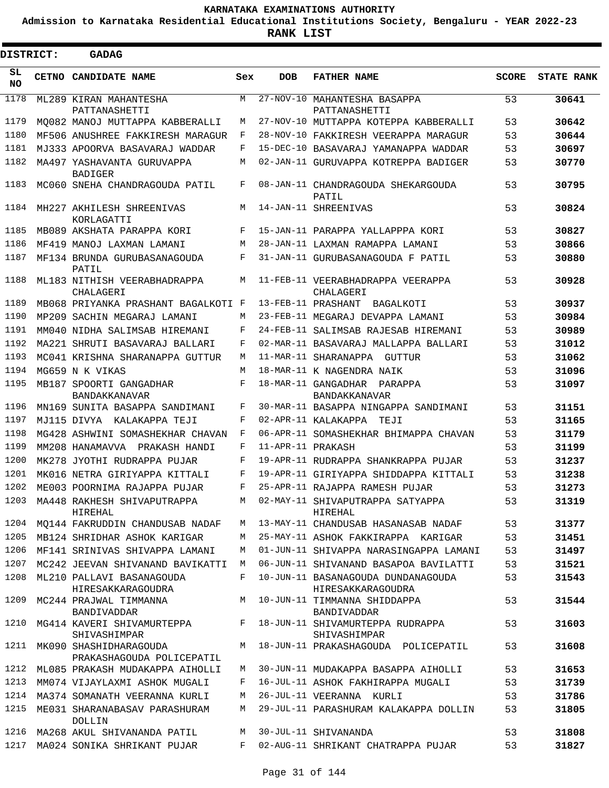**Admission to Karnataka Residential Educational Institutions Society, Bengaluru - YEAR 2022-23**

| DISTRICT:  | <b>GADAG</b>                                             |            |                   |                                                                                    |              |                   |
|------------|----------------------------------------------------------|------------|-------------------|------------------------------------------------------------------------------------|--------------|-------------------|
| SL.<br>NO. | CETNO CANDIDATE NAME                                     | Sex        | <b>DOB</b>        | <b>FATHER NAME</b>                                                                 | <b>SCORE</b> | <b>STATE RANK</b> |
| 1178       | ML289 KIRAN MAHANTESHA<br>PATTANASHETTI                  | M          |                   | 27-NOV-10 MAHANTESHA BASAPPA<br>PATTANASHETTI                                      | 53           | 30641             |
| 1179       | MO082 MANOJ MUTTAPPA KABBERALLI                          | M          |                   | 27-NOV-10 MUTTAPPA KOTEPPA KABBERALLI                                              | 53           | 30642             |
| 1180       | MF506 ANUSHREE FAKKIRESH MARAGUR                         | F          |                   | 28-NOV-10 FAKKIRESH VEERAPPA MARAGUR                                               | 53           | 30644             |
| 1181       | MJ333 APOORVA BASAVARAJ WADDAR                           | F          |                   | 15-DEC-10 BASAVARAJ YAMANAPPA WADDAR                                               | 53           | 30697             |
| 1182       | MA497 YASHAVANTA GURUVAPPA<br><b>BADIGER</b>             | M          |                   | 02-JAN-11 GURUVAPPA KOTREPPA BADIGER                                               | 53           | 30770             |
| 1183       | MC060 SNEHA CHANDRAGOUDA PATIL                           | F          |                   | 08-JAN-11 CHANDRAGOUDA SHEKARGOUDA<br>PATIL                                        | 53           | 30795             |
| 1184       | MH227 AKHILESH SHREENIVAS<br>KORLAGATTI                  | M          |                   | 14-JAN-11 SHREENIVAS                                                               | 53           | 30824             |
| 1185       | MB089 AKSHATA PARAPPA KORI                               | F          |                   | 15-JAN-11 PARAPPA YALLAPPPA KORI                                                   | 53           | 30827             |
| 1186       | MF419 MANOJ LAXMAN LAMANI                                | M          |                   | 28-JAN-11 LAXMAN RAMAPPA LAMANI                                                    | 53           | 30866             |
| 1187       | MF134 BRUNDA GURUBASANAGOUDA<br>PATIL                    | F          |                   | 31-JAN-11 GURUBASANAGOUDA F PATIL                                                  | 53           | 30880             |
| 1188       | ML183 NITHISH VEERABHADRAPPA<br>CHALAGERI                | M          |                   | 11-FEB-11 VEERABHADRAPPA VEERAPPA<br>CHALAGERI                                     | 53           | 30928             |
| 1189       | MB068 PRIYANKA PRASHANT BAGALKOTI F                      |            |                   | 13-FEB-11 PRASHANT<br>BAGALKOTI                                                    | 53           | 30937             |
| 1190       | MP209 SACHIN MEGARAJ LAMANI                              | M          |                   | 23-FEB-11 MEGARAJ DEVAPPA LAMANI                                                   | 53           | 30984             |
| 1191       | MM040 NIDHA SALIMSAB HIREMANI                            | F          |                   | 24-FEB-11 SALIMSAB RAJESAB HIREMANI                                                | 53           | 30989             |
| 1192       | MA221 SHRUTI BASAVARAJ BALLARI                           | F          |                   | 02-MAR-11 BASAVARAJ MALLAPPA BALLARI                                               | 53           | 31012             |
| 1193       | MC041 KRISHNA SHARANAPPA GUTTUR                          | M          |                   | 11-MAR-11 SHARANAPPA GUTTUR                                                        | 53           | 31062             |
| 1194       | MG659 N K VIKAS                                          | M          |                   | 18-MAR-11 K NAGENDRA NAIK                                                          | 53           | 31096             |
| 1195       | MB187 SPOORTI GANGADHAR<br>BANDAKKANAVAR                 | F          |                   | 18-MAR-11 GANGADHAR PARAPPA<br>BANDAKKANAVAR                                       | 53           | 31097             |
| 1196       | MN169 SUNITA BASAPPA SANDIMANI                           | F          |                   | 30-MAR-11 BASAPPA NINGAPPA SANDIMANI                                               | 53           | 31151             |
| 1197       | MJ115 DIVYA KALAKAPPA TEJI                               | F          |                   | 02-APR-11 KALAKAPPA<br>TEJI                                                        | 53           | 31165             |
| 1198       | MG428 ASHWINI SOMASHEKHAR CHAVAN                         | F          |                   | 06-APR-11 SOMASHEKHAR BHIMAPPA CHAVAN                                              | 53           | 31179             |
| 1199       | MM208 HANAMAVVA PRAKASH HANDI                            | F          | 11-APR-11 PRAKASH |                                                                                    | 53           | 31199             |
| 1200       | MK278 JYOTHI RUDRAPPA PUJAR                              | F          |                   | 19-APR-11 RUDRAPPA SHANKRAPPA PUJAR                                                | 53           | 31237             |
| 1201       | MK016 NETRA GIRIYAPPA KITTALI                            | $_{\rm F}$ |                   | 19-APR-11 GIRIYAPPA SHIDDAPPA KITTALI                                              | 53           | 31238             |
| 1202       | ME003 POORNIMA RAJAPPA PUJAR                             | $_{\rm F}$ |                   | 25-APR-11 RAJAPPA RAMESH PUJAR                                                     | 53           | 31273             |
|            | 1203 MA448 RAKHESH SHIVAPUTRAPPA<br>HIREHAL              |            |                   | M 02-MAY-11 SHIVAPUTRAPPA SATYAPPA<br>HIREHAL                                      | 53           | 31319             |
|            | 1204 MQ144 FAKRUDDIN CHANDUSAB NADAF                     |            |                   | M 13-MAY-11 CHANDUSAB HASANASAB NADAF                                              | 53           | 31377             |
| 1205       | MB124 SHRIDHAR ASHOK KARIGAR                             | M          |                   | 25-MAY-11 ASHOK FAKKIRAPPA KARIGAR                                                 | 53           | 31451             |
| 1206       | MF141 SRINIVAS SHIVAPPA LAMANI                           | M          |                   | 01-JUN-11 SHIVAPPA NARASINGAPPA LAMANI                                             | 53           | 31497             |
|            | 1207 MC242 JEEVAN SHIVANAND BAVIKATTI M                  |            |                   | 06-JUN-11 SHIVANAND BASAPOA BAVILATTI                                              | 53           | 31521             |
| 1208       | ML210 PALLAVI BASANAGOUDA<br>HIRESAKKARAGOUDRA           | $F$ –      |                   | 10-JUN-11 BASANAGOUDA DUNDANAGOUDA<br>HIRESAKKARAGOUDRA                            | 53           | 31543             |
|            | 1209 MC244 PRAJWAL TIMMANNA<br>BANDIVADDAR               |            |                   | M 10-JUN-11 TIMMANNA SHIDDAPPA<br>BANDIVADDAR                                      | 53           | 31544             |
|            | SHIVASHIMPAR                                             |            |                   | 1210 MG414 KAVERI SHIVAMURTEPPA F 18-JUN-11 SHIVAMURTEPPA RUDRAPPA<br>SHIVASHIMPAR | 53           | 31603             |
|            | 1211 MK090 SHASHIDHARAGOUDA<br>PRAKASHAGOUDA POLICEPATIL | M          |                   | 18-JUN-11 PRAKASHAGOUDA POLICEPATIL                                                | 53           | 31608             |
|            | 1212 ML085 PRAKASH MUDAKAPPA AIHOLLI                     | M          |                   | 30-JUN-11 MUDAKAPPA BASAPPA AIHOLLI                                                | 53           | 31653             |
| 1213       | MM074 VIJAYLAXMI ASHOK MUGALI                            | F          |                   | 16-JUL-11 ASHOK FAKHIRAPPA MUGALI                                                  | 53           | 31739             |
|            | 1214 MA374 SOMANATH VEERANNA KURLI                       | M          |                   | 26-JUL-11 VEERANNA KURLI                                                           | 53           | 31786             |
| 1215       | ME031 SHARANABASAV PARASHURAM<br>DOLLIN                  | M          |                   | 29-JUL-11 PARASHURAM KALAKAPPA DOLLIN                                              | 53           | 31805             |
|            | 1216 MA268 AKUL SHIVANANDA PATIL                         |            |                   | M 30-JUL-11 SHIVANANDA                                                             | 53           | 31808             |
|            | 1217 MA024 SONIKA SHRIKANT PUJAR                         |            |                   | F 02-AUG-11 SHRIKANT CHATRAPPA PUJAR                                               | 53           | 31827             |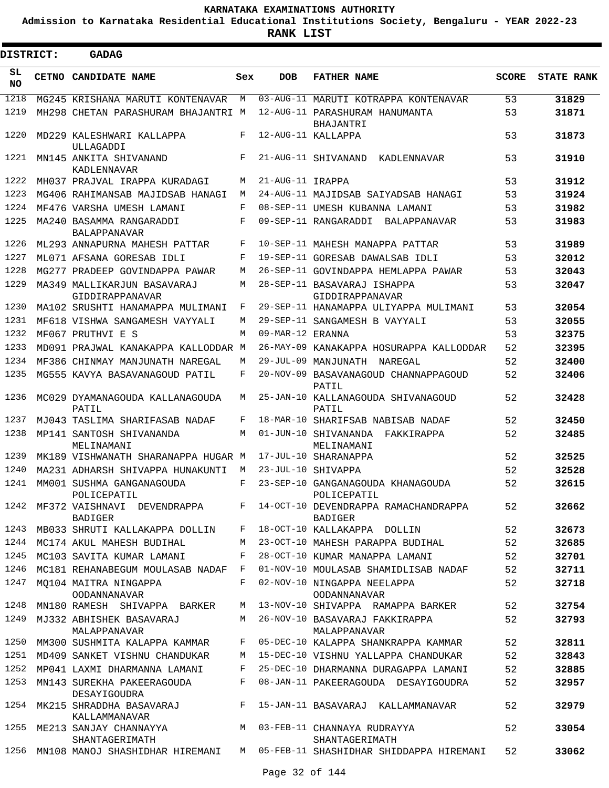**Admission to Karnataka Residential Educational Institutions Society, Bengaluru - YEAR 2022-23**

**RANK LIST**

| <b>DISTRICT:</b> | <b>GADAG</b>                                                                |         |                  |                                                                                           |              |                   |
|------------------|-----------------------------------------------------------------------------|---------|------------------|-------------------------------------------------------------------------------------------|--------------|-------------------|
| SL<br>NO.        | CETNO CANDIDATE NAME                                                        | Sex     | <b>DOB</b>       | <b>FATHER NAME</b>                                                                        | <b>SCORE</b> | <b>STATE RANK</b> |
| 1218             | MG245 KRISHANA MARUTI KONTENAVAR                                            | М       |                  | 03-AUG-11 MARUTI KOTRAPPA KONTENAVAR                                                      | 53           | 31829             |
| 1219             | MH298 CHETAN PARASHURAM BHAJANTRI M                                         |         |                  | 12-AUG-11 PARASHURAM HANUMANTA                                                            | 53           | 31871             |
| 1220             | MD229 KALESHWARI KALLAPPA                                                   | F       |                  | BHAJANTRI<br>12-AUG-11 KALLAPPA                                                           | 53           | 31873             |
| 1221             | ULLAGADDI<br>MN145 ANKITA SHIVANAND<br>KADLENNAVAR                          | F       |                  | 21-AUG-11 SHIVANAND KADLENNAVAR                                                           | 53           | 31910             |
| 1222             | MH037 PRAJVAL IRAPPA KURADAGI                                               | М       | 21-AUG-11 IRAPPA |                                                                                           | 53           | 31912             |
| 1223             | MG406 RAHIMANSAB MAJIDSAB HANAGI                                            | М       |                  | 24-AUG-11 MAJIDSAB SAIYADSAB HANAGI                                                       | 53           | 31924             |
| 1224             | MF476 VARSHA UMESH LAMANI                                                   | F       |                  | 08-SEP-11 UMESH KUBANNA LAMANI                                                            | 53           | 31982             |
| 1225             | MA240 BASAMMA RANGARADDI<br><b>BALAPPANAVAR</b>                             | F       |                  | 09-SEP-11 RANGARADDI BALAPPANAVAR                                                         | 53           | 31983             |
| 1226             | ML293 ANNAPURNA MAHESH PATTAR                                               | F       |                  | 10-SEP-11 MAHESH MANAPPA PATTAR                                                           | 53           | 31989             |
| 1227             | ML071 AFSANA GORESAB IDLI                                                   | F       |                  | 19-SEP-11 GORESAB DAWALSAB IDLI                                                           | 53           | 32012             |
| 1228             | MG277 PRADEEP GOVINDAPPA PAWAR                                              | М       |                  | 26-SEP-11 GOVINDAPPA HEMLAPPA PAWAR                                                       | 53           | 32043             |
| 1229             | MA349 MALLIKARJUN BASAVARAJ<br>GIDDIRAPPANAVAR                              | М       |                  | 28-SEP-11 BASAVARAJ ISHAPPA<br>GIDDIRAPPANAVAR                                            | 53           | 32047             |
| 1230             | MA102 SRUSHTI HANAMAPPA MULIMANI                                            | F       |                  | 29-SEP-11 HANAMAPPA ULIYAPPA MULIMANI                                                     | 53           | 32054             |
| 1231             | MF618 VISHWA SANGAMESH VAYYALI                                              | М       |                  | 29-SEP-11 SANGAMESH B VAYYALI                                                             | 53           | 32055             |
| 1232             | MF067 PRUTHVI E S                                                           | M       | 09-MAR-12 ERANNA |                                                                                           | 53           | 32375             |
| 1233             | MD091 PRAJWAL KANAKAPPA KALLODDAR M                                         |         |                  | 26-MAY-09 KANAKAPPA HOSURAPPA KALLODDAR                                                   | 52           | 32395             |
| 1234             | MF386 CHINMAY MANJUNATH NAREGAL                                             | М       |                  | 29-JUL-09 MANJUNATH NAREGAL                                                               | 52           | 32400             |
| 1235             | MG555 KAVYA BASAVANAGOUD PATIL                                              | F       |                  | 20-NOV-09 BASAVANAGOUD CHANNAPPAGOUD<br>PATIL                                             | 52           | 32406             |
| 1236             | MC029 DYAMANAGOUDA KALLANAGOUDA<br>PATIL                                    | М       |                  | 25-JAN-10 KALLANAGOUDA SHIVANAGOUD<br>PATIL                                               | 52           | 32428             |
| 1237             | MJ043 TASLIMA SHARIFASAB NADAF                                              | F       |                  | 18-MAR-10 SHARIFSAB NABISAB NADAF                                                         | 52           | 32450             |
| 1238             | MP141 SANTOSH SHIVANANDA                                                    | М       |                  | 01-JUN-10 SHIVANANDA<br>FAKKIRAPPA                                                        | 52           | 32485             |
|                  | MELINAMANI                                                                  |         |                  | MELINAMANI                                                                                |              |                   |
| 1239             | MK189 VISHWANATH SHARANAPPA HUGAR M                                         |         |                  | 17-JUL-10 SHARANAPPA                                                                      | 52           | 32525             |
| 1240             | MA231 ADHARSH SHIVAPPA HUNAKUNTI                                            | M       |                  | 23-JUL-10 SHIVAPPA                                                                        | 52           | 32528             |
| 1241             | MM001 SUSHMA GANGANAGOUDA<br>POLICEPATIL                                    | F       |                  | 23-SEP-10 GANGANAGOUDA KHANAGOUDA<br>POLICEPATIL                                          | 52           | 32615             |
|                  | BADIGER                                                                     |         |                  | 1242 MF372 VAISHNAVI DEVENDRAPPA F 14-OCT-10 DEVENDRAPPA RAMACHANDRAPPA<br><b>BADIGER</b> | 52           | 32662             |
| 1243             | MB033 SHRUTI KALLAKAPPA DOLLIN                                              | F       |                  | 18-OCT-10 KALLAKAPPA DOLLIN                                                               | 52           | 32673             |
|                  | 1244 MC174 AKUL MAHESH BUDIHAL                                              | M       |                  | 23-OCT-10 MAHESH PARAPPA BUDIHAL                                                          | 52           | 32685             |
| 1245             | MC103 SAVITA KUMAR LAMANI                                                   | F       |                  | 28-OCT-10 KUMAR MANAPPA LAMANI                                                            | 52           | 32701             |
| 1246             | MC181 REHANABEGUM MOULASAB NADAF F                                          |         |                  | 01-NOV-10 MOULASAB SHAMIDLISAB NADAF                                                      | 52           | 32711             |
| 1247             | MQ104 MAITRA NINGAPPA<br><b>OODANNANAVAR</b>                                | $F$ and |                  | 02-NOV-10 NINGAPPA NEELAPPA<br><b>OODANNANAVAR</b>                                        | 52           | 32718             |
| 1248             | MN180 RAMESH SHIVAPPA BARKER                                                | M       |                  | 13-NOV-10 SHIVAPPA RAMAPPA BARKER                                                         | 52           | 32754             |
| 1249             | MJ332 ABHISHEK BASAVARAJ<br>MALAPPANAVAR                                    |         |                  | M 26-NOV-10 BASAVARAJ FAKKIRAPPA<br>MALAPPANAVAR                                          | 52           | 32793             |
| 1250             | MM300 SUSHMITA KALAPPA KAMMAR                                               |         |                  | F 05-DEC-10 KALAPPA SHANKRAPPA KAMMAR                                                     | 52           | 32811             |
|                  | 1251 MD409 SANKET VISHNU CHANDUKAR M                                        |         |                  | 15-DEC-10 VISHNU YALLAPPA CHANDUKAR                                                       | 52           | 32843             |
| 1252             | MP041 LAXMI DHARMANNA LAMANI                                                | F       |                  | 25-DEC-10 DHARMANNA DURAGAPPA LAMANI                                                      | 52           | 32885             |
| 1253             | MN143 SUREKHA PAKEERAGOUDA<br>DESAYIGOUDRA                                  | F       |                  | 08-JAN-11 PAKEERAGOUDA DESAYIGOUDRA                                                       | 52           | 32957             |
|                  | 1254 MK215 SHRADDHA BASAVARAJ<br>KALLAMMANAVAR                              | F       |                  | 15-JAN-11 BASAVARAJ KALLAMMANAVAR                                                         | 52           | 32979             |
|                  | 1255 ME213 SANJAY CHANNAYYA M 03-FEB-11 CHANNAYA RUDRAYYA<br>SHANTAGERIMATH |         |                  | SHANTAGERIMATH                                                                            | 52           | 33054             |
|                  |                                                                             |         |                  | 1256 MN108 MANOJ SHASHIDHAR HIREMANI M 05-FEB-11 SHASHIDHAR SHIDDAPPA HIREMANI            | 52           | 33062             |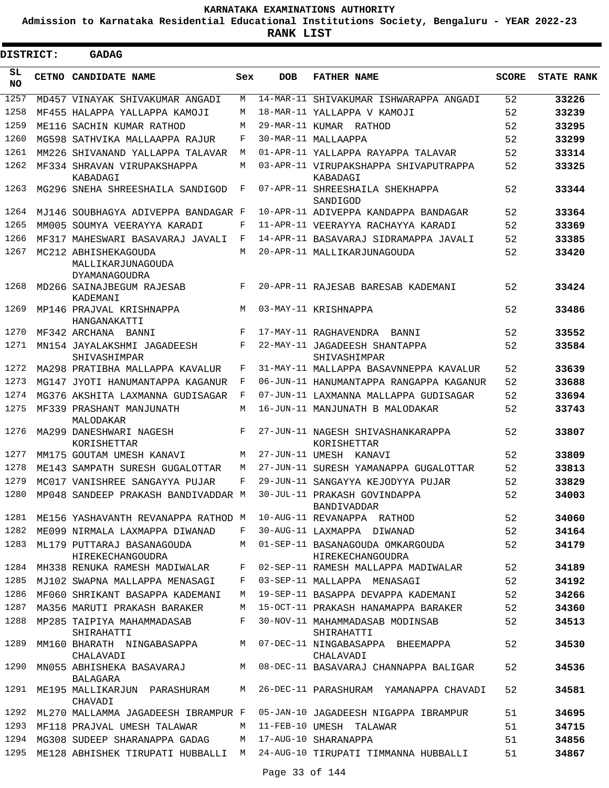**Admission to Karnataka Residential Educational Institutions Society, Bengaluru - YEAR 2022-23**

**RANK LIST**

ı

| <b>DISTRICT:</b> | <b>GADAG</b>                                                     |     |            |                                                                           |              |                   |
|------------------|------------------------------------------------------------------|-----|------------|---------------------------------------------------------------------------|--------------|-------------------|
| SL<br><b>NO</b>  | <b>CETNO CANDIDATE NAME</b>                                      | Sex | <b>DOB</b> | <b>FATHER NAME</b>                                                        | <b>SCORE</b> | <b>STATE RANK</b> |
| 1257             | MD457 VINAYAK SHIVAKUMAR ANGADI                                  | M   |            | 14-MAR-11 SHIVAKUMAR ISHWARAPPA ANGADI                                    | 52           | 33226             |
| 1258             | MF455 HALAPPA YALLAPPA KAMOJI                                    | M   |            | 18-MAR-11 YALLAPPA V KAMOJI                                               | 52           | 33239             |
| 1259             | ME116 SACHIN KUMAR RATHOD                                        | M   |            | 29-MAR-11 KUMAR RATHOD                                                    | 52           | 33295             |
| 1260             | MG598 SATHVIKA MALLAAPPA RAJUR                                   | F   |            | 30-MAR-11 MALLAAPPA                                                       | 52           | 33299             |
| 1261             | MM226 SHIVANAND YALLAPPA TALAVAR                                 | M   |            | 01-APR-11 YALLAPPA RAYAPPA TALAVAR                                        | 52           | 33314             |
| 1262             | MF334 SHRAVAN VIRUPAKSHAPPA<br>KABADAGI                          | M   |            | 03-APR-11 VIRUPAKSHAPPA SHIVAPUTRAPPA<br>KABADAGI                         | 52           | 33325             |
| 1263             | MG296 SNEHA SHREESHAILA SANDIGOD                                 | F   |            | 07-APR-11 SHREESHAILA SHEKHAPPA<br>SANDIGOD                               | 52           | 33344             |
| 1264             | MJ146 SOUBHAGYA ADIVEPPA BANDAGAR F                              |     |            | 10-APR-11 ADIVEPPA KANDAPPA BANDAGAR                                      | 52           | 33364             |
| 1265             | MM005 SOUMYA VEERAYYA KARADI                                     | F   |            | 11-APR-11 VEERAYYA RACHAYYA KARADI                                        | 52           | 33369             |
| 1266             | MF317 MAHESWARI BASAVARAJ JAVALI                                 | F   |            | 14-APR-11 BASAVARAJ SIDRAMAPPA JAVALI                                     | 52           | 33385             |
| 1267             | MC212 ABHISHEKAGOUDA<br>MALLIKARJUNAGOUDA<br>DYAMANAGOUDRA       | M   |            | 20-APR-11 MALLIKARJUNAGOUDA                                               | 52           | 33420             |
| 1268             | MD266 SAINAJBEGUM RAJESAB<br>KADEMANI                            | F   |            | 20-APR-11 RAJESAB BARESAB KADEMANI                                        | 52           | 33424             |
| 1269             | MP146 PRAJVAL KRISHNAPPA<br>HANGANAKATTI                         | M   |            | 03-MAY-11 KRISHNAPPA                                                      | 52           | 33486             |
| 1270             | MF342 ARCHANA BANNI                                              | F   |            | 17-MAY-11 RAGHAVENDRA BANNI                                               | 52           | 33552             |
| 1271             | MN154 JAYALAKSHMI JAGADEESH<br>SHIVASHIMPAR                      | F   |            | 22-MAY-11 JAGADEESH SHANTAPPA<br>SHIVASHIMPAR                             | 52           | 33584             |
| 1272             | MA298 PRATIBHA MALLAPPA KAVALUR                                  | F   |            | 31-MAY-11 MALLAPPA BASAVNNEPPA KAVALUR                                    | 52           | 33639             |
| 1273             | MG147 JYOTI HANUMANTAPPA KAGANUR                                 | F   |            | 06-JUN-11 HANUMANTAPPA RANGAPPA KAGANUR                                   | 52           | 33688             |
| 1274             | MG376 AKSHITA LAXMANNA GUDISAGAR                                 | F   |            | 07-JUN-11 LAXMANNA MALLAPPA GUDISAGAR                                     | 52           | 33694             |
| 1275             | MF339 PRASHANT MANJUNATH<br>MALODAKAR                            | M   |            | 16-JUN-11 MANJUNATH B MALODAKAR                                           | 52           | 33743             |
| 1276             | MA299 DANESHWARI NAGESH<br>KORISHETTAR                           | F   |            | 27-JUN-11 NAGESH SHIVASHANKARAPPA<br>KORISHETTAR                          | 52           | 33807             |
| 1277             | MM175 GOUTAM UMESH KANAVI                                        | M   |            | 27-JUN-11 UMESH KANAVI                                                    | 52           | 33809             |
| 1278             | ME143 SAMPATH SURESH GUGALOTTAR                                  | M   |            | 27-JUN-11 SURESH YAMANAPPA GUGALOTTAR                                     | 52           | 33813             |
| 1279             | MC017 VANISHREE SANGAYYA PUJAR                                   | F   |            | 29-JUN-11 SANGAYYA KEJODYYA PUJAR                                         | 52           | 33829             |
| 1280             | MP048 SANDEEP PRAKASH BANDIVADDAR M 30-JUL-11 PRAKASH GOVINDAPPA |     |            | BANDIVADDAR                                                               | 52           | 34003             |
| 1281             | ME156 YASHAVANTH REVANAPPA RATHOD M                              |     |            | 10-AUG-11 REVANAPPA RATHOD                                                | 52           | 34060             |
| 1282             | ME099 NIRMALA LAXMAPPA DIWANAD                                   | F   |            | 30-AUG-11 LAXMAPPA DIWANAD                                                | 52           | 34164             |
| 1283             | ML179 PUTTARAJ BASANAGOUDA<br><b>HIREKECHANGOUDRA</b>            | M   |            | 01-SEP-11 BASANAGOUDA OMKARGOUDA<br>HIREKECHANGOUDRA                      | 52           | 34179             |
| 1284             | MH338 RENUKA RAMESH MADIWALAR                                    | F   |            | 02-SEP-11 RAMESH MALLAPPA MADIWALAR                                       | 52           | 34189             |
| 1285             | MJ102 SWAPNA MALLAPPA MENASAGI                                   | F   |            | 03-SEP-11 MALLAPPA MENASAGI                                               | 52           | 34192             |
| 1286             | MF060 SHRIKANT BASAPPA KADEMANI                                  | M   |            | 19-SEP-11 BASAPPA DEVAPPA KADEMANI                                        | 52           | 34266             |
| 1287             | MA356 MARUTI PRAKASH BARAKER                                     | M   |            | 15-OCT-11 PRAKASH HANAMAPPA BARAKER                                       | 52           | 34360             |
| 1288             | MP285 TAIPIYA MAHAMMADASAB<br>SHIRAHATTI                         | F   |            | 30-NOV-11 MAHAMMADASAB MODINSAB<br>SHIRAHATTI                             | 52           | 34513             |
| 1289             | MM160 BHARATH NINGABASAPPA M<br>CHALAVADI                        |     |            | 07-DEC-11 NINGABASAPPA BHEEMAPPA<br>CHALAVADI                             | 52           | 34530             |
| 1290             | MN055 ABHISHEKA BASAVARAJ M<br>BALAGARA                          |     |            | 08-DEC-11 BASAVARAJ CHANNAPPA BALIGAR                                     | 52           | 34536             |
| 1291             | ME195 MALLIKARJUN PARASHURAM M<br>CHAVADI                        |     |            | 26-DEC-11 PARASHURAM YAMANAPPA CHAVADI                                    | 52           | 34581             |
| 1292             | ML270 MALLAMMA JAGADEESH IBRAMPUR F                              |     |            | 05-JAN-10 JAGADEESH NIGAPPA IBRAMPUR                                      | 51           | 34695             |
| 1293             | MF118 PRAJVAL UMESH TALAWAR                                      | M   |            | 11-FEB-10 UMESH TALAWAR                                                   | 51           | 34715             |
| 1294             | MG308 SUDEEP SHARANAPPA GADAG                                    | M   |            | 17-AUG-10 SHARANAPPA                                                      | 51           | 34856             |
| 1295             |                                                                  |     |            | ME128 ABHISHEK TIRUPATI HUBBALLI  M  24-AUG-10 TIRUPATI TIMMANNA HUBBALLI | 51           | 34867             |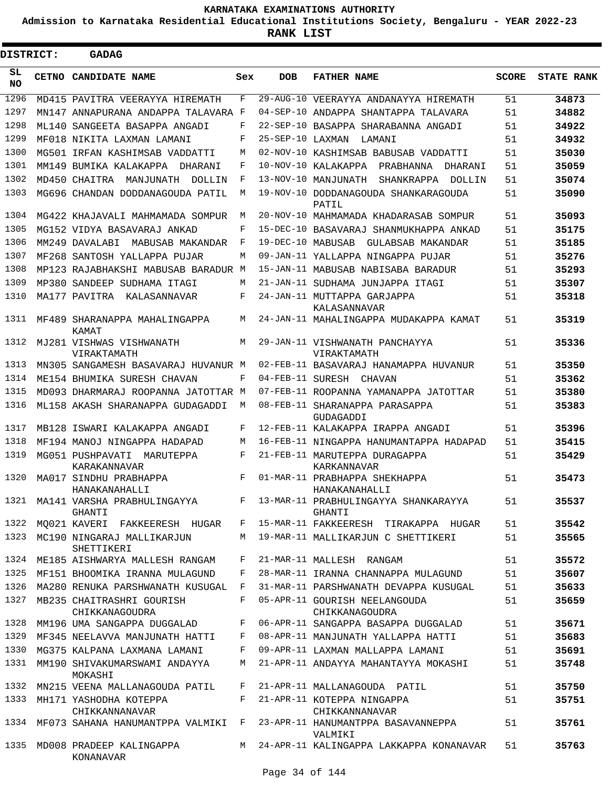**Admission to Karnataka Residential Educational Institutions Society, Bengaluru - YEAR 2022-23**

 $\blacksquare$ 

| <b>DISTRICT:</b> |  | <b>GADAG</b>                                |       |                   |                                                  |              |                   |
|------------------|--|---------------------------------------------|-------|-------------------|--------------------------------------------------|--------------|-------------------|
| SL.<br><b>NO</b> |  | CETNO CANDIDATE NAME                        | Sex   | <b>DOB</b>        | <b>FATHER NAME</b>                               | <b>SCORE</b> | <b>STATE RANK</b> |
| 1296             |  | MD415 PAVITRA VEERAYYA HIREMATH             | F     |                   | 29-AUG-10 VEERAYYA ANDANAYYA HIREMATH            | 51           | 34873             |
| 1297             |  | MN147 ANNAPURANA ANDAPPA TALAVARA F         |       |                   | 04-SEP-10 ANDAPPA SHANTAPPA TALAVARA             | 51           | 34882             |
| 1298             |  | ML140 SANGEETA BASAPPA ANGADI               | F     | 22-SEP-10         | BASAPPA SHARABANNA ANGADI                        | 51           | 34922             |
| 1299             |  | MF018 NIKITA LAXMAN LAMANI                  | F     | $25 - SEP - 10$   | LAXMAN<br>LAMANI                                 | 51           | 34932             |
| 1300             |  | MG501 IRFAN KASHIMSAB VADDATTI              | M     |                   | 02-NOV-10 KASHIMSAB BABUSAB VADDATTI             | 51           | 35030             |
| 1301             |  | MM149 RIIMTKA KALAKAPPA DHARANT             | F     | $10 - NOV - 10$   | KALAKAPPA<br>PRABHANNA<br>DHARANI                | 51           | 35059             |
| 1302             |  | MD450 CHAITRA<br>MANJUNATH<br>DOLLIN        | F     | $13 - NOV - 10$   | MANJUNATH<br>SHANKRAPPA DOLLIN                   | 51           | 35074             |
| 1303             |  | MG696 CHANDAN DODDANAGOUDA PATIL            | M     |                   | 19-NOV-10 DODDANAGOUDA SHANKARAGOUDA<br>PATIL    | 51           | 35090             |
| 1304             |  | MG422 KHAJAVALI MAHMAMADA SOMPUR            | М     |                   | 20-NOV-10 MAHMAMADA KHADARASAB SOMPUR            | 51           | 35093             |
| 1305             |  | MG152 VIDYA BASAVARAJ ANKAD                 | F     |                   | 15-DEC-10 BASAVARAJ SHANMUKHAPPA ANKAD           | 51           | 35175             |
| 1306             |  | MM249 DAVALABI<br>MABUSAB MAKANDAR          | F     | 19-DEC-10 MABUSAB | GULABSAB MAKANDAR                                | 51           | 35185             |
| 1307             |  | MF268 SANTOSH YALLAPPA PUJAR                | M     |                   | 09-JAN-11 YALLAPPA NINGAPPA PUJAR                | 51           | 35276             |
| 1308             |  | MP123 RAJABHAKSHI MABUSAB BARADUR M         |       |                   | 15-JAN-11 MABUSAB NABISABA BARADUR               | 51           | 35293             |
| 1309             |  | MP380 SANDEEP SUDHAMA ITAGI                 | M     |                   | 21-JAN-11 SUDHAMA JUNJAPPA ITAGI                 | 51           | 35307             |
| 1310             |  | MA177 PAVITRA KALASANNAVAR                  | F     |                   | 24-JAN-11 MUTTAPPA GARJAPPA<br>KALASANNAVAR      | 51           | 35318             |
| 1311             |  | MF489 SHARANAPPA MAHALINGAPPA<br>KAMAT      | M     |                   | 24-JAN-11 MAHALINGAPPA MUDAKAPPA KAMAT           | 51           | 35319             |
| 1312             |  | MJ281 VISHWAS VISHWANATH<br>VIRAKTAMATH     | M     |                   | 29-JAN-11 VISHWANATH PANCHAYYA<br>VIRAKTAMATH    | 51           | 35336             |
| 1313             |  | MN305 SANGAMESH BASAVARAJ HUVANUR M         |       |                   | 02-FEB-11 BASAVARAJ HANAMAPPA HUVANUR            | 51           | 35350             |
| 1314             |  | ME154 BHUMIKA SURESH CHAVAN                 | F     |                   | 04-FEB-11 SURESH CHAVAN                          | 51           | 35362             |
| 1315             |  | MD093 DHARMARAJ ROOPANNA JATOTTAR M         |       |                   | 07-FEB-11 ROOPANNA YAMANAPPA JATOTTAR            | 51           | 35380             |
| 1316             |  | ML158 AKASH SHARANAPPA GUDAGADDI            | M     |                   | 08-FEB-11 SHARANAPPA PARASAPPA<br>GUDAGADDI      | 51           | 35383             |
| 1317             |  | MB128 ISWARI KALAKAPPA ANGADI               | F     |                   | 12-FEB-11 KALAKAPPA IRAPPA ANGADI                | 51           | 35396             |
| 1318             |  | MF194 MANOJ NINGAPPA HADAPAD                | M     |                   | 16-FEB-11 NINGAPPA HANUMANTAPPA HADAPAD          | 51           | 35415             |
| 1319             |  | MG051 PUSHPAVATI MARUTEPPA<br>KARAKANNAVAR  | F     |                   | 21-FEB-11 MARUTEPPA DURAGAPPA<br>KARKANNAVAR     | 51           | 35429             |
| 1320             |  | MA017 SINDHU PRABHAPPA<br>HANAKANAHALLI     | F     |                   | 01-MAR-11 PRABHAPPA SHEKHAPPA<br>HANAKANAHALLI   | 51           | 35473             |
|                  |  | 1321 MA141 VARSHA PRABHULINGAYYA<br>GHANTI  |       |                   | F 13-MAR-11 PRABHULINGAYYA SHANKARAYYA<br>GHANTI | 51           | 35537             |
| 1322             |  | MO021 KAVERI FAKKEERESH HUGAR               |       |                   | F 15-MAR-11 FAKKEERESH TIRAKAPPA HUGAR           | 51           | 35542             |
| 1323             |  | MC190 NINGARAJ MALLIKARJUN<br>SHETTIKERI    |       |                   | M 19-MAR-11 MALLIKARJUN C SHETTIKERI             | 51           | 35565             |
|                  |  | 1324 ME185 AISHWARYA MALLESH RANGAM         | F     |                   | 21-MAR-11 MALLESH RANGAM                         | 51           | 35572             |
| 1325             |  | MF151 BHOOMIKA IRANNA MULAGUND              | F     |                   | 28-MAR-11 IRANNA CHANNAPPA MULAGUND              | 51           | 35607             |
| 1326             |  | MA280 RENUKA PARSHWANATH KUSUGAL F          |       |                   | 31-MAR-11 PARSHWANATH DEVAPPA KUSUGAL            | 51           | 35633             |
| 1327             |  | MB235 CHAITRASHRI GOURISH<br>CHIKKANAGOUDRA | F     |                   | 05-APR-11 GOURISH NEELANGOUDA<br>CHIKKANAGOUDRA  | 51           | 35659             |
| 1328             |  | MM196 UMA SANGAPPA DUGGALAD                 | $F$ – |                   | 06-APR-11 SANGAPPA BASAPPA DUGGALAD              | 51           | 35671             |
| 1329             |  | MF345 NEELAVVA MANJUNATH HATTI F            |       |                   | 08-APR-11 MANJUNATH YALLAPPA HATTI               | 51           | 35683             |
| 1330             |  | MG375 KALPANA LAXMANA LAMANI                | F     |                   | 09-APR-11 LAXMAN MALLAPPA LAMANI                 | 51           | 35691             |
| 1331             |  | MM190 SHIVAKUMARSWAMI ANDAYYA<br>MOKASHI    | M     |                   | 21-APR-11 ANDAYYA MAHANTAYYA MOKASHI             | 51           | 35748             |
| 1332             |  | MN215 VEENA MALLANAGOUDA PATIL              | F     |                   | 21-APR-11 MALLANAGOUDA PATIL                     | 51           | 35750             |
| 1333             |  | MH171 YASHODHA KOTEPPA<br>CHIKKANNANAVAR    |       |                   | F 21-APR-11 KOTEPPA NINGAPPA<br>CHIKKANNANAVAR   | 51           | 35751             |
|                  |  | 1334 MF073 SAHANA HANUMANTPPA VALMIKI F     |       |                   | 23-APR-11 HANUMANTPPA BASAVANNEPPA<br>VALMIKI    | 51           | 35761             |
| 1335             |  | MD008 PRADEEP KALINGAPPA<br>KONANAVAR       |       |                   | M 24-APR-11 KALINGAPPA LAKKAPPA KONANAVAR        | 51           | 35763             |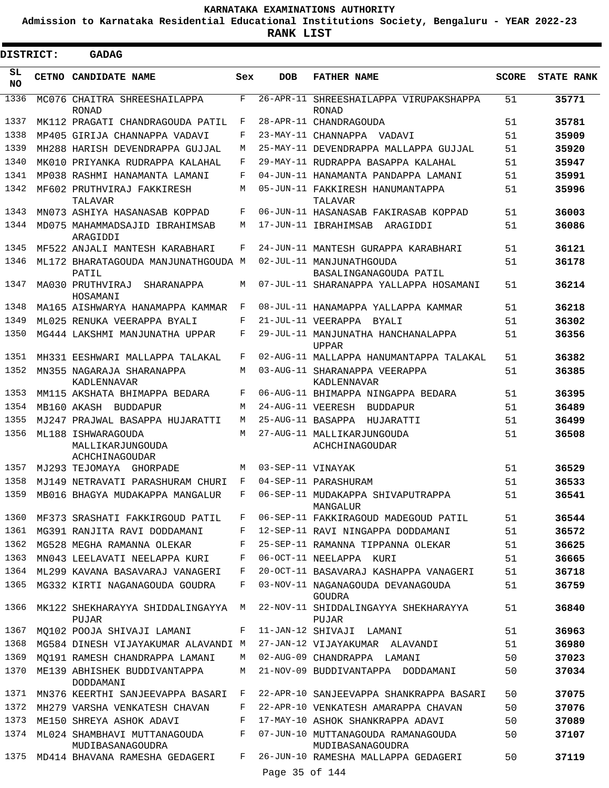**Admission to Karnataka Residential Educational Institutions Society, Bengaluru - YEAR 2022-23**

| DISTRICT:       | GADAG                                                    |     |                   |                                                        |              |                   |
|-----------------|----------------------------------------------------------|-----|-------------------|--------------------------------------------------------|--------------|-------------------|
| SL<br><b>NO</b> | CETNO CANDIDATE NAME                                     | Sex | <b>DOB</b>        | <b>FATHER NAME</b>                                     | <b>SCORE</b> | <b>STATE RANK</b> |
| 1336            | MC076 CHAITRA SHREESHAILAPPA<br><b>RONAD</b>             | F   |                   | 26-APR-11 SHREESHAILAPPA VIRUPAKSHAPPA<br>RONAD        | 51           | 35771             |
| 1337            | MK112 PRAGATI CHANDRAGOUDA PATIL                         | F   |                   | 28-APR-11 CHANDRAGOUDA                                 | 51           | 35781             |
| 1338            | MP405 GIRIJA CHANNAPPA VADAVI                            | F   |                   | 23-MAY-11 CHANNAPPA VADAVI                             | 51           | 35909             |
| 1339            | MH288 HARISH DEVENDRAPPA GUJJAL                          | M   |                   | 25-MAY-11 DEVENDRAPPA MALLAPPA GUJJAL                  | 51           | 35920             |
| 1340            | MK010 PRIYANKA RUDRAPPA KALAHAL                          | F   |                   | 29-MAY-11 RUDRAPPA BASAPPA KALAHAL                     | 51           | 35947             |
| 1341            | MP038 RASHMI HANAMANTA LAMANI                            | F   |                   | 04-JUN-11 HANAMANTA PANDAPPA LAMANI                    | 51           | 35991             |
| 1342            | MF602 PRUTHVIRAJ FAKKIRESH<br>TALAVAR                    | М   |                   | 05-JUN-11 FAKKIRESH HANUMANTAPPA<br>TALAVAR            | 51           | 35996             |
| 1343            | MN073 ASHIYA HASANASAB KOPPAD                            | F   |                   | 06-JUN-11 HASANASAB FAKIRASAB KOPPAD                   | 51           | 36003             |
| 1344            | MD075 MAHAMMADSAJID IBRAHIMSAB<br>ARAGIDDI               | М   |                   | 17-JUN-11 IBRAHIMSAB<br>ARAGIDDI                       | 51           | 36086             |
| 1345            | MF522 ANJALI MANTESH KARABHARI                           | F   |                   | 24-JUN-11 MANTESH GURAPPA KARABHARI                    | 51           | 36121             |
| 1346            | ML172 BHARATAGOUDA MANJUNATHGOUDA M<br>PATTI,            |     |                   | 02-JUL-11 MANJUNATHGOUDA<br>BASALINGANAGOUDA PATIL     | 51           | 36178             |
| 1347            | MA030 PRUTHVIRAJ<br>SHARANAPPA<br>HOSAMANI               | М   |                   | 07-JUL-11 SHARANAPPA YALLAPPA HOSAMANI                 | 51           | 36214             |
| 1348            | MA165 AISHWARYA HANAMAPPA KAMMAR                         | F   |                   | 08-JUL-11 HANAMAPPA YALLAPPA KAMMAR                    | 51           | 36218             |
| 1349            | ML025 RENUKA VEERAPPA BYALI                              | F   |                   | 21-JUL-11 VEERAPPA BYALL                               | 51           | 36302             |
| 1350            | MG444 LAKSHMI MANJUNATHA UPPAR                           | F   |                   | 29-JUL-11 MANJUNATHA HANCHANALAPPA<br><b>UPPAR</b>     | 51           | 36356             |
| 1351            | MH331 EESHWARI MALLAPPA TALAKAL                          | F   |                   | 02-AUG-11 MALLAPPA HANUMANTAPPA TALAKAL                | 51           | 36382             |
| 1352            | MN355 NAGARAJA SHARANAPPA<br>KADLENNAVAR                 | М   |                   | 03-AUG-11 SHARANAPPA VEERAPPA<br>KADLENNAVAR           | 51           | 36385             |
| 1353            | MM115 AKSHATA BHIMAPPA BEDARA                            | F   |                   | 06-AUG-11 BHIMAPPA NINGAPPA BEDARA                     | 51           | 36395             |
| 1354            | MB160 AKASH BUDDAPUR                                     | M   |                   | 24-AUG-11 VEERESH BUDDAPUR                             | 51           | 36489             |
| 1355            | MJ247 PRAJWAL BASAPPA HUJARATTI                          | М   |                   | 25-AUG-11 BASAPPA HUJARATTI                            | 51           | 36499             |
| 1356            | ML188 ISHWARAGOUDA<br>MALLIKARJUNGOUDA<br>ACHCHINAGOUDAR | M   |                   | 27-AUG-11 MALLIKARJUNGOUDA<br>ACHCHINAGOUDAR           | 51           | 36508             |
| 1357            | MJ293 TEJOMAYA GHORPADE                                  | M   | 03-SEP-11 VINAYAK |                                                        | 51           | 36529             |
| 1358            | MJ149 NETRAVATI PARASHURAM CHURI                         | F   |                   | 04-SEP-11 PARASHURAM                                   | 51           | 36533             |
| 1359            | MB016 BHAGYA MUDAKAPPA MANGALUR                          | F   |                   | 06-SEP-11 MUDAKAPPA SHIVAPUTRAPPA<br>MANGALUR          | 51           | 36541             |
| 1360            | MF373 SRASHATI FAKKIRGOUD PATIL                          | F   |                   | 06-SEP-11 FAKKIRAGOUD MADEGOUD PATIL                   | 51           | 36544             |
| 1361            | MG391 RANJITA RAVI DODDAMANI                             | F   |                   | 12-SEP-11 RAVI NINGAPPA DODDAMANI                      | 51           | 36572             |
| 1362            | MG528 MEGHA RAMANNA OLEKAR                               | F   |                   | 25-SEP-11 RAMANNA TIPPANNA OLEKAR                      | 51           | 36625             |
| 1363            | MN043 LEELAVATI NEELAPPA KURI                            | F   |                   | 06-OCT-11 NEELAPPA KURI                                | 51           | 36665             |
| 1364            | ML299 KAVANA BASAVARAJ VANAGERI                          | F   |                   | 20-OCT-11 BASAVARAJ KASHAPPA VANAGERI                  | 51           | 36718             |
| 1365            | MG332 KIRTI NAGANAGOUDA GOUDRA                           | F   |                   | 03-NOV-11 NAGANAGOUDA DEVANAGOUDA<br>GOUDRA            | 51           | 36759             |
| 1366            | MK122 SHEKHARAYYA SHIDDALINGAYYA M<br>PUJAR              |     |                   | 22-NOV-11 SHIDDALINGAYYA SHEKHARAYYA<br>PUJAR          | 51           | 36840             |
| 1367            | MQ102 POOJA SHIVAJI LAMANI                               | F   |                   | 11-JAN-12 SHIVAJI LAMANI                               | 51           | 36963             |
| 1368            | MG584 DINESH VIJAYAKUMAR ALAVANDI M                      |     |                   | 27-JAN-12 VIJAYAKUMAR ALAVANDI                         | 51           | 36980             |
| 1369            | MO191 RAMESH CHANDRAPPA LAMANI                           | M   |                   | 02-AUG-09 CHANDRAPPA LAMANI                            | 50           | 37023             |
| 1370            | ME139 ABHISHEK BUDDIVANTAPPA<br>DODDAMANI                | M   |                   | 21-NOV-09 BUDDIVANTAPPA DODDAMANI                      | 50           | 37034             |
| 1371            | MN376 KEERTHI SANJEEVAPPA BASARI F                       |     |                   | 22-APR-10 SANJEEVAPPA SHANKRAPPA BASARI                | 50           | 37075             |
| 1372            | MH279 VARSHA VENKATESH CHAVAN                            | F   |                   | 22-APR-10 VENKATESH AMARAPPA CHAVAN                    | 50           | 37076             |
| 1373            | ME150 SHREYA ASHOK ADAVI                                 | F   |                   | 17-MAY-10 ASHOK SHANKRAPPA ADAVI                       | 50           | 37089             |
| 1374            | ML024 SHAMBHAVI MUTTANAGOUDA<br>MUDIBASANAGOUDRA         | F   |                   | 07-JUN-10 MUTTANAGOUDA RAMANAGOUDA<br>MUDIBASANAGOUDRA | 50           | 37107             |
| 1375            | MD414 BHAVANA RAMESHA GEDAGERI                           | F   | Page 35 of 144    | 26-JUN-10 RAMESHA MALLAPPA GEDAGERI                    | 50           | 37119             |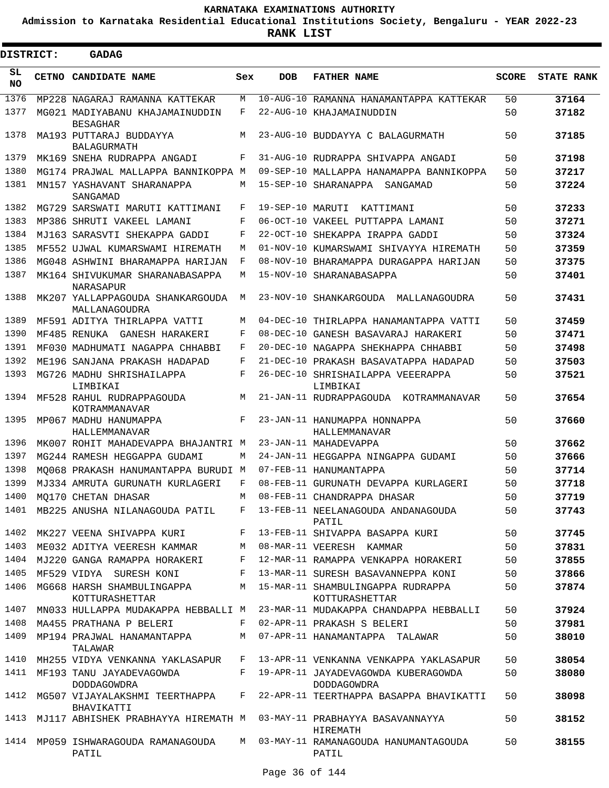**Admission to Karnataka Residential Educational Institutions Society, Bengaluru - YEAR 2022-23**

| <b>DISTRICT:</b> | <b>GADAG</b>                                        |     |                  |                                                     |              |                   |
|------------------|-----------------------------------------------------|-----|------------------|-----------------------------------------------------|--------------|-------------------|
| SL<br><b>NO</b>  | CETNO CANDIDATE NAME                                | Sex | <b>DOB</b>       | <b>FATHER NAME</b>                                  | <b>SCORE</b> | <b>STATE RANK</b> |
| 1376             | MP228 NAGARAJ RAMANNA KATTEKAR                      | М   |                  | 10-AUG-10 RAMANNA HANAMANTAPPA KATTEKAR             | 50           | 37164             |
| 1377             | MG021 MADIYABANU KHAJAMAINUDDIN<br><b>BESAGHAR</b>  | F   |                  | 22-AUG-10 KHAJAMAINUDDIN                            | 50           | 37182             |
| 1378             | MA193 PUTTARAJ BUDDAYYA<br><b>BALAGURMATH</b>       | М   |                  | 23-AUG-10 BUDDAYYA C BALAGURMATH                    | 50           | 37185             |
| 1379             | MK169 SNEHA RUDRAPPA ANGADI                         | F   |                  | 31-AUG-10 RUDRAPPA SHIVAPPA ANGADI                  | 50           | 37198             |
| 1380             | MG174 PRAJWAL MALLAPPA BANNIKOPPA M                 |     |                  | 09-SEP-10 MALLAPPA HANAMAPPA BANNIKOPPA             | 50           | 37217             |
| 1381             | MN157 YASHAVANT SHARANAPPA<br>SANGAMAD              | М   |                  | 15-SEP-10 SHARANAPPA<br>SANGAMAD                    | 50           | 37224             |
| 1382             | MG729 SARSWATI MARUTI KATTIMANI                     | F   | 19-SEP-10 MARUTI | KATTIMANI                                           | 50           | 37233             |
| 1383             | MP386 SHRUTI VAKEEL LAMANI                          | F   |                  | 06-OCT-10 VAKEEL PUTTAPPA LAMANI                    | 50           | 37271             |
| 1384             | MJ163 SARASVTI SHEKAPPA GADDI                       | F   |                  | 22-OCT-10 SHEKAPPA IRAPPA GADDI                     | 50           | 37324             |
| 1385             | MF552 UJWAL KUMARSWAMI HIREMATH                     | М   |                  | 01-NOV-10 KUMARSWAMI SHIVAYYA HIREMATH              | 50           | 37359             |
| 1386             | MG048 ASHWINI BHARAMAPPA HARIJAN                    | F   |                  | 08-NOV-10 BHARAMAPPA DURAGAPPA HARIJAN              | 50           | 37375             |
| 1387             | MK164 SHIVUKUMAR SHARANABASAPPA<br><b>NARASAPUR</b> | М   |                  | 15-NOV-10 SHARANABASAPPA                            | 50           | 37401             |
| 1388             | MK207 YALLAPPAGOUDA SHANKARGOUDA<br>MALLANAGOUDRA   | M   |                  | 23-NOV-10 SHANKARGOUDA MALLANAGOUDRA                | 50           | 37431             |
| 1389             | MF591 ADITYA THIRLAPPA VATTI                        | М   |                  | 04-DEC-10 THIRLAPPA HANAMANTAPPA VATTI              | 50           | 37459             |
| 1390             | MF485 RENUKA GANESH HARAKERI                        | F   |                  | 08-DEC-10 GANESH BASAVARAJ HARAKERI                 | 50           | 37471             |
| 1391             | MF030 MADHUMATI NAGAPPA CHHABBI                     | F   |                  | 20-DEC-10 NAGAPPA SHEKHAPPA CHHABBI                 | 50           | 37498             |
| 1392             | ME196 SANJANA PRAKASH HADAPAD                       | F   |                  | 21-DEC-10 PRAKASH BASAVATAPPA HADAPAD               | 50           | 37503             |
| 1393             | MG726 MADHU SHRISHAILAPPA<br>LIMBIKAI               | F   |                  | 26-DEC-10 SHRISHAILAPPA VEEERAPPA<br>LIMBIKAI       | 50           | 37521             |
| 1394             | MF528 RAHUL RUDRAPPAGOUDA<br>KOTRAMMANAVAR          | М   |                  | 21-JAN-11 RUDRAPPAGOUDA KOTRAMMANAVAR               | 50           | 37654             |
| 1395             | MP067 MADHU HANUMAPPA<br>HALLEMMANAVAR              | F   |                  | 23-JAN-11 HANUMAPPA HONNAPPA<br>HALLEMMANAVAR       | 50           | 37660             |
| 1396             | MK007 ROHIT MAHADEVAPPA BHAJANTRI M                 |     |                  | 23-JAN-11 MAHADEVAPPA                               | 50           | 37662             |
| 1397             | MG244 RAMESH HEGGAPPA GUDAMI                        | М   |                  | 24-JAN-11 HEGGAPPA NINGAPPA GUDAMI                  | 50           | 37666             |
| 1398             | MO068 PRAKASH HANUMANTAPPA BURUDI M                 |     |                  | 07-FEB-11 HANUMANTAPPA                              | 50           | 37714             |
| 1399             | MJ334 AMRUTA GURUNATH KURLAGERI                     | F   |                  | 08-FEB-11 GURUNATH DEVAPPA KURLAGERI                | 50           | 37718             |
| 1400             | MQ170 CHETAN DHASAR                                 | M   |                  | 08-FEB-11 CHANDRAPPA DHASAR                         | 50           | 37719             |
|                  | 1401 MB225 ANUSHA NILANAGOUDA PATIL                 |     |                  | F 13-FEB-11 NEELANAGOUDA ANDANAGOUDA<br>PATIL       | 50           | 37743             |
| 1402             | MK227 VEENA SHIVAPPA KURI                           | F   |                  | 13-FEB-11 SHIVAPPA BASAPPA KURI                     | 50           | 37745             |
| 1403             | ME032 ADITYA VEERESH KAMMAR                         | M   |                  | 08-MAR-11 VEERESH KAMMAR                            | 50           | 37831             |
| 1404             | MJ220 GANGA RAMAPPA HORAKERI                        | F   |                  | 12-MAR-11 RAMAPPA VENKAPPA HORAKERI                 | 50           | 37855             |
| 1405             | MF529 VIDYA SURESH KONI                             | F   |                  | 13-MAR-11 SURESH BASAVANNEPPA KONI                  | 50           | 37866             |
| 1406             | MG668 HARSH SHAMBULINGAPPA<br>KOTTURASHETTAR        | M   |                  | 15-MAR-11 SHAMBULINGAPPA RUDRAPPA<br>KOTTURASHETTAR | 50           | 37874             |
| 1407             | MN033 HULLAPPA MUDAKAPPA HEBBALLI M                 |     |                  | 23-MAR-11 MUDAKAPPA CHANDAPPA HEBBALLI              | 50           | 37924             |
| 1408             | MA455 PRATHANA P BELERI                             | F   |                  | 02-APR-11 PRAKASH S BELERI                          | 50           | 37981             |
| 1409             | MP194 PRAJWAL HANAMANTAPPA<br>TALAWAR               | М   |                  | 07-APR-11 HANAMANTAPPA TALAWAR                      | 50           | 38010             |
| 1410             | MH255 VIDYA VENKANNA YAKLASAPUR                     | F   |                  | 13-APR-11 VENKANNA VENKAPPA YAKLASAPUR              | 50           | 38054             |
| 1411             | MF193 TANU JAYADEVAGOWDA<br><b>DODDAGOWDRA</b>      | F   |                  | 19-APR-11 JAYADEVAGOWDA KUBERAGOWDA<br>DODDAGOWDRA  | 50           | 38080             |
| 1412             | MG507 VIJAYALAKSHMI TEERTHAPPA<br>BHAVIKATTI        | F   |                  | 22-APR-11 TEERTHAPPA BASAPPA BHAVIKATTI             | 50           | 38098             |
| 1413             | MJ117 ABHISHEK PRABHAYYA HIREMATH M                 |     |                  | 03-MAY-11 PRABHAYYA BASAVANNAYYA<br>HIREMATH        | 50           | 38152             |
| 1414             | MP059 ISHWARAGOUDA RAMANAGOUDA<br>PATIL             | M   |                  | 03-MAY-11 RAMANAGOUDA HANUMANTAGOUDA<br>PATIL       | 50           | 38155             |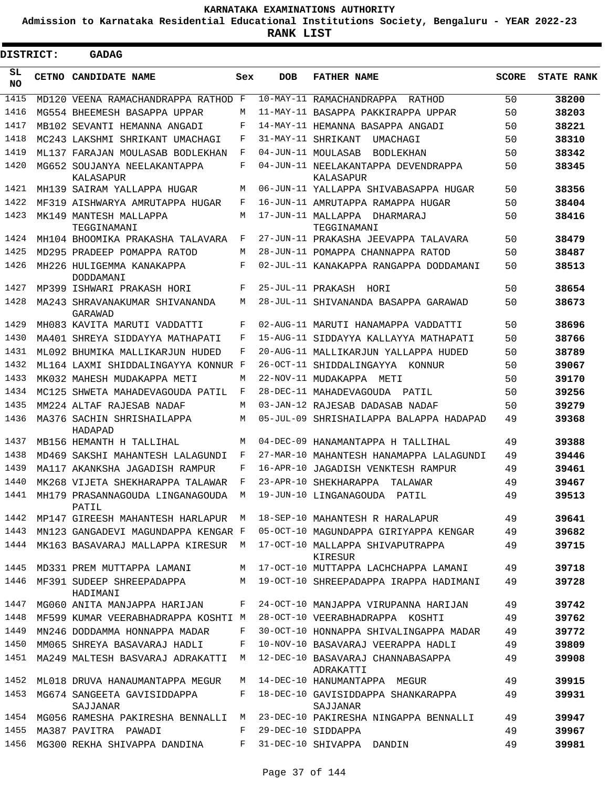**Admission to Karnataka Residential Educational Institutions Society, Bengaluru - YEAR 2022-23**

**RANK LIST**

| <b>DISTRICT:</b> | <b>GADAG</b>                              |     |                   |                                                  |              |                   |
|------------------|-------------------------------------------|-----|-------------------|--------------------------------------------------|--------------|-------------------|
| SL<br><b>NO</b>  | CETNO CANDIDATE NAME                      | Sex | <b>DOB</b>        | <b>FATHER NAME</b>                               | <b>SCORE</b> | <b>STATE RANK</b> |
| 1415             | MD120 VEENA RAMACHANDRAPPA RATHOD F       |     |                   | 10-MAY-11 RAMACHANDRAPPA<br>RATHOD               | 50           | 38200             |
| 1416             | MG554 BHEEMESH BASAPPA UPPAR              | М   |                   | 11-MAY-11 BASAPPA PAKKIRAPPA UPPAR               | 50           | 38203             |
| 1417             | MB102 SEVANTI HEMANNA ANGADI              | F   |                   | 14-MAY-11 HEMANNA BASAPPA ANGADI                 | 50           | 38221             |
| 1418             | MC243 LAKSHMI SHRIKANT UMACHAGI           | F   |                   | 31-MAY-11 SHRIKANT<br>UMACHAGI                   | 50           | 38310             |
| 1419             | ML137 FARAJAN MOULASAB BODLEKHAN          | F   |                   | 04-JUN-11 MOULASAB<br>BODLEKHAN                  | 50           | 38342             |
| 1420             | MG652 SOUJANYA NEELAKANTAPPA<br>KALASAPUR | F   |                   | 04-JUN-11 NEELAKANTAPPA DEVENDRAPPA<br>KALASAPUR | 50           | 38345             |
| 1421             | MH139 SAIRAM YALLAPPA HUGAR               | М   |                   | 06-JUN-11 YALLAPPA SHIVABASAPPA HUGAR            | 50           | 38356             |
| 1422             | MF319 AISHWARYA AMRUTAPPA HUGAR           | F   |                   | 16-JUN-11 AMRUTAPPA RAMAPPA HUGAR                | 50           | 38404             |
| 1423             | MK149 MANTESH MALLAPPA<br>TEGGINAMANI     | М   |                   | 17-JUN-11 MALLAPPA DHARMARAJ<br>TEGGINAMANI      | 50           | 38416             |
| 1424             | MH104 BHOOMIKA PRAKASHA TALAVARA          | F   |                   | 27-JUN-11 PRAKASHA JEEVAPPA TALAVARA             | 50           | 38479             |
| 1425             | MD295 PRADEEP POMAPPA RATOD               | М   |                   | 28-JUN-11 POMAPPA CHANNAPPA RATOD                | 50           | 38487             |
| 1426             | MH226 HULIGEMMA KANAKAPPA<br>DODDAMANI    | F   |                   | 02-JUL-11 KANAKAPPA RANGAPPA DODDAMANI           | 50           | 38513             |
| 1427             | MP399 ISHWARI PRAKASH HORI                | F   | 25-JUL-11 PRAKASH | HORI                                             | 50           | 38654             |
| 1428             | MA243 SHRAVANAKUMAR SHIVANANDA<br>GARAWAD | М   |                   | 28-JUL-11 SHIVANANDA BASAPPA GARAWAD             | 50           | 38673             |
| 1429             | MH083 KAVITA MARUTI VADDATTI              | F   |                   | 02-AUG-11 MARUTI HANAMAPPA VADDATTI              | 50           | 38696             |
| 1430             | MA401 SHREYA SIDDAYYA MATHAPATI           | F   |                   | 15-AUG-11 SIDDAYYA KALLAYYA MATHAPATI            | 50           | 38766             |
| 1431             | ML092 BHUMIKA MALLIKARJUN HUDED           | F   |                   | 20-AUG-11 MALLIKARJUN YALLAPPA HUDED             | 50           | 38789             |
| 1432             | ML164 LAXMI SHIDDALINGAYYA KONNUR F       |     |                   | 26-OCT-11 SHIDDALINGAYYA<br>KONNUR               | 50           | 39067             |
| 1433             | MK032 MAHESH MUDAKAPPA METI               | М   |                   | 22-NOV-11 MUDAKAPPA METI                         | 50           | 39170             |
| 1434             | MC125 SHWETA MAHADEVAGOUDA PATIL          | F   |                   | 28-DEC-11 MAHADEVAGOUDA<br>PATIL                 | 50           | 39256             |
| 1435             | MM224 ALTAF RAJESAB NADAF                 | M   |                   | 03-JAN-12 RAJESAB DADASAB NADAF                  | 50           | 39279             |
| 1436             | MA376 SACHIN SHRISHAILAPPA<br>HADAPAD     | М   | 05-JUL-09         | SHRISHAILAPPA BALAPPA HADAPAD                    | 49           | 39368             |
| 1437             | MB156 HEMANTH H TALLIHAL                  | М   |                   | 04-DEC-09 HANAMANTAPPA H TALLIHAL                | 49           | 39388             |
| 1438             | MD469 SAKSHI MAHANTESH LALAGUNDI          | F   |                   | 27-MAR-10 MAHANTESH HANAMAPPA LALAGUNDI          | 49           | 39446             |
| 1439             | MA117 AKANKSHA JAGADISH RAMPUR            | F   |                   | 16-APR-10 JAGADISH VENKTESH RAMPUR               | 49           | 39461             |
| 1440             | MK268 VIJETA SHEKHARAPPA TALAWAR          | F   |                   | 23-APR-10 SHEKHARAPPA<br>TALAWAR                 | 49           | 39467             |
| 1441             | MH179 PRASANNAGOUDA LINGANAGOUDA<br>PATIL | M   |                   | 19-JUN-10 LINGANAGOUDA PATIL                     | 49           | 39513             |
| 1442             | MP147 GIREESH MAHANTESH HARLAPUR          | M   |                   | 18-SEP-10 MAHANTESH R HARALAPUR                  | 49           | 39641             |
| 1443             | MN123 GANGADEVI MAGUNDAPPA KENGAR F       |     |                   | 05-OCT-10 MAGUNDAPPA GIRIYAPPA KENGAR            | 49           | 39682             |
| 1444             | MK163 BASAVARAJ MALLAPPA KIRESUR          | М   |                   | 17-OCT-10 MALLAPPA SHIVAPUTRAPPA<br>KIRESUR      | 49           | 39715             |
| 1445             | MD331 PREM MUTTAPPA LAMANI                | М   |                   | 17-OCT-10 MUTTAPPA LACHCHAPPA LAMANI             | 49           | 39718             |
| 1446             | MF391 SUDEEP SHREEPADAPPA<br>HADIMANI     | M   |                   | 19-OCT-10 SHREEPADAPPA IRAPPA HADIMANI           | 49           | 39728             |
| 1447             | MG060 ANITA MANJAPPA HARIJAN              | F   |                   | 24-OCT-10 MANJAPPA VIRUPANNA HARIJAN             | 49           | 39742             |
| 1448             | MF599 KUMAR VEERABHADRAPPA KOSHTI M       |     |                   | 28-OCT-10 VEERABHADRAPPA KOSHTI                  | 49           | 39762             |
| 1449             | MN246 DODDAMMA HONNAPPA MADAR             | F   |                   | 30-OCT-10 HONNAPPA SHIVALINGAPPA MADAR           | 49           | 39772             |
| 1450             | MM065 SHREYA BASAVARAJ HADLI              | F   |                   | 10-NOV-10 BASAVARAJ VEERAPPA HADLI               | 49           | 39809             |
| 1451             | MA249 MALTESH BASVARAJ ADRAKATTI          | М   |                   | 12-DEC-10 BASAVARAJ CHANNABASAPPA<br>ADRAKATTI   | 49           | 39908             |
| 1452             | ML018 DRUVA HANAUMANTAPPA MEGUR           | М   |                   | 14-DEC-10 HANUMANTAPPA MEGUR                     | 49           | 39915             |
| 1453             | MG674 SANGEETA GAVISIDDAPPA<br>SAJJANAR   | F   |                   | 18-DEC-10 GAVISIDDAPPA SHANKARAPPA<br>SAJJANAR   | 49           | 39931             |
| 1454             | MG056 RAMESHA PAKIRESHA BENNALLI          | М   |                   | 23-DEC-10 PAKIRESHA NINGAPPA BENNALLI            | 49           | 39947             |
| 1455             | MA387 PAVITRA PAWADI                      | F   |                   | 29-DEC-10 SIDDAPPA                               | 49           | 39967             |
| 1456             | MG300 REKHA SHIVAPPA DANDINA              | F   |                   | 31-DEC-10 SHIVAPPA DANDIN                        | 49           | 39981             |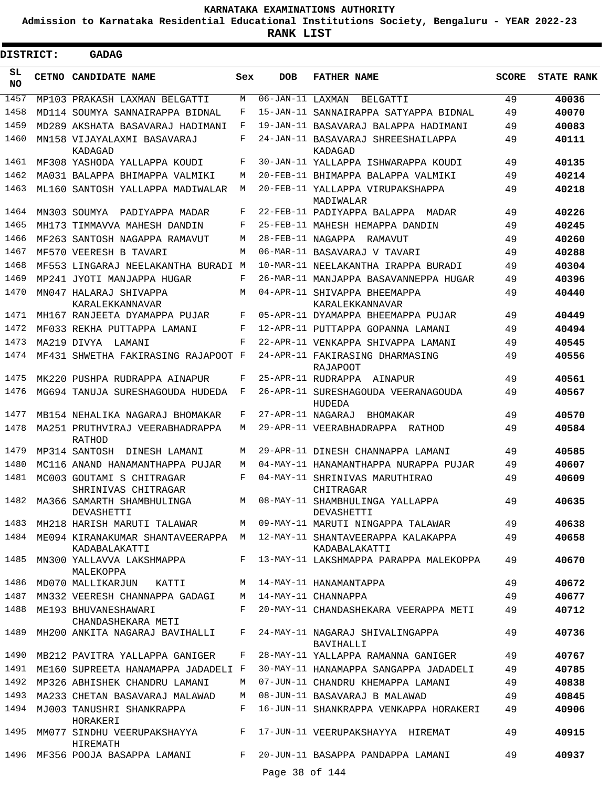**Admission to Karnataka Residential Educational Institutions Society, Bengaluru - YEAR 2022-23**

 $\blacksquare$ 

| <b>DISTRICT:</b> | <b>GADAG</b>                                     |            |                                   |                                                                       |              |                   |
|------------------|--------------------------------------------------|------------|-----------------------------------|-----------------------------------------------------------------------|--------------|-------------------|
| SL<br><b>NO</b>  | <b>CETNO CANDIDATE NAME</b>                      | Sex        | DOB                               | <b>FATHER NAME</b>                                                    | <b>SCORE</b> | <b>STATE RANK</b> |
| 1457             | MP103 PRAKASH LAXMAN BELGATTI                    | М          | $\overline{06 - JAN} - 11$ LAXMAN | BELGATTI                                                              | 49           | 40036             |
| 1458             | MD114 SOUMYA SANNAIRAPPA BIDNAL                  | F          |                                   | 15-JAN-11 SANNAIRAPPA SATYAPPA BIDNAL                                 | 49           | 40070             |
| 1459             | MD289 AKSHATA BASAVARAJ HADIMANI                 | F          |                                   | 19-JAN-11 BASAVARAJ BALAPPA HADIMANI                                  | 49           | 40083             |
| 1460             | MN158 VIJAYALAXMI BASAVARAJ<br>KADAGAD           | F          |                                   | 24-JAN-11 BASAVARAJ SHREESHAILAPPA<br>KADAGAD                         | 49           | 40111             |
| 1461             | MF308 YASHODA YALLAPPA KOUDI                     | F          |                                   | 30-JAN-11 YALLAPPA ISHWARAPPA KOUDI                                   | 49           | 40135             |
| 1462             | MA031 BALAPPA BHIMAPPA VALMIKI                   | M          |                                   | 20-FEB-11 BHIMAPPA BALAPPA VALMIKI                                    | 49           | 40214             |
| 1463             | ML160 SANTOSH YALLAPPA MADIWALAR                 | М          |                                   | 20-FEB-11 YALLAPPA VIRUPAKSHAPPA<br>MADIWALAR                         | 49           | 40218             |
| 1464             | MN303 SOUMYA<br>PADIYAPPA MADAR                  | F          |                                   | 22-FEB-11 PADIYAPPA BALAPPA<br>MADAR                                  | 49           | 40226             |
| 1465             | MH173 TIMMAVVA MAHESH DANDIN                     | F          |                                   | 25-FEB-11 MAHESH HEMAPPA DANDIN                                       | 49           | 40245             |
| 1466             | MF263 SANTOSH NAGAPPA RAMAVUT                    | М          |                                   | 28-FEB-11 NAGAPPA RAMAVUT                                             | 49           | 40260             |
| 1467             | MF570 VEERESH B TAVARI                           | М          |                                   | 06-MAR-11 BASAVARAJ V TAVARI                                          | 49           | 40288             |
| 1468             | MF553 LINGARAJ NEELAKANTHA BURADI M              |            |                                   | 10-MAR-11 NEELAKANTHA IRAPPA BURADI                                   | 49           | 40304             |
| 1469             | MP241 JYOTI MANJAPPA HUGAR                       | F          |                                   | 26-MAR-11 MANJAPPA BASAVANNEPPA HUGAR                                 | 49           | 40396             |
| 1470             | MN047 HALARAJ SHIVAPPA<br>KARALEKKANNAVAR        | М          |                                   | 04-APR-11 SHIVAPPA BHEEMAPPA<br>KARALEKKANNAVAR                       | 49           | 40440             |
| 1471             | MH167 RANJEETA DYAMAPPA PUJAR                    | F          |                                   | 05-APR-11 DYAMAPPA BHEEMAPPA PUJAR                                    | 49           | 40449             |
| 1472             | MF033 REKHA PUTTAPPA LAMANI                      | F          |                                   | 12-APR-11 PUTTAPPA GOPANNA LAMANI                                     | 49           | 40494             |
| 1473             | MA219 DIVYA<br>LAMANI                            | $_{\rm F}$ |                                   | 22-APR-11 VENKAPPA SHIVAPPA LAMANI                                    | 49           | 40545             |
| 1474             | MF431 SHWETHA FAKIRASING RAJAPOOT F              |            |                                   | 24-APR-11 FAKIRASING DHARMASING<br><b>RAJAPOOT</b>                    | 49           | 40556             |
| 1475             | MK220 PUSHPA RUDRAPPA AINAPUR                    | F          |                                   | 25-APR-11 RUDRAPPA<br>AINAPUR                                         | 49           | 40561             |
| 1476             | MG694 TANUJA SURESHAGOUDA HUDEDA                 | F          |                                   | 26-APR-11 SURESHAGOUDA VEERANAGOUDA<br>HUDEDA                         | 49           | 40567             |
| 1477             | MB154 NEHALIKA NAGARAJ BHOMAKAR                  | F          | 27-APR-11 NAGARAJ                 | BHOMAKAR                                                              | 49           | 40570             |
| 1478             | MA251 PRUTHVIRAJ VEERABHADRAPPA<br><b>RATHOD</b> | М          |                                   | 29-APR-11 VEERABHADRAPPA<br>RATHOD                                    | 49           | 40584             |
| 1479             | MP314 SANTOSH DINESH LAMANI                      | М          |                                   | 29-APR-11 DINESH CHANNAPPA LAMANI                                     | 49           | 40585             |
| 1480             | MC116 ANAND HANAMANTHAPPA PUJAR                  | М          |                                   | 04-MAY-11 HANAMANTHAPPA NURAPPA PUJAR                                 | 49           | 40607             |
| 1481             | MC003 GOUTAMI S CHITRAGAR<br>SHRINIVAS CHITRAGAR | F          |                                   | 04-MAY-11 SHRINIVAS MARUTHIRAO<br>CHITRAGAR                           | 49           | 40609             |
| 1482             | MA366 SAMARTH SHAMBHULINGA<br>DEVASHETTI         | M          |                                   | 08-MAY-11 SHAMBHULINGA YALLAPPA<br>DEVASHETTI                         | 49           | 40635             |
| 1483             | MH218 HARISH MARUTI TALAWAR                      |            |                                   | M 09-MAY-11 MARUTI NINGAPPA TALAWAR                                   | 49           | 40638             |
| 1484             | KADABALAKATTI                                    |            |                                   | ME094 KIRANAKUMAR SHANTAVEERAPPA M 12-MAY-11 SHANTAVEERAPPA KALAKAPPA | 49           | 40658             |
| 1485             | MN300 YALLAVVA LAKSHMAPPA<br>MALEKOPPA           | F          |                                   | KADABALAKATTI<br>13-MAY-11 LAKSHMAPPA PARAPPA MALEKOPPA               | 49           | 40670             |
| 1486             | MD070 MALLIKARJUN<br>KATTI                       | M          |                                   | 14-MAY-11 HANAMANTAPPA                                                | 49           | 40672             |
| 1487             | MN332 VEERESH CHANNAPPA GADAGI                   | M          |                                   | 14-MAY-11 CHANNAPPA                                                   | 49           | 40677             |
| 1488             | ME193 BHUVANESHAWARI<br>CHANDASHEKARA METI       | F          |                                   | 20-MAY-11 CHANDASHEKARA VEERAPPA METI                                 | 49           | 40712             |
| 1489             | MH200 ANKITA NAGARAJ BAVIHALLI                   | F          |                                   | 24-MAY-11 NAGARAJ SHIVALINGAPPA<br>BAVIHALLI                          | 49           | 40736             |
| 1490             | MB212 PAVITRA YALLAPPA GANIGER                   | F          |                                   | 28-MAY-11 YALLAPPA RAMANNA GANIGER                                    | 49           | 40767             |
| 1491             | ME160 SUPREETA HANAMAPPA JADADELI F              |            |                                   | 30-MAY-11 HANAMAPPA SANGAPPA JADADELI                                 | 49           | 40785             |
| 1492             | MP326 ABHISHEK CHANDRU LAMANI                    | M          |                                   | 07-JUN-11 CHANDRU KHEMAPPA LAMANI                                     | 49           | 40838             |
| 1493             | MA233 CHETAN BASAVARAJ MALAWAD                   | M          |                                   | 08-JUN-11 BASAVARAJ B MALAWAD                                         | 49           | 40845             |
| 1494             | MJ003 TANUSHRI SHANKRAPPA<br>HORAKERI            | F          |                                   | 16-JUN-11 SHANKRAPPA VENKAPPA HORAKERI                                | 49           | 40906             |
| 1495             | MM077 SINDHU VEERUPAKSHAYYA<br>HIREMATH          | F          |                                   | 17-JUN-11 VEERUPAKSHAYYA HIREMAT                                      | 49           | 40915             |
|                  | 1496 MF356 POOJA BASAPPA LAMANI                  | F          |                                   | 20-JUN-11 BASAPPA PANDAPPA LAMANI                                     | 49           | 40937             |
|                  |                                                  |            | Page 38 of 144                    |                                                                       |              |                   |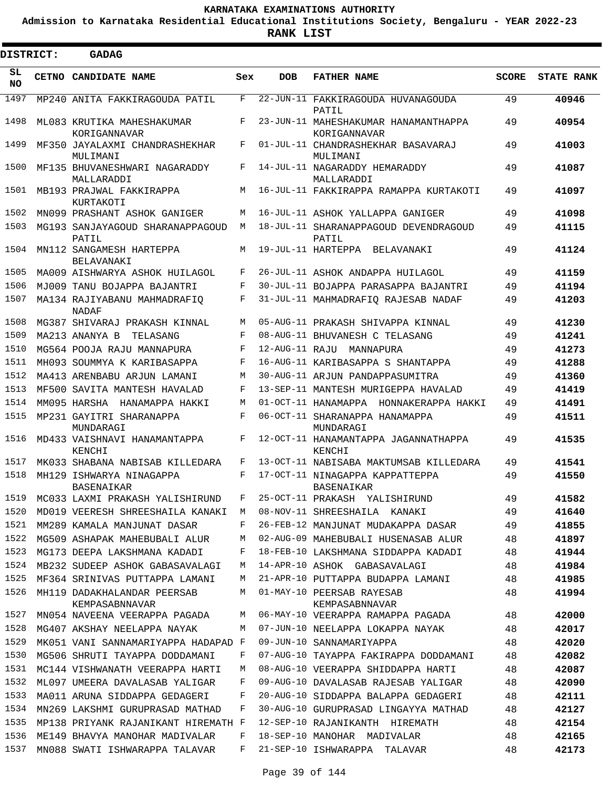**Admission to Karnataka Residential Educational Institutions Society, Bengaluru - YEAR 2022-23**

**RANK LIST**

| <b>DISTRICT:</b> |       | <b>GADAG</b>                                  |     |            |                                                      |              |                   |
|------------------|-------|-----------------------------------------------|-----|------------|------------------------------------------------------|--------------|-------------------|
| SL<br>NO.        | CETNO | <b>CANDIDATE NAME</b>                         | Sex | <b>DOB</b> | <b>FATHER NAME</b>                                   | <b>SCORE</b> | <b>STATE RANK</b> |
| 1497             |       | MP240 ANITA FAKKIRAGOUDA PATIL                | F   |            | 22-JUN-11 FAKKIRAGOUDA HUVANAGOUDA<br>PATIL          | 49           | 40946             |
| 1498             |       | ML083 KRUTIKA MAHESHAKUMAR<br>KORIGANNAVAR    | F   |            | 23-JUN-11 MAHESHAKUMAR HANAMANTHAPPA<br>KORIGANNAVAR | 49           | 40954             |
| 1499             |       | MF350 JAYALAXMI CHANDRASHEKHAR<br>MULIMANI    | F   |            | 01-JUL-11 CHANDRASHEKHAR BASAVARAJ<br>MULIMANI       | 49           | 41003             |
| 1500             |       | MF135 BHUVANESHWARI NAGARADDY<br>MALLARADDI   | F   |            | 14-JUL-11 NAGARADDY HEMARADDY<br>MALLARADDI          | 49           | 41087             |
| 1501             |       | MB193 PRAJWAL FAKKIRAPPA<br>KURTAKOTI         | М   |            | 16-JUL-11 FAKKIRAPPA RAMAPPA KURTAKOTI               | 49           | 41097             |
| 1502             |       | MN099 PRASHANT ASHOK GANIGER                  | М   |            | 16-JUL-11 ASHOK YALLAPPA GANIGER                     | 49           | 41098             |
| 1503             |       | MG193 SANJAYAGOUD SHARANAPPAGOUD<br>PATIL     | M   |            | 18-JUL-11 SHARANAPPAGOUD DEVENDRAGOUD<br>PATIL       | 49           | 41115             |
| 1504             |       | MN112 SANGAMESH HARTEPPA<br>BELAVANAKI        | М   |            | 19-JUL-11 HARTEPPA<br>BELAVANAKI                     | 49           | 41124             |
| 1505             |       | MA009 AISHWARYA ASHOK HUILAGOL                | F   |            | 26-JUL-11 ASHOK ANDAPPA HUILAGOL                     | 49           | 41159             |
| 1506             |       | MJ009 TANU BOJAPPA BAJANTRI                   | F   |            | 30-JUL-11 BOJAPPA PARASAPPA BAJANTRI                 | 49           | 41194             |
| 1507             |       | MA134 RAJIYABANU MAHMADRAFIO<br>NADAF         | F   |            | 31-JUL-11 MAHMADRAFIQ RAJESAB NADAF                  | 49           | 41203             |
| 1508             |       | MG387 SHIVARAJ PRAKASH KINNAL                 | М   |            | 05-AUG-11 PRAKASH SHIVAPPA KINNAL                    | 49           | 41230             |
| 1509             |       | MA213 ANANYA B<br>TELASANG                    | F   |            | 08-AUG-11 BHUVANESH C TELASANG                       | 49           | 41241             |
| 1510             |       | MG564 POOJA RAJU MANNAPURA                    | F   |            | 12-AUG-11 RAJU MANNAPURA                             | 49           | 41273             |
| 1511             |       | MH093 SOUMMYA K KARIBASAPPA                   | F   |            | 16-AUG-11 KARIBASAPPA S SHANTAPPA                    | 49           | 41288             |
| 1512             |       | MA413 ARENBABU ARJUN LAMANI                   | М   |            | 30-AUG-11 ARJUN PANDAPPASUMITRA                      | 49           | 41360             |
| 1513             |       | MF500 SAVITA MANTESH HAVALAD                  | F   |            | 13-SEP-11 MANTESH MURIGEPPA HAVALAD                  | 49           | 41419             |
| 1514             |       | MM095 HARSHA<br>HANAMAPPA HAKKI               | М   |            | 01-OCT-11 HANAMAPPA HONNAKERAPPA HAKKI               | 49           | 41491             |
| 1515             |       | MP231 GAYITRI SHARANAPPA<br>MUNDARAGI         | F   |            | 06-OCT-11 SHARANAPPA HANAMAPPA<br>MUNDARAGI          | 49           | 41511             |
| 1516             |       | MD433 VAISHNAVI HANAMANTAPPA<br>KENCHI        | F   |            | 12-OCT-11 HANAMANTAPPA JAGANNATHAPPA<br>KENCHI       | 49           | 41535             |
| 1517             |       | MK033 SHABANA NABISAB KILLEDARA               | F   |            | 13-OCT-11 NABISABA MAKTUMSAB KILLEDARA               | 49           | 41541             |
| 1518             |       | MH129 ISHWARYA NINAGAPPA<br>BASENAIKAR        | F   |            | 17-OCT-11 NINAGAPPA KAPPATTEPPA<br><b>BASENAIKAR</b> | 49           | 41550             |
| 1519             |       | MC033 LAXMI PRAKASH YALISHIRUND               | F   |            | 25-OCT-11 PRAKASH YALISHIRUND                        | 49           | 41582             |
| 1520             |       | MD019 VEERESH SHREESHAILA KANAKI              | M   |            | 08-NOV-11 SHREESHAILA KANAKI                         | 49           | 41640             |
| 1521             |       | MM289 KAMALA MANJUNAT DASAR                   | F   |            | 26-FEB-12 MANJUNAT MUDAKAPPA DASAR                   | 49           | 41855             |
| 1522             |       | MG509 ASHAPAK MAHEBUBALI ALUR                 | М   |            | 02-AUG-09 MAHEBUBALI HUSENASAB ALUR                  | 48           | 41897             |
| 1523             |       | MG173 DEEPA LAKSHMANA KADADI                  | F   |            | 18-FEB-10 LAKSHMANA SIDDAPPA KADADI                  | 48           | 41944             |
| 1524             |       | MB232 SUDEEP ASHOK GABASAVALAGI               | М   |            | 14-APR-10 ASHOK GABASAVALAGI                         | 48           | 41984             |
| 1525             |       | MF364 SRINIVAS PUTTAPPA LAMANI                | М   |            | 21-APR-10 PUTTAPPA BUDAPPA LAMANI                    | 48           | 41985             |
| 1526             |       | MH119 DADAKHALANDAR PEERSAB<br>KEMPASABNNAVAR | М   |            | 01-MAY-10 PEERSAB RAYESAB<br>KEMPASABNNAVAR          | 48           | 41994             |
| 1527             |       | MN054 NAVEENA VEERAPPA PAGADA                 | М   |            | 06-MAY-10 VEERAPPA RAMAPPA PAGADA                    | 48           | 42000             |
| 1528             |       | MG407 AKSHAY NEELAPPA NAYAK                   | М   |            | 07-JUN-10 NEELAPPA LOKAPPA NAYAK                     | 48           | 42017             |
| 1529             |       | MK051 VANI SANNAMARIYAPPA HADAPAD F           |     |            | 09-JUN-10 SANNAMARIYAPPA                             | 48           | 42020             |
| 1530             |       | MG506 SHRUTI TAYAPPA DODDAMANI                | F   |            | 07-AUG-10 TAYAPPA FAKIRAPPA DODDAMANI                | 48           | 42082             |
| 1531             |       | MC144 VISHWANATH VEERAPPA HARTI               | M   |            | 08-AUG-10 VEERAPPA SHIDDAPPA HARTI                   | 48           | 42087             |
| 1532             |       | ML097 UMEERA DAVALASAB YALIGAR                | F   |            | 09-AUG-10 DAVALASAB RAJESAB YALIGAR                  | 48           | 42090             |
| 1533             |       | MA011 ARUNA SIDDAPPA GEDAGERI                 | F   |            | 20-AUG-10 SIDDAPPA BALAPPA GEDAGERI                  | 48           | 42111             |
| 1534             |       | MN269 LAKSHMI GURUPRASAD MATHAD               | F   |            | 30-AUG-10 GURUPRASAD LINGAYYA MATHAD                 | 48           | 42127             |
| 1535             |       | MP138 PRIYANK RAJANIKANT HIREMATH F           |     |            | 12-SEP-10 RAJANIKANTH HIREMATH                       | 48           | 42154             |
| 1536             |       | ME149 BHAVYA MANOHAR MADIVALAR                | F   |            | 18-SEP-10 MANOHAR MADIVALAR                          | 48           | 42165             |
| 1537             |       | MN088 SWATI ISHWARAPPA TALAVAR                | F   |            | 21-SEP-10 ISHWARAPPA TALAVAR                         | 48           | 42173             |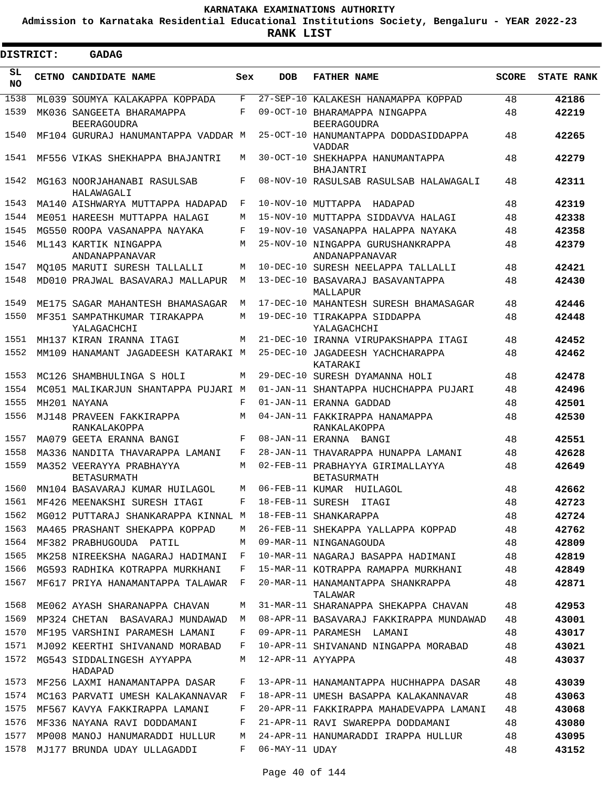**Admission to Karnataka Residential Educational Institutions Society, Bengaluru - YEAR 2022-23**

| <b>DISTRICT:</b> | GADAG                                                     |            |                   |                                                                |              |                   |
|------------------|-----------------------------------------------------------|------------|-------------------|----------------------------------------------------------------|--------------|-------------------|
| SL.<br>NO.       | CETNO CANDIDATE NAME                                      | Sex        | <b>DOB</b>        | <b>FATHER NAME</b>                                             | <b>SCORE</b> | <b>STATE RANK</b> |
| 1538             | ML039 SOUMYA KALAKAPPA KOPPADA                            | F          |                   | 27-SEP-10 KALAKESH HANAMAPPA KOPPAD                            | 48           | 42186             |
| 1539             | MK036 SANGEETA BHARAMAPPA                                 | F          |                   | 09-OCT-10 BHARAMAPPA NINGAPPA                                  | 48           | 42219             |
| 1540             | <b>BEERAGOUDRA</b><br>MF104 GURURAJ HANUMANTAPPA VADDAR M |            |                   | <b>BEERAGOUDRA</b><br>25-OCT-10 HANUMANTAPPA DODDASIDDAPPA     | 48           | 42265             |
| 1541             | MF556 VIKAS SHEKHAPPA BHAJANTRI                           | М          |                   | <b>VADDAR</b><br>30-OCT-10 SHEKHAPPA HANUMANTAPPA<br>BHAJANTRI | 48           | 42279             |
| 1542             | MG163 NOORJAHANABI RASULSAB<br>HALAWAGALI                 | F          |                   | 08-NOV-10 RASULSAB RASULSAB HALAWAGALI                         | 48           | 42311             |
| 1543             | MA140 AISHWARYA MUTTAPPA HADAPAD                          | F          |                   | 10-NOV-10 MUTTAPPA HADAPAD                                     | 48           | 42319             |
| 1544             | ME051 HAREESH MUTTAPPA HALAGI                             | M          |                   | 15-NOV-10 MUTTAPPA SIDDAVVA HALAGI                             | 48           | 42338             |
| 1545             | MG550 ROOPA VASANAPPA NAYAKA                              | F          |                   | 19-NOV-10 VASANAPPA HALAPPA NAYAKA                             | 48           | 42358             |
| 1546             | ML143 KARTIK NINGAPPA<br>ANDANAPPANAVAR                   | M          |                   | 25-NOV-10 NINGAPPA GURUSHANKRAPPA<br>ANDANAPPANAVAR            | 48           | 42379             |
| 1547             | MO105 MARUTI SURESH TALLALLI                              | М          |                   | 10-DEC-10 SURESH NEELAPPA TALLALLI                             | 48           | 42421             |
| 1548             | MD010 PRAJWAL BASAVARAJ MALLAPUR                          | M          |                   | 13-DEC-10 BASAVARAJ BASAVANTAPPA<br>MALLAPUR                   | 48           | 42430             |
| 1549             | ME175 SAGAR MAHANTESH BHAMASAGAR                          | М          |                   | 17-DEC-10 MAHANTESH SURESH BHAMASAGAR                          | 48           | 42446             |
| 1550             | MF351 SAMPATHKUMAR TIRAKAPPA<br>YALAGACHCHI               | М          |                   | 19-DEC-10 TIRAKAPPA SIDDAPPA<br>YALAGACHCHI                    | 48           | 42448             |
| 1551             | MH137 KIRAN IRANNA ITAGI                                  | M          |                   | 21-DEC-10 IRANNA VIRUPAKSHAPPA ITAGI                           | 48           | 42452             |
| 1552             | MM109 HANAMANT JAGADEESH KATARAKI M                       |            |                   | 25-DEC-10 JAGADEESH YACHCHARAPPA<br>KATARAKI                   | 48           | 42462             |
| 1553             | MC126 SHAMBHULINGA S HOLI                                 | М          |                   | 29-DEC-10 SURESH DYAMANNA HOLI                                 | 48           | 42478             |
| 1554             | MC051 MALIKARJUN SHANTAPPA PUJARI M                       |            |                   | 01-JAN-11 SHANTAPPA HUCHCHAPPA PUJARI                          | 48           | 42496             |
| 1555             | MH201 NAYANA                                              | $_{\rm F}$ |                   | 01-JAN-11 ERANNA GADDAD                                        | 48           | 42501             |
| 1556             | MJ148 PRAVEEN FAKKIRAPPA<br>RANKALAKOPPA                  | М          |                   | 04-JAN-11 FAKKIRAPPA HANAMAPPA<br>RANKALAKOPPA                 | 48           | 42530             |
| 1557             | MA079 GEETA ERANNA BANGI                                  | F          |                   | 08-JAN-11 ERANNA BANGI                                         | 48           | 42551             |
| 1558             | MA336 NANDITA THAVARAPPA LAMANI                           | F          |                   | 28-JAN-11 THAVARAPPA HUNAPPA LAMANI                            | 48           | 42628             |
| 1559             | MA352 VEERAYYA PRABHAYYA<br><b>BETASURMATH</b>            | M          |                   | 02-FEB-11 PRABHAYYA GIRIMALLAYYA<br><b>BETASURMATH</b>         | 48           | 42649             |
| 1560             | MN104 BASAVARAJ KUMAR HUILAGOL                            | M          |                   | 06-FEB-11 KUMAR HUILAGOL                                       | 48           | 42662             |
| 1561             | MF426 MEENAKSHI SURESH ITAGI                              | F          |                   | 18-FEB-11 SURESH ITAGI                                         | 48           | 42723             |
| 1562             | MG012 PUTTARAJ SHANKARAPPA KINNAL M                       |            |                   | 18-FEB-11 SHANKARAPPA                                          | 48           | 42724             |
| 1563             | MA465 PRASHANT SHEKAPPA KOPPAD                            | М          |                   | 26-FEB-11 SHEKAPPA YALLAPPA KOPPAD                             | 48           | 42762             |
| 1564             | MF382 PRABHUGOUDA PATIL                                   | M          |                   | 09-MAR-11 NINGANAGOUDA                                         | 48           | 42809             |
| 1565             | MK258 NIREEKSHA NAGARAJ HADIMANI                          | F          |                   | 10-MAR-11 NAGARAJ BASAPPA HADIMANI                             | 48           | 42819             |
| 1566             | MG593 RADHIKA KOTRAPPA MURKHANI                           | F          |                   | 15-MAR-11 KOTRAPPA RAMAPPA MURKHANI                            | 48           | 42849             |
| 1567             | MF617 PRIYA HANAMANTAPPA TALAWAR                          | F          |                   | 20-MAR-11 HANAMANTAPPA SHANKRAPPA<br>TALAWAR                   | 48           | 42871             |
| 1568             | ME062 AYASH SHARANAPPA CHAVAN                             | М          |                   | 31-MAR-11 SHARANAPPA SHEKAPPA CHAVAN                           | 48           | 42953             |
| 1569             | MP324 CHETAN BASAVARAJ MUNDAWAD                           | M          |                   | 08-APR-11 BASAVARAJ FAKKIRAPPA MUNDAWAD                        | 48           | 43001             |
| 1570             | MF195 VARSHINI PARAMESH LAMANI                            | F          |                   | 09-APR-11 PARAMESH LAMANI                                      | 48           | 43017             |
| 1571             | MJ092 KEERTHI SHIVANAND MORABAD                           | F          |                   | 10-APR-11 SHIVANAND NINGAPPA MORABAD                           | 48           | 43021             |
| 1572             | MG543 SIDDALINGESH AYYAPPA<br>HADAPAD                     | М          | 12-APR-11 AYYAPPA |                                                                | 48           | 43037             |
| 1573             | MF256 LAXMI HANAMANTAPPA DASAR                            | F          |                   | 13-APR-11 HANAMANTAPPA HUCHHAPPA DASAR                         | 48           | 43039             |
| 1574             | MC163 PARVATI UMESH KALAKANNAVAR                          | F          |                   | 18-APR-11 UMESH BASAPPA KALAKANNAVAR                           | 48           | 43063             |
| 1575             | MF567 KAVYA FAKKIRAPPA LAMANI                             | F          |                   | 20-APR-11 FAKKIRAPPA MAHADEVAPPA LAMANI                        | 48           | 43068             |
| 1576             | MF336 NAYANA RAVI DODDAMANI                               | F          |                   | 21-APR-11 RAVI SWAREPPA DODDAMANI                              | 48           | 43080             |
| 1577             | MP008 MANOJ HANUMARADDI HULLUR                            | М          |                   | 24-APR-11 HANUMARADDI IRAPPA HULLUR                            | 48           | 43095             |
| 1578             | MJ177 BRUNDA UDAY ULLAGADDI                               | F          | 06-MAY-11 UDAY    |                                                                | 48           | 43152             |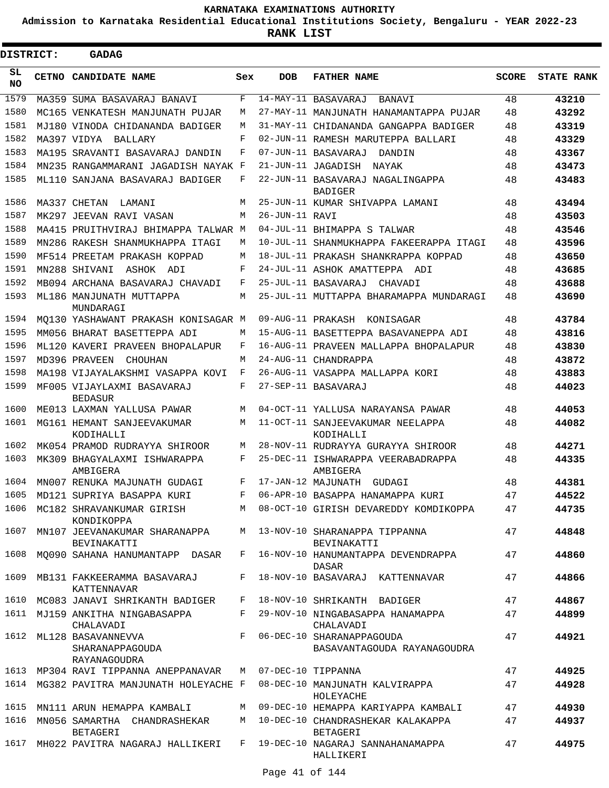**Admission to Karnataka Residential Educational Institutions Society, Bengaluru - YEAR 2022-23**

| DISTRICT: | GADAG                                                 |       |                   |                                                          |              |                   |
|-----------|-------------------------------------------------------|-------|-------------------|----------------------------------------------------------|--------------|-------------------|
| SL<br>NO. | CETNO CANDIDATE NAME                                  | Sex   | <b>DOB</b>        | <b>FATHER NAME</b>                                       | <b>SCORE</b> | <b>STATE RANK</b> |
| 1579      | MA359 SUMA BASAVARAJ BANAVI                           | F     |                   | 14-MAY-11 BASAVARAJ<br>BANAVI                            | 48           | 43210             |
| 1580      | MC165 VENKATESH MANJUNATH PUJAR                       | М     |                   | 27-MAY-11 MANJUNATH HANAMANTAPPA PUJAR                   | 48           | 43292             |
| 1581      | MJ180 VINODA CHIDANANDA BADIGER                       | M     |                   | 31-MAY-11 CHIDANANDA GANGAPPA BADIGER                    | 48           | 43319             |
| 1582      | MA397 VIDYA<br>BALLARY                                | F     |                   | 02-JUN-11 RAMESH MARUTEPPA BALLARI                       | 48           | 43329             |
| 1583      | MA195 SRAVANTI BASAVARAJ DANDIN                       | F     |                   | 07-JUN-11 BASAVARAJ<br>DANDIN                            | 48           | 43367             |
| 1584      | MN235 RANGAMMARANI JAGADISH NAYAK F                   |       |                   | 21-JUN-11 JAGADISH<br>NAYAK                              | 48           | 43473             |
| 1585      | ML110 SANJANA BASAVARAJ BADIGER                       | F     |                   | 22-JUN-11 BASAVARAJ NAGALINGAPPA<br><b>BADIGER</b>       | 48           | 43483             |
| 1586      | MA337 CHETAN<br>LAMANI                                | М     |                   | 25-JUN-11 KUMAR SHIVAPPA LAMANI                          | 48           | 43494             |
| 1587      | MK297 JEEVAN RAVI VASAN                               | M     | 26-JUN-11 RAVI    |                                                          | 48           | 43503             |
| 1588      | MA415 PRUITHVIRAJ BHIMAPPA TALWAR M                   |       |                   | 04-JUL-11 BHIMAPPA S TALWAR                              | 48           | 43546             |
| 1589      | MN286 RAKESH SHANMUKHAPPA ITAGI                       | М     |                   | 10-JUL-11 SHANMUKHAPPA FAKEERAPPA ITAGI                  | 48           | 43596             |
| 1590      | MF514 PREETAM PRAKASH KOPPAD                          | М     |                   | 18-JUL-11 PRAKASH SHANKRAPPA KOPPAD                      | 48           | 43650             |
| 1591      | MN288 SHIVANI<br>ASHOK ADI                            | F     |                   | 24-JUL-11 ASHOK AMATTEPPA<br>ADI                         | 48           | 43685             |
| 1592      | MB094 ARCHANA BASAVARAJ CHAVADI                       | F     |                   | 25-JUL-11 BASAVARAJ<br>CHAVADI                           | 48           | 43688             |
| 1593      | ML186 MANJUNATH MUTTAPPA<br>MUNDARAGI                 | M     |                   | 25-JUL-11 MUTTAPPA BHARAMAPPA MUNDARAGI                  | 48           | 43690             |
| 1594      | MO130 YASHAWANT PRAKASH KONISAGAR M                   |       | 09-AUG-11 PRAKASH | KONISAGAR                                                | 48           | 43784             |
| 1595      | MM056 BHARAT BASETTEPPA ADI                           | М     |                   | 15-AUG-11 BASETTEPPA BASAVANEPPA ADI                     | 48           | 43816             |
| 1596      | ML120 KAVERI PRAVEEN BHOPALAPUR                       | F     |                   | 16-AUG-11 PRAVEEN MALLAPPA BHOPALAPUR                    | 48           | 43830             |
| 1597      | MD396 PRAVEEN<br>CHOUHAN                              | M     |                   | 24-AUG-11 CHANDRAPPA                                     | 48           | 43872             |
| 1598      | MA198 VIJAYALAKSHMI VASAPPA KOVI                      | F     |                   | 26-AUG-11 VASAPPA MALLAPPA KORI                          | 48           | 43883             |
| 1599      | MF005 VIJAYLAXMI BASAVARAJ<br><b>BEDASUR</b>          | F     |                   | 27-SEP-11 BASAVARAJ                                      | 48           | 44023             |
| 1600      | ME013 LAXMAN YALLUSA PAWAR                            | M     |                   | 04-OCT-11 YALLUSA NARAYANSA PAWAR                        | 48           | 44053             |
| 1601      | MG161 HEMANT SANJEEVAKUMAR<br>KODIHALLI               | М     |                   | 11-OCT-11 SANJEEVAKUMAR NEELAPPA<br>KODIHALLI            | 48           | 44082             |
| 1602      | MK054 PRAMOD RUDRAYYA SHIROOR                         | M     |                   | 28-NOV-11 RUDRAYYA GURAYYA SHIROOR                       | 48           | 44271             |
| 1603      | MK309 BHAGYALAXMI ISHWARAPPA<br>AMBIGERA              | F     |                   | 25-DEC-11 ISHWARAPPA VEERABADRAPPA<br>AMBIGERA           | 48           | 44335             |
| 1604      | MN007 RENUKA MAJUNATH GUDAGI                          | F     |                   | 17-JAN-12 MAJUNATH<br>GUDAGI                             | 48           | 44381             |
| 1605      | MD121 SUPRIYA BASAPPA KURI                            | F     |                   | 06-APR-10 BASAPPA HANAMAPPA KURI                         | 47           | 44522             |
| 1606      | MC182 SHRAVANKUMAR GIRISH<br>KONDIKOPPA               | M     |                   | 08-OCT-10 GIRISH DEVAREDDY KOMDIKOPPA                    | 47           | 44735             |
| 1607      | MN107 JEEVANAKUMAR SHARANAPPA<br>BEVINAKATTI          | M     |                   | 13-NOV-10 SHARANAPPA TIPPANNA<br>BEVINAKATTI             | 47           | 44848             |
| 1608      | MO090 SAHANA HANUMANTAPP DASAR                        | F     |                   | 16-NOV-10 HANUMANTAPPA DEVENDRAPPA<br>DASAR              | 47           | 44860             |
| 1609      | MB131 FAKKEERAMMA BASAVARAJ<br><b>KATTENNAVAR</b>     | F     |                   | 18-NOV-10 BASAVARAJ KATTENNAVAR                          | 47           | 44866             |
| 1610      | MC083 JANAVI SHRIKANTH BADIGER                        | F     |                   | 18-NOV-10 SHRIKANTH BADIGER                              | 47           | 44867             |
| 1611      | MJ159 ANKITHA NINGABASAPPA<br>CHALAVADI               | F     |                   | 29-NOV-10 NINGABASAPPA HANAMAPPA<br>CHALAVADI            | 47           | 44899             |
| 1612      | ML128 BASAVANNEVVA<br>SHARANAPPAGOUDA<br>RAYANAGOUDRA | F     |                   | 06-DEC-10 SHARANAPPAGOUDA<br>BASAVANTAGOUDA RAYANAGOUDRA | 47           | 44921             |
|           | 1613 MP304 RAVI TIPPANNA ANEPPANAVAR                  |       |                   | M 07-DEC-10 TIPPANNA                                     | 47           | 44925             |
| 1614      | MG382 PAVITRA MANJUNATH HOLEYACHE F                   |       |                   | 08-DEC-10 MANJUNATH KALVIRAPPA<br>HOLEYACHE              | 47           | 44928             |
| 1615      | MN111 ARUN HEMAPPA KAMBALI                            |       |                   | M 09-DEC-10 HEMAPPA KARIYAPPA KAMBALI                    | 47           | 44930             |
| 1616      | MN056 SAMARTHA CHANDRASHEKAR<br>BETAGERI              | M     |                   | 10-DEC-10 CHANDRASHEKAR KALAKAPPA<br>BETAGERI            | 47           | 44937             |
| 1617      | MH022 PAVITRA NAGARAJ HALLIKERI                       | $F$ – |                   | 19-DEC-10 NAGARAJ SANNAHANAMAPPA<br>HALLIKERI            | 47           | 44975             |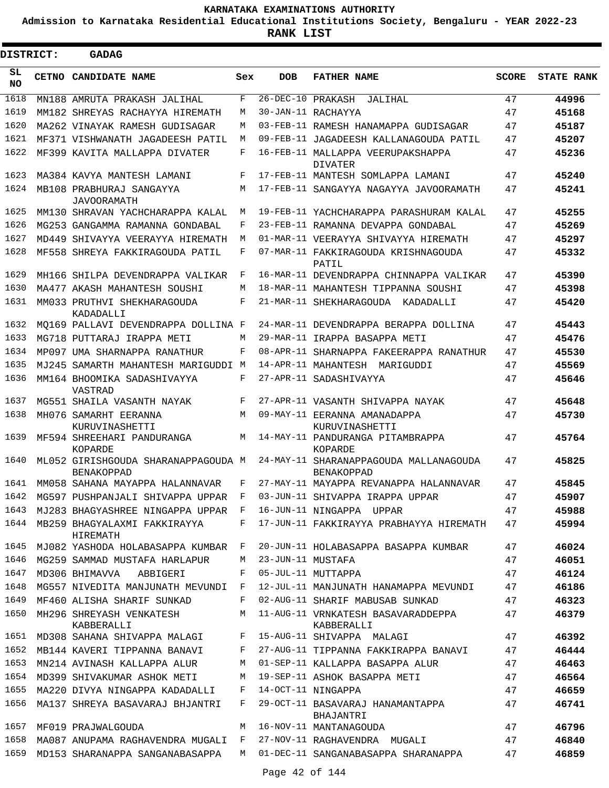**Admission to Karnataka Residential Educational Institutions Society, Bengaluru - YEAR 2022-23**

| DISTRICT:  | GADAG                                                            |     |                     |                                                      |              |                   |
|------------|------------------------------------------------------------------|-----|---------------------|------------------------------------------------------|--------------|-------------------|
| SL.<br>NO. | CETNO CANDIDATE NAME                                             | Sex | <b>DOB</b>          | <b>FATHER NAME</b>                                   | <b>SCORE</b> | <b>STATE RANK</b> |
| 1618       | MN188 AMRUTA PRAKASH JALIHAL                                     | F   | 26-DEC-10 PRAKASH   | JALIHAL                                              | 47           | 44996             |
| 1619       | MM182 SHREYAS RACHAYYA HIREMATH                                  | М   |                     | 30-JAN-11 RACHAYYA                                   | 47           | 45168             |
| 1620       | MA262 VINAYAK RAMESH GUDISAGAR                                   | М   |                     | 03-FEB-11 RAMESH HANAMAPPA GUDISAGAR                 | 47           | 45187             |
| 1621       | MF371 VISHWANATH JAGADEESH PATIL                                 | M   |                     | 09-FEB-11 JAGADEESH KALLANAGOUDA PATIL               | 47           | 45207             |
| 1622       | MF399 KAVITA MALLAPPA DIVATER                                    | F   |                     | 16-FEB-11 MALLAPPA VEERUPAKSHAPPA<br><b>DIVATER</b>  | 47           | 45236             |
| 1623       | MA384 KAVYA MANTESH LAMANI                                       | F   |                     | 17-FEB-11 MANTESH SOMLAPPA LAMANI                    | 47           | 45240             |
| 1624       | MB108 PRABHURAJ SANGAYYA<br>JAVOORAMATH                          | M   |                     | 17-FEB-11 SANGAYYA NAGAYYA JAVOORAMATH               | 47           | 45241             |
| 1625       | MM130 SHRAVAN YACHCHARAPPA KALAL                                 | M   |                     | 19-FEB-11 YACHCHARAPPA PARASHURAM KALAL              | 47           | 45255             |
| 1626       | MG253 GANGAMMA RAMANNA GONDABAL                                  | F   |                     | 23-FEB-11 RAMANNA DEVAPPA GONDABAL                   | 47           | 45269             |
| 1627       | MD449 SHIVAYYA VEERAYYA HIREMATH                                 | M   |                     | 01-MAR-11 VEERAYYA SHIVAYYA HIREMATH                 | 47           | 45297             |
| 1628       | MF558 SHREYA FAKKIRAGOUDA PATIL                                  | F   |                     | 07-MAR-11 FAKKIRAGOUDA KRISHNAGOUDA<br>PATIL         | 47           | 45332             |
| 1629       | MH166 SHILPA DEVENDRAPPA VALIKAR                                 | F   |                     | 16-MAR-11 DEVENDRAPPA CHINNAPPA VALIKAR              | 47           | 45390             |
| 1630       | MA477 AKASH MAHANTESH SOUSHI                                     | М   |                     | 18-MAR-11 MAHANTESH TIPPANNA SOUSHI                  | 47           | 45398             |
| 1631       | MM033 PRUTHVI SHEKHARAGOUDA<br>KADADALLI                         | F   |                     | 21-MAR-11 SHEKHARAGOUDA KADADALLI                    | 47           | 45420             |
| 1632       | MO169 PALLAVI DEVENDRAPPA DOLLINA F                              |     |                     | 24-MAR-11 DEVENDRAPPA BERAPPA DOLLINA                | 47           | 45443             |
| 1633       | MG718 PUTTARAJ IRAPPA METI                                       | М   |                     | 29-MAR-11 IRAPPA BASAPPA METI                        | 47           | 45476             |
| 1634       | MP097 UMA SHARNAPPA RANATHUR                                     | F   |                     | 08-APR-11 SHARNAPPA FAKEERAPPA RANATHUR              | 47           | 45530             |
| 1635       | MJ245 SAMARTH MAHANTESH MARIGUDDI M                              |     |                     | 14-APR-11 MAHANTESH MARIGUDDI                        | 47           | 45569             |
| 1636       | MM164 BHOOMIKA SADASHIVAYYA<br>VASTRAD                           | F   |                     | 27-APR-11 SADASHIVAYYA                               | 47           | 45646             |
| 1637       | MG551 SHAILA VASANTH NAYAK                                       | F   |                     | 27-APR-11 VASANTH SHIVAPPA NAYAK                     | 47           | 45648             |
| 1638       | MH076 SAMARHT EERANNA<br>KURUVINASHETTI                          | M   |                     | 09-MAY-11 EERANNA AMANADAPPA<br>KURUVINASHETTI       | 47           | 45730             |
| 1639       | MF594 SHREEHARI PANDURANGA<br>KOPARDE                            | М   |                     | 14-MAY-11 PANDURANGA PITAMBRAPPA<br>KOPARDE          | 47           | 45764             |
| 1640       | ML052 GIRISHGOUDA SHARANAPPAGOUDA M<br><b>BENAKOPPAD</b>         |     |                     | 24-MAY-11 SHARANAPPAGOUDA MALLANAGOUDA<br>BENAKOPPAD | 47           | 45825             |
| 1641       | MM058 SAHANA MAYAPPA HALANNAVAR                                  | F   |                     | 27-MAY-11 MAYAPPA REVANAPPA HALANNAVAR               | 47           | 45845             |
|            | 1642 MG597 PUSHPANJALI SHIVAPPA UPPAR F                          |     |                     | 03-JUN-11 SHIVAPPA IRAPPA UPPAR                      | 47           | 45907             |
|            | 1643 MJ283 BHAGYASHREE NINGAPPA UPPAR F 16-JUN-11 NINGAPPA UPPAR |     |                     |                                                      | 47           | 45988             |
|            | 1644 MB259 BHAGYALAXMI FAKKIRAYYA<br>HIREMATH                    |     |                     | F 17-JUN-11 FAKKIRAYYA PRABHAYYA HIREMATH            | 47           | 45994             |
|            | 1645 MJ082 YASHODA HOLABASAPPA KUMBAR F                          |     |                     | 20-JUN-11 HOLABASAPPA BASAPPA KUMBAR                 | 47           | 46024             |
| 1646       | MG259 SAMMAD MUSTAFA HARLAPUR                                    |     | M 23-JUN-11 MUSTAFA |                                                      | 47           | 46051             |
| 1647       | MD306 BHIMAVVA ABBIGERI                                          | F   |                     | 05-JUL-11 MUTTAPPA                                   | 47           | 46124             |
| 1648       | MG557 NIVEDITA MANJUNATH MEVUNDI F                               |     |                     | 12-JUL-11 MANJUNATH HANAMAPPA MEVUNDI                | 47           | 46186             |
| 1649       | MF460 ALISHA SHARIF SUNKAD                                       | F   |                     | 02-AUG-11 SHARIF MABUSAB SUNKAD                      | 47           | 46323             |
| 1650       | MH296 SHREYASH VENKATESH<br>KABBERALLI                           | M   |                     | 11-AUG-11 VRNKATESH BASAVARADDEPPA<br>KABBERALLI     | 47           | 46379             |
|            | 1651 MD308 SAHANA SHIVAPPA MALAGI                                |     |                     | F 15-AUG-11 SHIVAPPA MALAGI                          | 47           | 46392             |
| 1652       | MB144 KAVERI TIPPANNA BANAVI                                     | F   |                     | 27-AUG-11 TIPPANNA FAKKIRAPPA BANAVI                 | 47           | 46444             |
| 1653       | MN214 AVINASH KALLAPPA ALUR                                      | M   |                     | 01-SEP-11 KALLAPPA BASAPPA ALUR                      | 47           | 46463             |
| 1654       | MD399 SHIVAKUMAR ASHOK METI                                      | М   |                     | 19-SEP-11 ASHOK BASAPPA METI                         | 47           | 46564             |
| 1655       | MA220 DIVYA NINGAPPA KADADALLI                                   | F   |                     | 14-OCT-11 NINGAPPA                                   | 47           | 46659             |
| 1656       | MA137 SHREYA BASAVARAJ BHJANTRI                                  | F   |                     | 29-OCT-11 BASAVARAJ HANAMANTAPPA<br>BHAJANTRI        | 47           | 46741             |
| 1657       | MF019 PRAJWALGOUDA                                               | М   |                     | 16-NOV-11 MANTANAGOUDA                               | 47           | 46796             |
| 1658       | MA087 ANUPAMA RAGHAVENDRA MUGALI F                               |     |                     | 27-NOV-11 RAGHAVENDRA MUGALI                         | 47           | 46840             |
| 1659       | MD153 SHARANAPPA SANGANABASAPPA                                  |     |                     | M 01-DEC-11 SANGANABASAPPA SHARANAPPA                | 47           | 46859             |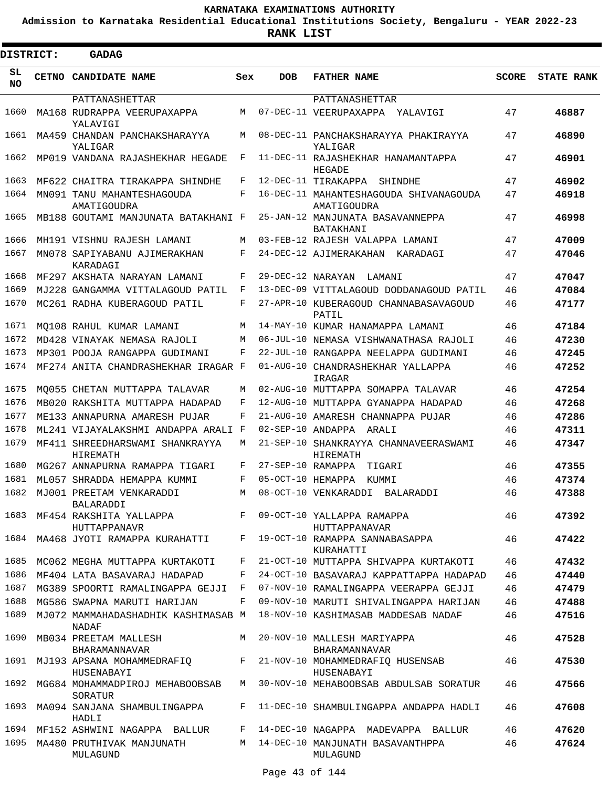**Admission to Karnataka Residential Educational Institutions Society, Bengaluru - YEAR 2022-23**

| DISTRICT:       | GADAG                                                                                   |       |                   |                                                       |              |                   |
|-----------------|-----------------------------------------------------------------------------------------|-------|-------------------|-------------------------------------------------------|--------------|-------------------|
| SL<br><b>NO</b> | CETNO CANDIDATE NAME                                                                    | Sex   | <b>DOB</b>        | <b>FATHER NAME</b>                                    | <b>SCORE</b> | <b>STATE RANK</b> |
|                 | PATTANASHETTAR                                                                          |       |                   | PATTANASHETTAR                                        |              |                   |
| 1660            | MA168 RUDRAPPA VEERUPAXAPPA<br>YALAVIGI                                                 | М     |                   | 07-DEC-11 VEERUPAXAPPA<br>YALAVIGI                    | 47           | 46887             |
| 1661            | MA459 CHANDAN PANCHAKSHARAYYA<br>YALIGAR                                                | M     |                   | 08-DEC-11 PANCHAKSHARAYYA PHAKIRAYYA<br>YALIGAR       | 47           | 46890             |
| 1662            | MP019 VANDANA RAJASHEKHAR HEGADE                                                        | F     |                   | 11-DEC-11 RAJASHEKHAR HANAMANTAPPA<br>HEGADE          | 47           | 46901             |
| 1663            | MF622 CHAITRA TIRAKAPPA SHINDHE                                                         | F     |                   | 12-DEC-11 TIRAKAPPA<br>SHINDHE                        | 47           | 46902             |
| 1664            | MN091 TANU MAHANTESHAGOUDA<br>AMATIGOUDRA                                               | F     |                   | 16-DEC-11 MAHANTESHAGOUDA SHIVANAGOUDA<br>AMATIGOUDRA | 47           | 46918             |
| 1665            | MB188 GOUTAMI MANJUNATA BATAKHANI F                                                     |       |                   | 25-JAN-12 MANJUNATA BASAVANNEPPA<br>BATAKHANI         | 47           | 46998             |
| 1666            | MH191 VISHNU RAJESH LAMANI                                                              | М     |                   | 03-FEB-12 RAJESH VALAPPA LAMANI                       | 47           | 47009             |
| 1667            | MN078 SAPIYABANU AJIMERAKHAN<br>KARADAGI                                                | F     |                   | 24-DEC-12 AJIMERAKAHAN KARADAGI                       | 47           | 47046             |
| 1668            | MF297 AKSHATA NARAYAN LAMANI                                                            | F     | 29-DEC-12 NARAYAN | LAMANI                                                | 47           | 47047             |
| 1669            | MJ228 GANGAMMA VITTALAGOUD PATIL                                                        | F     |                   | 13-DEC-09 VITTALAGOUD DODDANAGOUD PATIL               | 46           | 47084             |
| 1670            | MC261 RADHA KUBERAGOUD PATIL                                                            | F     |                   | 27-APR-10 KUBERAGOUD CHANNABASAVAGOUD<br>PATIL        | 46           | 47177             |
| 1671            | MO108 RAHUL KUMAR LAMANI                                                                | M     |                   | 14-MAY-10 KUMAR HANAMAPPA LAMANI                      | 46           | 47184             |
| 1672            | MD428 VINAYAK NEMASA RAJOLI                                                             | M     |                   | 06-JUL-10 NEMASA VISHWANATHASA RAJOLI                 | 46           | 47230             |
| 1673            | MP301 POOJA RANGAPPA GUDIMANI                                                           | F     |                   | 22-JUL-10 RANGAPPA NEELAPPA GUDIMANI                  | 46           | 47245             |
| 1674            | MF274 ANITA CHANDRASHEKHAR IRAGAR F                                                     |       |                   | 01-AUG-10 CHANDRASHEKHAR YALLAPPA<br>IRAGAR           | 46           | 47252             |
| 1675            | MO055 CHETAN MUTTAPPA TALAVAR                                                           | М     |                   | 02-AUG-10 MUTTAPPA SOMAPPA TALAVAR                    | 46           | 47254             |
| 1676            | MB020 RAKSHITA MUTTAPPA HADAPAD                                                         | F     |                   | 12-AUG-10 MUTTAPPA GYANAPPA HADAPAD                   | 46           | 47268             |
| 1677            | ME133 ANNAPURNA AMARESH PUJAR                                                           | F     |                   | 21-AUG-10 AMARESH CHANNAPPA PUJAR                     | 46           | 47286             |
| 1678            | ML241 VIJAYALAKSHMI ANDAPPA ARALI F                                                     |       | 02-SEP-10 ANDAPPA | ARALI                                                 | 46           | 47311             |
| 1679            | MF411 SHREEDHARSWAMI SHANKRAYYA<br>HIREMATH                                             | М     |                   | 21-SEP-10 SHANKRAYYA CHANNAVEERASWAMI<br>HIREMATH     | 46           | 47347             |
| 1680            | MG267 ANNAPURNA RAMAPPA TIGARI                                                          | F     | 27-SEP-10 RAMAPPA | TIGARI                                                | 46           | 47355             |
| 1681            | ML057 SHRADDA HEMAPPA KUMMI                                                             | F     | 05-OCT-10 HEMAPPA | KUMMI                                                 | 46           | 47374             |
| 1682            | MJ001 PREETAM VENKARADDI<br>BALARADDI                                                   | M     |                   | 08-OCT-10 VENKARADDI<br>BALARADDI                     | 46           | 47388             |
| 1683            | MF454 RAKSHITA YALLAPPA                                                                 |       |                   | F 09-OCT-10 YALLAPPA RAMAPPA                          | 46           | 47392             |
| 1684            | <b>HUTTAPPANAVR</b><br>MA468 JYOTI RAMAPPA KURAHATTI                                    | $F -$ |                   | HUTTAPPANAVAR<br>19-OCT-10 RAMAPPA SANNABASAPPA       | 46           | 47422             |
|                 |                                                                                         |       |                   | KURAHATTI                                             |              |                   |
| 1685            | MC062 MEGHA MUTTAPPA KURTAKOTI                                                          | F     |                   | 21-OCT-10 MUTTAPPA SHIVAPPA KURTAKOTI                 | 46           | 47432             |
| 1686            | MF404 LATA BASAVARAJ HADAPAD                                                            | F     |                   | 24-OCT-10 BASAVARAJ KAPPATTAPPA HADAPAD               | 46           | 47440             |
| 1687            | MG389 SPOORTI RAMALINGAPPA GEJJI                                                        |       |                   | F 07-NOV-10 RAMALINGAPPA VEERAPPA GEJJI               | 46           | 47479             |
| 1688            | MG586 SWAPNA MARUTI HARIJAN                                                             |       |                   | F 09-NOV-10 MARUTI SHIVALINGAPPA HARIJAN              | 46           | 47488             |
| 1689            | MJ072 MAMMAHADASHADHIK KASHIMASAB M 18-NOV-10 KASHIMASAB MADDESAB NADAF<br><b>NADAF</b> |       |                   |                                                       | 46           | 47516             |
| 1690            | MB034 PREETAM MALLESH<br><b>BHARAMANNAVAR</b>                                           | M     |                   | 20-NOV-10 MALLESH MARIYAPPA<br>BHARAMANNAVAR          | 46           | 47528             |
| 1691            | MJ193 APSANA MOHAMMEDRAFIO<br>HUSENABAYI                                                | F     |                   | 21-NOV-10 MOHAMMEDRAFIQ HUSENSAB<br>HUSENABAYI        | 46           | 47530             |
| 1692            | MG684 MOHAMMADPIROJ MEHABOOBSAB<br>SORATUR                                              | M     |                   | 30-NOV-10 MEHABOOBSAB ABDULSAB SORATUR                | 46           | 47566             |
| 1693            | MA094 SANJANA SHAMBULINGAPPA<br>HADLI                                                   | F     |                   | 11-DEC-10 SHAMBULINGAPPA ANDAPPA HADLI                | 46           | 47608             |
|                 | 1694 MF152 ASHWINI NAGAPPA BALLUR                                                       |       |                   | F 14-DEC-10 NAGAPPA MADEVAPPA BALLUR                  | 46           | 47620             |
| 1695            | MA480 PRUTHIVAK MANJUNATH<br>MULAGUND                                                   |       |                   | M 14-DEC-10 MANJUNATH BASAVANTHPPA<br>MULAGUND        | 46           | 47624             |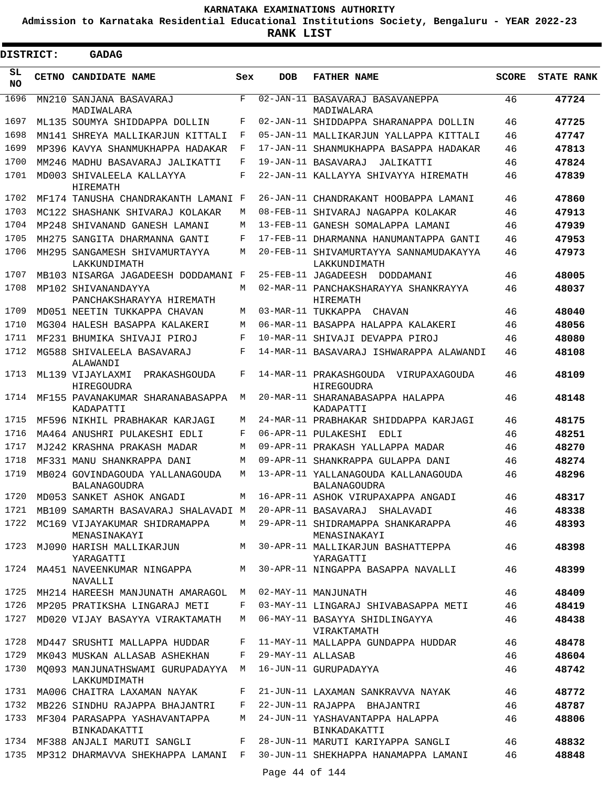**Admission to Karnataka Residential Educational Institutions Society, Bengaluru - YEAR 2022-23**

ı

| <b>DISTRICT:</b> | GADAG                                                                        |            |                   |                                                                                               |              |                   |
|------------------|------------------------------------------------------------------------------|------------|-------------------|-----------------------------------------------------------------------------------------------|--------------|-------------------|
| SL<br><b>NO</b>  | CETNO CANDIDATE NAME                                                         | Sex        | <b>DOB</b>        | <b>FATHER NAME</b>                                                                            | <b>SCORE</b> | <b>STATE RANK</b> |
| 1696             | MN210 SANJANA BASAVARAJ<br>MADIWALARA                                        | F          |                   | 02-JAN-11 BASAVARAJ BASAVANEPPA<br>MADIWALARA                                                 | 46           | 47724             |
| 1697             | ML135 SOUMYA SHIDDAPPA DOLLIN                                                | F          |                   | 02-JAN-11 SHIDDAPPA SHARANAPPA DOLLIN                                                         | 46           | 47725             |
| 1698             | MN141 SHREYA MALLIKARJUN KITTALI                                             | F          |                   | 05-JAN-11 MALLIKARJUN YALLAPPA KITTALI                                                        | 46           | 47747             |
| 1699             | MP396 KAVYA SHANMUKHAPPA HADAKAR                                             | F          |                   | 17-JAN-11 SHANMUKHAPPA BASAPPA HADAKAR                                                        | 46           | 47813             |
| 1700             | MM246 MADHU BASAVARAJ JALIKATTI                                              | F          |                   | 19-JAN-11 BASAVARAJ<br>JALIKATTI                                                              | 46           | 47824             |
| 1701             | MD003 SHIVALEELA KALLAYYA<br>HIREMATH                                        | $_{\rm F}$ |                   | 22-JAN-11 KALLAYYA SHIVAYYA HIREMATH                                                          | 46           | 47839             |
| 1702             | MF174 TANUSHA CHANDRAKANTH LAMANI F                                          |            |                   | 26-JAN-11 CHANDRAKANT HOOBAPPA LAMANI                                                         | 46           | 47860             |
| 1703             | MC122 SHASHANK SHIVARAJ KOLAKAR                                              | М          |                   | 08-FEB-11 SHIVARAJ NAGAPPA KOLAKAR                                                            | 46           | 47913             |
| 1704             | MP248 SHIVANAND GANESH LAMANI                                                | М          |                   | 13-FEB-11 GANESH SOMALAPPA LAMANI                                                             | 46           | 47939             |
| 1705             | MH275 SANGITA DHARMANNA GANTI                                                | F          |                   | 17-FEB-11 DHARMANNA HANUMANTAPPA GANTI                                                        | 46           | 47953             |
| 1706             | MH295 SANGAMESH SHIVAMURTAYYA<br>LAKKUNDIMATH                                | M          |                   | 20-FEB-11 SHIVAMURTAYYA SANNAMUDAKAYYA<br>LAKKUNDIMATH                                        | 46           | 47973             |
| 1707             | MB103 NISARGA JAGADEESH DODDAMANI F                                          |            |                   | 25-FEB-11 JAGADEESH DODDAMANI                                                                 | 46           | 48005             |
| 1708             | MP102 SHIVANANDAYYA<br>PANCHAKSHARAYYA HIREMATH                              | M          |                   | 02-MAR-11 PANCHAKSHARAYYA SHANKRAYYA<br>HIREMATH                                              | 46           | 48037             |
| 1709             | MD051 NEETIN TUKKAPPA CHAVAN                                                 | М          |                   | 03-MAR-11 TUKKAPPA CHAVAN                                                                     | 46           | 48040             |
| 1710             | MG304 HALESH BASAPPA KALAKERI                                                | M          |                   | 06-MAR-11 BASAPPA HALAPPA KALAKERI                                                            | 46           | 48056             |
| 1711             | MF231 BHUMIKA SHIVAJI PIROJ                                                  | F          |                   | 10-MAR-11 SHIVAJI DEVAPPA PIROJ                                                               | 46           | 48080             |
| 1712             | MG588 SHIVALEELA BASAVARAJ<br>ALAWANDI                                       | F          |                   | 14-MAR-11 BASAVARAJ ISHWARAPPA ALAWANDI                                                       | 46           | 48108             |
| 1713             | ML139 VIJAYLAXMI<br>PRAKASHGOUDA<br>HIREGOUDRA                               | F          |                   | 14-MAR-11 PRAKASHGOUDA VIRUPAXAGOUDA<br>HIREGOUDRA                                            | 46           | 48109             |
| 1714             | MF155 PAVANAKUMAR SHARANABASAPPA<br>KADAPATTI                                | М          |                   | 20-MAR-11 SHARANABASAPPA HALAPPA<br>KADAPATTI                                                 | 46           | 48148             |
| 1715             | MF596 NIKHIL PRABHAKAR KARJAGI                                               | M          |                   | 24-MAR-11 PRABHAKAR SHIDDAPPA KARJAGI                                                         | 46           | 48175             |
| 1716             | MA464 ANUSHRI PULAKESHI EDLI                                                 | F          |                   | 06-APR-11 PULAKESHI<br>EDLI                                                                   | 46           | 48251             |
| 1717             | MJ242 KRASHNA PRAKASH MADAR                                                  | M          |                   | 09-APR-11 PRAKASH YALLAPPA MADAR                                                              | 46           | 48270             |
| 1718             | MF331 MANU SHANKRAPPA DANI                                                   | M          |                   | 09-APR-11 SHANKRAPPA GULAPPA DANI                                                             | 46           | 48274             |
| 1719             | MB024 GOVINDAGOUDA YALLANAGOUDA<br><b>BALANAGOUDRA</b>                       | М          |                   | 13-APR-11 YALLANAGOUDA KALLANAGOUDA<br><b>BALANAGOUDRA</b>                                    | 46           | 48296             |
|                  | 1720 MD053 SANKET ASHOK ANGADI                                               |            |                   | M 16-APR-11 ASHOK VIRUPAXAPPA ANGADI                                                          | 46           | 48317             |
|                  | 1721 MB109 SAMARTH BASAVARAJ SHALAVADI M 20-APR-11 BASAVARAJ SHALAVADI       |            |                   |                                                                                               | 46           | 48338             |
| 1722             | MC169 VIJAYAKUMAR SHIDRAMAPPA<br>MENASINAKAYI                                |            |                   | M 29-APR-11 SHIDRAMAPPA SHANKARAPPA<br>MENASINAKAYI                                           | 46           | 48393             |
| 1723             | YARAGATTI                                                                    |            |                   | MJ090 HARISH MALLIKARJUN MARI MARISI MALLIKARJUN BASHATTEPPA<br>YARAGATTI                     | 46           | 48398             |
|                  | NAVALLI<br>1725 MH214 HAREESH MANJUNATH AMARAGOL M                           |            |                   | 1724 MA451 NAVEENKUMAR NINGAPPA MAN 30-APR-11 NINGAPPA BASAPPA NAVALLI<br>02-MAY-11 MANJUNATH | 46<br>46     | 48399<br>48409    |
| 1726             |                                                                              | F          |                   |                                                                                               |              |                   |
| 1727             | MP205 PRATIKSHA LINGARAJ METI<br>MD020 VIJAY BASAYYA VIRAKTAMATH             | M          |                   | 03-MAY-11 LINGARAJ SHIVABASAPPA METI<br>06-MAY-11 BASAYYA SHIDLINGAYYA                        | 46<br>46     | 48419<br>48438    |
| 1728             | MD447 SRUSHTI MALLAPPA HUDDAR                                                | F          |                   | VIRAKTAMATH<br>11-MAY-11 MALLAPPA GUNDAPPA HUDDAR                                             | 46           | 48478             |
| 1729             | MK043 MUSKAN ALLASAB ASHEKHAN                                                | F          | 29-MAY-11 ALLASAB |                                                                                               | 46           | 48604             |
| 1730             | MO093 MANJUNATHSWAMI GURUPADAYYA M<br>LAKKUMDIMATH                           |            |                   | 16-JUN-11 GURUPADAYYA                                                                         | 46           | 48742             |
| 1731             | MA006 CHAITRA LAXAMAN NAYAK                                                  | F          |                   | 21-JUN-11 LAXAMAN SANKRAVVA NAYAK                                                             | 46           | 48772             |
| 1732             | MB226 SINDHU RAJAPPA BHAJANTRI                                               | F          |                   | 22-JUN-11 RAJAPPA BHAJANTRI                                                                   | 46           | 48787             |
| 1733             | MF304 PARASAPPA YASHAVANTAPPA<br>BINKADAKATTI                                | M          |                   | 24-JUN-11 YASHAVANTAPPA HALAPPA<br>BINKADAKATTI                                               | 46           | 48806             |
|                  | 1734 MF388 ANJALI MARUTI SANGLI                                              | F          |                   | 28-JUN-11 MARUTI KARIYAPPA SANGLI                                                             | 46           | 48832             |
|                  | 1735 MP312 DHARMAVVA SHEKHAPPA LAMANI F 30-JUN-11 SHEKHAPPA HANAMAPPA LAMANI |            |                   |                                                                                               | 46           | 48848             |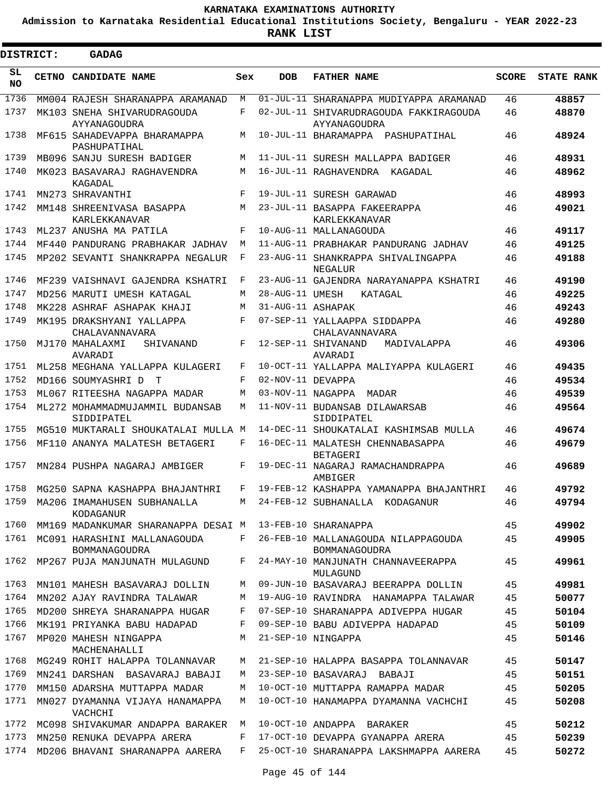**Admission to Karnataka Residential Educational Institutions Society, Bengaluru - YEAR 2022-23**

| DISTRICT:        | <b>GADAG</b>                                                      |            |                   |                                                                                   |              |                   |
|------------------|-------------------------------------------------------------------|------------|-------------------|-----------------------------------------------------------------------------------|--------------|-------------------|
| SL.<br><b>NO</b> | CETNO CANDIDATE NAME                                              | Sex        | <b>DOB</b>        | <b>FATHER NAME</b>                                                                | <b>SCORE</b> | <b>STATE RANK</b> |
| 1736             | MM004 RAJESH SHARANAPPA ARAMANAD                                  | M          |                   | 01-JUL-11 SHARANAPPA MUDIYAPPA ARAMANAD                                           | 46           | 48857             |
| 1737             | MK103 SNEHA SHIVARUDRAGOUDA<br>AYYANAGOUDRA                       | F          |                   | 02-JUL-11 SHIVARUDRAGOUDA FAKKIRAGOUDA<br>AYYANAGOUDRA                            | 46           | 48870             |
| 1738             | MF615 SAHADEVAPPA BHARAMAPPA<br>PASHUPATIHAL                      | М          |                   | 10-JUL-11 BHARAMAPPA PASHUPATIHAL                                                 | 46           | 48924             |
| 1739             | MB096 SANJU SURESH BADIGER                                        | M          |                   | 11-JUL-11 SURESH MALLAPPA BADIGER                                                 | 46           | 48931             |
| 1740             | MK023 BASAVARAJ RAGHAVENDRA<br>KAGADAL                            | M          |                   | 16-JUL-11 RAGHAVENDRA KAGADAL                                                     | 46           | 48962             |
| 1741             | MN273 SHRAVANTHI                                                  | F          |                   | 19-JUL-11 SURESH GARAWAD                                                          | 46           | 48993             |
| 1742             | MM148 SHREENIVASA BASAPPA<br>KARLEKKANAVAR                        | М          |                   | 23-JUL-11 BASAPPA FAKEERAPPA<br>KARLEKKANAVAR                                     | 46           | 49021             |
| 1743             | ML237 ANUSHA MA PATILA                                            | F          |                   | 10-AUG-11 MALLANAGOUDA                                                            | 46           | 49117             |
| 1744             | MF440 PANDURANG PRABHAKAR JADHAV                                  | M          |                   | 11-AUG-11 PRABHAKAR PANDURANG JADHAV                                              | 46           | 49125             |
| 1745             | MP202 SEVANTI SHANKRAPPA NEGALUR                                  | F          |                   | 23-AUG-11 SHANKRAPPA SHIVALINGAPPA<br>NEGALUR                                     | 46           | 49188             |
| 1746             | MF239 VAISHNAVI GAJENDRA KSHATRI                                  | $_{\rm F}$ |                   | 23-AUG-11 GAJENDRA NARAYANAPPA KSHATRI                                            | 46           | 49190             |
| 1747             | MD256 MARUTI UMESH KATAGAL                                        | M          | 28-AUG-11 UMESH   | KATAGAL                                                                           | 46           | 49225             |
| 1748             | MK228 ASHRAF ASHAPAK KHAJI                                        | M          | 31-AUG-11 ASHAPAK |                                                                                   | 46           | 49243             |
| 1749             | MK195 DRAKSHYANI YALLAPPA<br>CHALAVANNAVARA                       | F          |                   | 07-SEP-11 YALLAAPPA SIDDAPPA<br>CHALAVANNAVARA                                    | 46           | 49280             |
| 1750             | MJ170 MAHALAXMI<br>SHIVANAND<br>AVARADI                           | F          |                   | 12-SEP-11 SHIVANAND<br>MADIVALAPPA<br>AVARADI                                     | 46           | 49306             |
| 1751             | ML258 MEGHANA YALLAPPA KULAGERI                                   | F          |                   | 10-OCT-11 YALLAPPA MALIYAPPA KULAGERI                                             | 46           | 49435             |
| 1752             | MD166 SOUMYASHRI D<br>$\mathbb{T}$                                | F          | 02-NOV-11 DEVAPPA |                                                                                   | 46           | 49534             |
| 1753             | ML067 RITEESHA NAGAPPA MADAR                                      | М          |                   | 03-NOV-11 NAGAPPA<br>MADAR                                                        | 46           | 49539             |
| 1754             | ML272 MOHAMMADMUJAMMIL BUDANSAB<br>SIDDIPATEL                     | М          |                   | 11-NOV-11 BUDANSAB DILAWARSAB<br>SIDDIPATEL                                       | 46           | 49564             |
| 1755             | MG510 MUKTARALI SHOUKATALAI MULLA M                               |            |                   | 14-DEC-11 SHOUKATALAI KASHIMSAB MULLA                                             | 46           | 49674             |
| 1756             | MF110 ANANYA MALATESH BETAGERI                                    | F          |                   | 16-DEC-11 MALATESH CHENNABASAPPA<br><b>BETAGERI</b>                               | 46           | 49679             |
| 1757             | MN284 PUSHPA NAGARAJ AMBIGER                                      | F          |                   | 19-DEC-11 NAGARAJ RAMACHANDRAPPA<br>AMBIGER                                       | 46           | 49689             |
| 1758             | MG250 SAPNA KASHAPPA BHAJANTHRI                                   | F          |                   | 19-FEB-12 KASHAPPA YAMANAPPA BHAJANTHRI                                           | 46           | 49792             |
|                  | KODAGANUR                                                         |            |                   | 1759 MA206 IMAMAHUSEN SUBHANALLA M 24-FEB-12 SUBHANALLA KODAGANUR                 | 46           | 49794             |
| 1760             | MM169 MADANKUMAR SHARANAPPA DESAI M 13-FEB-10 SHARANAPPA          |            |                   |                                                                                   | 45           | 49902             |
|                  | 1761 MC091 HARASHINI MALLANAGOUDA<br>BOMMANAGOUDRA                |            |                   | F 26-FEB-10 MALLANAGOUDA NILAPPAGOUDA<br>BOMMANAGOUDRA                            | 45           | 49905             |
|                  | 1762 MP267 PUJA MANJUNATH MULAGUND                                |            |                   | F 24-MAY-10 MANJUNATH CHANNAVEERAPPA<br>MULAGUND                                  | 45           | 49961             |
| 1763             | MN101 MAHESH BASAVARAJ DOLLIN                                     |            |                   | M 09-JUN-10 BASAVARAJ BEERAPPA DOLLIN                                             | 45           | 49981             |
| 1764             |                                                                   |            |                   | MN202 AJAY RAVINDRA TALAWAR M 19-AUG-10 RAVINDRA HANAMAPPA TALAWAR                | 45           | 50077             |
| 1765             |                                                                   |            |                   | MD200 SHREYA SHARANAPPA HUGAR F 07-SEP-10 SHARANAPPA ADIVEPPA HUGAR               | 45           | 50104             |
| 1766             | MK191 PRIYANKA BABU HADAPAD                                       |            |                   | F 09-SEP-10 BABU ADIVEPPA HADAPAD                                                 | 45           | 50109             |
| 1767             | MP020 MAHESH NINGAPPA<br>MACHENAHALLI                             |            |                   | M 21-SEP-10 NINGAPPA                                                              | 45           | 50146             |
| 1768             |                                                                   |            |                   | MG249 ROHIT HALAPPA TOLANNAVAR M 21-SEP-10 HALAPPA BASAPPA TOLANNAVAR             | 45           | 50147             |
| 1769             | MN241 DARSHAN BASAVARAJ BABAJI                                    |            |                   | M 23-SEP-10 BASAVARAJ BABAJI                                                      | 45           | 50151             |
| 1770             | MM150 ADARSHA MUTTAPPA MADAR                                      |            |                   | M 10-OCT-10 MUTTAPPA RAMAPPA MADAR                                                | 45           | 50205             |
| 1771             | MN027 DYAMANNA VIJAYA HANAMAPPA<br>VACHCHI                        |            |                   | M 10-OCT-10 HANAMAPPA DYAMANNA VACHCHI                                            | 45           | 50208             |
|                  | 1772 MC098 SHIVAKUMAR ANDAPPA BARAKER M 10-OCT-10 ANDAPPA BARAKER |            |                   |                                                                                   | 45           | 50212             |
|                  | 1773 MN250 RENUKA DEVAPPA ARERA                                   |            |                   | F 17-OCT-10 DEVAPPA GYANAPPA ARERA                                                | 45           | 50239             |
|                  |                                                                   |            |                   | 1774 MD206 BHAVANI SHARANAPPA AARERA   F   25-OCT-10 SHARANAPPA LAKSHMAPPA AARERA | 45           | 50272             |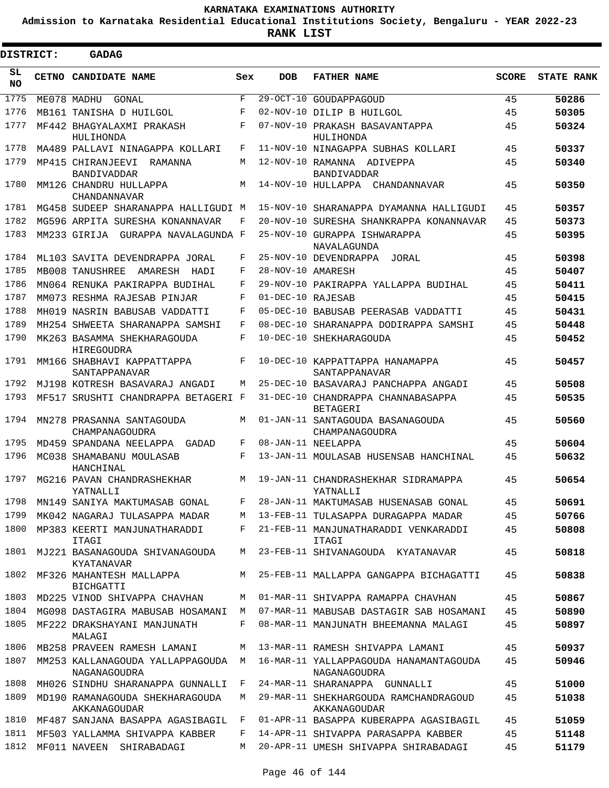**Admission to Karnataka Residential Educational Institutions Society, Bengaluru - YEAR 2022-23**

 $\blacksquare$ 

**RANK LIST**

Е

| <b>DISTRICT:</b> | <b>GADAG</b>                                     |            |                   |                                                        |              |                   |
|------------------|--------------------------------------------------|------------|-------------------|--------------------------------------------------------|--------------|-------------------|
| SL.<br>NO.       | CETNO CANDIDATE NAME                             | Sex        | <b>DOB</b>        | <b>FATHER NAME</b>                                     | <b>SCORE</b> | <b>STATE RANK</b> |
| 1775             | ME078 MADHU GONAL                                | $_{\rm F}$ |                   | 29-OCT-10 GOUDAPPAGOUD                                 | 45           | 50286             |
| 1776             | MB161 TANISHA D HUILGOL                          | F          |                   | 02-NOV-10 DILIP B HUILGOL                              | 45           | 50305             |
| 1777             | MF442 BHAGYALAXMI PRAKASH<br>HULIHONDA           | $_{\rm F}$ |                   | 07-NOV-10 PRAKASH BASAVANTAPPA<br>HULIHONDA            | 45           | 50324             |
| 1778             | MA489 PALLAVI NINAGAPPA KOLLARI                  | F          |                   | 11-NOV-10 NINAGAPPA SUBHAS KOLLARI                     | 45           | 50337             |
| 1779             | MP415 CHIRANJEEVI RAMANNA<br><b>BANDIVADDAR</b>  | М          |                   | 12-NOV-10 RAMANNA ADIVEPPA<br><b>BANDIVADDAR</b>       | 45           | 50340             |
| 1780             | MM126 CHANDRU HULLAPPA<br>CHANDANNAVAR           | М          |                   | 14-NOV-10 HULLAPPA CHANDANNAVAR                        | 45           | 50350             |
| 1781             | MG458 SUDEEP SHARANAPPA HALLIGUDI M              |            |                   | 15-NOV-10 SHARANAPPA DYAMANNA HALLIGUDI                | 45           | 50357             |
| 1782             | MG596 ARPITA SURESHA KONANNAVAR                  | F          |                   | 20-NOV-10 SURESHA SHANKRAPPA KONANNAVAR                | 45           | 50373             |
| 1783             | MM233 GIRIJA GURAPPA NAVALAGUNDA F               |            |                   | 25-NOV-10 GURAPPA ISHWARAPPA<br>NAVALAGUNDA            | 45           | 50395             |
| 1784             | ML103 SAVITA DEVENDRAPPA JORAL                   | F          |                   | 25-NOV-10 DEVENDRAPPA JORAL                            | 45           | 50398             |
| 1785             | MB008 TANUSHREE AMARESH HADI                     | F          | 28-NOV-10 AMARESH |                                                        | 45           | 50407             |
| 1786             | MN064 RENUKA PAKIRAPPA BUDIHAL                   | F          |                   | 29-NOV-10 PAKIRAPPA YALLAPPA BUDIHAL                   | 45           | 50411             |
| 1787             | MM073 RESHMA RAJESAB PINJAR                      | F          | 01-DEC-10 RAJESAB |                                                        | 45           | 50415             |
| 1788             | MH019 NASRIN BABUSAB VADDATTI                    | F          |                   | 05-DEC-10 BABUSAB PEERASAB VADDATTI                    | 45           | 50431             |
| 1789             | MH254 SHWEETA SHARANAPPA SAMSHI                  | F          |                   | 08-DEC-10 SHARANAPPA DODIRAPPA SAMSHI                  | 45           | 50448             |
| 1790             | MK263 BASAMMA SHEKHARAGOUDA<br>HIREGOUDRA        | $_{\rm F}$ |                   | 10-DEC-10 SHEKHARAGOUDA                                | 45           | 50452             |
| 1791             | MM166 SHABHAVI KAPPATTAPPA<br>SANTAPPANAVAR      | F          |                   | 10-DEC-10 KAPPATTAPPA HANAMAPPA<br>SANTAPPANAVAR       | 45           | 50457             |
| 1792             | MJ198 KOTRESH BASAVARAJ ANGADI                   | М          |                   | 25-DEC-10 BASAVARAJ PANCHAPPA ANGADI                   | 45           | 50508             |
| 1793             | MF517 SRUSHTI CHANDRAPPA BETAGERI F              |            |                   | 31-DEC-10 CHANDRAPPA CHANNABASAPPA<br>BETAGERI         | 45           | 50535             |
| 1794             | MN278 PRASANNA SANTAGOUDA<br>CHAMPANAGOUDRA      | M          |                   | 01-JAN-11 SANTAGOUDA BASANAGOUDA<br>CHAMPANAGOUDRA     | 45           | 50560             |
| 1795             | MD459 SPANDANA NEELAPPA GADAD                    | F          |                   | 08-JAN-11 NEELAPPA                                     | 45           | 50604             |
| 1796             | MC038 SHAMABANU MOULASAB<br>HANCHINAL            | F          |                   | 13-JAN-11 MOULASAB HUSENSAB HANCHINAL                  | 45           | 50632             |
| 1797             | MG216 PAVAN CHANDRASHEKHAR<br>YATNALLIT          | M          |                   | 19-JAN-11 CHANDRASHEKHAR SIDRAMAPPA<br>YATNALLIT       | 45           | 50654             |
| 1798             | MN149 SANIYA MAKTUMASAB GONAL                    | F          |                   | 28-JAN-11 MAKTUMASAB HUSENASAB GONAL                   | 45           | 50691             |
| 1799             | MK042 NAGARAJ TULASAPPA MADAR                    | М          |                   | 13-FEB-11 TULASAPPA DURAGAPPA MADAR                    | 45           | 50766             |
| 1800             | MP383 KEERTI MANJUNATHARADDI<br>ITAGI            | F          |                   | 21-FEB-11 MANJUNATHARADDI VENKARADDI<br>ITAGI          | 45           | 50808             |
| 1801             | MJ221 BASANAGOUDA SHIVANAGOUDA<br>KYATANAVAR     | М          |                   | 23-FEB-11 SHIVANAGOUDA KYATANAVAR                      | 45           | 50818             |
| 1802             | MF326 MAHANTESH MALLAPPA<br>BICHGATTI            | М          |                   | 25-FEB-11 MALLAPPA GANGAPPA BICHAGATTI                 | 45           | 50838             |
| 1803             | MD225 VINOD SHIVAPPA CHAVHAN                     | М          |                   | 01-MAR-11 SHIVAPPA RAMAPPA CHAVHAN                     | 45           | 50867             |
| 1804             | MG098 DASTAGIRA MABUSAB HOSAMANI                 | M          |                   | 07-MAR-11 MABUSAB DASTAGIR SAB HOSAMANI                | 45           | 50890             |
| 1805             | MF222 DRAKSHAYANI MANJUNATH<br>MALAGI            | F          |                   | 08-MAR-11 MANJUNATH BHEEMANNA MALAGI                   | 45           | 50897             |
| 1806             | MB258 PRAVEEN RAMESH LAMANI                      | M          |                   | 13-MAR-11 RAMESH SHIVAPPA LAMANI                       | 45           | 50937             |
| 1807             | MM253 KALLANAGOUDA YALLAPPAGOUDA<br>NAGANAGOUDRA | M          |                   | 16-MAR-11 YALLAPPAGOUDA HANAMANTAGOUDA<br>NAGANAGOUDRA | 45           | 50946             |
| 1808             | MH026 SINDHU SHARANAPPA GUNNALLI                 | F          |                   | 24-MAR-11 SHARANAPPA GUNNALLI                          | 45           | 51000             |
| 1809             | MD190 RAMANAGOUDA SHEKHARAGOUDA<br>AKKANAGOUDAR  | M          |                   | 29-MAR-11 SHEKHARGOUDA RAMCHANDRAGOUD<br>AKKANAGOUDAR  | 45           | 51038             |
| 1810             | MF487 SANJANA BASAPPA AGASIBAGIL                 | F          |                   | 01-APR-11 BASAPPA KUBERAPPA AGASIBAGIL                 | 45           | 51059             |
| 1811             | MF503 YALLAMMA SHIVAPPA KABBER                   | F          |                   | 14-APR-11 SHIVAPPA PARASAPPA KABBER                    | 45           | 51148             |
| 1812             | MF011 NAVEEN SHIRABADAGI                         | M          |                   | 20-APR-11 UMESH SHIVAPPA SHIRABADAGI                   | 45           | 51179             |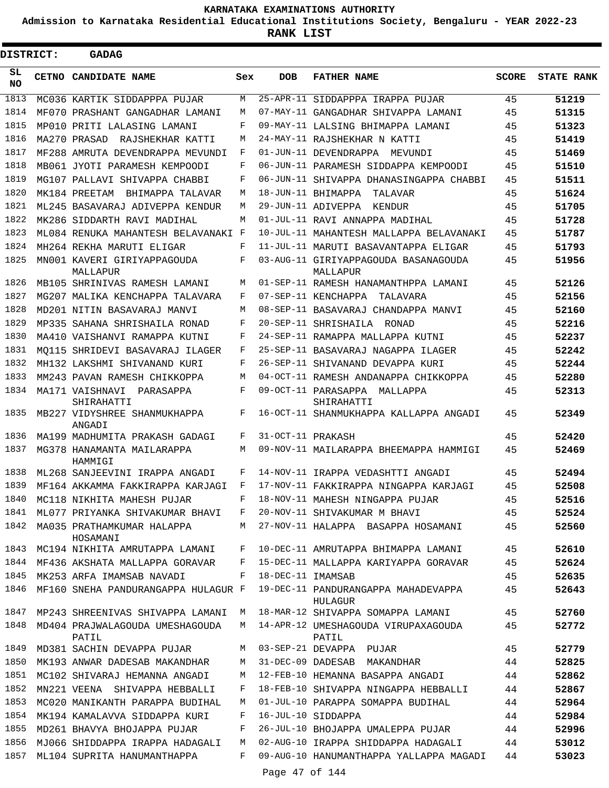**Admission to Karnataka Residential Educational Institutions Society, Bengaluru - YEAR 2022-23**

| <b>DISTRICT:</b> | GADAG                                    |     |                   |                                                       |              |                   |
|------------------|------------------------------------------|-----|-------------------|-------------------------------------------------------|--------------|-------------------|
| SL<br><b>NO</b>  | CETNO CANDIDATE NAME                     | Sex | <b>DOB</b>        | <b>FATHER NAME</b>                                    | <b>SCORE</b> | <b>STATE RANK</b> |
| 1813             | MC036 KARTIK SIDDAPPPA PUJAR             | M   |                   | 25-APR-11 SIDDAPPPA IRAPPA PUJAR                      | 45           | 51219             |
| 1814             | MF070 PRASHANT GANGADHAR LAMANI          | М   |                   | 07-MAY-11 GANGADHAR SHIVAPPA LAMANI                   | 45           | 51315             |
| 1815             | MP010 PRITI LALASING LAMANI              | F   |                   | 09-MAY-11 LALSING BHIMAPPA LAMANI                     | 45           | 51323             |
| 1816             | MA270 PRASAD<br>RAJSHEKHAR KATTI         | М   |                   | 24-MAY-11 RAJSHEKHAR N KATTI                          | 45           | 51419             |
| 1817             | MF288 AMRUTA DEVENDRAPPA MEVUNDI         | F   |                   | 01-JUN-11 DEVENDRAPPA<br>MEVUNDI                      | 45           | 51469             |
| 1818             | MB061 JYOTI PARAMESH KEMPOODI            | F   |                   | 06-JUN-11 PARAMESH SIDDAPPA KEMPOODI                  | 45           | 51510             |
| 1819             | MG107 PALLAVI SHIVAPPA CHABBI            | F   |                   | 06-JUN-11 SHIVAPPA DHANASINGAPPA CHABBI               | 45           | 51511             |
| 1820             | MK184 PREETAM<br>BHIMAPPA TALAVAR        | M   |                   | 18-JUN-11 BHIMAPPA<br>TALAVAR                         | 45           | 51624             |
| 1821             | ML245 BASAVARAJ ADIVEPPA KENDUR          | M   |                   | 29-JUN-11 ADIVEPPA<br>KENDUR                          | 45           | 51705             |
| 1822             | MK286 SIDDARTH RAVI MADIHAL              | M   |                   | 01-JUL-11 RAVI ANNAPPA MADIHAL                        | 45           | 51728             |
| 1823             | ML084 RENUKA MAHANTESH BELAVANAKI F      |     |                   | 10-JUL-11 MAHANTESH MALLAPPA BELAVANAKI               | 45           | 51787             |
| 1824             | MH264 REKHA MARUTI ELIGAR                | F   |                   | 11-JUL-11 MARUTI BASAVANTAPPA ELIGAR                  | 45           | 51793             |
| 1825             | MN001 KAVERI GIRIYAPPAGOUDA<br>MALLAPUR  | F   |                   | 03-AUG-11 GIRIYAPPAGOUDA BASANAGOUDA<br>MALLAPUR      | 45           | 51956             |
| 1826             | MB105 SHRINIVAS RAMESH LAMANI            | М   |                   | 01-SEP-11 RAMESH HANAMANTHPPA LAMANI                  | 45           | 52126             |
| 1827             | MG207 MALIKA KENCHAPPA TALAVARA          | F   |                   | 07-SEP-11 KENCHAPPA<br>TALAVARA                       | 45           | 52156             |
| 1828             | MD201 NITIN BASAVARAJ MANVI              | М   |                   | 08-SEP-11 BASAVARAJ CHANDAPPA MANVI                   | 45           | 52160             |
| 1829             | MP335 SAHANA SHRISHAILA RONAD            | F   |                   | 20-SEP-11 SHRISHAILA RONAD                            | 45           | 52216             |
| 1830             | MA410 VAISHANVI RAMAPPA KUTNI            | F   |                   | 24-SEP-11 RAMAPPA MALLAPPA KUTNI                      | 45           | 52237             |
| 1831             | MO115 SHRIDEVI BASAVARAJ ILAGER          | F   |                   | 25-SEP-11 BASAVARAJ NAGAPPA ILAGER                    | 45           | 52242             |
| 1832             | MH132 LAKSHMI SHIVANAND KURI             | F   |                   | 26-SEP-11 SHIVANAND DEVAPPA KURI                      | 45           | 52244             |
| 1833             | MM243 PAVAN RAMESH CHIKKOPPA             | М   |                   | 04-OCT-11 RAMESH ANDANAPPA CHIKKOPPA                  | 45           | 52280             |
| 1834             | MA171 VAISHNAVI PARASAPPA<br>SHIRAHATTI  | F   |                   | 09-OCT-11 PARASAPPA MALLAPPA<br>SHIRAHATTI            | 45           | 52313             |
| 1835             | MB227 VIDYSHREE SHANMUKHAPPA<br>ANGADI   | F   |                   | 16-OCT-11 SHANMUKHAPPA KALLAPPA ANGADI                | 45           | 52349             |
| 1836             | MA199 MADHUMITA PRAKASH GADAGI           | F   | 31-OCT-11 PRAKASH |                                                       | 45           | 52420             |
| 1837             | MG378 HANAMANTA MAILARAPPA<br>HAMMIGI    | М   |                   | 09-NOV-11 MAILARAPPA BHEEMAPPA HAMMIGI                | 45           | 52469             |
| 1838             | ML268 SANJEEVINI IRAPPA ANGADI           | F   |                   | 14-NOV-11 IRAPPA VEDASHTTI ANGADI                     | 45           | 52494             |
| 1839             | MF164 AKKAMMA FAKKIRAPPA KARJAGI         | F   |                   | 17-NOV-11 FAKKIRAPPA NINGAPPA KARJAGI                 | 45           | 52508             |
| 1840             | MC118 NIKHITA MAHESH PUJAR               | F   |                   | 18-NOV-11 MAHESH NINGAPPA PUJAR                       | 45           | 52516             |
| 1841             | ML077 PRIYANKA SHIVAKUMAR BHAVI          | F   |                   | 20-NOV-11 SHIVAKUMAR M BHAVI                          | 45           | 52524             |
| 1842             | MA035 PRATHAMKUMAR HALAPPA<br>HOSAMANI   | М   |                   | 27-NOV-11 HALAPPA BASAPPA HOSAMANI                    | 45           | 52560             |
| 1843             | MC194 NIKHITA AMRUTAPPA LAMANI           | F   |                   | 10-DEC-11 AMRUTAPPA BHIMAPPA LAMANI                   | 45           | 52610             |
| 1844             | MF436 AKSHATA MALLAPPA GORAVAR           | F   |                   | 15-DEC-11 MALLAPPA KARIYAPPA GORAVAR                  | 45           | 52624             |
| 1845             | MK253 ARFA IMAMSAB NAVADI                | F   | 18-DEC-11 IMAMSAB |                                                       | 45           | 52635             |
| 1846             | MF160 SNEHA PANDURANGAPPA HULAGUR F      |     |                   | 19-DEC-11 PANDURANGAPPA MAHADEVAPPA<br><b>HULAGUR</b> | 45           | 52643             |
| 1847             | MP243 SHREENIVAS SHIVAPPA LAMANI         | M   |                   | 18-MAR-12 SHIVAPPA SOMAPPA LAMANI                     | 45           | 52760             |
| 1848             | MD404 PRAJWALAGOUDA UMESHAGOUDA<br>PATIL | М   |                   | 14-APR-12 UMESHAGOUDA VIRUPAXAGOUDA<br>PATIL          | 45           | 52772             |
| 1849             | MD381 SACHIN DEVAPPA PUJAR               | М   |                   | 03-SEP-21 DEVAPPA PUJAR                               | 45           | 52779             |
| 1850             | MK193 ANWAR DADESAB MAKANDHAR            | М   |                   | 31-DEC-09 DADESAB MAKANDHAR                           | 44           | 52825             |
| 1851             | MC102 SHIVARAJ HEMANNA ANGADI            | М   |                   | 12-FEB-10 HEMANNA BASAPPA ANGADI                      | 44           | 52862             |
| 1852             | MN221 VEENA SHIVAPPA HEBBALLI            | F   |                   | 18-FEB-10 SHIVAPPA NINGAPPA HEBBALLI                  | 44           | 52867             |
| 1853             | MC020 MANIKANTH PARAPPA BUDIHAL          | М   |                   | 01-JUL-10 PARAPPA SOMAPPA BUDIHAL                     | 44           | 52964             |
| 1854             | MK194 KAMALAVVA SIDDAPPA KURI            | F   |                   | 16-JUL-10 SIDDAPPA                                    | 44           | 52984             |
| 1855             | MD261 BHAVYA BHOJAPPA PUJAR              | F   |                   | 26-JUL-10 BHOJAPPA UMALEPPA PUJAR                     | 44           | 52996             |
| 1856             | MJ066 SHIDDAPPA IRAPPA HADAGALI          | М   |                   | 02-AUG-10 IRAPPA SHIDDAPPA HADAGALI                   | 44           | 53012             |
| 1857             | ML104 SUPRITA HANUMANTHAPPA              | F   |                   | 09-AUG-10 HANUMANTHAPPA YALLAPPA MAGADI               | 44           | 53023             |
|                  |                                          |     | Page 47 of 144    |                                                       |              |                   |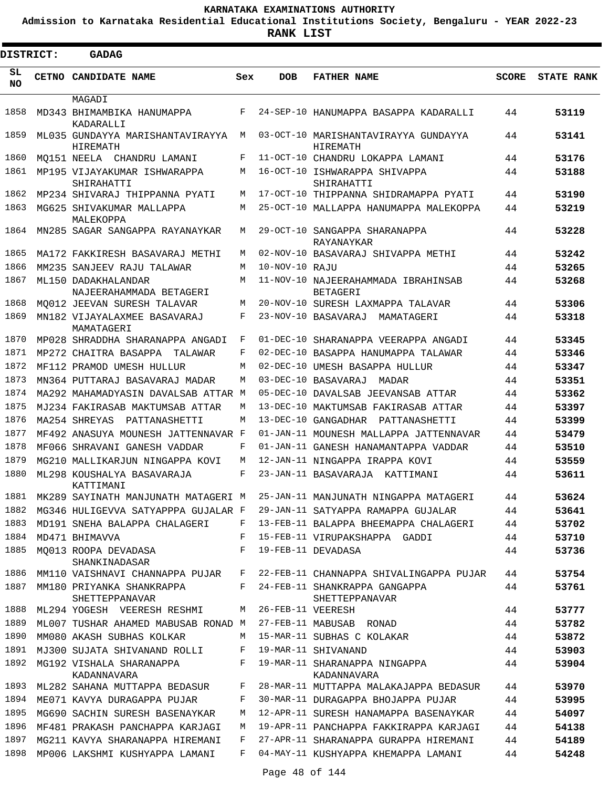**Admission to Karnataka Residential Educational Institutions Society, Bengaluru - YEAR 2022-23**

| <b>DISTRICT:</b> | GADAG                                          |            |                   |                                                                                |              |                   |
|------------------|------------------------------------------------|------------|-------------------|--------------------------------------------------------------------------------|--------------|-------------------|
| SL<br><b>NO</b>  | CETNO CANDIDATE NAME                           | Sex        | <b>DOB</b>        | <b>FATHER NAME</b>                                                             | <b>SCORE</b> | <b>STATE RANK</b> |
|                  | MAGADI                                         |            |                   |                                                                                |              |                   |
| 1858             | MD343 BHIMAMBIKA HANUMAPPA<br>KADARALLI        | F          |                   | 24-SEP-10 HANUMAPPA BASAPPA KADARALLI                                          | 44           | 53119             |
| 1859             | ML035 GUNDAYYA MARISHANTAVIRAYYA<br>HIREMATH   | M          |                   | 03-OCT-10 MARISHANTAVIRAYYA GUNDAYYA<br>HIREMATH                               | 44           | 53141             |
| 1860             | MO151 NEELA CHANDRU LAMANI                     | F          |                   | 11-OCT-10 CHANDRU LOKAPPA LAMANI                                               | 44           | 53176             |
| 1861             | MP195 VIJAYAKUMAR ISHWARAPPA<br>SHIRAHATTI     | M          |                   | 16-OCT-10 ISHWARAPPA SHIVAPPA<br>SHIRAHATTI                                    | 44           | 53188             |
| 1862             | MP234 SHIVARAJ THIPPANNA PYATI                 | M          |                   | 17-OCT-10 THIPPANNA SHIDRAMAPPA PYATI                                          | 44           | 53190             |
| 1863             | MG625 SHIVAKUMAR MALLAPPA<br>MALEKOPPA         | M          |                   | 25-OCT-10 MALLAPPA HANUMAPPA MALEKOPPA                                         | 44           | 53219             |
| 1864             | MN285 SAGAR SANGAPPA RAYANAYKAR                | M          |                   | 29-OCT-10 SANGAPPA SHARANAPPA<br>RAYANAYKAR                                    | 44           | 53228             |
| 1865             | MA172 FAKKIRESH BASAVARAJ METHI                | M          |                   | 02-NOV-10 BASAVARAJ SHIVAPPA METHI                                             | 44           | 53242             |
| 1866             | MM235 SANJEEV RAJU TALAWAR                     | M          | 10-NOV-10 RAJU    |                                                                                | 44           | 53265             |
| 1867             | ML150 DADAKHALANDAR<br>NAJEERAHAMMADA BETAGERI | M          |                   | 11-NOV-10 NAJEERAHAMMADA IBRAHINSAB<br><b>BETAGERI</b>                         | 44           | 53268             |
| 1868             | MO012 JEEVAN SURESH TALAVAR                    | М          |                   | 20-NOV-10 SURESH LAXMAPPA TALAVAR                                              | 44           | 53306             |
| 1869             | MN182 VIJAYALAXMEE BASAVARAJ<br>MAMATAGERI     | F          |                   | 23-NOV-10 BASAVARAJ MAMATAGERI                                                 | 44           | 53318             |
| 1870             | MP028 SHRADDHA SHARANAPPA ANGADI               | F          |                   | 01-DEC-10 SHARANAPPA VEERAPPA ANGADI                                           | 44           | 53345             |
| 1871             | MP272 CHAITRA BASAPPA<br>TALAWAR               | F          |                   | 02-DEC-10 BASAPPA HANUMAPPA TALAWAR                                            | 44           | 53346             |
| 1872             | MF112 PRAMOD UMESH HULLUR                      | M          |                   | 02-DEC-10 UMESH BASAPPA HULLUR                                                 | 44           | 53347             |
| 1873             | MN364 PUTTARAJ BASAVARAJ MADAR                 | M          |                   | 03-DEC-10 BASAVARAJ<br>MADAR                                                   | 44           | 53351             |
| 1874             | MA292 MAHAMADYASIN DAVALSAB ATTAR M            |            |                   | 05-DEC-10 DAVALSAB JEEVANSAB ATTAR                                             | 44           | 53362             |
| 1875             | MJ234 FAKIRASAB MAKTUMSAB ATTAR                | M          |                   | 13-DEC-10 MAKTUMSAB FAKIRASAB ATTAR                                            | 44           | 53397             |
| 1876             | MA254 SHREYAS<br>PATTANASHETTI                 | M          |                   | 13-DEC-10 GANGADHAR PATTANASHETTI                                              | 44           | 53399             |
| 1877             | MF492 ANASUYA MOUNESH JATTENNAVAR F            |            |                   | 01-JAN-11 MOUNESH MALLAPPA JATTENNAVAR                                         | 44           | 53479             |
| 1878             | MF066 SHRAVANI GANESH VADDAR                   | F          |                   | 01-JAN-11 GANESH HANAMANTAPPA VADDAR                                           | 44           | 53510             |
| 1879             | MG210 MALLIKARJUN NINGAPPA KOVI                | M          |                   | 12-JAN-11 NINGAPPA IRAPPA KOVI                                                 | 44           | 53559             |
| 1880             | ML298 KOUSHALYA BASAVARAJA<br>KATTIMANI        | $_{\rm F}$ |                   | 23-JAN-11 BASAVARAJA KATTIMANI                                                 | 44           | 53611             |
|                  |                                                |            |                   | 1881 MK289 SAYINATH MANJUNATH MATAGERI M 25-JAN-11 MANJUNATH NINGAPPA MATAGERI | 44           | 53624             |
|                  |                                                |            |                   | 1882 MG346 HULIGEVVA SATYAPPPA GUJALAR F 29-JAN-11 SATYAPPA RAMAPPA GUJALAR    | 44           | 53641             |
| 1883             | MD191 SNEHA BALAPPA CHALAGERI                  | F          |                   | 13-FEB-11 BALAPPA BHEEMAPPA CHALAGERI                                          | 44           | 53702             |
| 1884             | MD471 BHIMAVVA                                 | F          |                   | 15-FEB-11 VIRUPAKSHAPPA GADDI                                                  | 44           | 53710             |
| 1885             | MQ013 ROOPA DEVADASA<br>SHANKINADASAR          | F          |                   | 19-FEB-11 DEVADASA                                                             | 44           | 53736             |
| 1886             | MM110 VAISHNAVI CHANNAPPA PUJAR F              |            |                   | 22-FEB-11 CHANNAPPA SHIVALINGAPPA PUJAR                                        | 44           | 53754             |
| 1887             | MM180 PRIYANKA SHANKRAPPA<br>SHETTEPPANAVAR    |            |                   | F 24-FEB-11 SHANKRAPPA GANGAPPA<br>SHETTEPPANAVAR                              | 44           | 53761             |
| 1888             | ML294 YOGESH VEERESH RESHMI                    | М          | 26-FEB-11 VEERESH |                                                                                | 44           | 53777             |
| 1889             | ML007 TUSHAR AHAMED MABUSAB RONAD M            |            |                   | 27-FEB-11 MABUSAB RONAD                                                        | 44           | 53782             |
| 1890             | MM080 AKASH SUBHAS KOLKAR                      | М          |                   | 15-MAR-11 SUBHAS C KOLAKAR                                                     | 44           | 53872             |
| 1891             | MJ300 SUJATA SHIVANAND ROLLI                   | F          |                   | 19-MAR-11 SHIVANAND                                                            | 44           | 53903             |
| 1892             | MG192 VISHALA SHARANAPPA<br>KADANNAVARA        | F          |                   | 19-MAR-11 SHARANAPPA NINGAPPA<br>KADANNAVARA                                   | 44           | 53904             |
| 1893             | ML282 SAHANA MUTTAPPA BEDASUR                  | F          |                   | 28-MAR-11 MUTTAPPA MALAKAJAPPA BEDASUR                                         | 44           | 53970             |
| 1894             | ME071 KAVYA DURAGAPPA PUJAR                    | F          |                   | 30-MAR-11 DURAGAPPA BHOJAPPA PUJAR                                             | 44           | 53995             |
| 1895             | MG690 SACHIN SURESH BASENAYKAR                 | M          |                   | 12-APR-11 SURESH HANAMAPPA BASENAYKAR                                          | 44           | 54097             |
| 1896             | MF481 PRAKASH PANCHAPPA KARJAGI                | M          |                   | 19-APR-11 PANCHAPPA FAKKIRAPPA KARJAGI                                         | 44           | 54138             |
| 1897             | MG211 KAVYA SHARANAPPA HIREMANI                | F          |                   | 27-APR-11 SHARANAPPA GURAPPA HIREMANI                                          | 44           | 54189             |
| 1898             | MP006 LAKSHMI KUSHYAPPA LAMANI                 | F          |                   | 04-MAY-11 KUSHYAPPA KHEMAPPA LAMANI                                            | 44           | 54248             |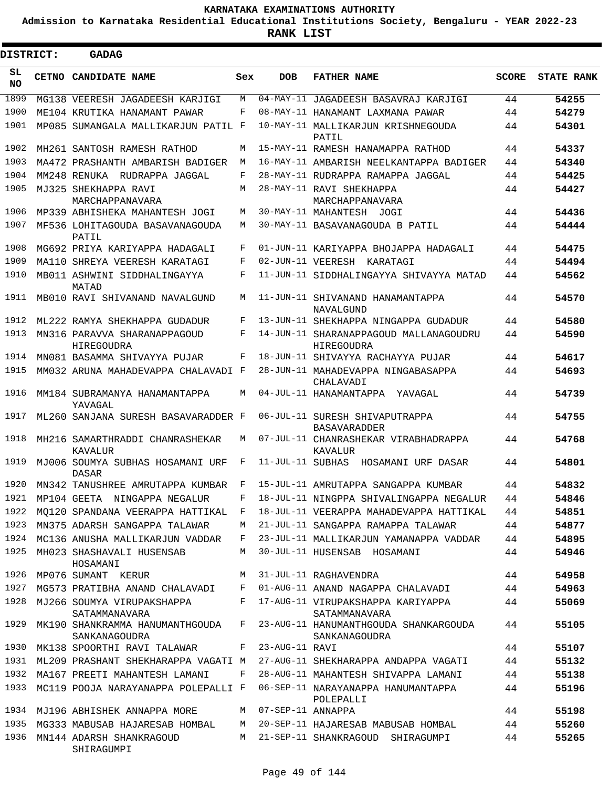**Admission to Karnataka Residential Educational Institutions Society, Bengaluru - YEAR 2022-23**

ı

| DISTRICT:       | <b>GADAG</b>                                     |              |                   |                                                        |              |                   |
|-----------------|--------------------------------------------------|--------------|-------------------|--------------------------------------------------------|--------------|-------------------|
| SL<br><b>NO</b> | CETNO CANDIDATE NAME                             | Sex          | <b>DOB</b>        | <b>FATHER NAME</b>                                     | <b>SCORE</b> | <b>STATE RANK</b> |
| 1899            | MG138 VEERESH JAGADEESH KARJIGI                  | М            | $04$ -MAY-11      | JAGADEESH BASAVRAJ KARJIGI                             | 44           | 54255             |
| 1900            | ME104 KRUTIKA HANAMANT PAWAR                     | F            |                   | 08-MAY-11 HANAMANT LAXMANA PAWAR                       | 44           | 54279             |
| 1901            | MP085 SUMANGALA MALLIKARJUN PATIL F              |              |                   | 10-MAY-11 MALLIKARJUN KRISHNEGOUDA<br>PATIL            | 44           | 54301             |
| 1902            | MH261 SANTOSH RAMESH RATHOD                      | M            |                   | 15-MAY-11 RAMESH HANAMAPPA RATHOD                      | 44           | 54337             |
| 1903            | MA472 PRASHANTH AMBARISH BADIGER                 | M            |                   | 16-MAY-11 AMBARISH NEELKANTAPPA BADIGER                | 44           | 54340             |
| 1904            | MM248 RENUKA RUDRAPPA JAGGAL                     | F            |                   | 28-MAY-11 RUDRAPPA RAMAPPA JAGGAL                      | 44           | 54425             |
| 1905            | MJ325 SHEKHAPPA RAVI<br>MARCHAPPANAVARA          | М            |                   | 28-MAY-11 RAVI SHEKHAPPA<br>MARCHAPPANAVARA            | 44           | 54427             |
| 1906            | MP339 ABHISHEKA MAHANTESH JOGI                   | М            |                   | 30-MAY-11 MAHANTESH JOGI                               | 44           | 54436             |
| 1907            | MF536 LOHITAGOUDA BASAVANAGOUDA<br>PATIL         | М            |                   | 30-MAY-11 BASAVANAGOUDA B PATIL                        | 44           | 54444             |
| 1908            | MG692 PRIYA KARIYAPPA HADAGALI                   | F            |                   | 01-JUN-11 KARIYAPPA BHOJAPPA HADAGALI                  | 44           | 54475             |
| 1909            | MA110 SHREYA VEERESH KARATAGI                    | F            |                   | 02-JUN-11 VEERESH KARATAGI                             | 44           | 54494             |
| 1910            | MB011 ASHWINI SIDDHALINGAYYA<br>MATAD            | F            |                   | 11-JUN-11 SIDDHALINGAYYA SHIVAYYA MATAD                | 44           | 54562             |
| 1911            | MB010 RAVI SHIVANAND NAVALGUND                   | M            |                   | 11-JUN-11 SHIVANAND HANAMANTAPPA<br>NAVALGUND          | 44           | 54570             |
| 1912            | ML222 RAMYA SHEKHAPPA GUDADUR                    | F            |                   | 13-JUN-11 SHEKHAPPA NINGAPPA GUDADUR                   | 44           | 54580             |
| 1913            | MN316 PARAVVA SHARANAPPAGOUD<br>HIREGOUDRA       | F            |                   | 14-JUN-11 SHARANAPPAGOUD MALLANAGOUDRU<br>HIREGOUDRA   | 44           | 54590             |
| 1914            | MN081 BASAMMA SHIVAYYA PUJAR                     | F            |                   | 18-JUN-11 SHIVAYYA RACHAYYA PUJAR                      | 44           | 54617             |
| 1915            | MM032 ARUNA MAHADEVAPPA CHALAVADI F              |              |                   | 28-JUN-11 MAHADEVAPPA NINGABASAPPA<br>CHALAVADI        | 44           | 54693             |
| 1916            | MM184 SUBRAMANYA HANAMANTAPPA<br>YAVAGAL         | M            |                   | 04-JUL-11 HANAMANTAPPA YAVAGAL                         | 44           | 54739             |
| 1917            | ML260 SANJANA SURESH BASAVARADDER F              |              |                   | 06-JUL-11 SURESH SHIVAPUTRAPPA<br><b>BASAVARADDER</b>  | 44           | 54755             |
| 1918            | MH216 SAMARTHRADDI CHANRASHEKAR<br>KAVALUR       | М            |                   | 07-JUL-11 CHANRASHEKAR VIRABHADRAPPA<br>KAVALUR        | 44           | 54768             |
| 1919            | MJ006 SOUMYA SUBHAS HOSAMANI URF<br><b>DASAR</b> | F            | 11-JUL-11 SUBHAS  | HOSAMANI URF DASAR                                     | 44           | 54801             |
| 1920            | MN342 TANUSHREE AMRUTAPPA KUMBAR                 | F            |                   | 15-JUL-11 AMRUTAPPA SANGAPPA KUMBAR                    | 44           | 54832             |
| 1921            | MP104 GEETA NINGAPPA NEGALUR                     | $\mathbf{F}$ |                   | 18-JUL-11 NINGPPA SHIVALINGAPPA NEGALUR                | 44           | 54846             |
| 1922            | MO120 SPANDANA VEERAPPA HATTIKAL                 | F            |                   | 18-JUL-11 VEERAPPA MAHADEVAPPA HATTIKAL                | 44           | 54851             |
| 1923            | MN375 ADARSH SANGAPPA TALAWAR                    | М            |                   | 21-JUL-11 SANGAPPA RAMAPPA TALAWAR                     | 44           | 54877             |
| 1924            | MC136 ANUSHA MALLIKARJUN VADDAR                  | F            |                   | 23-JUL-11 MALLIKARJUN YAMANAPPA VADDAR                 | 44           | 54895             |
| 1925            | MH023 SHASHAVALI HUSENSAB<br>HOSAMANI            | M            |                   | 30-JUL-11 HUSENSAB HOSAMANI                            | 44           | 54946             |
| 1926            | MP076 SUMANT KERUR                               | M            |                   | 31-JUL-11 RAGHAVENDRA                                  | 44           | 54958             |
| 1927            | MG573 PRATIBHA ANAND CHALAVADI                   | F            |                   | 01-AUG-11 ANAND NAGAPPA CHALAVADI                      | 44           | 54963             |
| 1928            | MJ266 SOUMYA VIRUPAKSHAPPA<br>SATAMMANAVARA      | F            |                   | 17-AUG-11 VIRUPAKSHAPPA KARIYAPPA<br>SATAMMANAVARA     | 44           | 55069             |
| 1929            | MK190 SHANKRAMMA HANUMANTHGOUDA<br>SANKANAGOUDRA | F            |                   | 23-AUG-11 HANUMANTHGOUDA SHANKARGOUDA<br>SANKANAGOUDRA | 44           | 55105             |
| 1930            | MK138 SPOORTHI RAVI TALAWAR                      | F            | 23-AUG-11 RAVI    |                                                        | 44           | 55107             |
| 1931            | ML209 PRASHANT SHEKHARAPPA VAGATI M              |              |                   | 27-AUG-11 SHEKHARAPPA ANDAPPA VAGATI                   | 44           | 55132             |
| 1932            | MA167 PREETI MAHANTESH LAMANI                    | F            |                   | 28-AUG-11 MAHANTESH SHIVAPPA LAMANI                    | 44           | 55138             |
| 1933            | MC119 POOJA NARAYANAPPA POLEPALLI F              |              |                   | 06-SEP-11 NARAYANAPPA HANUMANTAPPA<br>POLEPALLI        | 44           | 55196             |
| 1934            | MJ196 ABHISHEK ANNAPPA MORE                      | M            | 07-SEP-11 ANNAPPA |                                                        | 44           | 55198             |
| 1935            | MG333 MABUSAB HAJARESAB HOMBAL                   | M            |                   | 20-SEP-11 HAJARESAB MABUSAB HOMBAL                     | 44           | 55260             |
| 1936            | MN144 ADARSH SHANKRAGOUD<br>SHIRAGUMPI           | M            |                   | 21-SEP-11 SHANKRAGOUD SHIRAGUMPI                       | 44           | 55265             |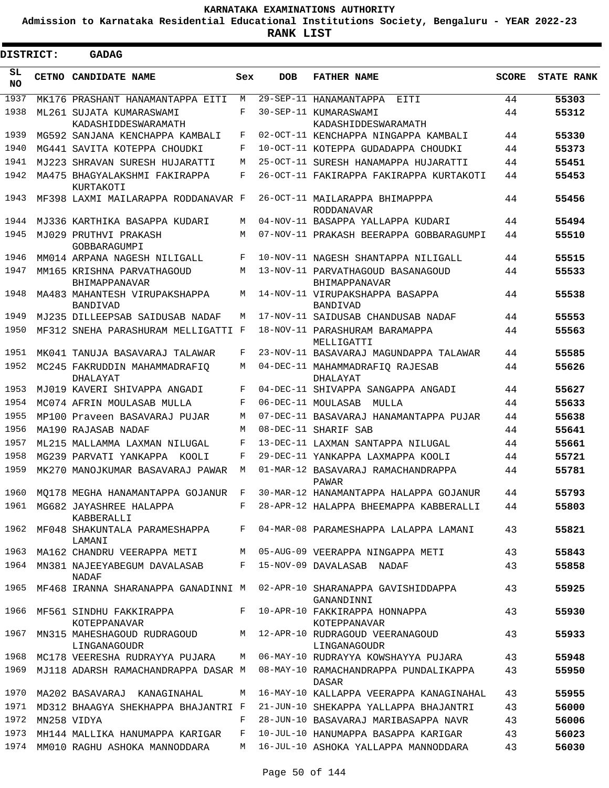**Admission to Karnataka Residential Educational Institutions Society, Bengaluru - YEAR 2022-23**

| <b>DISTRICT:</b> | <b>GADAG</b>                                                                      |        |            |                                                                                     |              |                   |
|------------------|-----------------------------------------------------------------------------------|--------|------------|-------------------------------------------------------------------------------------|--------------|-------------------|
| SL.<br>NO.       | CETNO CANDIDATE NAME                                                              | Sex    | <b>DOB</b> | <b>FATHER NAME</b>                                                                  | <b>SCORE</b> | <b>STATE RANK</b> |
| 1937             | MK176 PRASHANT HANAMANTAPPA EITI                                                  | M      |            | 29-SEP-11 HANAMANTAPPA<br>EITI                                                      | 44           | 55303             |
| 1938             | ML261 SUJATA KUMARASWAMI                                                          | F      |            | 30-SEP-11 KUMARASWAMI                                                               | 44           | 55312             |
|                  | KADASHIDDESWARAMATH                                                               |        |            | KADASHIDDESWARAMATH                                                                 |              |                   |
| 1939             | MG592 SANJANA KENCHAPPA KAMBALI                                                   | F      |            | 02-OCT-11 KENCHAPPA NINGAPPA KAMBALI                                                | 44           | 55330             |
| 1940             | MG441 SAVITA KOTEPPA CHOUDKI                                                      | F      |            | 10-OCT-11 KOTEPPA GUDADAPPA CHOUDKI                                                 | 44           | 55373             |
| 1941<br>1942     | MJ223 SHRAVAN SURESH HUJARATTI                                                    | M<br>F |            | 25-OCT-11 SURESH HANAMAPPA HUJARATTI                                                | 44           | 55451             |
| 1943             | MA475 BHAGYALAKSHMI FAKIRAPPA<br>KURTAKOTI<br>MF398 LAXMI MAILARAPPA RODDANAVAR F |        |            | 26-OCT-11 FAKIRAPPA FAKIRAPPA KURTAKOTI<br>26-OCT-11 MAILARAPPA BHIMAPPPA           | 44<br>44     | 55453<br>55456    |
|                  |                                                                                   |        |            | RODDANAVAR                                                                          |              |                   |
| 1944             | MJ336 KARTHIKA BASAPPA KUDARI                                                     | М      |            | 04-NOV-11 BASAPPA YALLAPPA KUDARI                                                   | 44           | 55494             |
| 1945             | MJ029 PRUTHVI PRAKASH<br>GOBBARAGUMPI                                             | М      |            | 07-NOV-11 PRAKASH BEERAPPA GOBBARAGUMPI                                             | 44           | 55510             |
| 1946             | MM014 ARPANA NAGESH NILIGALL                                                      | F      |            | 10-NOV-11 NAGESH SHANTAPPA NILIGALL                                                 | 44           | 55515             |
| 1947             | MM165 KRISHNA PARVATHAGOUD<br>BHIMAPPANAVAR                                       | М      |            | 13-NOV-11 PARVATHAGOUD BASANAGOUD<br>BHIMAPPANAVAR                                  | 44           | 55533             |
| 1948             | MA483 MAHANTESH VIRUPAKSHAPPA<br><b>BANDIVAD</b>                                  | М      |            | 14-NOV-11 VIRUPAKSHAPPA BASAPPA<br>BANDIVAD                                         | 44           | 55538             |
| 1949             | MJ235 DILLEEPSAB SAIDUSAB NADAF                                                   | М      |            | 17-NOV-11 SAIDUSAB CHANDUSAB NADAF                                                  | 44           | 55553             |
| 1950             | MF312 SNEHA PARASHURAM MELLIGATTI F                                               |        |            | 18-NOV-11 PARASHURAM BARAMAPPA<br>MELLIGATTI                                        | 44           | 55563             |
| 1951             | MK041 TANUJA BASAVARAJ TALAWAR                                                    | F      |            | 23-NOV-11 BASAVARAJ MAGUNDAPPA TALAWAR                                              | 44           | 55585             |
| 1952             | MC245 FAKRUDDIN MAHAMMADRAFIO<br>DHALAYAT                                         | M      |            | 04-DEC-11 MAHAMMADRAFIQ RAJESAB<br>DHALAYAT                                         | 44           | 55626             |
| 1953             | MJ019 KAVERI SHIVAPPA ANGADI                                                      | F      |            | 04-DEC-11 SHIVAPPA SANGAPPA ANGADI                                                  | 44           | 55627             |
| 1954             | MC074 AFRIN MOULASAB MULLA                                                        | F      |            | 06-DEC-11 MOULASAB<br>MULLA                                                         | 44           | 55633             |
| 1955             | MP100 Praveen BASAVARAJ PUJAR                                                     | M      |            | 07-DEC-11 BASAVARAJ HANAMANTAPPA PUJAR                                              | 44           | 55638             |
| 1956             | MA190 RAJASAB NADAF                                                               | M      |            | 08-DEC-11 SHARIF SAB                                                                | 44           | 55641             |
| 1957             | ML215 MALLAMMA LAXMAN NILUGAL                                                     | F      |            | 13-DEC-11 LAXMAN SANTAPPA NILUGAL                                                   | 44           | 55661             |
| 1958             | MG239 PARVATI YANKAPPA KOOLI                                                      | F      |            | 29-DEC-11 YANKAPPA LAXMAPPA KOOLI                                                   | 44           | 55721             |
| 1959             | MK270 MANOJKUMAR BASAVARAJ PAWAR                                                  | M      |            | 01-MAR-12 BASAVARAJ RAMACHANDRAPPA<br>PAWAR                                         | 44           | 55781             |
| 1960             | MQ178 MEGHA HANAMANTAPPA GOJANUR                                                  | F      |            | 30-MAR-12 HANAMANTAPPA HALAPPA GOJANUR                                              | 44           | 55793             |
| 1961             | MG682 JAYASHREE HALAPPA<br>KABBERALLI                                             | F      |            | 28-APR-12 HALAPPA BHEEMAPPA KABBERALLI                                              | 44           | 55803             |
|                  | 1962 MF048 SHAKUNTALA PARAMESHAPPA<br>LAMANI                                      |        |            | F 04-MAR-08 PARAMESHAPPA LALAPPA LAMANI                                             | 43           | 55821             |
| 1963             | MA162 CHANDRU VEERAPPA METI                                                       |        |            | M 05-AUG-09 VEERAPPA NINGAPPA METI                                                  | 43           | 55843             |
| 1964             | MN381 NAJEEYABEGUM DAVALASAB<br>NADAF                                             |        |            | F 15-NOV-09 DAVALASAB NADAF                                                         | 43           | 55858             |
|                  | 1965 MF468 IRANNA SHARANAPPA GANADINNI M 02-APR-10 SHARANAPPA GAVISHIDDAPPA       |        |            | GANANDINNI                                                                          | 43           | 55925             |
| 1966             | MF561 SINDHU FAKKIRAPPA<br>KOTEPPANAVAR                                           | $F$ –  |            | 10-APR-10 FAKKIRAPPA HONNAPPA<br>KOTEPPANAVAR                                       | 43           | 55930             |
| 1967             | MN315 MAHESHAGOUD RUDRAGOUD<br>LINGANAGOUDR                                       |        |            | M 12-APR-10 RUDRAGOUD VEERANAGOUD<br>LINGANAGOUDR                                   | 43           | 55933             |
| 1968             | MC178 VEERESHA RUDRAYYA PUJARA                                                    | M      |            | 06-MAY-10 RUDRAYYA KOWSHAYYA PUJARA                                                 | 43           | 55948             |
| 1969             |                                                                                   |        |            | MJ118 ADARSH RAMACHANDRAPPA DASAR M  08-MAY-10 RAMACHANDRAPPA PUNDALIKAPPA<br>DASAR | 43           | 55950             |
| 1970             | MA202 BASAVARAJ KANAGINAHAL                                                       | М      |            | 16-MAY-10 KALLAPPA VEERAPPA KANAGINAHAL                                             | 43           | 55955             |
|                  |                                                                                   |        |            | 1971 MD312 BHAAGYA SHEKHAPPA BHAJANTRI F 21-JUN-10 SHEKAPPA YALLAPPA BHAJANTRI      | 43           | 56000             |
| 1972             | MN258 VIDYA                                                                       | F      |            | 28-JUN-10 BASAVARAJ MARIBASAPPA NAVR                                                | 43           | 56006             |
| 1973             | MH144 MALLIKA HANUMAPPA KARIGAR                                                   | F      |            | 10-JUL-10 HANUMAPPA BASAPPA KARIGAR                                                 | 43           | 56023             |
| 1974             | MM010 RAGHU ASHOKA MANNODDARA                                                     |        |            | M 16-JUL-10 ASHOKA YALLAPPA MANNODDARA                                              | 43           | 56030             |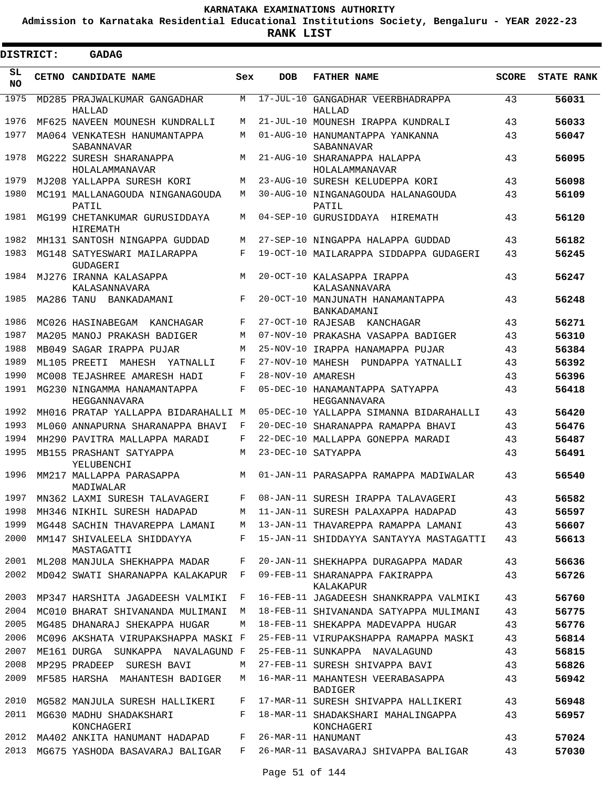**Admission to Karnataka Residential Educational Institutions Society, Bengaluru - YEAR 2022-23**

**RANK LIST**

Е

| <b>DISTRICT:</b> |            | <b>GADAG</b>                                                 |        |                   |                                                                                |              |                   |
|------------------|------------|--------------------------------------------------------------|--------|-------------------|--------------------------------------------------------------------------------|--------------|-------------------|
| SL.<br><b>NO</b> |            | CETNO CANDIDATE NAME                                         | Sex    | <b>DOB</b>        | <b>FATHER NAME</b>                                                             | <b>SCORE</b> | <b>STATE RANK</b> |
| 1975             |            | MD285 PRAJWALKUMAR GANGADHAR<br>HALLAD                       | M      |                   | 17-JUL-10 GANGADHAR VEERBHADRAPPA<br>HALLAD                                    | 43           | 56031             |
| 1976             |            | MF625 NAVEEN MOUNESH KUNDRALLI                               | М      |                   | 21-JUL-10 MOUNESH IRAPPA KUNDRALI                                              | 43           | 56033             |
| 1977             |            | MA064 VENKATESH HANUMANTAPPA<br>SABANNAVAR                   | M      |                   | 01-AUG-10 HANUMANTAPPA YANKANNA<br>SABANNAVAR                                  | 43           | 56047             |
| 1978             |            | MG222 SURESH SHARANAPPA<br>HOLALAMMANAVAR                    | М      |                   | 21-AUG-10 SHARANAPPA HALAPPA<br>HOLALAMMANAVAR                                 | 43           | 56095             |
| 1979             |            | MJ208 YALLAPPA SURESH KORI                                   | М      |                   | 23-AUG-10 SURESH KELUDEPPA KORI                                                | 43           | 56098             |
| 1980             |            | MC191 MALLANAGOUDA NINGANAGOUDA<br>PATIL                     | М      |                   | 30-AUG-10 NINGANAGOUDA HALANAGOUDA<br>PATIL                                    | 43           | 56109             |
| 1981             |            | MG199 CHETANKUMAR GURUSIDDAYA<br>HIREMATH                    | М      |                   | 04-SEP-10 GURUSIDDAYA HIREMATH                                                 | 43           | 56120             |
| 1982             |            | MH131 SANTOSH NINGAPPA GUDDAD                                | M      |                   | 27-SEP-10 NINGAPPA HALAPPA GUDDAD                                              | 43           | 56182             |
| 1983             |            | MG148 SATYESWARI MAILARAPPA<br>GUDAGERI                      | F      |                   | 19-OCT-10 MAILARAPPA SIDDAPPA GUDAGERI                                         | 43           | 56245             |
| 1984             |            | MJ276 IRANNA KALASAPPA<br>KALASANNAVARA                      | M      |                   | 20-OCT-10 KALASAPPA IRAPPA<br>KALASANNAVARA                                    | 43           | 56247             |
| 1985             | MA286 TANU | BANKADAMANI                                                  | F      |                   | 20-OCT-10 MANJUNATH HANAMANTAPPA<br>BANKADAMANI                                | 43           | 56248             |
| 1986             |            | MC026 HASINABEGAM<br>KANCHAGAR                               | F      | 27-OCT-10 RAJESAB | KANCHAGAR                                                                      | 43           | 56271             |
| 1987             |            | MA205 MANOJ PRAKASH BADIGER                                  | M      |                   | 07-NOV-10 PRAKASHA VASAPPA BADIGER                                             | 43           | 56310             |
| 1988             |            | MB049 SAGAR IRAPPA PUJAR                                     | M      |                   | 25-NOV-10 IRAPPA HANAMAPPA PUJAR                                               | 43           | 56384             |
| 1989             |            | ML105 PREETI<br>MAHESH<br>YATNALLI                           | F      |                   | 27-NOV-10 MAHESH PUNDAPPA YATNALLI                                             | 43           | 56392             |
| 1990             |            | MC008 TEJASHREE AMARESH HADI                                 | F      | 28-NOV-10 AMARESH |                                                                                | 43           | 56396             |
| 1991             |            | MG230 NINGAMMA HANAMANTAPPA<br>HEGGANNAVARA                  | F      |                   | 05-DEC-10 HANAMANTAPPA SATYAPPA<br>HEGGANNAVARA                                | 43           | 56418             |
| 1992             |            | MH016 PRATAP YALLAPPA BIDARAHALLI M                          |        |                   | 05-DEC-10 YALLAPPA SIMANNA BIDARAHALLI                                         | 43           | 56420             |
| 1993             |            | ML060 ANNAPURNA SHARANAPPA BHAVI                             | F      |                   | 20-DEC-10 SHARANAPPA RAMAPPA BHAVI                                             | 43           | 56476             |
| 1994             |            | MH290 PAVITRA MALLAPPA MARADI                                | F      |                   | 22-DEC-10 MALLAPPA GONEPPA MARADI                                              | 43           | 56487             |
| 1995             |            | MB155 PRASHANT SATYAPPA<br>YELUBENCHI                        | М      |                   | 23-DEC-10 SATYAPPA                                                             | 43           | 56491             |
| 1996             |            | MM217 MALLAPPA PARASAPPA<br>MADIWALAR                        | M      |                   | 01-JAN-11 PARASAPPA RAMAPPA MADIWALAR                                          | 43           | 56540             |
| 1997             |            | MN362 LAXMI SURESH TALAVAGERI                                | F      |                   | 08-JAN-11 SURESH IRAPPA TALAVAGERI                                             | 43           | 56582             |
| 1998             |            | MH346 NIKHIL SURESH HADAPAD                                  | M      |                   | 11-JAN-11 SURESH PALAXAPPA HADAPAD                                             | 43           | 56597             |
| 1999<br>2000     |            | MG448 SACHIN THAVAREPPA LAMANI<br>MM147 SHIVALEELA SHIDDAYYA | М<br>F |                   | 13-JAN-11 THAVAREPPA RAMAPPA LAMANI<br>15-JAN-11 SHIDDAYYA SANTAYYA MASTAGATTI | 43<br>43     | 56607<br>56613    |
|                  |            | MASTAGATTI                                                   |        |                   |                                                                                |              |                   |
| 2001             |            | ML208 MANJULA SHEKHAPPA MADAR                                | F      |                   | 20-JAN-11 SHEKHAPPA DURAGAPPA MADAR                                            | 43           | 56636             |
| 2002             |            | MD042 SWATI SHARANAPPA KALAKAPUR                             | F      |                   | 09-FEB-11 SHARANAPPA FAKIRAPPA<br>KALAKAPUR                                    | 43           | 56726             |
| 2003             |            | MP347 HARSHITA JAGADEESH VALMIKI                             | F      |                   | 16-FEB-11 JAGADEESH SHANKRAPPA VALMIKI                                         | 43           | 56760             |
| 2004             |            | MC010 BHARAT SHIVANANDA MULIMANI                             | M      |                   | 18-FEB-11 SHIVANANDA SATYAPPA MULIMANI                                         | 43           | 56775             |
| 2005             |            | MG485 DHANARAJ SHEKAPPA HUGAR                                | M      |                   | 18-FEB-11 SHEKAPPA MADEVAPPA HUGAR                                             | 43           | 56776             |
| 2006             |            | MC096 AKSHATA VIRUPAKSHAPPA MASKI F                          |        |                   | 25-FEB-11 VIRUPAKSHAPPA RAMAPPA MASKI                                          | 43           | 56814             |
| 2007<br>2008     |            | ME161 DURGA SUNKAPPA NAVALAGUND F                            |        |                   | 25-FEB-11 SUNKAPPA NAVALAGUND                                                  | 43           | 56815             |
|                  |            | MP295 PRADEEP SURESH BAVI                                    | М      |                   | 27-FEB-11 SURESH SHIVAPPA BAVI                                                 | 43           | 56826             |
| 2009             |            | MF585 HARSHA MAHANTESH BADIGER                               | М      |                   | 16-MAR-11 MAHANTESH VEERABASAPPA<br>BADIGER                                    | 43           | 56942             |
| 2010             |            | MG582 MANJULA SURESH HALLIKERI                               | F      |                   | 17-MAR-11 SURESH SHIVAPPA HALLIKERI                                            | 43           | 56948             |
| 2011             |            | MG630 MADHU SHADAKSHARI<br>KONCHAGERI                        | F      |                   | 18-MAR-11 SHADAKSHARI MAHALINGAPPA<br>KONCHAGERI                               | 43           | 56957             |
| 2012             |            | MA402 ANKITA HANUMANT HADAPAD                                | F      |                   | 26-MAR-11 HANUMANT                                                             | 43           | 57024             |
| 2013             |            | MG675 YASHODA BASAVARAJ BALIGAR                              | F      |                   | 26-MAR-11 BASAVARAJ SHIVAPPA BALIGAR                                           | 43           | 57030             |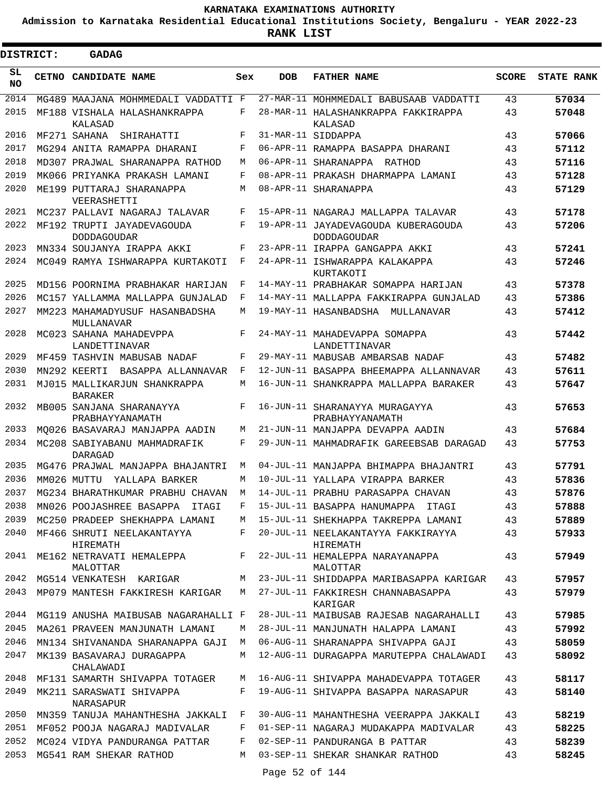**Admission to Karnataka Residential Educational Institutions Society, Bengaluru - YEAR 2022-23**

 $\blacksquare$ 

| <b>DISTRICT:</b> | <b>GADAG</b>                                     |     |            |                                                           |              |                   |
|------------------|--------------------------------------------------|-----|------------|-----------------------------------------------------------|--------------|-------------------|
| SL.<br><b>NO</b> | <b>CETNO CANDIDATE NAME</b>                      | Sex | <b>DOB</b> | <b>FATHER NAME</b>                                        | <b>SCORE</b> | <b>STATE RANK</b> |
| 2014             | MG489 MAAJANA MOHMMEDALI VADDATTI F              |     |            | 27-MAR-11 MOHMMEDALI BABUSAAB VADDATTI                    | 43           | 57034             |
| 2015             | MF188 VISHALA HALASHANKRAPPA<br>KALASAD          | F   |            | 28-MAR-11 HALASHANKRAPPA FAKKIRAPPA<br>KALASAD            | 43           | 57048             |
| 2016             | MF271 SAHANA<br>SHIRAHATTI                       | F   |            | 31-MAR-11 SIDDAPPA                                        | 43           | 57066             |
| 2017             | MG294 ANITA RAMAPPA DHARANI                      | F   |            | 06-APR-11 RAMAPPA BASAPPA DHARANI                         | 43           | 57112             |
| 2018             | MD307 PRAJWAL SHARANAPPA RATHOD                  | М   |            | 06-APR-11 SHARANAPPA RATHOD                               | 43           | 57116             |
| 2019             | MK066 PRIYANKA PRAKASH LAMANI                    | F   |            | 08-APR-11 PRAKASH DHARMAPPA LAMANI                        | 43           | 57128             |
| 2020             | ME199 PUTTARAJ SHARANAPPA<br>VEERASHETTI         | М   |            | 08-APR-11 SHARANAPPA                                      | 43           | 57129             |
| 2021             | MC237 PALLAVI NAGARAJ TALAVAR                    | F   |            | 15-APR-11 NAGARAJ MALLAPPA TALAVAR                        | 43           | 57178             |
| 2022             | MF192 TRUPTI JAYADEVAGOUDA<br><b>DODDAGOUDAR</b> | F   |            | 19-APR-11 JAYADEVAGOUDA KUBERAGOUDA<br><b>DODDAGOUDAR</b> | 43           | 57206             |
| 2023             | MN334 SOUJANYA IRAPPA AKKI                       | F   |            | 23-APR-11 IRAPPA GANGAPPA AKKI                            | 43           | 57241             |
| 2024             | MC049 RAMYA ISHWARAPPA KURTAKOTI                 | F   |            | 24-APR-11 ISHWARAPPA KALAKAPPA<br>KURTAKOTI               | 43           | 57246             |
| 2025             | MD156 POORNIMA PRABHAKAR HARIJAN                 | F   |            | 14-MAY-11 PRABHAKAR SOMAPPA HARIJAN                       | 43           | 57378             |
| 2026             | MC157 YALLAMMA MALLAPPA GUNJALAD                 | F   |            | 14-MAY-11 MALLAPPA FAKKIRAPPA GUNJALAD                    | 43           | 57386             |
| 2027             | MM223 MAHAMADYUSUF HASANBADSHA<br>MULLANAVAR     | М   |            | 19-MAY-11 HASANBADSHA MULLANAVAR                          | 43           | 57412             |
| 2028             | MC023 SAHANA MAHADEVPPA<br>LANDETTINAVAR         | F   |            | 24-MAY-11 MAHADEVAPPA SOMAPPA<br>LANDETTINAVAR            | 43           | 57442             |
| 2029             | MF459 TASHVIN MABUSAB NADAF                      | F   |            | 29-MAY-11 MABUSAB AMBARSAB NADAF                          | 43           | 57482             |
| 2030             | MN292 KEERTI<br>BASAPPA ALLANNAVAR               | F   |            | 12-JUN-11 BASAPPA BHEEMAPPA ALLANNAVAR                    | 43           | 57611             |
| 2031             | MJ015 MALLIKARJUN SHANKRAPPA<br><b>BARAKER</b>   | М   |            | 16-JUN-11 SHANKRAPPA MALLAPPA BARAKER                     | 43           | 57647             |
| 2032             | MB005 SANJANA SHARANAYYA<br>PRABHAYYANAMATH      | F   |            | 16-JUN-11 SHARANAYYA MURAGAYYA<br>PRABHAYYANAMATH         | 43           | 57653             |
| 2033             | MO026 BASAVARAJ MANJAPPA AADIN                   | М   |            | 21-JUN-11 MANJAPPA DEVAPPA AADIN                          | 43           | 57684             |
| 2034             | MC208 SABIYABANU MAHMADRAFIK<br>DARAGAD          | F   |            | 29-JUN-11 MAHMADRAFIK GAREEBSAB DARAGAD                   | 43           | 57753             |
| 2035             | MG476 PRAJWAL MANJAPPA BHAJANTRI                 | М   |            | 04-JUL-11 MANJAPPA BHIMAPPA BHAJANTRI                     | 43           | 57791             |
| 2036             | MM026 MUTTU<br>YALLAPA BARKER                    | М   |            | 10-JUL-11 YALLAPA VIRAPPA BARKER                          | 43           | 57836             |
| 2037             | MG234 BHARATHKUMAR PRABHU CHAVAN                 | M   |            | 14-JUL-11 PRABHU PARASAPPA CHAVAN                         | 43           | 57876             |
| 2038             | MN026 POOJASHREE BASAPPA ITAGI                   | F   |            | 15-JUL-11 BASAPPA HANUMAPPA ITAGI                         | 43           | 57888             |
| 2039             | MC250 PRADEEP SHEKHAPPA LAMANI                   | M   |            | 15-JUL-11 SHEKHAPPA TAKREPPA LAMANI                       | 43           | 57889             |
| 2040             | MF466 SHRUTI NEELAKANTAYYA<br>HIREMATH           | F   |            | 20-JUL-11 NEELAKANTAYYA FAKKIRAYYA<br>HIREMATH            | 43           | 57933             |
| 2041             | ME162 NETRAVATI HEMALEPPA<br>MALOTTAR            | F   |            | 22-JUL-11 HEMALEPPA NARAYANAPPA<br>MALOTTAR               | 43           | 57949             |
| 2042             | MG514 VENKATESH KARIGAR                          | M   |            | 23-JUL-11 SHIDDAPPA MARIBASAPPA KARIGAR                   | 43           | 57957             |
| 2043             | MP079 MANTESH FAKKIRESH KARIGAR                  | M   |            | 27-JUL-11 FAKKIRESH CHANNABASAPPA<br>KARIGAR              | 43           | 57979             |
| 2044             | MG119 ANUSHA MAIBUSAB NAGARAHALLI F              |     |            | 28-JUL-11 MAIBUSAB RAJESAB NAGARAHALLI                    | 43           | 57985             |
| 2045             | MA261 PRAVEEN MANJUNATH LAMANI                   | М   |            | 28-JUL-11 MANJUNATH HALAPPA LAMANI                        | 43           | 57992             |
| 2046             | MN134 SHIVANANDA SHARANAPPA GAJI                 | М   |            | 06-AUG-11 SHARANAPPA SHIVAPPA GAJI                        | 43           | 58059             |
| 2047             | MK139 BASAVARAJ DURAGAPPA<br>CHALAWADI           | M   |            | 12-AUG-11 DURAGAPPA MARUTEPPA CHALAWADI                   | 43           | 58092             |
| 2048             | MF131 SAMARTH SHIVAPPA TOTAGER                   | M   |            | 16-AUG-11 SHIVAPPA MAHADEVAPPA TOTAGER                    | 43           | 58117             |
| 2049             | MK211 SARASWATI SHIVAPPA<br>NARASAPUR            | F   |            | 19-AUG-11 SHIVAPPA BASAPPA NARASAPUR                      | 43           | 58140             |
| 2050             | MN359 TANUJA MAHANTHESHA JAKKALI                 | F   |            | 30-AUG-11 MAHANTHESHA VEERAPPA JAKKALI                    | 43           | 58219             |
| 2051             | MF052 POOJA NAGARAJ MADIVALAR                    | F   |            | 01-SEP-11 NAGARAJ MUDAKAPPA MADIVALAR                     | 43           | 58225             |
| 2052             | MC024 VIDYA PANDURANGA PATTAR                    | F   |            | 02-SEP-11 PANDURANGA B PATTAR                             | 43           | 58239             |
| 2053             | MG541 RAM SHEKAR RATHOD                          | M   |            | 03-SEP-11 SHEKAR SHANKAR RATHOD                           | 43           | 58245             |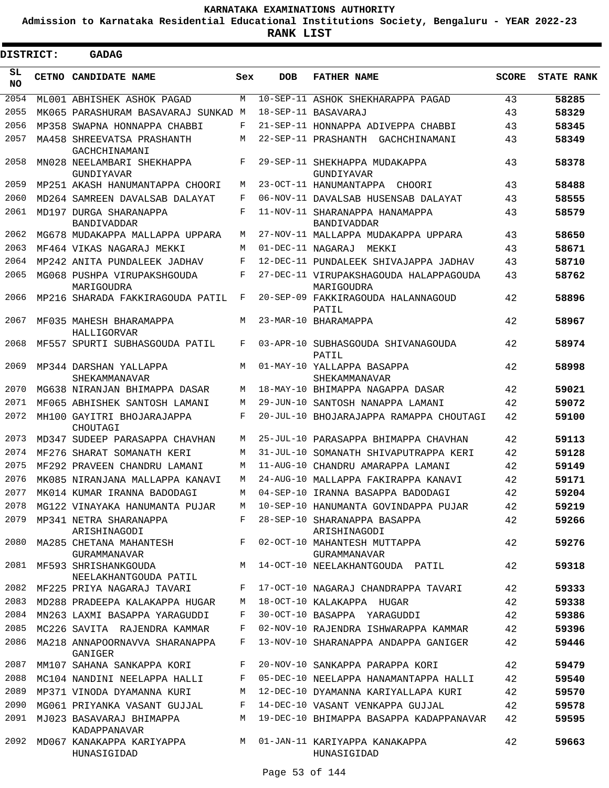**Admission to Karnataka Residential Educational Institutions Society, Bengaluru - YEAR 2022-23**

 $\blacksquare$ 

**RANK LIST**

Е

| <b>DISTRICT:</b> | <b>GADAG</b>                                                      |        |                   |                                                                             |              |                   |
|------------------|-------------------------------------------------------------------|--------|-------------------|-----------------------------------------------------------------------------|--------------|-------------------|
| SL<br><b>NO</b>  | CETNO CANDIDATE NAME                                              | Sex    | <b>DOB</b>        | <b>FATHER NAME</b>                                                          | <b>SCORE</b> | <b>STATE RANK</b> |
| 2054             | ML001 ABHISHEK ASHOK PAGAD                                        | М      |                   | 10-SEP-11 ASHOK SHEKHARAPPA PAGAD                                           | 43           | 58285             |
| 2055             | MK065 PARASHURAM BASAVARAJ SUNKAD M                               |        |                   | 18-SEP-11 BASAVARAJ                                                         | 43           | 58329             |
| 2056             | MP358 SWAPNA HONNAPPA CHABBI                                      | F      |                   | 21-SEP-11 HONNAPPA ADIVEPPA CHABBI                                          | 43           | 58345             |
| 2057             | MA458 SHREEVATSA PRASHANTH<br>GACHCHINAMANI                       | M      |                   | 22-SEP-11 PRASHANTH GACHCHINAMANI                                           | 43           | 58349             |
| 2058             | MN028 NEELAMBARI SHEKHAPPA<br>GUNDIYAVAR                          | F      |                   | 29-SEP-11 SHEKHAPPA MUDAKAPPA<br>GUNDIYAVAR                                 | 43           | 58378             |
| 2059             | MP251 AKASH HANUMANTAPPA CHOORI                                   | М      |                   | 23-OCT-11 HANUMANTAPPA CHOORI                                               | 43           | 58488             |
| 2060             | MD264 SAMREEN DAVALSAB DALAYAT                                    | F      |                   | 06-NOV-11 DAVALSAB HUSENSAB DALAYAT                                         | 43           | 58555             |
| 2061             | MD197 DURGA SHARANAPPA<br><b>BANDIVADDAR</b>                      | F      |                   | 11-NOV-11 SHARANAPPA HANAMAPPA<br><b>BANDIVADDAR</b>                        | 43           | 58579             |
| 2062             | MG678 MUDAKAPPA MALLAPPA UPPARA                                   | М      |                   | 27-NOV-11 MALLAPPA MUDAKAPPA UPPARA                                         | 43           | 58650             |
| 2063             | MF464 VIKAS NAGARAJ MEKKI                                         | M      | 01-DEC-11 NAGARAJ | MEKKI                                                                       | 43           | 58671             |
| 2064             | MP242 ANITA PUNDALEEK JADHAV                                      | F      |                   | 12-DEC-11 PUNDALEEK SHIVAJAPPA JADHAV                                       | 43           | 58710             |
| 2065             | MG068 PUSHPA VIRUPAKSHGOUDA<br>MARIGOUDRA                         | F      |                   | 27-DEC-11 VIRUPAKSHAGOUDA HALAPPAGOUDA<br>MARIGOUDRA                        | 43           | 58762             |
| 2066             | MP216 SHARADA FAKKIRAGOUDA PATIL                                  | F      |                   | 20-SEP-09 FAKKIRAGOUDA HALANNAGOUD<br>PATIL                                 | 42           | 58896             |
| 2067             | MF035 MAHESH BHARAMAPPA<br>HALLIGORVAR                            | М      |                   | 23-MAR-10 BHARAMAPPA                                                        | 42           | 58967             |
| 2068             | MF557 SPURTI SUBHASGOUDA PATIL                                    | F      |                   | 03-APR-10 SUBHASGOUDA SHIVANAGOUDA<br>PATIL                                 | 42           | 58974             |
| 2069             | MP344 DARSHAN YALLAPPA<br>SHEKAMMANAVAR                           | M      |                   | 01-MAY-10 YALLAPPA BASAPPA<br>SHEKAMMANAVAR                                 | 42           | 58998             |
| 2070             | MG638 NIRANJAN BHIMAPPA DASAR                                     | М      |                   | 18-MAY-10 BHIMAPPA NAGAPPA DASAR                                            | 42           | 59021             |
| 2071             | MF065 ABHISHEK SANTOSH LAMANI                                     | М      |                   | 29-JUN-10 SANTOSH NANAPPA LAMANI                                            | 42           | 59072             |
| 2072             | MH100 GAYITRI BHOJARAJAPPA<br>CHOUTAGI                            | F      |                   | 20-JUL-10 BHOJARAJAPPA RAMAPPA CHOUTAGI                                     | 42           | 59100             |
| 2073             | MD347 SUDEEP PARASAPPA CHAVHAN                                    | М      |                   | 25-JUL-10 PARASAPPA BHIMAPPA CHAVHAN                                        | 42           | 59113             |
| 2074             | MF276 SHARAT SOMANATH KERI                                        | М      |                   | 31-JUL-10 SOMANATH SHIVAPUTRAPPA KERI                                       | 42           | 59128             |
| 2075             | MF292 PRAVEEN CHANDRU LAMANI                                      | М      |                   | 11-AUG-10 CHANDRU AMARAPPA LAMANI                                           | 42           | 59149             |
| 2076             | MK085 NIRANJANA MALLAPPA KANAVI                                   | M      |                   | 24-AUG-10 MALLAPPA FAKIRAPPA KANAVI                                         | 42           | 59171             |
|                  | 2077 MK014 KUMAR IRANNA BADODAGI                                  |        |                   | M 04-SEP-10 IRANNA BASAPPA BADODAGI                                         | 42           | 59204             |
| 2078             | MG122 VINAYAKA HANUMANTA PUJAR                                    | M      |                   | 10-SEP-10 HANUMANTA GOVINDAPPA PUJAR                                        | 42           | 59219             |
|                  | 2079 MP341 NETRA SHARANAPPA                                       | F      |                   | 28-SEP-10 SHARANAPPA BASAPPA                                                | 42           | 59266             |
| 2080             | ARISHINAGODI<br>MA285 CHETANA MAHANTESH                           |        |                   | ARISHINAGODI<br>F 02-OCT-10 MAHANTESH MUTTAPPA                              | 42           | 59276             |
|                  | GURAMMANAVAR<br>2081 MF593 SHRISHANKGOUDA                         |        |                   | GURAMMANAVAR<br>M 14-OCT-10 NEELAKHANTGOUDA PATIL                           | 42           | 59318             |
|                  | NEELAKHANTGOUDA PATIL                                             |        |                   |                                                                             |              |                   |
| 2083             | 2082 MF225 PRIYA NAGARAJ TAVARI<br>MD288 PRADEEPA KALAKAPPA HUGAR | F      |                   | 17-OCT-10 NAGARAJ CHANDRAPPA TAVARI                                         | 42           | 59333             |
| 2084             | MN263 LAXMI BASAPPA YARAGUDDI                                     | M<br>F |                   | 18-OCT-10 KALAKAPPA HUGAR<br>30-OCT-10 BASAPPA YARAGUDDI                    | 42<br>42     | 59338<br>59386    |
| 2085             | MC226 SAVITA RAJENDRA KAMMAR                                      | F      |                   | 02-NOV-10 RAJENDRA ISHWARAPPA KAMMAR                                        | 42           | 59396             |
|                  | 2086 MA218 ANNAPOORNAVVA SHARANAPPA                               | F      |                   | 13-NOV-10 SHARANAPPA ANDAPPA GANIGER                                        | 42           | 59446             |
|                  | GANIGER                                                           |        |                   |                                                                             |              |                   |
| 2087             | MM107 SAHANA SANKAPPA KORI                                        | F      |                   | 20-NOV-10 SANKAPPA PARAPPA KORI                                             | 42           | 59479             |
| 2088             | MC104 NANDINI NEELAPPA HALLI                                      | F      |                   | 05-DEC-10 NEELAPPA HANAMANTAPPA HALLI                                       | 42           | 59540             |
| 2089             | MP371 VINODA DYAMANNA KURI                                        | М      |                   | 12-DEC-10 DYAMANNA KARIYALLAPA KURI                                         | 42           | 59570             |
| 2090<br>2091     | MG061 PRIYANKA VASANT GUJJAL<br>MJ023 BASAVARAJ BHIMAPPA          | F<br>M |                   | 14-DEC-10 VASANT VENKAPPA GUJJAL<br>19-DEC-10 BHIMAPPA BASAPPA KADAPPANAVAR | 42<br>42     | 59578<br>59595    |
| 2092             | KADAPPANAVAR                                                      |        |                   |                                                                             |              |                   |
|                  | MD067 KANAKAPPA KARIYAPPA<br>HUNASIGIDAD                          |        |                   | M 01-JAN-11 KARIYAPPA KANAKAPPA<br>HUNASIGIDAD                              | 42           | 59663             |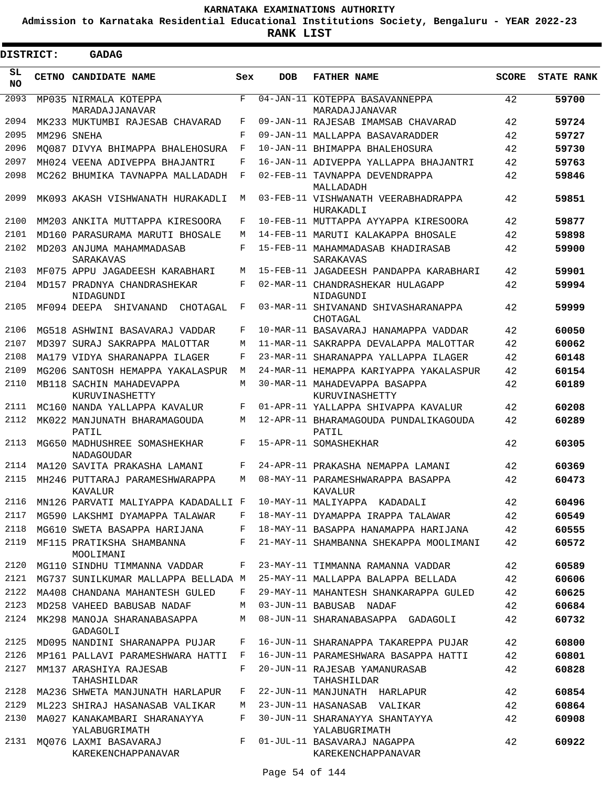**Admission to Karnataka Residential Educational Institutions Society, Bengaluru - YEAR 2022-23**

| DISTRICT:       | <b>GADAG</b>                                  |            |            |                                                   |              |                   |
|-----------------|-----------------------------------------------|------------|------------|---------------------------------------------------|--------------|-------------------|
| SL<br><b>NO</b> | <b>CETNO CANDIDATE NAME</b>                   | Sex        | <b>DOB</b> | <b>FATHER NAME</b>                                | <b>SCORE</b> | <b>STATE RANK</b> |
| 2093            | MP035 NIRMALA KOTEPPA<br>MARADAJJANAVAR       | F          |            | 04-JAN-11 KOTEPPA BASAVANNEPPA<br>MARADAJJANAVAR  | 42           | 59700             |
| 2094            | MK233 MUKTUMBI RAJESAB CHAVARAD               | F          |            | 09-JAN-11 RAJESAB IMAMSAB CHAVARAD                | 42           | 59724             |
| 2095            | MM296 SNEHA                                   | F          |            | 09-JAN-11 MALLAPPA BASAVARADDER                   | 42           | 59727             |
| 2096            | MQ087 DIVYA BHIMAPPA BHALEHOSURA              | F          |            | 10-JAN-11 BHIMAPPA BHALEHOSURA                    | 42           | 59730             |
| 2097            | MH024 VEENA ADIVEPPA BHAJANTRI                | F          |            | 16-JAN-11 ADIVEPPA YALLAPPA BHAJANTRI             | 42           | 59763             |
| 2098            | MC262 BHUMIKA TAVNAPPA MALLADADH              | $_{\rm F}$ |            | 02-FEB-11 TAVNAPPA DEVENDRAPPA<br>MALLADADH       | 42           | 59846             |
| 2099            | MK093 AKASH VISHWANATH HURAKADLI              | M          |            | 03-FEB-11 VISHWANATH VEERABHADRAPPA<br>HURAKADLI  | 42           | 59851             |
| 2100            | MM203 ANKITA MUTTAPPA KIRESOORA               | F          |            | 10-FEB-11 MUTTAPPA AYYAPPA KIRESOORA              | 42           | 59877             |
| 2101            | MD160 PARASURAMA MARUTI BHOSALE               | M          |            | 14-FEB-11 MARUTI KALAKAPPA BHOSALE                | 42           | 59898             |
| 2102            | MD203 ANJUMA MAHAMMADASAB<br>SARAKAVAS        | F          |            | 15-FEB-11 MAHAMMADASAB KHADIRASAB<br>SARAKAVAS    | 42           | 59900             |
| 2103            | MF075 APPU JAGADEESH KARABHARI                | M          |            | 15-FEB-11 JAGADEESH PANDAPPA KARABHARI            | 42           | 59901             |
| 2104            | MD157 PRADNYA CHANDRASHEKAR<br>NIDAGUNDI      | F          |            | 02-MAR-11 CHANDRASHEKAR HULAGAPP<br>NIDAGUNDI     | 42           | 59994             |
| 2105            | MF094 DEEPA<br>SHIVANAND<br>CHOTAGAL          | F          |            | 03-MAR-11 SHIVANAND SHIVASHARANAPPA<br>CHOTAGAL   | 42           | 59999             |
| 2106            | MG518 ASHWINI BASAVARAJ VADDAR                | F          |            | 10-MAR-11 BASAVARAJ HANAMAPPA VADDAR              | 42           | 60050             |
| 2107            | MD397 SURAJ SAKRAPPA MALOTTAR                 | M          |            | 11-MAR-11 SAKRAPPA DEVALAPPA MALOTTAR             | 42           | 60062             |
| 2108            | MA179 VIDYA SHARANAPPA ILAGER                 | F          |            | 23-MAR-11 SHARANAPPA YALLAPPA ILAGER              | 42           | 60148             |
| 2109            | MG206 SANTOSH HEMAPPA YAKALASPUR              | M          |            | 24-MAR-11 HEMAPPA KARIYAPPA YAKALASPUR            | 42           | 60154             |
| 2110            | MB118 SACHIN MAHADEVAPPA<br>KURUVINASHETTY    | M          |            | 30-MAR-11 MAHADEVAPPA BASAPPA<br>KURUVINASHETTY   | 42           | 60189             |
| 2111            | MC160 NANDA YALLAPPA KAVALUR                  | F          |            | 01-APR-11 YALLAPPA SHIVAPPA KAVALUR               | 42           | 60208             |
| 2112            | MK022 MANJUNATH BHARAMAGOUDA<br>PATIL         | M          |            | 12-APR-11 BHARAMAGOUDA PUNDALIKAGOUDA<br>PATIL    | 42           | 60289             |
| 2113            | MG650 MADHUSHREE SOMASHEKHAR<br>NADAGOUDAR    | F          |            | 15-APR-11 SOMASHEKHAR                             | 42           | 60305             |
| 2114            | MA120 SAVITA PRAKASHA LAMANI                  | F          |            | 24-APR-11 PRAKASHA NEMAPPA LAMANI                 | 42           | 60369             |
| 2115            | MH246 PUTTARAJ PARAMESHWARAPPA<br>KAVALUR     | M          |            | 08-MAY-11 PARAMESHWARAPPA BASAPPA<br>KAVALUR      | 42           | 60473             |
| 2116            | MN126 PARVATI MALIYAPPA KADADALLI F           |            |            | 10-MAY-11 MALIYAPPA KADADALI                      | 42           | 60496             |
| 2117            | MG590 LAKSHMI DYAMAPPA TALAWAR                | F          |            | 18-MAY-11 DYAMAPPA IRAPPA TALAWAR                 | 42           | 60549             |
| 2118            | MG610 SWETA BASAPPA HARIJANA                  | F          |            | 18-MAY-11 BASAPPA HANAMAPPA HARIJANA              | 42           | 60555             |
| 2119            | MF115 PRATIKSHA SHAMBANNA<br>MOOLIMANI        | F          |            | 21-MAY-11 SHAMBANNA SHEKAPPA MOOLIMANI            | 42           | 60572             |
| 2120            | MG110 SINDHU TIMMANNA VADDAR                  | F          |            | 23-MAY-11 TIMMANNA RAMANNA VADDAR                 | 42           | 60589             |
| 2121            | MG737 SUNILKUMAR MALLAPPA BELLADA M           |            |            | 25-MAY-11 MALLAPPA BALAPPA BELLADA                | 42           | 60606             |
| 2122            | MA408 CHANDANA MAHANTESH GULED                | F          |            | 29-MAY-11 MAHANTESH SHANKARAPPA GULED             | 42           | 60625             |
| 2123            | MD258 VAHEED BABUSAB NADAF                    | M          |            | 03-JUN-11 BABUSAB NADAF                           | 42           | 60684             |
| 2124            | MK298 MANOJA SHARANABASAPPA<br>GADAGOLI       | М          |            | 08-JUN-11 SHARANABASAPPA GADAGOLI                 | 42           | 60732             |
| 2125            | MD095 NANDINI SHARANAPPA PUJAR                | F          |            | 16-JUN-11 SHARANAPPA TAKAREPPA PUJAR              | 42           | 60800             |
| 2126            | MP161 PALLAVI PARAMESHWARA HATTI              | F          |            | 16-JUN-11 PARAMESHWARA BASAPPA HATTI              | 42           | 60801             |
| 2127            | MM137 ARASHIYA RAJESAB<br>TAHASHILDAR         | F          |            | 20-JUN-11 RAJESAB YAMANURASAB<br>TAHASHILDAR      | 42           | 60828             |
| 2128            | MA236 SHWETA MANJUNATH HARLAPUR               | F          |            | 22-JUN-11 MANJUNATH HARLAPUR                      | 42           | 60854             |
| 2129            | ML223 SHIRAJ HASANASAB VALIKAR                | М          |            | 23-JUN-11 HASANASAB VALIKAR                       | 42           | 60864             |
| 2130            | MA027 KANAKAMBARI SHARANAYYA<br>YALABUGRIMATH | F          |            | 30-JUN-11 SHARANAYYA SHANTAYYA<br>YALABUGRIMATH   | 42           | 60908             |
| 2131            | MQ076 LAXMI BASAVARAJ<br>KAREKENCHAPPANAVAR   | F          |            | 01-JUL-11 BASAVARAJ NAGAPPA<br>KAREKENCHAPPANAVAR | 42           | 60922             |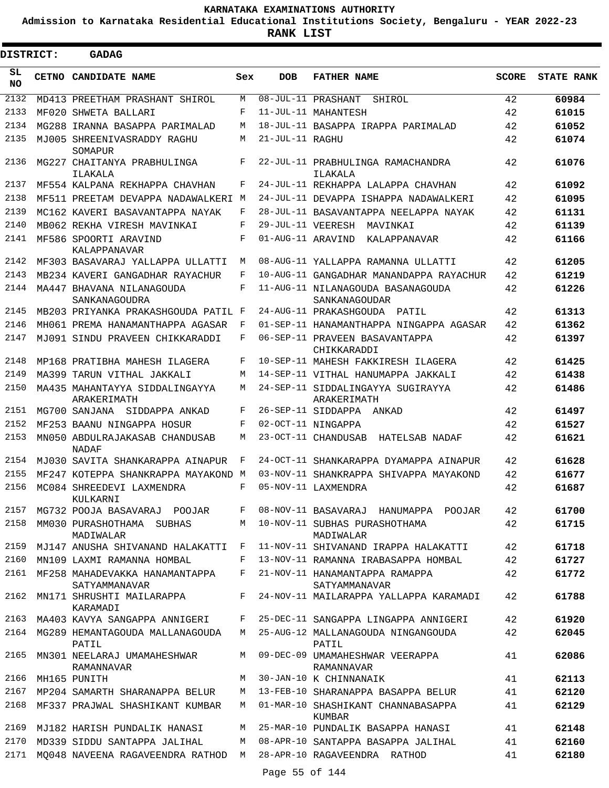**Admission to Karnataka Residential Educational Institutions Society, Bengaluru - YEAR 2022-23**

| <b>DISTRICT:</b> |       | <b>GADAG</b>                                                    |         |                   |                                                  |              |                   |
|------------------|-------|-----------------------------------------------------------------|---------|-------------------|--------------------------------------------------|--------------|-------------------|
| SL<br><b>NO</b>  | CETNO | CANDIDATE NAME                                                  | Sex     | <b>DOB</b>        | <b>FATHER NAME</b>                               | <b>SCORE</b> | <b>STATE RANK</b> |
| 2132             |       | MD413 PREETHAM PRASHANT SHIROL                                  | М       |                   | 08-JUL-11 PRASHANT<br>SHIROL                     | 42           | 60984             |
| 2133             |       | MF020 SHWETA BALLARI                                            | F       |                   | 11-JUL-11 MAHANTESH                              | 42           | 61015             |
| 2134             |       | MG288 IRANNA BASAPPA PARIMALAD                                  | М       |                   | 18-JUL-11 BASAPPA IRAPPA PARIMALAD               | 42           | 61052             |
| 2135             |       | MJ005 SHREENIVASRADDY RAGHU                                     | М       | 21-JUL-11 RAGHU   |                                                  | 42           | 61074             |
| 2136             |       | SOMAPUR<br>MG227 CHAITANYA PRABHULINGA<br>ILAKALA               | F       |                   | 22-JUL-11 PRABHULINGA RAMACHANDRA<br>ILAKALA     | 42           | 61076             |
| 2137             |       | MF554 KALPANA REKHAPPA CHAVHAN                                  | F       |                   | 24-JUL-11 REKHAPPA LALAPPA CHAVHAN               | 42           | 61092             |
| 2138             |       | MF511 PREETAM DEVAPPA NADAWALKERI M                             |         |                   | 24-JUL-11 DEVAPPA ISHAPPA NADAWALKERI            | 42           | 61095             |
| 2139             |       | MC162 KAVERI BASAVANTAPPA NAYAK                                 | F       |                   | 28-JUL-11 BASAVANTAPPA NEELAPPA NAYAK            | 42           | 61131             |
| 2140             |       | MB062 REKHA VIRESH MAVINKAI                                     | F       | 29-JUL-11 VEERESH | MAVINKAI                                         | 42           | 61139             |
| 2141             |       | MF586 SPOORTI ARAVIND                                           | F       | 01-AUG-11 ARAVIND | KALAPPANAVAR                                     | 42           | 61166             |
| 2142             |       | KALAPPANAVAR<br>MF303 BASAVARAJ YALLAPPA ULLATTI                | М       |                   | 08-AUG-11 YALLAPPA RAMANNA ULLATTI               | 42           | 61205             |
| 2143             |       | MB234 KAVERI GANGADHAR RAYACHUR                                 | F       |                   | 10-AUG-11 GANGADHAR MANANDAPPA RAYACHUR          | 42           | 61219             |
| 2144             |       | MA447 BHAVANA NILANAGOUDA                                       | F       |                   | 11-AUG-11 NILANAGOUDA BASANAGOUDA                | 42           | 61226             |
|                  |       | SANKANAGOUDRA                                                   |         |                   | SANKANAGOUDAR                                    |              |                   |
| 2145             |       | MB203 PRIYANKA PRAKASHGOUDA PATIL F                             |         |                   | 24-AUG-11 PRAKASHGOUDA PATIL                     | 42           | 61313             |
| 2146             |       | MH061 PREMA HANAMANTHAPPA AGASAR                                | F       |                   | 01-SEP-11 HANAMANTHAPPA NINGAPPA AGASAR          | 42           | 61362             |
| 2147             |       | MJ091 SINDU PRAVEEN CHIKKARADDI                                 | F       |                   | 06-SEP-11 PRAVEEN BASAVANTAPPA<br>CHIKKARADDI    | 42           | 61397             |
| 2148             |       | MP168 PRATIBHA MAHESH ILAGERA                                   | F       |                   | 10-SEP-11 MAHESH FAKKIRESH ILAGERA               | 42           | 61425             |
| 2149             |       | MA399 TARUN VITHAL JAKKALI                                      | М       |                   | 14-SEP-11 VITHAL HANUMAPPA JAKKALI               | 42           | 61438             |
| 2150             |       | MA435 MAHANTAYYA SIDDALINGAYYA<br>ARAKERIMATH                   | M       |                   | 24-SEP-11 SIDDALINGAYYA SUGIRAYYA<br>ARAKERIMATH | 42           | 61486             |
| 2151             |       | MG700 SANJANA<br>SIDDAPPA ANKAD                                 | F       |                   | 26-SEP-11 SIDDAPPA ANKAD                         | 42           | 61497             |
| 2152             |       | MF253 BAANU NINGAPPA HOSUR                                      | F       |                   | 02-OCT-11 NINGAPPA                               | 42           | 61527             |
| 2153             |       | MN050 ABDULRAJAKASAB CHANDUSAB<br><b>NADAF</b>                  | М       |                   | 23-OCT-11 CHANDUSAB HATELSAB NADAF               | 42           | 61621             |
| 2154             |       | MJ030 SAVITA SHANKARAPPA AINAPUR                                | F       |                   | 24-OCT-11 SHANKARAPPA DYAMAPPA AINAPUR           | 42           | 61628             |
| 2155             |       | MF247 KOTEPPA SHANKRAPPA MAYAKOND M                             |         |                   | 03-NOV-11 SHANKRAPPA SHIVAPPA MAYAKOND           | 42           | 61677             |
| 2156             |       | MC084 SHREEDEVI LAXMENDRA<br>KULKARNI                           | F       |                   | 05-NOV-11 LAXMENDRA                              | 42           | 61687             |
| 2157             |       | MG732 POOJA BASAVARAJ POOJAR                                    | $F$ and |                   | 08-NOV-11 BASAVARAJ HANUMAPPA POOJAR             | 42           | 61700             |
| 2158             |       | MM030 PURASHOTHAMA SUBHAS<br>MADIWALAR                          |         |                   | M 10-NOV-11 SUBHAS PURASHOTHAMA<br>MADIWALAR     | 42           | 61715             |
| 2159             |       | MJ147 ANUSHA SHIVANAND HALAKATTI F                              |         |                   | 11-NOV-11 SHIVANAND IRAPPA HALAKATTI             | 42           | 61718             |
| 2160             |       | MN109 LAXMI RAMANNA HOMBAL                                      | F       |                   | 13-NOV-11 RAMANNA IRABASAPPA HOMBAL              | 42           | 61727             |
| 2161             |       | MF258 MAHADEVAKKA HANAMANTAPPA<br>SATYAMMANAVAR                 | $F -$   |                   | 21-NOV-11 HANAMANTAPPA RAMAPPA<br>SATYAMMANAVAR  | 42           | 61772             |
| 2162             |       | MN171 SHRUSHTI MAILARAPPA<br>KARAMADI                           | F       |                   | 24-NOV-11 MAILARAPPA YALLAPPA KARAMADI           | 42           | 61788             |
| 2163             |       | MA403 KAVYA SANGAPPA ANNIGERI                                   | F       |                   | 25-DEC-11 SANGAPPA LINGAPPA ANNIGERI             | 42           | 61920             |
|                  |       | 2164 MG289 HEMANTAGOUDA MALLANAGOUDA<br>PATIL                   | M       |                   | 25-AUG-12 MALLANAGOUDA NINGANGOUDA<br>PATIL      | 42           | 62045             |
| 2165             |       | MN301 NEELARAJ UMAMAHESHWAR<br>RAMANNAVAR                       | M       |                   | 09-DEC-09 UMAMAHESHWAR VEERAPPA<br>RAMANNAVAR    | 41           | 62086             |
| 2166             |       | MH165 PUNITH                                                    | M       |                   | 30-JAN-10 K CHINNANAIK                           | 41           | 62113             |
| 2167             |       | MP204 SAMARTH SHARANAPPA BELUR                                  | M       |                   | 13-FEB-10 SHARANAPPA BASAPPA BELUR               | 41           | 62120             |
| 2168             |       | MF337 PRAJWAL SHASHIKANT KUMBAR                                 | M       |                   | 01-MAR-10 SHASHIKANT CHANNABASAPPA<br>KUMBAR     | 41           | 62129             |
| 2169             |       | MJ182 HARISH PUNDALIK HANASI                                    | М       |                   | 25-MAR-10 PUNDALIK BASAPPA HANASI                | 41           | 62148             |
| 2170             |       | MD339 SIDDU SANTAPPA JALIHAL                                    | M       |                   | 08-APR-10 SANTAPPA BASAPPA JALIHAL               | 41           | 62160             |
| 2171             |       | MQ048 NAVEENA RAGAVEENDRA RATHOD M 28-APR-10 RAGAVEENDRA RATHOD |         |                   |                                                  | 41           | 62180             |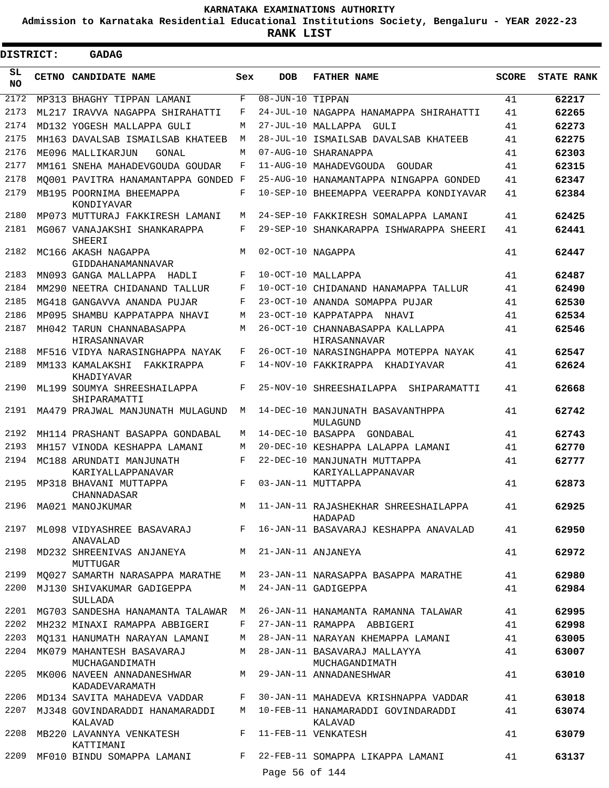**Admission to Karnataka Residential Educational Institutions Society, Bengaluru - YEAR 2022-23**

**RANK LIST**

E

| <b>DISTRICT:</b> | <b>GADAG</b>                                 |            |                   |                                                   |              |                   |
|------------------|----------------------------------------------|------------|-------------------|---------------------------------------------------|--------------|-------------------|
| SL<br><b>NO</b>  | CETNO CANDIDATE NAME                         | Sex        | <b>DOB</b>        | <b>FATHER NAME</b>                                | <b>SCORE</b> | <b>STATE RANK</b> |
| 2172             | MP313 BHAGHY TIPPAN LAMANI                   | F          | 08-JUN-10 TIPPAN  |                                                   | 41           | 62217             |
| 2173             | ML217 IRAVVA NAGAPPA SHIRAHATTI              | F          |                   | 24-JUL-10 NAGAPPA HANAMAPPA SHIRAHATTI            | 41           | 62265             |
| 2174             | MD132 YOGESH MALLAPPA GULI                   | М          |                   | 27-JUL-10 MALLAPPA GULI                           | 41           | 62273             |
| 2175             | MH163 DAVALSAB ISMAILSAB KHATEEB             | М          | 28-JUL-10         | ISMAILSAB DAVALSAB KHATEEB                        | 41           | 62275             |
| 2176             | ME096 MALLIKARJUN<br>GONAL                   | M          |                   | 07-AUG-10 SHARANAPPA                              | 41           | 62303             |
| 2177             | MM161 SNEHA MAHADEVGOUDA GOUDAR              | F          |                   | 11-AUG-10 MAHADEVGOUDA<br>GOUDAR                  | 41           | 62315             |
| 2178             | MO001 PAVITRA HANAMANTAPPA GONDED F          |            |                   | 25-AUG-10 HANAMANTAPPA NINGAPPA GONDED            | 41           | 62347             |
| 2179             | MB195 POORNIMA BHEEMAPPA<br>KONDIYAVAR       | F          |                   | 10-SEP-10 BHEEMAPPA VEERAPPA KONDIYAVAR           | 41           | 62384             |
| 2180             | MP073 MUTTURAJ FAKKIRESH LAMANI              | М          |                   | 24-SEP-10 FAKKIRESH SOMALAPPA LAMANI              | 41           | 62425             |
| 2181             | MG067 VANAJAKSHI SHANKARAPPA<br>SHEERI       | F          |                   | 29-SEP-10 SHANKARAPPA ISHWARAPPA SHEERI           | 41           | 62441             |
| 2182             | MC166 AKASH NAGAPPA<br>GIDDAHANAMANNAVAR     | M          | 02-OCT-10 NAGAPPA |                                                   | 41           | 62447             |
| 2183             | MN093 GANGA MALLAPPA<br>HADLI                | F          |                   | 10-OCT-10 MALLAPPA                                | 41           | 62487             |
| 2184             | MM290 NEETRA CHIDANAND TALLUR                | F          |                   | 10-OCT-10 CHIDANAND HANAMAPPA TALLUR              | 41           | 62490             |
| 2185             | MG418 GANGAVVA ANANDA PUJAR                  | F          |                   | 23-OCT-10 ANANDA SOMAPPA PUJAR                    | 41           | 62530             |
| 2186             | MP095 SHAMBU KAPPATAPPA NHAVI                | М          |                   | 23-OCT-10 KAPPATAPPA<br>NHAVI                     | 41           | 62534             |
| 2187             | MH042 TARUN CHANNABASAPPA<br>HIRASANNAVAR    | M          |                   | 26-OCT-10 CHANNABASAPPA KALLAPPA<br>HIRASANNAVAR  | 41           | 62546             |
| 2188             | MF516 VIDYA NARASINGHAPPA NAYAK              | F          |                   | 26-OCT-10 NARASINGHAPPA MOTEPPA NAYAK             | 41           | 62547             |
| 2189             | MM133 KAMALAKSHI<br>FAKKIRAPPA<br>KHADIYAVAR | F          |                   | 14-NOV-10 FAKKIRAPPA KHADIYAVAR                   | 41           | 62624             |
| 2190             | ML199 SOUMYA SHREESHAILAPPA<br>SHIPARAMATTI  | $_{\rm F}$ |                   | 25-NOV-10 SHREESHAILAPPA<br>SHIPARAMATTI          | 41           | 62668             |
| 2191             | MA479 PRAJWAL MANJUNATH MULAGUND             | М          |                   | 14-DEC-10 MANJUNATH BASAVANTHPPA<br>MULAGUND      | 41           | 62742             |
| 2192             | MH114 PRASHANT BASAPPA GONDABAL              | М          | 14-DEC-10 BASAPPA | GONDABAL                                          | 41           | 62743             |
| 2193             | MH157 VINODA KESHAPPA LAMANI                 | М          |                   | 20-DEC-10 KESHAPPA LALAPPA LAMANI                 | 41           | 62770             |
| 2194             | MC188 ARUNDATI MANJUNATH                     | F          |                   | 22-DEC-10 MANJUNATH MUTTAPPA                      | 41           | 62777             |
| 2195             | KARIYALLAPPANAVAR                            | F          |                   | KARIYALLAPPANAVAR                                 | 41           | 62873             |
|                  | MP318 BHAVANI MUTTAPPA<br>CHANNADASAR        |            |                   | 03-JAN-11 MUTTAPPA                                |              |                   |
| 2196             | MA021 MANOJKUMAR                             |            |                   | M 11-JAN-11 RAJASHEKHAR SHREESHAILAPPA<br>HADAPAD | 41           | 62925             |
| 2197             | ML098 VIDYASHREE BASAVARAJ<br>ANAVALAD       | F          |                   | 16-JAN-11 BASAVARAJ KESHAPPA ANAVALAD             | 41           | 62950             |
| 2198             | MD232 SHREENIVAS ANJANEYA<br>MUTTUGAR        |            |                   | M 21-JAN-11 ANJANEYA                              | 41           | 62972             |
| 2199             | MQ027 SAMARTH NARASAPPA MARATHE              | M          |                   | 23-JAN-11 NARASAPPA BASAPPA MARATHE               | 41           | 62980             |
| 2200             | MJ130 SHIVAKUMAR GADIGEPPA<br>SULLADA        | M          |                   | 24-JAN-11 GADIGEPPA                               | 41           | 62984             |
|                  | 2201 MG703 SANDESHA HANAMANTA TALAWAR M      |            |                   | 26-JAN-11 HANAMANTA RAMANNA TALAWAR               | 41           | 62995             |
| 2202             | MH232 MINAXI RAMAPPA ABBIGERI                | F          |                   | 27-JAN-11 RAMAPPA ABBIGERI                        | 41           | 62998             |
| 2203             | MO131 HANUMATH NARAYAN LAMANI                | М          |                   | 28-JAN-11 NARAYAN KHEMAPPA LAMANI                 | 41           | 63005             |
| 2204             | MK079 MAHANTESH BASAVARAJ<br>MUCHAGANDIMATH  | M          |                   | 28-JAN-11 BASAVARAJ MALLAYYA<br>MUCHAGANDIMATH    | 41           | 63007             |
| 2205             | MK006 NAVEEN ANNADANESHWAR<br>KADADEVARAMATH | M          |                   | 29-JAN-11 ANNADANESHWAR                           | 41           | 63010             |
| 2206             | MD134 SAVITA MAHADEVA VADDAR                 | F          |                   | 30-JAN-11 MAHADEVA KRISHNAPPA VADDAR              | 41           | 63018             |
| 2207             | MJ348 GOVINDARADDI HANAMARADDI               | M          |                   | 10-FEB-11 HANAMARADDI GOVINDARADDI                | 41           | 63074             |
| 2208             | KALAVAD<br>MB220 LAVANNYA VENKATESH          | F          |                   | KALAVAD<br>11-FEB-11 VENKATESH                    | 41           | 63079             |
| 2209             | KATTIMANI<br>MF010 BINDU SOMAPPA LAMANI      |            |                   | F 22-FEB-11 SOMAPPA LIKAPPA LAMANI                | 41           | 63137             |
|                  |                                              |            | Page 56 of 144    |                                                   |              |                   |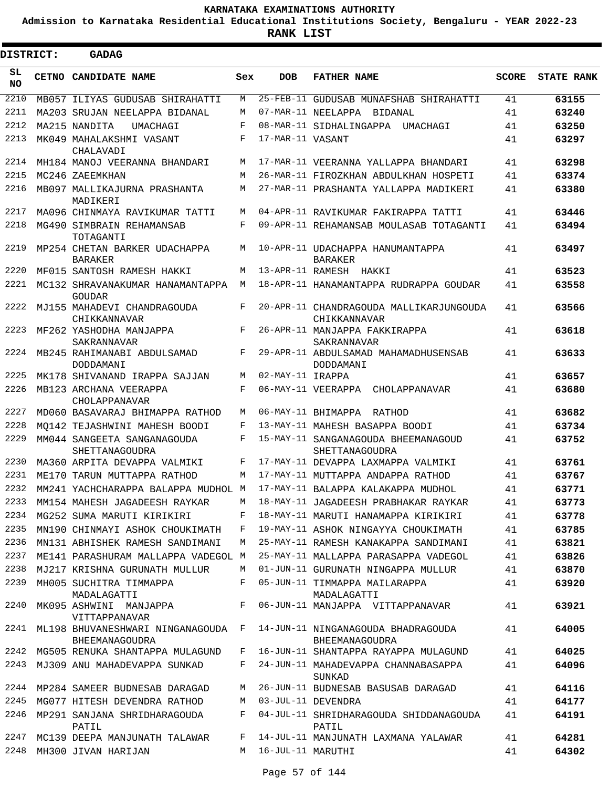**Admission to Karnataka Residential Educational Institutions Society, Bengaluru - YEAR 2022-23**

**RANK LIST**

Е

| <b>DISTRICT:</b> | <b>GADAG</b>                                       |     |                   |                                                         |              |                   |
|------------------|----------------------------------------------------|-----|-------------------|---------------------------------------------------------|--------------|-------------------|
| SL<br><b>NO</b>  | CETNO CANDIDATE NAME                               | Sex | <b>DOB</b>        | <b>FATHER NAME</b>                                      | <b>SCORE</b> | <b>STATE RANK</b> |
| 2210             | MB057 ILIYAS GUDUSAB SHIRAHATTI                    | М   |                   | 25-FEB-11 GUDUSAB MUNAFSHAB SHIRAHATTI                  | 41           | 63155             |
| 2211             | MA203 SRUJAN NEELAPPA BIDANAL                      | M   |                   | 07-MAR-11 NEELAPPA BIDANAL                              | 41           | 63240             |
| 2212             | MA215 NANDITA<br>UMACHAGI                          | F   |                   | 08-MAR-11 SIDHALINGAPPA<br>UMACHAGI                     | 41           | 63250             |
| 2213             | MK049 MAHALAKSHMI VASANT<br>CHALAVADI              | F   | 17-MAR-11 VASANT  |                                                         | 41           | 63297             |
| 2214             | MH184 MANOJ VEERANNA BHANDARI                      | M   |                   | 17-MAR-11 VEERANNA YALLAPPA BHANDARI                    | 41           | 63298             |
| 2215             | MC246 ZAEEMKHAN                                    | M   |                   | 26-MAR-11 FIROZKHAN ABDULKHAN HOSPETI                   | 41           | 63374             |
| 2216             | MB097 MALLIKAJURNA PRASHANTA<br>MADIKERI           | М   |                   | 27-MAR-11 PRASHANTA YALLAPPA MADIKERI                   | 41           | 63380             |
| 2217             | MA096 CHINMAYA RAVIKUMAR TATTI                     | М   |                   | 04-APR-11 RAVIKUMAR FAKIRAPPA TATTI                     | 41           | 63446             |
| 2218             | MG490 SIMBRAIN REHAMANSAB<br>TOTAGANTI             | F   |                   | 09-APR-11 REHAMANSAB MOULASAB TOTAGANTI                 | 41           | 63494             |
| 2219             | MP254 CHETAN BARKER UDACHAPPA<br><b>BARAKER</b>    | М   |                   | 10-APR-11 UDACHAPPA HANUMANTAPPA<br><b>BARAKER</b>      | 41           | 63497             |
| 2220             | MF015 SANTOSH RAMESH HAKKI                         | М   |                   | 13-APR-11 RAMESH HAKKI                                  | 41           | 63523             |
| 2221             | MC132 SHRAVANAKUMAR HANAMANTAPPA<br>GOUDAR         | M   |                   | 18-APR-11 HANAMANTAPPA RUDRAPPA GOUDAR                  | 41           | 63558             |
| 2222             | MJ155 MAHADEVI CHANDRAGOUDA<br>CHIKKANNAVAR        | F   |                   | 20-APR-11 CHANDRAGOUDA MALLIKARJUNGOUDA<br>CHIKKANNAVAR | 41           | 63566             |
| 2223             | MF262 YASHODHA MANJAPPA<br>SAKRANNAVAR             | F   |                   | 26-APR-11 MANJAPPA FAKKIRAPPA<br>SAKRANNAVAR            | 41           | 63618             |
| 2224             | MB245 RAHIMANABI ABDULSAMAD<br>DODDAMANI           | F   |                   | 29-APR-11 ABDULSAMAD MAHAMADHUSENSAB<br>DODDAMANI       | 41           | 63633             |
| 2225             | MK178 SHIVANAND IRAPPA SAJJAN                      | М   | 02-MAY-11 IRAPPA  |                                                         | 41           | 63657             |
| 2226             | MB123 ARCHANA VEERAPPA<br>CHOLAPPANAVAR            | F   |                   | 06-MAY-11 VEERAPPA CHOLAPPANAVAR                        | 41           | 63680             |
| 2227             | MD060 BASAVARAJ BHIMAPPA RATHOD                    | М   |                   | 06-MAY-11 BHIMAPPA RATHOD                               | 41           | 63682             |
| 2228             | MO142 TEJASHWINI MAHESH BOODI                      | F   |                   | 13-MAY-11 MAHESH BASAPPA BOODI                          | 41           | 63734             |
| 2229             | MM044 SANGEETA SANGANAGOUDA<br>SHETTANAGOUDRA      | F   |                   | 15-MAY-11 SANGANAGOUDA BHEEMANAGOUD<br>SHETTANAGOUDRA   | 41           | 63752             |
| 2230             | MA360 ARPITA DEVAPPA VALMIKI                       | F   |                   | 17-MAY-11 DEVAPPA LAXMAPPA VALMIKI                      | 41           | 63761             |
| 2231             | ME170 TARUN MUTTAPPA RATHOD                        | М   |                   | 17-MAY-11 MUTTAPPA ANDAPPA RATHOD                       | 41           | 63767             |
| 2232             | MM241 YACHCHARAPPA BALAPPA MUDHOL M                |     |                   | 17-MAY-11 BALAPPA KALAKAPPA MUDHOL                      | 41           | 63771             |
| 2233             | MM154 MAHESH JAGADEESH RAYKAR                      | М   |                   | 18-MAY-11 JAGADEESH PRABHAKAR RAYKAR                    | 41           | 63773             |
| 2234             | MG252 SUMA MARUTI KIRIKIRI                         | F   |                   | 18-MAY-11 MARUTI HANAMAPPA KIRIKIRI                     | 41           | 63778             |
| 2235             | MN190 CHINMAYI ASHOK CHOUKIMATH                    | F   |                   | 19-MAY-11 ASHOK NINGAYYA CHOUKIMATH                     | 41           | 63785             |
| 2236             | MN131 ABHISHEK RAMESH SANDIMANI                    | М   |                   | 25-MAY-11 RAMESH KANAKAPPA SANDIMANI                    | 41           | 63821             |
| 2237             | ME141 PARASHURAM MALLAPPA VADEGOL M                |     |                   | 25-MAY-11 MALLAPPA PARASAPPA VADEGOL                    | 41           | 63826             |
| 2238             | MJ217 KRISHNA GURUNATH MULLUR                      | М   |                   | 01-JUN-11 GURUNATH NINGAPPA MULLUR                      | 41           | 63870             |
| 2239             | MH005 SUCHITRA TIMMAPPA<br>MADALAGATTI             | F   |                   | 05-JUN-11 TIMMAPPA MAILARAPPA<br>MADALAGATTI            | 41           | 63920             |
| 2240             | MK095 ASHWINI MANJAPPA<br>VITTAPPANAVAR            | F   |                   | 06-JUN-11 MANJAPPA VITTAPPANAVAR                        | 41           | 63921             |
| 2241             | ML198 BHUVANESHWARI NINGANAGOUDA<br>BHEEMANAGOUDRA | F   |                   | 14-JUN-11 NINGANAGOUDA BHADRAGOUDA<br>BHEEMANAGOUDRA    | 41           | 64005             |
| 2242             | MG505 RENUKA SHANTAPPA MULAGUND                    | F   |                   | 16-JUN-11 SHANTAPPA RAYAPPA MULAGUND                    | 41           | 64025             |
| 2243             | MJ309 ANU MAHADEVAPPA SUNKAD                       | F   |                   | 24-JUN-11 MAHADEVAPPA CHANNABASAPPA<br>SUNKAD           | 41           | 64096             |
| 2244             | MP284 SAMEER BUDNESAB DARAGAD                      | М   |                   | 26-JUN-11 BUDNESAB BASUSAB DARAGAD                      | 41           | 64116             |
| 2245             | MG077 HITESH DEVENDRA RATHOD                       | М   |                   | 03-JUL-11 DEVENDRA                                      | 41           | 64177             |
| 2246             | MP291 SANJANA SHRIDHARAGOUDA<br>PATIL              | F   |                   | 04-JUL-11 SHRIDHARAGOUDA SHIDDANAGOUDA<br>PATIL         | 41           | 64191             |
| 2247             | MC139 DEEPA MANJUNATH TALAWAR                      | F   |                   | 14-JUL-11 MANJUNATH LAXMANA YALAWAR                     | 41           | 64281             |
| 2248             | MH300 JIVAN HARIJAN                                | М   | 16-JUL-11 MARUTHI |                                                         | 41           | 64302             |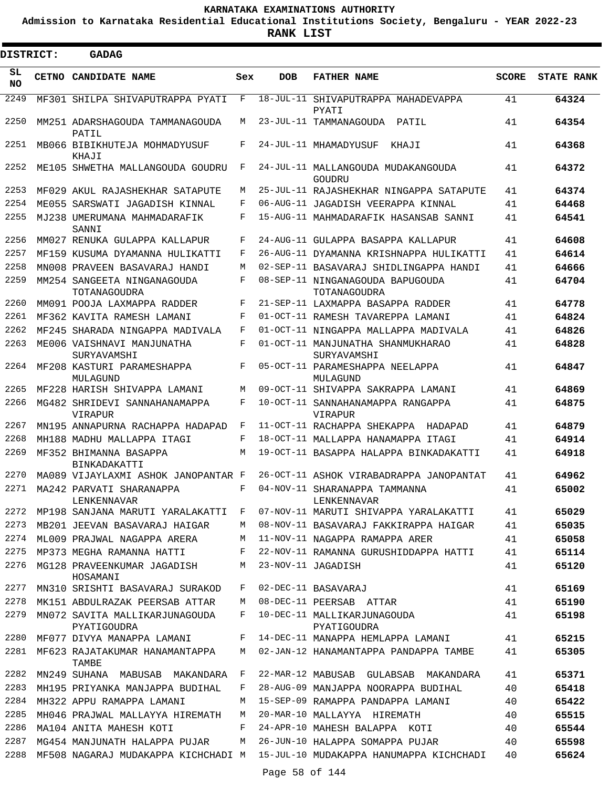**Admission to Karnataka Residential Educational Institutions Society, Bengaluru - YEAR 2022-23**

| DISTRICT:       | <b>GADAG</b>                                  |     |                |                                                  |              |                   |
|-----------------|-----------------------------------------------|-----|----------------|--------------------------------------------------|--------------|-------------------|
| SL<br><b>NO</b> | <b>CETNO CANDIDATE NAME</b>                   | Sex | <b>DOB</b>     | <b>FATHER NAME</b>                               | <b>SCORE</b> | <b>STATE RANK</b> |
| 2249            | MF301 SHILPA SHIVAPUTRAPPA PYATI              | F   |                | 18-JUL-11 SHIVAPUTRAPPA MAHADEVAPPA<br>PYATI     | 41           | 64324             |
| 2250            | MM251 ADARSHAGOUDA TAMMANAGOUDA<br>PATIL      | М   |                | 23-JUL-11 TAMMANAGOUDA<br>PATIL                  | 41           | 64354             |
| 2251            | MB066 BIBIKHUTEJA MOHMADYUSUF<br>KHAJT        | F   |                | 24-JUL-11 MHAMADYUSUF<br>KHAJI                   | 41           | 64368             |
| 2252            | ME105 SHWETHA MALLANGOUDA GOUDRU              | F   |                | 24-JUL-11 MALLANGOUDA MUDAKANGOUDA<br>GOUDRU     | 41           | 64372             |
| 2253            | MF029 AKUL RAJASHEKHAR SATAPUTE               | М   |                | 25-JUL-11 RAJASHEKHAR NINGAPPA SATAPUTE          | 41           | 64374             |
| 2254            | ME055 SARSWATI JAGADISH KINNAL                | F   |                | 06-AUG-11 JAGADISH VEERAPPA KINNAL               | 41           | 64468             |
| 2255            | MJ238 UMERUMANA MAHMADARAFIK<br>SANNI         | F   |                | 15-AUG-11 MAHMADARAFIK HASANSAB SANNI            | 41           | 64541             |
| 2256            | MM027 RENUKA GULAPPA KALLAPUR                 | F   |                | 24-AUG-11 GULAPPA BASAPPA KALLAPUR               | 41           | 64608             |
| 2257            | MF159 KUSUMA DYAMANNA HULIKATTI               | F   |                | 26-AUG-11 DYAMANNA KRISHNAPPA HULIKATTI          | 41           | 64614             |
| 2258            | MN008 PRAVEEN BASAVARAJ HANDI                 | M   |                | 02-SEP-11 BASAVARAJ SHIDLINGAPPA HANDI           | 41           | 64666             |
| 2259            | MM254 SANGEETA NINGANAGOUDA<br>TOTANAGOUDRA   | F   |                | 08-SEP-11 NINGANAGOUDA BAPUGOUDA<br>TOTANAGOUDRA | 41           | 64704             |
| 2260            | MM091 POOJA LAXMAPPA RADDER                   | F   |                | 21-SEP-11 LAXMAPPA BASAPPA RADDER                | 41           | 64778             |
| 2261            | MF362 KAVITA RAMESH LAMANI                    | F   |                | 01-OCT-11 RAMESH TAVAREPPA LAMANI                | 41           | 64824             |
| 2262            | MF245 SHARADA NINGAPPA MADIVALA               | F   |                | 01-OCT-11 NINGAPPA MALLAPPA MADIVALA             | 41           | 64826             |
| 2263            | ME006 VAISHNAVI MANJUNATHA<br>SURYAVAMSHI     | F   |                | 01-OCT-11 MANJUNATHA SHANMUKHARAO<br>SURYAVAMSHI | 41           | 64828             |
| 2264            | MF208 KASTURI PARAMESHAPPA<br>MULAGUND        | F   |                | 05-OCT-11 PARAMESHAPPA NEELAPPA<br>MULAGUND      | 41           | 64847             |
| 2265            | MF228 HARISH SHIVAPPA LAMANI                  | M   |                | 09-OCT-11 SHIVAPPA SAKRAPPA LAMANI               | 41           | 64869             |
| 2266            | MG482 SHRIDEVI SANNAHANAMAPPA<br>VIRAPUR      | F   |                | 10-OCT-11 SANNAHANAMAPPA RANGAPPA<br>VIRAPUR     | 41           | 64875             |
| 2267            | MN195 ANNAPURNA RACHAPPA HADAPAD              | F   |                | 11-OCT-11 RACHAPPA SHEKAPPA<br>HADAPAD           | 41           | 64879             |
| 2268            | MH188 MADHU MALLAPPA ITAGI                    | F   |                | 18-OCT-11 MALLAPPA HANAMAPPA ITAGI               | 41           | 64914             |
| 2269            | MF352 BHIMANNA BASAPPA<br>BINKADAKATTI        | M   |                | 19-OCT-11 BASAPPA HALAPPA BINKADAKATTI           | 41           | 64918             |
| 2270            | MA089 VIJAYLAXMI ASHOK JANOPANTAR F           |     |                | 26-OCT-11 ASHOK VIRABADRAPPA JANOPANTAT          | 41           | 64962             |
| 2271            | MA242 PARVATI SHARANAPPA<br>LENKENNAVAR       | F   |                | 04-NOV-11 SHARANAPPA TAMMANNA<br>LENKENNAVAR     | 41           | 65002             |
| 2272            | MP198 SANJANA MARUTI YARALAKATTI              | F   |                | 07-NOV-11 MARUTI SHIVAPPA YARALAKATTI            | 41           | 65029             |
| 2273            | MB201 JEEVAN BASAVARAJ HAIGAR                 | М   |                | 08-NOV-11 BASAVARAJ FAKKIRAPPA HAIGAR            | 41           | 65035             |
| 2274            | ML009 PRAJWAL NAGAPPA ARERA                   | M   |                | 11-NOV-11 NAGAPPA RAMAPPA ARER                   | 41           | 65058             |
| 2275            | MP373 MEGHA RAMANNA HATTI                     | F   |                | 22-NOV-11 RAMANNA GURUSHIDDAPPA HATTI            | 41           | 65114             |
| 2276            | MG128 PRAVEENKUMAR JAGADISH<br>HOSAMANI       | М   |                | 23-NOV-11 JAGADISH                               | 41           | 65120             |
| 2277            | MN310 SRISHTI BASAVARAJ SURAKOD               | F   |                | 02-DEC-11 BASAVARAJ                              | 41           | 65169             |
| 2278            | MK151 ABDULRAZAK PEERSAB ATTAR                | М   |                | 08-DEC-11 PEERSAB ATTAR                          | 41           | 65190             |
| 2279            | MN072 SAVITA MALLIKARJUNAGOUDA<br>PYATIGOUDRA | F   |                | 10-DEC-11 MALLIKARJUNAGOUDA<br>PYATIGOUDRA       | 41           | 65198             |
| 2280            | MF077 DIVYA MANAPPA LAMANI                    | F   |                | 14-DEC-11 MANAPPA HEMLAPPA LAMANI                | 41           | 65215             |
| 2281            | MF623 RAJATAKUMAR HANAMANTAPPA<br>TAMBE       | М   |                | 02-JAN-12 HANAMANTAPPA PANDAPPA TAMBE            | 41           | 65305             |
| 2282            | MN249 SUHANA MABUSAB MAKANDARA                | F   |                | 22-MAR-12 MABUSAB GULABSAB MAKANDARA             | 41           | 65371             |
| 2283            | MH195 PRIYANKA MANJAPPA BUDIHAL               | F   |                | 28-AUG-09 MANJAPPA NOORAPPA BUDIHAL              | 40           | 65418             |
| 2284            | MH322 APPU RAMAPPA LAMANI                     | М   |                | 15-SEP-09 RAMAPPA PANDAPPA LAMANI                | 40           | 65422             |
| 2285            | MH046 PRAJWAL MALLAYYA HIREMATH               | М   |                | 20-MAR-10 MALLAYYA HIREMATH                      | 40           | 65515             |
| 2286            | MA104 ANITA MAHESH KOTI                       | F   |                | 24-APR-10 MAHESH BALAPPA KOTI                    | 40           | 65544             |
| 2287            | MG454 MANJUNATH HALAPPA PUJAR                 | М   |                | 26-JUN-10 HALAPPA SOMAPPA PUJAR                  | 40           | 65598             |
| 2288            | MF508 NAGARAJ MUDAKAPPA KICHCHADI M           |     | Page 58 of 144 | 15-JUL-10 MUDAKAPPA HANUMAPPA KICHCHADI          | 40           | 65624             |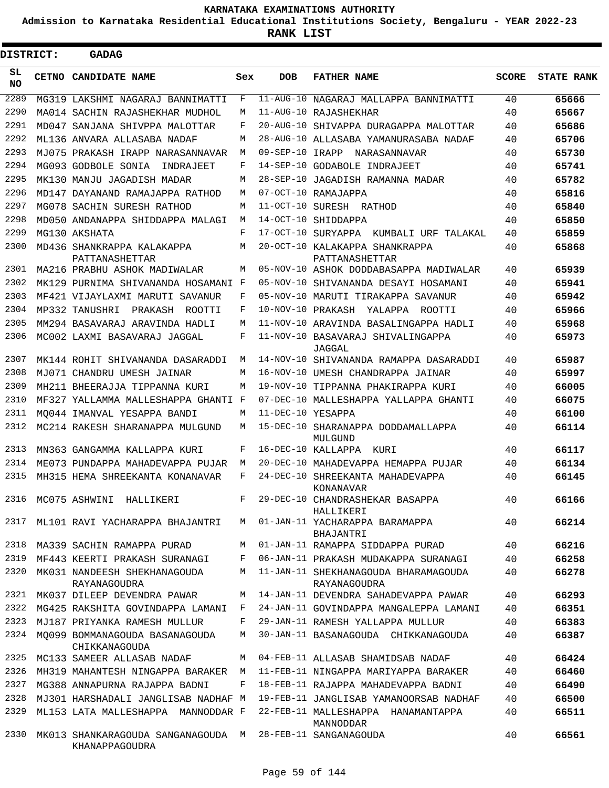**Admission to Karnataka Residential Educational Institutions Society, Bengaluru - YEAR 2022-23**

ı

| <b>DISTRICT:</b> | <b>GADAG</b>                                         |             |                   |                                                      |              |                   |
|------------------|------------------------------------------------------|-------------|-------------------|------------------------------------------------------|--------------|-------------------|
| SL<br><b>NO</b>  | <b>CETNO CANDIDATE NAME</b>                          | Sex         | DOB               | <b>FATHER NAME</b>                                   | <b>SCORE</b> | <b>STATE RANK</b> |
| 2289             | MG319 LAKSHMI NAGARAJ BANNIMATTI                     | F           |                   | 11-AUG-10 NAGARAJ MALLAPPA BANNIMATTI                | 40           | 65666             |
| 2290             | MA014 SACHIN RAJASHEKHAR MUDHOL                      | М           |                   | 11-AUG-10 RAJASHEKHAR                                | 40           | 65667             |
| 2291             | MD047 SANJANA SHIVPPA MALOTTAR                       | F           | 20-AUG-10         | SHIVAPPA DURAGAPPA MALOTTAR                          | 40           | 65686             |
| 2292             | ML136 ANVARA ALLASABA NADAF                          | М           |                   | 28-AUG-10 ALLASABA YAMANURASABA NADAF                | 40           | 65706             |
| 2293             | MJ075 PRAKASH IRAPP NARASANNAVAR                     | М           | 09-SEP-10 IRAPP   | NARASANNAVAR                                         | 40           | 65730             |
| 2294             | MG093 GODBOLE SONIA<br>INDRAJEET                     | F           |                   | 14-SEP-10 GODABOLE INDRAJEET                         | 40           | 65741             |
| 2295             | MK130 MANJU JAGADISH MADAR                           | М           | 28-SEP-10         | JAGADISH RAMANNA MADAR                               | 40           | 65782             |
| 2296             | MD147 DAYANAND RAMAJAPPA RATHOD                      | М           |                   | 07-OCT-10 RAMAJAPPA                                  | 40           | 65816             |
| 2297             | MG078 SACHIN SURESH RATHOD                           | М           | 11-OCT-10         | SURESH RATHOD                                        | 40           | 65840             |
| 2298             | MD050 ANDANAPPA SHIDDAPPA MALAGI                     | М           | 14-OCT-10         | SHIDDAPPA                                            | 40           | 65850             |
| 2299             | MG130 AKSHATA                                        | F           | $17-OCT-10$       | SURYAPPA KUMBALI URF TALAKAL                         | 40           | 65859             |
| 2300             | MD436 SHANKRAPPA KALAKAPPA<br>PATTANASHETTAR         | М           |                   | 20-OCT-10 KALAKAPPA SHANKRAPPA<br>PATTANASHETTAR     | 40           | 65868             |
| 2301             | MA216 PRABHU ASHOK MADIWALAR                         | М           |                   | 05-NOV-10 ASHOK DODDABASAPPA MADIWALAR               | 40           | 65939             |
| 2302             | MK129 PURNIMA SHIVANANDA HOSAMANI F                  |             |                   | 05-NOV-10 SHIVANANDA DESAYI HOSAMANI                 | 40           | 65941             |
| 2303             | MF421 VIJAYLAXMI MARUTI SAVANUR                      | F           |                   | 05-NOV-10 MARUTI TIRAKAPPA SAVANUR                   | 40           | 65942             |
| 2304             | MP332 TANUSHRI<br>PRAKASH<br>ROOTTI                  | F           |                   | 10-NOV-10 PRAKASH YALAPPA ROOTTI                     | 40           | 65966             |
| 2305             | MM294 BASAVARAJ ARAVINDA HADLI                       | М           |                   | 11-NOV-10 ARAVINDA BASALINGAPPA HADLI                | 40           | 65968             |
| 2306             | MC002 LAXMI BASAVARAJ JAGGAL                         | F           |                   | 11-NOV-10 BASAVARAJ SHIVALINGAPPA<br>JAGGAL          | 40           | 65973             |
| 2307             | MK144 ROHIT SHIVANANDA DASARADDI                     | М           |                   | 14-NOV-10 SHIVANANDA RAMAPPA DASARADDI               | 40           | 65987             |
| 2308             | MJ071 CHANDRU UMESH JAINAR                           | М           |                   | 16-NOV-10 UMESH CHANDRAPPA JAINAR                    | 40           | 65997             |
| 2309             | MH211 BHEERAJJA TIPPANNA KURI                        | М           |                   | 19-NOV-10 TIPPANNA PHAKIRAPPA KURI                   | 40           | 66005             |
| 2310             | MF327 YALLAMMA MALLESHAPPA GHANTI F                  |             |                   | 07-DEC-10 MALLESHAPPA YALLAPPA GHANTI                | 40           | 66075             |
| 2311             | MO044 IMANVAL YESAPPA BANDI                          | М           | 11-DEC-10 YESAPPA |                                                      | 40           | 66100             |
| 2312             | MC214 RAKESH SHARANAPPA MULGUND                      | М           |                   | 15-DEC-10 SHARANAPPA DODDAMALLAPPA<br>MULGUND        | 40           | 66114             |
| 2313             | MN363 GANGAMMA KALLAPPA KURI                         | F           |                   | 16-DEC-10 KALLAPPA KURI                              | 40           | 66117             |
| 2314             | ME073 PUNDAPPA MAHADEVAPPA PUJAR                     | М           |                   | 20-DEC-10 MAHADEVAPPA HEMAPPA PUJAR                  | 40           | 66134             |
| 2315             | MH315 HEMA SHREEKANTA KONANAVAR                      | F           |                   | 24-DEC-10 SHREEKANTA MAHADEVAPPA<br>KONANAVAR        | 40           | 66145             |
| 2316             | MC075 ASHWINI HALLIKERI                              | $\mathbf F$ | $29 - DEC - 10$   | CHANDRASHEKAR BASAPPA<br>HALLIKERI                   | 40           | 66166             |
| 2317             | ML101 RAVI YACHARAPPA BHAJANTRI                      | M           |                   | 01-JAN-11 YACHARAPPA BARAMAPPA<br>BHAJANTRI          | 40           | 66214             |
| 2318             | MA339 SACHIN RAMAPPA PURAD                           | М           |                   | 01-JAN-11 RAMAPPA SIDDAPPA PURAD                     | 40           | 66216             |
| 2319             | MF443 KEERTI PRAKASH SURANAGI                        | F           |                   | 06-JAN-11 PRAKASH MUDAKAPPA SURANAGI                 | 40           | 66258             |
| 2320             | MK031 NANDEESH SHEKHANAGOUDA<br>RAYANAGOUDRA         | М           |                   | 11-JAN-11 SHEKHANAGOUDA BHARAMAGOUDA<br>RAYANAGOUDRA | 40           | 66278             |
| 2321             | MK037 DILEEP DEVENDRA PAWAR                          | М           |                   | 14-JAN-11 DEVENDRA SAHADEVAPPA PAWAR                 | 40           | 66293             |
| 2322             | MG425 RAKSHITA GOVINDAPPA LAMANI                     | F           |                   | 24-JAN-11 GOVINDAPPA MANGALEPPA LAMANI               | 40           | 66351             |
| 2323             | MJ187 PRIYANKA RAMESH MULLUR                         | F           |                   | 29-JAN-11 RAMESH YALLAPPA MULLUR                     | 40           | 66383             |
| 2324             | MO099 BOMMANAGOUDA BASANAGOUDA<br>CHIKKANAGOUDA      | М           |                   | 30-JAN-11 BASANAGOUDA CHIKKANAGOUDA                  | 40           | 66387             |
| 2325             | MC133 SAMEER ALLASAB NADAF                           | М           |                   | 04-FEB-11 ALLASAB SHAMIDSAB NADAF                    | 40           | 66424             |
| 2326             | MH319 MAHANTESH NINGAPPA BARAKER                     | M           |                   | 11-FEB-11 NINGAPPA MARIYAPPA BARAKER                 | 40           | 66460             |
| 2327             | MG388 ANNAPURNA RAJAPPA BADNI                        | F           |                   | 18-FEB-11 RAJAPPA MAHADEVAPPA BADNI                  | 40           | 66490             |
| 2328             | MJ301 HARSHADALI JANGLISAB NADHAF M                  |             |                   | 19-FEB-11 JANGLISAB YAMANOORSAB NADHAF               | 40           | 66500             |
| 2329             | ML153 LATA MALLESHAPPA MANNODDAR F                   |             |                   | 22-FEB-11 MALLESHAPPA HANAMANTAPPA<br>MANNODDAR      | 40           | 66511             |
| 2330             | MK013 SHANKARAGOUDA SANGANAGOUDA M<br>KHANAPPAGOUDRA |             |                   | 28-FEB-11 SANGANAGOUDA                               | 40           | 66561             |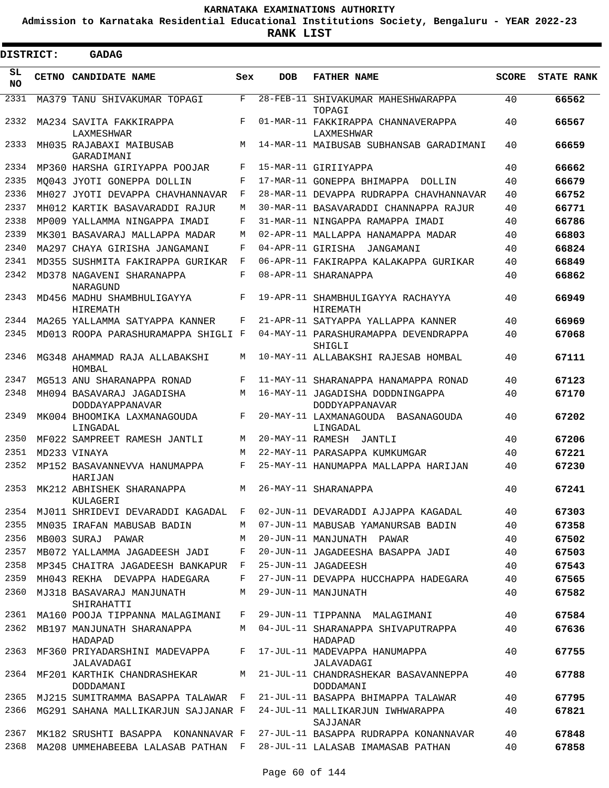**Admission to Karnataka Residential Educational Institutions Society, Bengaluru - YEAR 2022-23**

**RANK LIST**

| <b>DISTRICT:</b> |       | <b>GADAG</b>                                 |            |                   |                                                    |              |                   |
|------------------|-------|----------------------------------------------|------------|-------------------|----------------------------------------------------|--------------|-------------------|
| SL<br>NO.        | CETNO | <b>CANDIDATE NAME</b>                        | Sex        | <b>DOB</b>        | <b>FATHER NAME</b>                                 | <b>SCORE</b> | <b>STATE RANK</b> |
| 2331             |       | MA379 TANU SHIVAKUMAR TOPAGI                 | F          |                   | 28-FEB-11 SHIVAKUMAR MAHESHWARAPPA<br>TOPAGI       | 40           | 66562             |
| 2332             |       | MA234 SAVITA FAKKIRAPPA<br>LAXMESHWAR        | F          |                   | 01-MAR-11 FAKKIRAPPA CHANNAVERAPPA<br>LAXMESHWAR   | 40           | 66567             |
| 2333             |       | MH035 RAJABAXI MAIBUSAB<br>GARADIMANI        | М          |                   | 14-MAR-11 MAIBUSAB SUBHANSAB GARADIMANI            | 40           | 66659             |
| 2334             |       | MP360 HARSHA GIRIYAPPA POOJAR                | F          |                   | 15-MAR-11 GIRIIYAPPA                               | 40           | 66662             |
| 2335             |       | MO043 JYOTI GONEPPA DOLLIN                   | F          |                   | 17-MAR-11 GONEPPA BHIMAPPA<br>DOLLIN               | 40           | 66679             |
| 2336             |       | MH027 JYOTI DEVAPPA CHAVHANNAVAR             | F          |                   | 28-MAR-11 DEVAPPA RUDRAPPA CHAVHANNAVAR            | 40           | 66752             |
| 2337             |       | MH012 KARTIK BASAVARADDI RAJUR               | М          |                   | 30-MAR-11 BASAVARADDI CHANNAPPA RAJUR              | 40           | 66771             |
| 2338             |       | MP009 YALLAMMA NINGAPPA IMADI                | F          |                   | 31-MAR-11 NINGAPPA RAMAPPA IMADI                   | 40           | 66786             |
| 2339             |       | MK301 BASAVARAJ MALLAPPA MADAR               | M          |                   | 02-APR-11 MALLAPPA HANAMAPPA MADAR                 | 40           | 66803             |
| 2340             |       | MA297 CHAYA GIRISHA JANGAMANI                | F          | 04-APR-11 GIRISHA | JANGAMANI                                          | 40           | 66824             |
| 2341             |       | MD355 SUSHMITA FAKIRAPPA GURIKAR             | $_{\rm F}$ |                   | 06-APR-11 FAKIRAPPA KALAKAPPA GURIKAR              | 40           | 66849             |
| 2342             |       | MD378 NAGAVENI SHARANAPPA<br>NARAGUND        | F          |                   | 08-APR-11 SHARANAPPA                               | 40           | 66862             |
| 2343             |       | MD456 MADHU SHAMBHULIGAYYA<br>HIREMATH       | F          |                   | 19-APR-11 SHAMBHULIGAYYA RACHAYYA<br>HIREMATH      | 40           | 66949             |
| 2344             |       | MA265 YALLAMMA SATYAPPA KANNER               | F          |                   | 21-APR-11 SATYAPPA YALLAPPA KANNER                 | 40           | 66969             |
| 2345             |       | MD013 ROOPA PARASHURAMAPPA SHIGLI F          |            |                   | 04-MAY-11 PARASHURAMAPPA DEVENDRAPPA<br>SHIGLI     | 40           | 67068             |
| 2346             |       | MG348 AHAMMAD RAJA ALLABAKSHI<br>HOMBAL      | М          |                   | 10-MAY-11 ALLABAKSHI RAJESAB HOMBAL                | 40           | 67111             |
| 2347             |       | MG513 ANU SHARANAPPA RONAD                   | F          |                   | 11-MAY-11 SHARANAPPA HANAMAPPA RONAD               | 40           | 67123             |
| 2348             |       | MH094 BASAVARAJ JAGADISHA<br>DODDAYAPPANAVAR | M          |                   | 16-MAY-11 JAGADISHA DODDNINGAPPA<br>DODDYAPPANAVAR | 40           | 67170             |
| 2349             |       | MK004 BHOOMIKA LAXMANAGOUDA<br>LINGADAL      | F          |                   | 20-MAY-11 LAXMANAGOUDA BASANAGOUDA<br>LINGADAL     | 40           | 67202             |
| 2350             |       | MF022 SAMPREET RAMESH JANTLI                 | М          |                   | 20-MAY-11 RAMESH JANTLI                            | 40           | 67206             |
| 2351             |       | MD233 VINAYA                                 | M          |                   | 22-MAY-11 PARASAPPA KUMKUMGAR                      | 40           | 67221             |
| 2352             |       | MP152 BASAVANNEVVA HANUMAPPA<br>HARIJAN      | F          |                   | 25-MAY-11 HANUMAPPA MALLAPPA HARIJAN               | 40           | 67230             |
| 2353             |       | MK212 ABHISHEK SHARANAPPA<br>KULAGERI        | M          |                   | 26-MAY-11 SHARANAPPA                               | 40           | 67241             |
| 2354             |       | MJ011 SHRIDEVI DEVARADDI KAGADAL             | F          |                   | 02-JUN-11 DEVARADDI AJJAPPA KAGADAL                | 40           | 67303             |
| 2355             |       | MN035 IRAFAN MABUSAB BADIN                   | М          |                   | 07-JUN-11 MABUSAB YAMANURSAB BADIN                 | 40           | 67358             |
| 2356             |       | MB003 SURAJ PAWAR                            | М          |                   | 20-JUN-11 MANJUNATH PAWAR                          | 40           | 67502             |
| 2357             |       | MB072 YALLAMMA JAGADEESH JADI                | F          |                   | 20-JUN-11 JAGADEESHA BASAPPA JADI                  | 40           | 67503             |
| 2358             |       | MP345 CHAITRA JAGADEESH BANKAPUR             | F          |                   | 25-JUN-11 JAGADEESH                                | 40           | 67543             |
| 2359             |       | MH043 REKHA DEVAPPA HADEGARA                 | F          |                   | 27-JUN-11 DEVAPPA HUCCHAPPA HADEGARA               | 40           | 67565             |
| 2360             |       | MJ318 BASAVARAJ MANJUNATH<br>SHIRAHATTI      | М          |                   | 29-JUN-11 MANJUNATH                                | 40           | 67582             |
| 2361             |       | MA160 POOJA TIPPANNA MALAGIMANI              | F          |                   | 29-JUN-11 TIPPANNA MALAGIMANI                      | 40           | 67584             |
| 2362             |       | MB197 MANJUNATH SHARANAPPA<br>HADAPAD        | M          |                   | 04-JUL-11 SHARANAPPA SHIVAPUTRAPPA<br>HADAPAD      | 40           | 67636             |
| 2363             |       | MF360 PRIYADARSHINI MADEVAPPA<br>JALAVADAGI  | F          |                   | 17-JUL-11 MADEVAPPA HANUMAPPA<br>JALAVADAGI        | 40           | 67755             |
| 2364             |       | MF201 KARTHIK CHANDRASHEKAR<br>DODDAMANI     | М          |                   | 21-JUL-11 CHANDRASHEKAR BASAVANNEPPA<br>DODDAMANI  | 40           | 67788             |
| 2365             |       | MJ215 SUMITRAMMA BASAPPA TALAWAR F           |            |                   | 21-JUL-11 BASAPPA BHIMAPPA TALAWAR                 | 40           | 67795             |
| 2366             |       | MG291 SAHANA MALLIKARJUN SAJJANAR F          |            |                   | 24-JUL-11 MALLIKARJUN IWHWARAPPA<br>SAJJANAR       | 40           | 67821             |
| 2367             |       | MK182 SRUSHTI BASAPPA KONANNAVAR F           |            |                   | 27-JUL-11 BASAPPA RUDRAPPA KONANNAVAR              | 40           | 67848             |
| 2368             |       | MA208 UMMEHABEEBA LALASAB PATHAN F           |            |                   | 28-JUL-11 LALASAB IMAMASAB PATHAN                  | 40           | 67858             |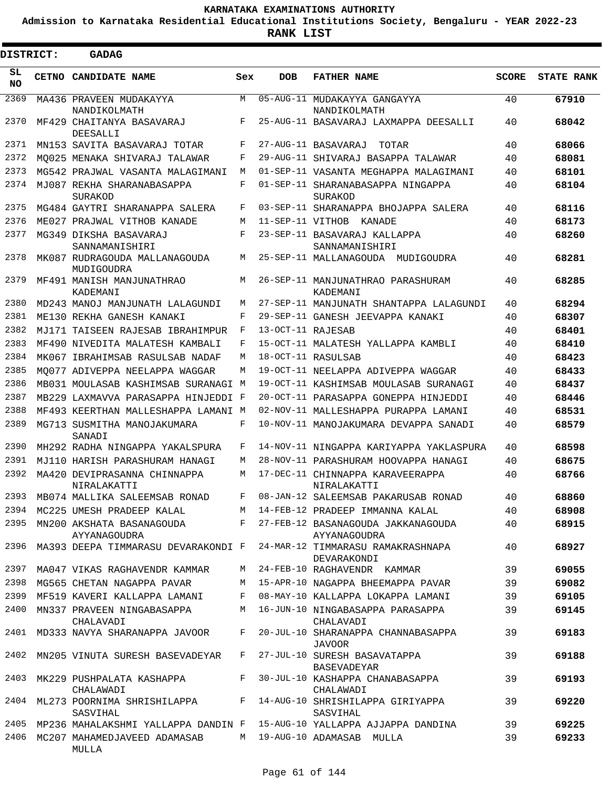**Admission to Karnataka Residential Educational Institutions Society, Bengaluru - YEAR 2022-23**

| <b>DISTRICT:</b> | GADAG                                                                      |            |                   |                                                                                      |              |                   |
|------------------|----------------------------------------------------------------------------|------------|-------------------|--------------------------------------------------------------------------------------|--------------|-------------------|
| SL<br><b>NO</b>  | CETNO CANDIDATE NAME                                                       | Sex        | <b>DOB</b>        | <b>FATHER NAME</b>                                                                   | <b>SCORE</b> | <b>STATE RANK</b> |
| 2369             | MA436 PRAVEEN MUDAKAYYA<br>NANDIKOLMATH                                    | M          |                   | 05-AUG-11 MUDAKAYYA GANGAYYA<br>NANDIKOLMATH                                         | 40           | 67910             |
| 2370             | MF429 CHAITANYA BASAVARAJ<br>DEESALLI                                      | $_{\rm F}$ |                   | 25-AUG-11 BASAVARAJ LAXMAPPA DEESALLI                                                | 40           | 68042             |
| 2371             | MN153 SAVITA BASAVARAJ TOTAR                                               | F          |                   | 27-AUG-11 BASAVARAJ<br>TOTAR                                                         | 40           | 68066             |
| 2372             | MO025 MENAKA SHIVARAJ TALAWAR                                              | F          |                   | 29-AUG-11 SHIVARAJ BASAPPA TALAWAR                                                   | 40           | 68081             |
| 2373             | MG542 PRAJWAL VASANTA MALAGIMANI                                           | M          |                   | 01-SEP-11 VASANTA MEGHAPPA MALAGIMANI                                                | 40           | 68101             |
| 2374             | MJ087 REKHA SHARANABASAPPA<br>SURAKOD                                      | F          |                   | 01-SEP-11 SHARANABASAPPA NINGAPPA<br>SURAKOD                                         | 40           | 68104             |
| 2375             | MG484 GAYTRI SHARANAPPA SALERA                                             | F          |                   | 03-SEP-11 SHARANAPPA BHOJAPPA SALERA                                                 | 40           | 68116             |
| 2376             | ME027 PRAJWAL VITHOB KANADE                                                | M          |                   | 11-SEP-11 VITHOB KANADE                                                              | 40           | 68173             |
| 2377             | MG349 DIKSHA BASAVARAJ<br>SANNAMANISHIRI                                   | $_{\rm F}$ |                   | 23-SEP-11 BASAVARAJ KALLAPPA<br>SANNAMANISHIRI                                       | 40           | 68260             |
| 2378             | MK087 RUDRAGOUDA MALLANAGOUDA<br>MUDIGOUDRA                                | М          |                   | 25-SEP-11 MALLANAGOUDA MUDIGOUDRA                                                    | 40           | 68281             |
| 2379             | MF491 MANISH MANJUNATHRAO<br>KADEMANI                                      | M          |                   | 26-SEP-11 MANJUNATHRAO PARASHURAM<br>KADEMANI                                        | 40           | 68285             |
| 2380             | MD243 MANOJ MANJUNATH LALAGUNDI                                            | M          |                   | 27-SEP-11 MANJUNATH SHANTAPPA LALAGUNDI                                              | 40           | 68294             |
| 2381             | ME130 REKHA GANESH KANAKI                                                  | F          |                   | 29-SEP-11 GANESH JEEVAPPA KANAKI                                                     | 40           | 68307             |
| 2382             | MJ171 TAISEEN RAJESAB IBRAHIMPUR                                           | F          | 13-OCT-11 RAJESAB |                                                                                      | 40           | 68401             |
| 2383             | MF490 NIVEDITA MALATESH KAMBALI                                            | F          |                   | 15-OCT-11 MALATESH YALLAPPA KAMBLI                                                   | 40           | 68410             |
| 2384             | MK067 IBRAHIMSAB RASULSAB NADAF                                            | M          |                   | 18-OCT-11 RASULSAB                                                                   | 40           | 68423             |
| 2385             | MO077 ADIVEPPA NEELAPPA WAGGAR                                             | M          |                   | 19-OCT-11 NEELAPPA ADIVEPPA WAGGAR                                                   | 40           | 68433             |
| 2386             | MB031 MOULASAB KASHIMSAB SURANAGI M                                        |            |                   | 19-OCT-11 KASHIMSAB MOULASAB SURANAGI                                                | 40           | 68437             |
| 2387             | MB229 LAXMAVVA PARASAPPA HINJEDDI F                                        |            |                   | 20-OCT-11 PARASAPPA GONEPPA HINJEDDI                                                 | 40           | 68446             |
| 2388             | MF493 KEERTHAN MALLESHAPPA LAMANI M                                        |            |                   | 02-NOV-11 MALLESHAPPA PURAPPA LAMANI                                                 | 40           | 68531             |
| 2389             | MG713 SUSMITHA MANOJAKUMARA<br>SANADI                                      | F          |                   | 10-NOV-11 MANOJAKUMARA DEVAPPA SANADI                                                | 40           | 68579             |
| 2390             | MH292 RADHA NINGAPPA YAKALSPURA                                            | F          |                   | 14-NOV-11 NINGAPPA KARIYAPPA YAKLASPURA                                              | 40           | 68598             |
| 2391             | MJ110 HARISH PARASHURAM HANAGI                                             | M          |                   | 28-NOV-11 PARASHURAM HOOVAPPA HANAGI                                                 | 40           | 68675             |
| 2392             | MA420 DEVIPRASANNA CHINNAPPA<br>NIRALAKATTI                                | M          |                   | 17-DEC-11 CHINNAPPA KARAVEERAPPA<br>NIRALAKATTI                                      | 40           | 68766             |
|                  | 2393 MB074 MALLIKA SALEEMSAB RONAD                                         | F          |                   | 08-JAN-12 SALEEMSAB PAKARUSAB RONAD                                                  | 40           | 68860             |
|                  | 2394 MC225 UMESH PRADEEP KALAL                                             |            |                   | M 14-FEB-12 PRADEEP IMMANNA KALAL                                                    | 40           | 68908             |
| 2395             | AYYANAGOUDRA                                                               |            |                   | MN200 AKSHATA BASANAGOUDA F 27-FEB-12 BASANAGOUDA JAKKANAGOUDA<br>AYYANAGOUDRA       | 40           | 68915             |
| 2396             |                                                                            |            |                   | MA393 DEEPA TIMMARASU DEVARAKONDI F 24-MAR-12 TIMMARASU RAMAKRASHNAPA<br>DEVARAKONDI | 40           | 68927             |
| 2397             | MA047 VIKAS RAGHAVENDR KAMMAR                                              |            |                   | M 24-FEB-10 RAGHAVENDR KAMMAR                                                        | 39           | 69055             |
| 2398             | MG565 CHETAN NAGAPPA PAVAR                                                 | М          |                   | 15-APR-10 NAGAPPA BHEEMAPPA PAVAR                                                    | 39           | 69082             |
| 2399             | MF519 KAVERI KALLAPPA LAMANI                                               | F          |                   | 08-MAY-10 KALLAPPA LOKAPPA LAMANI                                                    | 39           | 69105             |
| 2400             | MN337 PRAVEEN NINGABASAPPA<br>CHALAVADI                                    | M          |                   | 16-JUN-10 NINGABASAPPA PARASAPPA<br>CHALAVADI                                        | 39           | 69145             |
| 2401             | MD333 NAVYA SHARANAPPA JAVOOR                                              | F          |                   | 20-JUL-10 SHARANAPPA CHANNABASAPPA<br><b>JAVOOR</b>                                  | 39           | 69183             |
| 2402             | MN205 VINUTA SURESH BASEVADEYAR                                            | F          |                   | 27-JUL-10 SURESH BASAVATAPPA<br>BASEVADEYAR                                          | 39           | 69188             |
| 2403             | MK229 PUSHPALATA KASHAPPA<br>CHALAWADI                                     | $F$ –      |                   | 30-JUL-10 KASHAPPA CHANABASAPPA<br>CHALAWADI                                         | 39           | 69193             |
| 2404             | ML273 POORNIMA SHRISHILAPPA F 14-AUG-10 SHRISHILAPPA GIRIYAPPA<br>SASVIHAL |            |                   | SASVIHAL                                                                             | 39           | 69220             |
| 2405             |                                                                            |            |                   | MP236 MAHALAKSHMI YALLAPPA DANDIN F  15-AUG-10 YALLAPPA AJJAPPA DANDINA              | 39           | 69225             |
| 2406             | MC207 MAHAMEDJAVEED ADAMASAB<br>MULLA                                      |            |                   | M 19-AUG-10 ADAMASAB MULLA                                                           | 39           | 69233             |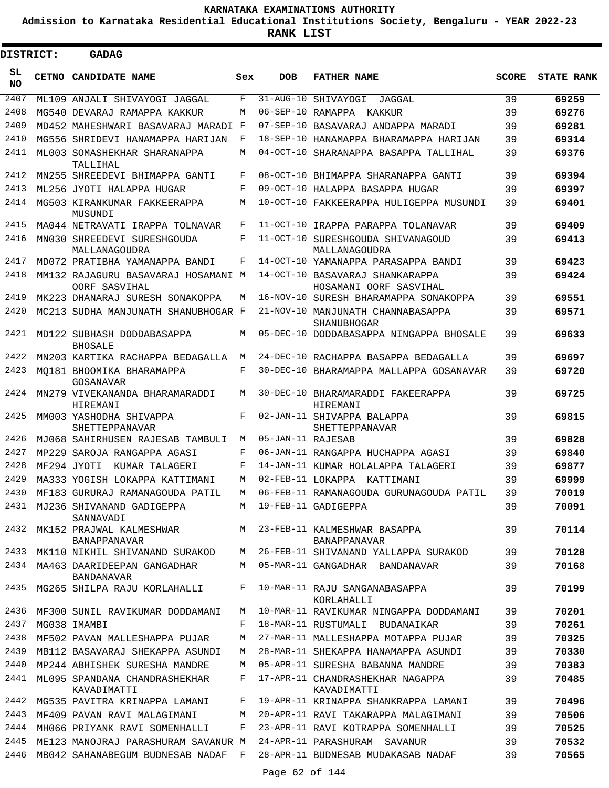**Admission to Karnataka Residential Educational Institutions Society, Bengaluru - YEAR 2022-23**

**RANK LIST**

Е

| <b>DISTRICT:</b> |  | <b>GADAG</b>                                                                 |     |                        |                                                                                |              |                   |
|------------------|--|------------------------------------------------------------------------------|-----|------------------------|--------------------------------------------------------------------------------|--------------|-------------------|
| SL<br>NO.        |  | CETNO CANDIDATE NAME                                                         | Sex | <b>DOB</b>             | <b>FATHER NAME</b>                                                             | <b>SCORE</b> | <b>STATE RANK</b> |
| 2407             |  | ML109 ANJALI SHIVAYOGI JAGGAL                                                | F   | $31 - \text{AUG} - 10$ | SHIVAYOGI<br>JAGGAL                                                            | 39           | 69259             |
| 2408             |  | MG540 DEVARAJ RAMAPPA KAKKUR                                                 | M   | 06-SEP-10 RAMAPPA      | KAKKUR                                                                         | 39           | 69276             |
| 2409             |  | MD452 MAHESHWARI BASAVARAJ MARADI F                                          |     |                        | 07-SEP-10 BASAVARAJ ANDAPPA MARADI                                             | 39           | 69281             |
| 2410             |  | MG556 SHRIDEVI HANAMAPPA HARIJAN                                             | F   |                        | 18-SEP-10 HANAMAPPA BHARAMAPPA HARIJAN                                         | 39           | 69314             |
| 2411             |  | ML003 SOMASHEKHAR SHARANAPPA<br>TALLIHAL                                     | M   |                        | 04-OCT-10 SHARANAPPA BASAPPA TALLIHAL                                          | 39           | 69376             |
| 2412             |  | MN255 SHREEDEVI BHIMAPPA GANTI                                               | F   |                        | 08-OCT-10 BHIMAPPA SHARANAPPA GANTI                                            | 39           | 69394             |
| 2413             |  | ML256 JYOTI HALAPPA HUGAR                                                    | F   |                        | 09-OCT-10 HALAPPA BASAPPA HUGAR                                                | 39           | 69397             |
| 2414             |  | MG503 KIRANKUMAR FAKKEERAPPA<br>MUSUNDI                                      | M   |                        | 10-OCT-10 FAKKEERAPPA HULIGEPPA MUSUNDI                                        | 39           | 69401             |
| 2415             |  | MA044 NETRAVATI IRAPPA TOLNAVAR                                              | F   |                        | 11-OCT-10 IRAPPA PARAPPA TOLANAVAR                                             | 39           | 69409             |
| 2416             |  | MN030 SHREEDEVI SURESHGOUDA<br>MALLANAGOUDRA                                 | F   | 11-OCT-10              | SURESHGOUDA SHIVANAGOUD<br>MALLANAGOUDRA                                       | 39           | 69413             |
| 2417             |  | MD072 PRATIBHA YAMANAPPA BANDI                                               | F   |                        | 14-OCT-10 YAMANAPPA PARASAPPA BANDI                                            | 39           | 69423             |
| 2418             |  | MM132 RAJAGURU BASAVARAJ HOSAMANI M<br>OORF SASVIHAL                         |     |                        | 14-OCT-10 BASAVARAJ SHANKARAPPA<br>HOSAMANI OORF SASVIHAL                      | 39           | 69424             |
| 2419             |  | MK223 DHANARAJ SURESH SONAKOPPA                                              | M   | 16-NOV-10              | SURESH BHARAMAPPA SONAKOPPA                                                    | 39           | 69551             |
| 2420             |  | MC213 SUDHA MANJUNATH SHANUBHOGAR F                                          |     |                        | 21-NOV-10 MANJUNATH CHANNABASAPPA<br>SHANUBHOGAR                               | 39           | 69571             |
| 2421             |  | MD122 SUBHASH DODDABASAPPA<br><b>BHOSALE</b>                                 | M   |                        | 05-DEC-10 DODDABASAPPA NINGAPPA BHOSALE                                        | 39           | 69633             |
| 2422             |  | MN203 KARTIKA RACHAPPA BEDAGALLA                                             | M   |                        | 24-DEC-10 RACHAPPA BASAPPA BEDAGALLA                                           | 39           | 69697             |
| 2423             |  | MO181 BHOOMIKA BHARAMAPPA<br>GOSANAVAR                                       | F   |                        | 30-DEC-10 BHARAMAPPA MALLAPPA GOSANAVAR                                        | 39           | 69720             |
| 2424             |  | MN279 VIVEKANANDA BHARAMARADDI<br>HIREMANI                                   | M   |                        | 30-DEC-10 BHARAMARADDI FAKEERAPPA<br>HIREMANI                                  | 39           | 69725             |
| 2425             |  | MM003 YASHODHA SHIVAPPA<br>SHETTEPPANAVAR                                    | F   |                        | 02-JAN-11 SHIVAPPA BALAPPA<br>SHETTEPPANAVAR                                   | 39           | 69815             |
| 2426             |  | MJ068 SAHIRHUSEN RAJESAB TAMBULI                                             | M   | 05-JAN-11 RAJESAB      |                                                                                | 39           | 69828             |
| 2427             |  | MP229 SAROJA RANGAPPA AGASI                                                  | F   |                        | 06-JAN-11 RANGAPPA HUCHAPPA AGASI                                              | 39           | 69840             |
| 2428             |  | MF294 JYOTI<br>KUMAR TALAGERI                                                | F   |                        | 14-JAN-11 KUMAR HOLALAPPA TALAGERI                                             | 39           | 69877             |
| 2429             |  | MA333 YOGISH LOKAPPA KATTIMANI                                               | M   |                        | 02-FEB-11 LOKAPPA KATTIMANI                                                    | 39           | 69999             |
|                  |  |                                                                              |     |                        | 2430 MF183 GURURAJ RAMANAGOUDA PATIL M 06-FEB-11 RAMANAGOUDA GURUNAGOUDA PATIL | 39           | 70019             |
| 2431             |  | MJ236 SHIVANAND GADIGEPPA<br>SANNAVADI                                       |     |                        | M 19-FEB-11 GADIGEPPA                                                          | 39           | 70091             |
|                  |  | 2432 MK152 PRAJWAL KALMESHWAR M 23-FEB-11 KALMESHWAR BASAPPA<br>BANAPPANAVAR |     |                        | BANAPPANAVAR                                                                   | 39           | 70114             |
| 2433             |  |                                                                              |     |                        | MK110 NIKHIL SHIVANAND SURAKOD M 26-FEB-11 SHIVANAND YALLAPPA SURAKOD          | 39           | 70128             |
|                  |  | 2434 MA463 DAARIDEEPAN GANGADHAR<br><b>BANDANAVAR</b>                        | M   |                        | 05-MAR-11 GANGADHAR BANDANAVAR                                                 | 39           | 70168             |
| 2435             |  | MG265 SHILPA RAJU KORLAHALLI                                                 | F   |                        | 10-MAR-11 RAJU SANGANABASAPPA<br>KORLAHALLI                                    | 39           | 70199             |
| 2436             |  | MF300 SUNIL RAVIKUMAR DODDAMANI                                              | M   |                        | 10-MAR-11 RAVIKUMAR NINGAPPA DODDAMANI                                         | 39           | 70201             |
| 2437             |  | MG038 IMAMBI                                                                 | F   |                        | 18-MAR-11 RUSTUMALI BUDANAIKAR                                                 | 39           | 70261             |
| 2438             |  | MF502 PAVAN MALLESHAPPA PUJAR                                                | М   |                        | 27-MAR-11 MALLESHAPPA MOTAPPA PUJAR                                            | 39           | 70325             |
| 2439             |  | MB112 BASAVARAJ SHEKAPPA ASUNDI                                              | М   |                        | 28-MAR-11 SHEKAPPA HANAMAPPA ASUNDI                                            | 39           | 70330             |
| 2440             |  | MP244 ABHISHEK SURESHA MANDRE                                                | M   |                        | 05-APR-11 SURESHA BABANNA MANDRE                                               | 39           | 70383             |
| 2441             |  | ML095 SPANDANA CHANDRASHEKHAR<br>KAVADIMATTI                                 | F   |                        | 17-APR-11 CHANDRASHEKHAR NAGAPPA<br>KAVADIMATTI                                | 39           | 70485             |
| 2442             |  | MG535 PAVITRA KRINAPPA LAMANI                                                | F   |                        | 19-APR-11 KRINAPPA SHANKRAPPA LAMANI                                           | 39           | 70496             |
| 2443             |  | MF409 PAVAN RAVI MALAGIMANI                                                  | M   |                        | 20-APR-11 RAVI TAKARAPPA MALAGIMANI                                            | 39           | 70506             |
| 2444             |  | MH066 PRIYANK RAVI SOMENHALLI                                                | F   |                        | 23-APR-11 RAVI KOTRAPPA SOMENHALLI                                             | 39           | 70525             |
| 2445             |  | ME123 MANOJRAJ PARASHURAM SAVANUR M                                          |     |                        | 24-APR-11 PARASHURAM SAVANUR                                                   | 39           | 70532             |
| 2446             |  | MB042 SAHANABEGUM BUDNESAB NADAF F                                           |     |                        | 28-APR-11 BUDNESAB MUDAKASAB NADAF                                             | 39           | 70565             |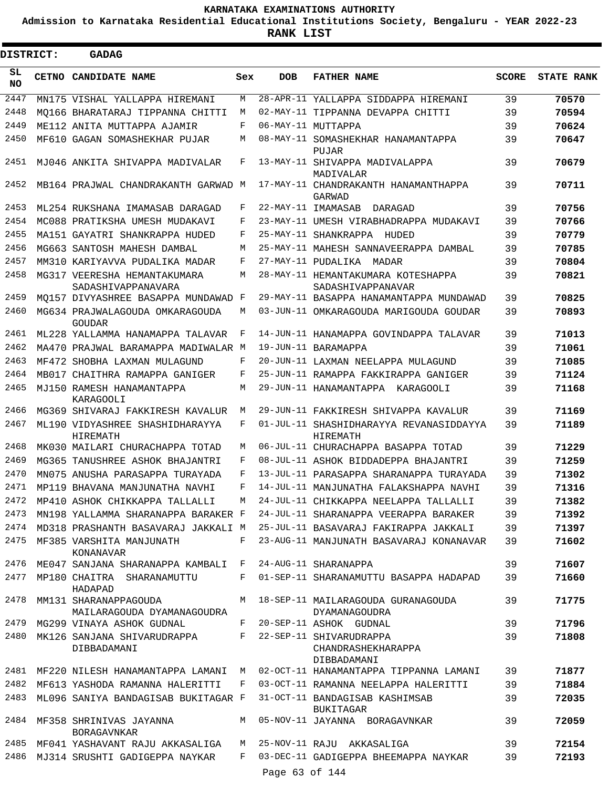**Admission to Karnataka Residential Educational Institutions Society, Bengaluru - YEAR 2022-23**

| <b>DISTRICT:</b> | GADAG                                                        |     |                |                                                                             |              |                   |
|------------------|--------------------------------------------------------------|-----|----------------|-----------------------------------------------------------------------------|--------------|-------------------|
| SL<br><b>NO</b>  | <b>CETNO CANDIDATE NAME</b>                                  | Sex | <b>DOB</b>     | <b>FATHER NAME</b>                                                          | <b>SCORE</b> | <b>STATE RANK</b> |
| 2447             | MN175 VISHAL YALLAPPA HIREMANI                               | М   |                | 28-APR-11 YALLAPPA SIDDAPPA HIREMANI                                        | 39           | 70570             |
| 2448             | MO166 BHARATARAJ TIPPANNA CHITTI                             | M   |                | 02-MAY-11 TIPPANNA DEVAPPA CHITTI                                           | 39           | 70594             |
| 2449             | ME112 ANITA MUTTAPPA AJAMIR                                  | F   |                | 06-MAY-11 MUTTAPPA                                                          | 39           | 70624             |
| 2450             | MF610 GAGAN SOMASHEKHAR PUJAR                                | М   |                | 08-MAY-11 SOMASHEKHAR HANAMANTAPPA<br>PUJAR                                 | 39           | 70647             |
| 2451             | MJ046 ANKITA SHIVAPPA MADIVALAR                              | F   |                | 13-MAY-11 SHIVAPPA MADIVALAPPA<br>MADIVALAR                                 | 39           | 70679             |
| 2452             | MB164 PRAJWAL CHANDRAKANTH GARWAD M                          |     |                | 17-MAY-11 CHANDRAKANTH HANAMANTHAPPA<br>GARWAD                              | 39           | 70711             |
| 2453             | ML254 RUKSHANA IMAMASAB DARAGAD                              | F   |                | 22-MAY-11 IMAMASAB<br>DARAGAD                                               | 39           | 70756             |
| 2454             | MC088 PRATIKSHA UMESH MUDAKAVI                               | F   |                | 23-MAY-11 UMESH VIRABHADRAPPA MUDAKAVI                                      | 39           | 70766             |
| 2455             | MA151 GAYATRI SHANKRAPPA HUDED                               | F   |                | 25-MAY-11 SHANKRAPPA HUDED                                                  | 39           | 70779             |
| 2456             | MG663 SANTOSH MAHESH DAMBAL                                  | M   |                | 25-MAY-11 MAHESH SANNAVEERAPPA DAMBAL                                       | 39           | 70785             |
| 2457             | MM310 KARIYAVVA PUDALIKA MADAR                               | F   |                | 27-MAY-11 PUDALIKA<br>MADAR                                                 | 39           | 70804             |
| 2458             | MG317 VEERESHA HEMANTAKUMARA<br>SADASHIVAPPANAVARA           | М   |                | 28-MAY-11 HEMANTAKUMARA KOTESHAPPA<br>SADASHIVAPPANAVAR                     | 39           | 70821             |
| 2459             | MQ157 DIVYASHREE BASAPPA MUNDAWAD F                          |     |                | 29-MAY-11 BASAPPA HANAMANTAPPA MUNDAWAD                                     | 39           | 70825             |
| 2460             | MG634 PRAJWALAGOUDA OMKARAGOUDA<br>GOUDAR                    | M   |                | 03-JUN-11 OMKARAGOUDA MARIGOUDA GOUDAR                                      | 39           | 70893             |
| 2461             | ML228 YALLAMMA HANAMAPPA TALAVAR                             | F   |                | 14-JUN-11 HANAMAPPA GOVINDAPPA TALAVAR                                      | 39           | 71013             |
| 2462             | MA470 PRAJWAL BARAMAPPA MADIWALAR M                          |     |                | 19-JUN-11 BARAMAPPA                                                         | 39           | 71061             |
| 2463             | MF472 SHOBHA LAXMAN MULAGUND                                 | F   |                | 20-JUN-11 LAXMAN NEELAPPA MULAGUND                                          | 39           | 71085             |
| 2464             | MB017 CHAITHRA RAMAPPA GANIGER                               | F   |                | 25-JUN-11 RAMAPPA FAKKIRAPPA GANIGER                                        | 39           | 71124             |
| 2465             | MJ150 RAMESH HANAMANTAPPA<br>KARAGOOLI                       | М   |                | 29-JUN-11 HANAMANTAPPA KARAGOOLI                                            | 39           | 71168             |
| 2466             | MG369 SHIVARAJ FAKKIRESH KAVALUR                             | М   |                | 29-JUN-11 FAKKIRESH SHIVAPPA KAVALUR                                        | 39           | 71169             |
| 2467             | ML190 VIDYASHREE SHASHIDHARAYYA<br>HIREMATH                  | F   |                | 01-JUL-11 SHASHIDHARAYYA REVANASIDDAYYA<br>HIREMATH                         | 39           | 71189             |
| 2468             | MK030 MAILARI CHURACHAPPA TOTAD                              | M   |                | 06-JUL-11 CHURACHAPPA BASAPPA TOTAD                                         | 39           | 71229             |
| 2469             | MG365 TANUSHREE ASHOK BHAJANTRI                              | F   |                | 08-JUL-11 ASHOK BIDDADEPPA BHAJANTRI                                        | 39           | 71259             |
| 2470             | MN075 ANUSHA PARASAPPA TURAYADA                              | F   |                | 13-JUL-11 PARASAPPA SHARANAPPA TURAYADA                                     | 39           | 71302             |
| 2471             | MP119 BHAVANA MANJUNATHA NAVHI                               | F   |                | 14-JUL-11 MANJUNATHA FALAKSHAPPA NAVHI                                      | 39           | 71316             |
| 2472             | MP410 ASHOK CHIKKAPPA TALLALLI                               | M   |                | 24-JUL-11 CHIKKAPPA NEELAPPA TALLALLI                                       | 39           | 71382             |
| 2473             | MN198 YALLAMMA SHARANAPPA BARAKER F                          |     |                | 24-JUL-11 SHARANAPPA VEERAPPA BARAKER                                       | 39           | 71392             |
| 2474             |                                                              |     |                | MD318 PRASHANTH BASAVARAJ JAKKALI M  25-JUL-11 BASAVARAJ FAKIRAPPA JAKKALI  | 39           | 71397             |
| 2475             | MF385 VARSHITA MANJUNATH<br>KONANAVAR                        | F   |                | 23-AUG-11 MANJUNATH BASAVARAJ KONANAVAR                                     | 39           | 71602             |
|                  | 2476 ME047 SANJANA SHARANAPPA KAMBALI F 24-AUG-11 SHARANAPPA |     |                |                                                                             | 39           | 71607             |
| 2477             | MP180 CHAITRA SHARANAMUTTU<br>HADAPAD                        | F   |                | 01-SEP-11 SHARANAMUTTU BASAPPA HADAPAD                                      | 39           | 71660             |
| 2478             | MM131 SHARANAPPAGOUDA<br>MAILARAGOUDA DYAMANAGOUDRA          |     |                | M 18-SEP-11 MAILARAGOUDA GURANAGOUDA<br>DYAMANAGOUDRA                       | 39           | 71775             |
| 2479             | MG299 VINAYA ASHOK GUDNAL                                    |     |                | F 20-SEP-11 ASHOK GUDNAL                                                    | 39           | 71796             |
| 2480             | MK126 SANJANA SHIVARUDRAPPA<br>DIBBADAMANI                   |     |                | F 22-SEP-11 SHIVARUDRAPPA<br>CHANDRASHEKHARAPPA<br>DIBBADAMANI              | 39           | 71808             |
| 2481             |                                                              |     |                | MF220 NILESH HANAMANTAPPA LAMANI  M  02-OCT-11 HANAMANTAPPA TIPPANNA LAMANI | 39           | 71877             |
| 2482             | MF613 YASHODA RAMANNA HALERITTI                              | F   |                | 03-OCT-11 RAMANNA NEELAPPA HALERITTI                                        | 39           | 71884             |
| 2483             | ML096 SANIYA BANDAGISAB BUKITAGAR F                          |     |                | 31-OCT-11 BANDAGISAB KASHIMSAB<br>BUKITAGAR                                 | 39           | 72035             |
| 2484             | MF358 SHRINIVAS JAYANNA<br><b>BORAGAVNKAR</b>                | М   |                | 05-NOV-11 JAYANNA BORAGAVNKAR                                               | 39           | 72059             |
| 2485             | MF041 YASHAVANT RAJU AKKASALIGA                              | M   |                | 25-NOV-11 RAJU AKKASALIGA                                                   | 39           | 72154             |
| 2486             | MJ314 SRUSHTI GADIGEPPA NAYKAR                               | F   |                | 03-DEC-11 GADIGEPPA BHEEMAPPA NAYKAR                                        | 39           | 72193             |
|                  |                                                              |     | Page 63 of 144 |                                                                             |              |                   |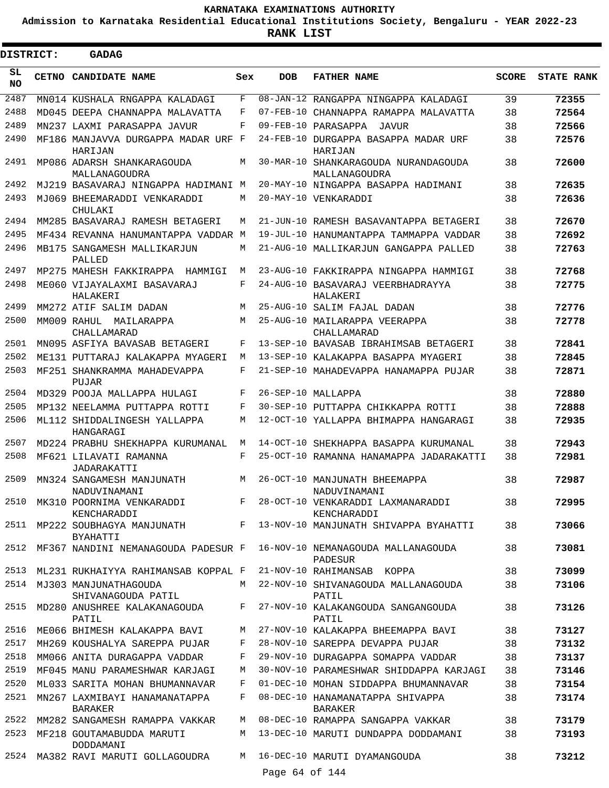**Admission to Karnataka Residential Educational Institutions Society, Bengaluru - YEAR 2022-23**

.

**RANK LIST**

| <b>DISTRICT:</b> | GADAG                                             |     |                 |                                                       |              |                   |
|------------------|---------------------------------------------------|-----|-----------------|-------------------------------------------------------|--------------|-------------------|
| SL<br>NO.        | CETNO CANDIDATE NAME                              | Sex | <b>DOB</b>      | <b>FATHER NAME</b>                                    | <b>SCORE</b> | <b>STATE RANK</b> |
| 2487             | MN014 KUSHALA RNGAPPA KALADAGI                    | F   |                 | 08-JAN-12 RANGAPPA NINGAPPA KALADAGI                  | 39           | 72355             |
| 2488             | MD045 DEEPA CHANNAPPA MALAVATTA                   | F   | $07 - FEB - 10$ | CHANNAPPA RAMAPPA MALAVATTA                           | 38           | 72564             |
| 2489             | MN237 LAXMI PARASAPPA JAVUR                       | F   |                 | 09-FEB-10 PARASAPPA JAVUR                             | 38           | 72566             |
| 2490             | MF186 MANJAVVA DURGAPPA MADAR URF F<br>HARIJAN    |     |                 | 24-FEB-10 DURGAPPA BASAPPA MADAR URF<br>HARIJAN       | 38           | 72576             |
| 2491             | MP086 ADARSH SHANKARAGOUDA<br>MALLANAGOUDRA       | M   |                 | 30-MAR-10 SHANKARAGOUDA NURANDAGOUDA<br>MALLANAGOUDRA | 38           | 72600             |
| 2492             | MJ219 BASAVARAJ NINGAPPA HADIMANI M               |     |                 | 20-MAY-10 NINGAPPA BASAPPA HADIMANI                   | 38           | 72635             |
| 2493             | MJ069 BHEEMARADDI VENKARADDI<br>CHULAKI           | М   |                 | 20-MAY-10 VENKARADDI                                  | 38           | 72636             |
| 2494             | MM285 BASAVARAJ RAMESH BETAGERI                   | M   |                 | 21-JUN-10 RAMESH BASAVANTAPPA BETAGERI                | 38           | 72670             |
| 2495             | MF434 REVANNA HANUMANTAPPA VADDAR M               |     |                 | 19-JUL-10 HANUMANTAPPA TAMMAPPA VADDAR                | 38           | 72692             |
| 2496             | MB175 SANGAMESH MALLIKARJUN<br>PALLED             | M   |                 | 21-AUG-10 MALLIKARJUN GANGAPPA PALLED                 | 38           | 72763             |
| 2497             | MP275 MAHESH FAKKIRAPPA HAMMIGI                   | М   |                 | 23-AUG-10 FAKKIRAPPA NINGAPPA HAMMIGI                 | 38           | 72768             |
| 2498             | ME060 VIJAYALAXMI BASAVARAJ<br>HALAKERI           | F   |                 | 24-AUG-10 BASAVARAJ VEERBHADRAYYA<br>HALAKERI         | 38           | 72775             |
| 2499             | MM272 ATIF SALIM DADAN                            | М   |                 | 25-AUG-10 SALIM FAJAL DADAN                           | 38           | 72776             |
| 2500             | MM009 RAHUL MAILARAPPA<br>CHALLAMARAD             | М   |                 | 25-AUG-10 MAILARAPPA VEERAPPA<br>CHALLAMARAD          | 38           | 72778             |
| 2501             | MN095 ASFIYA BAVASAB BETAGERI                     | F   |                 | 13-SEP-10 BAVASAB IBRAHIMSAB BETAGERI                 | 38           | 72841             |
| 2502             | ME131 PUTTARAJ KALAKAPPA MYAGERI                  | M   |                 | 13-SEP-10 KALAKAPPA BASAPPA MYAGERI                   | 38           | 72845             |
| 2503             | MF251 SHANKRAMMA MAHADEVAPPA<br>PUJAR             | F   |                 | 21-SEP-10 MAHADEVAPPA HANAMAPPA PUJAR                 | 38           | 72871             |
| 2504             | MD329 POOJA MALLAPPA HULAGI                       | F   |                 | 26-SEP-10 MALLAPPA                                    | 38           | 72880             |
| 2505             | MP132 NEELAMMA PUTTAPPA ROTTI                     | F   |                 | 30-SEP-10 PUTTAPPA CHIKKAPPA ROTTI                    | 38           | 72888             |
| 2506             | ML112 SHIDDALINGESH YALLAPPA<br>HANGARAGI         | M   |                 | 12-OCT-10 YALLAPPA BHIMAPPA HANGARAGI                 | 38           | 72935             |
| 2507             | MD224 PRABHU SHEKHAPPA KURUMANAL                  | М   |                 | 14-OCT-10 SHEKHAPPA BASAPPA KURUMANAL                 | 38           | 72943             |
| 2508             | MF621 LILAVATI RAMANNA<br>JADARAKATTI             | F   |                 | 25-OCT-10 RAMANNA HANAMAPPA JADARAKATTI               | 38           | 72981             |
| 2509             | MN324 SANGAMESH MANJUNATH<br>NADUVINAMANI         | М   |                 | 26-OCT-10 MANJUNATH BHEEMAPPA<br>NADUVINAMANI         | 38           | 72987             |
| 2510             | MK310 POORNIMA VENKARADDI<br>KENCHARADDI          | F   |                 | 28-OCT-10 VENKARADDI LAXMANARADDI<br>KENCHARADDI      | 38           | 72995             |
|                  | 2511 MP222 SOUBHAGYA MANJUNATH<br><b>BYAHATTI</b> | F   |                 | 13-NOV-10 MANJUNATH SHIVAPPA BYAHATTI                 | 38           | 73066             |
| 2512             | MF367 NANDINI NEMANAGOUDA PADESUR F               |     |                 | 16-NOV-10 NEMANAGOUDA MALLANAGOUDA<br>PADESUR         | 38           | 73081             |
| 2513             | ML231 RUKHAIYYA RAHIMANSAB KOPPAL F               |     |                 | 21-NOV-10 RAHIMANSAB KOPPA                            | 38           | 73099             |
| 2514             | MJ303 MANJUNATHAGOUDA<br>SHIVANAGOUDA PATIL       | M   |                 | 22-NOV-10 SHIVANAGOUDA MALLANAGOUDA<br>PATIL          | 38           | 73106             |
| 2515             | MD280 ANUSHREE KALAKANAGOUDA<br>PATIL             | F   |                 | 27-NOV-10 KALAKANGOUDA SANGANGOUDA<br>PATIL           | 38           | 73126             |
| 2516             | ME066 BHIMESH KALAKAPPA BAVI                      | M   |                 | 27-NOV-10 KALAKAPPA BHEEMAPPA BAVI                    | 38           | 73127             |
| 2517             | MH269 KOUSHALYA SAREPPA PUJAR                     | F   |                 | 28-NOV-10 SAREPPA DEVAPPA PUJAR                       | 38           | 73132             |
| 2518             | MM066 ANITA DURAGAPPA VADDAR                      | F   |                 | 29-NOV-10 DURAGAPPA SOMAPPA VADDAR                    | 38           | 73137             |
| 2519             | MF045 MANU PARAMESHWAR KARJAGI                    | M   |                 | 30-NOV-10 PARAMESHWAR SHIDDAPPA KARJAGI               | 38           | 73146             |
| 2520             | ML033 SARITA MOHAN BHUMANNAVAR                    | F   |                 | 01-DEC-10 MOHAN SIDDAPPA BHUMANNAVAR                  | 38           | 73154             |
| 2521             | MN267 LAXMIBAYI HANAMANATAPPA<br><b>BARAKER</b>   | F   |                 | 08-DEC-10 HANAMANATAPPA SHIVAPPA<br><b>BARAKER</b>    | 38           | 73174             |
| 2522             | MM282 SANGAMESH RAMAPPA VAKKAR                    | M   |                 | 08-DEC-10 RAMAPPA SANGAPPA VAKKAR                     | 38           | 73179             |
| 2523             | MF218 GOUTAMABUDDA MARUTI<br>DODDAMANI            | M   |                 | 13-DEC-10 MARUTI DUNDAPPA DODDAMANI                   | 38           | 73193             |
| 2524             | MA382 RAVI MARUTI GOLLAGOUDRA                     | M   |                 | 16-DEC-10 MARUTI DYAMANGOUDA                          | 38           | 73212             |
|                  |                                                   |     | Page 64 of 144  |                                                       |              |                   |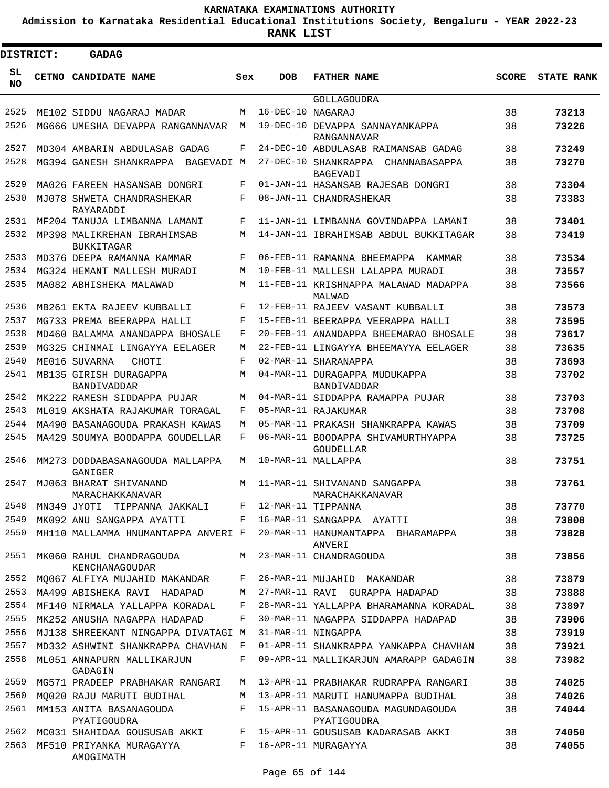**Admission to Karnataka Residential Educational Institutions Society, Bengaluru - YEAR 2022-23**

**RANK LIST**

| DISTRICT: | <b>GADAG</b>                                     |            |                   |                                                          |              |                   |
|-----------|--------------------------------------------------|------------|-------------------|----------------------------------------------------------|--------------|-------------------|
| SL<br>NO. | CETNO CANDIDATE NAME                             | Sex        | <b>DOB</b>        | <b>FATHER NAME</b>                                       | <b>SCORE</b> | <b>STATE RANK</b> |
|           |                                                  |            |                   | <b>GOLLAGOUDRA</b>                                       |              |                   |
| 2525      | ME102 SIDDU NAGARAJ MADAR                        | M          | 16-DEC-10 NAGARAJ |                                                          | 38           | 73213             |
| 2526      | MG666 UMESHA DEVAPPA RANGANNAVAR                 | M          |                   | 19-DEC-10 DEVAPPA SANNAYANKAPPA<br>RANGANNAVAR           | 38           | 73226             |
| 2527      | MD304 AMBARIN ABDULASAB GADAG                    | F          |                   | 24-DEC-10 ABDULASAB RAIMANSAB GADAG                      | 38           | 73249             |
| 2528      | MG394 GANESH SHANKRAPPA<br>BAGEVADI M            |            |                   | 27-DEC-10 SHANKRAPPA<br>CHANNABASAPPA<br><b>BAGEVADI</b> | 38           | 73270             |
| 2529      | MA026 FAREEN HASANSAB DONGRI                     | F          |                   | 01-JAN-11 HASANSAB RAJESAB DONGRI                        | 38           | 73304             |
| 2530      | MJ078 SHWETA CHANDRASHEKAR<br>RAYARADDI          | $_{\rm F}$ |                   | 08-JAN-11 CHANDRASHEKAR                                  | 38           | 73383             |
| 2531      | MF204 TANUJA LIMBANNA LAMANI                     | F          |                   | 11-JAN-11 LIMBANNA GOVINDAPPA LAMANI                     | 38           | 73401             |
| 2532      | MP398 MALIKREHAN IBRAHIMSAB<br><b>BUKKITAGAR</b> | M          |                   | 14-JAN-11 IBRAHIMSAB ABDUL BUKKITAGAR                    | 38           | 73419             |
| 2533      | MD376 DEEPA RAMANNA KAMMAR                       | $_{\rm F}$ |                   | 06-FEB-11 RAMANNA BHEEMAPPA<br>KAMMAR                    | 38           | 73534             |
| 2534      | MG324 HEMANT MALLESH MURADI                      | M          |                   | 10-FEB-11 MALLESH LALAPPA MURADI                         | 38           | 73557             |
| 2535      | MA082 ABHISHEKA MALAWAD                          | M          |                   | 11-FEB-11 KRISHNAPPA MALAWAD MADAPPA<br>MALWAD           | 38           | 73566             |
| 2536      | MB261 EKTA RAJEEV KUBBALLI                       | F          |                   | 12-FEB-11 RAJEEV VASANT KUBBALLI                         | 38           | 73573             |
| 2537      | MG733 PREMA BEERAPPA HALLI                       | F          |                   | 15-FEB-11 BEERAPPA VEERAPPA HALLI                        | 38           | 73595             |
| 2538      | MD460 BALAMMA ANANDAPPA BHOSALE                  | F          |                   | 20-FEB-11 ANANDAPPA BHEEMARAO BHOSALE                    | 38           | 73617             |
| 2539      | MG325 CHINMAI LINGAYYA EELAGER                   | M          |                   | 22-FEB-11 LINGAYYA BHEEMAYYA EELAGER                     | 38           | 73635             |
| 2540      | ME016 SUVARNA<br>CHOTI                           | $_{\rm F}$ |                   | 02-MAR-11 SHARANAPPA                                     | 38           | 73693             |
| 2541      | MB135 GIRISH DURAGAPPA<br>BANDIVADDAR            | M          |                   | 04-MAR-11 DURAGAPPA MUDUKAPPA<br>BANDIVADDAR             | 38           | 73702             |
| 2542      | MK222 RAMESH SIDDAPPA PUJAR                      | M          |                   | 04-MAR-11 SIDDAPPA RAMAPPA PUJAR                         | 38           | 73703             |
| 2543      | ML019 AKSHATA RAJAKUMAR TORAGAL                  | F          |                   | 05-MAR-11 RAJAKUMAR                                      | 38           | 73708             |
| 2544      | MA490 BASANAGOUDA PRAKASH KAWAS                  | M          |                   | 05-MAR-11 PRAKASH SHANKRAPPA KAWAS                       | 38           | 73709             |
| 2545      | MA429 SOUMYA BOODAPPA GOUDELLAR                  | F          |                   | 06-MAR-11 BOODAPPA SHIVAMURTHYAPPA<br><b>GOUDELLAR</b>   | 38           | 73725             |
| 2546      | MM273 DODDABASANAGOUDA MALLAPPA<br>GANIGER       | M          |                   | 10-MAR-11 MALLAPPA                                       | 38           | 73751             |
| 2547      | MJ063 BHARAT SHIVANAND<br>MARACHAKKANAVAR        | M          |                   | 11-MAR-11 SHIVANAND SANGAPPA<br>MARACHAKKANAVAR          | 38           | 73761             |
| 2548      | MN349 JYOTI  TIPPANNA JAKKALI                    | F          |                   | 12-MAR-11 TIPPANNA                                       | 38           | 73770             |
| 2549      | MK092 ANU SANGAPPA AYATTI                        | F          |                   | 16-MAR-11 SANGAPPA AYATTI                                | 38           | 73808             |
| 2550      | MH110 MALLAMMA HNUMANTAPPA ANVERI F              |            |                   | 20-MAR-11 HANUMANTAPPA BHARAMAPPA<br>ANVERI              | 38           | 73828             |
| 2551      | MK060 RAHUL CHANDRAGOUDA<br>KENCHANAGOUDAR       | М          |                   | 23-MAR-11 CHANDRAGOUDA                                   | 38           | 73856             |
| 2552      | MO067 ALFIYA MUJAHID MAKANDAR                    | F          |                   | 26-MAR-11 MUJAHID MAKANDAR                               | 38           | 73879             |
| 2553      | MA499 ABISHEKA RAVI HADAPAD                      | M          |                   | 27-MAR-11 RAVI GURAPPA HADAPAD                           | 38           | 73888             |
| 2554      | MF140 NIRMALA YALLAPPA KORADAL                   | F          |                   | 28-MAR-11 YALLAPPA BHARAMANNA KORADAL                    | 38           | 73897             |
| 2555      | MK252 ANUSHA NAGAPPA HADAPAD                     | F          |                   | 30-MAR-11 NAGAPPA SIDDAPPA HADAPAD                       | 38           | 73906             |
| 2556      | MJ138 SHREEKANT NINGAPPA DIVATAGI M              |            |                   | 31-MAR-11 NINGAPPA                                       | 38           | 73919             |
| 2557      | MD332 ASHWINI SHANKRAPPA CHAVHAN                 | F          |                   | 01-APR-11 SHANKRAPPA YANKAPPA CHAVHAN                    | 38           | 73921             |
| 2558      | ML051 ANNAPURN MALLIKARJUN<br>GADAGIN            | F          |                   | 09-APR-11 MALLIKARJUN AMARAPP GADAGIN                    | 38           | 73982             |
| 2559      | MG571 PRADEEP PRABHAKAR RANGARI                  | M          |                   | 13-APR-11 PRABHAKAR RUDRAPPA RANGARI                     | 38           | 74025             |
| 2560      | MQ020 RAJU MARUTI BUDIHAL                        | M          |                   | 13-APR-11 MARUTI HANUMAPPA BUDIHAL                       | 38           | 74026             |
| 2561      | MM153 ANITA BASANAGOUDA<br>PYATIGOUDRA           | F          |                   | 15-APR-11 BASANAGOUDA MAGUNDAGOUDA<br>PYATIGOUDRA        | 38           | 74044             |
| 2562      | MC031 SHAHIDAA GOUSUSAB AKKI                     | F          |                   | 15-APR-11 GOUSUSAB KADARASAB AKKI                        | 38           | 74050             |
| 2563      | MF510 PRIYANKA MURAGAYYA<br>AMOGIMATH            | F          |                   | 16-APR-11 MURAGAYYA                                      | 38           | 74055             |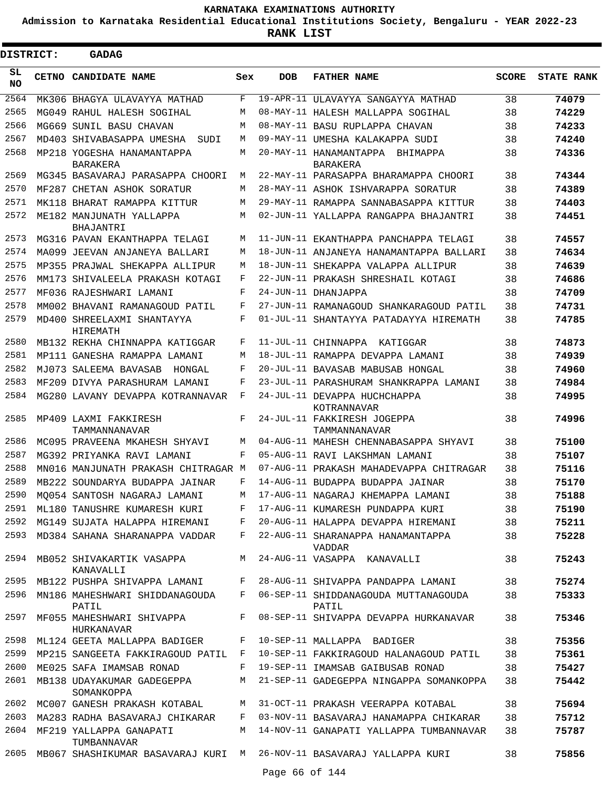**Admission to Karnataka Residential Educational Institutions Society, Bengaluru - YEAR 2022-23**

**RANK LIST**

| <b>DISTRICT:</b> | <b>GADAG</b>                             |       |            |                                                       |              |                   |
|------------------|------------------------------------------|-------|------------|-------------------------------------------------------|--------------|-------------------|
| SL<br><b>NO</b>  | <b>CETNO CANDIDATE NAME</b>              | Sex   | <b>DOB</b> | <b>FATHER NAME</b>                                    | <b>SCORE</b> | <b>STATE RANK</b> |
| 2564             | MK306 BHAGYA ULAVAYYA MATHAD             | F     |            | 19-APR-11 ULAVAYYA SANGAYYA MATHAD                    | 38           | 74079             |
| 2565             | MG049 RAHUL HALESH SOGIHAL               | M     |            | 08-MAY-11 HALESH MALLAPPA SOGIHAL                     | 38           | 74229             |
| 2566             | MG669 SUNIL BASU CHAVAN                  | M     |            | 08-MAY-11 BASU RUPLAPPA CHAVAN                        | 38           | 74233             |
| 2567             | MD403 SHIVABASAPPA UMESHA<br>SUDI        | М     |            | 09-MAY-11 UMESHA KALAKAPPA SUDI                       | 38           | 74240             |
| 2568             | MP218 YOGESHA HANAMANTAPPA<br>BARAKERA   | M     |            | 20-MAY-11 HANAMANTAPPA<br>BHIMAPPA<br><b>BARAKERA</b> | 38           | 74336             |
| 2569             | MG345 BASAVARAJ PARASAPPA CHOORI         | М     |            | 22-MAY-11 PARASAPPA BHARAMAPPA CHOORI                 | 38           | 74344             |
| 2570             | MF287 CHETAN ASHOK SORATUR               | M     |            | 28-MAY-11 ASHOK ISHVARAPPA SORATUR                    | 38           | 74389             |
| 2571             | MK118 BHARAT RAMAPPA KITTUR              | М     |            | 29-MAY-11 RAMAPPA SANNABASAPPA KITTUR                 | 38           | 74403             |
| 2572             | ME182 MANJUNATH YALLAPPA<br>BHAJANTRI    | М     |            | 02-JUN-11 YALLAPPA RANGAPPA BHAJANTRI                 | 38           | 74451             |
| 2573             | MG316 PAVAN EKANTHAPPA TELAGI            | М     |            | 11-JUN-11 EKANTHAPPA PANCHAPPA TELAGI                 | 38           | 74557             |
| 2574             | MA099 JEEVAN ANJANEYA BALLARI            | М     |            | 18-JUN-11 ANJANEYA HANAMANTAPPA BALLARI               | 38           | 74634             |
| 2575             | MP355 PRAJWAL SHEKAPPA ALLIPUR           | М     |            | 18-JUN-11 SHEKAPPA VALAPPA ALLIPUR                    | 38           | 74639             |
| 2576             | MM173 SHIVALEELA PRAKASH KOTAGI          | F     |            | 22-JUN-11 PRAKASH SHRESHAIL KOTAGI                    | 38           | 74686             |
| 2577             | MF036 RAJESHWARI LAMANI                  | F     |            | 24-JUN-11 DHANJAPPA                                   | 38           | 74709             |
| 2578             | MM002 BHAVANI RAMANAGOUD PATIL           | F     |            | 27-JUN-11 RAMANAGOUD SHANKARAGOUD PATIL               | 38           | 74731             |
| 2579             | MD400 SHREELAXMI SHANTAYYA<br>HIREMATH   | F     |            | 01-JUL-11 SHANTAYYA PATADAYYA HIREMATH                | 38           | 74785             |
| 2580             | MB132 REKHA CHINNAPPA KATIGGAR           | F     |            | 11-JUL-11 CHINNAPPA KATIGGAR                          | 38           | 74873             |
| 2581             | MP111 GANESHA RAMAPPA LAMANI             | М     |            | 18-JUL-11 RAMAPPA DEVAPPA LAMANI                      | 38           | 74939             |
| 2582             | MJ073 SALEEMA BAVASAB<br>HONGAL          | F     |            | 20-JUL-11 BAVASAB MABUSAB HONGAL                      | 38           | 74960             |
| 2583             | MF209 DIVYA PARASHURAM LAMANI            | F     |            | 23-JUL-11 PARASHURAM SHANKRAPPA LAMANI                | 38           | 74984             |
| 2584             | MG280 LAVANY DEVAPPA KOTRANNAVAR         | F     |            | 24-JUL-11 DEVAPPA HUCHCHAPPA<br>KOTRANNAVAR           | 38           | 74995             |
| 2585             | MP409 LAXMI FAKKIRESH<br>TAMMANNANAVAR   | F     |            | 24-JUL-11 FAKKIRESH JOGEPPA<br>TAMMANNANAVAR          | 38           | 74996             |
| 2586             | MC095 PRAVEENA MKAHESH SHYAVI            | М     |            | 04-AUG-11 MAHESH CHENNABASAPPA SHYAVI                 | 38           | 75100             |
| 2587             | MG392 PRIYANKA RAVI LAMANI               | F     |            | 05-AUG-11 RAVI LAKSHMAN LAMANI                        | 38           | 75107             |
| 2588             | MN016 MANJUNATH PRAKASH CHITRAGAR M      |       |            | 07-AUG-11 PRAKASH MAHADEVAPPA CHITRAGAR               | 38           | 75116             |
| 2589             | MB222 SOUNDARYA BUDAPPA JAINAR           | F     |            | 14-AUG-11 BUDAPPA BUDAPPA JAINAR                      | 38           | 75170             |
| 2590             | MO054 SANTOSH NAGARAJ LAMANI             | М     |            | 17-AUG-11 NAGARAJ KHEMAPPA LAMANI                     | 38           | 75188             |
| 2591             | ML180 TANUSHRE KUMARESH KURI             | F     |            | 17-AUG-11 KUMARESH PUNDAPPA KURI                      | 38           | 75190             |
| 2592             | MG149 SUJATA HALAPPA HIREMANI            | F     |            | 20-AUG-11 HALAPPA DEVAPPA HIREMANI                    | 38           | 75211             |
| 2593             | MD384 SAHANA SHARANAPPA VADDAR           | $F -$ |            | 22-AUG-11 SHARANAPPA HANAMANTAPPA<br>VADDAR           | 38           | 75228             |
| 2594             | MB052 SHIVAKARTIK VASAPPA<br>KANAVALLI   | M     |            | 24-AUG-11 VASAPPA KANAVALLI                           | 38           | 75243             |
| 2595             | MB122 PUSHPA SHIVAPPA LAMANI             | F     |            | 28-AUG-11 SHIVAPPA PANDAPPA LAMANI                    | 38           | 75274             |
| 2596             | MN186 MAHESHWARI SHIDDANAGOUDA<br>PATIL  | $F -$ |            | 06-SEP-11 SHIDDANAGOUDA MUTTANAGOUDA<br>PATIL         | 38           | 75333             |
| 2597             | MF055 MAHESHWARI SHIVAPPA<br>HURKANAVAR  | $F -$ |            | 08-SEP-11 SHIVAPPA DEVAPPA HURKANAVAR                 | 38           | 75346             |
| 2598             | ML124 GEETA MALLAPPA BADIGER             | F     |            | 10-SEP-11 MALLAPPA BADIGER                            | 38           | 75356             |
| 2599             | MP215 SANGEETA FAKKIRAGOUD PATIL F       |       |            | 10-SEP-11 FAKKIRAGOUD HALANAGOUD PATIL                | 38           | 75361             |
| 2600             | ME025 SAFA IMAMSAB RONAD                 | F     |            | 19-SEP-11 IMAMSAB GAIBUSAB RONAD                      | 38           | 75427             |
| 2601             | MB138 UDAYAKUMAR GADEGEPPA<br>SOMANKOPPA | М     |            | 21-SEP-11 GADEGEPPA NINGAPPA SOMANKOPPA               | 38           | 75442             |
| 2602             | MC007 GANESH PRAKASH KOTABAL             | M     |            | 31-OCT-11 PRAKASH VEERAPPA KOTABAL                    | 38           | 75694             |
| 2603             | MA283 RADHA BASAVARAJ CHIKARAR           | F     |            | 03-NOV-11 BASAVARAJ HANAMAPPA CHIKARAR                | 38           | 75712             |
| 2604             | MF219 YALLAPPA GANAPATI<br>TUMBANNAVAR   | M     |            | 14-NOV-11 GANAPATI YALLAPPA TUMBANNAVAR               | 38           | 75787             |
| 2605             | MB067 SHASHIKUMAR BASAVARAJ KURI M       |       |            | 26-NOV-11 BASAVARAJ YALLAPPA KURI                     | 38           | 75856             |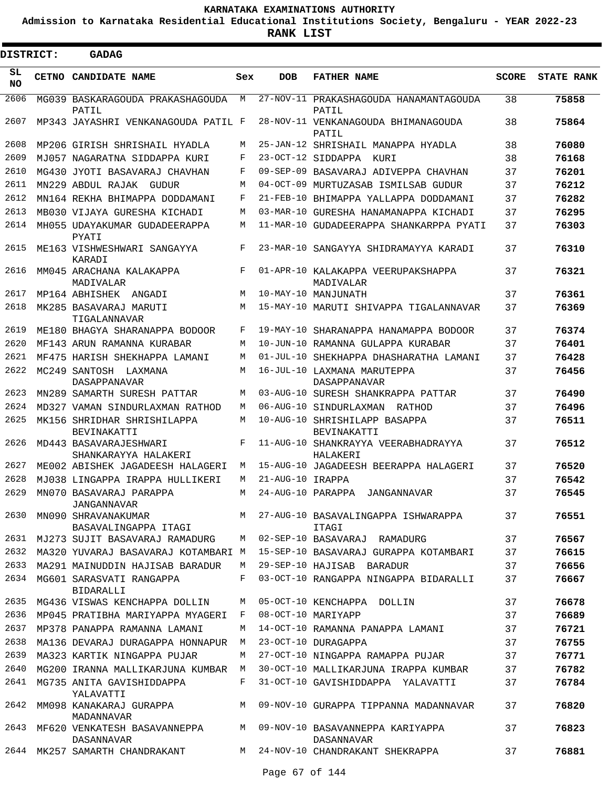**Admission to Karnataka Residential Educational Institutions Society, Bengaluru - YEAR 2022-23**

 $\blacksquare$ 

**RANK LIST**

Е

| <b>DISTRICT:</b> |  | <b>GADAG</b>                                                                  |     |                  |                                                 |              |                   |
|------------------|--|-------------------------------------------------------------------------------|-----|------------------|-------------------------------------------------|--------------|-------------------|
| SL<br><b>NO</b>  |  | CETNO CANDIDATE NAME                                                          | Sex | <b>DOB</b>       | <b>FATHER NAME</b>                              | <b>SCORE</b> | <b>STATE RANK</b> |
| 2606             |  | MG039 BASKARAGOUDA PRAKASHAGOUDA M<br>PATIL                                   |     |                  | 27-NOV-11 PRAKASHAGOUDA HANAMANTAGOUDA<br>PATIL | 38           | 75858             |
| 2607             |  | MP343 JAYASHRI VENKANAGOUDA PATIL F                                           |     |                  | 28-NOV-11 VENKANAGOUDA BHIMANAGOUDA<br>PATIL    | 38           | 75864             |
| 2608             |  | MP206 GIRISH SHRISHAIL HYADLA                                                 | M   |                  | 25-JAN-12 SHRISHAIL MANAPPA HYADLA              | 38           | 76080             |
| 2609             |  | MJ057 NAGARATNA SIDDAPPA KURI                                                 | F   |                  | 23-OCT-12 SIDDAPPA KURI                         | 38           | 76168             |
| 2610             |  | MG430 JYOTI BASAVARAJ CHAVHAN                                                 | F   |                  | 09-SEP-09 BASAVARAJ ADIVEPPA CHAVHAN            | 37           | 76201             |
| 2611             |  | MN229 ABDUL RAJAK GUDUR                                                       | M   |                  | 04-OCT-09 MURTUZASAB ISMILSAB GUDUR             | 37           | 76212             |
| 2612             |  | MN164 REKHA BHIMAPPA DODDAMANI                                                | F   |                  | 21-FEB-10 BHIMAPPA YALLAPPA DODDAMANI           | 37           | 76282             |
| 2613             |  | MB030 VIJAYA GURESHA KICHADI                                                  | M   |                  | 03-MAR-10 GURESHA HANAMANAPPA KICHADI           | 37           | 76295             |
| 2614             |  | MH055 UDAYAKUMAR GUDADEERAPPA<br>PYATI                                        | M   |                  | 11-MAR-10 GUDADEERAPPA SHANKARPPA PYATI         | 37           | 76303             |
| 2615             |  | ME163 VISHWESHWARI SANGAYYA<br>KARADI                                         | F   |                  | 23-MAR-10 SANGAYYA SHIDRAMAYYA KARADI           | 37           | 76310             |
| 2616             |  | MM045 ARACHANA KALAKAPPA<br>MADIVALAR                                         | F   |                  | 01-APR-10 KALAKAPPA VEERUPAKSHAPPA<br>MADIVALAR | 37           | 76321             |
| 2617             |  | MP164 ABHISHEK ANGADI                                                         | М   |                  | 10-MAY-10 MANJUNATH                             | 37           | 76361             |
| 2618             |  | MK285 BASAVARAJ MARUTI<br>TIGALANNAVAR                                        | М   |                  | 15-MAY-10 MARUTI SHIVAPPA TIGALANNAVAR          | 37           | 76369             |
| 2619             |  | ME180 BHAGYA SHARANAPPA BODOOR                                                | F   |                  | 19-MAY-10 SHARANAPPA HANAMAPPA BODOOR           | 37           | 76374             |
| 2620             |  | MF143 ARUN RAMANNA KURABAR                                                    | M   |                  | 10-JUN-10 RAMANNA GULAPPA KURABAR               | 37           | 76401             |
| 2621             |  | MF475 HARISH SHEKHAPPA LAMANI                                                 | M   |                  | 01-JUL-10 SHEKHAPPA DHASHARATHA LAMANI          | 37           | 76428             |
| 2622             |  | MC249 SANTOSH LAXMANA<br><b>DASAPPANAVAR</b>                                  | M   |                  | 16-JUL-10 LAXMANA MARUTEPPA<br>DASAPPANAVAR     | 37           | 76456             |
| 2623             |  | MN289 SAMARTH SURESH PATTAR                                                   | M   |                  | 03-AUG-10 SURESH SHANKRAPPA PATTAR              | 37           | 76490             |
| 2624             |  | MD327 VAMAN SINDURLAXMAN RATHOD                                               | M   |                  | 06-AUG-10 SINDURLAXMAN RATHOD                   | 37           | 76496             |
| 2625             |  | MK156 SHRIDHAR SHRISHILAPPA<br><b>BEVINAKATTI</b>                             | M   |                  | 10-AUG-10 SHRISHILAPP BASAPPA<br>BEVINAKATTI    | 37           | 76511             |
| 2626             |  | MD443 BASAVARAJESHWARI<br>SHANKARAYYA HALAKERI                                | F   |                  | 11-AUG-10 SHANKRAYYA VEERABHADRAYYA<br>HALAKERI | 37           | 76512             |
| 2627             |  | ME002 ABISHEK JAGADEESH HALAGERI                                              | М   |                  | 15-AUG-10 JAGADEESH BEERAPPA HALAGERI           | 37           | 76520             |
| 2628             |  | MJ038 LINGAPPA IRAPPA HULLIKERI                                               | М   | 21-AUG-10 IRAPPA |                                                 | 37           | 76542             |
|                  |  | 2629 MN070 BASAVARAJ PARAPPA<br><b>JANGANNAVAR</b>                            | M   |                  | 24-AUG-10 PARAPPA JANGANNAVAR                   | 37           | 76545             |
| 2630             |  | MN090 SHRAVANAKUMAR<br>BASAVALINGAPPA ITAGI                                   |     |                  | M 27-AUG-10 BASAVALINGAPPA ISHWARAPPA<br>ITAGI  | 37           | 76551             |
| 2631             |  | MJ273 SUJIT BASAVARAJ RAMADURG                                                | M   |                  | 02-SEP-10 BASAVARAJ RAMADURG                    | 37           | 76567             |
| 2632             |  | MA320 YUVARAJ BASAVARAJ KOTAMBARI M                                           |     |                  | 15-SEP-10 BASAVARAJ GURAPPA KOTAMBARI           | 37           | 76615             |
| 2633             |  | MA291 MAINUDDIN HAJISAB BARADUR                                               | M   |                  | 29-SEP-10 HAJISAB BARADUR                       | 37           | 76656             |
| 2634             |  | MG601 SARASVATI RANGAPPA<br>BIDARALLI                                         | F   |                  | 03-OCT-10 RANGAPPA NINGAPPA BIDARALLI           | 37           | 76667             |
| 2635             |  | MG436 VISWAS KENCHAPPA DOLLIN                                                 | M   |                  | 05-OCT-10 KENCHAPPA DOLLIN                      | 37           | 76678             |
| 2636             |  | MP045 PRATIBHA MARIYAPPA MYAGERI F                                            |     |                  | 08-OCT-10 MARIYAPP                              | 37           | 76689             |
| 2637             |  | MP378 PANAPPA RAMANNA LAMANI                                                  | M   |                  | 14-OCT-10 RAMANNA PANAPPA LAMANI                | 37           | 76721             |
| 2638             |  | MA136 DEVARAJ DURAGAPPA HONNAPUR M                                            |     |                  | 23-OCT-10 DURAGAPPA                             | 37           | 76755             |
| 2639             |  | MA323 KARTIK NINGAPPA PUJAR                                                   | M   |                  | 27-OCT-10 NINGAPPA RAMAPPA PUJAR                | 37           | 76771             |
| 2640             |  | MG200 IRANNA MALLIKARJUNA KUMBAR M                                            |     |                  | 30-OCT-10 MALLIKARJUNA IRAPPA KUMBAR            | 37           | 76782             |
| 2641             |  | MG735 ANITA GAVISHIDDAPPA<br>YALAVATTI                                        | F   |                  | 31-OCT-10 GAVISHIDDAPPA YALAVATTI               | 37           | 76784             |
| 2642             |  | MM098 KANAKARAJ GURAPPA<br>MADANNAVAR                                         | M   |                  | 09-NOV-10 GURAPPA TIPPANNA MADANNAVAR           | 37           | 76820             |
| 2643             |  | MF620 VENKATESH BASAVANNEPPA M 09-NOV-10 BASAVANNEPPA KARIYAPPA<br>DASANNAVAR |     |                  | DASANNAVAR                                      | 37           | 76823             |
|                  |  | 2644 MK257 SAMARTH CHANDRAKANT M 24-NOV-10 CHANDRAKANT SHEKRAPPA              |     |                  |                                                 | 37           | 76881             |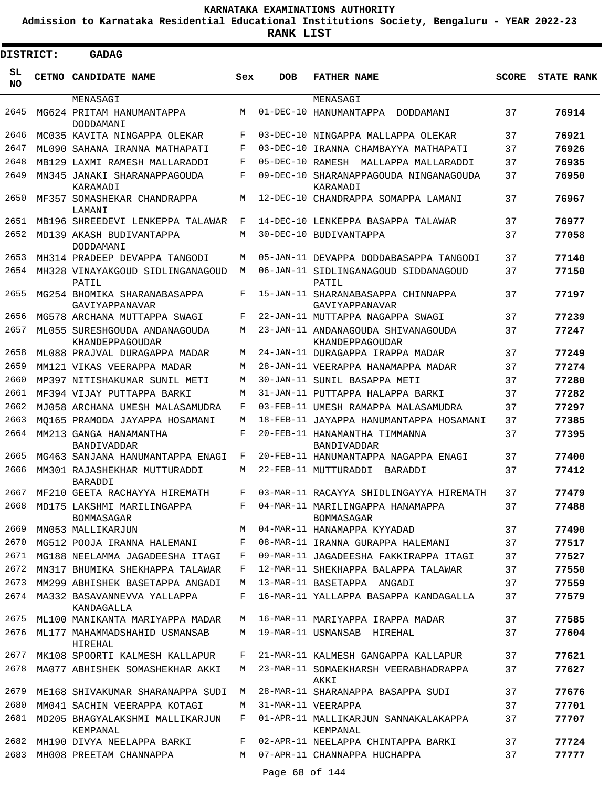**Admission to Karnataka Residential Educational Institutions Society, Bengaluru - YEAR 2022-23**

| <b>DISTRICT:</b> | <b>GADAG</b>                                                   |        |            |                                                                     |              |                   |
|------------------|----------------------------------------------------------------|--------|------------|---------------------------------------------------------------------|--------------|-------------------|
| SL<br><b>NO</b>  | CETNO CANDIDATE NAME                                           | Sex    | <b>DOB</b> | <b>FATHER NAME</b>                                                  | <b>SCORE</b> | <b>STATE RANK</b> |
|                  | MENASAGI                                                       |        |            | MENASAGI                                                            |              |                   |
| 2645             | MG624 PRITAM HANUMANTAPPA<br>DODDAMANI                         | M      |            | 01-DEC-10 HANUMANTAPPA DODDAMANI                                    | 37           | 76914             |
| 2646             | MC035 KAVITA NINGAPPA OLEKAR                                   | F      |            | 03-DEC-10 NINGAPPA MALLAPPA OLEKAR                                  | 37           | 76921             |
| 2647             | ML090 SAHANA IRANNA MATHAPATI                                  | F      |            | 03-DEC-10 IRANNA CHAMBAYYA MATHAPATI                                | 37           | 76926             |
| 2648             | MB129 LAXMI RAMESH MALLARADDI                                  | F      |            | 05-DEC-10 RAMESH MALLAPPA MALLARADDI                                | 37           | 76935             |
| 2649             | MN345 JANAKI SHARANAPPAGOUDA<br>KARAMADI                       | F      |            | 09-DEC-10 SHARANAPPAGOUDA NINGANAGOUDA<br>KARAMADI                  | 37           | 76950             |
| 2650             | MF357 SOMASHEKAR CHANDRAPPA<br>LAMANI                          | M      |            | 12-DEC-10 CHANDRAPPA SOMAPPA LAMANI                                 | 37           | 76967             |
| 2651             | MB196 SHREEDEVI LENKEPPA TALAWAR                               | F      |            | 14-DEC-10 LENKEPPA BASAPPA TALAWAR                                  | 37           | 76977             |
| 2652             | MD139 AKASH BUDIVANTAPPA<br>DODDAMANI                          | M      |            | 30-DEC-10 BUDIVANTAPPA                                              | 37           | 77058             |
| 2653             | MH314 PRADEEP DEVAPPA TANGODI                                  | М      |            | 05-JAN-11 DEVAPPA DODDABASAPPA TANGODI                              | 37           | 77140             |
| 2654             | MH328 VINAYAKGOUD SIDLINGANAGOUD<br>PATIL                      | M      |            | 06-JAN-11 SIDLINGANAGOUD SIDDANAGOUD<br>PATIL                       | 37           | 77150             |
| 2655             | MG254 BHOMIKA SHARANABASAPPA<br>GAVIYAPPANAVAR                 | F      |            | 15-JAN-11 SHARANABASAPPA CHINNAPPA<br>GAVIYAPPANAVAR                | 37           | 77197             |
| 2656             | MG578 ARCHANA MUTTAPPA SWAGI                                   | F      |            | 22-JAN-11 MUTTAPPA NAGAPPA SWAGI                                    | 37           | 77239             |
| 2657             | ML055 SURESHGOUDA ANDANAGOUDA<br>KHANDEPPAGOUDAR               | М      |            | 23-JAN-11 ANDANAGOUDA SHIVANAGOUDA<br>KHANDEPPAGOUDAR               | 37           | 77247             |
| 2658             | ML088 PRAJVAL DURAGAPPA MADAR                                  | М      |            | 24-JAN-11 DURAGAPPA IRAPPA MADAR                                    | 37           | 77249             |
| 2659             | MM121 VIKAS VEERAPPA MADAR                                     | М      |            | 28-JAN-11 VEERAPPA HANAMAPPA MADAR                                  | 37           | 77274             |
| 2660             | MP397 NITISHAKUMAR SUNIL METI                                  | М      |            | 30-JAN-11 SUNIL BASAPPA METI                                        | 37           | 77280             |
| 2661             | MF394 VIJAY PUTTAPPA BARKI                                     | М      |            | 31-JAN-11 PUTTAPPA HALAPPA BARKI                                    | 37           | 77282             |
| 2662             | MJ058 ARCHANA UMESH MALASAMUDRA                                | F      |            | 03-FEB-11 UMESH RAMAPPA MALASAMUDRA                                 | 37           | 77297             |
| 2663             | MO165 PRAMODA JAYAPPA HOSAMANI                                 | М      |            | 18-FEB-11 JAYAPPA HANUMANTAPPA HOSAMANI                             | 37           | 77385             |
| 2664             | MM213 GANGA HANAMANTHA<br>BANDIVADDAR                          | F      |            | 20-FEB-11 HANAMANTHA TIMMANNA<br>BANDIVADDAR                        | 37           | 77395             |
| 2665             | MG463 SANJANA HANUMANTAPPA ENAGI                               | F      |            | 20-FEB-11 HANUMANTAPPA NAGAPPA ENAGI                                | 37           | 77400             |
| 2666             | MM301 RAJASHEKHAR MUTTURADDI<br>BARADDI                        | M      |            | 22-FEB-11 MUTTURADDI<br>BARADDI                                     | 37           | 77412             |
| 2667             | MF210 GEETA RACHAYYA HIREMATH                                  | F      |            | 03-MAR-11 RACAYYA SHIDLINGAYYA HIREMATH                             | 37           | 77479             |
| 2668             | MD175 LAKSHMI MARILINGAPPA<br>BOMMASAGAR                       | F      |            | 04-MAR-11 MARILINGAPPA HANAMAPPA<br>BOMMASAGAR                      | 37           | 77488             |
| 2669             | MN053 MALLIKARJUN                                              | M      |            | 04-MAR-11 HANAMAPPA KYYADAD                                         | 37           | 77490             |
| 2670             | MG512 POOJA IRANNA HALEMANI                                    | F      |            | 08-MAR-11 IRANNA GURAPPA HALEMANI                                   | 37           | 77517             |
| 2671             | MG188 NEELAMMA JAGADEESHA ITAGI                                | F      |            | 09-MAR-11 JAGADEESHA FAKKIRAPPA ITAGI                               | 37           | 77527             |
| 2672             | MN317 BHUMIKA SHEKHAPPA TALAWAR                                | F      |            | 12-MAR-11 SHEKHAPPA BALAPPA TALAWAR                                 | 37           | 77550             |
| 2673<br>2674     | MM299 ABHISHEK BASETAPPA ANGADI<br>MA332 BASAVANNEVVA YALLAPPA | М<br>F |            | 13-MAR-11 BASETAPPA ANGADI<br>16-MAR-11 YALLAPPA BASAPPA KANDAGALLA | 37<br>37     | 77559<br>77579    |
| 2675             | KANDAGALLA<br>ML100 MANIKANTA MARIYAPPA MADAR                  | М      |            | 16-MAR-11 MARIYAPPA IRAPPA MADAR                                    | 37           | 77585             |
| 2676             | ML177 MAHAMMADSHAHID USMANSAB<br>HIREHAL                       | М      |            | 19-MAR-11 USMANSAB HIREHAL                                          | 37           | 77604             |
| 2677             | MK108 SPOORTI KALMESH KALLAPUR                                 | F      |            | 21-MAR-11 KALMESH GANGAPPA KALLAPUR                                 | 37           | 77621             |
| 2678             | MA077 ABHISHEK SOMASHEKHAR AKKI                                | M      |            | 23-MAR-11 SOMAEKHARSH VEERABHADRAPPA<br>AKKI                        | 37           | 77627             |
| 2679             | ME168 SHIVAKUMAR SHARANAPPA SUDI                               | М      |            | 28-MAR-11 SHARANAPPA BASAPPA SUDI                                   | 37           | 77676             |
| 2680             | MM041 SACHIN VEERAPPA KOTAGI                                   | М      |            | 31-MAR-11 VEERAPPA                                                  | 37           | 77701             |
| 2681             | MD205 BHAGYALAKSHMI MALLIKARJUN<br>KEMPANAL                    | F      |            | 01-APR-11 MALLIKARJUN SANNAKALAKAPPA<br>KEMPANAL                    | 37           | 77707             |
| 2682             | MH190 DIVYA NEELAPPA BARKI                                     | F      |            | 02-APR-11 NEELAPPA CHINTAPPA BARKI                                  | 37           | 77724             |
| 2683             | MH008 PREETAM CHANNAPPA                                        | M      |            | 07-APR-11 CHANNAPPA HUCHAPPA                                        | 37           | 77777             |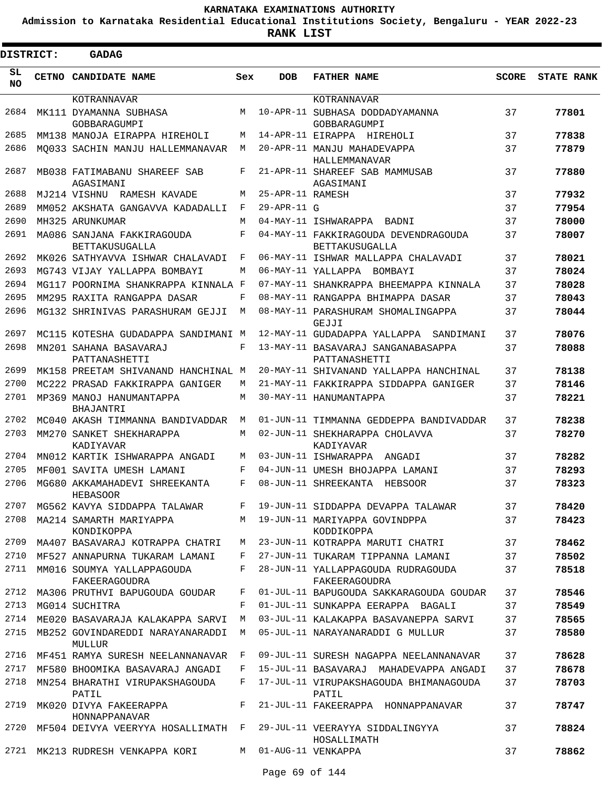**Admission to Karnataka Residential Educational Institutions Society, Bengaluru - YEAR 2022-23**

**RANK LIST**

Е

| <b>DISTRICT:</b> |  | <b>GADAG</b>                                     |            |                  |                                                               |              |                   |
|------------------|--|--------------------------------------------------|------------|------------------|---------------------------------------------------------------|--------------|-------------------|
| SL<br><b>NO</b>  |  | CETNO CANDIDATE NAME                             | Sex        | <b>DOB</b>       | <b>FATHER NAME</b>                                            | <b>SCORE</b> | <b>STATE RANK</b> |
|                  |  | KOTRANNAVAR                                      |            |                  | KOTRANNAVAR                                                   |              |                   |
| 2684             |  | MK111 DYAMANNA SUBHASA<br>GOBBARAGUMPI           | M          |                  | 10-APR-11 SUBHASA DODDADYAMANNA<br>GOBBARAGUMPI               | 37           | 77801             |
| 2685             |  | MM138 MANOJA EIRAPPA HIREHOLI                    | M          |                  | 14-APR-11 EIRAPPA HIREHOLI                                    | 37           | 77838             |
| 2686             |  | MO033 SACHIN MANJU HALLEMMANAVAR                 | M          |                  | 20-APR-11 MANJU MAHADEVAPPA<br>HALLEMMANAVAR                  | 37           | 77879             |
| 2687             |  | MB038 FATIMABANU SHAREEF SAB<br>AGASIMANI        | F          |                  | 21-APR-11 SHAREEF SAB MAMMUSAB<br>AGASIMANI                   | 37           | 77880             |
| 2688             |  | MJ214 VISHNU RAMESH KAVADE                       | М          | 25-APR-11 RAMESH |                                                               | 37           | 77932             |
| 2689             |  | MM052 AKSHATA GANGAVVA KADADALLI                 | F          | 29-APR-11 G      |                                                               | 37           | 77954             |
| 2690             |  | MH325 ARUNKUMAR                                  | M          |                  | 04-MAY-11 ISHWARAPPA BADNI                                    | 37           | 78000             |
| 2691             |  | MA086 SANJANA FAKKIRAGOUDA<br>BETTAKUSUGALLA     | $_{\rm F}$ |                  | 04-MAY-11 FAKKIRAGOUDA DEVENDRAGOUDA<br><b>BETTAKUSUGALLA</b> | 37           | 78007             |
| 2692             |  | MK026 SATHYAVVA ISHWAR CHALAVADI                 | F          |                  | 06-MAY-11 ISHWAR MALLAPPA CHALAVADI                           | 37           | 78021             |
| 2693             |  | MG743 VIJAY YALLAPPA BOMBAYI                     | М          |                  | 06-MAY-11 YALLAPPA BOMBAYI                                    | 37           | 78024             |
| 2694             |  | MG117 POORNIMA SHANKRAPPA KINNALA F              |            |                  | 07-MAY-11 SHANKRAPPA BHEEMAPPA KINNALA                        | 37           | 78028             |
| 2695             |  | MM295 RAXITA RANGAPPA DASAR                      | F          |                  | 08-MAY-11 RANGAPPA BHIMAPPA DASAR                             | 37           | 78043             |
| 2696             |  | MG132 SHRINIVAS PARASHURAM GEJJI                 | M          |                  | 08-MAY-11 PARASHURAM SHOMALINGAPPA<br>GEJJI                   | 37           | 78044             |
| 2697             |  | MC115 KOTESHA GUDADAPPA SANDIMANI M              |            |                  | 12-MAY-11 GUDADAPPA YALLAPPA<br>SANDIMANI                     | 37           | 78076             |
| 2698             |  | MN201 SAHANA BASAVARAJ<br>PATTANASHETTI          | F          |                  | 13-MAY-11 BASAVARAJ SANGANABASAPPA<br>PATTANASHETTI           | 37           | 78088             |
| 2699             |  | MK158 PREETAM SHIVANAND HANCHINAL M              |            |                  | 20-MAY-11 SHIVANAND YALLAPPA HANCHINAL                        | 37           | 78138             |
| 2700             |  | MC222 PRASAD FAKKIRAPPA GANIGER                  | М          |                  | 21-MAY-11 FAKKIRAPPA SIDDAPPA GANIGER                         | 37           | 78146             |
| 2701             |  | MP369 MANOJ HANUMANTAPPA<br>BHAJANTRI            | M          |                  | 30-MAY-11 HANUMANTAPPA                                        | 37           | 78221             |
| 2702             |  | MC040 AKASH TIMMANNA BANDIVADDAR                 | M          |                  | 01-JUN-11 TIMMANNA GEDDEPPA BANDIVADDAR                       | 37           | 78238             |
| 2703             |  | MM270 SANKET SHEKHARAPPA<br>KADIYAVAR            | M          |                  | 02-JUN-11 SHEKHARAPPA CHOLAVVA<br>KADIYAVAR                   | 37           | 78270             |
| 2704             |  | MN012 KARTIK ISHWARAPPA ANGADI                   | М          |                  | 03-JUN-11 ISHWARAPPA<br>ANGADI                                | 37           | 78282             |
| 2705             |  | MF001 SAVITA UMESH LAMANI                        | F          |                  | 04-JUN-11 UMESH BHOJAPPA LAMANI                               | 37           | 78293             |
| 2706             |  | MG680 AKKAMAHADEVI SHREEKANTA<br><b>HEBASOOR</b> | F          |                  | 08-JUN-11 SHREEKANTA<br>HEBSOOR                               | 37           | 78323             |
| 2707             |  | MG562 KAVYA SIDDAPPA TALAWAR                     | F          |                  | 19-JUN-11 SIDDAPPA DEVAPPA TALAWAR                            | 37           | 78420             |
| 2708             |  | MA214 SAMARTH MARIYAPPA<br>KONDIKOPPA            | M          |                  | 19-JUN-11 MARIYAPPA GOVINDPPA<br>KODDIKOPPA                   | 37           | 78423             |
| 2709             |  | MA407 BASAVARAJ KOTRAPPA CHATRI                  | М          |                  | 23-JUN-11 KOTRAPPA MARUTI CHATRI                              | 37           | 78462             |
| 2710             |  | MF527 ANNAPURNA TUKARAM LAMANI                   | F          |                  | 27-JUN-11 TUKARAM TIPPANNA LAMANI                             | 37           | 78502             |
| 2711             |  | MM016 SOUMYA YALLAPPAGOUDA<br>FAKEERAGOUDRA      | F          |                  | 28-JUN-11 YALLAPPAGOUDA RUDRAGOUDA<br>FAKEERAGOUDRA           | 37           | 78518             |
| 2712             |  | MA306 PRUTHVI BAPUGOUDA GOUDAR                   | F          |                  | 01-JUL-11 BAPUGOUDA SAKKARAGOUDA GOUDAR                       | 37           | 78546             |
| 2713             |  | MG014 SUCHITRA                                   | F          |                  | 01-JUL-11 SUNKAPPA EERAPPA BAGALI                             | 37           | 78549             |
| 2714             |  | ME020 BASAVARAJA KALAKAPPA SARVI                 | М          |                  | 03-JUL-11 KALAKAPPA BASAVANEPPA SARVI                         | 37           | 78565             |
| 2715             |  | MB252 GOVINDAREDDI NARAYANARADDI<br>MULLUR       | М          |                  | 05-JUL-11 NARAYANARADDI G MULLUR                              | 37           | 78580             |
| 2716             |  | MF451 RAMYA SURESH NEELANNANAVAR                 | F          |                  | 09-JUL-11 SURESH NAGAPPA NEELANNANAVAR                        | 37           | 78628             |
| 2717             |  | MF580 BHOOMIKA BASAVARAJ ANGADI                  | F          |                  | 15-JUL-11 BASAVARAJ MAHADEVAPPA ANGADI                        | 37           | 78678             |
| 2718             |  | MN254 BHARATHI VIRUPAKSHAGOUDA<br>PATIL          | F          |                  | 17-JUL-11 VIRUPAKSHAGOUDA BHIMANAGOUDA<br>PATIL               | 37           | 78703             |
| 2719             |  | MK020 DIVYA FAKEERAPPA<br>HONNAPPANAVAR          | F          |                  | 21-JUL-11 FAKEERAPPA HONNAPPANAVAR                            | 37           | 78747             |
| 2720             |  | MF504 DEIVYA VEERYYA HOSALLIMATH                 | F          |                  | 29-JUL-11 VEERAYYA SIDDALINGYYA<br>HOSALLIMATH                | 37           | 78824             |
| 2721             |  | MK213 RUDRESH VENKAPPA KORI                      | М          |                  | 01-AUG-11 VENKAPPA                                            | 37           | 78862             |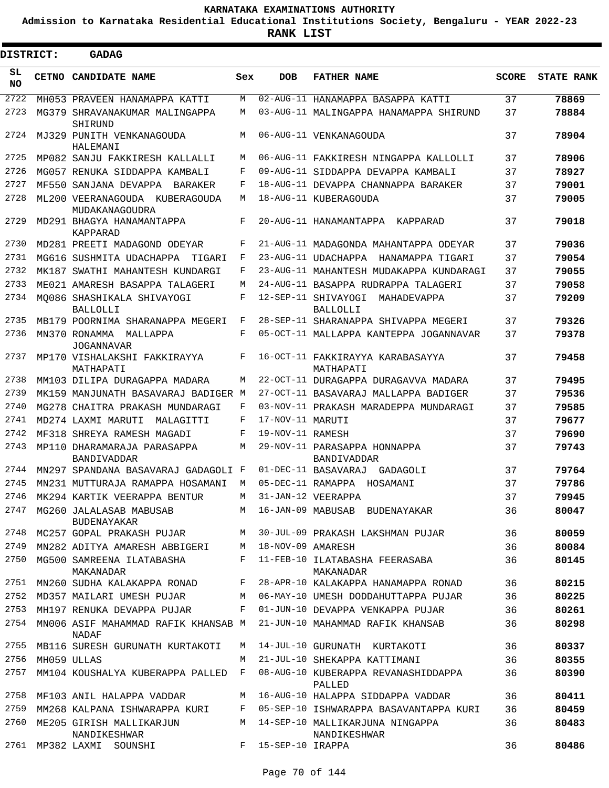**Admission to Karnataka Residential Educational Institutions Society, Bengaluru - YEAR 2022-23**

| <b>DISTRICT:</b> |       | <b>GADAG</b>                                      |     |                   |                                                |              |                   |
|------------------|-------|---------------------------------------------------|-----|-------------------|------------------------------------------------|--------------|-------------------|
| SL<br><b>NO</b>  | CETNO | <b>CANDIDATE NAME</b>                             | Sex | <b>DOB</b>        | <b>FATHER NAME</b>                             | <b>SCORE</b> | <b>STATE RANK</b> |
| 2722             |       | MH053 PRAVEEN HANAMAPPA KATTI                     | M   |                   | 02-AUG-11 HANAMAPPA BASAPPA KATTI              | 37           | 78869             |
| 2723             |       | MG379 SHRAVANAKUMAR MALINGAPPA<br>SHIRUND         | М   |                   | 03-AUG-11 MALINGAPPA HANAMAPPA SHIRUND         | 37           | 78884             |
| 2724             |       | MJ329 PUNITH VENKANAGOUDA<br>HALEMANI             | M   |                   | 06-AUG-11 VENKANAGOUDA                         | 37           | 78904             |
| 2725             |       | MP082 SANJU FAKKIRESH KALLALLI                    | M   |                   | 06-AUG-11 FAKKIRESH NINGAPPA KALLOLLI          | 37           | 78906             |
| 2726             |       | MG057 RENUKA SIDDAPPA KAMBALI                     | F   |                   | 09-AUG-11 SIDDAPPA DEVAPPA KAMBALI             | 37           | 78927             |
| 2727             |       | MF550 SANJANA DEVAPPA<br><b>BARAKER</b>           | F   |                   | 18-AUG-11 DEVAPPA CHANNAPPA BARAKER            | 37           | 79001             |
| 2728             |       | ML200 VEERANAGOUDA KUBERAGOUDA<br>MUDAKANAGOUDRA  | M   |                   | 18-AUG-11 KUBERAGOUDA                          | 37           | 79005             |
| 2729             |       | MD291 BHAGYA HANAMANTAPPA<br>KAPPARAD             | F   |                   | 20-AUG-11 HANAMANTAPPA<br>KAPPARAD             | 37           | 79018             |
| 2730             |       | MD281 PREETI MADAGOND ODEYAR                      | F   |                   | 21-AUG-11 MADAGONDA MAHANTAPPA ODEYAR          | 37           | 79036             |
| 2731             |       | MG616 SUSHMITA UDACHAPPA<br>TIGARI                | F   |                   | 23-AUG-11 UDACHAPPA<br>HANAMAPPA TIGARI        | 37           | 79054             |
| 2732             |       | MK187 SWATHI MAHANTESH KUNDARGI                   | F   |                   | 23-AUG-11 MAHANTESH MUDAKAPPA KUNDARAGI        | 37           | 79055             |
| 2733             |       | ME021 AMARESH BASAPPA TALAGERI                    | М   |                   | 24-AUG-11 BASAPPA RUDRAPPA TALAGERI            | 37           | 79058             |
| 2734             |       | MO086 SHASHIKALA SHIVAYOGI<br><b>BALLOLLI</b>     | F   |                   | 12-SEP-11 SHIVAYOGI<br>MAHADEVAPPA<br>BALLOLLI | 37           | 79209             |
| 2735             |       | MB179 POORNIMA SHARANAPPA MEGERI                  | F   |                   | 28-SEP-11 SHARANAPPA SHIVAPPA MEGERI           | 37           | 79326             |
| 2736             |       | MN370 RONAMMA<br>MALLAPPA<br><b>JOGANNAVAR</b>    | F   |                   | 05-OCT-11 MALLAPPA KANTEPPA JOGANNAVAR         | 37           | 79378             |
| 2737             |       | MP170 VISHALAKSHI FAKKIRAYYA<br>MATHAPATI         | F   |                   | 16-OCT-11 FAKKIRAYYA KARABASAYYA<br>MATHAPATI  | 37           | 79458             |
| 2738             |       | MM103 DILIPA DURAGAPPA MADARA                     | М   |                   | 22-OCT-11 DURAGAPPA DURAGAVVA MADARA           | 37           | 79495             |
| 2739             |       | MK159 MANJUNATH BASAVARAJ BADIGER                 | M   |                   | 27-OCT-11 BASAVARAJ MALLAPPA BADIGER           | 37           | 79536             |
| 2740             |       | MG278 CHAITRA PRAKASH MUNDARAGI                   | F   |                   | 03-NOV-11 PRAKASH MARADEPPA MUNDARAGI          | 37           | 79585             |
| 2741             |       | MD274 LAXMI MARUTI<br>MALAGITTI                   | F   | 17-NOV-11 MARUTI  |                                                | 37           | 79677             |
| 2742             |       | MF318 SHREYA RAMESH MAGADI                        | F   | 19-NOV-11 RAMESH  |                                                | 37           | 79690             |
| 2743             |       | MP110 DHARAMARAJA PARASAPPA<br><b>BANDIVADDAR</b> | М   |                   | 29-NOV-11 PARASAPPA HONNAPPA<br>BANDIVADDAR    | 37           | 79743             |
| 2744             |       | MN297 SPANDANA BASAVARAJ GADAGOLI F               |     |                   | 01-DEC-11 BASAVARAJ<br>GADAGOLI                | 37           | 79764             |
| 2745             |       | MN231 MUTTURAJA RAMAPPA HOSAMANI                  | M   | 05-DEC-11 RAMAPPA | HOSAMANI                                       | 37           | 79786             |
| 2746             |       | MK294 KARTIK VEERAPPA BENTUR                      | М   |                   | 31-JAN-12 VEERAPPA                             | 37           | 79945             |
| 2747             |       | MG260 JALALASAB MABUSAB<br><b>BUDENAYAKAR</b>     |     |                   | M 16-JAN-09 MABUSAB BUDENAYAKAR                | 36           | 80047             |
| 2748             |       | MC257 GOPAL PRAKASH PUJAR                         | M   |                   | 30-JUL-09 PRAKASH LAKSHMAN PUJAR               | 36           | 80059             |
| 2749             |       | MN282 ADITYA AMARESH ABBIGERI                     | М   | 18-NOV-09 AMARESH |                                                | 36           | 80084             |
| 2750             |       | MG500 SAMREENA ILATABASHA<br>MAKANADAR            | F   |                   | 11-FEB-10 ILATABASHA FEERASABA<br>MAKANADAR    | 36           | 80145             |
| 2751             |       | MN260 SUDHA KALAKAPPA RONAD                       | F   |                   | 28-APR-10 KALAKAPPA HANAMAPPA RONAD            | 36           | 80215             |
| 2752             |       | MD357 MAILARI UMESH PUJAR                         | М   |                   | 06-MAY-10 UMESH DODDAHUTTAPPA PUJAR            | 36           | 80225             |
| 2753             |       | MH197 RENUKA DEVAPPA PUJAR                        | F   |                   | 01-JUN-10 DEVAPPA VENKAPPA PUJAR               | 36           | 80261             |
| 2754             |       | MN006 ASIF MAHAMMAD RAFIK KHANSAB M<br>NADAF      |     |                   | 21-JUN-10 MAHAMMAD RAFIK KHANSAB               | 36           | 80298             |
| 2755             |       | MB116 SURESH GURUNATH KURTAKOTI                   | M   |                   | 14-JUL-10 GURUNATH KURTAKOTI                   | 36           | 80337             |
| 2756             |       | MH059 ULLAS                                       | М   |                   | 21-JUL-10 SHEKAPPA KATTIMANI                   | 36           | 80355             |
| 2757             |       | MM104 KOUSHALYA KUBERAPPA PALLED                  | F   |                   | 08-AUG-10 KUBERAPPA REVANASHIDDAPPA<br>PALLED  | 36           | 80390             |
| 2758             |       | MF103 ANIL HALAPPA VADDAR                         | М   |                   | 16-AUG-10 HALAPPA SIDDAPPA VADDAR              | 36           | 80411             |
| 2759             |       | MM268 KALPANA ISHWARAPPA KURI                     | F   |                   | 05-SEP-10 ISHWARAPPA BASAVANTAPPA KURI         | 36           | 80459             |
| 2760             |       | ME205 GIRISH MALLIKARJUN                          | M   |                   | 14-SEP-10 MALLIKARJUNA NINGAPPA                | 36           | 80483             |
| 2761             |       | NANDIKESHWAR<br>MP382 LAXMI SOUNSHI               | F   | 15-SEP-10 IRAPPA  | NANDIKESHWAR                                   | 36           | 80486             |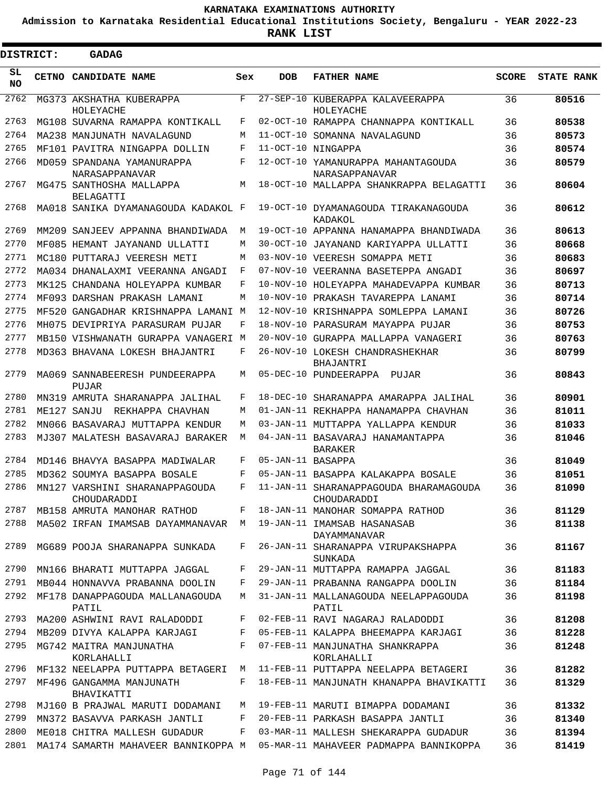**Admission to Karnataka Residential Educational Institutions Society, Bengaluru - YEAR 2022-23**

ı

| <b>DISTRICT:</b> |       | <b>GADAG</b>                                  |     |                   |                                                       |              |                   |
|------------------|-------|-----------------------------------------------|-----|-------------------|-------------------------------------------------------|--------------|-------------------|
| SL<br><b>NO</b>  | CETNO | <b>CANDIDATE NAME</b>                         | Sex | DOB               | <b>FATHER NAME</b>                                    | <b>SCORE</b> | <b>STATE RANK</b> |
| 2762             |       | MG373 AKSHATHA KUBERAPPA<br>HOLEYACHE         | F   | $27 - SEP - 10$   | KUBERAPPA KALAVEERAPPA<br>HOLEYACHE                   | 36           | 80516             |
| 2763             |       | MG108 SUVARNA RAMAPPA KONTIKALL               | F   |                   | 02-OCT-10 RAMAPPA CHANNAPPA KONTIKALL                 | 36           | 80538             |
| 2764             |       | MA238 MANJUNATH NAVALAGUND                    | М   | $11 - OCT - 10$   | SOMANNA NAVALAGUND                                    | 36           | 80573             |
| 2765             |       | MF101 PAVITRA NINGAPPA DOLLIN                 | F   |                   | 11-OCT-10 NINGAPPA                                    | 36           | 80574             |
| 2766             |       | MD059 SPANDANA YAMANURAPPA<br>NARASAPPANAVAR  | F   |                   | 12-OCT-10 YAMANURAPPA MAHANTAGOUDA<br>NARASAPPANAVAR  | 36           | 80579             |
| 2767             |       | MG475 SANTHOSHA MALLAPPA<br><b>BELAGATTI</b>  | М   |                   | 18-OCT-10 MALLAPPA SHANKRAPPA BELAGATTI               | 36           | 80604             |
| 2768             |       | MA018 SANIKA DYAMANAGOUDA KADAKOL F           |     |                   | 19-OCT-10 DYAMANAGOUDA TIRAKANAGOUDA<br>KADAKOL       | 36           | 80612             |
| 2769             |       | MM209 SANJEEV APPANNA BHANDIWADA              | М   |                   | 19-OCT-10 APPANNA HANAMAPPA BHANDIWADA                | 36           | 80613             |
| 2770             |       | MF085 HEMANT JAYANAND ULLATTI                 | М   |                   | 30-OCT-10 JAYANAND KARIYAPPA ULLATTI                  | 36           | 80668             |
| 2771             |       | MC180 PUTTARAJ VEERESH METI                   | М   |                   | 03-NOV-10 VEERESH SOMAPPA METI                        | 36           | 80683             |
| 2772             |       | MA034 DHANALAXMI VEERANNA ANGADI              | F   |                   | 07-NOV-10 VEERANNA BASETEPPA ANGADI                   | 36           | 80697             |
| 2773             |       | MK125 CHANDANA HOLEYAPPA KUMBAR               | F   |                   | 10-NOV-10 HOLEYAPPA MAHADEVAPPA KUMBAR                | 36           | 80713             |
| 2774             |       | MF093 DARSHAN PRAKASH LAMANI                  | М   |                   | 10-NOV-10 PRAKASH TAVAREPPA LANAMI                    | 36           | 80714             |
| 2775             |       | MF520 GANGADHAR KRISHNAPPA LAMANI M           |     | $12 - NOV - 10$   | KRISHNAPPA SOMLEPPA LAMANI                            | 36           | 80726             |
| 2776             |       | MH075 DEVIPRIYA PARASURAM PUJAR               | F   |                   | 18-NOV-10 PARASURAM MAYAPPA PUJAR                     | 36           | 80753             |
| 2777             |       | MB150 VISHWANATH GURAPPA VANAGERI M           |     | 20-NOV-10         | GURAPPA MALLAPPA VANAGERI                             | 36           | 80763             |
| 2778             |       | MD363 BHAVANA LOKESH BHAJANTRI                | F   |                   | 26-NOV-10 LOKESH CHANDRASHEKHAR<br>BHAJANTRI          | 36           | 80799             |
| 2779             |       | MA069 SANNABEERESH PUNDEERAPPA<br>PUJAR       | М   |                   | 05-DEC-10 PUNDEERAPPA<br>PUJAR                        | 36           | 80843             |
| 2780             |       | MN319 AMRUTA SHARANAPPA JALIHAL               | F   | $18 - DEC - 10$   | SHARANAPPA AMARAPPA JALIHAL                           | 36           | 80901             |
| 2781             |       | ME127 SANJU<br>REKHAPPA CHAVHAN               | М   |                   | 01-JAN-11 REKHAPPA HANAMAPPA CHAVHAN                  | 36           | 81011             |
| 2782             |       | MN066 BASAVARAJ MUTTAPPA KENDUR               | М   |                   | 03-JAN-11 MUTTAPPA YALLAPPA KENDUR                    | 36           | 81033             |
| 2783             |       | MJ307 MALATESH BASAVARAJ BARAKER              | М   |                   | 04-JAN-11 BASAVARAJ HANAMANTAPPA<br><b>BARAKER</b>    | 36           | 81046             |
| 2784             |       | MD146 BHAVYA BASAPPA MADIWALAR                | F   | 05-JAN-11 BASAPPA |                                                       | 36           | 81049             |
| 2785             |       | MD362 SOUMYA BASAPPA BOSALE                   | F   |                   | 05-JAN-11 BASAPPA KALAKAPPA BOSALE                    | 36           | 81051             |
| 2786             |       | MN127 VARSHINI SHARANAPPAGOUDA<br>CHOUDARADDI | F   |                   | 11-JAN-11 SHARANAPPAGOUDA BHARAMAGOUDA<br>CHOUDARADDI | 36           | 81090             |
| 2787             |       | MB158 AMRUTA MANOHAR RATHOD                   | F   |                   | 18-JAN-11 MANOHAR SOMAPPA RATHOD                      | 36           | 81129             |
| 2788             |       | MA502 IRFAN IMAMSAB DAYAMMANAVAR M            |     |                   | 19-JAN-11 IMAMSAB HASANASAB<br>DAYAMMANAVAR           | 36           | 81138             |
| 2789             |       | MG689 POOJA SHARANAPPA SUNKADA                | F   |                   | 26-JAN-11 SHARANAPPA VIRUPAKSHAPPA<br>SUNKADA         | 36           | 81167             |
| 2790             |       | MN166 BHARATI MUTTAPPA JAGGAL                 | F   |                   | 29-JAN-11 MUTTAPPA RAMAPPA JAGGAL                     | 36           | 81183             |
| 2791             |       | MB044 HONNAVVA PRABANNA DOOLIN                | F   |                   | 29-JAN-11 PRABANNA RANGAPPA DOOLIN                    | 36           | 81184             |
| 2792             |       | MF178 DANAPPAGOUDA MALLANAGOUDA<br>PATIL      | М   |                   | 31-JAN-11 MALLANAGOUDA NEELAPPAGOUDA<br>PATIL         | 36           | 81198             |
| 2793             |       | MA200 ASHWINI RAVI RALADODDI                  | F   |                   | 02-FEB-11 RAVI NAGARAJ RALADODDI                      | 36           | 81208             |
| 2794             |       | MB209 DIVYA KALAPPA KARJAGI                   | F   |                   | 05-FEB-11 KALAPPA BHEEMAPPA KARJAGI                   | 36           | 81228             |
| 2795             |       | MG742 MAITRA MANJUNATHA<br>KORLAHALLI         | F   |                   | 07-FEB-11 MANJUNATHA SHANKRAPPA<br>KORLAHALLI         | 36           | 81248             |
| 2796             |       | MF132 NEELAPPA PUTTAPPA BETAGERI M            |     |                   | 11-FEB-11 PUTTAPPA NEELAPPA BETAGERI                  | 36           | 81282             |
| 2797             |       | MF496 GANGAMMA MANJUNATH<br>BHAVIKATTI        | F   |                   | 18-FEB-11 MANJUNATH KHANAPPA BHAVIKATTI               | 36           | 81329             |
| 2798             |       | MJ160 B PRAJWAL MARUTI DODAMANI               | М   |                   | 19-FEB-11 MARUTI BIMAPPA DODAMANI                     | 36           | 81332             |
| 2799             |       | MN372 BASAVVA PARKASH JANTLI                  | F   |                   | 20-FEB-11 PARKASH BASAPPA JANTLI                      | 36           | 81340             |
| 2800             |       | ME018 CHITRA MALLESH GUDADUR                  | F   |                   | 03-MAR-11 MALLESH SHEKARAPPA GUDADUR                  | 36           | 81394             |
| 2801             |       | MA174 SAMARTH MAHAVEER BANNIKOPPA M           |     |                   | 05-MAR-11 MAHAVEER PADMAPPA BANNIKOPPA                | 36           | 81419             |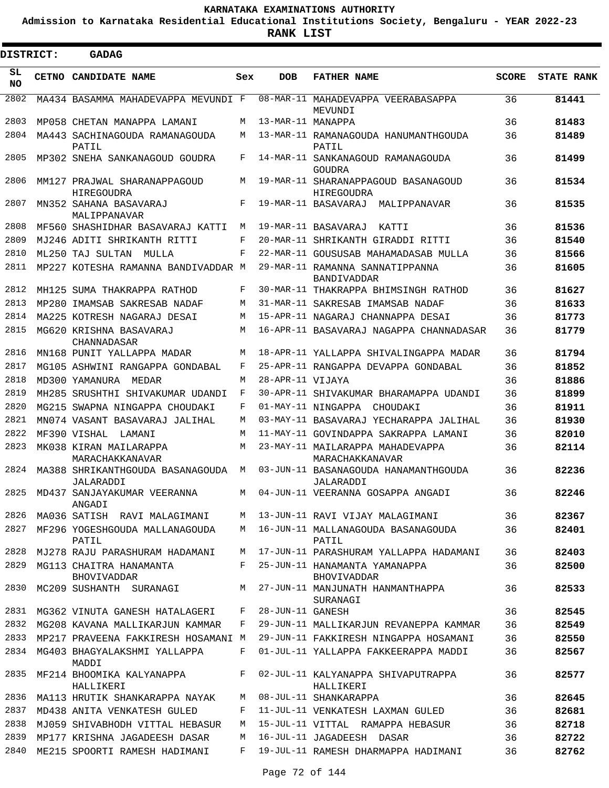**Admission to Karnataka Residential Educational Institutions Society, Bengaluru - YEAR 2022-23**

 $\blacksquare$ 

**RANK LIST**

| DISTRICT: | <b>GADAG</b>                                    |     |                   |                                                       |              |                   |
|-----------|-------------------------------------------------|-----|-------------------|-------------------------------------------------------|--------------|-------------------|
| SL<br>NO. | CETNO CANDIDATE NAME                            | Sex | <b>DOB</b>        | <b>FATHER NAME</b>                                    | <b>SCORE</b> | <b>STATE RANK</b> |
| 2802      | MA434 BASAMMA MAHADEVAPPA MEVUNDI F             |     |                   | 08-MAR-11 MAHADEVAPPA VEERABASAPPA<br>MEVUNDI         | 36           | 81441             |
| 2803      | MP058 CHETAN MANAPPA LAMANI                     | M   | 13-MAR-11 MANAPPA |                                                       | 36           | 81483             |
| 2804      | MA443 SACHINAGOUDA RAMANAGOUDA<br>PATIL         | M   |                   | 13-MAR-11 RAMANAGOUDA HANUMANTHGOUDA<br>PATIL         | 36           | 81489             |
| 2805      | MP302 SNEHA SANKANAGOUD GOUDRA                  | F   |                   | 14-MAR-11 SANKANAGOUD RAMANAGOUDA<br>GOUDRA           | 36           | 81499             |
| 2806      | MM127 PRAJWAL SHARANAPPAGOUD<br>HIREGOUDRA      | M   |                   | 19-MAR-11 SHARANAPPAGOUD BASANAGOUD<br>HIREGOUDRA     | 36           | 81534             |
| 2807      | MN352 SAHANA BASAVARAJ<br>MALIPPANAVAR          | F   |                   | 19-MAR-11 BASAVARAJ MALIPPANAVAR                      | 36           | 81535             |
| 2808      | MF560 SHASHIDHAR BASAVARAJ KATTI                | M   |                   | 19-MAR-11 BASAVARAJ<br>KATTI                          | 36           | 81536             |
| 2809      | MJ246 ADITI SHRIKANTH RITTI                     | F   |                   | 20-MAR-11 SHRIKANTH GIRADDI RITTI                     | 36           | 81540             |
| 2810      | ML250 TAJ SULTAN<br>MULLA                       | F   |                   | 22-MAR-11 GOUSUSAB MAHAMADASAB MULLA                  | 36           | 81566             |
| 2811      | MP227 KOTESHA RAMANNA BANDIVADDAR M             |     |                   | 29-MAR-11 RAMANNA SANNATIPPANNA<br><b>BANDIVADDAR</b> | 36           | 81605             |
| 2812      | MH125 SUMA THAKRAPPA RATHOD                     | F   |                   | 30-MAR-11 THAKRAPPA BHIMSINGH RATHOD                  | 36           | 81627             |
| 2813      | MP280 IMAMSAB SAKRESAB NADAF                    | M   |                   | 31-MAR-11 SAKRESAB IMAMSAB NADAF                      | 36           | 81633             |
| 2814      | MA225 KOTRESH NAGARAJ DESAI                     | M   |                   | 15-APR-11 NAGARAJ CHANNAPPA DESAI                     | 36           | 81773             |
| 2815      | MG620 KRISHNA BASAVARAJ<br>CHANNADASAR          | М   |                   | 16-APR-11 BASAVARAJ NAGAPPA CHANNADASAR               | 36           | 81779             |
| 2816      | MN168 PUNIT YALLAPPA MADAR                      | М   |                   | 18-APR-11 YALLAPPA SHIVALINGAPPA MADAR                | 36           | 81794             |
| 2817      | MG105 ASHWINI RANGAPPA GONDABAL                 | F   |                   | 25-APR-11 RANGAPPA DEVAPPA GONDABAL                   | 36           | 81852             |
| 2818      | MD300 YAMANURA MEDAR                            | M   | 28-APR-11 VIJAYA  |                                                       | 36           | 81886             |
| 2819      | MH285 SRUSHTHI SHIVAKUMAR UDANDI                | F   |                   | 30-APR-11 SHIVAKUMAR BHARAMAPPA UDANDI                | 36           | 81899             |
| 2820      | MG215 SWAPNA NINGAPPA CHOUDAKI                  | F   |                   | 01-MAY-11 NINGAPPA CHOUDAKI                           | 36           | 81911             |
| 2821      | MN074 VASANT BASAVARAJ JALIHAL                  | М   |                   | 03-MAY-11 BASAVARAJ YECHARAPPA JALIHAL                | 36           | 81930             |
| 2822      | MF390 VISHAL LAMANI                             | М   |                   | 11-MAY-11 GOVINDAPPA SAKRAPPA LAMANI                  | 36           | 82010             |
| 2823      | MK038 KIRAN MAILARAPPA<br>MARACHAKKANAVAR       | М   |                   | 23-MAY-11 MAILARAPPA MAHADEVAPPA<br>MARACHAKKANAVAR   | 36           | 82114             |
| 2824      | MA388 SHRIKANTHGOUDA BASANAGOUDA M<br>JALARADDI |     |                   | 03-JUN-11 BASANAGOUDA HANAMANTHGOUDA<br>JALARADDI     | 36           | 82236             |
|           | 2825 MD437 SANJAYAKUMAR VEERANNA<br>ANGADI      |     |                   | M 04-JUN-11 VEERANNA GOSAPPA ANGADI                   | 36           | 82246             |
| 2826      | MA036 SATISH RAVI MALAGIMANI                    | M   |                   | 13-JUN-11 RAVI VIJAY MALAGIMANI                       | 36           | 82367             |
| 2827      | MF296 YOGESHGOUDA MALLANAGOUDA<br>PATIL         | M   |                   | 16-JUN-11 MALLANAGOUDA BASANAGOUDA<br>PATIL           | 36           | 82401             |
| 2828      | MJ278 RAJU PARASHURAM HADAMANI                  | M   |                   | 17-JUN-11 PARASHURAM YALLAPPA HADAMANI                | 36           | 82403             |
| 2829      | MG113 CHAITRA HANAMANTA<br>BHOVIVADDAR          | F   |                   | 25-JUN-11 HANAMANTA YAMANAPPA<br>BHOVIVADDAR          | 36           | 82500             |
| 2830      | MC209 SUSHANTH SURANAGI                         | M   |                   | 27-JUN-11 MANJUNATH HANMANTHAPPA<br>SURANAGI          | 36           | 82533             |
| 2831      | MG362 VINUTA GANESH HATALAGERI                  | F   | 28-JUN-11 GANESH  |                                                       | 36           | 82545             |
| 2832      | MG208 KAVANA MALLIKARJUN KAMMAR                 | F   |                   | 29-JUN-11 MALLIKARJUN REVANEPPA KAMMAR                | 36           | 82549             |
| 2833      | MP217 PRAVEENA FAKKIRESH HOSAMANI M             |     |                   | 29-JUN-11 FAKKIRESH NINGAPPA HOSAMANI                 | 36           | 82550             |
| 2834      | MG403 BHAGYALAKSHMI YALLAPPA<br>MADDI           | F   |                   | 01-JUL-11 YALLAPPA FAKKEERAPPA MADDI                  | 36           | 82567             |
| 2835      | MF214 BHOOMIKA KALYANAPPA<br>HALLIKERI          | F   |                   | 02-JUL-11 KALYANAPPA SHIVAPUTRAPPA<br>HALLIKERI       | 36           | 82577             |
| 2836      | MA113 HRUTIK SHANKARAPPA NAYAK                  | М   |                   | 08-JUL-11 SHANKARAPPA                                 | 36           | 82645             |
| 2837      | MD438 ANITA VENKATESH GULED                     | F   |                   | 11-JUL-11 VENKATESH LAXMAN GULED                      | 36           | 82681             |
| 2838      | MJ059 SHIVABHODH VITTAL HEBASUR                 | М   |                   | 15-JUL-11 VITTAL RAMAPPA HEBASUR                      | 36           | 82718             |
| 2839      | MP177 KRISHNA JAGADEESH DASAR                   | M   |                   | 16-JUL-11 JAGADEESH DASAR                             | 36           | 82722             |
| 2840      | ME215 SPOORTI RAMESH HADIMANI                   | F   |                   | 19-JUL-11 RAMESH DHARMAPPA HADIMANI                   | 36           | 82762             |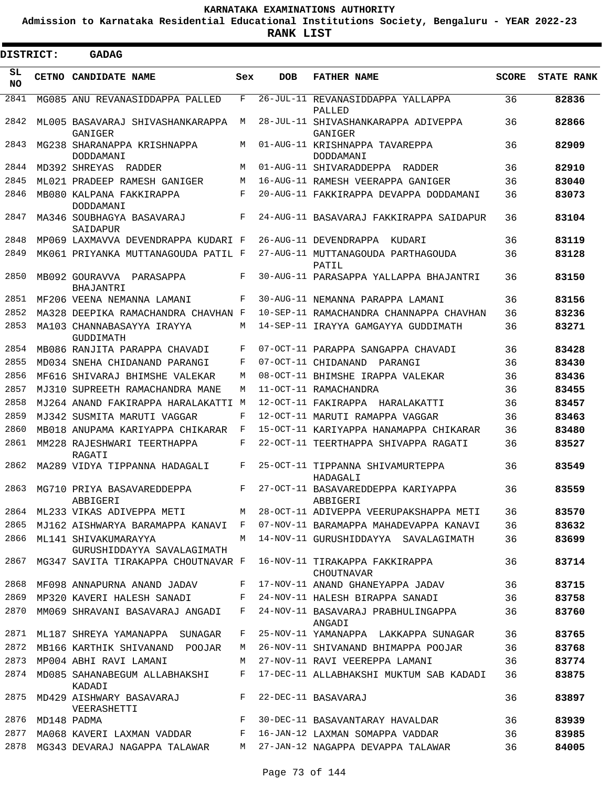**Admission to Karnataka Residential Educational Institutions Society, Bengaluru - YEAR 2022-23**

 $\blacksquare$ 

**RANK LIST**

| <b>DISTRICT:</b> |       | <b>GADAG</b>                                       |              |            |                                                |              |                   |
|------------------|-------|----------------------------------------------------|--------------|------------|------------------------------------------------|--------------|-------------------|
| SL<br>NO.        | CETNO | <b>CANDIDATE NAME</b>                              | Sex          | <b>DOB</b> | <b>FATHER NAME</b>                             | <b>SCORE</b> | <b>STATE RANK</b> |
| 2841             |       | MG085 ANU REVANASIDDAPPA PALLED                    | F            |            | 26-JUL-11 REVANASIDDAPPA YALLAPPA<br>PALLED    | 36           | 82836             |
| 2842             |       | ML005 BASAVARAJ SHIVASHANKARAPPA<br>GANIGER        | М            |            | 28-JUL-11 SHIVASHANKARAPPA ADIVEPPA<br>GANIGER | 36           | 82866             |
| 2843             |       | MG238 SHARANAPPA KRISHNAPPA<br>DODDAMANI           | М            |            | 01-AUG-11 KRISHNAPPA TAVAREPPA<br>DODDAMANI    | 36           | 82909             |
| 2844             |       | MD392 SHREYAS<br>RADDER                            | M            |            | 01-AUG-11 SHIVARADDEPPA RADDER                 | 36           | 82910             |
| 2845             |       | ML021 PRADEEP RAMESH GANIGER                       | М            |            | 16-AUG-11 RAMESH VEERAPPA GANIGER              | 36           | 83040             |
| 2846             |       | MB080 KALPANA FAKKIRAPPA<br>DODDAMANI              | F            |            | 20-AUG-11 FAKKIRAPPA DEVAPPA DODDAMANI         | 36           | 83073             |
| 2847             |       | MA346 SOUBHAGYA BASAVARAJ<br>SAIDAPUR              | F            |            | 24-AUG-11 BASAVARAJ FAKKIRAPPA SAIDAPUR        | 36           | 83104             |
| 2848             |       | MP069 LAXMAVVA DEVENDRAPPA KUDARI F                |              |            | 26-AUG-11 DEVENDRAPPA<br>KUDARI                | 36           | 83119             |
| 2849             |       | MK061 PRIYANKA MUTTANAGOUDA PATIL F                |              |            | 27-AUG-11 MUTTANAGOUDA PARTHAGOUDA<br>PATIL    | 36           | 83128             |
| 2850             |       | MB092 GOURAVVA<br>PARASAPPA<br>BHAJANTRI           | F            |            | 30-AUG-11 PARASAPPA YALLAPPA BHAJANTRI         | 36           | 83150             |
| 2851             |       | MF206 VEENA NEMANNA LAMANI                         | F            |            | 30-AUG-11 NEMANNA PARAPPA LAMANI               | 36           | 83156             |
| 2852             |       | MA328 DEEPIKA RAMACHANDRA CHAVHAN F                |              |            | 10-SEP-11 RAMACHANDRA CHANNAPPA CHAVHAN        | 36           | 83236             |
| 2853             |       | MA103 CHANNABASAYYA IRAYYA<br>GUDDIMATH            | М            |            | 14-SEP-11 IRAYYA GAMGAYYA GUDDIMATH            | 36           | 83271             |
| 2854             |       | MB086 RANJITA PARAPPA CHAVADI                      | F            |            | 07-OCT-11 PARAPPA SANGAPPA CHAVADI             | 36           | 83428             |
| 2855             |       | MD034 SNEHA CHIDANAND PARANGI                      | F            |            | 07-OCT-11 CHIDANAND<br>PARANGI                 | 36           | 83430             |
| 2856             |       | MF616 SHIVARAJ BHIMSHE VALEKAR                     | M            |            | 08-OCT-11 BHIMSHE IRAPPA VALEKAR               | 36           | 83436             |
| 2857             |       | MJ310 SUPREETH RAMACHANDRA MANE                    | М            |            | 11-OCT-11 RAMACHANDRA                          | 36           | 83455             |
| 2858             |       | MJ264 ANAND FAKIRAPPA HARALAKATTI M                |              |            | 12-OCT-11 FAKIRAPPA HARALAKATTI                | 36           | 83457             |
| 2859             |       | MJ342 SUSMITA MARUTI VAGGAR                        | F            |            | 12-OCT-11 MARUTI RAMAPPA VAGGAR                | 36           | 83463             |
| 2860             |       | MB018 ANUPAMA KARIYAPPA CHIKARAR                   | F            |            | 15-OCT-11 KARIYAPPA HANAMAPPA CHIKARAR         | 36           | 83480             |
| 2861             |       | MM228 RAJESHWARI TEERTHAPPA<br>RAGATI              | F            |            | 22-OCT-11 TEERTHAPPA SHIVAPPA RAGATI           | 36           | 83527             |
| 2862             |       | MA289 VIDYA TIPPANNA HADAGALI                      | F            |            | 25-OCT-11 TIPPANNA SHIVAMURTEPPA<br>HADAGALI   | 36           | 83549             |
| 2863             |       | MG710 PRIYA BASAVAREDDEPPA<br>ABBIGERI             | F            |            | 27-OCT-11 BASAVAREDDEPPA KARIYAPPA<br>ABBIGERI | 36           | 83559             |
| 2864             |       | ML233 VIKAS ADIVEPPA METI                          | M            |            | 28-OCT-11 ADIVEPPA VEERUPAKSHAPPA METI         | 36           | 83570             |
| 2865             |       | MJ162 AISHWARYA BARAMAPPA KANAVI                   | $\mathbf{F}$ |            | 07-NOV-11 BARAMAPPA MAHADEVAPPA KANAVI         | 36           | 83632             |
| 2866             |       | ML141 SHIVAKUMARAYYA<br>GURUSHIDDAYYA SAVALAGIMATH | M            |            | 14-NOV-11 GURUSHIDDAYYA SAVALAGIMATH           | 36           | 83699             |
| 2867             |       | MG347 SAVITA TIRAKAPPA CHOUTNAVAR F                |              |            | 16-NOV-11 TIRAKAPPA FAKKIRAPPA<br>CHOUTNAVAR   | 36           | 83714             |
| 2868             |       | MF098 ANNAPURNA ANAND JADAV                        | F            |            | 17-NOV-11 ANAND GHANEYAPPA JADAV               | 36           | 83715             |
| 2869             |       | MP320 KAVERI HALESH SANADI                         | F            |            | 24-NOV-11 HALESH BIRAPPA SANADI                | 36           | 83758             |
| 2870             |       | MM069 SHRAVANI BASAVARAJ ANGADI                    | F            |            | 24-NOV-11 BASAVARAJ PRABHULINGAPPA<br>ANGADI   | 36           | 83760             |
| 2871             |       | ML187 SHREYA YAMANAPPA SUNAGAR                     | F            |            | 25-NOV-11 YAMANAPPA LAKKAPPA SUNAGAR           | 36           | 83765             |
| 2872             |       | MB166 KARTHIK SHIVANAND POOJAR                     | М            |            | 26-NOV-11 SHIVANAND BHIMAPPA POOJAR            | 36           | 83768             |
| 2873             |       | MP004 ABHI RAVI LAMANI                             | M            |            | 27-NOV-11 RAVI VEEREPPA LAMANI                 | 36           | 83774             |
| 2874             |       | MD085 SAHANABEGUM ALLABHAKSHI<br>KADADI            | F            |            | 17-DEC-11 ALLABHAKSHI MUKTUM SAB KADADI        | 36           | 83875             |
| 2875             |       | MD429 AISHWARY BASAVARAJ<br>VEERASHETTI            | F            |            | 22-DEC-11 BASAVARAJ                            | 36           | 83897             |
| 2876             |       | MD148 PADMA                                        | F            |            | 30-DEC-11 BASAVANTARAY HAVALDAR                | 36           | 83939             |
| 2877             |       | MA068 KAVERI LAXMAN VADDAR                         | F            |            | 16-JAN-12 LAXMAN SOMAPPA VADDAR                | 36           | 83985             |
| 2878             |       | MG343 DEVARAJ NAGAPPA TALAWAR                      | M            |            | 27-JAN-12 NAGAPPA DEVAPPA TALAWAR              | 36           | 84005             |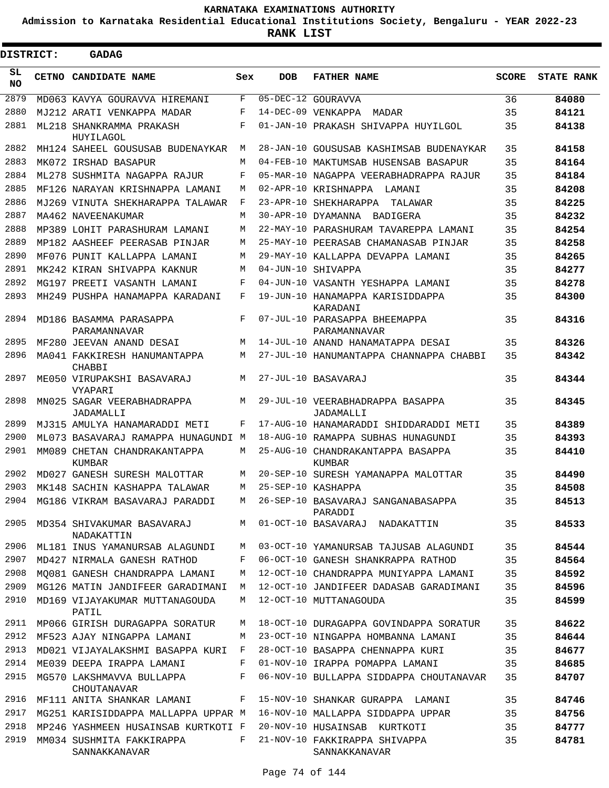**Admission to Karnataka Residential Educational Institutions Society, Bengaluru - YEAR 2022-23**

 $\blacksquare$ 

**RANK LIST**

| DISTRICT:  | <b>GADAG</b>                                    |     |            |                                                |              |                   |
|------------|-------------------------------------------------|-----|------------|------------------------------------------------|--------------|-------------------|
| SL.<br>NO. | CETNO CANDIDATE NAME                            | Sex | <b>DOB</b> | <b>FATHER NAME</b>                             | <b>SCORE</b> | <b>STATE RANK</b> |
| 2879       | MD063 KAVYA GOURAVVA HIREMANI                   | F   |            | 05-DEC-12 GOURAVVA                             | 36           | 84080             |
| 2880       | MJ212 ARATI VENKAPPA MADAR                      | F   |            | 14-DEC-09 VENKAPPA<br>MADAR                    | 35           | 84121             |
| 2881       | ML218 SHANKRAMMA PRAKASH<br>HUYILAGOL           | F   |            | 01-JAN-10 PRAKASH SHIVAPPA HUYILGOL            | 35           | 84138             |
| 2882       | MH124 SAHEEL GOUSUSAB BUDENAYKAR                | М   |            | 28-JAN-10 GOUSUSAB KASHIMSAB BUDENAYKAR        | 35           | 84158             |
| 2883       | MK072 TRSHAD BASAPUR                            | М   |            | 04-FEB-10 MAKTUMSAB HUSENSAB BASAPUR           | 35           | 84164             |
| 2884       | ML278 SUSHMITA NAGAPPA RAJUR                    | F   |            | 05-MAR-10 NAGAPPA VEERABHADRAPPA RAJUR         | 35           | 84184             |
| 2885       | MF126 NARAYAN KRISHNAPPA LAMANI                 | М   |            | 02-APR-10 KRISHNAPPA<br>LAMANI                 | 35           | 84208             |
| 2886       | MJ269 VINUTA SHEKHARAPPA TALAWAR                | F   | 23-APR-10  | SHEKHARAPPA<br>TALAWAR                         | 35           | 84225             |
| 2887       | MA462 NAVEENAKUMAR                              | М   |            | 30-APR-10 DYAMANNA<br>BADIGERA                 | 35           | 84232             |
| 2888       | MP389 LOHIT PARASHURAM LAMANI                   | М   |            | 22-MAY-10 PARASHURAM TAVAREPPA LAMANI          | 35           | 84254             |
| 2889       | MP182 AASHEEF PEERASAB PINJAR                   | М   |            | 25-MAY-10 PEERASAB CHAMANASAB PINJAR           | 35           | 84258             |
| 2890       | MF076 PUNIT KALLAPPA LAMANI                     | М   |            | 29-MAY-10 KALLAPPA DEVAPPA LAMANI              | 35           | 84265             |
| 2891       | MK242 KIRAN SHIVAPPA KAKNUR                     | М   |            | 04-JUN-10 SHIVAPPA                             | 35           | 84277             |
| 2892       | MG197 PREETI VASANTH LAMANI                     | F   |            | 04-JUN-10 VASANTH YESHAPPA LAMANI              | 35           | 84278             |
| 2893       | MH249 PUSHPA HANAMAPPA KARADANI                 | F   |            | 19-JUN-10 HANAMAPPA KARISIDDAPPA<br>KARADANI   | 35           | 84300             |
| 2894       | MD186 BASAMMA PARASAPPA<br>PARAMANNAVAR         | F   |            | 07-JUL-10 PARASAPPA BHEEMAPPA<br>PARAMANNAVAR  | 35           | 84316             |
| 2895       | MF280 JEEVAN ANAND DESAI                        | M   |            | 14-JUL-10 ANAND HANAMATAPPA DESAI              | 35           | 84326             |
| 2896       | MA041 FAKKIRESH HANUMANTAPPA<br>CHABBI          | М   |            | 27-JUL-10 HANUMANTAPPA CHANNAPPA CHABBI        | 35           | 84342             |
| 2897       | ME050 VIRUPAKSHI BASAVARAJ<br><b>VYAPARI</b>    | M   |            | 27-JUL-10 BASAVARAJ                            | 35           | 84344             |
| 2898       | MN025 SAGAR VEERABHADRAPPA<br>JADAMALLI         | M   |            | 29-JUL-10 VEERABHADRAPPA BASAPPA<br>JADAMALLI  | 35           | 84345             |
| 2899       | MJ315 AMULYA HANAMARADDI METI                   | F   |            | 17-AUG-10 HANAMARADDI SHIDDARADDI METI         | 35           | 84389             |
| 2900       | ML073 BASAVARAJ RAMAPPA HUNAGUNDI M             |     |            | 18-AUG-10 RAMAPPA SUBHAS HUNAGUNDI             | 35           | 84393             |
| 2901       | MM089 CHETAN CHANDRAKANTAPPA<br>KUMBAR          | М   |            | 25-AUG-10 CHANDRAKANTAPPA BASAPPA<br>KUMBAR    | 35           | 84410             |
| 2902       | MD027 GANESH SURESH MALOTTAR                    | М   |            | 20-SEP-10 SURESH YAMANAPPA MALOTTAR            | 35           | 84490             |
| 2903       | MK148 SACHIN KASHAPPA TALAWAR                   | М   |            | 25-SEP-10 KASHAPPA                             | 35           | 84508             |
| 2904       | MG186 VIKRAM BASAVARAJ PARADDI                  | M   |            | 26-SEP-10 BASAVARAJ SANGANABASAPPA<br>PARADDI  | 35           | 84513             |
| 2905       | MD354 SHIVAKUMAR BASAVARAJ<br>NADAKATTIN        | M   |            | 01-OCT-10 BASAVARAJ NADAKATTIN                 | 35           | 84533             |
| 2906       | ML181 INUS YAMANURSAB ALAGUNDI                  | М   |            | 03-OCT-10 YAMANURSAB TAJUSAB ALAGUNDI          | 35           | 84544             |
| 2907       | MD427 NIRMALA GANESH RATHOD                     | F   |            | 06-OCT-10 GANESH SHANKRAPPA RATHOD             | 35           | 84564             |
| 2908       | MO081 GANESH CHANDRAPPA LAMANI                  | М   |            | 12-OCT-10 CHANDRAPPA MUNIYAPPA LAMANI          | 35           | 84592             |
| 2909       | MG126 MATIN JANDIFEER GARADIMANI                | М   |            | 12-OCT-10 JANDIFEER DADASAB GARADIMANI         | 35           | 84596             |
| 2910       | MD169 VIJAYAKUMAR MUTTANAGOUDA<br>PATIL         | M   |            | 12-OCT-10 MUTTANAGOUDA                         | 35           | 84599             |
| 2911       | MP066 GIRISH DURAGAPPA SORATUR                  | М   |            | 18-OCT-10 DURAGAPPA GOVINDAPPA SORATUR         | 35           | 84622             |
| 2912       | MF523 AJAY NINGAPPA LAMANI                      | М   |            | 23-OCT-10 NINGAPPA HOMBANNA LAMANI             | 35           | 84644             |
| 2913       | MD021 VIJAYALAKSHMI BASAPPA KURI                | F   |            | 28-OCT-10 BASAPPA CHENNAPPA KURI               | 35           | 84677             |
| 2914       | ME039 DEEPA IRAPPA LAMANI                       | F   |            | 01-NOV-10 IRAPPA POMAPPA LAMANI                | 35           | 84685             |
| 2915       | MG570 LAKSHMAVVA BULLAPPA<br><b>CHOUTANAVAR</b> | F   |            | 06-NOV-10 BULLAPPA SIDDAPPA CHOUTANAVAR        | 35           | 84707             |
| 2916       | MF111 ANITA SHANKAR LAMANI                      | F   |            | 15-NOV-10 SHANKAR GURAPPA LAMANI               | 35           | 84746             |
| 2917       | MG251 KARISIDDAPPA MALLAPPA UPPAR M             |     |            | 16-NOV-10 MALLAPPA SIDDAPPA UPPAR              | 35           | 84756             |
| 2918       | MP246 YASHMEEN HUSAINSAB KURTKOTI F             |     |            | 20-NOV-10 HUSAINSAB KURTKOTI                   | 35           | 84777             |
| 2919       | MM034 SUSHMITA FAKKIRAPPA<br>SANNAKKANAVAR      | F   |            | 21-NOV-10 FAKKIRAPPA SHIVAPPA<br>SANNAKKANAVAR | 35           | 84781             |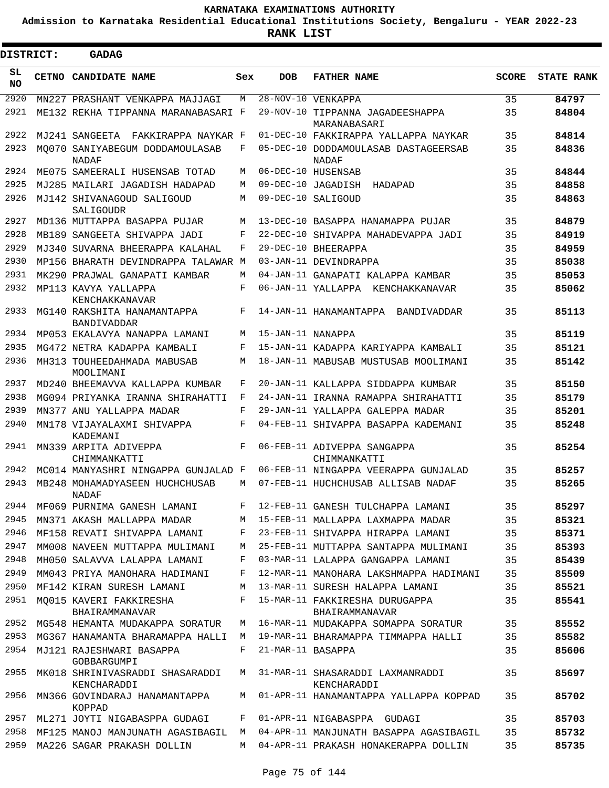**Admission to Karnataka Residential Educational Institutions Society, Bengaluru - YEAR 2022-23**

 $\blacksquare$ 

**RANK LIST**

Е

| <b>DISTRICT:</b> | <b>GADAG</b>                                   |     |                    |                                                  |              |                   |
|------------------|------------------------------------------------|-----|--------------------|--------------------------------------------------|--------------|-------------------|
| SL<br>NO         | CETNO CANDIDATE NAME                           | Sex | <b>DOB</b>         | <b>FATHER NAME</b>                               | <b>SCORE</b> | <b>STATE RANK</b> |
| 2920             | MN227 PRASHANT VENKAPPA MAJJAGI                | M   |                    | 28-NOV-10 VENKAPPA                               | 35           | 84797             |
| 2921             | ME132 REKHA TIPPANNA MARANABASARI F            |     |                    | 29-NOV-10 TIPPANNA JAGADEESHAPPA<br>MARANABASARI | 35           | 84804             |
| 2922             | MJ241 SANGEETA<br>FAKKIRAPPA NAYKAR F          |     |                    | 01-DEC-10 FAKKIRAPPA YALLAPPA NAYKAR             | 35           | 84814             |
| 2923             | MO070 SANIYABEGUM DODDAMOULASAB<br>NADAF       | F   |                    | 05-DEC-10 DODDAMOULASAB DASTAGEERSAB<br>NADAF    | 35           | 84836             |
| 2924             | ME075 SAMEERALI HUSENSAB TOTAD                 | М   |                    | 06-DEC-10 HUSENSAB                               | 35           | 84844             |
| 2925             | MJ285 MAILARI JAGADISH HADAPAD                 | М   |                    | 09-DEC-10 JAGADISH<br>HADAPAD                    | 35           | 84858             |
| 2926             | MJ142 SHIVANAGOUD SALIGOUD<br>SALIGOUDR        | М   | 09-DEC-10 SALIGOUD |                                                  | 35           | 84863             |
| 2927             | MD136 MUTTAPPA BASAPPA PUJAR                   | M   |                    | 13-DEC-10 BASAPPA HANAMAPPA PUJAR                | 35           | 84879             |
| 2928             | MB189 SANGEETA SHIVAPPA JADI                   | F   |                    | 22-DEC-10 SHIVAPPA MAHADEVAPPA JADI              | 35           | 84919             |
| 2929             | MJ340 SUVARNA BHEERAPPA KALAHAL                | F   |                    | 29-DEC-10 BHEERAPPA                              | 35           | 84959             |
| 2930             | MP156 BHARATH DEVINDRAPPA TALAWAR M            |     |                    | 03-JAN-11 DEVINDRAPPA                            | 35           | 85038             |
| 2931             | MK290 PRAJWAL GANAPATI KAMBAR                  | М   |                    | 04-JAN-11 GANAPATI KALAPPA KAMBAR                | 35           | 85053             |
| 2932             | MP113 KAVYA YALLAPPA<br>KENCHAKKANAVAR         | F   |                    | 06-JAN-11 YALLAPPA KENCHAKKANAVAR                | 35           | 85062             |
| 2933             | MG140 RAKSHITA HANAMANTAPPA<br>BANDIVADDAR     | F   |                    | 14-JAN-11 HANAMANTAPPA<br>BANDIVADDAR            | 35           | 85113             |
| 2934             | MP053 EKALAVYA NANAPPA LAMANI                  | M   | 15-JAN-11 NANAPPA  |                                                  | 35           | 85119             |
| 2935             | MG472 NETRA KADAPPA KAMBALI                    | F   |                    | 15-JAN-11 KADAPPA KARIYAPPA KAMBALI              | 35           | 85121             |
| 2936             | MH313 TOUHEEDAHMADA MABUSAB<br>MOOLIMANI       | M   |                    | 18-JAN-11 MABUSAB MUSTUSAB MOOLIMANI             | 35           | 85142             |
| 2937             | MD240 BHEEMAVVA KALLAPPA KUMBAR                | F   |                    | 20-JAN-11 KALLAPPA SIDDAPPA KUMBAR               | 35           | 85150             |
| 2938             | MG094 PRIYANKA IRANNA SHIRAHATTI               | F   |                    | 24-JAN-11 IRANNA RAMAPPA SHIRAHATTI              | 35           | 85179             |
| 2939             | MN377 ANU YALLAPPA MADAR                       | F   |                    | 29-JAN-11 YALLAPPA GALEPPA MADAR                 | 35           | 85201             |
| 2940             | MN178 VIJAYALAXMI SHIVAPPA<br>KADEMANI         | F   |                    | 04-FEB-11 SHIVAPPA BASAPPA KADEMANI              | 35           | 85248             |
| 2941             | MN339 ARPITA ADIVEPPA<br>CHIMMANKATTI          | F   |                    | 06-FEB-11 ADIVEPPA SANGAPPA<br>CHIMMANKATTI      | 35           | 85254             |
| 2942             | MC014 MANYASHRI NINGAPPA GUNJALAD F            |     |                    | 06-FEB-11 NINGAPPA VEERAPPA GUNJALAD             | 35           | 85257             |
| 2943             | MB248 MOHAMADYASEEN HUCHCHUSAB<br>NADAF        | М   |                    | 07-FEB-11 HUCHCHUSAB ALLISAB NADAF               | 35           | 85265             |
| 2944             | MF069 PURNIMA GANESH LAMANI                    | F   |                    | 12-FEB-11 GANESH TULCHAPPA LAMANI                | 35           | 85297             |
| 2945             | MN371 AKASH MALLAPPA MADAR                     | M   |                    | 15-FEB-11 MALLAPPA LAXMAPPA MADAR                | 35           | 85321             |
| 2946             | MF158 REVATI SHIVAPPA LAMANI                   | F   |                    | 23-FEB-11 SHIVAPPA HIRAPPA LAMANI                | 35           | 85371             |
| 2947             | MM008 NAVEEN MUTTAPPA MULIMANI                 | M   |                    | 25-FEB-11 MUTTAPPA SANTAPPA MULIMANI             | 35           | 85393             |
| 2948             | MH050 SALAVVA LALAPPA LAMANI                   | F   |                    | 03-MAR-11 LALAPPA GANGAPPA LAMANI                | 35           | 85439             |
| 2949             | MM043 PRIYA MANOHARA HADIMANI                  | F   |                    | 12-MAR-11 MANOHARA LAKSHMAPPA HADIMANI           | 35           | 85509             |
| 2950             | MF142 KIRAN SURESH LAMANI                      | M   |                    | 13-MAR-11 SURESH HALAPPA LAMANI                  | 35           | 85521             |
| 2951             | MQ015 KAVERI FAKKIRESHA<br>BHAIRAMMANAVAR      | F   |                    | 15-MAR-11 FAKKIRESHA DURUGAPPA<br>BHAIRAMMANAVAR | 35           | 85541             |
| 2952             | MG548 HEMANTA MUDAKAPPA SORATUR                | М   |                    | 16-MAR-11 MUDAKAPPA SOMAPPA SORATUR              | 35           | 85552             |
| 2953             | MG367 HANAMANTA BHARAMAPPA HALLI               | м   |                    | 19-MAR-11 BHARAMAPPA TIMMAPPA HALLI              | 35           | 85582             |
| 2954             | MJ121 RAJESHWARI BASAPPA<br>GOBBARGUMPI        | F   | 21-MAR-11 BASAPPA  |                                                  | 35           | 85606             |
| 2955             | MK018 SHRINIVASRADDI SHASARADDI<br>KENCHARADDI | М   |                    | 31-MAR-11 SHASARADDI LAXMANRADDI<br>KENCHARADDI  | 35           | 85697             |
| 2956             | MN366 GOVINDARAJ HANAMANTAPPA<br>KOPPAD        | M   |                    | 01-APR-11 HANAMANTAPPA YALLAPPA KOPPAD           | 35           | 85702             |
| 2957             | ML271 JOYTI NIGABASPPA GUDAGI                  | F   |                    | 01-APR-11 NIGABASPPA GUDAGI                      | 35           | 85703             |
| 2958             | MF125 MANOJ MANJUNATH AGASIBAGIL               | M   |                    | 04-APR-11 MANJUNATH BASAPPA AGASIBAGIL           | 35           | 85732             |
| 2959             | MA226 SAGAR PRAKASH DOLLIN                     | M   |                    | 04-APR-11 PRAKASH HONAKERAPPA DOLLIN             | 35           | 85735             |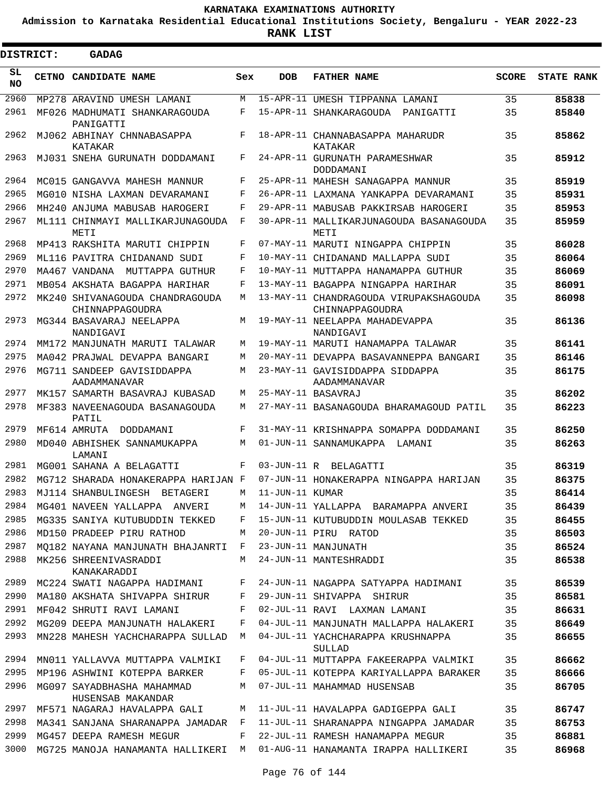**Admission to Karnataka Residential Educational Institutions Society, Bengaluru - YEAR 2022-23**

| <b>DISTRICT:</b> | <b>GADAG</b>                                       |            |                 |                                                           |              |                   |
|------------------|----------------------------------------------------|------------|-----------------|-----------------------------------------------------------|--------------|-------------------|
| SL.<br>NO.       | CETNO CANDIDATE NAME                               | Sex        | <b>DOB</b>      | <b>FATHER NAME</b>                                        | <b>SCORE</b> | <b>STATE RANK</b> |
| 2960             | MP278 ARAVIND UMESH LAMANI                         | M          |                 | 15-APR-11 UMESH TIPPANNA LAMANI                           | 35           | 85838             |
| 2961             | MF026 MADHUMATI SHANKARAGOUDA<br>PANIGATTI         | F          |                 | 15-APR-11 SHANKARAGOUDA PANIGATTI                         | 35           | 85840             |
| 2962             | MJ062 ABHINAY CHNNABASAPPA<br>KATAKAR              | F          |                 | 18-APR-11 CHANNABASAPPA MAHARUDR<br>KATAKAR               | 35           | 85862             |
| 2963             | MJ031 SNEHA GURUNATH DODDAMANI                     | F          |                 | 24-APR-11 GURUNATH PARAMESHWAR<br>DODDAMANI               | 35           | 85912             |
| 2964             | MC015 GANGAVVA MAHESH MANNUR                       | F          |                 | 25-APR-11 MAHESH SANAGAPPA MANNUR                         | 35           | 85919             |
| 2965             | MG010 NISHA LAXMAN DEVARAMANI                      | F          |                 | 26-APR-11 LAXMANA YANKAPPA DEVARAMANI                     | 35           | 85931             |
| 2966             | MH240 ANJUMA MABUSAB HAROGERI                      | F          |                 | 29-APR-11 MABUSAB PAKKIRSAB HAROGERI                      | 35           | 85953             |
| 2967             | ML111 CHINMAYI MALLIKARJUNAGOUDA<br>METI           | F          |                 | 30-APR-11 MALLIKARJUNAGOUDA BASANAGOUDA<br>METI           | 35           | 85959             |
| 2968             | MP413 RAKSHITA MARUTI CHIPPIN                      | F          |                 | 07-MAY-11 MARUTI NINGAPPA CHIPPIN                         | 35           | 86028             |
| 2969             | ML116 PAVITRA CHIDANAND SUDI                       | F          |                 | 10-MAY-11 CHIDANAND MALLAPPA SUDI                         | 35           | 86064             |
| 2970             | MA467 VANDANA<br>MUTTAPPA GUTHUR                   | $_{\rm F}$ |                 | 10-MAY-11 MUTTAPPA HANAMAPPA GUTHUR                       | 35           | 86069             |
| 2971             | MB054 AKSHATA BAGAPPA HARIHAR                      | F          |                 | 13-MAY-11 BAGAPPA NINGAPPA HARIHAR                        | 35           | 86091             |
| 2972             | MK240 SHIVANAGOUDA CHANDRAGOUDA<br>CHINNAPPAGOUDRA | M          |                 | 13-MAY-11 CHANDRAGOUDA VIRUPAKSHAGOUDA<br>CHINNAPPAGOUDRA | 35           | 86098             |
| 2973             | MG344 BASAVARAJ NEELAPPA<br>NANDIGAVI              | M          |                 | 19-MAY-11 NEELAPPA MAHADEVAPPA<br>NANDIGAVI               | 35           | 86136             |
| 2974             | MM172 MANJUNATH MARUTI TALAWAR                     | M          |                 | 19-MAY-11 MARUTI HANAMAPPA TALAWAR                        | 35           | 86141             |
| 2975             | MA042 PRAJWAL DEVAPPA BANGARI                      | M          |                 | 20-MAY-11 DEVAPPA BASAVANNEPPA BANGARI                    | 35           | 86146             |
| 2976             | MG711 SANDEEP GAVISIDDAPPA<br>AADAMMANAVAR         | M          |                 | 23-MAY-11 GAVISIDDAPPA SIDDAPPA<br>AADAMMANAVAR           | 35           | 86175             |
| 2977             | MK157 SAMARTH BASAVRAJ KUBASAD                     | M          |                 | 25-MAY-11 BASAVRAJ                                        | 35           | 86202             |
| 2978             | MF383 NAVEENAGOUDA BASANAGOUDA<br>PATIL            | M          |                 | 27-MAY-11 BASANAGOUDA BHARAMAGOUD PATIL                   | 35           | 86223             |
| 2979             | MF614 AMRUTA DODDAMANI                             | F          |                 | 31-MAY-11 KRISHNAPPA SOMAPPA DODDAMANI                    | 35           | 86250             |
| 2980             | MD040 ABHISHEK SANNAMUKAPPA<br>LAMANI              | M          |                 | 01-JUN-11 SANNAMUKAPPA<br>LAMANI                          | 35           | 86263             |
| 2981             | MG001 SAHANA A BELAGATTI                           | F          | 03-JUN-11 R     | BELAGATTI                                                 | 35           | 86319             |
| 2982             | MG712 SHARADA HONAKERAPPA HARIJAN F                |            |                 | 07-JUN-11 HONAKERAPPA NINGAPPA HARIJAN                    | 35           | 86375             |
| 2983             | MJ114 SHANBULINGESH<br>BETAGERI                    | M          | 11-JUN-11 KUMAR |                                                           | 35           | 86414             |
| 2984             | MG401 NAVEEN YALLAPPA ANVERI                       | M          |                 | 14-JUN-11 YALLAPPA BARAMAPPA ANVERI                       | 35           | 86439             |
| 2985             | MG335 SANIYA KUTUBUDDIN TEKKED                     | F          |                 | 15-JUN-11 KUTUBUDDIN MOULASAB TEKKED                      | 35           | 86455             |
| 2986             | MD150 PRADEEP PIRU RATHOD                          | M          |                 | 20-JUN-11 PIRU RATOD                                      | 35           | 86503             |
| 2987             | MQ182 NAYANA MANJUNATH BHAJANRTI                   | $-F$       |                 | 23-JUN-11 MANJUNATH                                       | 35           | 86524             |
| 2988             | MK256 SHREENIVASRADDI<br>KANAKARADDI               | M          |                 | 24-JUN-11 MANTESHRADDI                                    | 35           | 86538             |
| 2989             | MC224 SWATI NAGAPPA HADIMANI                       | F          |                 | 24-JUN-11 NAGAPPA SATYAPPA HADIMANI                       | 35           | 86539             |
| 2990             | MA180 AKSHATA SHIVAPPA SHIRUR                      | F          |                 | 29-JUN-11 SHIVAPPA SHIRUR                                 | 35           | 86581             |
| 2991             | MF042 SHRUTI RAVI LAMANI                           | F          |                 | 02-JUL-11 RAVI LAXMAN LAMANI                              | 35           | 86631             |
| 2992             | MG209 DEEPA MANJUNATH HALAKERI                     | F          |                 | 04-JUL-11 MANJUNATH MALLAPPA HALAKERI                     | 35           | 86649             |
| 2993             | MN228 MAHESH YACHCHARAPPA SULLAD                   | М          |                 | 04-JUL-11 YACHCHARAPPA KRUSHNAPPA<br>SULLAD               | 35           | 86655             |
| 2994             | MN011 YALLAVVA MUTTAPPA VALMIKI                    | F          |                 | 04-JUL-11 MUTTAPPA FAKEERAPPA VALMIKI                     | 35           | 86662             |
| 2995             | MP196 ASHWINI KOTEPPA BARKER                       | F          |                 | 05-JUL-11 KOTEPPA KARIYALLAPPA BARAKER                    | 35           | 86666             |
| 2996             | MG097 SAYADBHASHA MAHAMMAD<br>HUSENSAB MAKANDAR    | М          |                 | 07-JUL-11 MAHAMMAD HUSENSAB                               | 35           | 86705             |
| 2997             | MF571 NAGARAJ HAVALAPPA GALI                       | M          |                 | 11-JUL-11 HAVALAPPA GADIGEPPA GALI                        | 35           | 86747             |
| 2998             | MA341 SANJANA SHARANAPPA JAMADAR F                 |            |                 | 11-JUL-11 SHARANAPPA NINGAPPA JAMADAR                     | 35           | 86753             |
| 2999             | MG457 DEEPA RAMESH MEGUR                           | F          |                 | 22-JUL-11 RAMESH HANAMAPPA MEGUR                          | 35           | 86881             |
| 3000             | MG725 MANOJA HANAMANTA HALLIKERI M                 |            |                 | 01-AUG-11 HANAMANTA IRAPPA HALLIKERI                      | 35           | 86968             |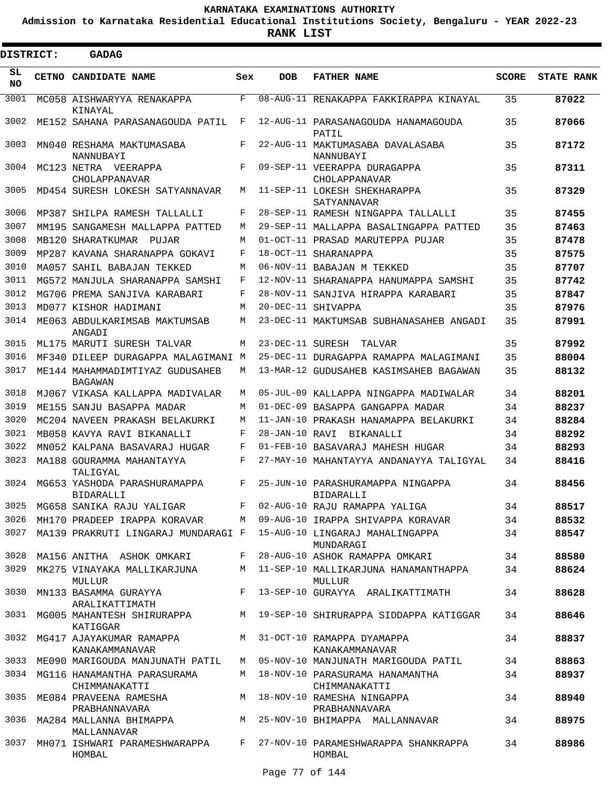**Admission to Karnataka Residential Educational Institutions Society, Bengaluru - YEAR 2022-23**

 $\blacksquare$ 

**RANK LIST**

| <b>DISTRICT:</b> | <b>GADAG</b>                                                                 |     |                  |                                                                                                      |              |                   |
|------------------|------------------------------------------------------------------------------|-----|------------------|------------------------------------------------------------------------------------------------------|--------------|-------------------|
| SL<br>NO.        | CETNO CANDIDATE NAME                                                         | Sex | <b>DOB</b>       | <b>FATHER NAME</b>                                                                                   | <b>SCORE</b> | <b>STATE RANK</b> |
| 3001             | MC058 AISHWARYYA RENAKAPPA<br>KINAYAL                                        | F   |                  | 08-AUG-11 RENAKAPPA FAKKIRAPPA KINAYAL                                                               | 35           | 87022             |
| 3002             | ME152 SAHANA PARASANAGOUDA PATIL                                             | F   |                  | 12-AUG-11 PARASANAGOUDA HANAMAGOUDA<br>PATIL                                                         | 35           | 87066             |
| 3003             | MN040 RESHAMA MAKTUMASABA<br>NANNUBAYI                                       | F   |                  | 22-AUG-11 MAKTUMASABA DAVALASABA<br>NANNUBAYI                                                        | 35           | 87172             |
| 3004             | MC123 NETRA VEERAPPA<br>CHOLAPPANAVAR                                        | F   |                  | 09-SEP-11 VEERAPPA DURAGAPPA<br>CHOLAPPANAVAR                                                        | 35           | 87311             |
| 3005             | MD454 SURESH LOKESH SATYANNAVAR                                              | М   |                  | 11-SEP-11 LOKESH SHEKHARAPPA<br>SATYANNAVAR                                                          | 35           | 87329             |
| 3006             | MP387 SHILPA RAMESH TALLALLI                                                 | F   |                  | 28-SEP-11 RAMESH NINGAPPA TALLALLI                                                                   | 35           | 87455             |
| 3007             | MM195 SANGAMESH MALLAPPA PATTED                                              | М   |                  | 29-SEP-11 MALLAPPA BASALINGAPPA PATTED                                                               | 35           | 87463             |
| 3008             | MB120 SHARATKUMAR PUJAR                                                      | M   |                  | 01-OCT-11 PRASAD MARUTEPPA PUJAR                                                                     | 35           | 87478             |
| 3009             | MP287 KAVANA SHARANAPPA GOKAVI                                               | F   |                  | 18-OCT-11 SHARANAPPA                                                                                 | 35           | 87575             |
| 3010             | MA057 SAHIL BABAJAN TEKKED                                                   | M   |                  | 06-NOV-11 BABAJAN M TEKKED                                                                           | 35           | 87707             |
| 3011             | MG572 MANJULA SHARANAPPA SAMSHI                                              | F   |                  | 12-NOV-11 SHARANAPPA HANUMAPPA SAMSHI                                                                | 35           | 87742             |
| 3012             | MG706 PREMA SANJIVA KARABARI                                                 | F   |                  | 28-NOV-11 SANJIVA HIRAPPA KARABARI                                                                   | 35           | 87847             |
| 3013             | MD077 KISHOR HADIMANI                                                        | М   |                  | 20-DEC-11 SHIVAPPA                                                                                   | 35           | 87976             |
| 3014             | ME063 ABDULKARIMSAB MAKTUMSAB<br>ANGADI                                      | М   |                  | 23-DEC-11 MAKTUMSAB SUBHANASAHEB ANGADI                                                              | 35           | 87991             |
| 3015             | ML175 MARUTI SURESH TALVAR                                                   | М   | 23-DEC-11 SURESH | TALVAR                                                                                               | 35           | 87992             |
| 3016             | MF340 DILEEP DURAGAPPA MALAGIMANI M                                          |     |                  | 25-DEC-11 DURAGAPPA RAMAPPA MALAGIMANI                                                               | 35           | 88004             |
| 3017             | ME144 MAHAMMADIMTIYAZ GUDUSAHEB<br>BAGAWAN                                   | М   |                  | 13-MAR-12 GUDUSAHEB KASIMSAHEB BAGAWAN                                                               | 35           | 88132             |
| 3018             | MJ067 VIKASA KALLAPPA MADIVALAR                                              | М   |                  | 05-JUL-09 KALLAPPA NINGAPPA MADIWALAR                                                                | 34           | 88201             |
| 3019             | ME155 SANJU BASAPPA MADAR                                                    | М   |                  | 01-DEC-09 BASAPPA GANGAPPA MADAR                                                                     | 34           | 88237             |
| 3020             | MC204 NAVEEN PRAKASH BELAKURKI                                               | М   |                  | 11-JAN-10 PRAKASH HANAMAPPA BELAKURKI                                                                | 34           | 88284             |
| 3021             | MB058 KAVYA RAVI BIKANALLI                                                   | F   | 28-JAN-10 RAVI   | BIKANALLI                                                                                            | 34           | 88292             |
| 3022             | MN052 KALPANA BASAVARAJ HUGAR                                                | F   |                  | 01-FEB-10 BASAVARAJ MAHESH HUGAR                                                                     | 34           | 88293             |
| 3023             | MA188 GOURAMMA MAHANTAYYA                                                    | F   |                  | 27-MAY-10 MAHANTAYYA ANDANAYYA TALIGYAL                                                              | 34           | 88416             |
| 3024             | TALIGYAL<br>MG653 YASHODA PARASHURAMAPPA                                     | F   |                  | 25-JUN-10 PARASHURAMAPPA NINGAPPA                                                                    | 34           | 88456             |
|                  | <b>BIDARALLI</b>                                                             |     |                  | <b>BIDARALLI</b>                                                                                     |              |                   |
|                  |                                                                              |     |                  | 3025 MG658 SANIKA RAJU YALIGAR F 02-AUG-10 RAJU RAMAPPA YALIGA                                       | 34           | 88517             |
| 3026             |                                                                              |     |                  | MH170 PRADEEP IRAPPA KORAVAR M 09-AUG-10 IRAPPA SHIVAPPA KORAVAR 34                                  |              | 88532             |
| 3027             |                                                                              |     |                  | MA139 PRAKRUTI LINGARAJ MUNDARAGI F  15-AUG-10 LINGARAJ MAHALINGAPPA<br>MUNDARAGI                    | 34           | 88547             |
| 3028             | MA156 ANITHA ASHOK OMKARI                                                    |     |                  | F 28-AUG-10 ASHOK RAMAPPA OMKARI                                                                     | 34           | 88580             |
| 3029             | MULLUR                                                                       |     |                  | MK275 VINAYAKA MALLIKARJUNA MATI-SEP-10 MALLIKARJUNA HANAMANTHAPPA<br>MULLUR                         | 34           | 88624             |
| 3030             | MN133 BASAMMA GURAYYA<br>ARALIKATTIMATH                                      |     |                  | F 13-SEP-10 GURAYYA ARALIKATTIMATH                                                                   | 34           | 88628             |
|                  | KATIGGAR                                                                     |     |                  | 3031 MG005 MAHANTESH SHIRURAPPA M 19-SEP-10 SHIRURAPPA SIDDAPPA KATIGGAR                             | 34           | 88646             |
|                  | 3032 MG417 AJAYAKUMAR RAMAPPA M 31-OCT-10 RAMAPPA DYAMAPPA<br>KANAKAMMANAVAR |     |                  | KANAKAMMANAVAR                                                                                       | 34           | 88837             |
|                  |                                                                              |     |                  | 3033 ME090 MARIGOUDA MANJUNATH PATIL  M 05-NOV-10 MANJUNATH MARIGOUDA PATIL                          | 34           | 88863             |
|                  | 3034 MG116 HANAMANTHA PARASURAMA<br>CHIMMANAKATTI                            |     |                  | M 18-NOV-10 PARASURAMA HANAMANTHA<br>CHIMMANAKATTI                                                   | 34           | 88937             |
| 3035             | ME084 PRAVEENA RAMESHA M 18-NOV-10 RAMESHA NINGAPPA<br>PRABHANNAVARA         |     |                  | PRABHANNAVARA                                                                                        | 34           | 88940             |
|                  | MALLANNAVAR                                                                  |     |                  | FRABHANNAVARA<br>3036 MA284 MALLANNA BHIMAPPA                   M   25-NOV-10 BHIMAPPA   MALLANNAVAR | 34           | 88975             |
| 3037             | HOMBAL                                                                       |     |                  | MH071 ISHWARI PARAMESHWARAPPA F 27-NOV-10 PARAMESHWARAPPA SHANKRAPPA<br>HOMBAL                       | 34           | 88986             |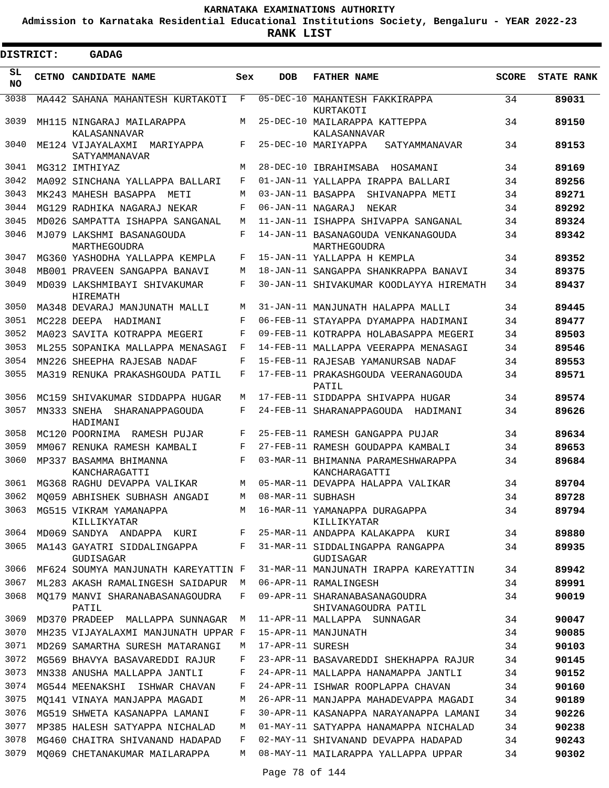**Admission to Karnataka Residential Educational Institutions Society, Bengaluru - YEAR 2022-23**

| <b>DISTRICT:</b> |       | <b>GADAG</b>                                 |     |                   |                                                      |              |                   |
|------------------|-------|----------------------------------------------|-----|-------------------|------------------------------------------------------|--------------|-------------------|
| SL<br>NO.        | CETNO | <b>CANDIDATE NAME</b>                        | Sex | <b>DOB</b>        | <b>FATHER NAME</b>                                   | <b>SCORE</b> | <b>STATE RANK</b> |
| 3038             |       | MA442 SAHANA MAHANTESH KURTAKOTI             | F   | $05 - DEC - 10$   | MAHANTESH FAKKIRAPPA<br>KURTAKOTI                    | 34           | 89031             |
| 3039             |       | MH115 NINGARAJ MAILARAPPA<br>KALASANNAVAR    | М   |                   | 25-DEC-10 MAILARAPPA KATTEPPA<br>KALASANNAVAR        | 34           | 89150             |
| 3040             |       | ME124 VIJAYALAXMI MARIYAPPA<br>SATYAMMANAVAR | F   |                   | 25-DEC-10 MARIYAPPA<br>SATYAMMANAVAR                 | 34           | 89153             |
| 3041             |       | MG312 IMTHIYAZ                               | М   |                   | 28-DEC-10 IBRAHIMSABA HOSAMANI                       | 34           | 89169             |
| 3042             |       | MA092 SINCHANA YALLAPPA BALLARI              | F   |                   | 01-JAN-11 YALLAPPA IRAPPA BALLARI                    | 34           | 89256             |
| 3043             |       | MK243 MAHESH BASAPPA<br>METI                 | М   | 03-JAN-11 BASAPPA | SHIVANAPPA METI                                      | 34           | 89271             |
| 3044             |       | MG129 RADHIKA NAGARAJ NEKAR                  | F   | 06-JAN-11 NAGARAJ | NEKAR                                                | 34           | 89292             |
| 3045             |       | MD026 SAMPATTA ISHAPPA SANGANAL              | М   |                   | 11-JAN-11 ISHAPPA SHIVAPPA SANGANAL                  | 34           | 89324             |
| 3046             |       | MJ079 LAKSHMI BASANAGOUDA<br>MARTHEGOUDRA    | F   |                   | 14-JAN-11 BASANAGOUDA VENKANAGOUDA<br>MARTHEGOUDRA   | 34           | 89342             |
| 3047             |       | MG360 YASHODHA YALLAPPA KEMPLA               | F   |                   | 15-JAN-11 YALLAPPA H KEMPLA                          | 34           | 89352             |
| 3048             |       | MB001 PRAVEEN SANGAPPA BANAVI                | М   |                   | 18-JAN-11 SANGAPPA SHANKRAPPA BANAVI                 | 34           | 89375             |
| 3049             |       | MD039 LAKSHMIBAYI SHIVAKUMAR<br>HIREMATH     | F   |                   | 30-JAN-11 SHIVAKUMAR KOODLAYYA HIREMATH              | 34           | 89437             |
| 3050             |       | MA348 DEVARAJ MANJUNATH MALLI                | M   |                   | 31-JAN-11 MANJUNATH HALAPPA MALLI                    | 34           | 89445             |
| 3051             |       | MC228 DEEPA HADIMANI                         | F   |                   | 06-FEB-11 STAYAPPA DYAMAPPA HADIMANI                 | 34           | 89477             |
| 3052             |       | MA023 SAVITA KOTRAPPA MEGERI                 | F   |                   | 09-FEB-11 KOTRAPPA HOLABASAPPA MEGERI                | 34           | 89503             |
| 3053             |       | ML255 SOPANIKA MALLAPPA MENASAGI             | F   |                   | 14-FEB-11 MALLAPPA VEERAPPA MENASAGI                 | 34           | 89546             |
| 3054             |       | MN226 SHEEPHA RAJESAB NADAF                  | F   |                   | 15-FEB-11 RAJESAB YAMANURSAB NADAF                   | 34           | 89553             |
| 3055             |       | MA319 RENUKA PRAKASHGOUDA PATIL              | F   |                   | 17-FEB-11 PRAKASHGOUDA VEERANAGOUDA<br>PATIL         | 34           | 89571             |
| 3056             |       | MC159 SHIVAKUMAR SIDDAPPA HUGAR              | М   |                   | 17-FEB-11 SIDDAPPA SHIVAPPA HUGAR                    | 34           | 89574             |
| 3057             |       | MN333 SNEHA SHARANAPPAGOUDA<br>HADIMANI      | F   |                   | 24-FEB-11 SHARANAPPAGOUDA HADIMANI                   | 34           | 89626             |
| 3058             |       | MC120 POORNIMA<br>RAMESH PUJAR               | F   |                   | 25-FEB-11 RAMESH GANGAPPA PUJAR                      | 34           | 89634             |
| 3059             |       | MM067 RENUKA RAMESH KAMBALI                  | F   |                   | 27-FEB-11 RAMESH GOUDAPPA KAMBALI                    | 34           | 89653             |
| 3060             |       | MP337 BASAMMA BHIMANNA<br>KANCHARAGATTI      | F   |                   | 03-MAR-11 BHIMANNA PARAMESHWARAPPA<br>KANCHARAGATTI  | 34           | 89684             |
| 3061             |       | MG368 RAGHU DEVAPPA VALIKAR                  | М   |                   | 05-MAR-11 DEVAPPA HALAPPA VALIKAR                    | 34           | 89704             |
| 3062             |       | MQ059 ABHISHEK SUBHASH ANGADI                | M   | 08-MAR-11 SUBHASH |                                                      | 34           | 89728             |
| 3063             |       | MG515 VIKRAM YAMANAPPA<br>KILLIKYATAR        | M   |                   | 16-MAR-11 YAMANAPPA DURAGAPPA<br>KILLIKYATAR         | 34           | 89794             |
| 3064             |       | MD069 SANDYA ANDAPPA KURI                    | F   |                   | 25-MAR-11 ANDAPPA KALAKAPPA KURI                     | 34           | 89880             |
| 3065             |       | MA143 GAYATRI SIDDALINGAPPA<br>GUDISAGAR     | F   |                   | 31-MAR-11 SIDDALINGAPPA RANGAPPA<br>GUDISAGAR        | 34           | 89935             |
| 3066             |       | MF624 SOUMYA MANJUNATH KAREYATTIN F          |     |                   | 31-MAR-11 MANJUNATH IRAPPA KAREYATTIN                | 34           | 89942             |
| 3067             |       | ML283 AKASH RAMALINGESH SAIDAPUR             | M   |                   | 06-APR-11 RAMALINGESH                                | 34           | 89991             |
| 3068             |       | MO179 MANVI SHARANABASANAGOUDRA<br>PATIL     | F   |                   | 09-APR-11 SHARANABASANAGOUDRA<br>SHIVANAGOUDRA PATIL | 34           | 90019             |
| 3069             |       | MD370 PRADEEP MALLAPPA SUNNAGAR              | М   |                   | 11-APR-11 MALLAPPA SUNNAGAR                          | 34           | 90047             |
| 3070             |       | MH235 VIJAYALAXMI MANJUNATH UPPAR F          |     |                   | 15-APR-11 MANJUNATH                                  | 34           | 90085             |
| 3071             |       | MD269 SAMARTHA SURESH MATARANGI              | М   | 17-APR-11 SURESH  |                                                      | 34           | 90103             |
| 3072             |       | MG569 BHAVYA BASAVAREDDI RAJUR               | F   |                   | 23-APR-11 BASAVAREDDI SHEKHAPPA RAJUR                | 34           | 90145             |
| 3073             |       | MN338 ANUSHA MALLAPPA JANTLI                 | F   |                   | 24-APR-11 MALLAPPA HANAMAPPA JANTLI                  | 34           | 90152             |
| 3074             |       | MG544 MEENAKSHI ISHWAR CHAVAN                | F   |                   | 24-APR-11 ISHWAR ROOPLAPPA CHAVAN                    | 34           | 90160             |
| 3075             |       | MQ141 VINAYA MANJAPPA MAGADI                 | М   |                   | 26-APR-11 MANJAPPA MAHADEVAPPA MAGADI                | 34           | 90189             |
| 3076             |       | MG519 SHWETA KASANAPPA LAMANI                | F   |                   | 30-APR-11 KASANAPPA NARAYANAPPA LAMANI               | 34           | 90226             |
| 3077             |       | MP385 HALESH SATYAPPA NICHALAD               | М   |                   | 01-MAY-11 SATYAPPA HANAMAPPA NICHALAD                | 34           | 90238             |
| 3078             |       | MG460 CHAITRA SHIVANAND HADAPAD              | F   |                   | 02-MAY-11 SHIVANAND DEVAPPA HADAPAD                  | 34           | 90243             |
| 3079             |       | MQ069 CHETANAKUMAR MAILARAPPA                | М   |                   | 08-MAY-11 MAILARAPPA YALLAPPA UPPAR                  | 34           | 90302             |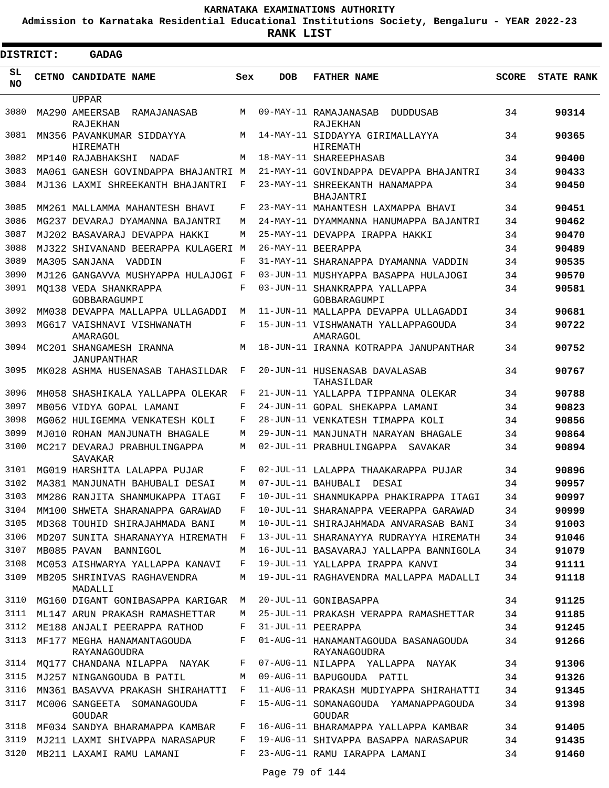**Admission to Karnataka Residential Educational Institutions Society, Bengaluru - YEAR 2022-23**

**RANK LIST**

| <b>DISTRICT:</b> |       | <b>GADAG</b>                                      |     |            |                                                         |              |                   |
|------------------|-------|---------------------------------------------------|-----|------------|---------------------------------------------------------|--------------|-------------------|
| SL<br><b>NO</b>  | CETNO | <b>CANDIDATE NAME</b>                             | Sex | <b>DOB</b> | <b>FATHER NAME</b>                                      | <b>SCORE</b> | <b>STATE RANK</b> |
| 3080             |       | UPPAR<br>MA290 AMEERSAB<br>RAMAJANASAB            | M   |            | 09-MAY-11 RAMAJANASAB<br>DUDDUSAB                       | 34           | 90314             |
| 3081             |       | RAJEKHAN<br>MN356 PAVANKUMAR SIDDAYYA<br>HIREMATH | M   |            | RAJEKHAN<br>14-MAY-11 SIDDAYYA GIRIMALLAYYA<br>HIREMATH | 34           | 90365             |
| 3082             |       | MP140 RAJABHAKSHI<br>NADAF                        | М   |            | 18-MAY-11 SHAREEPHASAB                                  | 34           | 90400             |
| 3083             |       | MA061 GANESH GOVINDAPPA BHAJANTRI M               |     |            | 21-MAY-11 GOVINDAPPA DEVAPPA BHAJANTRI                  | 34           | 90433             |
| 3084             |       | MJ136 LAXMI SHREEKANTH BHAJANTRI                  | F   |            | 23-MAY-11 SHREEKANTH HANAMAPPA                          | 34           | 90450             |
| 3085             |       | MM261 MALLAMMA MAHANTESH BHAVI                    | F   |            | BHAJANTRI<br>23-MAY-11 MAHANTESH LAXMAPPA BHAVI         | 34           | 90451             |
| 3086             |       | MG237 DEVARAJ DYAMANNA BAJANTRI                   | М   |            | 24-MAY-11 DYAMMANNA HANUMAPPA BAJANTRI                  | 34           | 90462             |
| 3087             |       | MJ202 BASAVARAJ DEVAPPA HAKKI                     | М   |            | 25-MAY-11 DEVAPPA IRAPPA HAKKI                          | 34           | 90470             |
| 3088             |       | MJ322 SHIVANAND BEERAPPA KULAGERI M               |     |            | 26-MAY-11 BEERAPPA                                      | 34           | 90489             |
| 3089             |       | MA305 SANJANA<br>VADDIN                           | F   |            | 31-MAY-11 SHARANAPPA DYAMANNA VADDIN                    | 34           | 90535             |
| 3090             |       | MJ126 GANGAVVA MUSHYAPPA HULAJOGI F               |     |            | 03-JUN-11 MUSHYAPPA BASAPPA HULAJOGI                    | 34           | 90570             |
| 3091             |       | MO138 VEDA SHANKRAPPA<br>GOBBARAGUMPI             | F   |            | 03-JUN-11 SHANKRAPPA YALLAPPA<br><b>GOBBARAGUMPI</b>    | 34           | 90581             |
| 3092             |       | MM038 DEVAPPA MALLAPPA ULLAGADDI                  | M   |            | 11-JUN-11 MALLAPPA DEVAPPA ULLAGADDI                    | 34           | 90681             |
| 3093             |       | MG617 VAISHNAVI VISHWANATH<br>AMARAGOL            | F   |            | 15-JUN-11 VISHWANATH YALLAPPAGOUDA<br>AMARAGOL          | 34           | 90722             |
| 3094             |       | MC201 SHANGAMESH IRANNA<br>JANUPANTHAR            | М   |            | 18-JUN-11 IRANNA KOTRAPPA JANUPANTHAR                   | 34           | 90752             |
| 3095             |       | MK028 ASHMA HUSENASAB TAHASILDAR                  | F   |            | 20-JUN-11 HUSENASAB DAVALASAB<br>TAHASILDAR             | 34           | 90767             |
| 3096             |       | MH058 SHASHIKALA YALLAPPA OLEKAR                  | F   |            | 21-JUN-11 YALLAPPA TIPPANNA OLEKAR                      | 34           | 90788             |
| 3097             |       | MB056 VIDYA GOPAL LAMANI                          | F   |            | 24-JUN-11 GOPAL SHEKAPPA LAMANI                         | 34           | 90823             |
| 3098             |       | MG062 HULIGEMMA VENKATESH KOLI                    | F   |            | 28-JUN-11 VENKATESH TIMAPPA KOLI                        | 34           | 90856             |
| 3099             |       | MJ010 ROHAN MANJUNATH BHAGALE                     | М   |            | 29-JUN-11 MANJUNATH NARAYAN BHAGALE                     | 34           | 90864             |
| 3100             |       | MC217 DEVARAJ PRABHULINGAPPA<br>SAVAKAR           | M   |            | 02-JUL-11 PRABHULINGAPPA<br>SAVAKAR                     | 34           | 90894             |
| 3101             |       | MG019 HARSHITA LALAPPA PUJAR                      | F   |            | 02-JUL-11 LALAPPA THAAKARAPPA PUJAR                     | 34           | 90896             |
| 3102             |       | MA381 MANJUNATH BAHUBALI DESAI                    | М   |            | 07-JUL-11 BAHUBALI<br>DESAI                             | 34           | 90957             |
| 3103             |       | MM286 RANJITA SHANMUKAPPA ITAGI                   | F   |            | 10-JUL-11 SHANMUKAPPA PHAKIRAPPA ITAGI                  | 34           | 90997             |
| 3104             |       | MM100 SHWETA SHARANAPPA GARAWAD                   | F   |            | 10-JUL-11 SHARANAPPA VEERAPPA GARAWAD                   | 34           | 90999             |
| 3105             |       | MD368 TOUHID SHIRAJAHMADA BANI                    | М   |            | 10-JUL-11 SHIRAJAHMADA ANVARASAB BANI                   | 34           | 91003             |
| 3106             |       | MD207 SUNITA SHARANAYYA HIREMATH                  | F   |            | 13-JUL-11 SHARANAYYA RUDRAYYA HIREMATH                  | 34           | 91046             |
| 3107             |       | MB085 PAVAN BANNIGOL                              | М   |            | 16-JUL-11 BASAVARAJ YALLAPPA BANNIGOLA                  | 34           | 91079             |
| 3108             |       | MC053 AISHWARYA YALLAPPA KANAVI                   | F   |            | 19-JUL-11 YALLAPPA IRAPPA KANVI                         | 34           | 91111             |
| 3109             |       | MB205 SHRINIVAS RAGHAVENDRA<br>MADALLI            | М   |            | 19-JUL-11 RAGHAVENDRA MALLAPPA MADALLI                  | 34           | 91118             |
| 3110             |       | MG160 DIGANT GONIBASAPPA KARIGAR                  | М   |            | 20-JUL-11 GONIBASAPPA                                   | 34           | 91125             |
| 3111             |       | ML147 ARUN PRAKASH RAMASHETTAR                    | M   |            | 25-JUL-11 PRAKASH VERAPPA RAMASHETTAR                   | 34           | 91185             |
| 3112             |       | ME188 ANJALI PEERAPPA RATHOD                      | F   |            | 31-JUL-11 PEERAPPA                                      | 34           | 91245             |
| 3113             |       | MF177 MEGHA HANAMANTAGOUDA<br>RAYANAGOUDRA        | F   |            | 01-AUG-11 HANAMANTAGOUDA BASANAGOUDA<br>RAYANAGOUDRA    | 34           | 91266             |
| 3114             |       | MO177 CHANDANA NILAPPA NAYAK                      | F   |            | 07-AUG-11 NILAPPA YALLAPPA NAYAK                        | 34           | 91306             |
| 3115             |       | MJ257 NINGANGOUDA B PATIL                         | М   |            | 09-AUG-11 BAPUGOUDA PATIL                               | 34           | 91326             |
| 3116             |       | MN361 BASAVVA PRAKASH SHIRAHATTI                  | F   |            | 11-AUG-11 PRAKASH MUDIYAPPA SHIRAHATTI                  | 34           | 91345             |
| 3117             |       | MC006 SANGEETA SOMANAGOUDA<br>GOUDAR              | F   |            | 15-AUG-11 SOMANAGOUDA YAMANAPPAGOUDA<br>GOUDAR          | 34           | 91398             |
| 3118             |       | MF034 SANDYA BHARAMAPPA KAMBAR                    | F   |            | 16-AUG-11 BHARAMAPPA YALLAPPA KAMBAR                    | 34           | 91405             |
| 3119             |       | MJ211 LAXMI SHIVAPPA NARASAPUR                    | F   |            | 19-AUG-11 SHIVAPPA BASAPPA NARASAPUR                    | 34           | 91435             |
| 3120             |       | MB211 LAXAMI RAMU LAMANI                          | F   |            | 23-AUG-11 RAMU IARAPPA LAMANI                           | 34           | 91460             |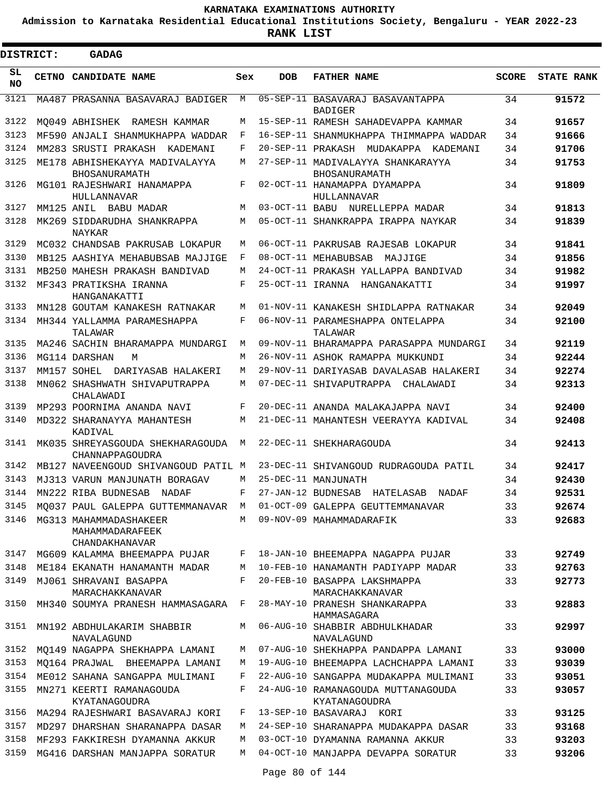**Admission to Karnataka Residential Educational Institutions Society, Bengaluru - YEAR 2022-23**

**RANK LIST**

| <b>DISTRICT:</b> | <b>GADAG</b>                                                       |     |            |                                                     |              |                   |
|------------------|--------------------------------------------------------------------|-----|------------|-----------------------------------------------------|--------------|-------------------|
| SL<br><b>NO</b>  | <b>CETNO CANDIDATE NAME</b>                                        | Sex | <b>DOB</b> | <b>FATHER NAME</b>                                  | <b>SCORE</b> | <b>STATE RANK</b> |
| 3121             | MA487 PRASANNA BASAVARAJ BADIGER                                   | M   |            | 05-SEP-11 BASAVARAJ BASAVANTAPPA<br><b>BADIGER</b>  | 34           | 91572             |
| 3122             | MO049 ABHISHEK RAMESH KAMMAR                                       | М   |            | 15-SEP-11 RAMESH SAHADEVAPPA KAMMAR                 | 34           | 91657             |
| 3123             | MF590 ANJALI SHANMUKHAPPA WADDAR                                   | F   |            | 16-SEP-11 SHANMUKHAPPA THIMMAPPA WADDAR             | 34           | 91666             |
| 3124             | MM283 SRUSTI PRAKASH KADEMANI                                      | F   |            | 20-SEP-11 PRAKASH MUDAKAPPA KADEMANI                | 34           | 91706             |
| 3125             | ME178 ABHISHEKAYYA MADIVALAYYA<br><b>BHOSANURAMATH</b>             | М   |            | 27-SEP-11 MADIVALAYYA SHANKARAYYA<br>BHOSANURAMATH  | 34           | 91753             |
| 3126             | MG101 RAJESHWARI HANAMAPPA<br>HULLANNAVAR                          | F   |            | 02-OCT-11 HANAMAPPA DYAMAPPA<br>HULLANNAVAR         | 34           | 91809             |
| 3127             | MM125 ANIL BABU MADAR                                              | M   |            | 03-OCT-11 BABU NURELLEPPA MADAR                     | 34           | 91813             |
| 3128             | MK269 SIDDARUDHA SHANKRAPPA<br>NAYKAR                              | M   |            | 05-OCT-11 SHANKRAPPA IRAPPA NAYKAR                  | 34           | 91839             |
| 3129             | MC032 CHANDSAB PAKRUSAB LOKAPUR                                    | М   |            | 06-OCT-11 PAKRUSAB RAJESAB LOKAPUR                  | 34           | 91841             |
| 3130             | MB125 AASHIYA MEHABUBSAB MAJJIGE                                   | F   |            | 08-OCT-11 MEHABUBSAB<br>MAJJIGE                     | 34           | 91856             |
| 3131             | MB250 MAHESH PRAKASH BANDIVAD                                      | M   |            | 24-OCT-11 PRAKASH YALLAPPA BANDIVAD                 | 34           | 91982             |
| 3132             | MF343 PRATIKSHA IRANNA<br>HANGANAKATTI                             | F   |            | 25-OCT-11 IRANNA HANGANAKATTI                       | 34           | 91997             |
| 3133             | MN128 GOUTAM KANAKESH RATNAKAR                                     | M   |            | 01-NOV-11 KANAKESH SHIDLAPPA RATNAKAR               | 34           | 92049             |
| 3134             | MH344 YALLAMMA PARAMESHAPPA<br>TALAWAR                             | F   |            | 06-NOV-11 PARAMESHAPPA ONTELAPPA<br>TALAWAR         | 34           | 92100             |
| 3135             | MA246 SACHIN BHARAMAPPA MUNDARGI                                   | M   |            | 09-NOV-11 BHARAMAPPA PARASAPPA MUNDARGI             | 34           | 92119             |
| 3136             | MG114 DARSHAN<br>M                                                 | M   |            | 26-NOV-11 ASHOK RAMAPPA MUKKUNDI                    | 34           | 92244             |
| 3137             | MM157 SOHEL DARIYASAB HALAKERI                                     | М   |            | 29-NOV-11 DARIYASAB DAVALASAB HALAKERI              | 34           | 92274             |
| 3138             | MN062 SHASHWATH SHIVAPUTRAPPA<br>CHALAWADI                         | M   |            | 07-DEC-11 SHIVAPUTRAPPA CHALAWADI                   | 34           | 92313             |
| 3139             | MP293 POORNIMA ANANDA NAVI                                         | F   |            | 20-DEC-11 ANANDA MALAKAJAPPA NAVI                   | 34           | 92400             |
| 3140             | MD322 SHARANAYYA MAHANTESH<br>KADIVAL                              | М   |            | 21-DEC-11 MAHANTESH VEERAYYA KADIVAL                | 34           | 92408             |
| 3141             | MK035 SHREYASGOUDA SHEKHARAGOUDA<br>CHANNAPPAGOUDRA                | М   |            | 22-DEC-11 SHEKHARAGOUDA                             | 34           | 92413             |
| 3142             | MB127 NAVEENGOUD SHIVANGOUD PATIL M                                |     |            | 23-DEC-11 SHIVANGOUD RUDRAGOUDA PATIL               | 34           | 92417             |
| 3143             | MJ313 VARUN MANJUNATH BORAGAV                                      | М   |            | 25-DEC-11 MANJUNATH                                 | 34           | 92430             |
|                  | 3144 MN222 RIBA BUDNESAB NADAF                                     | F   |            | 27-JAN-12 BUDNESAB HATELASAB NADAF                  | 34           | 92531             |
| 3145             | MO037 PAUL GALEPPA GUTTEMMANAVAR M                                 |     |            | 01-OCT-09 GALEPPA GEUTTEMMANAVAR                    | 33           | 92674             |
| 3146             | MG313 MAHAMMADASHAKEER<br>MAHAMMADARAFEEK<br><b>CHANDAKHANAVAR</b> | M   |            | 09-NOV-09 MAHAMMADARAFIK                            | 33           | 92683             |
| 3147             | MG609 KALAMMA BHEEMAPPA PUJAR                                      | F   |            | 18-JAN-10 BHEEMAPPA NAGAPPA PUJAR                   | 33           | 92749             |
| 3148             | ME184 EKANATH HANAMANTH MADAR                                      | М   |            | 10-FEB-10 HANAMANTH PADIYAPP MADAR                  | 33           | 92763             |
| 3149             | MJ061 SHRAVANI BASAPPA<br>MARACHAKKANAVAR                          | F   |            | 20-FEB-10 BASAPPA LAKSHMAPPA<br>MARACHAKKANAVAR     | 33           | 92773             |
| 3150             | MH340 SOUMYA PRANESH HAMMASAGARA                                   | F   |            | 28-MAY-10 PRANESH SHANKARAPPA<br>HAMMASAGARA        | 33           | 92883             |
| 3151             | MN192 ABDHULAKARIM SHABBIR<br>NAVALAGUND                           | М   |            | 06-AUG-10 SHABBIR ABDHULKHADAR<br>NAVALAGUND        | 33           | 92997             |
| 3152             | MQ149 NAGAPPA SHEKHAPPA LAMANI                                     | М   |            | 07-AUG-10 SHEKHAPPA PANDAPPA LAMANI                 | 33           | 93000             |
| 3153             | MO164 PRAJWAL BHEEMAPPA LAMANI                                     | M   |            | 19-AUG-10 BHEEMAPPA LACHCHAPPA LAMANI               | 33           | 93039             |
| 3154             | ME012 SAHANA SANGAPPA MULIMANI                                     | F   |            | 22-AUG-10 SANGAPPA MUDAKAPPA MULIMANI               | 33           | 93051             |
| 3155             | MN271 KEERTI RAMANAGOUDA<br>KYATANAGOUDRA                          | F   |            | 24-AUG-10 RAMANAGOUDA MUTTANAGOUDA<br>KYATANAGOUDRA | 33           | 93057             |
| 3156             | MA294 RAJESHWARI BASAVARAJ KORI                                    | F   |            | 13-SEP-10 BASAVARAJ KORI                            | 33           | 93125             |
| 3157             | MD297 DHARSHAN SHARANAPPA DASAR                                    | М   |            | 24-SEP-10 SHARANAPPA MUDAKAPPA DASAR                | 33           | 93168             |
| 3158             | MF293 FAKKIRESH DYAMANNA AKKUR                                     | М   |            | 03-OCT-10 DYAMANNA RAMANNA AKKUR                    | 33           | 93203             |
| 3159             | MG416 DARSHAN MANJAPPA SORATUR                                     | M   |            | 04-OCT-10 MANJAPPA DEVAPPA SORATUR                  | 33           | 93206             |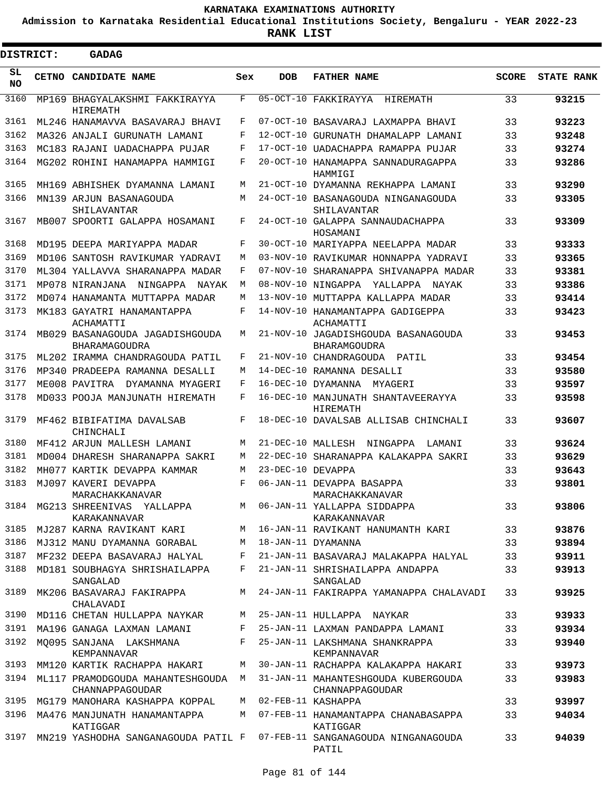**Admission to Karnataka Residential Educational Institutions Society, Bengaluru - YEAR 2022-23**

| <b>DISTRICT:</b> | GADAG                                                    |            |                   |                                                                                                |              |                   |
|------------------|----------------------------------------------------------|------------|-------------------|------------------------------------------------------------------------------------------------|--------------|-------------------|
| SL<br><b>NO</b>  | CETNO CANDIDATE NAME                                     | Sex        | <b>DOB</b>        | <b>FATHER NAME</b>                                                                             | <b>SCORE</b> | <b>STATE RANK</b> |
| 3160             | MP169 BHAGYALAKSHMI FAKKIRAYYA<br>HIREMATH               | F          |                   | 05-OCT-10 FAKKIRAYYA<br>HIREMATH                                                               | 33           | 93215             |
| 3161             | ML246 HANAMAVVA BASAVARAJ BHAVI                          | F          |                   | 07-OCT-10 BASAVARAJ LAXMAPPA BHAVI                                                             | 33           | 93223             |
| 3162             | MA326 ANJALI GURUNATH LAMANI                             | F          |                   | 12-OCT-10 GURUNATH DHAMALAPP LAMANI                                                            | 33           | 93248             |
| 3163             | MC183 RAJANI UADACHAPPA PUJAR                            | F          |                   | 17-OCT-10 UADACHAPPA RAMAPPA PUJAR                                                             | 33           | 93274             |
| 3164             | MG202 ROHINI HANAMAPPA HAMMIGI                           | F          |                   | 20-OCT-10 HANAMAPPA SANNADURAGAPPA<br>HAMMIGI                                                  | 33           | 93286             |
| 3165             | MH169 ABHISHEK DYAMANNA LAMANI                           | M          |                   | 21-OCT-10 DYAMANNA REKHAPPA LAMANI                                                             | 33           | 93290             |
| 3166             | MN139 ARJUN BASANAGOUDA<br>SHILAVANTAR                   | М          |                   | 24-OCT-10 BASANAGOUDA NINGANAGOUDA<br>SHILAVANTAR                                              | 33           | 93305             |
| 3167             | MB007 SPOORTI GALAPPA HOSAMANI                           | F          |                   | 24-OCT-10 GALAPPA SANNAUDACHAPPA<br>HOSAMANI                                                   | 33           | 93309             |
| 3168             | MD195 DEEPA MARIYAPPA MADAR                              | F          |                   | 30-OCT-10 MARIYAPPA NEELAPPA MADAR                                                             | 33           | 93333             |
| 3169             | MD106 SANTOSH RAVIKUMAR YADRAVI                          | M          |                   | 03-NOV-10 RAVIKUMAR HONNAPPA YADRAVI                                                           | 33           | 93365             |
| 3170             | ML304 YALLAVVA SHARANAPPA MADAR                          | F          |                   | 07-NOV-10 SHARANAPPA SHIVANAPPA MADAR                                                          | 33           | 93381             |
| 3171             | MP078 NIRANJANA NINGAPPA<br>NAYAK                        | M          |                   | 08-NOV-10 NINGAPPA<br>YALLAPPA NAYAK                                                           | 33           | 93386             |
| 3172             | MD074 HANAMANTA MUTTAPPA MADAR                           | M          |                   | 13-NOV-10 MUTTAPPA KALLAPPA MADAR                                                              | 33           | 93414             |
| 3173             | MK183 GAYATRI HANAMANTAPPA<br>ACHAMATTI                  | $_{\rm F}$ |                   | 14-NOV-10 HANAMANTAPPA GADIGEPPA<br>ACHAMATTI                                                  | 33           | 93423             |
| 3174             | MB029 BASANAGOUDA JAGADISHGOUDA<br>BHARAMAGOUDRA         | М          |                   | 21-NOV-10 JAGADISHGOUDA BASANAGOUDA<br>BHARAMGOUDRA                                            | 33           | 93453             |
| 3175             | ML202 IRAMMA CHANDRAGOUDA PATIL                          | F          |                   | 21-NOV-10 CHANDRAGOUDA<br>PATIL                                                                | 33           | 93454             |
| 3176             | MP340 PRADEEPA RAMANNA DESALLI                           | M          |                   | 14-DEC-10 RAMANNA DESALLI                                                                      | 33           | 93580             |
| 3177             | ME008 PAVITRA DYAMANNA MYAGERI                           | F          |                   | 16-DEC-10 DYAMANNA MYAGERI                                                                     | 33           | 93597             |
| 3178             | MD033 POOJA MANJUNATH HIREMATH                           | F          |                   | 16-DEC-10 MANJUNATH SHANTAVEERAYYA<br>HIREMATH                                                 | 33           | 93598             |
| 3179             | MF462 BIBIFATIMA DAVALSAB<br>CHINCHALI                   | F          |                   | 18-DEC-10 DAVALSAB ALLISAB CHINCHALI                                                           | 33           | 93607             |
| 3180             | MF412 ARJUN MALLESH LAMANI                               | М          | 21-DEC-10 MALLESH | NINGAPPA<br>LAMANI                                                                             | 33           | 93624             |
| 3181             | MD004 DHARESH SHARANAPPA SAKRI                           | M          |                   | 22-DEC-10 SHARANAPPA KALAKAPPA SAKRI                                                           | 33           | 93629             |
| 3182             | MH077 KARTIK DEVAPPA KAMMAR                              | М          | 23-DEC-10 DEVAPPA |                                                                                                | 33           | 93643             |
| 3183             | MJ097 KAVERI DEVAPPA<br>MARACHAKKANAVAR                  | F          |                   | 06-JAN-11 DEVAPPA BASAPPA<br>MARACHAKKANAVAR                                                   | 33           | 93801             |
|                  | 3184 MG213 SHREENIVAS YALLAPPA<br>KARAKANNAVAR           |            |                   | M 06-JAN-11 YALLAPPA SIDDAPPA<br>KARAKANNAVAR                                                  | 33           | 93806             |
|                  |                                                          |            |                   | 3185 MJ287 KARNA RAVIKANT KARI M 16-JAN-11 RAVIKANT HANUMANTH KARI 33                          |              | 93876             |
|                  | 3186 MJ312 MANU DYAMANNA GORABAL                         |            |                   | M 18-JAN-11 DYAMANNA                                                                           | 33           | 93894             |
|                  |                                                          |            |                   | 3187 MF232 DEEPA BASAVARAJ HALYAL F 21-JAN-11 BASAVARAJ MALAKAPPA HALYAL                       | 33           | 93911             |
|                  | SANGALAD                                                 |            |                   | 3188 MD181 SOUBHAGYA SHRISHAILAPPA F 21-JAN-11 SHRISHAILAPPA ANDAPPA<br>SANGALAD               | 33           | 93913             |
|                  | 3189 MK206 BASAVARAJ FAKIRAPPA<br>CHALAVADI              |            |                   | M 24-JAN-11 FAKIRAPPA YAMANAPPA CHALAVADI                                                      | 33           | 93925             |
|                  | 3190 MD116 CHETAN HULLAPPA NAYKAR                        |            |                   | M 25-JAN-11 HULLAPPA NAYKAR                                                                    | 33           | 93933             |
|                  |                                                          |            |                   | 3191 MA196 GANAGA LAXMAN LAMANI F 25-JAN-11 LAXMAN PANDAPPA LAMANI 33                          |              | 93934             |
|                  | KEMPANNAVAR                                              |            |                   | 3192 MQ095 SANJANA LAKSHMANA F 25-JAN-11 LAKSHMANA SHANKRAPPA<br>KEMPANNAVAR                   | 33           | 93940             |
|                  |                                                          |            |                   | 3193 MM120 KARTIK RACHAPPA HAKARI M 30-JAN-11 RACHAPPA KALAKAPPA HAKARI                        | 33           | 93973             |
|                  | CHANNAPPAGOUDAR                                          |            |                   | 3194 ML117 PRAMODGOUDA MAHANTESHGOUDA M 31-JAN-11 MAHANTESHGOUDA KUBERGOUDA<br>CHANNAPPAGOUDAR | 33           | 93983             |
|                  | 3195 MG179 MANOHARA KASHAPPA KOPPAL M 02-FEB-11 KASHAPPA |            |                   |                                                                                                | 33           | 93997             |
|                  | 3196 MA476 MANJUNATH HANAMANTAPPA<br>KATIGGAR            |            |                   | M 07-FEB-11 HANAMANTAPPA CHANABASAPPA<br>KATIGGAR                                              | 33           | 94034             |
|                  |                                                          |            |                   | 3197 MN219 YASHODHA SANGANAGOUDA PATIL F 07-FEB-11 SANGANAGOUDA NINGANAGOUDA<br>PATIL          | 33           | 94039             |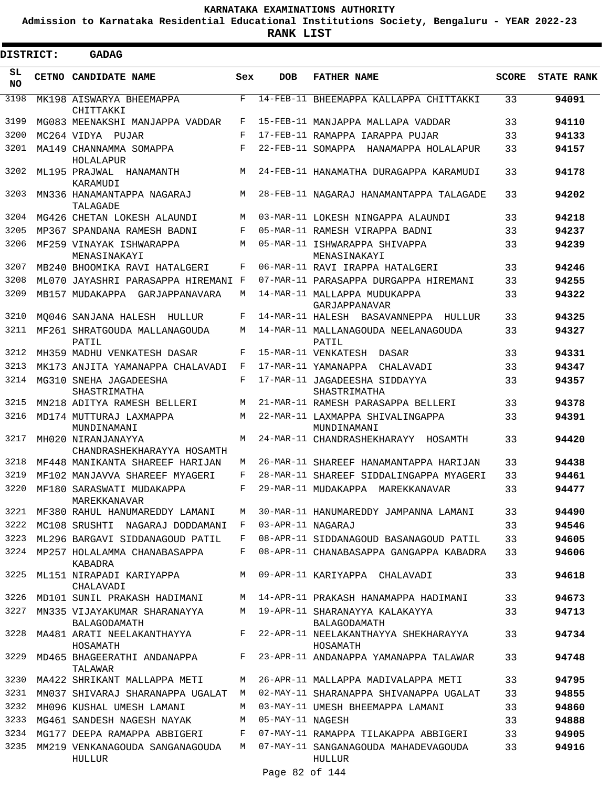**Admission to Karnataka Residential Educational Institutions Society, Bengaluru - YEAR 2022-23**

 $\blacksquare$ 

**RANK LIST**

| <b>DISTRICT:</b> | <b>GADAG</b>                                     |            |                   |                                                  |              |                   |
|------------------|--------------------------------------------------|------------|-------------------|--------------------------------------------------|--------------|-------------------|
| SL<br><b>NO</b>  | CETNO CANDIDATE NAME                             | Sex        | <b>DOB</b>        | <b>FATHER NAME</b>                               | <b>SCORE</b> | <b>STATE RANK</b> |
| 3198             | MK198 AISWARYA BHEEMAPPA<br>CHITTAKKI            | $_{\rm F}$ |                   | 14-FEB-11 BHEEMAPPA KALLAPPA CHITTAKKI           | 33           | 94091             |
| 3199             | MG083 MEENAKSHI MANJAPPA VADDAR                  | F          |                   | 15-FEB-11 MANJAPPA MALLAPA VADDAR                | 33           | 94110             |
| 3200             | MC264 VIDYA PUJAR                                | F          |                   | 17-FEB-11 RAMAPPA IARAPPA PUJAR                  | 33           | 94133             |
| 3201             | MA149 CHANNAMMA SOMAPPA<br>HOLALAPUR             | F          |                   | 22-FEB-11 SOMAPPA HANAMAPPA HOLALAPUR            | 33           | 94157             |
| 3202             | ML195 PRAJWAL HANAMANTH<br>KARAMUDI              | M          |                   | 24-FEB-11 HANAMATHA DURAGAPPA KARAMUDI           | 33           | 94178             |
| 3203             | MN336 HANAMANTAPPA NAGARAJ<br>TALAGADE           | M          |                   | 28-FEB-11 NAGARAJ HANAMANTAPPA TALAGADE          | 33           | 94202             |
| 3204             | MG426 CHETAN LOKESH ALAUNDI                      | М          |                   | 03-MAR-11 LOKESH NINGAPPA ALAUNDI                | 33           | 94218             |
| 3205             | MP367 SPANDANA RAMESH BADNI                      | F          |                   | 05-MAR-11 RAMESH VIRAPPA BADNI                   | 33           | 94237             |
| 3206             | MF259 VINAYAK ISHWARAPPA<br>MENASINAKAYI         | M          |                   | 05-MAR-11 ISHWARAPPA SHIVAPPA<br>MENASINAKAYI    | 33           | 94239             |
| 3207             | MB240 BHOOMIKA RAVI HATALGERI                    | F          |                   | 06-MAR-11 RAVI IRAPPA HATALGERI                  | 33           | 94246             |
| 3208             | ML070 JAYASHRI PARASAPPA HIREMANI F              |            |                   | 07-MAR-11 PARASAPPA DURGAPPA HIREMANI            | 33           | 94255             |
| 3209             | MB157 MUDAKAPPA GARJAPPANAVARA                   | М          |                   | 14-MAR-11 MALLAPPA MUDUKAPPA<br>GARJAPPANAVAR    | 33           | 94322             |
| 3210             | MO046 SANJANA HALESH HULLUR                      | F          |                   | 14-MAR-11 HALESH BASAVANNEPPA HULLUR             | 33           | 94325             |
| 3211             | MF261 SHRATGOUDA MALLANAGOUDA<br>PATIL           | М          |                   | 14-MAR-11 MALLANAGOUDA NEELANAGOUDA<br>PATIL     | 33           | 94327             |
| 3212             | MH359 MADHU VENKATESH DASAR                      | F          |                   | 15-MAR-11 VENKATESH DASAR                        | 33           | 94331             |
| 3213             | MK173 ANJITA YAMANAPPA CHALAVADI                 | F          |                   | 17-MAR-11 YAMANAPPA CHALAVADI                    | 33           | 94347             |
| 3214             | MG310 SNEHA JAGADEESHA<br>SHASTRIMATHA           | F          |                   | 17-MAR-11 JAGADEESHA SIDDAYYA<br>SHASTRIMATHA    | 33           | 94357             |
| 3215             | MN218 ADITYA RAMESH BELLERI                      | М          |                   | 21-MAR-11 RAMESH PARASAPPA BELLERI               | 33           | 94378             |
| 3216             | MD174 MUTTURAJ LAXMAPPA<br>MUNDINAMANI           | M          |                   | 22-MAR-11 LAXMAPPA SHIVALINGAPPA<br>MUNDINAMANI  | 33           | 94391             |
| 3217             | MH020 NIRANJANAYYA<br>CHANDRASHEKHARAYYA HOSAMTH | M          |                   | 24-MAR-11 CHANDRASHEKHARAYY HOSAMTH              | 33           | 94420             |
| 3218             | MF448 MANIKANTA SHAREEF HARIJAN                  | М          |                   | 26-MAR-11 SHAREEF HANAMANTAPPA HARIJAN           | 33           | 94438             |
| 3219             | MF102 MANJAVVA SHAREEF MYAGERI                   | F          |                   | 28-MAR-11 SHAREEF SIDDALINGAPPA MYAGERI          | 33           | 94461             |
| 3220             | MF180 SARASWATI MUDAKAPPA<br>MAREKKANAVAR        | F          |                   | 29-MAR-11 MUDAKAPPA MAREKKANAVAR                 | 33           | 94477             |
| 3221             | MF380 RAHUL HANUMAREDDY LAMANI                   | M          |                   | 30-MAR-11 HANUMAREDDY JAMPANNA LAMANI            | 33           | 94490             |
| 3222             | MC108 SRUSHTI NAGARAJ DODDAMANI                  | F          | 03-APR-11 NAGARAJ |                                                  | 33           | 94546             |
| 3223             | ML296 BARGAVI SIDDANAGOUD PATIL                  | F          |                   | 08-APR-11 SIDDANAGOUD BASANAGOUD PATIL           | 33           | 94605             |
|                  | 3224 MP257 HOLALAMMA CHANABASAPPA<br>KABADRA     | F          |                   | 08-APR-11 CHANABASAPPA GANGAPPA KABADRA          | 33           | 94606             |
| 3225             | ML151 NIRAPADI KARIYAPPA<br>CHALAVADI            | M          |                   | 09-APR-11 KARIYAPPA CHALAVADI                    | 33           | 94618             |
| 3226             | MD101 SUNIL PRAKASH HADIMANI                     | M          |                   | 14-APR-11 PRAKASH HANAMAPPA HADIMANI             | 33           | 94673             |
| 3227             | MN335 VIJAYAKUMAR SHARANAYYA<br>BALAGODAMATH     | M          |                   | 19-APR-11 SHARANAYYA KALAKAYYA<br>BALAGODAMATH   | 33           | 94713             |
| 3228             | MA481 ARATI NEELAKANTHAYYA<br>HOSAMATH           | F          |                   | 22-APR-11 NEELAKANTHAYYA SHEKHARAYYA<br>HOSAMATH | 33           | 94734             |
| 3229             | MD465 BHAGEERATHI ANDANAPPA<br>TALAWAR           | F          |                   | 23-APR-11 ANDANAPPA YAMANAPPA TALAWAR            | 33           | 94748             |
| 3230             | MA422 SHRIKANT MALLAPPA METI                     | М          |                   | 26-APR-11 MALLAPPA MADIVALAPPA METI              | 33           | 94795             |
| 3231             | MN037 SHIVARAJ SHARANAPPA UGALAT                 | M          |                   | 02-MAY-11 SHARANAPPA SHIVANAPPA UGALAT           | 33           | 94855             |
| 3232             | MH096 KUSHAL UMESH LAMANI                        | M          |                   | 03-MAY-11 UMESH BHEEMAPPA LAMANI                 | 33           | 94860             |
| 3233             | MG461 SANDESH NAGESH NAYAK                       | M          | 05-MAY-11 NAGESH  |                                                  | 33           | 94888             |
| 3234             | MG177 DEEPA RAMAPPA ABBIGERI                     | F          |                   | 07-MAY-11 RAMAPPA TILAKAPPA ABBIGERI             | 33           | 94905             |
| 3235             | MM219 VENKANAGOUDA SANGANAGOUDA<br>HULLUR        | M          |                   | 07-MAY-11 SANGANAGOUDA MAHADEVAGOUDA<br>HULLUR   | 33           | 94916             |
|                  |                                                  |            | Page 82 of 144    |                                                  |              |                   |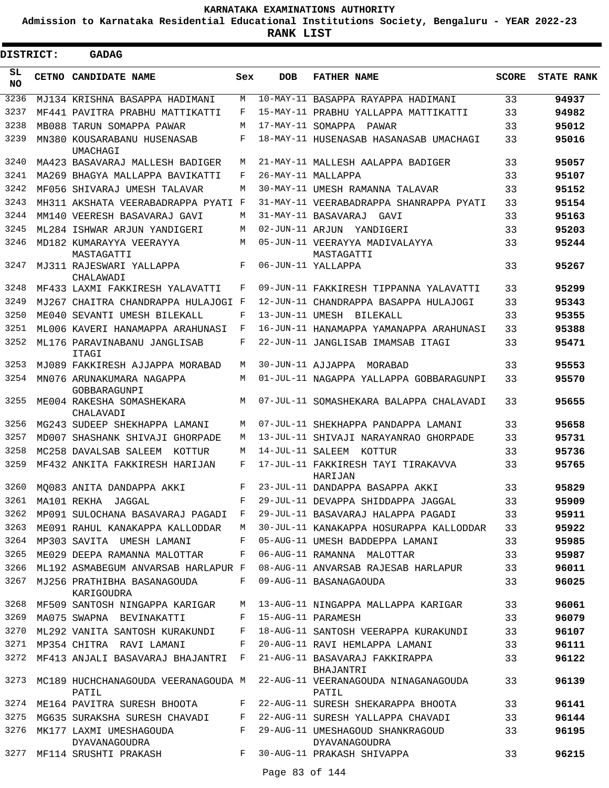**Admission to Karnataka Residential Educational Institutions Society, Bengaluru - YEAR 2022-23**

 $\blacksquare$ 

**RANK LIST**

Е

| <b>DISTRICT:</b> | <b>GADAG</b>                                 |     |                  |                                                            |              |                   |
|------------------|----------------------------------------------|-----|------------------|------------------------------------------------------------|--------------|-------------------|
| SL<br><b>NO</b>  | <b>CETNO CANDIDATE NAME</b>                  | Sex | <b>DOB</b>       | <b>FATHER NAME</b>                                         | <b>SCORE</b> | <b>STATE RANK</b> |
| 3236             | MJ134 KRISHNA BASAPPA HADIMANI               | М   |                  | 10-MAY-11 BASAPPA RAYAPPA HADIMANI                         | 33           | 94937             |
| 3237             | MF441 PAVITRA PRABHU MATTIKATTI              | F   |                  | 15-MAY-11 PRABHU YALLAPPA MATTIKATTI                       | 33           | 94982             |
| 3238             | MB088 TARUN SOMAPPA PAWAR                    | М   |                  | 17-MAY-11 SOMAPPA PAWAR                                    | 33           | 95012             |
| 3239             | MN380 KOUSARABANU HUSENASAB<br>UMACHAGI      | F   |                  | 18-MAY-11 HUSENASAB HASANASAB UMACHAGI                     | 33           | 95016             |
| 3240             | MA423 BASAVARAJ MALLESH BADIGER              | М   |                  | 21-MAY-11 MALLESH AALAPPA BADIGER                          | 33           | 95057             |
| 3241             | MA269 BHAGYA MALLAPPA BAVIKATTI              | F   |                  | 26-MAY-11 MALLAPPA                                         | 33           | 95107             |
| 3242             | MF056 SHIVARAJ UMESH TALAVAR                 | М   |                  | 30-MAY-11 UMESH RAMANNA TALAVAR                            | 33           | 95152             |
| 3243             | MH311 AKSHATA VEERABADRAPPA PYATI            | F   |                  | 31-MAY-11 VEERABADRAPPA SHANRAPPA PYATI                    | 33           | 95154             |
| 3244             | MM140 VEERESH BASAVARAJ GAVI                 | M   |                  | 31-MAY-11 BASAVARAJ<br>GAVI                                | 33           | 95163             |
| 3245             | ML284 ISHWAR ARJUN YANDIGERI                 | М   |                  | 02-JUN-11 ARJUN YANDIGERI                                  | 33           | 95203             |
| 3246             | MD182 KUMARAYYA VEERAYYA<br>MASTAGATTI       | М   |                  | 05-JUN-11 VEERAYYA MADIVALAYYA<br>MASTAGATTI               | 33           | 95244             |
| 3247             | MJ311 RAJESWARI YALLAPPA<br>CHALAWADI        | F   |                  | 06-JUN-11 YALLAPPA                                         | 33           | 95267             |
| 3248             | MF433 LAXMI FAKKIRESH YALAVATTI              | F   |                  | 09-JUN-11 FAKKIRESH TIPPANNA YALAVATTI                     | 33           | 95299             |
| 3249             | MJ267 CHAITRA CHANDRAPPA HULAJOGI F          |     |                  | 12-JUN-11 CHANDRAPPA BASAPPA HULAJOGI                      | 33           | 95343             |
| 3250             | ME040 SEVANTI UMESH BILEKALL                 | F   |                  | 13-JUN-11 UMESH BILEKALL                                   | 33           | 95355             |
| 3251             | ML006 KAVERI HANAMAPPA ARAHUNASI             | F   |                  | 16-JUN-11 HANAMAPPA YAMANAPPA ARAHUNASI                    | 33           | 95388             |
| 3252             | ML176 PARAVINABANU JANGLISAB<br>ITAGI        | F   |                  | 22-JUN-11 JANGLISAB IMAMSAB ITAGI                          | 33           | 95471             |
| 3253             | MJ089 FAKKIRESH AJJAPPA MORABAD              | М   |                  | 30-JUN-11 AJJAPPA MORABAD                                  | 33           | 95553             |
| 3254             | MN076 ARUNAKUMARA NAGAPPA<br>GOBBARAGUNPI    | М   |                  | 01-JUL-11 NAGAPPA YALLAPPA GOBBARAGUNPI                    | 33           | 95570             |
| 3255             | ME004 RAKESHA SOMASHEKARA<br>CHALAVADI       | М   |                  | 07-JUL-11 SOMASHEKARA BALAPPA CHALAVADI                    | 33           | 95655             |
| 3256             | MG243 SUDEEP SHEKHAPPA LAMANI                | M   |                  | 07-JUL-11 SHEKHAPPA PANDAPPA LAMANI                        | 33           | 95658             |
| 3257             | MD007 SHASHANK SHIVAJI GHORPADE              | M   |                  | 13-JUL-11 SHIVAJI NARAYANRAO GHORPADE                      | 33           | 95731             |
| 3258             | MC258 DAVALSAB SALEEM<br>KOTTUR              | М   | 14-JUL-11 SALEEM | KOTTUR                                                     | 33           | 95736             |
| 3259             | MF432 ANKITA FAKKIRESH HARIJAN               | F   |                  | 17-JUL-11 FAKKIRESH TAYI TIRAKAVVA<br>HARIJAN              | 33           | 95765             |
| 3260             | MO083 ANITA DANDAPPA AKKI                    | F   |                  | 23-JUL-11 DANDAPPA BASAPPA AKKI                            | 33           | 95829             |
| 3261             | MA101 REKHA JAGGAL                           | F   |                  | 29-JUL-11 DEVAPPA SHIDDAPPA JAGGAL                         | 33           | 95909             |
| 3262             | MP091 SULOCHANA BASAVARAJ PAGADI F           |     |                  | 29-JUL-11 BASAVARAJ HALAPPA PAGADI                         | 33           | 95911             |
| 3263             | ME091 RAHUL KANAKAPPA KALLODDAR              | M   |                  | 30-JUL-11 KANAKAPPA HOSURAPPA KALLODDAR                    | 33           | 95922             |
| 3264             | MP303 SAVITA UMESH LAMANI                    | F   |                  | 05-AUG-11 UMESH BADDEPPA LAMANI                            | 33           | 95985             |
| 3265             | ME029 DEEPA RAMANNA MALOTTAR                 | F   |                  | 06-AUG-11 RAMANNA MALOTTAR                                 | 33           | 95987             |
| 3266             | ML192 ASMABEGUM ANVARSAB HARLAPUR F          |     |                  | 08-AUG-11 ANVARSAB RAJESAB HARLAPUR                        | 33           | 96011             |
| 3267             | MJ256 PRATHIBHA BASANAGOUDA<br>KARIGOUDRA    | F   |                  | 09-AUG-11 BASANAGAOUDA                                     | 33           | 96025             |
| 3268             | MF509 SANTOSH NINGAPPA KARIGAR               | М   |                  | 13-AUG-11 NINGAPPA MALLAPPA KARIGAR                        | 33           | 96061             |
| 3269             | MA075 SWAPNA BEVINAKATTI                     | F   |                  | 15-AUG-11 PARAMESH                                         | 33           | 96079             |
| 3270             | ML292 VANITA SANTOSH KURAKUNDI               | F   |                  | 18-AUG-11 SANTOSH VEERAPPA KURAKUNDI                       | 33           | 96107             |
| 3271             | MP354 CHITRA RAVI LAMANI                     | F   |                  | 20-AUG-11 RAVI HEMLAPPA LAMANI                             | 33           | 96111             |
| 3272             | MF413 ANJALI BASAVARAJ BHAJANTRI             | F   |                  | 21-AUG-11 BASAVARAJ FAKKIRAPPA                             | 33           | 96122             |
| 3273             | MC189 HUCHCHANAGOUDA VEERANAGOUDA M<br>PATIL |     |                  | BHAJANTRI<br>22-AUG-11 VEERANAGOUDA NINAGANAGOUDA<br>PATIL | 33           | 96139             |
| 3274             | ME164 PAVITRA SURESH BHOOTA                  | F   |                  | 22-AUG-11 SURESH SHEKARAPPA BHOOTA                         | 33           | 96141             |
| 3275             | MG635 SURAKSHA SURESH CHAVADI                | F   |                  | 22-AUG-11 SURESH YALLAPPA CHAVADI                          | 33           | 96144             |
| 3276             | MK177 LAXMI UMESHAGOUDA<br>DYAVANAGOUDRA     | F   |                  | 29-AUG-11 UMESHAGOUD SHANKRAGOUD<br>DYAVANAGOUDRA          | 33           | 96195             |
| 3277             | MF114 SRUSHTI PRAKASH                        | F   |                  | 30-AUG-11 PRAKASH SHIVAPPA                                 | 33           | 96215             |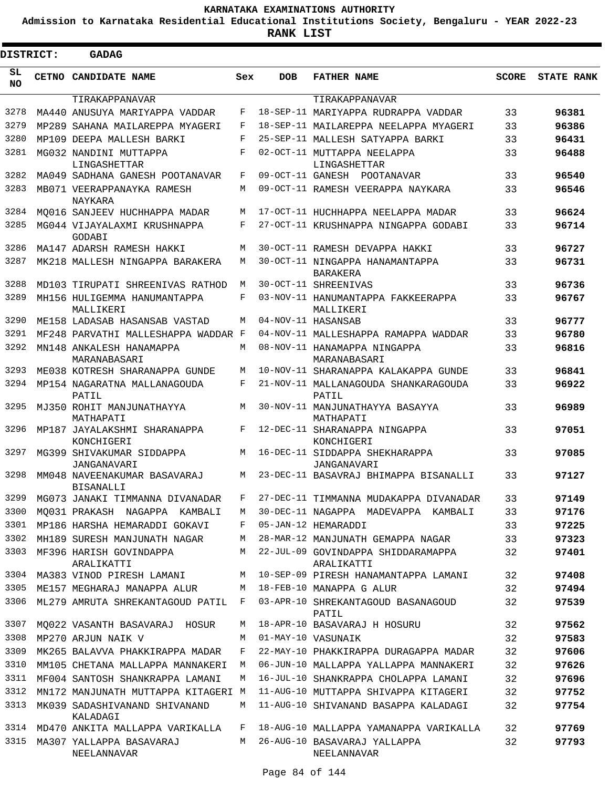**Admission to Karnataka Residential Educational Institutions Society, Bengaluru - YEAR 2022-23**

| DISTRICT:       | <b>GADAG</b>                                     |     |            |                                                    |              |                   |
|-----------------|--------------------------------------------------|-----|------------|----------------------------------------------------|--------------|-------------------|
| SL<br><b>NO</b> | CETNO CANDIDATE NAME                             | Sex | <b>DOB</b> | <b>FATHER NAME</b>                                 | <b>SCORE</b> | <b>STATE RANK</b> |
|                 | TIRAKAPPANAVAR                                   |     |            | TIRAKAPPANAVAR                                     |              |                   |
| 3278            | MA440 ANUSUYA MARIYAPPA VADDAR                   | F   |            | 18-SEP-11 MARIYAPPA RUDRAPPA VADDAR                | 33           | 96381             |
| 3279            | MP289 SAHANA MAILAREPPA MYAGERI                  | F   |            | 18-SEP-11 MAILAREPPA NEELAPPA MYAGERI              | 33           | 96386             |
| 3280            | MP109 DEEPA MALLESH BARKI                        | F   |            | 25-SEP-11 MALLESH SATYAPPA BARKI                   | 33           | 96431             |
| 3281            | MG032 NANDINI MUTTAPPA<br>LINGASHETTAR           | F   |            | 02-OCT-11 MUTTAPPA NEELAPPA<br>LINGASHETTAR        | 33           | 96488             |
| 3282            | MA049 SADHANA GANESH POOTANAVAR                  | F   |            | 09-OCT-11 GANESH POOTANAVAR                        | 33           | 96540             |
| 3283            | MB071 VEERAPPANAYKA RAMESH<br>NAYKARA            | М   |            | 09-OCT-11 RAMESH VEERAPPA NAYKARA                  | 33           | 96546             |
| 3284            | MO016 SANJEEV HUCHHAPPA MADAR                    | M   |            | 17-OCT-11 HUCHHAPPA NEELAPPA MADAR                 | 33           | 96624             |
| 3285            | MG044 VIJAYALAXMI KRUSHNAPPA<br>GODABI           | F   |            | 27-OCT-11 KRUSHNAPPA NINGAPPA GODABI               | 33           | 96714             |
| 3286            | MA147 ADARSH RAMESH HAKKI                        | М   |            | 30-OCT-11 RAMESH DEVAPPA HAKKI                     | 33           | 96727             |
| 3287            | MK218 MALLESH NINGAPPA BARAKERA                  | М   |            | 30-OCT-11 NINGAPPA HANAMANTAPPA<br><b>BARAKERA</b> | 33           | 96731             |
| 3288            | MD103 TIRUPATI SHREENIVAS RATHOD                 | M   |            | 30-OCT-11 SHREENIVAS                               | 33           | 96736             |
| 3289            | MH156 HULIGEMMA HANUMANTAPPA<br>MALLIKERI        | F   |            | 03-NOV-11 HANUMANTAPPA FAKKEERAPPA<br>MALLIKERI    | 33           | 96767             |
| 3290            | ME158 LADASAB HASANSAB VASTAD                    | М   |            | 04-NOV-11 HASANSAB                                 | 33           | 96777             |
| 3291            | MF248 PARVATHI MALLESHAPPA WADDAR F              |     |            | 04-NOV-11 MALLESHAPPA RAMAPPA WADDAR               | 33           | 96780             |
| 3292            | MN148 ANKALESH HANAMAPPA<br>MARANABASARI         | M   |            | 08-NOV-11 HANAMAPPA NINGAPPA<br>MARANABASARI       | 33           | 96816             |
| 3293            | ME038 KOTRESH SHARANAPPA GUNDE                   | М   |            | 10-NOV-11 SHARANAPPA KALAKAPPA GUNDE               | 33           | 96841             |
| 3294            | MP154 NAGARATNA MALLANAGOUDA<br>PATIL            | F   |            | 21-NOV-11 MALLANAGOUDA SHANKARAGOUDA<br>PATIL      | 33           | 96922             |
| 3295            | MJ350 ROHIT MANJUNATHAYYA<br>MATHAPATI           | M   |            | 30-NOV-11 MANJUNATHAYYA BASAYYA<br>MATHAPATI       | 33           | 96989             |
| 3296            | MP187 JAYALAKSHMI SHARANAPPA<br>KONCHIGERI       | F   |            | 12-DEC-11 SHARANAPPA NINGAPPA<br>KONCHIGERI        | 33           | 97051             |
| 3297            | MG399 SHIVAKUMAR SIDDAPPA<br>JANGANAVARI         | M   |            | 16-DEC-11 SIDDAPPA SHEKHARAPPA<br>JANGANAVARI      | 33           | 97085             |
| 3298            | MM048 NAVEENAKUMAR BASAVARAJ<br><b>BISANALLI</b> | M   |            | 23-DEC-11 BASAVRAJ BHIMAPPA BISANALLI              | 33           | 97127             |
|                 | 3299 MG073 JANAKI TIMMANNA DIVANADAR             | F   |            | 27-DEC-11 TIMMANNA MUDAKAPPA DIVANADAR             | 33           | 97149             |
| 3300            | MO031 PRAKASH NAGAPPA KAMBALI                    | М   |            | 30-DEC-11 NAGAPPA MADEVAPPA KAMBALI                | 33           | 97176             |
| 3301            | MP186 HARSHA HEMARADDI GOKAVI                    | F   |            | 05-JAN-12 HEMARADDI                                | 33           | 97225             |
| 3302            | MH189 SURESH MANJUNATH NAGAR                     | М   |            | 28-MAR-12 MANJUNATH GEMAPPA NAGAR                  | 33           | 97323             |
| 3303            | MF396 HARISH GOVINDAPPA<br>ARALIKATTI            | М   |            | 22-JUL-09 GOVINDAPPA SHIDDARAMAPPA<br>ARALIKATTI   | 32           | 97401             |
| 3304            | MA383 VINOD PIRESH LAMANI                        | М   |            | 10-SEP-09 PIRESH HANAMANTAPPA LAMANI               | 32           | 97408             |
| 3305            | ME157 MEGHARAJ MANAPPA ALUR                      | М   |            | 18-FEB-10 MANAPPA G ALUR                           | 32           | 97494             |
| 3306            | ML279 AMRUTA SHREKANTAGOUD PATIL                 | F   |            | 03-APR-10 SHREKANTAGOUD BASANAGOUD<br>PATIL        | 32           | 97539             |
| 3307            | MO022 VASANTH BASAVARAJ HOSUR                    | М   |            | 18-APR-10 BASAVARAJ H HOSURU                       | 32           | 97562             |
| 3308            | MP270 ARJUN NAIK V                               | M   |            | 01-MAY-10 VASUNAIK                                 | 32           | 97583             |
| 3309            | MK265 BALAVVA PHAKKIRAPPA MADAR                  | F   |            | 22-MAY-10 PHAKKIRAPPA DURAGAPPA MADAR              | 32           | 97606             |
| 3310            | MM105 CHETANA MALLAPPA MANNAKERI                 | М   |            | 06-JUN-10 MALLAPPA YALLAPPA MANNAKERI              | 32           | 97626             |
| 3311            | MF004 SANTOSH SHANKRAPPA LAMANI                  | М   |            | 16-JUL-10 SHANKRAPPA CHOLAPPA LAMANI               | 32           | 97696             |
| 3312            | MN172 MANJUNATH MUTTAPPA KITAGERI M              |     |            | 11-AUG-10 MUTTAPPA SHIVAPPA KITAGERI               | 32           | 97752             |
| 3313            | MK039 SADASHIVANAND SHIVANAND<br>KALADAGI        | М   |            | 11-AUG-10 SHIVANAND BASAPPA KALADAGI               | 32           | 97754             |
| 3314            | MD470 ANKITA MALLAPPA VARIKALLA                  | F   |            | 18-AUG-10 MALLAPPA YAMANAPPA VARIKALLA             | 32           | 97769             |
| 3315            | MA307 YALLAPPA BASAVARAJ<br>NEELANNAVAR          | M   |            | 26-AUG-10 BASAVARAJ YALLAPPA<br>NEELANNAVAR        | 32           | 97793             |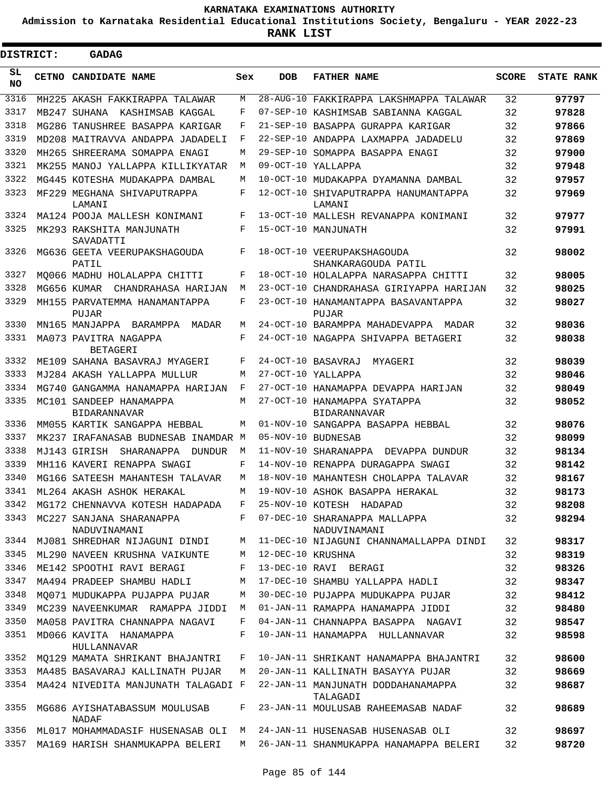**Admission to Karnataka Residential Educational Institutions Society, Bengaluru - YEAR 2022-23**

| DISTRICT:  | <b>GADAG</b>                                   |     |                   |                                                     |              |                   |
|------------|------------------------------------------------|-----|-------------------|-----------------------------------------------------|--------------|-------------------|
| SL.<br>NO. | CETNO CANDIDATE NAME                           | Sex | <b>DOB</b>        | <b>FATHER NAME</b>                                  | <b>SCORE</b> | <b>STATE RANK</b> |
| 3316       | MH225 AKASH FAKKIRAPPA TALAWAR                 | М   |                   | 28-AUG-10 FAKKIRAPPA LAKSHMAPPA TALAWAR             | 32           | 97797             |
| 3317       | MB247 SUHANA<br>KASHIMSAB KAGGAL               | F   |                   | 07-SEP-10 KASHIMSAB SABIANNA KAGGAL                 | 32           | 97828             |
| 3318       | MG286 TANUSHREE BASAPPA KARIGAR                | F   |                   | 21-SEP-10 BASAPPA GURAPPA KARIGAR                   | 32           | 97866             |
| 3319       | MD208 MAITRAVVA ANDAPPA JADADELI               | F   |                   | 22-SEP-10 ANDAPPA LAXMAPPA JADADELU                 | 32           | 97869             |
| 3320       | MH265 SHREERAMA SOMAPPA ENAGI                  | М   |                   | 29-SEP-10 SOMAPPA BASAPPA ENAGI                     | 32           | 97900             |
| 3321       | MK255 MANOJ YALLAPPA KILLIKYATAR               | М   |                   | 09-OCT-10 YALLAPPA                                  | 32           | 97948             |
| 3322       | MG445 KOTESHA MUDAKAPPA DAMBAL                 | М   |                   | 10-OCT-10 MUDAKAPPA DYAMANNA DAMBAL                 | 32           | 97957             |
| 3323       | MF229 MEGHANA SHIVAPUTRAPPA<br>LAMANI          | F   |                   | 12-OCT-10 SHIVAPUTRAPPA HANUMANTAPPA<br>LAMANI      | 32           | 97969             |
| 3324       | MA124 POOJA MALLESH KONIMANI                   | F   |                   | 13-OCT-10 MALLESH REVANAPPA KONIMANI                | 32           | 97977             |
| 3325       | MK293 RAKSHITA MANJUNATH<br>SAVADATTI          | F   |                   | 15-OCT-10 MANJUNATH                                 | 32           | 97991             |
| 3326       | MG636 GEETA VEERUPAKSHAGOUDA<br>PATIL          | F   |                   | 18-OCT-10 VEERUPAKSHAGOUDA<br>SHANKARAGOUDA PATIL   | 32           | 98002             |
| 3327       | MO066 MADHU HOLALAPPA CHITTI                   | F   |                   | 18-OCT-10 HOLALAPPA NARASAPPA CHITTI                | 32           | 98005             |
| 3328       | MG656 KUMAR CHANDRAHASA HARIJAN                | М   |                   | 23-OCT-10 CHANDRAHASA GIRIYAPPA HARIJAN             | 32           | 98025             |
| 3329       | MH155 PARVATEMMA HANAMANTAPPA<br>PUJAR         | F   |                   | 23-OCT-10 HANAMANTAPPA BASAVANTAPPA<br>PUJAR        | 32           | 98027             |
| 3330       | MN165 MANJAPPA BARAMPPA<br>MADAR               | М   |                   | 24-OCT-10 BARAMPPA MAHADEVAPPA MADAR                | 32           | 98036             |
| 3331       | MA073 PAVITRA NAGAPPA<br><b>BETAGERI</b>       | F   |                   | 24-OCT-10 NAGAPPA SHIVAPPA BETAGERI                 | 32           | 98038             |
| 3332       | ME109 SAHANA BASAVRAJ MYAGERI                  | F   |                   | 24-OCT-10 BASAVRAJ<br>MYAGERI                       | 32           | 98039             |
| 3333       | MJ284 AKASH YALLAPPA MULLUR                    | М   |                   | 27-OCT-10 YALLAPPA                                  | 32           | 98046             |
| 3334       | MG740 GANGAMMA HANAMAPPA HARIJAN               | F   |                   | 27-OCT-10 HANAMAPPA DEVAPPA HARIJAN                 | 32           | 98049             |
| 3335       | MC101 SANDEEP HANAMAPPA<br><b>BIDARANNAVAR</b> | M   |                   | 27-OCT-10 HANAMAPPA SYATAPPA<br><b>BIDARANNAVAR</b> | 32           | 98052             |
| 3336       | MM055 KARTIK SANGAPPA HEBBAL                   | M   |                   | 01-NOV-10 SANGAPPA BASAPPA HEBBAL                   | 32           | 98076             |
| 3337       | MK237 IRAFANASAB BUDNESAB INAMDAR M            |     |                   | 05-NOV-10 BUDNESAB                                  | 32           | 98099             |
| 3338       | MJ143 GIRISH SHARANAPPA<br>DUNDUR              | М   |                   | 11-NOV-10 SHARANAPPA DEVAPPA DUNDUR                 | 32           | 98134             |
| 3339       | MH116 KAVERI RENAPPA SWAGI                     | F   |                   | 14-NOV-10 RENAPPA DURAGAPPA SWAGI                   | 32           | 98142             |
| 3340       | MG166 SATEESH MAHANTESH TALAVAR                | М   |                   | 18-NOV-10 MAHANTESH CHOLAPPA TALAVAR                | 32           | 98167             |
|            | 3341 ML264 AKASH ASHOK HERAKAL                 |     |                   | M 19-NOV-10 ASHOK BASAPPA HERAKAL                   | 32           | 98173             |
| 3342       | MG172 CHENNAVVA KOTESH HADAPADA                | F   |                   | 25-NOV-10 KOTESH HADAPAD                            | 32           | 98208             |
| 3343       | MC227 SANJANA SHARANAPPA<br>NADUVINAMANI       | F   |                   | 07-DEC-10 SHARANAPPA MALLAPPA<br>NADUVINAMANI       | 32           | 98294             |
| 3344       | MJ081 SHREDHAR NIJAGUNI DINDI                  | М   |                   | 11-DEC-10 NIJAGUNI CHANNAMALLAPPA DINDI             | 32           | 98317             |
| 3345       | ML290 NAVEEN KRUSHNA VAIKUNTE                  | М   | 12-DEC-10 KRUSHNA |                                                     | 32           | 98319             |
| 3346       | ME142 SPOOTHI RAVI BERAGI                      | F   |                   | 13-DEC-10 RAVI BERAGI                               | 32           | 98326             |
| 3347       | MA494 PRADEEP SHAMBU HADLI                     | М   |                   | 17-DEC-10 SHAMBU YALLAPPA HADLI                     | 32           | 98347             |
| 3348       | MQ071 MUDUKAPPA PUJAPPA PUJAR                  | М   |                   | 30-DEC-10 PUJAPPA MUDUKAPPA PUJAR                   | 32           | 98412             |
| 3349       | MC239 NAVEENKUMAR RAMAPPA JIDDI                | М   |                   | 01-JAN-11 RAMAPPA HANAMAPPA JIDDI                   | 32           | 98480             |
| 3350       | MA058 PAVITRA CHANNAPPA NAGAVI                 | F   |                   | 04-JAN-11 CHANNAPPA BASAPPA NAGAVI                  | 32           | 98547             |
| 3351       | MD066 KAVITA HANAMAPPA<br>HULLANNAVAR          | F   |                   | 10-JAN-11 HANAMAPPA HULLANNAVAR                     | 32           | 98598             |
| 3352       | MQ129 MAMATA SHRIKANT BHAJANTRI                | F   |                   | 10-JAN-11 SHRIKANT HANAMAPPA BHAJANTRI              | 32           | 98600             |
| 3353       | MA485 BASAVARAJ KALLINATH PUJAR                | M   |                   | 20-JAN-11 KALLINATH BASAYYA PUJAR                   | 32           | 98669             |
| 3354       | MA424 NIVEDITA MANJUNATH TALAGADI F            |     |                   | 22-JAN-11 MANJUNATH DODDAHANAMAPPA<br>TALAGADI      | 32           | 98687             |
| 3355       | MG686 AYISHATABASSUM MOULUSAB<br>NADAF         | F   |                   | 23-JAN-11 MOULUSAB RAHEEMASAB NADAF                 | 32           | 98689             |
| 3356       | ML017 MOHAMMADASIF HUSENASAB OLI               | M   |                   | 24-JAN-11 HUSENASAB HUSENASAB OLI                   | 32           | 98697             |
| 3357       | MA169 HARISH SHANMUKAPPA BELERI                | M   |                   | 26-JAN-11 SHANMUKAPPA HANAMAPPA BELERI              | 32           | 98720             |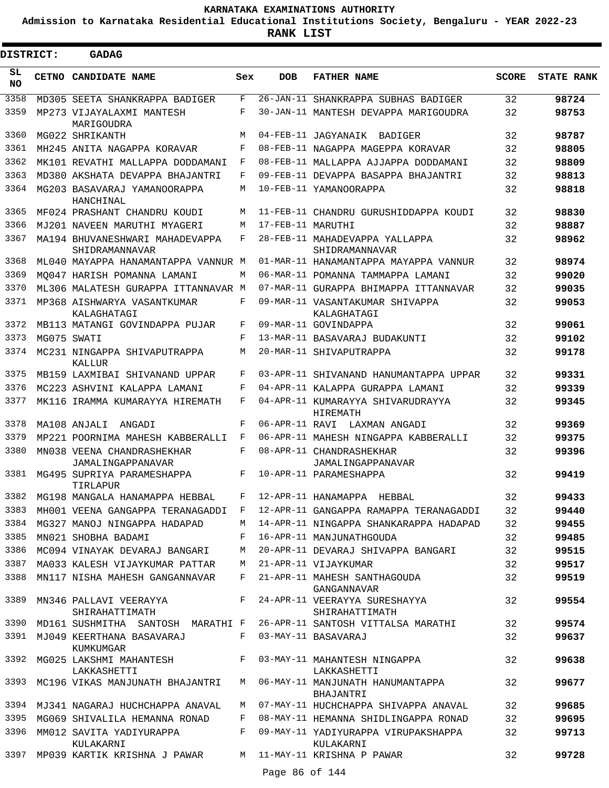**Admission to Karnataka Residential Educational Institutions Society, Bengaluru - YEAR 2022-23**

| <b>DISTRICT:</b> | <b>GADAG</b>                                                        |     |                   |                                                                                         |                 |                   |
|------------------|---------------------------------------------------------------------|-----|-------------------|-----------------------------------------------------------------------------------------|-----------------|-------------------|
| SL<br><b>NO</b>  | CETNO CANDIDATE NAME                                                | Sex | <b>DOB</b>        | <b>FATHER NAME</b>                                                                      | <b>SCORE</b>    | <b>STATE RANK</b> |
| 3358             | MD305 SEETA SHANKRAPPA BADIGER                                      | F   |                   | 26-JAN-11 SHANKRAPPA SUBHAS BADIGER                                                     | 32              | 98724             |
| 3359             | MP273 VIJAYALAXMI MANTESH<br>MARIGOUDRA                             | F   |                   | 30-JAN-11 MANTESH DEVAPPA MARIGOUDRA                                                    | 32              | 98753             |
| 3360             | MG022 SHRIKANTH                                                     | M   |                   | 04-FEB-11 JAGYANAIK BADIGER                                                             | 32              | 98787             |
| 3361             | MH245 ANITA NAGAPPA KORAVAR                                         | F   |                   | 08-FEB-11 NAGAPPA MAGEPPA KORAVAR                                                       | 32              | 98805             |
| 3362             | MK101 REVATHI MALLAPPA DODDAMANI                                    | F   |                   | 08-FEB-11 MALLAPPA AJJAPPA DODDAMANI                                                    | 32              | 98809             |
| 3363             | MD380 AKSHATA DEVAPPA BHAJANTRI                                     | F   |                   | 09-FEB-11 DEVAPPA BASAPPA BHAJANTRI                                                     | 32              | 98813             |
| 3364             | MG203 BASAVARAJ YAMANOORAPPA<br>HANCHINAL                           | M   |                   | 10-FEB-11 YAMANOORAPPA                                                                  | 32              | 98818             |
| 3365             | MF024 PRASHANT CHANDRU KOUDI                                        | M   |                   | 11-FEB-11 CHANDRU GURUSHIDDAPPA KOUDI                                                   | 32              | 98830             |
| 3366             | MJ201 NAVEEN MARUTHI MYAGERI                                        | M   | 17-FEB-11 MARUTHI |                                                                                         | 32              | 98887             |
| 3367             | MA194 BHUVANESHWARI MAHADEVAPPA<br>SHIDRAMANNAVAR                   | F   |                   | 28-FEB-11 MAHADEVAPPA YALLAPPA<br>SHIDRAMANNAVAR                                        | 32              | 98962             |
| 3368             | ML040 MAYAPPA HANAMANTAPPA VANNUR M                                 |     |                   | 01-MAR-11 HANAMANTAPPA MAYAPPA VANNUR                                                   | 32              | 98974             |
| 3369             | MO047 HARISH POMANNA LAMANI                                         | М   |                   | 06-MAR-11 POMANNA TAMMAPPA LAMANI                                                       | 32              | 99020             |
| 3370             | ML306 MALATESH GURAPPA ITTANNAVAR M                                 |     |                   | 07-MAR-11 GURAPPA BHIMAPPA ITTANNAVAR                                                   | 32              | 99035             |
| 3371             | MP368 AISHWARYA VASANTKUMAR<br>KALAGHATAGI                          | F   |                   | 09-MAR-11 VASANTAKUMAR SHIVAPPA<br>KALAGHATAGI                                          | 32              | 99053             |
| 3372             | MB113 MATANGI GOVINDAPPA PUJAR                                      | F   |                   | 09-MAR-11 GOVINDAPPA                                                                    | 32              | 99061             |
| 3373             | MG075 SWATI                                                         | F   |                   | 13-MAR-11 BASAVARAJ BUDAKUNTI                                                           | 32              | 99102             |
| 3374             | MC231 NINGAPPA SHIVAPUTRAPPA<br>KALLUR                              | M   |                   | 20-MAR-11 SHIVAPUTRAPPA                                                                 | 32              | 99178             |
| 3375             | MB159 LAXMIBAI SHIVANAND UPPAR                                      | F   |                   | 03-APR-11 SHIVANAND HANUMANTAPPA UPPAR                                                  | 32              | 99331             |
| 3376             | MC223 ASHVINI KALAPPA LAMANI                                        | F   |                   | 04-APR-11 KALAPPA GURAPPA LAMANI                                                        | 32              | 99339             |
| 3377             | MK116 IRAMMA KUMARAYYA HIREMATH                                     | F   |                   | 04-APR-11 KUMARAYYA SHIVARUDRAYYA<br>HIREMATH                                           | 32              | 99345             |
| 3378             | MA108 ANJALI<br>ANGADI                                              | F   |                   | 06-APR-11 RAVI LAXMAN ANGADI                                                            | 32              | 99369             |
| 3379             | MP221 POORNIMA MAHESH KABBERALLI                                    | F   |                   | 06-APR-11 MAHESH NINGAPPA KABBERALLI                                                    | 32              | 99375             |
| 3380             | MN038 VEENA CHANDRASHEKHAR<br>JAMALINGAPPANAVAR                     | F   |                   | 08-APR-11 CHANDRASHEKHAR<br>JAMALINGAPPANAVAR                                           | 32              | 99396             |
| 3381             | MG495 SUPRIYA PARAMESHAPPA<br>TIRLAPUR                              | F   |                   | 10-APR-11 PARAMESHAPPA                                                                  | 32              | 99419             |
|                  | 3382 MG198 MANGALA HANAMAPPA HEBBAL                                 |     |                   | F 12-APR-11 HANAMAPPA HEBBAL                                                            | 32              | 99433             |
| 3383             |                                                                     |     |                   | MH001 VEENA GANGAPPA TERANAGADDI F 12-APR-11 GANGAPPA RAMAPPA TERANAGADDI               | 32              | 99440             |
| 3384             | MG327 MANOJ NINGAPPA HADAPAD                                        |     |                   | M 14-APR-11 NINGAPPA SHANKARAPPA HADAPAD                                                | 32              | 99455             |
| 3385             | MN021 SHOBHA BADAMI                                                 |     |                   | F 16-APR-11 MANJUNATHGOUDA                                                              | 32              | 99485             |
| 3386             |                                                                     |     |                   | MC094 VINAYAK DEVARAJ BANGARI MATA 20-APR-11 DEVARAJ SHIVAPPA BANGARI                   | 32              | 99515             |
| 3387             | MA033 KALESH VIJAYKUMAR PATTAR M 21-APR-11 VIJAYKUMAR               |     |                   |                                                                                         | 32              | 99517             |
| 3388             | MN117 NISHA MAHESH GANGANNAVAR                                      |     |                   | F 21-APR-11 MAHESH SANTHAGOUDA<br>GANGANNAVAR                                           | 32              | 99519             |
|                  | 3389 MN346 PALLAVI VEERAYYA F<br>SHIRAHATTIMATH                     |     |                   | 24-APR-11 VEERAYYA SURESHAYYA<br>SHIRAHATTIMATH                                         | 32              | 99554             |
|                  |                                                                     |     |                   | 3390 MD161 SUSHMITHA SANTOSH MARATHI F 26-APR-11 SANTOSH VITTALSA MARATHI               | 32              | 99574             |
|                  | 3391 MJ049 KEERTHANA BASAVARAJ<br>KUMKUMGAR                         |     |                   | F 03-MAY-11 BASAVARAJ                                                                   | 32              | 99637             |
|                  | LAKKASHETTI                                                         |     |                   | 3392 MG025 LAKSHMI MAHANTESH F 03-MAY-11 MAHANTESH NINGAPPA<br>LAKKASHETTI              | 32              | 99638             |
|                  |                                                                     |     |                   | 3393 MC196 VIKAS MANJUNATH BHAJANTRI   M  06-MAY-11 MANJUNATH HANUMANTAPPA<br>BHAJANTRI | 32              | 99677             |
|                  | 3394 MJ341 NAGARAJ HUCHCHAPPA ANAVAL                                |     |                   | M 07-MAY-11 HUCHCHAPPA SHIVAPPA ANAVAL                                                  | 32 <sup>°</sup> | 99685             |
| 3395             | MG069 SHIVALILA HEMANNA RONAD                                       |     |                   | F 08-MAY-11 HEMANNA SHIDLINGAPPA RONAD                                                  | 32              | 99695             |
| 3396             | MM012 SAVITA YADIYURAPPA<br>KULAKARNI                               |     |                   | F 09-MAY-11 YADIYURAPPA VIRUPAKSHAPPA<br>KULAKARNI                                      | 32              | 99713             |
|                  | 3397 MP039 KARTIK KRISHNA J PAWAR     M   11-MAY-11 KRISHNA P PAWAR |     | Page 86 of 144    |                                                                                         | 32              | 99728             |
|                  |                                                                     |     |                   |                                                                                         |                 |                   |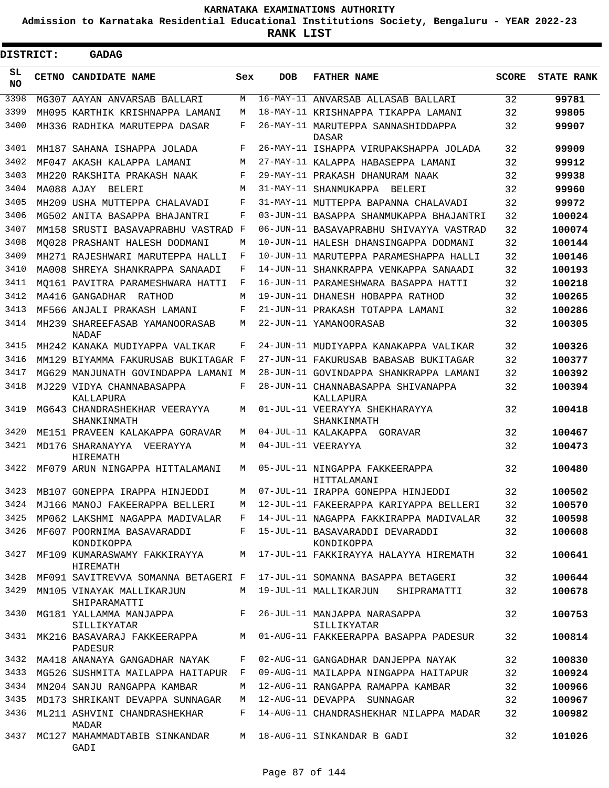**Admission to Karnataka Residential Educational Institutions Society, Bengaluru - YEAR 2022-23**

ı

| <b>DISTRICT:</b> |  | <b>GADAG</b>                                                                  |     |            |                                                                          |              |                   |
|------------------|--|-------------------------------------------------------------------------------|-----|------------|--------------------------------------------------------------------------|--------------|-------------------|
| SL<br><b>NO</b>  |  | CETNO CANDIDATE NAME                                                          | Sex | <b>DOB</b> | <b>FATHER NAME</b>                                                       | <b>SCORE</b> | <b>STATE RANK</b> |
| 3398             |  | MG307 AAYAN ANVARSAB BALLARI                                                  | М   |            | 16-MAY-11 ANVARSAB ALLASAB BALLARI                                       | 32           | 99781             |
| 3399             |  | MH095 KARTHIK KRISHNAPPA LAMANI                                               | М   |            | 18-MAY-11 KRISHNAPPA TIKAPPA LAMANI                                      | 32           | 99805             |
| 3400             |  | MH336 RADHIKA MARUTEPPA DASAR                                                 | F   |            | 26-MAY-11 MARUTEPPA SANNASHIDDAPPA<br>DASAR                              | 32           | 99907             |
| 3401             |  | MH187 SAHANA ISHAPPA JOLADA                                                   | F   |            | 26-MAY-11 ISHAPPA VIRUPAKSHAPPA JOLADA                                   | 32           | 99909             |
| 3402             |  | MF047 AKASH KALAPPA LAMANI                                                    | М   |            | 27-MAY-11 KALAPPA HABASEPPA LAMANI                                       | 32           | 99912             |
| 3403             |  | MH220 RAKSHITA PRAKASH NAAK                                                   | F   |            | 29-MAY-11 PRAKASH DHANURAM NAAK                                          | 32           | 99938             |
| 3404             |  | MA088 AJAY BELERI                                                             | М   |            | 31-MAY-11 SHANMUKAPPA BELERI                                             | 32           | 99960             |
| 3405             |  | MH209 USHA MUTTEPPA CHALAVADI                                                 | F   |            | 31-MAY-11 MUTTEPPA BAPANNA CHALAVADI                                     | 32           | 99972             |
| 3406             |  | MG502 ANITA BASAPPA BHAJANTRI                                                 | F   |            | 03-JUN-11 BASAPPA SHANMUKAPPA BHAJANTRI                                  | 32           | 100024            |
| 3407             |  | MM158 SRUSTI BASAVAPRABHU VASTRAD F                                           |     |            | 06-JUN-11 BASAVAPRABHU SHIVAYYA VASTRAD                                  | 32           | 100074            |
| 3408             |  | MO028 PRASHANT HALESH DODMANI                                                 | М   |            | 10-JUN-11 HALESH DHANSINGAPPA DODMANI                                    | 32           | 100144            |
| 3409             |  | MH271 RAJESHWARI MARUTEPPA HALLI                                              | F   |            | 10-JUN-11 MARUTEPPA PARAMESHAPPA HALLI                                   | 32           | 100146            |
| 3410             |  | MA008 SHREYA SHANKRAPPA SANAADI                                               | F   |            | 14-JUN-11 SHANKRAPPA VENKAPPA SANAADI                                    | 32           | 100193            |
| 3411             |  | MO161 PAVITRA PARAMESHWARA HATTI                                              | F   |            | 16-JUN-11 PARAMESHWARA BASAPPA HATTI                                     | 32           | 100218            |
| 3412             |  | MA416 GANGADHAR RATHOD                                                        | М   |            | 19-JUN-11 DHANESH HOBAPPA RATHOD                                         | 32           | 100265            |
| 3413             |  | MF566 ANJALI PRAKASH LAMANI                                                   | F   |            | 21-JUN-11 PRAKASH TOTAPPA LAMANI                                         | 32           | 100286            |
| 3414             |  | MH239 SHAREEFASAB YAMANOORASAB<br>NADAF                                       | М   |            | 22-JUN-11 YAMANOORASAB                                                   | 32           | 100305            |
| 3415             |  | MH242 KANAKA MUDIYAPPA VALIKAR                                                | F   |            | 24-JUN-11 MUDIYAPPA KANAKAPPA VALIKAR                                    | 32           | 100326            |
| 3416             |  | MM129 BIYAMMA FAKURUSAB BUKITAGAR F                                           |     |            | 27-JUN-11 FAKURUSAB BABASAB BUKITAGAR                                    | 32           | 100377            |
| 3417             |  | MG629 MANJUNATH GOVINDAPPA LAMANI M                                           |     |            | 28-JUN-11 GOVINDAPPA SHANKRAPPA LAMANI                                   | 32           | 100392            |
| 3418             |  | MJ229 VIDYA CHANNABASAPPA<br>KALLAPURA                                        | F   |            | 28-JUN-11 CHANNABASAPPA SHIVANAPPA<br>KALLAPURA                          | 32           | 100394            |
| 3419             |  | MG643 CHANDRASHEKHAR VEERAYYA<br>SHANKINMATH                                  | М   |            | 01-JUL-11 VEERAYYA SHEKHARAYYA<br>SHANKINMATH                            | 32           | 100418            |
| 3420             |  | ME151 PRAVEEN KALAKAPPA GORAVAR                                               | М   |            | 04-JUL-11 KALAKAPPA GORAVAR                                              | 32           | 100467            |
| 3421             |  | MD176 SHARANAYYA<br>VEERAYYA<br>HIREMATH                                      | М   |            | 04-JUL-11 VEERAYYA                                                       | 32           | 100473            |
| 3422             |  | MF079 ARUN NINGAPPA HITTALAMANI                                               | M   |            | 05-JUL-11 NINGAPPA FAKKEERAPPA<br>HITTALAMANI                            | 32           | 100480            |
| 3423             |  | MB107 GONEPPA IRAPPA HINJEDDI                                                 | М   |            | 07-JUL-11 IRAPPA GONEPPA HINJEDDI                                        | 32           | 100502            |
|                  |  | 3424 MJ166 MANOJ FAKEERAPPA BELLERI                                           | M   |            | 12-JUL-11 FAKEERAPPA KARIYAPPA BELLERI                                   | 32           | 100570            |
|                  |  | 3425 MP062 LAKSHMI NAGAPPA MADIVALAR                                          | F   |            | 14-JUL-11 NAGAPPA FAKKIRAPPA MADIVALAR                                   | 32           | 100598            |
|                  |  | 3426 MF607 POORNIMA BASAVARADDI<br>KONDIKOPPA                                 |     |            | F 15-JUL-11 BASAVARADDI DEVARADDI<br>KONDIKOPPA                          | 32           | 100608            |
|                  |  | 3427 MF109 KUMARASWAMY FAKKIRAYYA<br>HIREMATH                                 |     |            | M 17-JUL-11 FAKKIRAYYA HALAYYA HIREMATH                                  | 32           | 100641            |
| 3428             |  | MF091 SAVITREVVA SOMANNA BETAGERI F                                           |     |            | 17-JUL-11 SOMANNA BASAPPA BETAGERI                                       | 32           | 100644            |
|                  |  | 3429 MN105 VINAYAK MALLIKARJUN<br>SHIPARAMATTI                                |     |            | M 19-JUL-11 MALLIKARJUN<br>SHIPRAMATTI                                   | 32           | 100678            |
|                  |  | 3430 MG181 YALLAMMA MANJAPPA<br>F 26-JUL-11 MANJAPPA NARASAPPA<br>SILLIKYATAR |     |            | SILLIKYATAR                                                              | 32           | 100753            |
|                  |  | PADESUR                                                                       |     |            | 3431 MK216 BASAVARAJ FAKKEERAPPA M 01-AUG-11 FAKKEERAPPA BASAPPA PADESUR | 32           | 100814            |
|                  |  | 3432 MA418 ANANAYA GANGADHAR NAYAK                                            | F   |            | 02-AUG-11 GANGADHAR DANJEPPA NAYAK                                       | 32           | 100830            |
|                  |  | 3433 MG526 SUSHMITA MAILAPPA HAITAPUR F                                       |     |            | 09-AUG-11 MAILAPPA NINGAPPA HAITAPUR                                     | 32           | 100924            |
|                  |  | 3434 MN204 SANJU RANGAPPA KAMBAR                                              |     |            | M 12-AUG-11 RANGAPPA RAMAPPA KAMBAR                                      | 32           | 100966            |
|                  |  | 3435 MD173 SHRIKANT DEVAPPA SUNNAGAR                                          |     |            | M 12-AUG-11 DEVAPPA SUNNAGAR                                             | 32           | 100967            |
|                  |  | 3436 ML211 ASHVINI CHANDRASHEKHAR<br>MADAR                                    |     |            | F 14-AUG-11 CHANDRASHEKHAR NILAPPA MADAR                                 | 32           | 100982            |
|                  |  | 3437 MC127 MAHAMMADTABIB SINKANDAR<br>GADI                                    |     |            | M 18-AUG-11 SINKANDAR B GADI                                             | 32           | 101026            |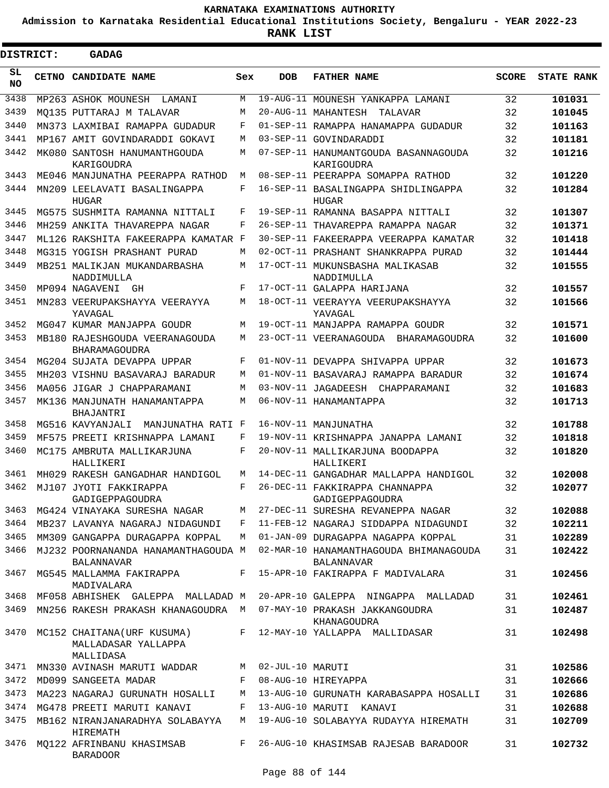**Admission to Karnataka Residential Educational Institutions Society, Bengaluru - YEAR 2022-23**

 $\blacksquare$ 

| <b>DISTRICT:</b> | GADAG                                                          |         |                  |                                                      |              |                   |
|------------------|----------------------------------------------------------------|---------|------------------|------------------------------------------------------|--------------|-------------------|
| SL<br><b>NO</b>  | CETNO CANDIDATE NAME                                           | Sex     | <b>DOB</b>       | <b>FATHER NAME</b>                                   | <b>SCORE</b> | <b>STATE RANK</b> |
| 3438             | MP263 ASHOK MOUNESH<br>LAMANI                                  | M       |                  | 19-AUG-11 MOUNESH YANKAPPA LAMANI                    | 32           | 101031            |
| 3439             | MO135 PUTTARAJ M TALAVAR                                       | M       |                  | 20-AUG-11 MAHANTESH<br>TALAVAR                       | 32           | 101045            |
| 3440             | MN373 LAXMIBAI RAMAPPA GUDADUR                                 | F       |                  | 01-SEP-11 RAMAPPA HANAMAPPA GUDADUR                  | 32           | 101163            |
| 3441             | MP167 AMIT GOVINDARADDI GOKAVI                                 | M       |                  | 03-SEP-11 GOVINDARADDI                               | 32           | 101181            |
| 3442             | MK080 SANTOSH HANUMANTHGOUDA<br>KARIGOUDRA                     | M       |                  | 07-SEP-11 HANUMANTGOUDA BASANNAGOUDA<br>KARIGOUDRA   | 32           | 101216            |
| 3443             | ME046 MANJUNATHA PEERAPPA RATHOD                               | M       |                  | 08-SEP-11 PEERAPPA SOMAPPA RATHOD                    | 32           | 101220            |
| 3444             | MN209 LEELAVATI BASALINGAPPA<br>HUGAR                          | F       |                  | 16-SEP-11 BASALINGAPPA SHIDLINGAPPA<br>HUGAR         | 32           | 101284            |
| 3445             | MG575 SUSHMITA RAMANNA NITTALI                                 | F       |                  | 19-SEP-11 RAMANNA BASAPPA NITTALI                    | 32           | 101307            |
| 3446             | MH259 ANKITA THAVAREPPA NAGAR                                  | F       |                  | 26-SEP-11 THAVAREPPA RAMAPPA NAGAR                   | 32           | 101371            |
| 3447             | ML126 RAKSHITA FAKEERAPPA KAMATAR F                            |         |                  | 30-SEP-11 FAKEERAPPA VEERAPPA KAMATAR                | 32           | 101418            |
| 3448             | MG315 YOGISH PRASHANT PURAD                                    | M       |                  | 02-OCT-11 PRASHANT SHANKRAPPA PURAD                  | 32           | 101444            |
| 3449             | MB251 MALIKJAN MUKANDARBASHA<br>NADDIMULLA                     | M       |                  | 17-OCT-11 MUKUNSBASHA MALIKASAB<br>NADDIMULLA        | 32           | 101555            |
| 3450             | MP094 NAGAVENI<br>GH                                           | F       |                  | 17-OCT-11 GALAPPA HARIJANA                           | 32           | 101557            |
| 3451             | MN283 VEERUPAKSHAYYA VEERAYYA<br>YAVAGAL                       | M       |                  | 18-OCT-11 VEERAYYA VEERUPAKSHAYYA<br>YAVAGAL         | 32           | 101566            |
| 3452             | MG047 KUMAR MANJAPPA GOUDR                                     | M       |                  | 19-OCT-11 MANJAPPA RAMAPPA GOUDR                     | 32           | 101571            |
| 3453             | MB180 RAJESHGOUDA VEERANAGOUDA<br>BHARAMAGOUDRA                | M       |                  | 23-OCT-11 VEERANAGOUDA BHARAMAGOUDRA                 | 32           | 101600            |
| 3454             | MG204 SUJATA DEVAPPA UPPAR                                     | F       |                  | 01-NOV-11 DEVAPPA SHIVAPPA UPPAR                     | 32           | 101673            |
| 3455             | MH203 VISHNU BASAVARAJ BARADUR                                 | M       |                  | 01-NOV-11 BASAVARAJ RAMAPPA BARADUR                  | 32           | 101674            |
| 3456             | MA056 JIGAR J CHAPPARAMANI                                     | M       |                  | 03-NOV-11 JAGADEESH<br>CHAPPARAMANI                  | 32           | 101683            |
| 3457             | MK136 MANJUNATH HANAMANTAPPA                                   | M       |                  | 06-NOV-11 HANAMANTAPPA                               | 32           | 101713            |
| 3458             | BHAJANTRI<br>MG516 KAVYANJALI<br>MANJUNATHA RATI F             |         |                  | 16-NOV-11 MANJUNATHA                                 | 32           | 101788            |
| 3459             | MF575 PREETI KRISHNAPPA LAMANI                                 | F       |                  | 19-NOV-11 KRISHNAPPA JANAPPA LAMANI                  | 32           | 101818            |
| 3460             | MC175 AMBRUTA MALLIKARJUNA                                     | F       |                  | 20-NOV-11 MALLIKARJUNA BOODAPPA                      | 32           | 101820            |
|                  | HALLIKERI                                                      |         |                  | HALLIKERI                                            |              |                   |
| 3461             | MH029 RAKESH GANGADHAR HANDIGOL                                | M       |                  | 14-DEC-11 GANGADHAR MALLAPPA HANDIGOL                | 32           | 102008            |
| 3462             | MJ107 JYOTI FAKKIRAPPA<br>GADIGEPPAGOUDRA                      | F       |                  | 26-DEC-11 FAKKIRAPPA CHANNAPPA<br>GADIGEPPAGOUDRA    | 32           | 102077            |
|                  | 3463 MG424 VINAYAKA SURESHA NAGAR                              | M       |                  | 27-DEC-11 SURESHA REVANEPPA NAGAR                    | 32           | 102088            |
| 3464             | MB237 LAVANYA NAGARAJ NIDAGUNDI                                | F       |                  | 11-FEB-12 NAGARAJ SIDDAPPA NIDAGUNDI                 | 32           | 102211            |
| 3465             | MM309 GANGAPPA DURAGAPPA KOPPAL                                | M       |                  | 01-JAN-09 DURAGAPPA NAGAPPA KOPPAL                   | 31           | 102289            |
| 3466             | MJ232 POORNANANDA HANAMANTHAGOUDA M<br>BALANNAVAR              |         |                  | 02-MAR-10 HANAMANTHAGOUDA BHIMANAGOUDA<br>BALANNAVAR | 31           | 102422            |
| 3467             | MG545 MALLAMMA FAKIRAPPA<br>MADIVALARA                         |         |                  | F 15-APR-10 FAKIRAPPA F MADIVALARA                   | 31           | 102456            |
| 3468             | MF058 ABHISHEK GALEPPA MALLADAD M                              |         |                  | 20-APR-10 GALEPPA NINGAPPA MALLADAD                  | 31           | 102461            |
| 3469             | MN256 RAKESH PRAKASH KHANAGOUDRA M                             |         |                  | 07-MAY-10 PRAKASH JAKKANGOUDRA<br>KHANAGOUDRA        | 31           | 102487            |
| 3470             | MC152 CHAITANA(URF KUSUMA)<br>MALLADASAR YALLAPPA<br>MALLIDASA |         |                  | F 12-MAY-10 YALLAPPA MALLIDASAR                      | 31           | 102498            |
| 3471             | MN330 AVINASH MARUTI WADDAR                                    | M       | 02-JUL-10 MARUTI |                                                      | 31           | 102586            |
| 3472             | MD099 SANGEETA MADAR                                           | F       |                  | 08-AUG-10 HIREYAPPA                                  | 31           | 102666            |
| 3473             | MA223 NAGARAJ GURUNATH HOSALLI                                 | M       |                  | 13-AUG-10 GURUNATH KARABASAPPA HOSALLI               | 31           | 102686            |
| 3474             | MG478 PREETI MARUTI KANAVI                                     | F       |                  | 13-AUG-10 MARUTI KANAVI                              | 31           | 102688            |
| 3475             | MB162 NIRANJANARADHYA SOLABAYYA<br>HIREMATH                    | M       |                  | 19-AUG-10 SOLABAYYA RUDAYYA HIREMATH                 | 31           | 102709            |
| 3476             | MQ122 AFRINBANU KHASIMSAB<br><b>BARADOOR</b>                   | $F$ and |                  | 26-AUG-10 KHASIMSAB RAJESAB BARADOOR                 | 31           | 102732            |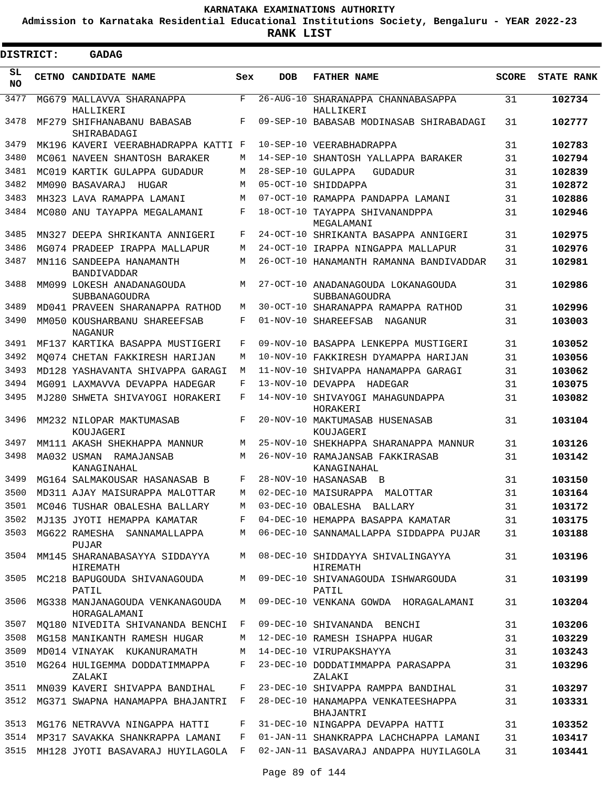**Admission to Karnataka Residential Educational Institutions Society, Bengaluru - YEAR 2022-23**

**RANK LIST**

| DISTRICT:       |  | <b>GADAG</b>                                      |     |                   |                                                     |              |                   |  |  |  |  |  |
|-----------------|--|---------------------------------------------------|-----|-------------------|-----------------------------------------------------|--------------|-------------------|--|--|--|--|--|
| SL<br><b>NO</b> |  | CETNO CANDIDATE NAME                              | Sex | <b>DOB</b>        | <b>FATHER NAME</b>                                  | <b>SCORE</b> | <b>STATE RANK</b> |  |  |  |  |  |
| 3477            |  | MG679 MALLAVVA SHARANAPPA<br>HALLIKERI            | F   |                   | 26-AUG-10 SHARANAPPA CHANNABASAPPA<br>HALLIKERI     | 31           | 102734            |  |  |  |  |  |
| 3478            |  | MF279 SHIFHANABANU BABASAB<br>SHIRABADAGI         | F   |                   | 09-SEP-10 BABASAB MODINASAB SHIRABADAGI             | 31           | 102777            |  |  |  |  |  |
| 3479            |  | MK196 KAVERI VEERABHADRAPPA KATTI F               |     |                   | 10-SEP-10 VEERABHADRAPPA                            | 31           | 102783            |  |  |  |  |  |
| 3480            |  | MC061 NAVEEN SHANTOSH BARAKER                     | М   |                   | 14-SEP-10 SHANTOSH YALLAPPA BARAKER                 | 31           | 102794            |  |  |  |  |  |
| 3481            |  | MC019 KARTIK GULAPPA GUDADUR                      | М   | 28-SEP-10 GULAPPA | GUDADUR                                             | 31           | 102839            |  |  |  |  |  |
| 3482            |  | MM090 BASAVARAJ<br>HUGAR                          | М   |                   | 05-OCT-10 SHIDDAPPA                                 | 31           | 102872            |  |  |  |  |  |
| 3483            |  | MH323 LAVA RAMAPPA LAMANI                         | М   |                   | 07-OCT-10 RAMAPPA PANDAPPA LAMANI                   | 31           | 102886            |  |  |  |  |  |
| 3484            |  | MC080 ANU TAYAPPA MEGALAMANI                      | F   |                   | 18-OCT-10 TAYAPPA SHIVANANDPPA<br>MEGALAMANI        | 31           | 102946            |  |  |  |  |  |
| 3485            |  | MN327 DEEPA SHRIKANTA ANNIGERI                    | F   |                   | 24-OCT-10 SHRIKANTA BASAPPA ANNIGERI                | 31           | 102975            |  |  |  |  |  |
| 3486            |  | MG074 PRADEEP IRAPPA MALLAPUR                     | М   |                   | 24-OCT-10 IRAPPA NINGAPPA MALLAPUR                  | 31           | 102976            |  |  |  |  |  |
| 3487            |  | MN116 SANDEEPA HANAMANTH<br><b>BANDIVADDAR</b>    | M   |                   | 26-OCT-10 HANAMANTH RAMANNA BANDIVADDAR             | 31           | 102981            |  |  |  |  |  |
| 3488            |  | MM099 LOKESH ANADANAGOUDA<br><b>SUBBANAGOUDRA</b> | M   |                   | 27-OCT-10 ANADANAGOUDA LOKANAGOUDA<br>SUBBANAGOUDRA | 31           | 102986            |  |  |  |  |  |
| 3489            |  | MD041 PRAVEEN SHARANAPPA RATHOD                   | М   |                   | 30-OCT-10 SHARANAPPA RAMAPPA RATHOD                 | 31           | 102996            |  |  |  |  |  |
| 3490            |  | MM050 KOUSHARBANU SHAREEFSAB<br>NAGANUR           | F   |                   | 01-NOV-10 SHAREEFSAB<br>NAGANUR                     | 31           | 103003            |  |  |  |  |  |
| 3491            |  | MF137 KARTIKA BASAPPA MUSTIGERI                   | F   | $09 - NOV - 10$   | BASAPPA LENKEPPA MUSTIGERI                          | 31           | 103052            |  |  |  |  |  |
| 3492            |  | MO074 CHETAN FAKKIRESH HARIJAN                    | М   | $10 - NOV - 10$   | FAKKIRESH DYAMAPPA HARIJAN                          | 31           | 103056            |  |  |  |  |  |
| 3493            |  | MD128 YASHAVANTA SHIVAPPA GARAGI                  | М   | $11 - NOV - 10$   | SHIVAPPA HANAMAPPA GARAGI                           | 31           | 103062            |  |  |  |  |  |
| 3494            |  | MG091 LAXMAVVA DEVAPPA HADEGAR                    | F   | $13-NOV-10$       | DEVAPPA<br>HADEGAR                                  | 31           | 103075            |  |  |  |  |  |
| 3495            |  | MJ280 SHWETA SHIVAYOGI HORAKERI                   | F   |                   | 14-NOV-10 SHIVAYOGI MAHAGUNDAPPA<br>HORAKERI        | 31           | 103082            |  |  |  |  |  |
| 3496            |  | MM232 NILOPAR MAKTUMASAB<br>KOUJAGERI             | F   |                   | 20-NOV-10 MAKTUMASAB HUSENASAB<br>KOUJAGERI         | 31           | 103104            |  |  |  |  |  |
| 3497            |  | MM111 AKASH SHEKHAPPA MANNUR                      | М   |                   | 25-NOV-10 SHEKHAPPA SHARANAPPA MANNUR               | 31           | 103126            |  |  |  |  |  |
| 3498            |  | MA032 USMAN RAMAJANSAB<br>KANAGINAHAL             | M   |                   | 26-NOV-10 RAMAJANSAB FAKKIRASAB<br>KANAGINAHAL      | 31           | 103142            |  |  |  |  |  |
| 3499            |  | MG164 SALMAKOUSAR HASANASAB B                     | F   |                   | 28-NOV-10 HASANASAB B                               | 31           | 103150            |  |  |  |  |  |
|                 |  | 3500 MD311 AJAY MAISURAPPA MALOTTAR               |     |                   | M 02-DEC-10 MAISURAPPA MALOTTAR                     | 31           | 103164            |  |  |  |  |  |
| 3501            |  | MC046 TUSHAR OBALESHA BALLARY                     | М   |                   | 03-DEC-10 OBALESHA BALLARY                          | 31           | 103172            |  |  |  |  |  |
| 3502            |  | MJ135 JYOTI HEMAPPA KAMATAR                       | F   |                   | 04-DEC-10 HEMAPPA BASAPPA KAMATAR                   | 31           | 103175            |  |  |  |  |  |
| 3503            |  | MG622 RAMESHA SANNAMALLAPPA<br>PUJAR              | М   |                   | 06-DEC-10 SANNAMALLAPPA SIDDAPPA PUJAR              | 31           | 103188            |  |  |  |  |  |
| 3504            |  | MM145 SHARANABASAYYA SIDDAYYA<br>HIREMATH         | M   |                   | 08-DEC-10 SHIDDAYYA SHIVALINGAYYA<br>HIREMATH       | 31           | 103196            |  |  |  |  |  |
| 3505            |  | MC218 BAPUGOUDA SHIVANAGOUDA<br>PATIL             | М   |                   | 09-DEC-10 SHIVANAGOUDA ISHWARGOUDA<br>PATIL         | 31           | 103199            |  |  |  |  |  |
| 3506            |  | MG338 MANJANAGOUDA VENKANAGOUDA<br>HORAGALAMANI   | M   |                   | 09-DEC-10 VENKANA GOWDA HORAGALAMANI                | 31           | 103204            |  |  |  |  |  |
| 3507            |  | MQ180 NIVEDITA SHIVANANDA BENCHI                  | F   |                   | 09-DEC-10 SHIVANANDA BENCHI                         | 31           | 103206            |  |  |  |  |  |
| 3508            |  | MG158 MANIKANTH RAMESH HUGAR                      | М   |                   | 12-DEC-10 RAMESH ISHAPPA HUGAR                      | 31           | 103229            |  |  |  |  |  |
| 3509            |  | MD014 VINAYAK KUKANURAMATH                        | М   |                   | 14-DEC-10 VIRUPAKSHAYYA                             | 31           | 103243            |  |  |  |  |  |
| 3510            |  | MG264 HULIGEMMA DODDATIMMAPPA<br>ZALAKI           | F   |                   | 23-DEC-10 DODDATIMMAPPA PARASAPPA<br>ZALAKI         | 31           | 103296            |  |  |  |  |  |
| 3511            |  | MN039 KAVERI SHIVAPPA BANDIHAL                    | F   |                   | 23-DEC-10 SHIVAPPA RAMPPA BANDIHAL                  | 31           | 103297            |  |  |  |  |  |
| 3512            |  | MG371 SWAPNA HANAMAPPA BHAJANTRI                  | F   |                   | 28-DEC-10 HANAMAPPA VENKATEESHAPPA<br>BHAJANTRI     | 31           | 103331            |  |  |  |  |  |
| 3513            |  | MG176 NETRAVVA NINGAPPA HATTI                     | F   |                   | 31-DEC-10 NINGAPPA DEVAPPA HATTI                    | 31           | 103352            |  |  |  |  |  |
| 3514            |  | MP317 SAVAKKA SHANKRAPPA LAMANI                   | F   |                   | 01-JAN-11 SHANKRAPPA LACHCHAPPA LAMANI              | 31           | 103417            |  |  |  |  |  |
| 3515            |  | MH128 JYOTI BASAVARAJ HUYILAGOLA                  | F   |                   | 02-JAN-11 BASAVARAJ ANDAPPA HUYILAGOLA              | 31           | 103441            |  |  |  |  |  |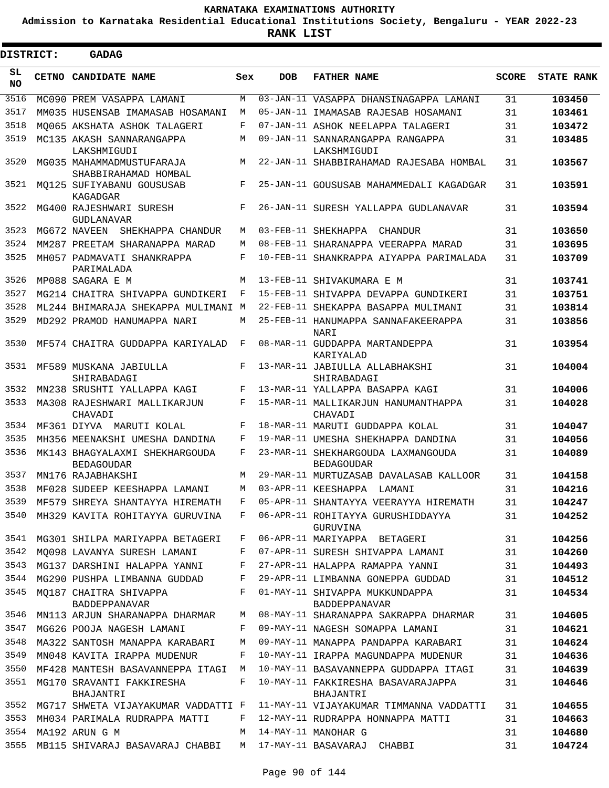**Admission to Karnataka Residential Educational Institutions Society, Bengaluru - YEAR 2022-23**

 $\blacksquare$ 

**RANK LIST**

| DISTRICT:    |  | <b>GADAG</b>                                           |            |            |                                                                     |              |                   |
|--------------|--|--------------------------------------------------------|------------|------------|---------------------------------------------------------------------|--------------|-------------------|
| SL<br>NO.    |  | CETNO CANDIDATE NAME                                   | Sex        | <b>DOB</b> | <b>FATHER NAME</b>                                                  | <b>SCORE</b> | <b>STATE RANK</b> |
| 3516         |  | MC090 PREM VASAPPA LAMANI                              | M          |            | 03-JAN-11 VASAPPA DHANSINAGAPPA LAMANI                              | 31           | 103450            |
| 3517         |  | MM035 HUSENSAB IMAMASAB HOSAMANI                       | M          |            | 05-JAN-11 IMAMASAB RAJESAB HOSAMANI                                 | 31           | 103461            |
| 3518         |  | MO065 AKSHATA ASHOK TALAGERI                           | F          |            | 07-JAN-11 ASHOK NEELAPPA TALAGERI                                   | 31           | 103472            |
| 3519         |  | MC135 AKASH SANNARANGAPPA<br>LAKSHMIGUDI               | M          |            | 09-JAN-11 SANNARANGAPPA RANGAPPA<br>LAKSHMIGUDI                     | 31           | 103485            |
| 3520         |  | MG035 MAHAMMADMUSTUFARAJA<br>SHABBIRAHAMAD HOMBAL      | М          |            | 22-JAN-11 SHABBIRAHAMAD RAJESABA HOMBAL                             | 31           | 103567            |
| 3521         |  | MO125 SUFIYABANU GOUSUSAB<br>KAGADGAR                  | $_{\rm F}$ |            | 25-JAN-11 GOUSUSAB MAHAMMEDALI KAGADGAR                             | 31           | 103591            |
| 3522         |  | MG400 RAJESHWARI SURESH<br><b>GUDLANAVAR</b>           | F          |            | 26-JAN-11 SURESH YALLAPPA GUDLANAVAR                                | 31           | 103594            |
| 3523         |  | MG672 NAVEEN<br>SHEKHAPPA CHANDUR                      | М          |            | 03-FEB-11 SHEKHAPPA<br>CHANDUR                                      | 31           | 103650            |
| 3524         |  | MM287 PREETAM SHARANAPPA MARAD                         | М          |            | 08-FEB-11 SHARANAPPA VEERAPPA MARAD                                 | 31           | 103695            |
| 3525         |  | MH057 PADMAVATI SHANKRAPPA<br>PARIMALADA               | F          |            | 10-FEB-11 SHANKRAPPA AIYAPPA PARIMALADA                             | 31           | 103709            |
| 3526         |  | MP088 SAGARA E M                                       | M          |            | 13-FEB-11 SHIVAKUMARA E M                                           | 31           | 103741            |
| 3527         |  | MG214 CHAITRA SHIVAPPA GUNDIKERI                       | F          |            | 15-FEB-11 SHIVAPPA DEVAPPA GUNDIKERI                                | 31           | 103751            |
| 3528         |  | ML244 BHIMARAJA SHEKAPPA MULIMANI M                    |            |            | 22-FEB-11 SHEKAPPA BASAPPA MULIMANI                                 | 31           | 103814            |
| 3529         |  | MD292 PRAMOD HANUMAPPA NARI                            | M          |            | 25-FEB-11 HANUMAPPA SANNAFAKEERAPPA<br><b>NARI</b>                  | 31           | 103856            |
| 3530         |  | MF574 CHAITRA GUDDAPPA KARIYALAD                       | F          |            | 08-MAR-11 GUDDAPPA MARTANDEPPA<br>KARIYALAD                         | 31           | 103954            |
| 3531         |  | MF589 MUSKANA JABIULLA<br>SHIRABADAGI                  | F          |            | 13-MAR-11 JABIULLA ALLABHAKSHI<br>SHIRABADAGI                       | 31           | 104004            |
| 3532         |  | MN238 SRUSHTI YALLAPPA KAGI                            | F          |            | 13-MAR-11 YALLAPPA BASAPPA KAGI                                     | 31           | 104006            |
| 3533         |  | MA308 RAJESHWARI MALLIKARJUN<br>CHAVADI                | F          |            | 15-MAR-11 MALLIKARJUN HANUMANTHAPPA<br>CHAVADI                      | 31           | 104028            |
| 3534         |  | MF361 DIYVA MARUTI KOLAL                               | F          |            | 18-MAR-11 MARUTI GUDDAPPA KOLAL                                     | 31           | 104047            |
| 3535         |  | MH356 MEENAKSHI UMESHA DANDINA                         | F          |            | 19-MAR-11 UMESHA SHEKHAPPA DANDINA                                  | 31           | 104056            |
| 3536         |  | MK143 BHAGYALAXMI SHEKHARGOUDA<br><b>BEDAGOUDAR</b>    | F          |            | 23-MAR-11 SHEKHARGOUDA LAXMANGOUDA<br><b>BEDAGOUDAR</b>             | 31           | 104089            |
| 3537         |  | MN176 RAJABHAKSHI                                      | M          |            | 29-MAR-11 MURTUZASAB DAVALASAB KALLOOR                              | 31           | 104158            |
| 3538         |  | MF028 SUDEEP KEESHAPPA LAMANI                          | М          |            | 03-APR-11 KEESHAPPA<br>LAMANI                                       | 31           | 104216            |
| 3539         |  | MF579 SHREYA SHANTAYYA HIREMATH                        | F          |            | 05-APR-11 SHANTAYYA VEERAYYA HIREMATH                               | 31           | 104247            |
| 3540         |  | MH329 KAVITA ROHITAYYA GURUVINA                        | F          |            | 06-APR-11 ROHITAYYA GURUSHIDDAYYA<br>GURUVINA                       | 31           | 104252            |
| 3541         |  | MG301 SHILPA MARIYAPPA BETAGERI                        | F          |            | 06-APR-11 MARIYAPPA BETAGERI                                        | 31           | 104256            |
| 3542         |  | MO098 LAVANYA SURESH LAMANI                            | F          |            | 07-APR-11 SURESH SHIVAPPA LAMANI                                    | 31           | 104260            |
| 3543         |  | MG137 DARSHINI HALAPPA YANNI                           | F          |            | 27-APR-11 HALAPPA RAMAPPA YANNI                                     | 31           | 104493            |
| 3544<br>3545 |  | MG290 PUSHPA LIMBANNA GUDDAD<br>MQ187 CHAITRA SHIVAPPA | F<br>F     |            | 29-APR-11 LIMBANNA GONEPPA GUDDAD<br>01-MAY-11 SHIVAPPA MUKKUNDAPPA | 31<br>31     | 104512<br>104534  |
|              |  | BADDEPPANAVAR                                          |            |            | BADDEPPANAVAR                                                       |              |                   |
| 3546         |  | MN113 ARJUN SHARANAPPA DHARMAR                         | М          |            | 08-MAY-11 SHARANAPPA SAKRAPPA DHARMAR                               | 31           | 104605            |
| 3547         |  | MG626 POOJA NAGESH LAMANI                              | F          |            | 09-MAY-11 NAGESH SOMAPPA LAMANI                                     | 31           | 104621            |
| 3548         |  | MA322 SANTOSH MANAPPA KARABARI                         | М          |            | 09-MAY-11 MANAPPA PANDAPPA KARABARI                                 | 31           | 104624            |
| 3549         |  | MN048 KAVITA IRAPPA MUDENUR                            | F          |            | 10-MAY-11 IRAPPA MAGUNDAPPA MUDENUR                                 | 31           | 104636            |
| 3550         |  | MF428 MANTESH BASAVANNEPPA ITAGI                       | M          |            | 10-MAY-11 BASAVANNEPPA GUDDAPPA ITAGI                               | 31           | 104639            |
| 3551         |  | MG170 SRAVANTI FAKKIRESHA<br>BHAJANTRI                 | F          |            | 10-MAY-11 FAKKIRESHA BASAVARAJAPPA<br>BHAJANTRI                     | 31           | 104646            |
| 3552         |  | MG717 SHWETA VIJAYAKUMAR VADDATTI F                    |            |            | 11-MAY-11 VIJAYAKUMAR TIMMANNA VADDATTI                             | 31           | 104655            |
| 3553         |  | MH034 PARIMALA RUDRAPPA MATTI                          | F          |            | 12-MAY-11 RUDRAPPA HONNAPPA MATTI                                   | 31           | 104663            |
| 3554         |  | MA192 ARUN G M                                         | M          |            | 14-MAY-11 MANOHAR G                                                 | 31           | 104680            |
| 3555         |  | MB115 SHIVARAJ BASAVARAJ CHABBI                        | M          |            | 17-MAY-11 BASAVARAJ CHABBI                                          | 31           | 104724            |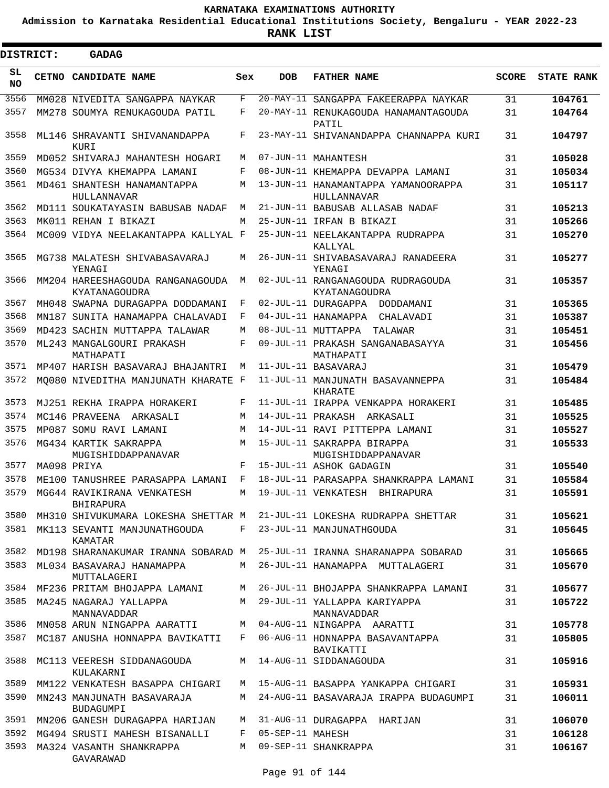**Admission to Karnataka Residential Educational Institutions Society, Bengaluru - YEAR 2022-23**

ı

| <b>DISTRICT:</b> | <b>GADAG</b>                                      |       |                  |                                                                            |              |                   |
|------------------|---------------------------------------------------|-------|------------------|----------------------------------------------------------------------------|--------------|-------------------|
| SL<br>NO.        | <b>CETNO CANDIDATE NAME</b>                       | Sex   | <b>DOB</b>       | <b>FATHER NAME</b>                                                         | <b>SCORE</b> | <b>STATE RANK</b> |
| 3556             | MM028 NIVEDITA SANGAPPA NAYKAR                    | F     |                  | 20-MAY-11 SANGAPPA FAKEERAPPA NAYKAR                                       | 31           | 104761            |
| 3557             | MM278 SOUMYA RENUKAGOUDA PATIL                    | F     |                  | 20-MAY-11 RENUKAGOUDA HANAMANTAGOUDA<br>PATIL                              | 31           | 104764            |
| 3558             | ML146 SHRAVANTI SHIVANANDAPPA<br>KURI             | F     |                  | 23-MAY-11 SHIVANANDAPPA CHANNAPPA KURI                                     | 31           | 104797            |
| 3559             | MD052 SHIVARAJ MAHANTESH HOGARI                   | М     |                  | 07-JUN-11 MAHANTESH                                                        | 31           | 105028            |
| 3560             | MG534 DIVYA KHEMAPPA LAMANI                       | F     |                  | 08-JUN-11 KHEMAPPA DEVAPPA LAMANI                                          | 31           | 105034            |
| 3561             | MD461 SHANTESH HANAMANTAPPA<br>HULLANNAVAR        | М     |                  | 13-JUN-11 HANAMANTAPPA YAMANOORAPPA<br>HULLANNAVAR                         | 31           | 105117            |
| 3562             | MD111 SOUKATAYASIN BABUSAB NADAF                  | М     |                  | 21-JUN-11 BABUSAB ALLASAB NADAF                                            | 31           | 105213            |
| 3563             | MK011 REHAN I BIKAZI                              | М     |                  | 25-JUN-11 IRFAN B BIKAZI                                                   | 31           | 105266            |
| 3564             | MC009 VIDYA NEELAKANTAPPA KALLYAL F               |       |                  | 25-JUN-11 NEELAKANTAPPA RUDRAPPA<br>KALLYAL                                | 31           | 105270            |
| 3565             | MG738 MALATESH SHIVABASAVARAJ<br>YENAGI           | М     |                  | 26-JUN-11 SHIVABASAVARAJ RANADEERA<br>YENAGI                               | 31           | 105277            |
| 3566             | MM204 HAREESHAGOUDA RANGANAGOUDA<br>KYATANAGOUDRA | М     |                  | 02-JUL-11 RANGANAGOUDA RUDRAGOUDA<br>KYATANAGOUDRA                         | 31           | 105357            |
| 3567             | MH048 SWAPNA DURAGAPPA DODDAMANI                  | F     |                  | 02-JUL-11 DURAGAPPA<br>DODDAMANI                                           | 31           | 105365            |
| 3568             | MN187 SUNITA HANAMAPPA CHALAVADI                  | F     |                  | 04-JUL-11 HANAMAPPA CHALAVADI                                              | 31           | 105387            |
| 3569             | MD423 SACHIN MUTTAPPA TALAWAR                     | М     |                  | 08-JUL-11 MUTTAPPA TALAWAR                                                 | 31           | 105451            |
| 3570             | ML243 MANGALGOURI PRAKASH<br>MATHAPATI            | F     |                  | 09-JUL-11 PRAKASH SANGANABASAYYA<br>MATHAPATI                              | 31           | 105456            |
| 3571             | MP407 HARISH BASAVARAJ BHAJANTRI                  | M     |                  | 11-JUL-11 BASAVARAJ                                                        | 31           | 105479            |
| 3572             | MO080 NIVEDITHA MANJUNATH KHARATE F               |       |                  | 11-JUL-11 MANJUNATH BASAVANNEPPA<br>KHARATE                                | 31           | 105484            |
| 3573             | MJ251 REKHA IRAPPA HORAKERI                       | F     |                  | 11-JUL-11 IRAPPA VENKAPPA HORAKERI                                         | 31           | 105485            |
| 3574             | MC146 PRAVEENA<br>ARKASALI                        | М     |                  | 14-JUL-11 PRAKASH ARKASALI                                                 | 31           | 105525            |
| 3575             | MP087 SOMU RAVI LAMANI                            | М     |                  | 14-JUL-11 RAVI PITTEPPA LAMANI                                             | 31           | 105527            |
| 3576             | MG434 KARTIK SAKRAPPA<br>MUGISHIDDAPPANAVAR       | М     |                  | 15-JUL-11 SAKRAPPA BIRAPPA<br>MUGISHIDDAPPANAVAR                           | 31           | 105533            |
| 3577             | MA098 PRIYA                                       | F     |                  | 15-JUL-11 ASHOK GADAGIN                                                    | 31           | 105540            |
| 3578             | ME100 TANUSHREE PARASAPPA LAMANI                  | F     |                  | 18-JUL-11 PARASAPPA SHANKRAPPA LAMANI                                      | 31           | 105584            |
| 3579             | MG644 RAVIKIRANA VENKATESH<br><b>BHIRAPURA</b>    | M     |                  | 19-JUL-11 VENKATESH BHIRAPURA                                              | 31           | 105591            |
| 3580             |                                                   |       |                  | MH310 SHIVUKUMARA LOKESHA SHETTAR Ma $21$ -JUL-11 LOKESHA RUDRAPPA SHETTAR | 31           | 105621            |
| 3581             | MK113 SEVANTI MANJUNATHGOUDA<br>KAMATAR           | $F$ – |                  | 23-JUL-11 MANJUNATHGOUDA                                                   | 31           | 105645            |
| 3582             |                                                   |       |                  | MD198 SHARANAKUMAR IRANNA SOBARAD M 25-JUL-11 IRANNA SHARANAPPA SOBARAD    | 31           | 105665            |
| 3583             | ML034 BASAVARAJ HANAMAPPA<br>MUTTALAGERI          | M     |                  | 26-JUL-11 HANAMAPPA MUTTALAGERI                                            | 31           | 105670            |
|                  |                                                   |       |                  | 3584 MF236 PRITAM BHOJAPPA LAMANI M 26-JUL-11 BHOJAPPA SHANKRAPPA LAMANI   | 31           | 105677            |
| 3585             | MA245 NAGARAJ YALLAPPA<br>MANNAVADDAR             |       |                  | M 29-JUL-11 YALLAPPA KARIYAPPA<br>MANNAVADDAR                              | 31           | 105722            |
| 3586             | MN058 ARUN NINGAPPA AARATTI                       |       |                  | M 04-AUG-11 NINGAPPA AARATTI                                               | 31           | 105778            |
| 3587             | MC187 ANUSHA HONNAPPA BAVIKATTI                   | F     |                  | 06-AUG-11 HONNAPPA BASAVANTAPPA<br>BAVIKATTI                               | 31           | 105805            |
| 3588             | MC113 VEERESH SIDDANAGOUDA<br>KULAKARNI           |       |                  | M 14-AUG-11 SIDDANAGOUDA                                                   | 31           | 105916            |
| 3589             | MM122 VENKATESH BASAPPA CHIGARI                   |       |                  | M 15-AUG-11 BASAPPA YANKAPPA CHIGARI                                       | 31           | 105931            |
| 3590             | MN243 MANJUNATH BASAVARAJA<br><b>BUDAGUMPI</b>    | M     |                  | 24-AUG-11 BASAVARAJA IRAPPA BUDAGUMPI                                      | 31           | 106011            |
| 3591             | MN206 GANESH DURAGAPPA HARIJAN                    |       |                  | M 31-AUG-11 DURAGAPPA HARIJAN                                              | 31           | 106070            |
| 3592             | MG494 SRUSTI MAHESH BISANALLI                     | F     | 05-SEP-11 MAHESH |                                                                            | 31           | 106128            |
| 3593             | MA324 VASANTH SHANKRAPPA<br>GAVARAWAD             |       |                  | M 09-SEP-11 SHANKRAPPA                                                     | 31           | 106167            |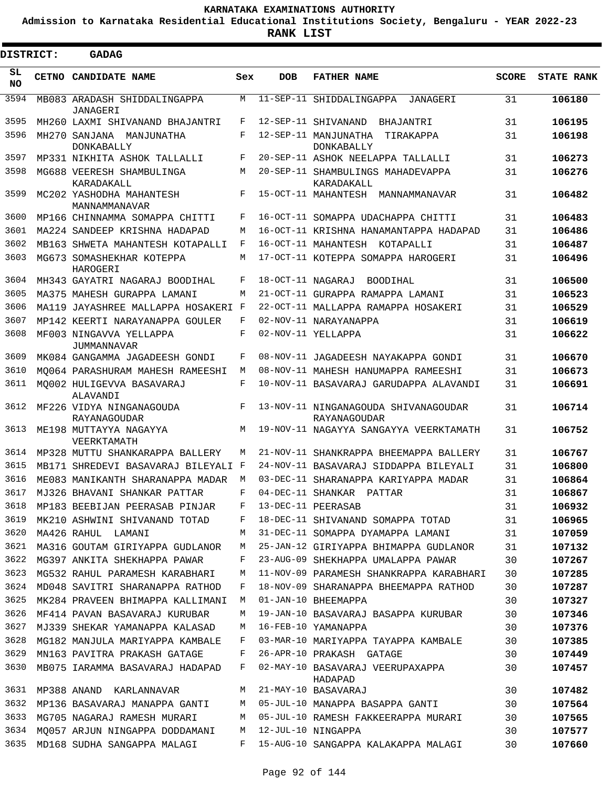**Admission to Karnataka Residential Educational Institutions Society, Bengaluru - YEAR 2022-23**

**RANK LIST**

| <b>DISTRICT:</b> |  | <b>GADAG</b>                                  |            |                   |                                                        |              |                   |  |  |  |  |  |
|------------------|--|-----------------------------------------------|------------|-------------------|--------------------------------------------------------|--------------|-------------------|--|--|--|--|--|
| SL<br><b>NO</b>  |  | CETNO CANDIDATE NAME                          | Sex        | <b>DOB</b>        | <b>FATHER NAME</b>                                     | <b>SCORE</b> | <b>STATE RANK</b> |  |  |  |  |  |
| 3594             |  | MB083 ARADASH SHIDDALINGAPPA<br>JANAGERI      | М          |                   | 11-SEP-11 SHIDDALINGAPPA JANAGERI                      | 31           | 106180            |  |  |  |  |  |
| 3595             |  | MH260 LAXMI SHIVANAND BHAJANTRI               | F          |                   | 12-SEP-11 SHIVANAND<br>BHAJANTRI                       | 31           | 106195            |  |  |  |  |  |
| 3596             |  | MH270 SANJANA MANJUNATHA<br><b>DONKABALLY</b> | F          |                   | 12-SEP-11 MANJUNATHA<br>TIRAKAPPA<br><b>DONKABALLY</b> | 31           | 106198            |  |  |  |  |  |
| 3597             |  | MP331 NIKHITA ASHOK TALLALLI                  | F          |                   | 20-SEP-11 ASHOK NEELAPPA TALLALLI                      | 31           | 106273            |  |  |  |  |  |
| 3598             |  | MG688 VEERESH SHAMBULINGA<br>KARADAKALL       | М          |                   | 20-SEP-11 SHAMBULINGS MAHADEVAPPA<br>KARADAKALL        | 31           | 106276            |  |  |  |  |  |
| 3599             |  | MC202 YASHODHA MAHANTESH<br>MANNAMMANAVAR     | F          |                   | 15-OCT-11 MAHANTESH MANNAMMANAVAR                      | 31           | 106482            |  |  |  |  |  |
| 3600             |  | MP166 CHINNAMMA SOMAPPA CHITTI                | F          |                   | 16-OCT-11 SOMAPPA UDACHAPPA CHITTI                     | 31           | 106483            |  |  |  |  |  |
| 3601             |  | MA224 SANDEEP KRISHNA HADAPAD                 | М          |                   | 16-OCT-11 KRISHNA HANAMANTAPPA HADAPAD                 | 31           | 106486            |  |  |  |  |  |
| 3602             |  | MB163 SHWETA MAHANTESH KOTAPALLI              | F          |                   | 16-OCT-11 MAHANTESH KOTAPALLI                          | 31           | 106487            |  |  |  |  |  |
| 3603             |  | MG673 SOMASHEKHAR KOTEPPA<br>HAROGERI         | М          |                   | 17-OCT-11 KOTEPPA SOMAPPA HAROGERI                     | 31           | 106496            |  |  |  |  |  |
| 3604             |  | MH343 GAYATRI NAGARAJ BOODIHAL                | F          | 18-OCT-11 NAGARAJ | BOODIHAL                                               | 31           | 106500            |  |  |  |  |  |
| 3605             |  | MA375 MAHESH GURAPPA LAMANI                   | М          |                   | 21-OCT-11 GURAPPA RAMAPPA LAMANI                       | 31           | 106523            |  |  |  |  |  |
| 3606             |  | MA119 JAYASHREE MALLAPPA HOSAKERI F           |            |                   | 22-OCT-11 MALLAPPA RAMAPPA HOSAKERI                    | 31           | 106529            |  |  |  |  |  |
| 3607             |  | MP142 KEERTI NARAYANAPPA GOULER               | F          |                   | 02-NOV-11 NARAYANAPPA                                  | 31           | 106619            |  |  |  |  |  |
| 3608             |  | MF003 NINGAVVA YELLAPPA<br>JUMMANNAVAR        | F          |                   | 02-NOV-11 YELLAPPA                                     | 31           | 106622            |  |  |  |  |  |
| 3609             |  | MK084 GANGAMMA JAGADEESH GONDI                | F          |                   | 08-NOV-11 JAGADEESH NAYAKAPPA GONDI                    | 31           | 106670            |  |  |  |  |  |
| 3610             |  | MO064 PARASHURAM MAHESH RAMEESHI              | M          |                   | 08-NOV-11 MAHESH HANUMAPPA RAMEESHI                    | 31           | 106673            |  |  |  |  |  |
| 3611             |  | MO002 HULIGEVVA BASAVARAJ<br>ALAVANDI         | F          |                   | 10-NOV-11 BASAVARAJ GARUDAPPA ALAVANDI                 | 31           | 106691            |  |  |  |  |  |
| 3612             |  | MF226 VIDYA NINGANAGOUDA<br>RAYANAGOUDAR      | F          |                   | 13-NOV-11 NINGANAGOUDA SHIVANAGOUDAR<br>RAYANAGOUDAR   | 31           | 106714            |  |  |  |  |  |
| 3613             |  | ME198 MUTTAYYA NAGAYYA<br>VEERKTAMATH         | M          |                   | 19-NOV-11 NAGAYYA SANGAYYA VEERKTAMATH                 | 31           | 106752            |  |  |  |  |  |
| 3614             |  | MP328 MUTTU SHANKARAPPA BALLERY               | М          | $21 - NOV - 11$   | SHANKRAPPA BHEEMAPPA BALLERY                           | 31           | 106767            |  |  |  |  |  |
| 3615             |  | MB171 SHREDEVI BASAVARAJ BILEYALI F           |            |                   | 24-NOV-11 BASAVARAJ SIDDAPPA BILEYALI                  | 31           | 106800            |  |  |  |  |  |
| 3616             |  | ME083 MANIKANTH SHARANAPPA MADAR              | М          |                   | 03-DEC-11 SHARANAPPA KARIYAPPA MADAR                   | 31           | 106864            |  |  |  |  |  |
|                  |  | 3617 MJ326 BHAVANI SHANKAR PATTAR             | $-{\bf F}$ |                   | 04-DEC-11 SHANKAR PATTAR                               | 31           | 106867            |  |  |  |  |  |
| 3618             |  | MP183 BEEBIJAN PEERASAB PINJAR F              |            |                   | 13-DEC-11 PEERASAB                                     | 31           | 106932            |  |  |  |  |  |
| 3619             |  | MK210 ASHWINI SHIVANAND TOTAD                 | F          |                   | 18-DEC-11 SHIVANAND SOMAPPA TOTAD                      | 31           | 106965            |  |  |  |  |  |
| 3620             |  | MA426 RAHUL LAMANI                            | M          |                   | 31-DEC-11 SOMAPPA DYAMAPPA LAMANI                      | 31           | 107059            |  |  |  |  |  |
| 3621             |  | MA316 GOUTAM GIRIYAPPA GUDLANOR               | M          |                   | 25-JAN-12 GIRIYAPPA BHIMAPPA GUDLANOR                  | 31           | 107132            |  |  |  |  |  |
| 3622             |  | MG397 ANKITA SHEKHAPPA PAWAR                  | F          |                   | 23-AUG-09 SHEKHAPPA UMALAPPA PAWAR                     | 30           | 107267            |  |  |  |  |  |
| 3623             |  | MG532 RAHUL PARAMESH KARABHARI                | M          |                   | 11-NOV-09 PARAMESH SHANKRAPPA KARABHARI                | 30           | 107285            |  |  |  |  |  |
| 3624             |  | MD048 SAVITRI SHARANAPPA RATHOD               | F          |                   | 18-NOV-09 SHARANAPPA BHEEMAPPA RATHOD                  | 30           | 107287            |  |  |  |  |  |
| 3625             |  | MK284 PRAVEEN BHIMAPPA KALLIMANI              | M          |                   | 01-JAN-10 BHEEMAPPA                                    | 30           | 107327            |  |  |  |  |  |
| 3626             |  | MF414 PAVAN BASAVARAJ KURUBAR                 | М          |                   | 19-JAN-10 BASAVARAJ BASAPPA KURUBAR                    | 30           | 107346            |  |  |  |  |  |
| 3627             |  | MJ339 SHEKAR YAMANAPPA KALASAD                | M          |                   | 16-FEB-10 YAMANAPPA                                    | 30           | 107376            |  |  |  |  |  |
| 3628             |  | MG182 MANJULA MARIYAPPA KAMBALE               | F          |                   | 03-MAR-10 MARIYAPPA TAYAPPA KAMBALE                    | 30           | 107385            |  |  |  |  |  |
| 3629             |  | MN163 PAVITRA PRAKASH GATAGE                  | F          |                   | 26-APR-10 PRAKASH GATAGE                               | 30           | 107449            |  |  |  |  |  |
| 3630             |  | MB075 IARAMMA BASAVARAJ HADAPAD               | F          |                   | 02-MAY-10 BASAVARAJ VEERUPAXAPPA<br>HADAPAD            | 30           | 107457            |  |  |  |  |  |
| 3631             |  | MP388 ANAND KARLANNAVAR                       | M          |                   | 21-MAY-10 BASAVARAJ                                    | 30           | 107482            |  |  |  |  |  |
| 3632             |  | MP136 BASAVARAJ MANAPPA GANTI                 |            |                   | M 05-JUL-10 MANAPPA BASAPPA GANTI                      | 30           | 107564            |  |  |  |  |  |
| 3633             |  | MG705 NAGARAJ RAMESH MURARI                   | M          |                   | 05-JUL-10 RAMESH FAKKEERAPPA MURARI                    | 30           | 107565            |  |  |  |  |  |
| 3634             |  | MO057 ARJUN NINGAPPA DODDAMANI M              |            |                   | 12-JUL-10 NINGAPPA                                     | 30           | 107577            |  |  |  |  |  |
| 3635             |  | MD168 SUDHA SANGAPPA MALAGI                   | F          |                   | 15-AUG-10 SANGAPPA KALAKAPPA MALAGI                    | 30           | 107660            |  |  |  |  |  |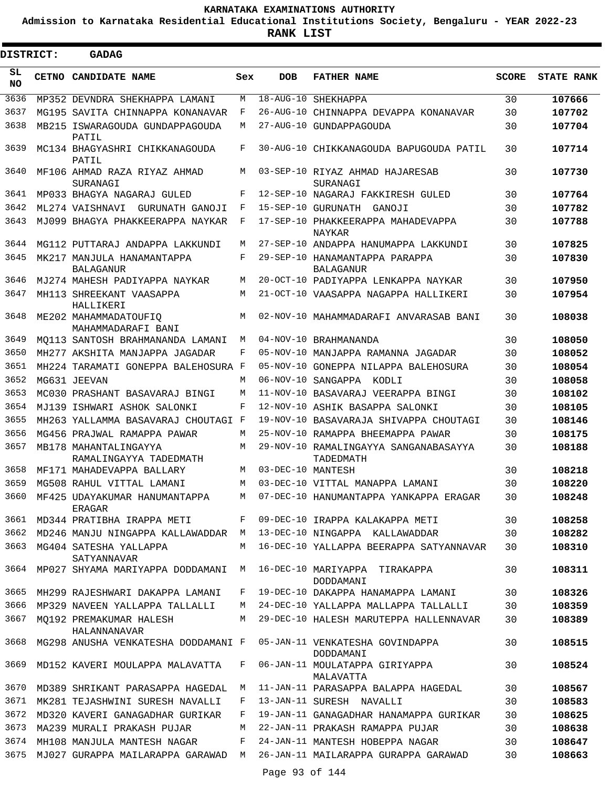**Admission to Karnataka Residential Educational Institutions Society, Bengaluru - YEAR 2022-23**

 $\blacksquare$ 

**RANK LIST**

Е

| <b>DISTRICT:</b> |  | <b>GADAG</b>                                    |     |                        |                                                     |              |                   |  |  |  |  |  |
|------------------|--|-------------------------------------------------|-----|------------------------|-----------------------------------------------------|--------------|-------------------|--|--|--|--|--|
| SL<br>NO.        |  | CETNO CANDIDATE NAME                            | Sex | <b>DOB</b>             | <b>FATHER NAME</b>                                  | <b>SCORE</b> | <b>STATE RANK</b> |  |  |  |  |  |
| 3636             |  | MP352 DEVNDRA SHEKHAPPA LAMANI                  | M   | $18 - \text{AUG} - 10$ | SHEKHAPPA                                           | 30           | 107666            |  |  |  |  |  |
| 3637             |  | MG195 SAVITA CHINNAPPA KONANAVAR                | F   |                        | 26-AUG-10 CHINNAPPA DEVAPPA KONANAVAR               | 30           | 107702            |  |  |  |  |  |
| 3638             |  | MB215 ISWARAGOUDA GUNDAPPAGOUDA<br>PATIL        | М   |                        | 27-AUG-10 GUNDAPPAGOUDA                             | 30           | 107704            |  |  |  |  |  |
| 3639             |  | MC134 BHAGYASHRI CHIKKANAGOUDA<br>PATIL         | F   |                        | 30-AUG-10 CHIKKANAGOUDA BAPUGOUDA PATIL             | 30           | 107714            |  |  |  |  |  |
| 3640             |  | MF106 AHMAD RAZA RIYAZ AHMAD<br>SURANAGI        | M   |                        | 03-SEP-10 RIYAZ AHMAD HAJARESAB<br>SURANAGI         | 30           | 107730            |  |  |  |  |  |
| 3641             |  | MP033 BHAGYA NAGARAJ GULED                      | F   |                        | 12-SEP-10 NAGARAJ FAKKIRESH GULED                   | 30           | 107764            |  |  |  |  |  |
| 3642             |  | ML274 VAISHNAVI GURUNATH GANOJI                 | F   |                        | 15-SEP-10 GURUNATH GANOJI                           | 30           | 107782            |  |  |  |  |  |
| 3643             |  | MJ099 BHAGYA PHAKKEERAPPA NAYKAR                | F   |                        | 17-SEP-10 PHAKKEERAPPA MAHADEVAPPA<br><b>NAYKAR</b> | 30           | 107788            |  |  |  |  |  |
| 3644             |  | MG112 PUTTARAJ ANDAPPA LAKKUNDI                 | M   |                        | 27-SEP-10 ANDAPPA HANUMAPPA LAKKUNDI                | 30           | 107825            |  |  |  |  |  |
| 3645             |  | MK217 MANJULA HANAMANTAPPA<br><b>BALAGANUR</b>  | F   |                        | 29-SEP-10 HANAMANTAPPA PARAPPA<br><b>BALAGANUR</b>  | 30           | 107830            |  |  |  |  |  |
| 3646             |  | MJ274 MAHESH PADIYAPPA NAYKAR                   | M   |                        | 20-OCT-10 PADIYAPPA LENKAPPA NAYKAR                 | 30           | 107950            |  |  |  |  |  |
| 3647             |  | MH113 SHREEKANT VAASAPPA<br>HALLIKERI           | M   |                        | 21-OCT-10 VAASAPPA NAGAPPA HALLIKERI                | 30           | 107954            |  |  |  |  |  |
| 3648             |  | ME202 MAHAMMADATOUFIO<br>MAHAMMADARAFI BANI     | M   |                        | 02-NOV-10 MAHAMMADARAFI ANVARASAB BANI              | 30           | 108038            |  |  |  |  |  |
| 3649             |  | MO113 SANTOSH BRAHMANANDA LAMANI                | M   |                        | 04-NOV-10 BRAHMANANDA                               | 30           | 108050            |  |  |  |  |  |
| 3650             |  | MH277 AKSHITA MANJAPPA JAGADAR                  | F   |                        | 05-NOV-10 MANJAPPA RAMANNA JAGADAR                  | 30           | 108052            |  |  |  |  |  |
| 3651             |  | MH224 TARAMATI GONEPPA BALEHOSURA F             |     |                        | 05-NOV-10 GONEPPA NILAPPA BALEHOSURA                | 30           | 108054            |  |  |  |  |  |
| 3652             |  | MG631 JEEVAN                                    | M   |                        | 06-NOV-10 SANGAPPA KODLI                            | 30           | 108058            |  |  |  |  |  |
| 3653             |  | MC030 PRASHANT BASAVARAJ BINGI                  | M   |                        | 11-NOV-10 BASAVARAJ VEERAPPA BINGI                  | 30           | 108102            |  |  |  |  |  |
| 3654             |  | MJ139 ISHWARI ASHOK SALONKI                     | F   |                        | 12-NOV-10 ASHIK BASAPPA SALONKI                     | 30           | 108105            |  |  |  |  |  |
| 3655             |  | MH263 YALLAMMA BASAVARAJ CHOUTAGI F             |     |                        | 19-NOV-10 BASAVARAJA SHIVAPPA CHOUTAGI              | 30           | 108146            |  |  |  |  |  |
| 3656             |  | MG456 PRAJWAL RAMAPPA PAWAR                     | M   |                        | 25-NOV-10 RAMAPPA BHEEMAPPA PAWAR                   | 30           | 108175            |  |  |  |  |  |
| 3657             |  | MB178 MAHANTALINGAYYA<br>RAMALINGAYYA TADEDMATH | M   |                        | 29-NOV-10 RAMALINGAYYA SANGANABASAYYA<br>TADEDMATH  | 30           | 108188            |  |  |  |  |  |
| 3658             |  | MF171 MAHADEVAPPA BALLARY                       | M   | 03-DEC-10 MANTESH      |                                                     | 30           | 108218            |  |  |  |  |  |
| 3659             |  | MG508 RAHUL VITTAL LAMANI                       | М   |                        | 03-DEC-10 VITTAL MANAPPA LAMANI                     | 30           | 108220            |  |  |  |  |  |
| 3660             |  | MF425 UDAYAKUMAR HANUMANTAPPA<br>ERAGAR         | M   |                        | 07-DEC-10 HANUMANTAPPA YANKAPPA ERAGAR              | 30           | 108248            |  |  |  |  |  |
| 3661             |  | MD344 PRATIBHA IRAPPA METI                      | F   |                        | 09-DEC-10 IRAPPA KALAKAPPA METI                     | 30           | 108258            |  |  |  |  |  |
| 3662             |  | MD246 MANJU NINGAPPA KALLAWADDAR M              |     |                        | 13-DEC-10 NINGAPPA KALLAWADDAR                      | 30           | 108282            |  |  |  |  |  |
| 3663             |  | MG404 SATESHA YALLAPPA<br>SATYANNAVAR           | M   |                        | 16-DEC-10 YALLAPPA BEERAPPA SATYANNAVAR             | 30           | 108310            |  |  |  |  |  |
| 3664             |  | MP027 SHYAMA MARIYAPPA DODDAMANI M              |     |                        | 16-DEC-10 MARIYAPPA TIRAKAPPA<br>DODDAMANI          | 30           | 108311            |  |  |  |  |  |
| 3665             |  | MH299 RAJESHWARI DAKAPPA LAMANI                 | F   |                        | 19-DEC-10 DAKAPPA HANAMAPPA LAMANI                  | 30           | 108326            |  |  |  |  |  |
| 3666             |  | MP329 NAVEEN YALLAPPA TALLALLI                  | M   |                        | 24-DEC-10 YALLAPPA MALLAPPA TALLALLI                | 30           | 108359            |  |  |  |  |  |
| 3667             |  | MO192 PREMAKUMAR HALESH<br>HALANNANAVAR         | M   |                        | 29-DEC-10 HALESH MARUTEPPA HALLENNAVAR              | 30           | 108389            |  |  |  |  |  |
| 3668             |  | MG298 ANUSHA VENKATESHA DODDAMANI F             |     |                        | 05-JAN-11 VENKATESHA GOVINDAPPA<br>DODDAMANI        | 30           | 108515            |  |  |  |  |  |
| 3669             |  | MD152 KAVERI MOULAPPA MALAVATTA                 | F   |                        | 06-JAN-11 MOULATAPPA GIRIYAPPA<br>MALAVATTA         | 30           | 108524            |  |  |  |  |  |
| 3670             |  | MD389 SHRIKANT PARASAPPA HAGEDAL                | M   |                        | 11-JAN-11 PARASAPPA BALAPPA HAGEDAL                 | 30           | 108567            |  |  |  |  |  |
| 3671             |  | MK281 TEJASHWINI SURESH NAVALLI                 | F   |                        | 13-JAN-11 SURESH NAVALLI                            | 30           | 108583            |  |  |  |  |  |
| 3672             |  | MD320 KAVERI GANAGADHAR GURIKAR                 | F   |                        | 19-JAN-11 GANAGADHAR HANAMAPPA GURIKAR              | 30           | 108625            |  |  |  |  |  |
| 3673             |  | MA239 MURALI PRAKASH PUJAR                      | М   |                        | 22-JAN-11 PRAKASH RAMAPPA PUJAR                     | 30           | 108638            |  |  |  |  |  |
| 3674             |  | MH108 MANJULA MANTESH NAGAR                     | F   |                        | 24-JAN-11 MANTESH HOBEPPA NAGAR                     | 30           | 108647            |  |  |  |  |  |
| 3675             |  |                                                 |     |                        |                                                     | 30           | 108663            |  |  |  |  |  |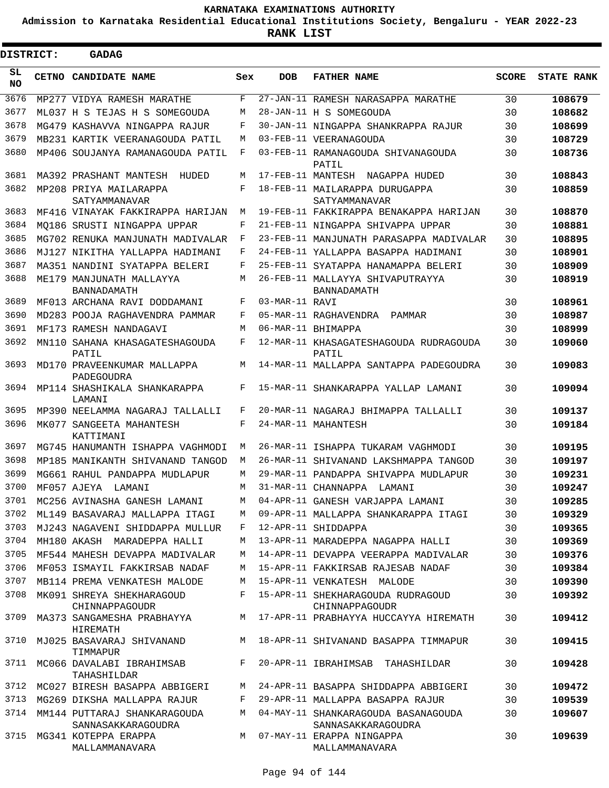**Admission to Karnataka Residential Educational Institutions Society, Bengaluru - YEAR 2022-23**

 $\blacksquare$ 

| DISTRICT:        |  | <b>GADAG</b>                                       |     |                |                                                           |       |                   |
|------------------|--|----------------------------------------------------|-----|----------------|-----------------------------------------------------------|-------|-------------------|
| SL.<br><b>NO</b> |  | CETNO CANDIDATE NAME                               | Sex | <b>DOB</b>     | <b>FATHER NAME</b>                                        | SCORE | <b>STATE RANK</b> |
| 3676             |  | MP277 VIDYA RAMESH MARATHE                         | F   |                | 27-JAN-11 RAMESH NARASAPPA MARATHE                        | 30    | 108679            |
| 3677             |  | ML037 H S TEJAS H S SOMEGOUDA                      | М   |                | 28-JAN-11 H S SOMEGOUDA                                   | 30    | 108682            |
| 3678             |  | MG479 KASHAVVA NINGAPPA RAJUR                      | F   |                | 30-JAN-11 NINGAPPA SHANKRAPPA RAJUR                       | 30    | 108699            |
| 3679             |  | MB231 KARTIK VEERANAGOUDA PATIL                    | М   |                | 03-FEB-11 VEERANAGOUDA                                    | 30    | 108729            |
| 3680             |  | MP406 SOUJANYA RAMANAGOUDA PATIL                   | F   |                | 03-FEB-11 RAMANAGOUDA SHIVANAGOUDA<br>PATIL               | 30    | 108736            |
| 3681             |  | MA392 PRASHANT MANTESH<br>HUDED                    | М   |                | 17-FEB-11 MANTESH NAGAPPA HUDED                           | 30    | 108843            |
| 3682             |  | MP208 PRIYA MAILARAPPA<br>SATYAMMANAVAR            | F   |                | 18-FEB-11 MAILARAPPA DURUGAPPA<br>SATYAMMANAVAR           | 30    | 108859            |
| 3683             |  | MF416 VINAYAK FAKKIRAPPA HARIJAN                   | М   |                | 19-FEB-11 FAKKIRAPPA BENAKAPPA HARIJAN                    | 30    | 108870            |
| 3684             |  | MO186 SRUSTI NINGAPPA UPPAR                        | F   |                | 21-FEB-11 NINGAPPA SHIVAPPA UPPAR                         | 30    | 108881            |
| 3685             |  | MG702 RENUKA MANJUNATH MADIVALAR                   | F   |                | 23-FEB-11 MANJUNATH PARASAPPA MADIVALAR                   | 30    | 108895            |
| 3686             |  | MJ127 NIKITHA YALLAPPA HADIMANI                    | F   |                | 24-FEB-11 YALLAPPA BASAPPA HADIMANI                       | 30    | 108901            |
| 3687             |  | MA351 NANDINI SYATAPPA BELERI                      | F   |                | 25-FEB-11 SYATAPPA HANAMAPPA BELERI                       | 30    | 108909            |
| 3688             |  | ME179 MANJUNATH MALLAYYA<br><b>BANNADAMATH</b>     | М   |                | 26-FEB-11 MALLAYYA SHIVAPUTRAYYA<br>BANNADAMATH           | 30    | 108919            |
| 3689             |  | MF013 ARCHANA RAVI DODDAMANI                       | F   | 03-MAR-11 RAVI |                                                           | 30    | 108961            |
| 3690             |  | MD283 POOJA RAGHAVENDRA PAMMAR                     | F   |                | 05-MAR-11 RAGHAVENDRA<br>PAMMAR                           | 30    | 108987            |
| 3691             |  | MF173 RAMESH NANDAGAVI                             | M   |                | 06-MAR-11 RHIMAPPA                                        | 30    | 108999            |
| 3692             |  | MN110 SAHANA KHASAGATESHAGOUDA<br>PATIL            | F   |                | 12-MAR-11 KHASAGATESHAGOUDA RUDRAGOUDA<br>PATIL           | 30    | 109060            |
| 3693             |  | MD170 PRAVEENKUMAR MALLAPPA<br>PADEGOUDRA          | М   |                | 14-MAR-11 MALLAPPA SANTAPPA PADEGOUDRA                    | 30    | 109083            |
| 3694             |  | MP114 SHASHIKALA SHANKARAPPA<br>LAMANI             | F   |                | 15-MAR-11 SHANKARAPPA YALLAP LAMANI                       | 30    | 109094            |
| 3695             |  | MP390 NEELAMMA NAGARAJ TALLALLI                    | F   |                | 20-MAR-11 NAGARAJ BHIMAPPA TALLALLI                       | 30    | 109137            |
| 3696             |  | MK077 SANGEETA MAHANTESH<br>KATTIMANI              | F   |                | 24-MAR-11 MAHANTESH                                       | 30    | 109184            |
| 3697             |  | MG745 HANUMANTH ISHAPPA VAGHMODI                   | М   |                | 26-MAR-11 ISHAPPA TUKARAM VAGHMODI                        | 30    | 109195            |
| 3698             |  | MP185 MANIKANTH SHIVANAND TANGOD                   | М   |                | 26-MAR-11 SHIVANAND LAKSHMAPPA TANGOD                     | 30    | 109197            |
| 3699             |  | MG661 RAHUL PANDAPPA MUDLAPUR                      | М   |                | 29-MAR-11 PANDAPPA SHIVAPPA MUDLAPUR                      | 30    | 109231            |
| 3700             |  | MF057 AJEYA<br>LAMANI                              | М   |                | 31-MAR-11 CHANNAPPA LAMANI                                | 30    | 109247            |
| 3701             |  | MC256 AVINASHA GANESH LAMANI                       | М   |                | 04-APR-11 GANESH VARJAPPA LAMANI                          | 30    | 109285            |
| 3702             |  | ML149 BASAVARAJ MALLAPPA ITAGI                     | М   |                | 09-APR-11 MALLAPPA SHANKARAPPA ITAGI                      | 30    | 109329            |
| 3703             |  | MJ243 NAGAVENI SHIDDAPPA MULLUR                    | F   |                | 12-APR-11 SHIDDAPPA                                       | 30    | 109365            |
| 3704             |  | MH180 AKASH MARADEPPA HALLI                        | М   |                | 13-APR-11 MARADEPPA NAGAPPA HALLI                         | 30    | 109369            |
| 3705             |  | MF544 MAHESH DEVAPPA MADIVALAR                     | М   |                | 14-APR-11 DEVAPPA VEERAPPA MADIVALAR                      | 30    | 109376            |
| 3706             |  | MF053 ISMAYIL FAKKIRSAB NADAF                      | М   |                | 15-APR-11 FAKKIRSAB RAJESAB NADAF                         | 30    | 109384            |
| 3707             |  | MB114 PREMA VENKATESH MALODE                       | М   |                | 15-APR-11 VENKATESH MALODE                                | 30    | 109390            |
| 3708             |  | MK091 SHREYA SHEKHARAGOUD<br>CHINNAPPAGOUDR        | F   |                | 15-APR-11 SHEKHARAGOUDA RUDRAGOUD<br>CHINNAPPAGOUDR       | 30    | 109392            |
| 3709             |  | MA373 SANGAMESHA PRABHAYYA<br><b>HIREMATH</b>      |     |                | M 17-APR-11 PRABHAYYA HUCCAYYA HIREMATH                   | 30    | 109412            |
| 3710             |  | MJ025 BASAVARAJ SHIVANAND<br>TIMMAPUR              | M   |                | 18-APR-11 SHIVANAND BASAPPA TIMMAPUR                      | 30    | 109415            |
| 3711             |  | MC066 DAVALABI IBRAHIMSAB<br>TAHASHILDAR           | F   |                | 20-APR-11 IBRAHIMSAB TAHASHILDAR                          | 30    | 109428            |
| 3712             |  | MC027 BIRESH BASAPPA ABBIGERI                      | M   |                | 24-APR-11 BASAPPA SHIDDAPPA ABBIGERI                      | 30    | 109472            |
| 3713             |  | MG269 DIKSHA MALLAPPA RAJUR                        | F   |                | 29-APR-11 MALLAPPA BASAPPA RAJUR                          | 30    | 109539            |
| 3714             |  | MM144 PUTTARAJ SHANKARAGOUDA<br>SANNASAKKARAGOUDRA | M   |                | 04-MAY-11 SHANKARAGOUDA BASANAGOUDA<br>SANNASAKKARAGOUDRA | 30    | 109607            |
| 3715             |  | MG341 KOTEPPA ERAPPA<br>MALLAMMANAVARA             | M   |                | 07-MAY-11 ERAPPA NINGAPPA<br>MALLAMMANAVARA               | 30    | 109639            |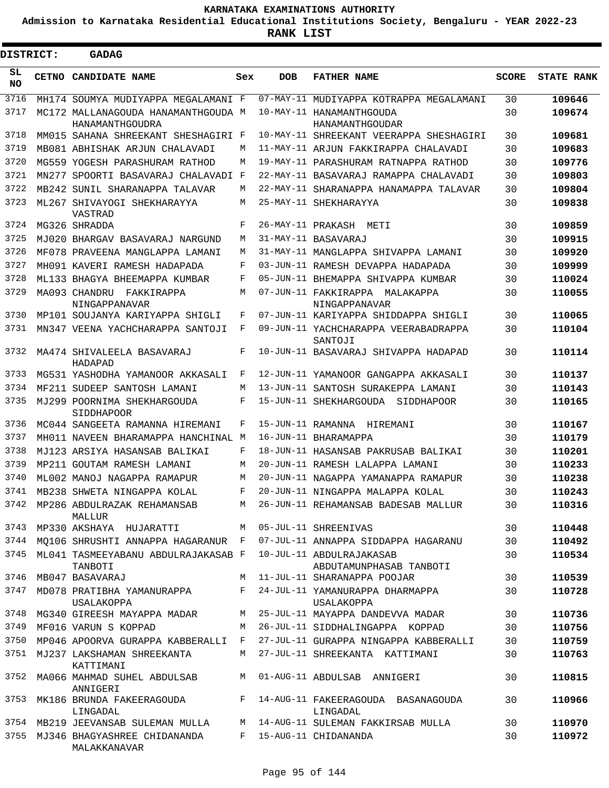**Admission to Karnataka Residential Educational Institutions Society, Bengaluru - YEAR 2022-23**

ı

| <b>DISTRICT:</b> | <b>GADAG</b>                                                             |        |     |                                                                               |              |                   |
|------------------|--------------------------------------------------------------------------|--------|-----|-------------------------------------------------------------------------------|--------------|-------------------|
| SL<br><b>NO</b>  | <b>CETNO CANDIDATE NAME</b>                                              | Sex    | DOB | <b>FATHER NAME</b>                                                            | <b>SCORE</b> | <b>STATE RANK</b> |
| 3716             | MH174 SOUMYA MUDIYAPPA MEGALAMANI F                                      |        |     | 07-MAY-11 MUDIYAPPA KOTRAPPA MEGALAMANI                                       | 30           | 109646            |
| 3717             | MC172 MALLANAGOUDA HANAMANTHGOUDA M                                      |        |     | 10-MAY-11 HANAMANTHGOUDA                                                      | 30           | 109674            |
|                  | HANAMANTHGOUDRA                                                          |        |     | HANAMANTHGOUDAR                                                               |              |                   |
| 3718<br>3719     | MM015 SAHANA SHREEKANT SHESHAGIRI F                                      |        |     | 10-MAY-11 SHREEKANT VEERAPPA SHESHAGIRI                                       | 30           | 109681            |
| 3720             | MB081 ABHISHAK ARJUN CHALAVADI                                           | M<br>М |     | 11-MAY-11 ARJUN FAKKIRAPPA CHALAVADI                                          | 30           | 109683            |
| 3721             | MG559 YOGESH PARASHURAM RATHOD                                           |        |     | 19-MAY-11 PARASHURAM RATNAPPA RATHOD<br>22-MAY-11 BASAVARAJ RAMAPPA CHALAVADI | 30<br>30     | 109776            |
| 3722             | MN277 SPOORTI BASAVARAJ CHALAVADI F                                      | М      |     | 22-MAY-11 SHARANAPPA HANAMAPPA TALAVAR                                        |              | 109803            |
| 3723             | MB242 SUNIL SHARANAPPA TALAVAR                                           | М      |     | 25-MAY-11 SHEKHARAYYA                                                         | 30<br>30     | 109804            |
| 3724             | ML267 SHIVAYOGI SHEKHARAYYA<br>VASTRAD<br>MG326 SHRADDA                  | F      |     | 26-MAY-11 PRAKASH METI                                                        | 30           | 109838<br>109859  |
| 3725             | MJ020 BHARGAV BASAVARAJ NARGUND                                          | М      |     | 31-MAY-11 BASAVARAJ                                                           | 30           | 109915            |
| 3726             | MF078 PRAVEENA MANGLAPPA LAMANI                                          | М      |     | 31-MAY-11 MANGLAPPA SHIVAPPA LAMANI                                           | 30           | 109920            |
| 3727             |                                                                          | F      |     | 03-JUN-11 RAMESH DEVAPPA HADAPADA                                             | 30           | 109999            |
| 3728             | MH091 KAVERI RAMESH HADAPADA                                             | F      |     | 05-JUN-11 BHEMAPPA SHIVAPPA KUMBAR                                            | 30           |                   |
| 3729             | ML133 BHAGYA BHEEMAPPA KUMBAR<br>MA093 CHANDRU<br>FAKKIRAPPA             | М      |     | 07-JUN-11 FAKKIRAPPA MALAKAPPA                                                | 30           | 110024<br>110055  |
| 3730             | NINGAPPANAVAR                                                            | F      |     | NINGAPPANAVAR                                                                 |              |                   |
|                  | MP101 SOUJANYA KARIYAPPA SHIGLI                                          |        |     | 07-JUN-11 KARIYAPPA SHIDDAPPA SHIGLI                                          | 30           | 110065            |
| 3731             | MN347 VEENA YACHCHARAPPA SANTOJI                                         | F      |     | 09-JUN-11 YACHCHARAPPA VEERABADRAPPA<br>SANTOJI                               | 30           | 110104            |
| 3732             | MA474 SHIVALEELA BASAVARAJ<br>HADAPAD                                    | F      |     | 10-JUN-11 BASAVARAJ SHIVAPPA HADAPAD                                          | 30           | 110114            |
| 3733             | MG531 YASHODHA YAMANOOR AKKASALI                                         | F      |     | 12-JUN-11 YAMANOOR GANGAPPA AKKASALI                                          | 30           | 110137            |
| 3734             | MF211 SUDEEP SANTOSH LAMANI                                              | М      |     | 13-JUN-11 SANTOSH SURAKEPPA LAMANI                                            | 30           | 110143            |
| 3735             | MJ299 POORNIMA SHEKHARGOUDA<br>SIDDHAPOOR                                | F      |     | 15-JUN-11 SHEKHARGOUDA SIDDHAPOOR                                             | 30           | 110165            |
| 3736             | MC044 SANGEETA RAMANNA HIREMANI                                          | F      |     | 15-JUN-11 RAMANNA HIREMANI                                                    | 30           | 110167            |
| 3737             | MH011 NAVEEN BHARAMAPPA HANCHINAL M                                      |        |     | 16-JUN-11 BHARAMAPPA                                                          | 30           | 110179            |
| 3738             | MJ123 ARSIYA HASANSAB BALIKAI                                            | F      |     | 18-JUN-11 HASANSAB PAKRUSAB BALIKAI                                           | 30           | 110201            |
| 3739             | MP211 GOUTAM RAMESH LAMANI                                               | М      |     | 20-JUN-11 RAMESH LALAPPA LAMANI                                               | 30           | 110233            |
| 3740             | ML002 MANOJ NAGAPPA RAMAPUR                                              | М      |     | 20-JUN-11 NAGAPPA YAMANAPPA RAMAPUR                                           | 30           | 110238            |
| 3741             | MB238 SHWETA NINGAPPA KOLAL                                              | F      |     | 20-JUN-11 NINGAPPA MALAPPA KOLAL                                              | 30           | 110243            |
|                  | 3742 MP286 ABDULRAZAK REHAMANSAB<br>MALLUR                               | M      |     | 26-JUN-11 REHAMANSAB BADESAB MALLUR                                           | 30           | 110316            |
|                  | 3743 MP330 AKSHAYA HUJARATTI                                             |        |     | M 05-JUL-11 SHREENIVAS                                                        | 30           | 110448            |
| 3744             | MO106 SHRUSHTI ANNAPPA HAGARANUR F                                       |        |     | 07-JUL-11 ANNAPPA SIDDAPPA HAGARANU                                           | 30           | 110492            |
| 3745             | ML041 TASMEEYABANU ABDULRAJAKASAB F<br>TANBOTI                           |        |     | 10-JUL-11 ABDULRAJAKASAB<br>ABDUTAMUNPHASAB TANBOTI                           | 30           | 110534            |
| 3746             | MB047 BASAVARAJ                                                          |        |     | M 11-JUL-11 SHARANAPPA POOJAR                                                 | 30           | 110539            |
| 3747             | MD078 PRATIBHA YAMANURAPPA<br>USALAKOPPA                                 | F      |     | 24-JUL-11 YAMANURAPPA DHARMAPPA<br>USALAKOPPA                                 | 30           | 110728            |
|                  | 3748 MG340 GIREESH MAYAPPA MADAR                                         | M      |     | 25-JUL-11 MAYAPPA DANDEVVA MADAR                                              | 30           | 110736            |
| 3749             | MF016 VARUN S KOPPAD                                                     | M      |     | 26-JUL-11 SIDDHALINGAPPA KOPPAD                                               | 30           | 110756            |
| 3750             | MP046 APOORVA GURAPPA KABBERALLI F                                       |        |     | 27-JUL-11 GURAPPA NINGAPPA KABBERALLI                                         | 30           | 110759            |
| 3751             | MJ237 LAKSHAMAN SHREEKANTA<br>KATTIMANI                                  | M      |     | 27-JUL-11 SHREEKANTA KATTIMANI                                                | 30           | 110763            |
| 3752             | MA066 MAHMAD SUHEL ABDULSAB M 01-AUG-11 ABDULSAB ANNIGERI<br>ANNIGERI    |        |     |                                                                               | 30           | 110815            |
| 3753             | LINGADAL                                                                 |        |     | MK186 BRUNDA FAKEERAGOUDA F 14-AUG-11 FAKEERAGOUDA BASANAGOUDA<br>LINGADAL    | 30           | 110966            |
|                  | 3754 MB219 JEEVANSAB SULEMAN MULLA M 14-AUG-11 SULEMAN FAKKIRSAB MULLA   |        |     |                                                                               | 30           | 110970            |
|                  | 3755 MJ346 BHAGYASHREE CHIDANANDA F 15-AUG-11 CHIDANANDA<br>MALAKKANAVAR |        |     |                                                                               | 30           | 110972            |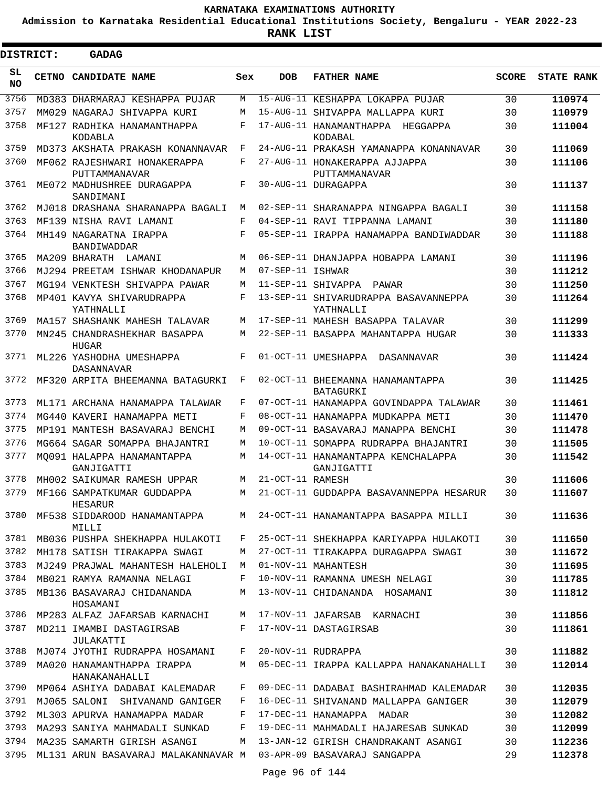**Admission to Karnataka Residential Educational Institutions Society, Bengaluru - YEAR 2022-23**

 $\blacksquare$ 

**RANK LIST**

| <b>DISTRICT:</b> |              | <b>GADAG</b>                                  |     |                  |                                                   |              |            |
|------------------|--------------|-----------------------------------------------|-----|------------------|---------------------------------------------------|--------------|------------|
| SL<br><b>NO</b>  | <b>CETNO</b> | <b>CANDIDATE NAME</b>                         | Sex | <b>DOB</b>       | <b>FATHER NAME</b>                                | <b>SCORE</b> | STATE RANK |
| 3756             |              | MD383 DHARMARAJ KESHAPPA PUJAR                | М   |                  | 15-AUG-11 KESHAPPA LOKAPPA PUJAR                  | 30           | 110974     |
| 3757             |              | MM029 NAGARAJ SHIVAPPA KURI                   | M   |                  | 15-AUG-11 SHIVAPPA MALLAPPA KURI                  | 30           | 110979     |
| 3758             |              | MF127 RADHIKA HANAMANTHAPPA<br>KODABLA        | F   |                  | 17-AUG-11 HANAMANTHAPPA<br>HEGGAPPA<br>KODABAL    | 30           | 111004     |
| 3759             |              | MD373 AKSHATA PRAKASH KONANNAVAR              | F   |                  | 24-AUG-11 PRAKASH YAMANAPPA KONANNAVAR            | 30           | 111069     |
| 3760             |              | MF062 RAJESHWARI HONAKERAPPA<br>PUTTAMMANAVAR | F   |                  | 27-AUG-11 HONAKERAPPA AJJAPPA<br>PUTTAMMANAVAR    | 30           | 111106     |
| 3761             |              | ME072 MADHUSHREE DURAGAPPA<br>SANDIMANI       | F   |                  | 30-AUG-11 DURAGAPPA                               | 30           | 111137     |
| 3762             |              | MJ018 DRASHANA SHARANAPPA BAGALI              | М   |                  | 02-SEP-11 SHARANAPPA NINGAPPA BAGALI              | 30           | 111158     |
| 3763             |              | MF139 NISHA RAVI LAMANI                       | F   |                  | 04-SEP-11 RAVI TIPPANNA LAMANI                    | 30           | 111180     |
| 3764             |              | MH149 NAGARATNA IRAPPA<br>BANDIWADDAR         | F   |                  | 05-SEP-11 IRAPPA HANAMAPPA BANDIWADDAR            | 30           | 111188     |
| 3765             |              | MA209 BHARATH LAMANI                          | М   |                  | 06-SEP-11 DHANJAPPA HOBAPPA LAMANI                | 30           | 111196     |
| 3766             |              | MJ294 PREETAM ISHWAR KHODANAPUR               | М   | 07-SEP-11 ISHWAR |                                                   | 30           | 111212     |
| 3767             |              | MG194 VENKTESH SHIVAPPA PAWAR                 | М   |                  | 11-SEP-11 SHIVAPPA PAWAR                          | 30           | 111250     |
| 3768             |              | MP401 KAVYA SHIVARUDRAPPA<br>YATHNALLI        | F   |                  | 13-SEP-11 SHIVARUDRAPPA BASAVANNEPPA<br>YATHNALLI | 30           | 111264     |
| 3769             |              | MA157 SHASHANK MAHESH TALAVAR                 | M   |                  | 17-SEP-11 MAHESH BASAPPA TALAVAR                  | 30           | 111299     |
| 3770             |              | MN245 CHANDRASHEKHAR BASAPPA<br><b>HUGAR</b>  | М   |                  | 22-SEP-11 BASAPPA MAHANTAPPA HUGAR                | 30           | 111333     |
| 3771             |              | ML226 YASHODHA UMESHAPPA<br>DASANNAVAR        | F   |                  | 01-OCT-11 UMESHAPPA<br>DASANNAVAR                 | 30           | 111424     |
| 3772             |              | MF320 ARPITA BHEEMANNA BATAGURKI              | F   |                  | 02-OCT-11 BHEEMANNA HANAMANTAPPA<br>BATAGURKI     | 30           | 111425     |
| 3773             |              | ML171 ARCHANA HANAMAPPA TALAWAR               | F   |                  | 07-OCT-11 HANAMAPPA GOVINDAPPA TALAWAR            | 30           | 111461     |
| 3774             |              | MG440 KAVERI HANAMAPPA METI                   | F   |                  | 08-OCT-11 HANAMAPPA MUDKAPPA METI                 | 30           | 111470     |
| 3775             |              | MP191 MANTESH BASAVARAJ BENCHI                | M   |                  | 09-OCT-11 BASAVARAJ MANAPPA BENCHI                | 30           | 111478     |
| 3776             |              | MG664 SAGAR SOMAPPA BHAJANTRI                 | М   |                  | 10-OCT-11 SOMAPPA RUDRAPPA BHAJANTRI              | 30           | 111505     |
| 3777             |              | MO091 HALAPPA HANAMANTAPPA<br>GANJIGATTI      | М   |                  | 14-OCT-11 HANAMANTAPPA KENCHALAPPA<br>GANJIGATTI  | 30           | 111542     |
| 3778             |              | MH002 SAIKUMAR RAMESH UPPAR                   | M   | 21-OCT-11 RAMESH |                                                   | 30           | 111606     |
|                  |              | 3779 MF166 SAMPATKUMAR GUDDAPPA<br>HESARUR    | M   |                  | 21-OCT-11 GUDDAPPA BASAVANNEPPA HESARUR           | 30           | 111607     |
| 3780             |              | MF538 SIDDAROOD HANAMANTAPPA<br>MILLI         | M   |                  | 24-OCT-11 HANAMANTAPPA BASAPPA MILLI              | 30           | 111636     |
| 3781             |              | MB036 PUSHPA SHEKHAPPA HULAKOTI               | F   |                  | 25-OCT-11 SHEKHAPPA KARIYAPPA HULAKOTI            | 30           | 111650     |
| 3782             |              | MH178 SATISH TIRAKAPPA SWAGI                  | М   |                  | 27-OCT-11 TIRAKAPPA DURAGAPPA SWAGI               | 30           | 111672     |
| 3783             |              | MJ249 PRAJWAL MAHANTESH HALEHOLI              | M   |                  | 01-NOV-11 MAHANTESH                               | 30           | 111695     |
| 3784             |              | MB021 RAMYA RAMANNA NELAGI                    | F   |                  | 10-NOV-11 RAMANNA UMESH NELAGI                    | 30           | 111785     |
| 3785             |              | MB136 BASAVARAJ CHIDANANDA<br>HOSAMANI        | М   |                  | 13-NOV-11 CHIDANANDA HOSAMANI                     | 30           | 111812     |
| 3786             |              | MP283 ALFAZ JAFARSAB KARNACHI                 | M   |                  | 17-NOV-11 JAFARSAB KARNACHI                       | 30           | 111856     |
| 3787             |              | MD211 IMAMBI DASTAGIRSAB<br>JULAKATTI         | F   |                  | 17-NOV-11 DASTAGIRSAB                             | 30           | 111861     |
| 3788             |              | MJ074 JYOTHI RUDRAPPA HOSAMANI                | F   |                  | 20-NOV-11 RUDRAPPA                                | 30           | 111882     |
| 3789             |              | MA020 HANAMANTHAPPA IRAPPA<br>HANAKANAHALLI   | М   |                  | 05-DEC-11 IRAPPA KALLAPPA HANAKANAHALLI           | 30           | 112014     |
| 3790             |              | MP064 ASHIYA DADABAI KALEMADAR                | F   |                  | 09-DEC-11 DADABAI BASHIRAHMAD KALEMADAR           | 30           | 112035     |
| 3791             |              | MJ065 SALONI SHIVANAND GANIGER                | F   |                  | 16-DEC-11 SHIVANAND MALLAPPA GANIGER              | 30           | 112079     |
| 3792             |              | ML303 APURVA HANAMAPPA MADAR                  | F   |                  | 17-DEC-11 HANAMAPPA MADAR                         | 30           | 112082     |
| 3793             |              | MA293 SANIYA MAHMADALI SUNKAD                 | F   |                  | 19-DEC-11 MAHMADALI HAJARESAB SUNKAD              | 30           | 112099     |
| 3794             |              | MA235 SAMARTH GIRISH ASANGI                   | M   |                  | 13-JAN-12 GIRISH CHANDRAKANT ASANGI               | 30           | 112236     |
| 3795             |              | ML131 ARUN BASAVARAJ MALAKANNAVAR M           |     |                  | 03-APR-09 BASAVARAJ SANGAPPA                      | 29           | 112378     |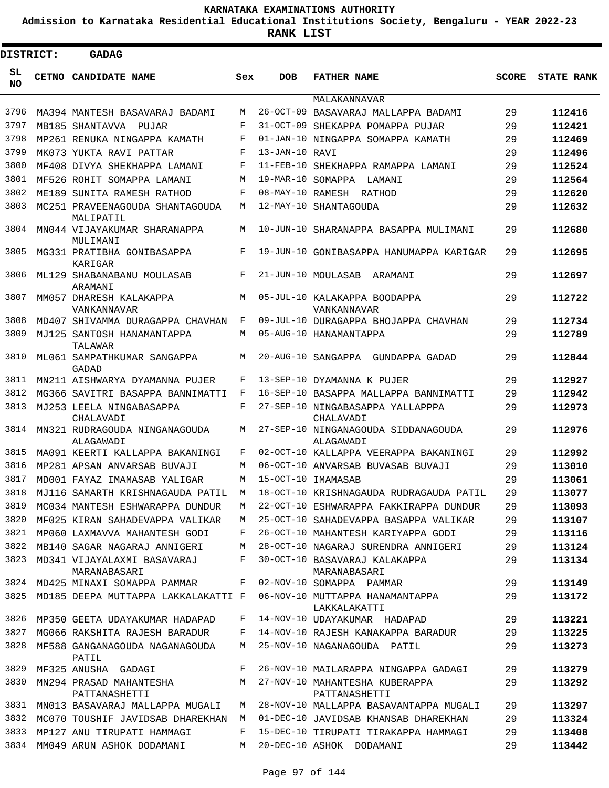**Admission to Karnataka Residential Educational Institutions Society, Bengaluru - YEAR 2022-23**

| <b>DISTRICT:</b> | <b>GADAG</b>                                 |        |                |                                                  |              |                   |
|------------------|----------------------------------------------|--------|----------------|--------------------------------------------------|--------------|-------------------|
| SL<br><b>NO</b>  | CETNO CANDIDATE NAME                         | Sex    | <b>DOB</b>     | <b>FATHER NAME</b>                               | <b>SCORE</b> | <b>STATE RANK</b> |
|                  |                                              |        |                | MALAKANNAVAR                                     |              |                   |
| 3796             | MA394 MANTESH BASAVARAJ BADAMI               | M      |                | 26-OCT-09 BASAVARAJ MALLAPPA BADAMI              | 29           | 112416            |
| 3797             | MB185 SHANTAVVA PUJAR                        | F      |                | 31-OCT-09 SHEKAPPA POMAPPA PUJAR                 | 29           | 112421            |
| 3798             | MP261 RENUKA NINGAPPA KAMATH                 | F      |                | 01-JAN-10 NINGAPPA SOMAPPA KAMATH                | 29           | 112469            |
| 3799             | MK073 YUKTA RAVI PATTAR                      | F      | 13-JAN-10 RAVI |                                                  | 29           | 112496            |
| 3800             | MF408 DIVYA SHEKHAPPA LAMANI                 | F      |                | 11-FEB-10 SHEKHAPPA RAMAPPA LAMANI               | 29           | 112524            |
| 3801<br>3802     | MF526 ROHIT SOMAPPA LAMANI                   | M<br>F |                | 19-MAR-10 SOMAPPA LAMANI                         | 29           | 112564            |
| 3803             | ME189 SUNITA RAMESH RATHOD                   | М      |                | 08-MAY-10 RAMESH RATHOD                          | 29<br>29     | 112620            |
| 3804             | MC251 PRAVEENAGOUDA SHANTAGOUDA<br>MALIPATIL | М      |                | 12-MAY-10 SHANTAGOUDA                            |              | 112632            |
|                  | MN044 VIJAYAKUMAR SHARANAPPA<br>MULIMANI     |        |                | 10-JUN-10 SHARANAPPA BASAPPA MULIMANI            | 29           | 112680            |
| 3805             | MG331 PRATIBHA GONIBASAPPA<br>KARIGAR        | F      |                | 19-JUN-10 GONIBASAPPA HANUMAPPA KARIGAR          | 29           | 112695            |
| 3806             | ML129 SHABANABANU MOULASAB<br>ARAMANI        | F      |                | 21-JUN-10 MOULASAB ARAMANI                       | 29           | 112697            |
| 3807             | MM057 DHARESH KALAKAPPA<br>VANKANNAVAR       | M      |                | 05-JUL-10 KALAKAPPA BOODAPPA<br>VANKANNAVAR      | 29           | 112722            |
| 3808             | MD407 SHIVAMMA DURAGAPPA CHAVHAN             | F      |                | 09-JUL-10 DURAGAPPA BHOJAPPA CHAVHAN             | 29           | 112734            |
| 3809             | MJ125 SANTOSH HANAMANTAPPA<br>TALAWAR        | M      |                | 05-AUG-10 HANAMANTAPPA                           | 29           | 112789            |
| 3810             | ML061 SAMPATHKUMAR SANGAPPA<br><b>GADAD</b>  | М      |                | 20-AUG-10 SANGAPPA GUNDAPPA GADAD                | 29           | 112844            |
| 3811             | MN211 AISHWARYA DYAMANNA PUJER               | F      |                | 13-SEP-10 DYAMANNA K PUJER                       | 29           | 112927            |
| 3812             | MG366 SAVITRI BASAPPA BANNIMATTI             | F      |                | 16-SEP-10 BASAPPA MALLAPPA BANNIMATTI            | 29           | 112942            |
| 3813             | MJ253 LEELA NINGABASAPPA<br>CHALAVADI        | F      |                | 27-SEP-10 NINGABASAPPA YALLAPPPA<br>CHALAVADI    | 29           | 112973            |
| 3814             | MN321 RUDRAGOUDA NINGANAGOUDA<br>ALAGAWADI   | М      |                | 27-SEP-10 NINGANAGOUDA SIDDANAGOUDA<br>ALAGAWADI | 29           | 112976            |
| 3815             | MA091 KEERTI KALLAPPA BAKANINGI              | F      |                | 02-OCT-10 KALLAPPA VEERAPPA BAKANINGI            | 29           | 112992            |
| 3816             | MP281 APSAN ANVARSAB BUVAJI                  | М      |                | 06-OCT-10 ANVARSAB BUVASAB BUVAJI                | 29           | 113010            |
| 3817             | MD001 FAYAZ IMAMASAB YALIGAR                 | M      |                | 15-OCT-10 IMAMASAB                               | 29           | 113061            |
| 3818             | MJ116 SAMARTH KRISHNAGAUDA PATIL             | М      |                | 18-OCT-10 KRISHNAGAUDA RUDRAGAUDA PATIL          | 2.9          | 113077            |
| 3819             | MC034 MANTESH ESHWARAPPA DUNDUR              | М      |                | 22-OCT-10 ESHWARAPPA FAKKIRAPPA DUNDUR           | 29           | 113093            |
| 3820             | MF025 KIRAN SAHADEVAPPA VALIKAR              | M      |                | 25-OCT-10 SAHADEVAPPA BASAPPA VALIKAR            | 29           | 113107            |
| 3821             | MP060 LAXMAVVA MAHANTESH GODI                | F      |                | 26-OCT-10 MAHANTESH KARIYAPPA GODI               | 29           | 113116            |
| 3822             | MB140 SAGAR NAGARAJ ANNIGERI                 | М      |                | 28-OCT-10 NAGARAJ SURENDRA ANNIGERI              | 29           | 113124            |
| 3823             | MD341 VIJAYALAXMI BASAVARAJ<br>MARANABASARI  | F      |                | 30-OCT-10 BASAVARAJ KALAKAPPA<br>MARANABASARI    | 29           | 113134            |
| 3824             | MD425 MINAXI SOMAPPA PAMMAR                  | F      |                | 02-NOV-10 SOMAPPA PAMMAR                         | 29           | 113149            |
| 3825             | MD185 DEEPA MUTTAPPA LAKKALAKATTI F          |        |                | 06-NOV-10 MUTTAPPA HANAMANTAPPA<br>LAKKALAKATTI  | 29           | 113172            |
| 3826             | MP350 GEETA UDAYAKUMAR HADAPAD               | F      |                | 14-NOV-10 UDAYAKUMAR HADAPAD                     | 29           | 113221            |
| 3827             | MG066 RAKSHITA RAJESH BARADUR                | F      |                | 14-NOV-10 RAJESH KANAKAPPA BARADUR               | 29           | 113225            |
| 3828             | MF588 GANGANAGOUDA NAGANAGOUDA<br>PATIL      | М      |                | 25-NOV-10 NAGANAGOUDA PATIL                      | 29           | 113273            |
| 3829             | MF325 ANUSHA GADAGI                          | F      |                | 26-NOV-10 MAILARAPPA NINGAPPA GADAGI             | 29           | 113279            |
| 3830             | MN294 PRASAD MAHANTESHA<br>PATTANASHETTI     | M      |                | 27-NOV-10 MAHANTESHA KUBERAPPA<br>PATTANASHETTI  | 29           | 113292            |
| 3831             | MN013 BASAVARAJ MALLAPPA MUGALI              | M      |                | 28-NOV-10 MALLAPPA BASAVANTAPPA MUGALI           | 29           | 113297            |
| 3832             | MC070 TOUSHIF JAVIDSAB DHAREKHAN             | М      |                | 01-DEC-10 JAVIDSAB KHANSAB DHAREKHAN             | 29           | 113324            |
| 3833             | MP127 ANU TIRUPATI HAMMAGI                   | F      |                | 15-DEC-10 TIRUPATI TIRAKAPPA HAMMAGI             | 29           | 113408            |
| 3834             | MM049 ARUN ASHOK DODAMANI                    | М      |                | 20-DEC-10 ASHOK DODAMANI                         | 29           | 113442            |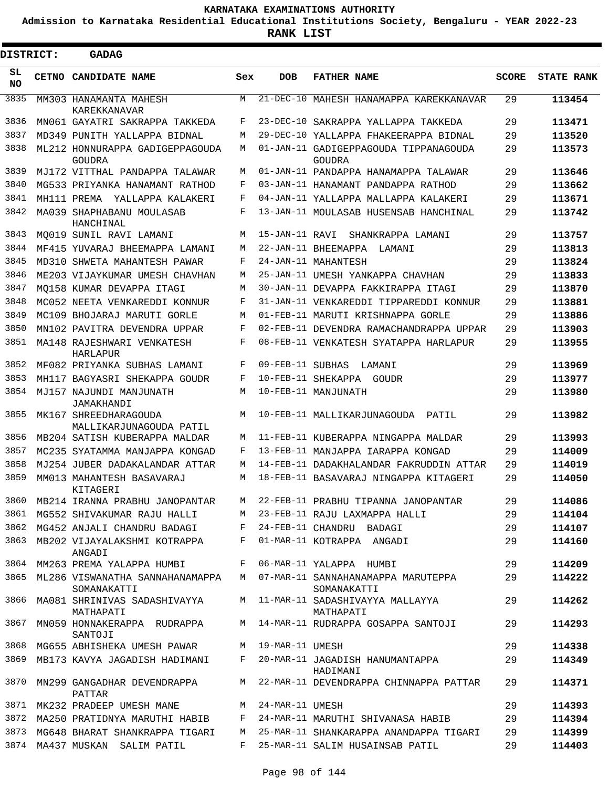**Admission to Karnataka Residential Educational Institutions Society, Bengaluru - YEAR 2022-23**

 $\blacksquare$ 

**RANK LIST**

Е

| DISTRICT:       | <b>GADAG</b>                                                                   |        |                   |                                                                                          |              |                   |
|-----------------|--------------------------------------------------------------------------------|--------|-------------------|------------------------------------------------------------------------------------------|--------------|-------------------|
| SL<br><b>NO</b> | CETNO CANDIDATE NAME                                                           | Sex    | <b>DOB</b>        | <b>FATHER NAME</b>                                                                       | <b>SCORE</b> | <b>STATE RANK</b> |
| 3835            | MM303 HANAMANTA MAHESH<br>KAREKKANAVAR                                         | М      |                   | 21-DEC-10 MAHESH HANAMAPPA KAREKKANAVAR                                                  | 29           | 113454            |
| 3836            | MN061 GAYATRI SAKRAPPA TAKKEDA                                                 | F      | $23-DEC-10$       | SAKRAPPA YALLAPPA TAKKEDA                                                                | 29           | 113471            |
| 3837            | MD349 PUNITH YALLAPPA BIDNAL                                                   | M      |                   | 29-DEC-10 YALLAPPA FHAKEERAPPA BIDNAL                                                    | 29           | 113520            |
| 3838            | ML212 HONNURAPPA GADIGEPPAGOUDA<br>GOUDRA                                      | М      |                   | 01-JAN-11 GADIGEPPAGOUDA TIPPANAGOUDA<br>GOUDRA                                          | 29           | 113573            |
| 3839            | MJ172 VITTHAL PANDAPPA TALAWAR                                                 | М      |                   | 01-JAN-11 PANDAPPA HANAMAPPA TALAWAR                                                     | 29           | 113646            |
| 3840            | MG533 PRIYANKA HANAMANT RATHOD                                                 | F      |                   | 03-JAN-11 HANAMANT PANDAPPA RATHOD                                                       | 29           | 113662            |
| 3841            | MH111 PREMA YALLAPPA KALAKERI                                                  | F      |                   | 04-JAN-11 YALLAPPA MALLAPPA KALAKERI                                                     | 29           | 113671            |
| 3842            | MA039 SHAPHABANU MOULASAB<br>HANCHINAL                                         | F      |                   | 13-JAN-11 MOULASAB HUSENSAB HANCHINAL                                                    | 29           | 113742            |
| 3843            | MO019 SUNIL RAVI LAMANI                                                        | М      | 15-JAN-11 RAVI    | SHANKRAPPA LAMANI                                                                        | 29           | 113757            |
| 3844            | MF415 YUVARAJ BHEEMAPPA LAMANI                                                 | М      |                   | 22-JAN-11 BHEEMAPPA LAMANI                                                               | 29           | 113813            |
| 3845            | MD310 SHWETA MAHANTESH PAWAR                                                   | F      |                   | 24-JAN-11 MAHANTESH                                                                      | 29           | 113824            |
| 3846            | ME203 VIJAYKUMAR UMESH CHAVHAN                                                 | М      |                   | 25-JAN-11 UMESH YANKAPPA CHAVHAN                                                         | 29           | 113833            |
| 3847            | MO158 KUMAR DEVAPPA ITAGI                                                      | М      |                   | 30-JAN-11 DEVAPPA FAKKIRAPPA ITAGI                                                       | 29           | 113870            |
| 3848            | MC052 NEETA VENKAREDDI KONNUR                                                  | F      |                   | 31-JAN-11 VENKAREDDI TIPPAREDDI KONNUR                                                   | 29           | 113881            |
| 3849            | MC109 BHOJARAJ MARUTI GORLE                                                    | М      |                   | 01-FEB-11 MARUTI KRISHNAPPA GORLE                                                        | 29           | 113886            |
| 3850            | MN102 PAVITRA DEVENDRA UPPAR                                                   | F      |                   | 02-FEB-11 DEVENDRA RAMACHANDRAPPA UPPAR                                                  | 29           | 113903            |
| 3851            | MA148 RAJESHWARI VENKATESH<br>HARLAPUR                                         | F      |                   | 08-FEB-11 VENKATESH SYATAPPA HARLAPUR                                                    | 29           | 113955            |
| 3852            | MF082 PRIYANKA SUBHAS LAMANI                                                   | F      | 09-FEB-11 SUBHAS  | LAMANI                                                                                   | 29           | 113969            |
| 3853            | MH117 BAGYASRI SHEKAPPA GOUDR                                                  | F      |                   | 10-FEB-11 SHEKAPPA GOUDR                                                                 | 29           | 113977            |
| 3854            | MJ157 NAJUNDI MANJUNATH<br>JAMAKHANDI                                          | М      |                   | 10-FEB-11 MANJUNATH                                                                      | 29           | 113980            |
| 3855            | MK167 SHREEDHARAGOUDA<br>MALLIKARJUNAGOUDA PATIL                               | М      |                   | 10-FEB-11 MALLIKARJUNAGOUDA PATIL                                                        | 29           | 113982            |
| 3856            | MB204 SATISH KUBERAPPA MALDAR                                                  | М      |                   | 11-FEB-11 KUBERAPPA NINGAPPA MALDAR                                                      | 29           | 113993            |
| 3857            | MC235 SYATAMMA MANJAPPA KONGAD                                                 | F      |                   | 13-FEB-11 MANJAPPA IARAPPA KONGAD                                                        | 29           | 114009            |
| 3858            | MJ254 JUBER DADAKALANDAR ATTAR                                                 | М      |                   | 14-FEB-11 DADAKHALANDAR FAKRUDDIN ATTAR                                                  | 29           | 114019            |
| 3859            | MM013 MAHANTESH BASAVARAJ<br>KITAGERI                                          | М      |                   | 18-FEB-11 BASAVARAJ NINGAPPA KITAGERI                                                    | 29           | 114050            |
| 3860            | MB214 IRANNA PRABHU JANOPANTAR                                                 | М      |                   | 22-FEB-11 PRABHU TIPANNA JANOPANTAR                                                      | 29           | 114086            |
| 3861            | MG552 SHIVAKUMAR RAJU HALLI                                                    | M      |                   | 23-FEB-11 RAJU LAXMAPPA HALLI                                                            | 29           | 114104            |
| 3862            | MG452 ANJALI CHANDRU BADAGI                                                    | F      |                   | 24-FEB-11 CHANDRU BADAGI                                                                 | 29           | 114107            |
| 3863            | MB202 VIJAYALAKSHMI KOTRAPPA<br>ANGADI                                         | F      |                   | 01-MAR-11 KOTRAPPA ANGADI                                                                | 29           | 114160            |
| 3864            | MM263 PREMA YALAPPA HUMBI                                                      | F      |                   | 06-MAR-11 YALAPPA HUMBI                                                                  | 29           | 114209            |
| 3865<br>3866    | ML286 VISWANATHA SANNAHANAMAPPA<br>SOMANAKATTI<br>MA081 SHRINIVAS SADASHIVAYYA |        |                   | M 07-MAR-11 SANNAHANAMAPPA MARUTEPPA<br>SOMANAKATTI<br>M 11-MAR-11 SADASHIVAYYA MALLAYYA | 29<br>29     | 114222<br>114262  |
| 3867            | MATHAPATI<br>MN059 HONNAKERAPPA RUDRAPPA                                       |        |                   | MATHAPATI<br>M 14-MAR-11 RUDRAPPA GOSAPPA SANTOJI                                        | 29           | 114293            |
| 3868            | SANTOJI                                                                        |        | M 19-MAR-11 UMESH |                                                                                          |              |                   |
|                 | MG655 ABHISHEKA UMESH PAWAR                                                    |        |                   |                                                                                          | 29           | 114338            |
| 3869            | MB173 KAVYA JAGADISH HADIMANI                                                  | F      |                   | 20-MAR-11 JAGADISH HANUMANTAPPA<br>HADIMANI                                              | 29           | 114349            |
| 3870            | MN299 GANGADHAR DEVENDRAPPA<br>PATTAR                                          | M      |                   | 22-MAR-11 DEVENDRAPPA CHINNAPPA PATTAR                                                   | 29           | 114371            |
| 3871            | MK232 PRADEEP UMESH MANE                                                       | M      | 24-MAR-11 UMESH   |                                                                                          | 29           | 114393            |
| 3872<br>3873    | MA250 PRATIDNYA MARUTHI HABIB                                                  | F      |                   | 24-MAR-11 MARUTHI SHIVANASA HABIB                                                        | 29           | 114394            |
| 3874            | MG648 BHARAT SHANKRAPPA TIGARI<br>MA437 MUSKAN SALIM PATIL                     | M<br>F |                   | 25-MAR-11 SHANKARAPPA ANANDAPPA TIGARI<br>25-MAR-11 SALIM HUSAINSAB PATIL                | 29<br>29     | 114399<br>114403  |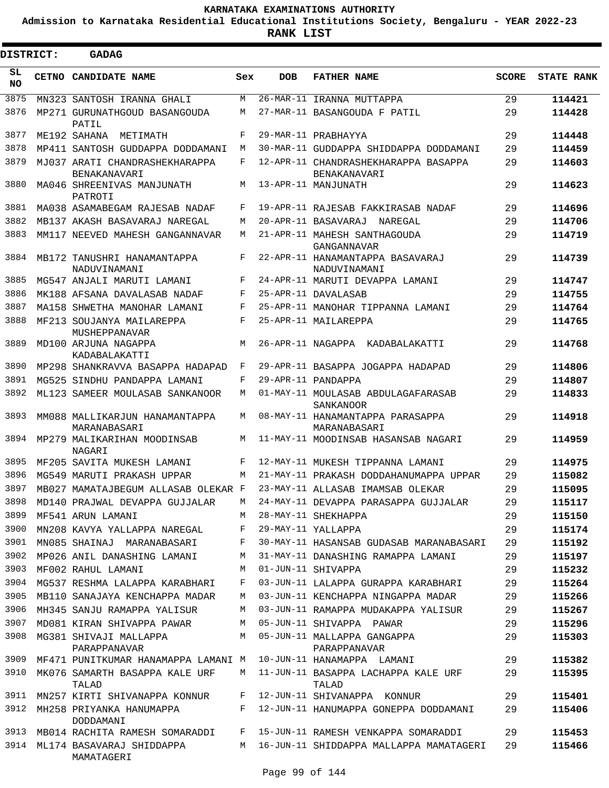**Admission to Karnataka Residential Educational Institutions Society, Bengaluru - YEAR 2022-23**

| <b>DISTRICT:</b> | GADAG                                                               |       |            |                                                        |              |                   |
|------------------|---------------------------------------------------------------------|-------|------------|--------------------------------------------------------|--------------|-------------------|
| SL<br><b>NO</b>  | CETNO CANDIDATE NAME                                                | Sex   | <b>DOB</b> | <b>FATHER NAME</b>                                     | <b>SCORE</b> | <b>STATE RANK</b> |
| 3875             | MN323 SANTOSH IRANNA GHALI                                          | M     |            | 26-MAR-11 IRANNA MUTTAPPA                              | 29           | 114421            |
| 3876             | MP271 GURUNATHGOUD BASANGOUDA<br>PATIL                              | М     |            | 27-MAR-11 BASANGOUDA F PATIL                           | 29           | 114428            |
| 3877             | ME192 SAHANA<br>METIMATH                                            | F     |            | 29-MAR-11 PRABHAYYA                                    | 29           | 114448            |
| 3878             | MP411 SANTOSH GUDDAPPA DODDAMANI                                    | M     |            | 30-MAR-11 GUDDAPPA SHIDDAPPA DODDAMANI                 | 29           | 114459            |
| 3879             | MJ037 ARATI CHANDRASHEKHARAPPA<br>BENAKANAVARI                      | F     |            | 12-APR-11 CHANDRASHEKHARAPPA BASAPPA<br>BENAKANAVARI   | 29           | 114603            |
| 3880             | MA046 SHREENIVAS MANJUNATH<br>PATROTI                               | М     |            | 13-APR-11 MANJUNATH                                    | 29           | 114623            |
| 3881             | MA038 ASAMABEGAM RAJESAB NADAF                                      | F     |            | 19-APR-11 RAJESAB FAKKIRASAB NADAF                     | 29           | 114696            |
| 3882             | MB137 AKASH BASAVARAJ NAREGAL                                       | М     |            | 20-APR-11 BASAVARAJ NAREGAL                            | 29           | 114706            |
| 3883             | MM117 NEEVED MAHESH GANGANNAVAR                                     | М     |            | 21-APR-11 MAHESH SANTHAGOUDA<br>GANGANNAVAR            | 29           | 114719            |
| 3884             | MB172 TANUSHRI HANAMANTAPPA<br>NADUVINAMANI                         | F     |            | 22-APR-11 HANAMANTAPPA BASAVARAJ<br>NADUVINAMANI       | 29           | 114739            |
| 3885             | MG547 ANJALI MARUTI LAMANI                                          | F     |            | 24-APR-11 MARUTI DEVAPPA LAMANI                        | 29           | 114747            |
| 3886             | MK188 AFSANA DAVALASAB NADAF                                        | F     |            | 25-APR-11 DAVALASAB                                    | 29           | 114755            |
| 3887             | MA158 SHWETHA MANOHAR LAMANI                                        | F     |            | 25-APR-11 MANOHAR TIPPANNA LAMANI                      | 29           | 114764            |
| 3888             | MF213 SOUJANYA MAILAREPPA<br>MUSHEPPANAVAR                          | F     |            | 25-APR-11 MAILAREPPA                                   | 29           | 114765            |
| 3889             | MD100 ARJUNA NAGAPPA<br>KADABALAKATTI                               | М     |            | 26-APR-11 NAGAPPA<br>KADABALAKATTI                     | 29           | 114768            |
| 3890             | MP298 SHANKRAVVA BASAPPA HADAPAD                                    | F     |            | 29-APR-11 BASAPPA JOGAPPA HADAPAD                      | 29           | 114806            |
| 3891             | MG525 SINDHU PANDAPPA LAMANI                                        | F     |            | 29-APR-11 PANDAPPA                                     | 29           | 114807            |
| 3892             | ML123 SAMEER MOULASAB SANKANOOR                                     | М     |            | 01-MAY-11 MOULASAB ABDULAGAFARASAB<br><b>SANKANOOR</b> | 29           | 114833            |
| 3893             | MM088 MALLIKARJUN HANAMANTAPPA<br>MARANABASARI                      | М     |            | 08-MAY-11 HANAMANTAPPA PARASAPPA<br>MARANABASARI       | 29           | 114918            |
| 3894             | MP279 MALIKARIHAN MOODINSAB<br>NAGARI                               | М     |            | 11-MAY-11 MOODINSAB HASANSAB NAGARI                    | 29           | 114959            |
| 3895             | MF205 SAVITA MUKESH LAMANI                                          | F     |            | 12-MAY-11 MUKESH TIPPANNA LAMANI                       | 29           | 114975            |
| 3896             | MG549 MARUTI PRAKASH UPPAR                                          | М     |            | 21-MAY-11 PRAKASH DODDAHANUMAPPA UPPAR                 | 29           | 115082            |
| 3897             | MB027 MAMATAJBEGUM ALLASAB OLEKAR F                                 |       |            | 23-MAY-11 ALLASAB IMAMSAB OLEKAR                       | 29           | 115095            |
| 3898             | MD140 PRAJWAL DEVAPPA GUJJALAR                                      | М     |            | 24-MAY-11 DEVAPPA PARASAPPA GUJJALAR                   | 29           | 115117            |
| 3899             | MF541 ARUN LAMANI                                                   | M     |            | 28-MAY-11 SHEKHAPPA                                    | 29           | 115150            |
| 3900             | MN208 KAVYA YALLAPPA NAREGAL                                        | F     |            | 29-MAY-11 YALLAPPA                                     | 29           | 115174            |
| 3901             | MN085 SHAINAJ MARANABASARI                                          | F     |            | 30-MAY-11 HASANSAB GUDASAB MARANABASARI                | 29           | 115192            |
| 3902             | MP026 ANIL DANASHING LAMANI                                         | M     |            | 31-MAY-11 DANASHING RAMAPPA LAMANI                     | 29           | 115197            |
| 3903             | MF002 RAHUL LAMANI                                                  | M     |            | 01-JUN-11 SHIVAPPA                                     | 29           | 115232            |
| 3904             | MG537 RESHMA LALAPPA KARABHARI                                      | F     |            | 03-JUN-11 LALAPPA GURAPPA KARABHARI                    | 29           | 115264            |
| 3905             | MB110 SANAJAYA KENCHAPPA MADAR                                      | М     |            | 03-JUN-11 KENCHAPPA NINGAPPA MADAR                     | 29           | 115266            |
| 3906             | MH345 SANJU RAMAPPA YALISUR                                         | М     |            | 03-JUN-11 RAMAPPA MUDAKAPPA YALISUR                    | 29           | 115267            |
| 3907             | MD081 KIRAN SHIVAPPA PAWAR                                          | M     |            | 05-JUN-11 SHIVAPPA PAWAR                               | 29           | 115296            |
| 3908             | MG381 SHIVAJI MALLAPPA<br>PARAPPANAVAR                              | М     |            | 05-JUN-11 MALLAPPA GANGAPPA<br>PARAPPANAVAR            | 29           | 115303            |
|                  | 3909 MF471 PUNITKUMAR HANAMAPPA LAMANI M 10-JUN-11 HANAMAPPA LAMANI |       |            |                                                        | 29           | 115382            |
| 3910             | MK076 SAMARTH BASAPPA KALE URF<br>TALAD                             |       |            | M 11-JUN-11 BASAPPA LACHAPPA KALE URF<br>TALAD         | 29           | 115395            |
|                  | 3911 MN257 KIRTI SHIVANAPPA KONNUR                                  |       |            | F 12-JUN-11 SHIVANAPPA KONNUR                          | 29           | 115401            |
|                  | 3912 MH258 PRIYANKA HANUMAPPA<br>DODDAMANI                          | $F$ – |            | 12-JUN-11 HANUMAPPA GONEPPA DODDAMANI                  | 29           | 115406            |
|                  | 3913 MB014 RACHITA RAMESH SOMARADDI                                 |       |            | F 15-JUN-11 RAMESH VENKAPPA SOMARADDI                  | 29           | 115453            |
|                  | 3914 ML174 BASAVARAJ SHIDDAPPA<br>MAMATAGERI                        |       |            | M 16-JUN-11 SHIDDAPPA MALLAPPA MAMATAGERI              | 29           | 115466            |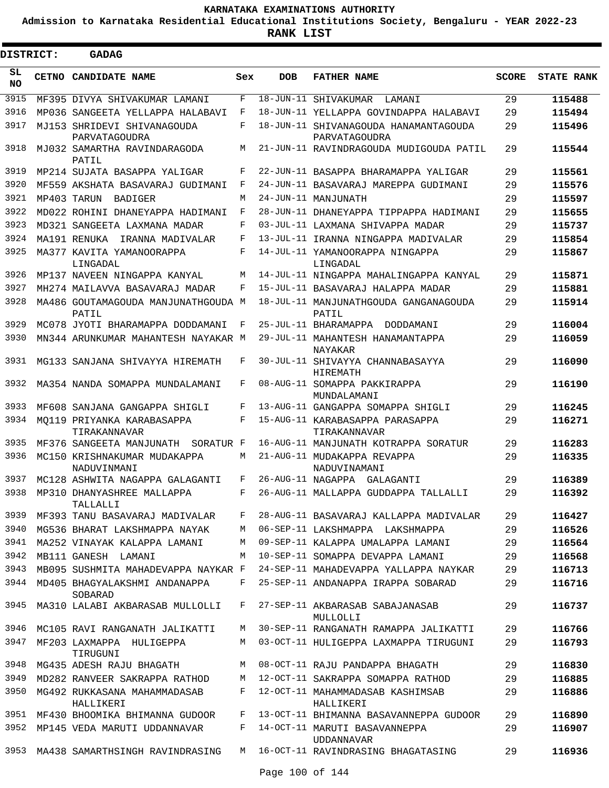**Admission to Karnataka Residential Educational Institutions Society, Bengaluru - YEAR 2022-23**

 $\blacksquare$ 

**RANK LIST**

| DISTRICT:       |              | <b>GADAG</b>                                 |     |            |                                                        |              |                   |
|-----------------|--------------|----------------------------------------------|-----|------------|--------------------------------------------------------|--------------|-------------------|
| SL<br><b>NO</b> | <b>CETNO</b> | CANDIDATE NAME                               | Sex | <b>DOB</b> | <b>FATHER NAME</b>                                     | <b>SCORE</b> | <b>STATE RANK</b> |
| 3915            |              | MF395 DIVYA SHIVAKUMAR LAMANI                | F   |            | 18-JUN-11 SHIVAKUMAR<br>LAMANI                         | 29           | 115488            |
| 3916            |              | MP036 SANGEETA YELLAPPA HALABAVI             | F   |            | 18-JUN-11 YELLAPPA GOVINDAPPA HALABAVI                 | 29           | 115494            |
| 3917            |              | MJ153 SHRIDEVI SHIVANAGOUDA<br>PARVATAGOUDRA | F   |            | 18-JUN-11 SHIVANAGOUDA HANAMANTAGOUDA<br>PARVATAGOUDRA | 29           | 115496            |
| 3918            |              | MJ032 SAMARTHA RAVINDARAGODA<br>PATIL        | М   |            | 21-JUN-11 RAVINDRAGOUDA MUDIGOUDA PATIL                | 29           | 115544            |
| 3919            |              | MP214 SUJATA BASAPPA YALIGAR                 | F   |            | 22-JUN-11 BASAPPA BHARAMAPPA YALIGAR                   | 29           | 115561            |
| 3920            |              | MF559 AKSHATA BASAVARAJ GUDIMANI             | F   |            | 24-JUN-11 BASAVARAJ MAREPPA GUDIMANI                   | 29           | 115576            |
| 3921            |              | MP403 TARUN<br>BADIGER                       | M   |            | 24-JUN-11 MANJUNATH                                    | 29           | 115597            |
| 3922            |              | MD022 ROHINI DHANEYAPPA HADIMANI             | F   |            | 28-JUN-11 DHANEYAPPA TIPPAPPA HADIMANI                 | 29           | 115655            |
| 3923            |              | MD321 SANGEETA LAXMANA MADAR                 | F   |            | 03-JUL-11 LAXMANA SHIVAPPA MADAR                       | 29           | 115737            |
| 3924            |              | MA191 RENUKA<br>IRANNA MADIVALAR             | F   |            | 13-JUL-11 IRANNA NINGAPPA MADIVALAR                    | 29           | 115854            |
| 3925            |              | MA377 KAVITA YAMANOORAPPA<br>LINGADAL        | F   |            | 14-JUL-11 YAMANOORAPPA NINGAPPA<br>LINGADAL            | 29           | 115867            |
| 3926            |              | MP137 NAVEEN NINGAPPA KANYAL                 | M   |            | 14-JUL-11 NINGAPPA MAHALINGAPPA KANYAL                 | 29           | 115871            |
| 3927            |              | MH274 MAILAVVA BASAVARAJ MADAR               | F   |            | 15-JUL-11 BASAVARAJ HALAPPA MADAR                      | 29           | 115881            |
| 3928            |              | MA486 GOUTAMAGOUDA MANJUNATHGOUDA M<br>PATIL |     |            | 18-JUL-11 MANJUNATHGOUDA GANGANAGOUDA<br>PATIL         | 29           | 115914            |
| 3929            |              | MC078 JYOTI BHARAMAPPA DODDAMANI             | F   |            | 25-JUL-11 BHARAMAPPA<br>DODDAMANI                      | 29           | 116004            |
| 3930            |              | MN344 ARUNKUMAR MAHANTESH NAYAKAR M          |     |            | 29-JUL-11 MAHANTESH HANAMANTAPPA<br>NAYAKAR            | 29           | 116059            |
| 3931            |              | MG133 SANJANA SHIVAYYA HIREMATH              | F   |            | 30-JUL-11 SHIVAYYA CHANNABASAYYA<br><b>HIREMATH</b>    | 29           | 116090            |
| 3932            |              | MA354 NANDA SOMAPPA MUNDALAMANI              | F   |            | 08-AUG-11 SOMAPPA PAKKIRAPPA<br>MUNDALAMANI            | 29           | 116190            |
| 3933            |              | MF608 SANJANA GANGAPPA SHIGLI                | F   |            | 13-AUG-11 GANGAPPA SOMAPPA SHIGLI                      | 29           | 116245            |
| 3934            |              | MO119 PRIYANKA KARABASAPPA<br>TIRAKANNAVAR   | F   |            | 15-AUG-11 KARABASAPPA PARASAPPA<br>TIRAKANNAVAR        | 29           | 116271            |
| 3935            |              | MF376 SANGEETA MANJUNATH<br>SORATUR F        |     |            | 16-AUG-11 MANJUNATH KOTRAPPA SORATUR                   | 29           | 116283            |
| 3936            |              | MC150 KRISHNAKUMAR MUDAKAPPA<br>NADUVINMANI  | М   |            | 21-AUG-11 MUDAKAPPA REVAPPA<br>NADUVINAMANI            | 29           | 116335            |
| 3937            |              | MC128 ASHWITA NAGAPPA GALAGANTI              | F   |            | 26-AUG-11 NAGAPPA GALAGANTI                            | 29           | 116389            |
|                 |              | 3938 MP310 DHANYASHREE MALLAPPA<br>TALLALLI  | F   |            | 26-AUG-11 MALLAPPA GUDDAPPA TALLALLI                   | 29           | 116392            |
| 3939            |              | MF393 TANU BASAVARAJ MADIVALAR               | F   |            | 28-AUG-11 BASAVARAJ KALLAPPA MADIVALAR                 | 29           | 116427            |
| 3940            |              | MG536 BHARAT LAKSHMAPPA NAYAK                | М   |            | 06-SEP-11 LAKSHMAPPA LAKSHMAPPA                        | 29           | 116526            |
| 3941            |              | MA252 VINAYAK KALAPPA LAMANI                 | М   |            | 09-SEP-11 KALAPPA UMALAPPA LAMANI                      | 29           | 116564            |
| 3942            |              | MB111 GANESH LAMANI                          | М   |            | 10-SEP-11 SOMAPPA DEVAPPA LAMANI                       | 29           | 116568            |
| 3943            |              | MB095 SUSHMITA MAHADEVAPPA NAYKAR F          |     |            | 24-SEP-11 MAHADEVAPPA YALLAPPA NAYKAR                  | 29           | 116713            |
| 3944            |              | MD405 BHAGYALAKSHMI ANDANAPPA<br>SOBARAD     | F   |            | 25-SEP-11 ANDANAPPA IRAPPA SOBARAD                     | 29           | 116716            |
| 3945            |              | MA310 LALABI AKBARASAB MULLOLLI              | F   |            | 27-SEP-11 AKBARASAB SABAJANASAB<br>MULLOLLI            | 29           | 116737            |
| 3946            |              | MC105 RAVI RANGANATH JALIKATTI               | М   |            | 30-SEP-11 RANGANATH RAMAPPA JALIKATTI                  | 29           | 116766            |
| 3947            |              | MF203 LAXMAPPA HULIGEPPA<br>TIRUGUNI         | M   |            | 03-OCT-11 HULIGEPPA LAXMAPPA TIRUGUNI                  | 29           | 116793            |
| 3948            |              | MG435 ADESH RAJU BHAGATH                     | М   |            | 08-OCT-11 RAJU PANDAPPA BHAGATH                        | 29           | 116830            |
| 3949            |              | MD282 RANVEER SAKRAPPA RATHOD                | М   |            | 12-OCT-11 SAKRAPPA SOMAPPA RATHOD                      | 29           | 116885            |
| 3950            |              | MG492 RUKKASANA MAHAMMADASAB<br>HALLIKERI    | F   |            | 12-OCT-11 MAHAMMADASAB KASHIMSAB<br>HALLIKERI          | 29           | 116886            |
| 3951            |              | MF430 BHOOMIKA BHIMANNA GUDOOR               | F   |            | 13-OCT-11 BHIMANNA BASAVANNEPPA GUDOOR                 | 29           | 116890            |
| 3952            |              | MP145 VEDA MARUTI UDDANNAVAR                 | F   |            | 14-OCT-11 MARUTI BASAVANNEPPA<br><b>UDDANNAVAR</b>     | 29           | 116907            |
| 3953            |              | MA438 SAMARTHSINGH RAVINDRASING              |     |            | M 16-OCT-11 RAVINDRASING BHAGATASING                   | 29           | 116936            |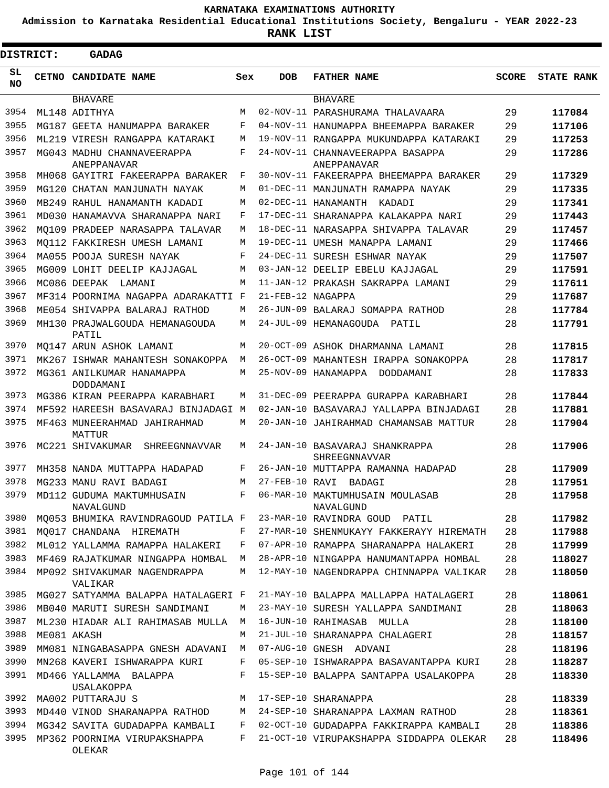**Admission to Karnataka Residential Educational Institutions Society, Bengaluru - YEAR 2022-23**

| <b>DISTRICT:</b> | <b>GADAG</b>                                     |     |                   |                                                 |              |                   |
|------------------|--------------------------------------------------|-----|-------------------|-------------------------------------------------|--------------|-------------------|
| SL<br>NO.        | CETNO CANDIDATE NAME                             | Sex | <b>DOB</b>        | <b>FATHER NAME</b>                              | <b>SCORE</b> | <b>STATE RANK</b> |
|                  | <b>BHAVARE</b>                                   |     |                   | <b>BHAVARE</b>                                  |              |                   |
| 3954             | ML148 ADITHYA                                    | M   |                   | 02-NOV-11 PARASHURAMA THALAVAARA                | 29           | 117084            |
| 3955             | MG187 GEETA HANUMAPPA BARAKER                    | F   |                   | 04-NOV-11 HANUMAPPA BHEEMAPPA BARAKER           | 29           | 117106            |
| 3956             | ML219 VIRESH RANGAPPA KATARAKI                   | М   |                   | 19-NOV-11 RANGAPPA MUKUNDAPPA KATARAKI          | 29           | 117253            |
| 3957             | MG043 MADHU CHANNAVEERAPPA<br><b>ANEPPANAVAR</b> | F   |                   | 24-NOV-11 CHANNAVEERAPPA BASAPPA<br>ANEPPANAVAR | 29           | 117286            |
| 3958             | MH068 GAYITRI FAKEERAPPA BARAKER                 | F   |                   | 30-NOV-11 FAKEERAPPA BHEEMAPPA BARAKER          | 29           | 117329            |
| 3959             | MG120 CHATAN MANJUNATH NAYAK                     | М   |                   | 01-DEC-11 MANJUNATH RAMAPPA NAYAK               | 29           | 117335            |
| 3960             | MB249 RAHUL HANAMANTH KADADI                     | M   |                   | 02-DEC-11 HANAMANTH<br>KADADI                   | 29           | 117341            |
| 3961             | MD030 HANAMAVVA SHARANAPPA NARI                  | F   |                   | 17-DEC-11 SHARANAPPA KALAKAPPA NARI             | 29           | 117443            |
| 3962             | MO109 PRADEEP NARASAPPA TALAVAR                  | М   |                   | 18-DEC-11 NARASAPPA SHIVAPPA TALAVAR            | 29           | 117457            |
| 3963             | MO112 FAKKIRESH UMESH LAMANI                     | М   |                   | 19-DEC-11 UMESH MANAPPA LAMANI                  | 29           | 117466            |
| 3964             | MA055 POOJA SURESH NAYAK                         | F   |                   | 24-DEC-11 SURESH ESHWAR NAYAK                   | 29           | 117507            |
| 3965             | MG009 LOHIT DEELIP KAJJAGAL                      | М   |                   | 03-JAN-12 DEELIP EBELU KAJJAGAL                 | 29           | 117591            |
| 3966             | MC086 DEEPAK LAMANI                              | М   |                   | 11-JAN-12 PRAKASH SAKRAPPA LAMANI               | 29           | 117611            |
| 3967             | MF314 POORNIMA NAGAPPA ADARAKATTI F              |     | 21-FEB-12 NAGAPPA |                                                 | 29           | 117687            |
| 3968             | ME054 SHIVAPPA BALARAJ RATHOD                    | М   |                   | 26-JUN-09 BALARAJ SOMAPPA RATHOD                | 28           | 117784            |
| 3969             | MH130 PRAJWALGOUDA HEMANAGOUDA<br>PATIL          | М   |                   | 24-JUL-09 HEMANAGOUDA PATIL                     | 28           | 117791            |
| 3970             | MO147 ARUN ASHOK LAMANI                          | М   |                   | 20-OCT-09 ASHOK DHARMANNA LAMANI                | 28           | 117815            |
| 3971             | MK267 ISHWAR MAHANTESH SONAKOPPA                 | М   |                   | 26-OCT-09 MAHANTESH IRAPPA SONAKOPPA            | 28           | 117817            |
| 3972             | MG361 ANILKUMAR HANAMAPPA<br>DODDAMANI           | М   |                   | 25-NOV-09 HANAMAPPA DODDAMANI                   | 28           | 117833            |
| 3973             | MG386 KIRAN PEERAPPA KARABHARI                   | М   |                   | 31-DEC-09 PEERAPPA GURAPPA KARABHARI            | 28           | 117844            |
| 3974             | MF592 HAREESH BASAVARAJ BINJADAGI                | M   |                   | 02-JAN-10 BASAVARAJ YALLAPPA BINJADAGI          | 28           | 117881            |
| 3975             | MF463 MUNEERAHMAD JAHIRAHMAD<br>MATTUR           | М   |                   | 20-JAN-10 JAHIRAHMAD CHAMANSAB MATTUR           | 28           | 117904            |
| 3976             | MC221 SHIVAKUMAR<br>SHREEGNNAVVAR                | М   |                   | 24-JAN-10 BASAVARAJ SHANKRAPPA<br>SHREEGNNAVVAR | 28           | 117906            |
| 3977             | MH358 NANDA MUTTAPPA HADAPAD                     | F   |                   | 26-JAN-10 MUTTAPPA RAMANNA HADAPAD              | 28           | 117909            |
| 3978             | MG233 MANU RAVI BADAGI                           | М   | 27-FEB-10 RAVI    | BADAGI                                          | 28           | 117951            |
| 3979             | MD112 GUDUMA MAKTUMHUSAIN<br>NAVALGUND           | F   |                   | 06-MAR-10 MAKTUMHUSAIN MOULASAB<br>NAVALGUND    | 28           | 117958            |
| 3980             | MQ053 BHUMIKA RAVINDRAGOUD PATILA F              |     |                   | 23-MAR-10 RAVINDRA GOUD PATIL                   | 28           | 117982            |
| 3981             | MO017 CHANDANA HIREMATH                          | F   |                   | 27-MAR-10 SHENMUKAYY FAKKERAYY HIREMATH         | 28           | 117988            |
| 3982             | ML012 YALLAMMA RAMAPPA HALAKERI                  | F   |                   | 07-APR-10 RAMAPPA SHARANAPPA HALAKERI           | 28           | 117999            |
| 3983             | MF469 RAJATKUMAR NINGAPPA HOMBAL                 | М   |                   | 28-APR-10 NINGAPPA HANUMANTAPPA HOMBAL          | 28           | 118027            |
| 3984             | MP092 SHIVAKUMAR NAGENDRAPPA<br>VALIKAR          | М   |                   | 12-MAY-10 NAGENDRAPPA CHINNAPPA VALIKAR         | 28           | 118050            |
| 3985             | MG027 SATYAMMA BALAPPA HATALAGERI F              |     |                   | 21-MAY-10 BALAPPA MALLAPPA HATALAGERI           | 28           | 118061            |
| 3986             | MB040 MARUTI SURESH SANDIMANI                    | М   |                   | 23-MAY-10 SURESH YALLAPPA SANDIMANI             | 28           | 118063            |
| 3987             | ML230 HIADAR ALI RAHIMASAB MULLA                 | М   |                   | 16-JUN-10 RAHIMASAB MULLA                       | 28           | 118100            |
| 3988             | ME081 AKASH                                      | М   |                   | 21-JUL-10 SHARANAPPA CHALAGERI                  | 28           | 118157            |
| 3989             | MM081 NINGABASAPPA GNESH ADAVANI                 | M   |                   | 07-AUG-10 GNESH ADVANI                          | 28           | 118196            |
| 3990             | MN268 KAVERI ISHWARAPPA KURI                     | F   |                   | 05-SEP-10 ISHWARAPPA BASAVANTAPPA KURI          | 28           | 118287            |
| 3991             | MD466 YALLAMMA BALAPPA<br>USALAKOPPA             | F   |                   | 15-SEP-10 BALAPPA SANTAPPA USALAKOPPA           | 28           | 118330            |
| 3992             | MA002 PUTTARAJU S                                | М   |                   | 17-SEP-10 SHARANAPPA                            | 28           | 118339            |
| 3993             | MD440 VINOD SHARANAPPA RATHOD                    | М   |                   | 24-SEP-10 SHARANAPPA LAXMAN RATHOD              | 28           | 118361            |
| 3994             | MG342 SAVITA GUDADAPPA KAMBALI                   | F   |                   | 02-OCT-10 GUDADAPPA FAKKIRAPPA KAMBALI          | 28           | 118386            |
| 3995             | MP362 POORNIMA VIRUPAKSHAPPA<br>OLEKAR           | F   |                   | 21-OCT-10 VIRUPAKSHAPPA SIDDAPPA OLEKAR         | 28           | 118496            |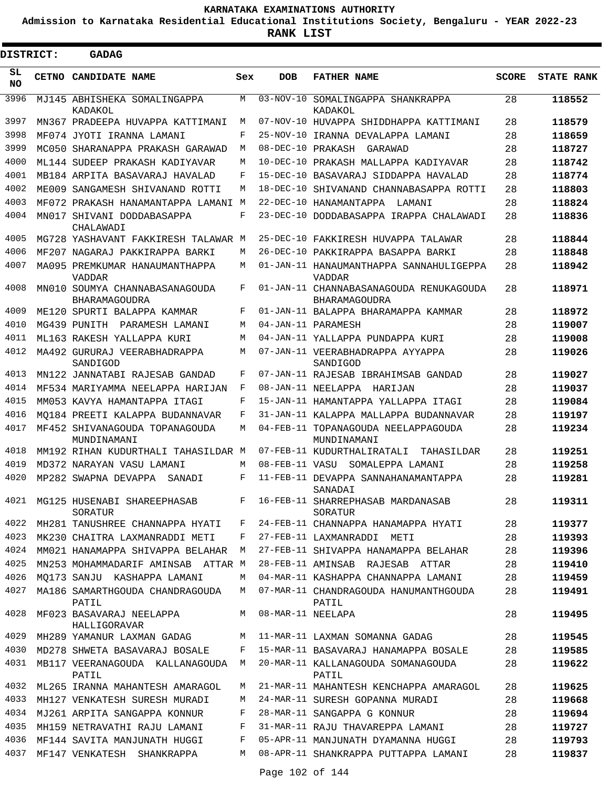**Admission to Karnataka Residential Educational Institutions Society, Bengaluru - YEAR 2022-23**

**RANK LIST**

| DISTRICT:       |       | <b>GADAG</b>                                                         |        |                   |                                                          |              |                   |
|-----------------|-------|----------------------------------------------------------------------|--------|-------------------|----------------------------------------------------------|--------------|-------------------|
| SL<br><b>NO</b> | CETNO | <b>CANDIDATE NAME</b>                                                | Sex    | <b>DOB</b>        | <b>FATHER NAME</b>                                       | <b>SCORE</b> | <b>STATE RANK</b> |
| 3996            |       | MJ145 ABHISHEKA SOMALINGAPPA<br>KADAKOL                              | М      | 03-NOV-10         | SOMALINGAPPA SHANKRAPPA<br>KADAKOL                       | 28           | 118552            |
| 3997            |       | MN367 PRADEEPA HUVAPPA KATTIMANI                                     | М      |                   | 07-NOV-10 HIIVAPPA SHIDDHAPPA KATTIMANI                  | 28           | 118579            |
| 3998            |       | MF074 JYOTI IRANNA LAMANI                                            | F      |                   | 25-NOV-10 IRANNA DEVALAPPA LAMANI                        | 28           | 118659            |
| 3999            |       | MC050 SHARANAPPA PRAKASH GARAWAD                                     | М      | 08-DEC-10 PRAKASH | GARAWAD                                                  | 28           | 118727            |
| 4000            |       | ML144 SUDEEP PRAKASH KADIYAVAR                                       | М      |                   | 10-DEC-10 PRAKASH MALLAPPA KADIYAVAR                     | 28           | 118742            |
| 4001            |       | MB184 ARPITA BASAVARAJ HAVALAD                                       | F      |                   | 15-DEC-10 BASAVARAJ SIDDAPPA HAVALAD                     | 28           | 118774            |
| 4002            |       | ME009 SANGAMESH SHIVANAND ROTTI                                      | М      |                   | 18-DEC-10 SHIVANAND CHANNABASAPPA ROTTI                  | 28           | 118803            |
| 4003            |       | MF072 PRAKASH HANAMANTAPPA LAMANI M                                  |        |                   | 22-DEC-10 HANAMANTAPPA<br>LAMANI                         | 28           | 118824            |
| 4004            |       | MN017 SHIVANI DODDABASAPPA<br>CHALAWADI                              | F      |                   | 23-DEC-10 DODDABASAPPA IRAPPA CHALAWADI                  | 28           | 118836            |
| 4005            |       | MG728 YASHAVANT FAKKIRESH TALAWAR M                                  |        |                   | 25-DEC-10 FAKKIRESH HUVAPPA TALAWAR                      | 28           | 118844            |
| 4006            |       | MF207 NAGARAJ PAKKIRAPPA BARKI                                       | М      |                   | 26-DEC-10 PAKKIRAPPA BASAPPA BARKI                       | 28           | 118848            |
| 4007            |       | MA095 PREMKUMAR HANAUMANTHAPPA<br><b>VADDAR</b>                      | М      |                   | 01-JAN-11 HANAUMANTHAPPA SANNAHULIGEPPA<br><b>VADDAR</b> | 28           | 118942            |
| 4008            |       | MN010 SOUMYA CHANNABASANAGOUDA<br>BHARAMAGOUDRA                      | F      |                   | 01-JAN-11 CHANNABASANAGOUDA RENUKAGOUDA<br>BHARAMAGOUDRA | 28           | 118971            |
| 4009            |       | ME120 SPURTI BALAPPA KAMMAR                                          | F      |                   | 01-JAN-11 BALAPPA BHARAMAPPA KAMMAR                      | 28           | 118972            |
| 4010            |       | MG439 PUNTTH<br>PARAMESH LAMANI                                      | М      |                   | 04-JAN-11 PARAMESH                                       | 28           | 119007            |
| 4011            |       | ML163 RAKESH YALLAPPA KURI                                           | М      |                   | 04-JAN-11 YALLAPPA PUNDAPPA KURI                         | 28           | 119008            |
| 4012            |       | MA492 GURURAJ VEERABHADRAPPA<br>SANDIGOD                             | М      |                   | 07-JAN-11 VEERABHADRAPPA AYYAPPA<br>SANDIGOD             | 28           | 119026            |
| 4013            |       | MN122 JANNATABI RAJESAB GANDAD                                       | F      |                   | 07-JAN-11 RAJESAB IBRAHIMSAB GANDAD                      | 28           | 119027            |
| 4014            |       | MF534 MARIYAMMA NEELAPPA HARIJAN                                     | F      |                   | 08-JAN-11 NEELAPPA<br>HARIJAN                            | 28           | 119037            |
| 4015            |       | MM053 KAVYA HAMANTAPPA ITAGI                                         | F      |                   | 15-JAN-11 HAMANTAPPA YALLAPPA ITAGI                      | 28           | 119084            |
| 4016            |       | MO184 PREETI KALAPPA BUDANNAVAR                                      | F      |                   | 31-JAN-11 KALAPPA MALLAPPA BUDANNAVAR                    | 28           | 119197            |
| 4017            |       | MF452 SHIVANAGOUDA TOPANAGOUDA<br>MUNDINAMANI                        | М      |                   | 04-FEB-11 TOPANAGOUDA NEELAPPAGOUDA<br>MUNDINAMANI       | 28           | 119234            |
| 4018            |       | MM192 RIHAN KUDURTHALI TAHASILDAR M                                  |        |                   | 07-FEB-11 KUDURTHALIRATALI<br>TAHASILDAR                 | 28           | 119251            |
| 4019            |       | MD372 NARAYAN VASU LAMANI                                            | М      | 08-FEB-11 VASU    | SOMALEPPA LAMANI                                         | 28           | 119258            |
| 4020            |       | MP282 SWAPNA DEVAPPA<br>SANADI                                       | F      |                   | 11-FEB-11 DEVAPPA SANNAHANAMANTAPPA<br>SANADAI           | 28           | 119281            |
| 4021            |       | MG125 HUSENABI SHAREEPHASAB<br>SORATUR                               | F      |                   | 16-FEB-11 SHARREPHASAB MARDANASAB<br>SORATUR             | 28           | 119311            |
| 4022            |       | MH281 TANUSHREE CHANNAPPA HYATI                                      | F      |                   | 24-FEB-11 CHANNAPPA HANAMAPPA HYATI                      | 28           | 119377            |
| 4023            |       | MK230 CHAITRA LAXMANRADDI METI                                       | F      |                   | 27-FEB-11 LAXMANRADDI METI                               | 28           | 119393            |
| 4024            |       | MM021 HANAMAPPA SHIVAPPA BELAHAR                                     | М      |                   | 27-FEB-11 SHIVAPPA HANAMAPPA BELAHAR                     | 28           | 119396            |
| 4025            |       | MN253 MOHAMMADARIF AMINSAB ATTAR M                                   |        |                   | 28-FEB-11 AMINSAB RAJESAB ATTAR                          | 28           | 119410            |
| 4026            |       | MO173 SANJU KASHAPPA LAMANI                                          | М      |                   | 04-MAR-11 KASHAPPA CHANNAPPA LAMANI                      | 28           | 119459            |
| 4027<br>4028    |       | MA186 SAMARTHGOUDA CHANDRAGOUDA<br>PATIL<br>MF023 BASAVARAJ NEELAPPA | M<br>М | 08-MAR-11 NEELAPA | 07-MAR-11 CHANDRAGOUDA HANUMANTHGOUDA<br>PATIL           | 28<br>28     | 119491            |
|                 |       | HALLIGORAVAR                                                         |        |                   |                                                          |              | 119495            |
| 4029            |       | MH289 YAMANUR LAXMAN GADAG                                           | М      |                   | 11-MAR-11 LAXMAN SOMANNA GADAG                           | 28           | 119545            |
| 4030            |       | MD278 SHWETA BASAVARAJ BOSALE                                        | F      |                   | 15-MAR-11 BASAVARAJ HANAMAPPA BOSALE                     | 28           | 119585            |
| 4031            |       | MB117 VEERANAGOUDA KALLANAGOUDA<br>PATIL                             | М      |                   | 20-MAR-11 KALLANAGOUDA SOMANAGOUDA<br>PATIL              | 28           | 119622            |
| 4032            |       | ML265 IRANNA MAHANTESH AMARAGOL                                      | M      |                   | 21-MAR-11 MAHANTESH KENCHAPPA AMARAGOL                   | 28           | 119625            |
| 4033            |       | MH127 VENKATESH SURESH MURADI                                        | М      |                   | 24-MAR-11 SURESH GOPANNA MURADI                          | 28           | 119668            |
| 4034            |       | MJ261 ARPITA SANGAPPA KONNUR                                         | F      |                   | 28-MAR-11 SANGAPPA G KONNUR                              | 28           | 119694            |
| 4035            |       | MH159 NETRAVATHI RAJU LAMANI                                         | F      |                   | 31-MAR-11 RAJU THAVAREPPA LAMANI                         | 28           | 119727            |
| 4036            |       | MF144 SAVITA MANJUNATH HUGGI                                         | F      |                   | 05-APR-11 MANJUNATH DYAMANNA HUGGI                       | 28           | 119793            |
| 4037            |       | MF147 VENKATESH SHANKRAPPA                                           | М      |                   | 08-APR-11 SHANKRAPPA PUTTAPPA LAMANI                     | 28           | 119837            |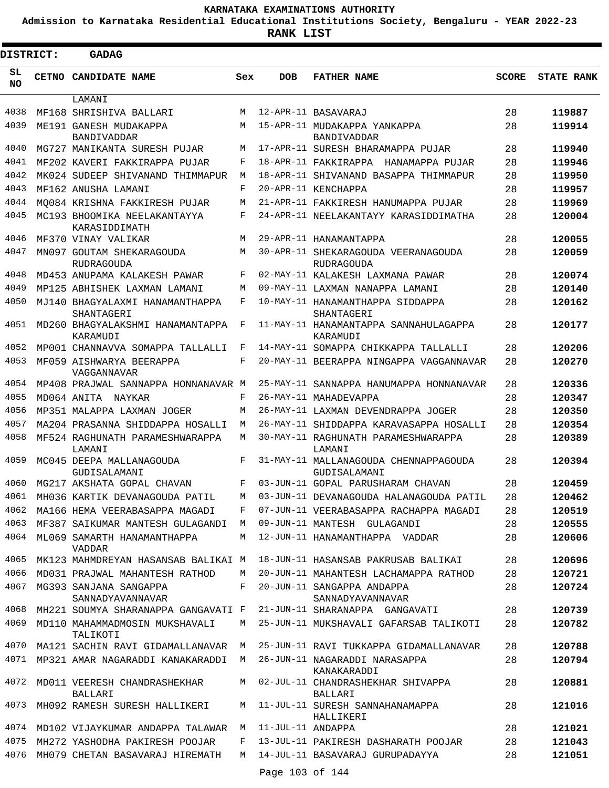**Admission to Karnataka Residential Educational Institutions Society, Bengaluru - YEAR 2022-23**

| DISTRICT: | <b>GADAG</b>                                   |             |                   |                                                          |              |                   |
|-----------|------------------------------------------------|-------------|-------------------|----------------------------------------------------------|--------------|-------------------|
| SL<br>NO. | CETNO CANDIDATE NAME                           | Sex         | <b>DOB</b>        | <b>FATHER NAME</b>                                       | <b>SCORE</b> | <b>STATE RANK</b> |
|           | LAMANI                                         |             |                   |                                                          |              |                   |
| 4038      | MF168 SHRISHIVA BALLARI                        | M           |                   | 12-APR-11 BASAVARAJ                                      | 28           | 119887            |
| 4039      | ME191 GANESH MUDAKAPPA<br><b>BANDIVADDAR</b>   | M           |                   | 15-APR-11 MUDAKAPPA YANKAPPA<br><b>BANDIVADDAR</b>       | 28           | 119914            |
| 4040      | MG727 MANIKANTA SURESH PUJAR                   | M           |                   | 17-APR-11 SURESH BHARAMAPPA PUJAR                        | 28           | 119940            |
| 4041      | MF202 KAVERI FAKKIRAPPA PUJAR                  | F           |                   | 18-APR-11 FAKKIRAPPA HANAMAPPA PUJAR                     | 28           | 119946            |
| 4042      | MK024 SUDEEP SHIVANAND THIMMAPUR               | М           |                   | 18-APR-11 SHIVANAND BASAPPA THIMMAPUR                    | 28           | 119950            |
| 4043      | MF162 ANUSHA LAMANI                            | $\mathbf F$ |                   | 20-APR-11 KENCHAPPA                                      | 28           | 119957            |
| 4044      | MO084 KRISHNA FAKKIRESH PUJAR                  | M           |                   | 21-APR-11 FAKKIRESH HANUMAPPA PUJAR                      | 28           | 119969            |
| 4045      | MC193 BHOOMIKA NEELAKANTAYYA<br>KARASIDDIMATH  | F           |                   | 24-APR-11 NEELAKANTAYY KARASIDDIMATHA                    | 28           | 120004            |
| 4046      | MF370 VINAY VALIKAR                            | М           |                   | 29-APR-11 HANAMANTAPPA                                   | 28           | 120055            |
| 4047      | MN097 GOUTAM SHEKARAGOUDA<br><b>RUDRAGOUDA</b> | М           |                   | 30-APR-11 SHEKARAGOUDA VEERANAGOUDA<br><b>RUDRAGOUDA</b> | 28           | 120059            |
| 4048      | MD453 ANUPAMA KALAKESH PAWAR                   | F           |                   | 02-MAY-11 KALAKESH LAXMANA PAWAR                         | 28           | 120074            |
| 4049      | MP125 ABHISHEK LAXMAN LAMANI                   | M           |                   | 09-MAY-11 LAXMAN NANAPPA LAMANI                          | 28           | 120140            |
| 4050      | MJ140 BHAGYALAXMI HANAMANTHAPPA<br>SHANTAGERI  | F           |                   | 10-MAY-11 HANAMANTHAPPA SIDDAPPA<br>SHANTAGERI           | 28           | 120162            |
| 4051      | MD260 BHAGYALAKSHMI HANAMANTAPPA<br>KARAMUDI   | F           |                   | 11-MAY-11 HANAMANTAPPA SANNAHULAGAPPA<br>KARAMUDI        | 28           | 120177            |
| 4052      | MP001 CHANNAVVA SOMAPPA TALLALLI               | F           |                   | 14-MAY-11 SOMAPPA CHIKKAPPA TALLALLI                     | 28           | 120206            |
| 4053      | MF059 AISHWARYA BEERAPPA<br>VAGGANNAVAR        | F           |                   | 20-MAY-11 BEERAPPA NINGAPPA VAGGANNAVAR                  | 28           | 120270            |
| 4054      | MP408 PRAJWAL SANNAPPA HONNANAVAR M            |             |                   | 25-MAY-11 SANNAPPA HANUMAPPA HONNANAVAR                  | 28           | 120336            |
| 4055      | MD064 ANITA NAYKAR                             | F           |                   | 26-MAY-11 MAHADEVAPPA                                    | 28           | 120347            |
| 4056      | MP351 MALAPPA LAXMAN JOGER                     | M           |                   | 26-MAY-11 LAXMAN DEVENDRAPPA JOGER                       | 28           | 120350            |
| 4057      | MA204 PRASANNA SHIDDAPPA HOSALLI               | М           |                   | 26-MAY-11 SHIDDAPPA KARAVASAPPA HOSALLI                  | 28           | 120354            |
| 4058      | MF524 RAGHUNATH PARAMESHWARAPPA<br>LAMANI      | М           |                   | 30-MAY-11 RAGHUNATH PARAMESHWARAPPA<br>LAMANI            | 28           | 120389            |
| 4059      | MC045 DEEPA MALLANAGOUDA<br>GUDISALAMANI       | F           |                   | 31-MAY-11 MALLANAGOUDA CHENNAPPAGOUDA<br>GUDISALAMANI    | 28           | 120394            |
| 4060      | MG217 AKSHATA GOPAL CHAVAN                     | F           |                   | 03-JUN-11 GOPAL PARUSHARAM CHAVAN                        | 28           | 120459            |
| 4061      | MH036 KARTIK DEVANAGOUDA PATIL                 | M           |                   | 03-JUN-11 DEVANAGOUDA HALANAGOUDA PATIL                  | 28           | 120462            |
|           | 4062 MA166 HEMA VEERABASAPPA MAGADI            | F           |                   | 07-JUN-11 VEERABASAPPA RACHAPPA MAGADI                   | 28           | 120519            |
| 4063      | MF387 SAIKUMAR MANTESH GULAGANDI               | M           |                   | 09-JUN-11 MANTESH GULAGANDI                              | 28           | 120555            |
| 4064      | ML069 SAMARTH HANAMANTHAPPA<br><b>VADDAR</b>   | М           |                   | 12-JUN-11 HANAMANTHAPPA VADDAR                           | 28           | 120606            |
| 4065      | MK123 MAHMDREYAN HASANSAB BALIKAI M            |             |                   | 18-JUN-11 HASANSAB PAKRUSAB BALIKAI                      | 28           | 120696            |
| 4066      | MD031 PRAJWAL MAHANTESH RATHOD                 | М           |                   | 20-JUN-11 MAHANTESH LACHAMAPPA RATHOD                    | 28           | 120721            |
| 4067      | MG393 SANJANA SANGAPPA<br>SANNADYAVANNAVAR     | F           |                   | 20-JUN-11 SANGAPPA ANDAPPA<br>SANNADYAVANNAVAR           | 28           | 120724            |
| 4068      | MH221 SOUMYA SHARANAPPA GANGAVATI F            |             |                   | 21-JUN-11 SHARANAPPA GANGAVATI                           | 28           | 120739            |
| 4069      | MD110 MAHAMMADMOSIN MUKSHAVALI<br>TALIKOTI     | М           |                   | 25-JUN-11 MUKSHAVALI GAFARSAB TALIKOTI                   | 28           | 120782            |
| 4070      | MA121 SACHIN RAVI GIDAMALLANAVAR               | M           |                   | 25-JUN-11 RAVI TUKKAPPA GIDAMALLANAVAR                   | 28           | 120788            |
| 4071      | MP321 AMAR NAGARADDI KANAKARADDI               | М           |                   | 26-JUN-11 NAGARADDI NARASAPPA<br>KANAKARADDI             | 28           | 120794            |
| 4072      | MD011 VEERESH CHANDRASHEKHAR<br>BALLARI        | М           |                   | 02-JUL-11 CHANDRASHEKHAR SHIVAPPA<br>BALLARI             | 28           | 120881            |
| 4073      | MH092 RAMESH SURESH HALLIKERI                  | М           |                   | 11-JUL-11 SURESH SANNAHANAMAPPA<br>HALLIKERI             | 28           | 121016            |
| 4074      | MD102 VIJAYKUMAR ANDAPPA TALAWAR               | М           | 11-JUL-11 ANDAPPA |                                                          | 28           | 121021            |
| 4075      | MH272 YASHODHA PAKIRESH POOJAR                 | F           |                   | 13-JUL-11 PAKIRESH DASHARATH POOJAR                      | 28           | 121043            |
| 4076      | MH079 CHETAN BASAVARAJ HIREMATH                | М           | Page 103 of 144   | 14-JUL-11 BASAVARAJ GURUPADAYYA                          | 28           | 121051            |
|           |                                                |             |                   |                                                          |              |                   |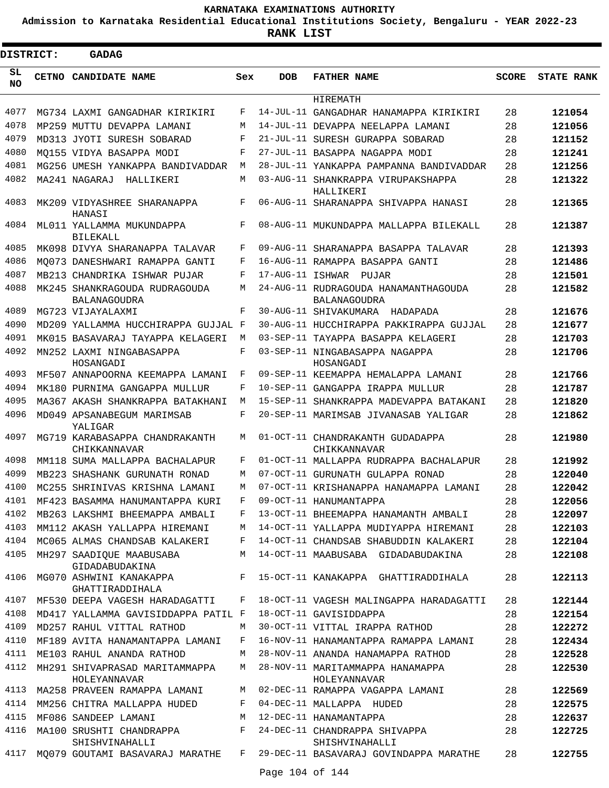**Admission to Karnataka Residential Educational Institutions Society, Bengaluru - YEAR 2022-23**

**RANK LIST**

Е

| <b>DISTRICT:</b> |       | <b>GADAG</b>                                                                                 |       |                  |                                                             |              |                   |
|------------------|-------|----------------------------------------------------------------------------------------------|-------|------------------|-------------------------------------------------------------|--------------|-------------------|
| SL<br><b>NO</b>  | CETNO | <b>CANDIDATE NAME</b>                                                                        | Sex   | <b>DOB</b>       | <b>FATHER NAME</b>                                          | <b>SCORE</b> | <b>STATE RANK</b> |
|                  |       |                                                                                              |       |                  | HIREMATH                                                    |              |                   |
| 4077             |       | MG734 LAXMI GANGADHAR KIRIKIRI                                                               | F     |                  | 14-JUL-11 GANGADHAR HANAMAPPA KIRIKIRI                      | 28           | 121054            |
| 4078             |       | MP259 MUTTU DEVAPPA LAMANI                                                                   | М     |                  | 14-JUL-11 DEVAPPA NEELAPPA LAMANI                           | 28           | 121056            |
| 4079             |       | MD313 JYOTI SURESH SOBARAD                                                                   | F     |                  | 21-JUL-11 SURESH GURAPPA SOBARAD                            | 28           | 121152            |
| 4080             |       | MO155 VIDYA BASAPPA MODI                                                                     | F     |                  | 27-JUL-11 BASAPPA NAGAPPA MODI                              | 28           | 121241            |
| 4081             |       | MG256 UMESH YANKAPPA BANDIVADDAR                                                             | M     |                  | 28-JUL-11 YANKAPPA PAMPANNA BANDIVADDAR                     | 28           | 121256            |
| 4082             |       | MA241 NAGARAJ<br>HALLIKERI                                                                   | М     |                  | 03-AUG-11 SHANKRAPPA VIRUPAKSHAPPA<br>HALLIKERI             | 28           | 121322            |
| 4083             |       | MK209 VIDYASHREE SHARANAPPA<br>HANASI                                                        | F     |                  | 06-AUG-11 SHARANAPPA SHIVAPPA HANASI                        | 28           | 121365            |
| 4084             |       | ML011 YALLAMMA MUKUNDAPPA<br>BILEKALL                                                        | F     |                  | 08-AUG-11 MUKUNDAPPA MALLAPPA BILEKALL                      | 28           | 121387            |
| 4085             |       | MK098 DIVYA SHARANAPPA TALAVAR                                                               | F     |                  | 09-AUG-11 SHARANAPPA BASAPPA TALAVAR                        | 28           | 121393            |
| 4086             |       | MO073 DANESHWARI RAMAPPA GANTI                                                               | F     |                  | 16-AUG-11 RAMAPPA BASAPPA GANTI                             | 28           | 121486            |
| 4087             |       | MB213 CHANDRIKA ISHWAR PUJAR                                                                 | F     | 17-AUG-11 ISHWAR | PUJAR                                                       | 28           | 121501            |
| 4088             |       | MK245 SHANKRAGOUDA RUDRAGOUDA<br><b>BALANAGOUDRA</b>                                         | М     |                  | 24-AUG-11 RUDRAGOUDA HANAMANTHAGOUDA<br><b>BALANAGOUDRA</b> | 28           | 121582            |
| 4089             |       | MG723 VIJAYALAXMI                                                                            | F     |                  | 30-AUG-11 SHIVAKUMARA<br>HADAPADA                           | 28           | 121676            |
| 4090             |       | MD209 YALLAMMA HUCCHIRAPPA GUJJAL F                                                          |       |                  | 30-AUG-11 HUCCHIRAPPA PAKKIRAPPA GUJJAL                     | 28           | 121677            |
| 4091             |       | MK015 BASAVARAJ TAYAPPA KELAGERI                                                             | M     |                  | 03-SEP-11 TAYAPPA BASAPPA KELAGERI                          | 28           | 121703            |
| 4092             |       | MN252 LAXMI NINGABASAPPA<br>HOSANGADI                                                        | F     |                  | 03-SEP-11 NINGABASAPPA NAGAPPA<br>HOSANGADI                 | 28           | 121706            |
| 4093             |       | MF507 ANNAPOORNA KEEMAPPA LAMANI                                                             | F     |                  | 09-SEP-11 KEEMAPPA HEMALAPPA LAMANI                         | 28           | 121766            |
| 4094             |       | MK180 PURNIMA GANGAPPA MULLUR                                                                | F     |                  | 10-SEP-11 GANGAPPA IRAPPA MULLUR                            | 28           | 121787            |
| 4095             |       | MA367 AKASH SHANKRAPPA BATAKHANI                                                             | M     |                  | 15-SEP-11 SHANKRAPPA MADEVAPPA BATAKANI                     | 28           | 121820            |
| 4096             |       | MD049 APSANABEGUM MARIMSAB<br>YALIGAR                                                        | F     |                  | 20-SEP-11 MARIMSAB JIVANASAB YALIGAR                        | 28           | 121862            |
| 4097             |       | MG719 KARABASAPPA CHANDRAKANTH<br>CHIKKANNAVAR                                               | М     |                  | 01-OCT-11 CHANDRAKANTH GUDADAPPA<br>CHIKKANNAVAR            | 28           | 121980            |
| 4098             |       | MM118 SUMA MALLAPPA BACHALAPUR                                                               | F     |                  | 01-OCT-11 MALLAPPA RUDRAPPA BACHALAPUR                      | 28           | 121992            |
| 4099             |       | MB223 SHASHANK GURUNATH RONAD                                                                | М     |                  | 07-OCT-11 GURUNATH GULAPPA RONAD                            | 28           | 122040            |
| 4100             |       | MC255 SHRINIVAS KRISHNA LAMANI                                                               | M     |                  | 07-OCT-11 KRISHANAPPA HANAMAPPA LAMANI                      | 28           | 122042            |
| 4101             |       | MF423 BASAMMA HANUMANTAPPA KURI                                                              | F     |                  | 09-OCT-11 HANUMANTAPPA                                      | 28           | 122056            |
| 4102             |       | MB263 LAKSHMI BHEEMAPPA AMBALI                                                               | F     |                  | 13-OCT-11 BHEEMAPPA HANAMANTH AMBALI                        | 28           | 122097            |
| 4103             |       | MM112 AKASH YALLAPPA HIREMANI                                                                | М     |                  | 14-OCT-11 YALLAPPA MUDIYAPPA HIREMANI                       | 28           | 122103            |
| 4104             |       | MC065 ALMAS CHANDSAB KALAKERI                                                                | F     |                  | 14-OCT-11 CHANDSAB SHABUDDIN KALAKERI                       | 28           | 122104            |
| 4105             |       | MH297 SAADIQUE MAABUSABA<br>GIDADABUDAKINA                                                   | М     |                  | 14-OCT-11 MAABUSABA GIDADABUDAKINA                          | 28           | 122108            |
| 4106             |       | MG070 ASHWINI KANAKAPPA<br>$\mathbf{F}$ and $\mathbf{F}$ and $\mathbf{F}$<br>GHATTIRADDIHALA |       |                  | 15-OCT-11 KANAKAPPA GHATTIRADDIHALA                         | 28           | 122113            |
| 4107             |       | MF530 DEEPA VAGESH HARADAGATTI F                                                             |       |                  | 18-OCT-11 VAGESH MALINGAPPA HARADAGATTI                     | 28           | 122144            |
| 4108             |       | MD417 YALLAMMA GAVISIDDAPPA PATIL F                                                          |       |                  | 18-OCT-11 GAVISIDDAPPA                                      | 28           | 122154            |
| 4109             |       | MD257 RAHUL VITTAL RATHOD                                                                    | M     |                  | 30-OCT-11 VITTAL IRAPPA RATHOD                              | 28           | 122272            |
| 4110             |       | MF189 AVITA HANAMANTAPPA LAMANI                                                              | F     |                  | 16-NOV-11 HANAMANTAPPA RAMAPPA LAMANI                       | 28           | 122434            |
| 4111             |       | ME103 RAHUL ANANDA RATHOD                                                                    | M     |                  | 28-NOV-11 ANANDA HANAMAPPA RATHOD                           | 28           | 122528            |
| 4112             |       | MH291 SHIVAPRASAD MARITAMMAPPA<br>HOLEYANNAVAR                                               | M     |                  | 28-NOV-11 MARITAMMAPPA HANAMAPPA<br>HOLEYANNAVAR            | 28           | 122530            |
| 4113             |       | MA258 PRAVEEN RAMAPPA LAMANI                                                                 | М     |                  | 02-DEC-11 RAMAPPA VAGAPPA LAMANI                            | 28           | 122569            |
| 4114             |       | MM256 CHITRA MALLAPPA HUDED                                                                  | F     |                  | 04-DEC-11 MALLAPPA HUDED                                    | 28           | 122575            |
| 4115             |       | MF086 SANDEEP LAMANI                                                                         | М     |                  | 12-DEC-11 HANAMANTAPPA                                      | 28           | 122637            |
| 4116             |       | MA100 SRUSHTI CHANDRAPPA<br>SHISHVINAHALLI                                                   | $F$ – |                  | 24-DEC-11 CHANDRAPPA SHIVAPPA<br>SHISHVINAHALLI             | 28           | 122725            |
| 4117             |       | MQ079 GOUTAMI BASAVARAJ MARATHE                                                              | F     |                  | 29-DEC-11 BASAVARAJ GOVINDAPPA MARATHE                      | 28           | 122755            |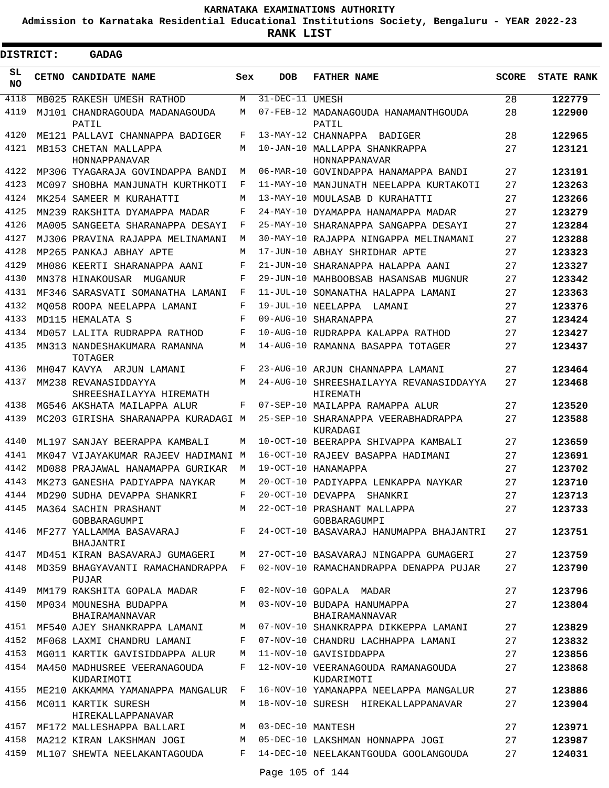**Admission to Karnataka Residential Educational Institutions Society, Bengaluru - YEAR 2022-23**

 $\blacksquare$ 

| <b>DISTRICT:</b> | <b>GADAG</b>                                    |     |                   |                                                                      |              |                   |
|------------------|-------------------------------------------------|-----|-------------------|----------------------------------------------------------------------|--------------|-------------------|
| SL<br>NO.        | CETNO CANDIDATE NAME                            | Sex | <b>DOB</b>        | <b>FATHER NAME</b>                                                   | <b>SCORE</b> | <b>STATE RANK</b> |
| 4118             | MB025 RAKESH UMESH RATHOD                       | М   | 31-DEC-11 UMESH   |                                                                      | 28           | 122779            |
| 4119             | MJ101 CHANDRAGOUDA MADANAGOUDA<br>PATIL         | М   |                   | 07-FEB-12 MADANAGOUDA HANAMANTHGOUDA<br>PATIL                        | 28           | 122900            |
| 4120             | ME121 PALLAVI CHANNAPPA BADIGER                 | F   |                   | 13-MAY-12 CHANNAPPA BADIGER                                          | 28           | 122965            |
| 4121             | MB153 CHETAN MALLAPPA<br>HONNAPPANAVAR          | M   |                   | 10-JAN-10 MALLAPPA SHANKRAPPA<br>HONNAPPANAVAR                       | 27           | 123121            |
| 4122             | MP306 TYAGARAJA GOVINDAPPA BANDI                | М   |                   | 06-MAR-10 GOVINDAPPA HANAMAPPA BANDI                                 | 27           | 123191            |
| 4123             | MC097 SHOBHA MANJUNATH KURTHKOTI                | F   |                   | 11-MAY-10 MANJUNATH NEELAPPA KURTAKOTI                               | 27           | 123263            |
| 4124             | MK254 SAMEER M KURAHATTI                        | М   |                   | 13-MAY-10 MOULASAB D KURAHATTI                                       | 27           | 123266            |
| 4125             | MN239 RAKSHITA DYAMAPPA MADAR                   | F   |                   | 24-MAY-10 DYAMAPPA HANAMAPPA MADAR                                   | 27           | 123279            |
| 4126             | MA005 SANGEETA SHARANAPPA DESAYI                | F   |                   | 25-MAY-10 SHARANAPPA SANGAPPA DESAYI                                 | 27           | 123284            |
| 4127             | MJ306 PRAVINA RAJAPPA MELINAMANI                | М   |                   | 30-MAY-10 RAJAPPA NINGAPPA MELINAMANI                                | 27           | 123288            |
| 4128             | MP265 PANKAJ ABHAY APTE                         | М   |                   | 17-JUN-10 ABHAY SHRIDHAR APTE                                        | 27           | 123323            |
| 4129             | MH086 KEERTI SHARANAPPA AANI                    | F   |                   | 21-JUN-10 SHARANAPPA HALAPPA AANI                                    | 27           | 123327            |
| 4130             | MN378 HINAKOUSAR MUGANUR                        | F   |                   | 29-JUN-10 MAHBOOBSAB HASANSAB MUGNUR                                 | 27           | 123342            |
| 4131             | MF346 SARASVATI SOMANATHA LAMANI                | F   |                   | 11-JUL-10 SOMANATHA HALAPPA LAMANI                                   | 27           | 123363            |
| 4132             | MO058 ROOPA NEELAPPA LAMANI                     | F   |                   | 19-JUL-10 NEELAPPA LAMANI                                            | 27           | 123376            |
| 4133             | MD115 HEMALATA S                                | F   |                   | 09-AUG-10 SHARANAPPA                                                 | 27           | 123424            |
| 4134             | MD057 LALITA RUDRAPPA RATHOD                    | F   |                   | 10-AUG-10 RIIDRAPPA KALAPPA RATHOD                                   | 27           | 123427            |
| 4135             | MN313 NANDESHAKUMARA RAMANNA<br>TOTAGER         | М   |                   | 14-AUG-10 RAMANNA BASAPPA TOTAGER                                    | 27           | 123437            |
| 4136             | MH047 KAVYA ARJUN LAMANI                        | F   |                   | 23-AUG-10 ARJUN CHANNAPPA LAMANI                                     | 27           | 123464            |
| 4137             | MM238 REVANASIDDAYYA<br>SHREESHAILAYYA HIREMATH | М   |                   | 24-AUG-10 SHREESHAILAYYA REVANASIDDAYYA<br>HIREMATH                  | 27           | 123468            |
| 4138             | MG546 AKSHATA MAILAPPA ALUR                     | F   |                   | 07-SEP-10 MAILAPPA RAMAPPA ALUR                                      | 27           | 123520            |
| 4139             | MC203 GIRISHA SHARANAPPA KURADAGI M             |     |                   | 25-SEP-10 SHARANAPPA VEERABHADRAPPA<br>KURADAGI                      | 27           | 123588            |
| 4140             | MIJ97 SANJAY BEERAPPA KAMBALI                   | М   |                   | 10-OCT-10 BEERAPPA SHIVAPPA KAMBALI                                  | 27           | 123659            |
| 4141             | MK047 VIJAYAKUMAR RAJEEV HADIMANI M             |     |                   | 16-OCT-10 RAJEEV BASAPPA HADIMANI                                    | 27           | 123691            |
| 4142             | MD088 PRAJAWAL HANAMAPPA GURIKAR                | M   |                   | 19-OCT-10 HANAMAPPA                                                  | 27           | 123702            |
| 4143             | MK273 GANESHA PADIYAPPA NAYKAR                  | М   |                   | 20-OCT-10 PADIYAPPA LENKAPPA NAYKAR                                  | 27           | 123710            |
| 4144             | MD290 SUDHA DEVAPPA SHANKRI                     | F   |                   | 20-OCT-10 DEVAPPA SHANKRI                                            | 27           | 123713            |
|                  | 4145 MA364 SACHIN PRASHANT<br>GOBBARAGUMPI      |     |                   | M 22-OCT-10 PRASHANT MALLAPPA<br>GOBBARAGUMPI                        | 27           | 123733            |
| 4146             | BHAJANTRI                                       |     |                   | MF277 YALLAMMA BASAVARAJ $F$ 24-OCT-10 BASAVARAJ HANUMAPPA BHAJANTRI | 27           | 123751            |
| 4147             | MD451 KIRAN BASAVARAJ GUMAGERI                  | M   |                   | 27-OCT-10 BASAVARAJ NINGAPPA GUMAGERI                                | 27           | 123759            |
| 4148             | MD359 BHAGYAVANTI RAMACHANDRAPPA F<br>PUJAR     |     |                   | 02-NOV-10 RAMACHANDRAPPA DENAPPA PUJAR                               | 27           | 123790            |
| 4149             | MM179 RAKSHITA GOPALA MADAR                     | F   |                   | 02-NOV-10 GOPALA MADAR                                               | 27           | 123796            |
| 4150             | MP034 MOUNESHA BUDAPPA<br>BHAIRAMANNAVAR        | М   |                   | 03-NOV-10 BUDAPA HANUMAPPA<br>BHAIRAMANNAVAR                         | 27           | 123804            |
| 4151             | MF540 AJEY SHANKRAPPA LAMANI                    | M   |                   | 07-NOV-10 SHANKRAPPA DIKKEPPA LAMANI                                 | 27           | 123829            |
| 4152             | MF068 LAXMI CHANDRU LAMANI                      | F   |                   | 07-NOV-10 CHANDRU LACHHAPPA LAMANI                                   | 27           | 123832            |
| 4153             | MG011 KARTIK GAVISIDDAPPA ALUR                  | М   |                   | 11-NOV-10 GAVISIDDAPPA                                               | 27           | 123856            |
| 4154             | MA450 MADHUSREE VEERANAGOUDA<br>KUDARIMOTI      | F   |                   | 12-NOV-10 VEERANAGOUDA RAMANAGOUDA<br>KUDARIMOTI                     | 27           | 123868            |
| 4155             | ME210 AKKAMMA YAMANAPPA MANGALUR F              |     |                   | 16-NOV-10 YAMANAPPA NEELAPPA MANGALUR                                | 27           | 123886            |
| 4156             | MC011 KARTIK SURESH<br>HIREKALLAPPANAVAR        | M   |                   | 18-NOV-10 SURESH HIREKALLAPPANAVAR                                   | 27           | 123904            |
| 4157             | MF172 MALLESHAPPA BALLARI                       | M   | 03-DEC-10 MANTESH |                                                                      | 27           | 123971            |
| 4158             | MA212 KIRAN LAKSHMAN JOGI                       | M   |                   | 05-DEC-10 LAKSHMAN HONNAPPA JOGI                                     | 27           | 123987            |
| 4159             | ML107 SHEWTA NEELAKANTAGOUDA                    | F   |                   | 14-DEC-10 NEELAKANTGOUDA GOOLANGOUDA                                 | 27           | 124031            |
|                  |                                                 |     | Page 105 of 144   |                                                                      |              |                   |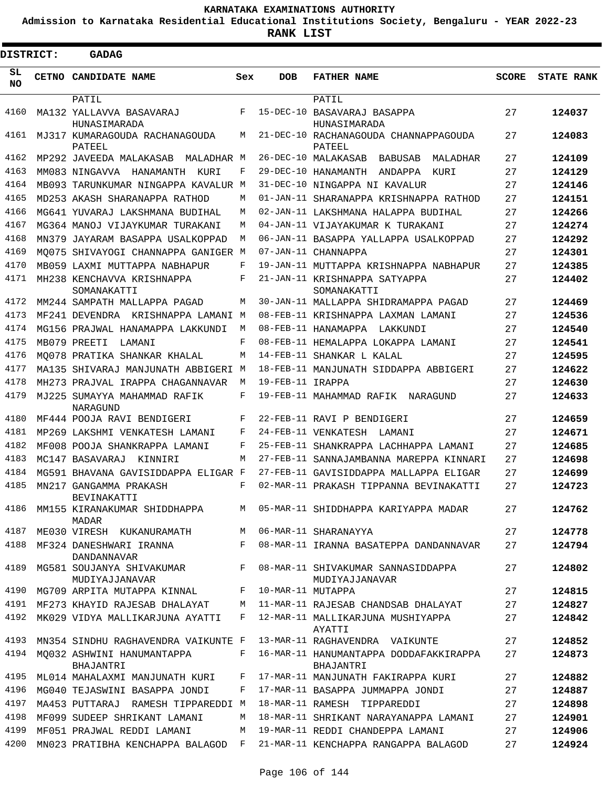**Admission to Karnataka Residential Educational Institutions Society, Bengaluru - YEAR 2022-23**

| <b>DISTRICT:</b> |  | GADAG                                       |       |                   |                                                      |              |                   |
|------------------|--|---------------------------------------------|-------|-------------------|------------------------------------------------------|--------------|-------------------|
| SL<br><b>NO</b>  |  | CETNO CANDIDATE NAME                        | Sex   | <b>DOB</b>        | <b>FATHER NAME</b>                                   | <b>SCORE</b> | <b>STATE RANK</b> |
|                  |  | PATIL                                       |       |                   | PATIL                                                |              |                   |
| 4160             |  | MA132 YALLAVVA BASAVARAJ<br>HUNASIMARADA    | F     |                   | 15-DEC-10 BASAVARAJ BASAPPA<br>HUNASIMARADA          | 27           | 124037            |
| 4161             |  | MJ317 KUMARAGOUDA RACHANAGOUDA<br>PATEEL    | М     |                   | 21-DEC-10 RACHANAGOUDA CHANNAPPAGOUDA<br>PATEEL      | 27           | 124083            |
| 4162             |  | MP292 JAVEEDA MALAKASAB<br>MALADHAR M       |       |                   | 26-DEC-10 MALAKASAB<br>BABUSAB<br>MALADHAR           | 27           | 124109            |
| 4163             |  | MM083 NINGAVVA HANAMANTH<br>KURI            | F     |                   | 29-DEC-10 HANAMANTH<br>ANDAPPA<br>KURI               | 27           | 124129            |
| 4164             |  | MB093 TARUNKUMAR NINGAPPA KAVALUR M         |       |                   | 31-DEC-10 NINGAPPA NI KAVALUR                        | 27           | 124146            |
| 4165             |  | MD253 AKASH SHARANAPPA RATHOD               | M     |                   | 01-JAN-11 SHARANAPPA KRISHNAPPA RATHOD               | 27           | 124151            |
| 4166             |  | MG641 YUVARAJ LAKSHMANA BUDIHAL             | M     |                   | 02-JAN-11 LAKSHMANA HALAPPA BUDIHAL                  | 27           | 124266            |
| 4167             |  | MG364 MANOJ VIJAYKUMAR TURAKANI             | M     |                   | 04-JAN-11 VIJAYAKUMAR K TURAKANI                     | 27           | 124274            |
| 4168             |  | MN379 JAYARAM BASAPPA USALKOPPAD            | M     |                   | 06-JAN-11 BASAPPA YALLAPPA USALKOPPAD                | 27           | 124292            |
| 4169             |  | MO075 SHIVAYOGI CHANNAPPA GANIGER M         |       |                   | 07-JAN-11 CHANNAPPA                                  | 27           | 124301            |
| 4170             |  | MB059 LAXMI MUTTAPPA NABHAPUR               | F     |                   | 19-JAN-11 MUTTAPPA KRISHNAPPA NABHAPUR               | 27           | 124385            |
| 4171             |  | MH238 KENCHAVVA KRISHNAPPA<br>SOMANAKATTI   | F     |                   | 21-JAN-11 KRISHNAPPA SATYAPPA<br>SOMANAKATTI         | 27           | 124402            |
| 4172             |  | MM244 SAMPATH MALLAPPA PAGAD                | М     |                   | 30-JAN-11 MALLAPPA SHIDRAMAPPA PAGAD                 | 27           | 124469            |
| 4173             |  | MF241 DEVENDRA KRISHNAPPA LAMANI            | M     |                   | 08-FEB-11 KRISHNAPPA LAXMAN LAMANI                   | 27           | 124536            |
| 4174             |  | MG156 PRAJWAL HANAMAPPA LAKKUNDI            | M     |                   | 08-FEB-11 HANAMAPPA<br>LAKKUNDI                      | 27           | 124540            |
| 4175             |  | MB079 PREETI<br>LAMANI                      | F     |                   | 08-FEB-11 HEMALAPPA LOKAPPA LAMANI                   | 27           | 124541            |
| 4176             |  | MO078 PRATIKA SHANKAR KHALAL                | M     |                   | 14-FEB-11 SHANKAR L KALAL                            | 27           | 124595            |
| 4177             |  | MA135 SHIVARAJ MANJUNATH ABBIGERI           | M     |                   | 18-FEB-11 MANJUNATH SIDDAPPA ABBIGERI                | 27           | 124622            |
| 4178             |  | MH273 PRAJVAL IRAPPA CHAGANNAVAR            | M     | 19-FEB-11 IRAPPA  |                                                      | 27           | 124630            |
| 4179             |  | MJ225 SUMAYYA MAHAMMAD RAFIK<br>NARAGUND    | F     |                   | 19-FEB-11 MAHAMMAD RAFIK NARAGUND                    | 27           | 124633            |
| 4180             |  | MF444 POOJA RAVI BENDIGERI                  | F     |                   | 22-FEB-11 RAVI P BENDIGERI                           | 27           | 124659            |
| 4181             |  | MP269 LAKSHMI VENKATESH LAMANI              | F     |                   | 24-FEB-11 VENKATESH<br>LAMANI                        | 27           | 124671            |
| 4182             |  | MF008 POOJA SHANKRAPPA LAMANI               | F     |                   | 25-FEB-11 SHANKRAPPA LACHHAPPA LAMANI                | 27           | 124685            |
| 4183             |  | MC147 BASAVARAJ<br>KINNIRI                  | M     |                   | 27-FEB-11 SANNAJAMBANNA MAREPPA KINNARI              | 27           | 124698            |
| 4184             |  | MG591 BHAVANA GAVISIDDAPPA ELIGAR F         |       |                   | 27-FEB-11 GAVISIDDAPPA MALLAPPA ELIGAR               | 27           | 124699            |
| 4185             |  | MN217 GANGAMMA PRAKASH<br>BEVINAKATTI       | F     |                   | 02-MAR-11 PRAKASH TIPPANNA BEVINAKATTI               | 27           | 124723            |
| 4186             |  | MM155 KIRANAKUMAR SHIDDHAPPA<br>MADAR       |       |                   | M 05-MAR-11 SHIDDHAPPA KARIYAPPA MADAR               | 27           | 124762            |
| 4187             |  | ME030 VIRESH KUKANURAMATH                   |       |                   | M 06-MAR-11 SHARANAYYA                               | 27           | 124778            |
| 4188             |  | MF324 DANESHWARI IRANNA<br>DANDANNAVAR      | $F -$ |                   | 08-MAR-11 IRANNA BASATEPPA DANDANNAVAR               | 27           | 124794            |
| 4189             |  | MG581 SOUJANYA SHIVAKUMAR<br>MUDIYAJJANAVAR | F     |                   | 08-MAR-11 SHIVAKUMAR SANNASIDDAPPA<br>MUDIYAJJANAVAR | 27           | 124802            |
| 4190             |  | MG709 ARPITA MUTAPPA KINNAL                 | $F -$ | 10-MAR-11 MUTAPPA |                                                      | 27           | 124815            |
|                  |  | 4191 MF273 KHAYID RAJESAB DHALAYAT          | M     |                   | 11-MAR-11 RAJESAB CHANDSAB DHALAYAT                  | 27           | 124827            |
| 4192             |  | MK029 VIDYA MALLIKARJUNA AYATTI             | F     |                   | 12-MAR-11 MALLIKARJUNA MUSHIYAPPA<br>AYATTI          | 27           | 124842            |
| 4193             |  | MN354 SINDHU RAGHAVENDRA VAIKUNTE F         |       |                   | 13-MAR-11 RAGHAVENDRA VAIKUNTE                       | 27           | 124852            |
| 4194             |  | MQ032 ASHWINI HANUMANTAPPA<br>BHAJANTRI     | F     |                   | 16-MAR-11 HANUMANTAPPA DODDAFAKKIRAPPA<br>BHAJANTRI  | 27           | 124873            |
| 4195             |  | ML014 MAHALAXMI MANJUNATH KURI              | F     |                   | 17-MAR-11 MANJUNATH FAKIRAPPA KURI                   | 27           | 124882            |
| 4196             |  | MG040 TEJASWINI BASAPPA JONDI               | F     |                   | 17-MAR-11 BASAPPA JUMMAPPA JONDI                     | 27           | 124887            |
| 4197             |  | MA453 PUTTARAJ RAMESH TIPPAREDDI M          |       |                   | 18-MAR-11 RAMESH TIPPAREDDI                          | 27           | 124898            |
| 4198             |  | MF099 SUDEEP SHRIKANT LAMANI                | М     |                   | 18-MAR-11 SHRIKANT NARAYANAPPA LAMANI                | 27           | 124901            |
| 4199             |  | MF051 PRAJWAL REDDI LAMANI                  | M     |                   | 19-MAR-11 REDDI CHANDEPPA LAMANI                     | 27           | 124906            |
| 4200             |  | MN023 PRATIBHA KENCHAPPA BALAGOD F          |       |                   | 21-MAR-11 KENCHAPPA RANGAPPA BALAGOD                 | 27           | 124924            |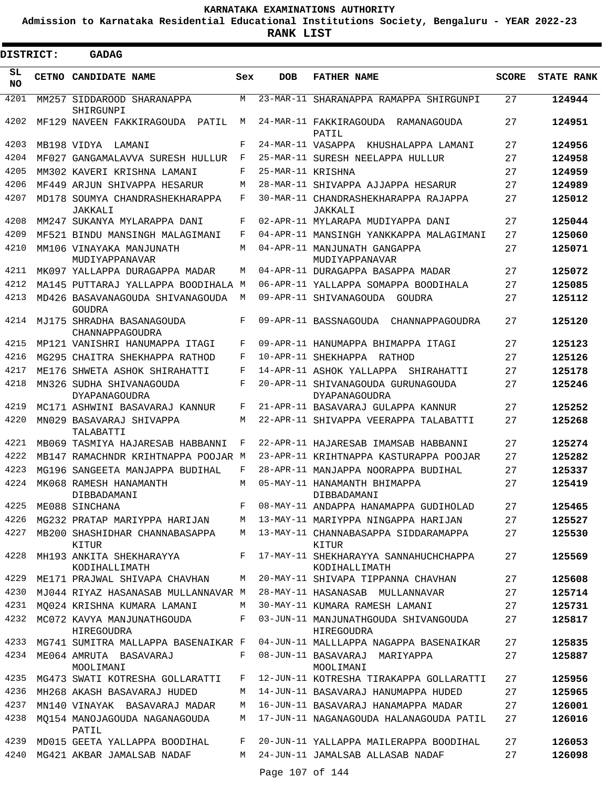**Admission to Karnataka Residential Educational Institutions Society, Bengaluru - YEAR 2022-23**

**RANK LIST**

 $\blacksquare$ 

| <b>DISTRICT:</b> |              | <b>GADAG</b>                                      |     |                   |                                                        |              |                   |
|------------------|--------------|---------------------------------------------------|-----|-------------------|--------------------------------------------------------|--------------|-------------------|
| SL<br><b>NO</b>  | <b>CETNO</b> | CANDIDATE NAME                                    | Sex | <b>DOB</b>        | <b>FATHER NAME</b>                                     | <b>SCORE</b> | <b>STATE RANK</b> |
| 4201             |              | MM257 SIDDAROOD SHARANAPPA<br>SHIRGUNPI           | M   | 23-MAR-11         | SHARANAPPA RAMAPPA SHIRGUNPI                           | 27           | 124944            |
| 4202             |              | MF129 NAVEEN FAKKIRAGOUDA<br>PATIL                | М   |                   | 24-MAR-11 FAKKIRAGOUDA RAMANAGOUDA<br>PATIL            | 27           | 124951            |
| 4203             |              | MB198 VIDYA<br>LAMANI                             | F   |                   | 24-MAR-11 VASAPPA<br>KHUSHALAPPA LAMANI                | 27           | 124956            |
| 4204             |              | MF027 GANGAMALAVVA SURESH HULLUR                  | F   |                   | 25-MAR-11 SURESH NEELAPPA HULLUR                       | 27           | 124958            |
| 4205             |              | MM302 KAVERI KRISHNA LAMANI                       | F   | 25-MAR-11 KRISHNA |                                                        | 27           | 124959            |
| 4206             |              | MF449 ARJUN SHIVAPPA HESARUR                      | М   |                   | 28-MAR-11 SHIVAPPA AJJAPPA HESARUR                     | 27           | 124989            |
| 4207             |              | MD178 SOUMYA CHANDRASHEKHARAPPA<br><b>JAKKALI</b> | F   |                   | 30-MAR-11 CHANDRASHEKHARAPPA RAJAPPA<br>JAKKALI        | 27           | 125012            |
| 4208             |              | MM247 SUKANYA MYLARAPPA DANI                      | F   |                   | 02-APR-11 MYLARAPA MUDIYAPPA DANI                      | 27           | 125044            |
| 4209             |              | MF521 BINDU MANSINGH MALAGIMANI                   | F   |                   | 04-APR-11 MANSINGH YANKKAPPA MALAGIMANI                | 27           | 125060            |
| 4210             |              | MM106 VINAYAKA MANJUNATH<br>MUDIYAPPANAVAR        | М   |                   | 04-APR-11 MANJUNATH GANGAPPA<br>MUDIYAPPANAVAR         | 27           | 125071            |
| 4211             |              | MK097 YALLAPPA DURAGAPPA MADAR                    | М   |                   | 04-APR-11 DURAGAPPA BASAPPA MADAR                      | 27           | 125072            |
| 4212             |              | MA145 PUTTARAJ YALLAPPA BOODIHALA M               |     |                   | 06-APR-11 YALLAPPA SOMAPPA BOODIHALA                   | 27           | 125085            |
| 4213             |              | MD426 BASAVANAGOUDA SHIVANAGOUDA<br>GOUDRA        | М   |                   | 09-APR-11 SHIVANAGOUDA GOUDRA                          | 27           | 125112            |
| 4214             |              | MJ175 SHRADHA BASANAGOUDA<br>CHANNAPPAGOUDRA      | F   |                   | 09-APR-11 BASSNAGOUDA CHANNAPPAGOUDRA                  | 27           | 125120            |
| 4215             |              | MP121 VANISHRI HANUMAPPA ITAGI                    | F   |                   | 09-APR-11 HANUMAPPA BHIMAPPA ITAGI                     | 27           | 125123            |
| 4216             |              | MG295 CHAITRA SHEKHAPPA RATHOD                    | F   |                   | 10-APR-11 SHEKHAPPA RATHOD                             | 27           | 125126            |
| 4217             |              | ME176 SHWETA ASHOK SHIRAHATTI                     | F   |                   | 14-APR-11 ASHOK YALLAPPA<br>SHIRAHATTI                 | 27           | 125178            |
| 4218             |              | MN326 SUDHA SHIVANAGOUDA<br>DYAPANAGOUDRA         | F   |                   | 20-APR-11 SHIVANAGOUDA GURUNAGOUDA<br>DYAPANAGOUDRA    | 27           | 125246            |
| 4219             |              | MC171 ASHWINI BASAVARAJ KANNUR                    | F   |                   | 21-APR-11 BASAVARAJ GULAPPA KANNUR                     | 27           | 125252            |
| 4220             |              | MN029 BASAVARAJ SHIVAPPA<br>TALABATTI             | M   |                   | 22-APR-11 SHIVAPPA VEERAPPA TALABATTI                  | 27           | 125268            |
| 4221             |              | MB069 TASMIYA HAJARESAB HABBANNI                  | F   |                   | 22-APR-11 HAJARESAB IMAMSAB HABBANNI                   | 27           | 125274            |
| 4222             |              | MB147 RAMACHNDR KRIHTNAPPA POOJAR M               |     |                   | 23-APR-11 KRIHTNAPPA KASTURAPPA POOJAR                 | 27           | 125282            |
| 4223             |              | MG196 SANGEETA MANJAPPA BUDIHAL                   | F   |                   | 28-APR-11 MANJAPPA NOORAPPA BUDIHAL                    | 27           | 125337            |
| 4224             |              | MK068 RAMESH HANAMANTH<br>DIBBADAMANI             | M   |                   | 05-MAY-11 HANAMANTH BHIMAPPA<br>DIBBADAMANI            | 27           | 125419            |
| 4225             |              | ME088 SINCHANA                                    | F   |                   | 08-MAY-11 ANDAPPA HANAMAPPA GUDIHOLAD                  | 27           | 125465            |
| 4226             |              | MG232 PRATAP MARIYPPA HARIJAN                     | M   |                   | 13-MAY-11 MARIYPPA NINGAPPA HARIJAN                    | 27           | 125527            |
| 4227             |              | MB200 SHASHIDHAR CHANNABASAPPA<br>KITUR           | M   |                   | 13-MAY-11 CHANNABASAPPA SIDDARAMAPPA<br>KITUR          | 27           | 125530            |
| 4228             |              | MH193 ANKITA SHEKHARAYYA<br>KODIHALLIMATH         | F   |                   | 17-MAY-11 SHEKHARAYYA SANNAHUCHCHAPPA<br>KODIHALLIMATH | 27           | 125569            |
| 4229             |              | ME171 PRAJWAL SHIVAPA CHAVHAN                     | M   |                   | 20-MAY-11 SHIVAPA TIPPANNA CHAVHAN                     | 27           | 125608            |
| 4230             |              | MJ044 RIYAZ HASANASAB MULLANNAVAR M               |     |                   | 28-MAY-11 HASANASAB MULLANNAVAR                        | 27           | 125714            |
| 4231             |              | MO024 KRISHNA KUMARA LAMANI                       | M   |                   | 30-MAY-11 KUMARA RAMESH LAMANI                         | 27           | 125731            |
| 4232             |              | MC072 KAVYA MANJUNATHGOUDA<br>HIREGOUDRA          | F   |                   | 03-JUN-11 MANJUNATHGOUDA SHIVANGOUDA<br>HIREGOUDRA     | 27           | 125817            |
| 4233             |              | MG741 SUMITRA MALLAPPA BASENAIKAR F               |     |                   | 04-JUN-11 MALLLAPPA NAGAPPA BASENAIKAR                 | 27           | 125835            |
| 4234             |              | ME064 AMRUTA BASAVARAJ<br>MOOLIMANI               | F   |                   | 08-JUN-11 BASAVARAJ MARIYAPPA<br>MOOLIMANI             | 27           | 125887            |
| 4235             |              | MG473 SWATI KOTRESHA GOLLARATTI                   | F   |                   | 12-JUN-11 KOTRESHA TIRAKAPPA GOLLARATTI                | 27           | 125956            |
| 4236             |              | MH268 AKASH BASAVARAJ HUDED                       | М   |                   | 14-JUN-11 BASAVARAJ HANUMAPPA HUDED                    | 27           | 125965            |
| 4237             |              | MN140 VINAYAK BASAVARAJ MADAR                     | М   |                   | 16-JUN-11 BASAVARAJ HANAMAPPA MADAR                    | 27           | 126001            |
| 4238             |              | MQ154 MANOJAGOUDA NAGANAGOUDA<br>PATIL            | M   |                   | 17-JUN-11 NAGANAGOUDA HALANAGOUDA PATIL                | 27           | 126016            |
| 4239             |              | MD015 GEETA YALLAPPA BOODIHAL                     | F   |                   | 20-JUN-11 YALLAPPA MAILERAPPA BOODIHAL                 | 27           | 126053            |
| 4240             |              | MG421 AKBAR JAMALSAB NADAF                        | M   |                   | 24-JUN-11 JAMALSAB ALLASAB NADAF                       | 27           | 126098            |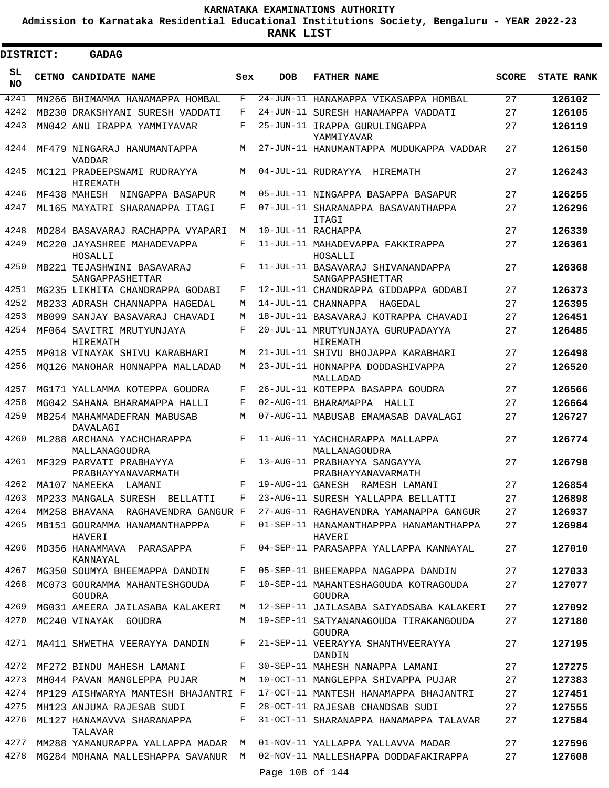**Admission to Karnataka Residential Educational Institutions Society, Bengaluru - YEAR 2022-23**

 $\blacksquare$ 

**RANK LIST**

| <b>DISTRICT:</b> |  | <b>GADAG</b>                                  |            |                 |                                                                           |              |                   |
|------------------|--|-----------------------------------------------|------------|-----------------|---------------------------------------------------------------------------|--------------|-------------------|
| SL<br>NO.        |  | CETNO CANDIDATE NAME                          | Sex        | <b>DOB</b>      | <b>FATHER NAME</b>                                                        | <b>SCORE</b> | <b>STATE RANK</b> |
| 4241             |  | MN266 BHIMAMMA HANAMAPPA HOMBAL               | F          |                 | 24-JUN-11 HANAMAPPA VIKASAPPA HOMBAL                                      | 27           | 126102            |
| 4242             |  | MB230 DRAKSHYANI SURESH VADDATI               | F          |                 | 24-JUN-11 SURESH HANAMAPPA VADDATI                                        | 27           | 126105            |
| 4243             |  | MN042 ANU IRAPPA YAMMIYAVAR                   | F          |                 | 25-JUN-11 IRAPPA GURULINGAPPA<br>YAMMIYAVAR                               | 27           | 126119            |
| 4244             |  | MF479 NINGARAJ HANUMANTAPPA<br><b>VADDAR</b>  | М          |                 | 27-JUN-11 HANUMANTAPPA MUDUKAPPA VADDAR                                   | 27           | 126150            |
| 4245             |  | MC121 PRADEEPSWAMI RUDRAYYA<br>HIREMATH       | M          |                 | 04-JUL-11 RUDRAYYA<br>HIREMATH                                            | 27           | 126243            |
| 4246             |  | MF438 MAHESH NINGAPPA BASAPUR                 | М          |                 | 05-JUL-11 NINGAPPA BASAPPA BASAPUR                                        | 27           | 126255            |
| 4247             |  | ML165 MAYATRI SHARANAPPA ITAGI                | F          |                 | 07-JUL-11 SHARANAPPA BASAVANTHAPPA<br>ITAGI                               | 27           | 126296            |
| 4248             |  | MD284 BASAVARAJ RACHAPPA VYAPARI              | М          |                 | 10-JUL-11 RACHAPPA                                                        | 27           | 126339            |
| 4249             |  | MC220 JAYASHREE MAHADEVAPPA<br>HOSALLI        | F          |                 | 11-JUL-11 MAHADEVAPPA FAKKIRAPPA<br>HOSALLI                               | 27           | 126361            |
| 4250             |  | MB221 TEJASHWINI BASAVARAJ<br>SANGAPPASHETTAR | F          |                 | 11-JUL-11 BASAVARAJ SHIVANANDAPPA<br>SANGAPPASHETTAR                      | 27           | 126368            |
| 4251             |  | MG235 LIKHITA CHANDRAPPA GODABI               | F          |                 | 12-JUL-11 CHANDRAPPA GIDDAPPA GODABI                                      | 27           | 126373            |
| 4252             |  | MB233 ADRASH CHANNAPPA HAGEDAL                | М          |                 | 14-JUL-11 CHANNAPPA<br>HAGEDAL                                            | 27           | 126395            |
| 4253             |  | MB099 SANJAY BASAVARAJ CHAVADI                | M          |                 | 18-JUL-11 BASAVARAJ KOTRAPPA CHAVADI                                      | 27           | 126451            |
| 4254             |  | MF064 SAVITRI MRUTYUNJAYA<br>HIREMATH         | F          |                 | 20-JUL-11 MRUTYUNJAYA GURUPADAYYA<br>HIREMATH                             | 27           | 126485            |
| 4255             |  | MP018 VINAYAK SHIVU KARABHARI                 | M          |                 | 21-JUL-11 SHIVU BHOJAPPA KARABHARI                                        | 27           | 126498            |
| 4256             |  | MO126 MANOHAR HONNAPPA MALLADAD               | М          |                 | 23-JUL-11 HONNAPPA DODDASHIVAPPA<br>MALLADAD                              | 27           | 126520            |
| 4257             |  | MG171 YALLAMMA KOTEPPA GOUDRA                 | F          |                 | 26-JUL-11 KOTEPPA BASAPPA GOUDRA                                          | 27           | 126566            |
| 4258             |  | MG042 SAHANA BHARAMAPPA HALLI                 | F          |                 | 02-AUG-11 BHARAMAPPA HALLI                                                | 27           | 126664            |
| 4259             |  | MB254 MAHAMMADEFRAN MABUSAB<br>DAVALAGI       | М          |                 | 07-AUG-11 MABUSAB EMAMASAB DAVALAGI                                       | 27           | 126727            |
| 4260             |  | ML288 ARCHANA YACHCHARAPPA<br>MALLANAGOUDRA   | $_{\rm F}$ |                 | 11-AUG-11 YACHCHARAPPA MALLAPPA<br>MALLANAGOUDRA                          | 27           | 126774            |
| 4261             |  | MF329 PARVATI PRABHAYYA<br>PRABHAYYANAVARMATH | F          |                 | 13-AUG-11 PRABHAYYA SANGAYYA<br>PRABHAYYANAVARMATH                        | 27           | 126798            |
| 4262             |  | MA107 NAMEEKA LAMANI                          | F          |                 | 19-AUG-11 GANESH RAMESH LAMANI                                            | 27           | 126854            |
| 4263             |  | MP233 MANGALA SURESH BELLATTI                 | F          |                 | 23-AUG-11 SURESH YALLAPPA BELLATTI                                        | 27           | 126898            |
| 4264             |  |                                               |            |                 | MM258 BHAVANA RAGHAVENDRA GANGUR F 27-AUG-11 RAGHAVENDRA YAMANAPPA GANGUR | 27           | 126937            |
| 4265             |  | MB151 GOURAMMA HANAMANTHAPPPA<br>HAVERI       | F          |                 | 01-SEP-11 HANAMANTHAPPPA HANAMANTHAPPA<br>HAVERI                          | 27           | 126984            |
| 4266             |  | MD356 HANAMMAVA PARASAPPA<br>KANNAYAL         | F          |                 | 04-SEP-11 PARASAPPA YALLAPPA KANNAYAL                                     | 27           | 127010            |
| 4267             |  | MG350 SOUMYA BHEEMAPPA DANDIN                 | F          |                 | 05-SEP-11 BHEEMAPPA NAGAPPA DANDIN                                        | 27           | 127033            |
| 4268             |  | MC073 GOURAMMA MAHANTESHGOUDA<br>GOUDRA       | F          |                 | 10-SEP-11 MAHANTESHAGOUDA KOTRAGOUDA<br>GOUDRA                            | 27           | 127077            |
| 4269             |  | MG031 AMEERA JAILASABA KALAKERI               | M          |                 | 12-SEP-11 JAILASABA SAIYADSABA KALAKERI                                   | 27           | 127092            |
| 4270             |  | MC240 VINAYAK GOUDRA                          |            |                 | M 19-SEP-11 SATYANANAGOUDA TIRAKANGOUDA<br><b>GOUDRA</b>                  | 27           | 127180            |
| 4271             |  | MA411 SHWETHA VEERAYYA DANDIN                 | F          |                 | 21-SEP-11 VEERAYYA SHANTHVEERAYYA<br>DANDIN                               | 27           | 127195            |
| 4272             |  | MF272 BINDU MAHESH LAMANI                     | F          |                 | 30-SEP-11 MAHESH NANAPPA LAMANI                                           | 27           | 127275            |
| 4273             |  | MH044 PAVAN MANGLEPPA PUJAR                   | М          |                 | 10-OCT-11 MANGLEPPA SHIVAPPA PUJAR                                        | 27           | 127383            |
| 4274             |  | MP129 AISHWARYA MANTESH BHAJANTRI F           |            |                 | 17-OCT-11 MANTESH HANAMAPPA BHAJANTRI                                     | 27           | 127451            |
| 4275             |  | MH123 ANJUMA RAJESAB SUDI                     | F          |                 | 28-OCT-11 RAJESAB CHANDSAB SUDI                                           | 27           | 127555            |
| 4276             |  | ML127 HANAMAVVA SHARANAPPA<br>TALAVAR         | F          |                 | 31-OCT-11 SHARANAPPA HANAMAPPA TALAVAR                                    | 27           | 127584            |
| 4277             |  | MM288 YAMANURAPPA YALLAPPA MADAR M            |            |                 | 01-NOV-11 YALLAPPA YALLAVVA MADAR                                         | 27           | 127596            |
| 4278             |  |                                               |            |                 | MG284 MOHANA MALLESHAPPA SAVANUR M 02-NOV-11 MALLESHAPPA DODDAFAKIRAPPA   | 27           | 127608            |
|                  |  |                                               |            | Page 108 of 144 |                                                                           |              |                   |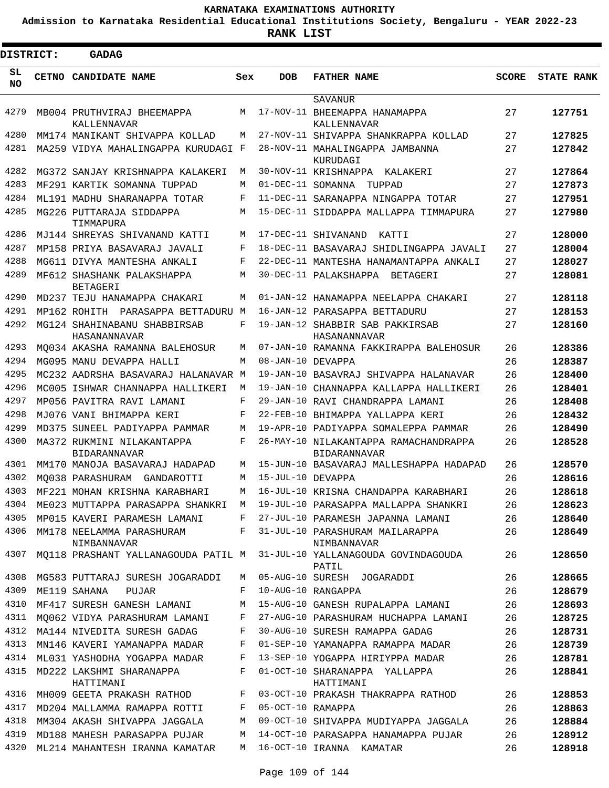**Admission to Karnataka Residential Educational Institutions Society, Bengaluru - YEAR 2022-23**

| <b>DISTRICT:</b> | <b>GADAG</b>                                      |     |                   |                                                                            |              |                   |
|------------------|---------------------------------------------------|-----|-------------------|----------------------------------------------------------------------------|--------------|-------------------|
| SL<br><b>NO</b>  | CETNO CANDIDATE NAME                              | Sex | <b>DOB</b>        | <b>FATHER NAME</b>                                                         | <b>SCORE</b> | <b>STATE RANK</b> |
|                  |                                                   |     |                   | SAVANUR                                                                    |              |                   |
| 4279             | MB004 PRUTHVIRAJ BHEEMAPPA<br>KALLENNAVAR         | M   |                   | 17-NOV-11 BHEEMAPPA HANAMAPPA<br>KALLENNAVAR                               | 27           | 127751            |
| 4280             | MM174 MANIKANT SHIVAPPA KOLLAD                    | M   |                   | 27-NOV-11 SHIVAPPA SHANKRAPPA KOLLAD                                       | 27           | 127825            |
| 4281             | MA259 VIDYA MAHALINGAPPA KURUDAGI F               |     |                   | 28-NOV-11 MAHALINGAPPA JAMBANNA<br>KURUDAGI                                | 27           | 127842            |
| 4282             | MG372 SANJAY KRISHNAPPA KALAKERI                  | M   |                   | 30-NOV-11 KRISHNAPPA KALAKERI                                              | 27           | 127864            |
| 4283             | MF291 KARTIK SOMANNA TUPPAD                       | M   | 01-DEC-11 SOMANNA | TUPPAD                                                                     | 27           | 127873            |
| 4284             | ML191 MADHU SHARANAPPA TOTAR                      | F   |                   | 11-DEC-11 SARANAPPA NINGAPPA TOTAR                                         | 27           | 127951            |
| 4285             | MG226 PUTTARAJA SIDDAPPA<br>TIMMAPURA             | M   |                   | 15-DEC-11 SIDDAPPA MALLAPPA TIMMAPURA                                      | 27           | 127980            |
| 4286             | MJ144 SHREYAS SHIVANAND KATTI                     | M   |                   | 17-DEC-11 SHIVANAND<br>KATTI                                               | 27           | 128000            |
| 4287             | MP158 PRIYA BASAVARAJ JAVALI                      | F   |                   | 18-DEC-11 BASAVARAJ SHIDLINGAPPA JAVALI                                    | 27           | 128004            |
| 4288             | MG611 DIVYA MANTESHA ANKALI                       | F   |                   | 22-DEC-11 MANTESHA HANAMANTAPPA ANKALI                                     | 27           | 128027            |
| 4289             | MF612 SHASHANK PALAKSHAPPA<br><b>BETAGERI</b>     | M   |                   | 30-DEC-11 PALAKSHAPPA BETAGERI                                             | 27           | 128081            |
| 4290             | MD237 TEJU HANAMAPPA CHAKARI                      | M   |                   | 01-JAN-12 HANAMAPPA NEELAPPA CHAKARI                                       | 27           | 128118            |
| 4291             | MP162 ROHITH PARASAPPA BETTADURU M                |     |                   | 16-JAN-12 PARASAPPA BETTADURU                                              | 27           | 128153            |
| 4292             | MG124 SHAHINABANU SHABBIRSAB<br>HASANANNAVAR      | F   |                   | 19-JAN-12 SHABBIR SAB PAKKIRSAB<br>HASANANNAVAR                            | 27           | 128160            |
| 4293             | MQ034 AKASHA RAMANNA BALEHOSUR                    | M   |                   | 07-JAN-10 RAMANNA FAKKIRAPPA BALEHOSUR                                     | 26           | 128386            |
| 4294             | MG095 MANU DEVAPPA HALLI                          | M   | 08-JAN-10 DEVAPPA |                                                                            | 26           | 128387            |
| 4295             | MC232 AADRSHA BASAVARAJ HALANAVAR M               |     |                   | 19-JAN-10 BASAVRAJ SHIVAPPA HALANAVAR                                      | 26           | 128400            |
| 4296             | MC005 ISHWAR CHANNAPPA HALLIKERI                  | M   |                   | 19-JAN-10 CHANNAPPA KALLAPPA HALLIKERI                                     | 26           | 128401            |
| 4297             | MP056 PAVITRA RAVI LAMANI                         | F   |                   | 29-JAN-10 RAVI CHANDRAPPA LAMANI                                           | 26           | 128408            |
| 4298             | MJ076 VANI BHIMAPPA KERI                          | F   |                   | 22-FEB-10 BHIMAPPA YALLAPPA KERI                                           | 26           | 128432            |
| 4299             | MD375 SUNEEL PADIYAPPA PAMMAR                     | M   |                   | 19-APR-10 PADIYAPPA SOMALEPPA PAMMAR                                       | 26           | 128490            |
| 4300             | MA372 RUKMINI NILAKANTAPPA<br><b>BIDARANNAVAR</b> | F   |                   | 26-MAY-10 NILAKANTAPPA RAMACHANDRAPPA<br><b>BIDARANNAVAR</b>               | 26           | 128528            |
| 4301             | MM170 MANOJA BASAVARAJ HADAPAD                    | M   |                   | 15-JUN-10 BASAVARAJ MALLESHAPPA HADAPAD                                    | 26           | 128570            |
| 4302             | MO038 PARASHURAM<br>GANDAROTTI                    | M   | 15-JUL-10 DEVAPPA |                                                                            | 26           | 128616            |
| 4303             | MF221 MOHAN KRISHNA KARABHARI                     | М   |                   | 16-JUL-10 KRISNA CHANDAPPA KARABHARI                                       | 26           | 128618            |
| 4304             | ME023 MUTTAPPA PARASAPPA SHANKRI M                |     |                   | 19-JUL-10 PARASAPPA MALLAPPA SHANKRI                                       | 26           | 128623            |
| 4305             | MP015 KAVERI PARAMESH LAMANI                      |     |                   | F 27-JUL-10 PARAMESH JAPANNA LAMANI                                        | 26           | 128640            |
| 4306             | NIMBANNAVAR                                       |     |                   | MM178 NEELAMMA PARASHURAM F 31-JUL-10 PARASHURAM MAILARAPPA<br>NIMBANNAVAR | 26           | 128649            |
| 4307             | MQ118 PRASHANT YALLANAGOUDA PATIL M               |     |                   | 31-JUL-10 YALLANAGOUDA GOVINDAGOUDA<br>PATIL                               | 26           | 128650            |
| 4308             | MG583 PUTTARAJ SURESH JOGARADDI                   | M   |                   | 05-AUG-10 SURESH JOGARADDI                                                 | 26           | 128665            |
| 4309             | ME119 SAHANA<br>PUJAR                             | F   |                   | 10-AUG-10 RANGAPPA                                                         | 26           | 128679            |
| 4310             |                                                   |     |                   | MF417 SURESH GANESH LAMANI M 15-AUG-10 GANESH RUPALAPPA LAMANI             | 26           | 128693            |
| 4311             |                                                   |     |                   | MQ062 VIDYA PARASHURAM LAMANI F 27-AUG-10 PARASHURAM HUCHAPPA LAMANI       | 26           | 128725            |
| 4312             | MA144 NIVEDITA SURESH GADAG                       | F   |                   | 30-AUG-10 SURESH RAMAPPA GADAG                                             | 26           | 128731            |
| 4313             | MN146 KAVERI YAMANAPPA MADAR                      | F   |                   | 01-SEP-10 YAMANAPPA RAMAPPA MADAR                                          | 26           | 128739            |
| 4314             | ML031 YASHODHA YOGAPPA MADAR F                    |     |                   | 13-SEP-10 YOGAPPA HIRIYPPA MADAR                                           | 26           | 128781            |
| 4315             | MD222 LAKSHMI SHARANAPPA<br>HATTIMANI             | F   |                   | 01-OCT-10 SHARANAPPA YALLAPPA<br>HATTIMANI                                 | 26           | 128841            |
| 4316             |                                                   |     |                   | MH009 GEETA PRAKASH RATHOD F 03-OCT-10 PRAKASH THAKRAPPA RATHOD            | 26           | 128853            |
| 4317             | MD204 MALLAMMA RAMAPPA ROTTI F 05-OCT-10 RAMAPPA  |     |                   |                                                                            | 26           | 128863            |
| 4318             | MM304 AKASH SHIVAPPA JAGGALA                      | M   |                   | 09-OCT-10 SHIVAPPA MUDIYAPPA JAGGALA                                       | 26           | 128884            |
| 4319             | MD188 MAHESH PARASAPPA PUJAR                      | M   |                   | 14-OCT-10 PARASAPPA HANAMAPPA PUJAR                                        | 26           | 128912            |
| 4320             | ML214 MAHANTESH IRANNA KAMATAR                    | M   |                   | 16-OCT-10 IRANNA KAMATAR                                                   | 26           | 128918            |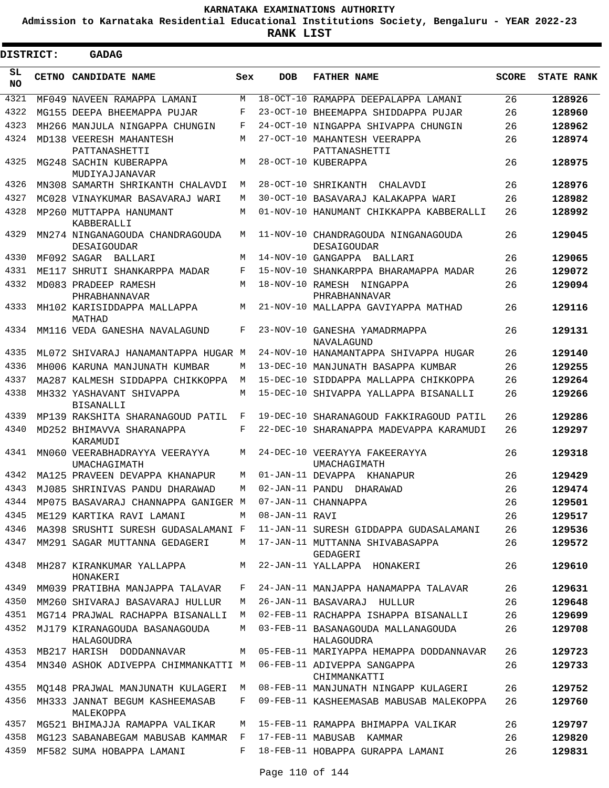**Admission to Karnataka Residential Educational Institutions Society, Bengaluru - YEAR 2022-23**

| DISTRICT:  | <b>GADAG</b>                                                    |            |                  |                                                    |              |                   |
|------------|-----------------------------------------------------------------|------------|------------------|----------------------------------------------------|--------------|-------------------|
| SL.<br>NO. | CETNO CANDIDATE NAME                                            | Sex        | <b>DOB</b>       | <b>FATHER NAME</b>                                 | <b>SCORE</b> | <b>STATE RANK</b> |
| 4321       | MF049 NAVEEN RAMAPPA LAMANI                                     | M          |                  | 18-OCT-10 RAMAPPA DEEPALAPPA LAMANI                | 26           | 128926            |
| 4322       | MG155 DEEPA BHEEMAPPA PUJAR                                     | F          |                  | 23-OCT-10 BHEEMAPPA SHIDDAPPA PUJAR                | 26           | 128960            |
| 4323       | MH266 MANJULA NINGAPPA CHUNGIN                                  | $_{\rm F}$ |                  | 24-OCT-10 NINGAPPA SHIVAPPA CHUNGIN                | 26           | 128962            |
| 4324       | MD138 VEERESH MAHANTESH                                         | M          |                  | 27-OCT-10 MAHANTESH VEERAPPA                       | 26           | 128974            |
| 4325       | PATTANASHETTI<br>MG248 SACHIN KUBERAPPA<br>MUDIYAJJANAVAR       | М          |                  | PATTANASHETTI<br>28-OCT-10 KUBERAPPA               | 26           | 128975            |
| 4326       | MN308 SAMARTH SHRIKANTH CHALAVDI                                | M          |                  | 28-OCT-10 SHRIKANTH<br>CHALAVDI                    | 26           | 128976            |
| 4327       | MC028 VINAYKUMAR BASAVARAJ WARI                                 | M          |                  | 30-OCT-10 BASAVARAJ KALAKAPPA WARI                 | 26           | 128982            |
| 4328       | MP260 MUTTAPPA HANUMANT<br>KABBERALLI                           | M          |                  | 01-NOV-10 HANUMANT CHIKKAPPA KABBERALLI            | 26           | 128992            |
| 4329       | MN274 NINGANAGOUDA CHANDRAGOUDA<br>DESAIGOUDAR                  | M          |                  | 11-NOV-10 CHANDRAGOUDA NINGANAGOUDA<br>DESAIGOUDAR | 26           | 129045            |
| 4330       | MF092 SAGAR BALLARI                                             | M          |                  | 14-NOV-10 GANGAPPA BALLARI                         | 26           | 129065            |
| 4331       | ME117 SHRUTI SHANKARPPA MADAR                                   | F          |                  | 15-NOV-10 SHANKARPPA BHARAMAPPA MADAR              | 26           | 129072            |
| 4332       | MD083 PRADEEP RAMESH<br>PHRABHANNAVAR                           | M          |                  | 18-NOV-10 RAMESH NINGAPPA<br>PHRABHANNAVAR         | 26           | 129094            |
| 4333       | MH102 KARISIDDAPPA MALLAPPA<br>MATHAD                           | M          |                  | 21-NOV-10 MALLAPPA GAVIYAPPA MATHAD                | 26           | 129116            |
| 4334       | MM116 VEDA GANESHA NAVALAGUND                                   | F          |                  | 23-NOV-10 GANESHA YAMADRMAPPA<br>NAVALAGUND        | 26           | 129131            |
| 4335       | ML072 SHIVARAJ HANAMANTAPPA HUGAR M                             |            |                  | 24-NOV-10 HANAMANTAPPA SHIVAPPA HUGAR              | 26           | 129140            |
| 4336       | MH006 KARUNA MANJUNATH KUMBAR                                   | M          |                  | 13-DEC-10 MANJUNATH BASAPPA KUMBAR                 | 26           | 129255            |
| 4337       | MA287 KALMESH SIDDAPPA CHIKKOPPA                                | М          |                  | 15-DEC-10 SIDDAPPA MALLAPPA CHIKKOPPA              | 26           | 129264            |
| 4338       | MH332 YASHAVANT SHIVAPPA<br><b>BISANALLI</b>                    | M          |                  | 15-DEC-10 SHIVAPPA YALLAPPA BISANALLI              | 26           | 129266            |
| 4339       | MP139 RAKSHITA SHARANAGOUD PATIL                                | F          |                  | 19-DEC-10 SHARANAGOUD FAKKIRAGOUD PATIL            | 26           | 129286            |
| 4340       | MD252 BHIMAVVA SHARANAPPA<br>KARAMUDI                           | F          |                  | 22-DEC-10 SHARANAPPA MADEVAPPA KARAMUDI            | 26           | 129297            |
| 4341       | MN060 VEERABHADRAYYA VEERAYYA<br>UMACHAGIMATH                   | M          |                  | 24-DEC-10 VEERAYYA FAKEERAYYA<br>UMACHAGIMATH      | 26           | 129318            |
| 4342       | MA125 PRAVEEN DEVAPPA KHANAPUR                                  | M          |                  | 01-JAN-11 DEVAPPA KHANAPUR                         | 26           | 129429            |
| 4343       | MJ085 SHRINIVAS PANDU DHARAWAD                                  | M          |                  | 02-JAN-11 PANDU DHARAWAD                           | 26           | 129474            |
| 4344       | MP075 BASAVARAJ CHANNAPPA GANIGER M 07-JAN-11 CHANNAPPA         |            |                  |                                                    | 26           | 129501            |
| 4345       | ME129 KARTIKA RAVI LAMANI                                       |            | M 08-JAN-11 RAVI |                                                    | 26           | 129517            |
| 4346       | MA398 SRUSHTI SURESH GUDASALAMANI F                             |            |                  | 11-JAN-11 SURESH GIDDAPPA GUDASALAMANI             | 26           | 129536            |
| 4347       | MM291 SAGAR MUTTANNA GEDAGERI                                   | M          |                  | 17-JAN-11 MUTTANNA SHIVABASAPPA<br>GEDAGERI        | 26           | 129572            |
| 4348       | MH287 KIRANKUMAR YALLAPPA<br>HONAKERI                           |            |                  | M 22-JAN-11 YALLAPPA HONAKERI                      | 26           | 129610            |
| 4349       | MM039 PRATIBHA MANJAPPA TALAVAR                                 | F          |                  | 24-JAN-11 MANJAPPA HANAMAPPA TALAVAR               | 26           | 129631            |
| 4350       | MM260 SHIVARAJ BASAVARAJ HULLUR                                 | M          |                  | 26-JAN-11 BASAVARAJ HULLUR                         | 26           | 129648            |
| 4351       | MG714 PRAJWAL RACHAPPA BISANALLI                                |            |                  | M 02-FEB-11 RACHAPPA ISHAPPA BISANALLI             | 26           | 129699            |
| 4352       | MJ179 KIRANAGOUDA BASANAGOUDA<br>HALAGOUDRA                     | M          |                  | 03-FEB-11 BASANAGOUDA MALLANAGOUDA<br>HALAGOUDRA   | 26           | 129708            |
| 4353       | MB217 HARISH DODDANNAVAR                                        |            |                  | M 05-FEB-11 MARIYAPPA HEMAPPA DODDANNAVAR          | 26           | 129723            |
| 4354       | MN340 ASHOK ADIVEPPA CHIMMANKATTI M 06-FEB-11 ADIVEPPA SANGAPPA |            |                  | CHIMMANKATTI                                       | 26           | 129733            |
| 4355       | MQ148 PRAJWAL MANJUNATH KULAGERI                                | M          |                  | 08-FEB-11 MANJUNATH NINGAPP KULAGERI               | 26           | 129752            |
| 4356       | MH333 JANNAT BEGUM KASHEEMASAB<br>MALEKOPPA                     | $F$ –      |                  | 09-FEB-11 KASHEEMASAB MABUSAB MALEKOPPA            | 26           | 129760            |
| 4357       | MG521 BHIMAJJA RAMAPPA VALIKAR                                  | M          |                  | 15-FEB-11 RAMAPPA BHIMAPPA VALIKAR                 | 26           | 129797            |
| 4358       | MG123 SABANABEGAM MABUSAB KAMMAR F 17-FEB-11 MABUSAB KAMMAR     |            |                  |                                                    | 26           | 129820            |
| 4359       | MF582 SUMA HOBAPPA LAMANI                                       | $F$ –      |                  | 18-FEB-11 HOBAPPA GURAPPA LAMANI                   | 26           | 129831            |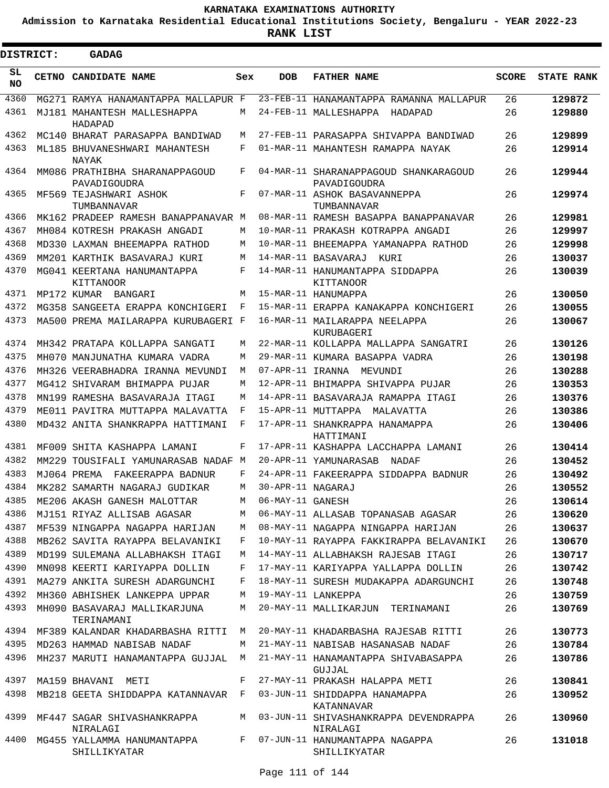**Admission to Karnataka Residential Educational Institutions Society, Bengaluru - YEAR 2022-23**

 $\blacksquare$ 

| <b>DISTRICT:</b> | <b>GADAG</b>                                   |     |                   |                                                       |              |                   |
|------------------|------------------------------------------------|-----|-------------------|-------------------------------------------------------|--------------|-------------------|
| SL<br><b>NO</b>  | <b>CETNO CANDIDATE NAME</b>                    | Sex | <b>DOB</b>        | <b>FATHER NAME</b>                                    | <b>SCORE</b> | <b>STATE RANK</b> |
| 4360             | MG271 RAMYA HANAMANTAPPA MALLAPUR F            |     |                   | 23-FEB-11 HANAMANTAPPA RAMANNA MALLAPUR               | 26           | 129872            |
| 4361             | MJ181 MAHANTESH MALLESHAPPA<br>HADAPAD         | М   |                   | 24-FEB-11 MALLESHAPPA HADAPAD                         | 26           | 129880            |
| 4362             | MC140 BHARAT PARASAPPA BANDIWAD                | М   |                   | 27-FEB-11 PARASAPPA SHIVAPPA BANDIWAD                 | 26           | 129899            |
| 4363             | ML185 BHUVANESHWARI MAHANTESH<br>NAYAK         | F   |                   | 01-MAR-11 MAHANTESH RAMAPPA NAYAK                     | 26           | 129914            |
| 4364             | MM086 PRATHIBHA SHARANAPPAGOUD<br>PAVADIGOUDRA | F   |                   | 04-MAR-11 SHARANAPPAGOUD SHANKARAGOUD<br>PAVADIGOUDRA | 26           | 129944            |
| 4365             | MF569 TEJASHWARI ASHOK<br>TUMBANNAVAR          | F   |                   | 07-MAR-11 ASHOK BASAVANNEPPA<br>TUMBANNAVAR           | 26           | 129974            |
| 4366             | MK162 PRADEEP RAMESH BANAPPANAVAR M            |     |                   | 08-MAR-11 RAMESH BASAPPA BANAPPANAVAR                 | 26           | 129981            |
| 4367             | MH084 KOTRESH PRAKASH ANGADI                   | M   |                   | 10-MAR-11 PRAKASH KOTRAPPA ANGADI                     | 26           | 129997            |
| 4368             | MD330 LAXMAN BHEEMAPPA RATHOD                  | M   |                   | 10-MAR-11 BHEEMAPPA YAMANAPPA RATHOD                  | 26           | 129998            |
| 4369             | MM201 KARTHIK BASAVARAJ KURI                   | М   |                   | 14-MAR-11 BASAVARAJ<br>KUR T                          | 26           | 130037            |
| 4370             | MG041 KEERTANA HANUMANTAPPA<br>KITTANOOR       | F   |                   | 14-MAR-11 HANUMANTAPPA SIDDAPPA<br>KITTANOOR          | 26           | 130039            |
| 4371             | MP172 KUMAR BANGARI                            | М   |                   | 15-MAR-11 HANUMAPPA                                   | 26           | 130050            |
| 4372             | MG358 SANGEETA ERAPPA KONCHIGERI               | F   |                   | 15-MAR-11 ERAPPA KANAKAPPA KONCHIGERI                 | 26           | 130055            |
| 4373             | MA500 PREMA MAILARAPPA KURUBAGERI F            |     |                   | 16-MAR-11 MATLARAPPA NEELAPPA<br>KURUBAGERI           | 26           | 130067            |
| 4374             | MH342 PRATAPA KOLLAPPA SANGATI                 | M   |                   | 22-MAR-11 KOLLAPPA MALLAPPA SANGATRI                  | 26           | 130126            |
| 4375             | MH070 MANJUNATHA KUMARA VADRA                  | М   |                   | 29-MAR-11 KUMARA BASAPPA VADRA                        | 26           | 130198            |
| 4376             | MH326 VEERABHADRA IRANNA MEVUNDI               | М   | 07-APR-11 IRANNA  | MEVUNDI                                               | 26           | 130288            |
| 4377             | MG412 SHIVARAM BHIMAPPA PUJAR                  | М   |                   | 12-APR-11 BHIMAPPA SHIVAPPA PUJAR                     | 26           | 130353            |
| 4378             | MN199 RAMESHA BASAVARAJA ITAGI                 | М   |                   | 14-APR-11 BASAVARAJA RAMAPPA ITAGI                    | 26           | 130376            |
| 4379             | ME011 PAVITRA MUTTAPPA MALAVATTA               | F   |                   | 15-APR-11 MUTTAPPA MALAVATTA                          | 26           | 130386            |
| 4380             | MD432 ANITA SHANKRAPPA HATTIMANI               | F   |                   | 17-APR-11 SHANKRAPPA HANAMAPPA<br>HATTIMANI           | 26           | 130406            |
| 4381             | MF009 SHITA KASHAPPA LAMANI                    | F   |                   | 17-APR-11 KASHAPPA LACCHAPPA LAMANI                   | 26           | 130414            |
| 4382             | MM229 TOUSIFALI YAMUNARASAB NADAF M            |     |                   | 20-APR-11 YAMUNARASAB NADAF                           | 26           | 130452            |
| 4383             | MJ064 PREMA FAKEERAPPA BADNUR                  | F   |                   | 24-APR-11 FAKEERAPPA SIDDAPPA BADNUR                  | 26           | 130492            |
| 4384             | MK282 SAMARTH NAGARAJ GUDIKAR                  | М   | 30-APR-11 NAGARAJ |                                                       | 26           | 130552            |
| 4385             | ME206 AKASH GANESH MALOTTAR                    | М   | 06-MAY-11 GANESH  |                                                       | 26           | 130614            |
| 4386             | MJ151 RIYAZ ALLISAB AGASAR                     | М   |                   | 06-MAY-11 ALLASAB TOPANASAB AGASAR                    | 26           | 130620            |
| 4387             | MF539 NINGAPPA NAGAPPA HARIJAN                 | М   |                   | 08-MAY-11 NAGAPPA NINGAPPA HARIJAN                    | 26           | 130637            |
| 4388             | MB262 SAVITA RAYAPPA BELAVANIKI                | F   |                   | 10-MAY-11 RAYAPPA FAKKIRAPPA BELAVANIKI               | 26           | 130670            |
| 4389             | MD199 SULEMANA ALLABHAKSH ITAGI                | М   |                   | 14-MAY-11 ALLABHAKSH RAJESAB ITAGI                    | 26           | 130717            |
| 4390             | MN098 KEERTI KARIYAPPA DOLLIN                  | F   |                   | 17-MAY-11 KARIYAPPA YALLAPPA DOLLIN                   | 26           | 130742            |
| 4391             | MA279 ANKITA SURESH ADARGUNCHI                 | F   |                   | 18-MAY-11 SURESH MUDAKAPPA ADARGUNCHI                 | 26           | 130748            |
| 4392             | MH360 ABHISHEK LANKEPPA UPPAR                  | М   |                   | 19-MAY-11 LANKEPPA                                    | 26           | 130759            |
| 4393             | MH090 BASAVARAJ MALLIKARJUNA<br>TERINAMANI     | М   |                   | 20-MAY-11 MALLIKARJUN TERINAMANI                      | 26           | 130769            |
| 4394             | MF389 KALANDAR KHADARBASHA RITTI               | М   |                   | 20-MAY-11 KHADARBASHA RAJESAB RITTI                   | 26           | 130773            |
| 4395             | MD263 HAMMAD NABISAB NADAF                     | М   |                   | 21-MAY-11 NABISAB HASANASAB NADAF                     | 26           | 130784            |
| 4396             | MH237 MARUTI HANAMANTAPPA GUJJAL               | M   |                   | 21-MAY-11 HANAMANTAPPA SHIVABASAPPA<br>GUJJAL         | 26           | 130786            |
| 4397             | MA159 BHAVANI METI                             | F   |                   | 27-MAY-11 PRAKASH HALAPPA METI                        | 26           | 130841            |
| 4398             | MB218 GEETA SHIDDAPPA KATANNAVAR               | F   |                   | 03-JUN-11 SHIDDAPPA HANAMAPPA<br>KATANNAVAR           | 26           | 130952            |
| 4399             | MF447 SAGAR SHIVASHANKRAPPA<br>NIRALAGI        | М   |                   | 03-JUN-11 SHIVASHANKRAPPA DEVENDRAPPA<br>NIRALAGI     | 26           | 130960            |
| 4400             | MG455 YALLAMMA HANUMANTAPPA<br>SHILLIKYATAR    | F   |                   | 07-JUN-11 HANUMANTAPPA NAGAPPA<br>SHILLIKYATAR        | 26           | 131018            |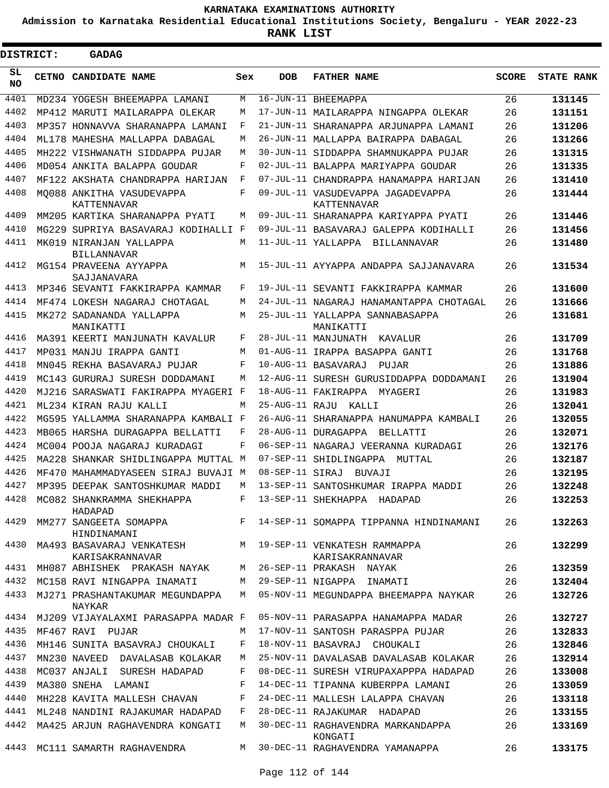**Admission to Karnataka Residential Educational Institutions Society, Bengaluru - YEAR 2022-23**

ı

| <b>DISTRICT:</b> |  | <b>GADAG</b>                                                                |     |                |                                                                 |              |                   |
|------------------|--|-----------------------------------------------------------------------------|-----|----------------|-----------------------------------------------------------------|--------------|-------------------|
| SL<br><b>NO</b>  |  | <b>CETNO CANDIDATE NAME</b>                                                 | Sex | DOB            | <b>FATHER NAME</b>                                              | <b>SCORE</b> | <b>STATE RANK</b> |
| 4401             |  | MD234 YOGESH BHEEMAPPA LAMANI                                               | М   |                | 16-JUN-11 BHEEMAPPA                                             | 26           | 131145            |
| 4402             |  | MP412 MARUTI MAILARAPPA OLEKAR                                              | М   |                | 17-JUN-11 MAILARAPPA NINGAPPA OLEKAR                            | 26           | 131151            |
| 4403             |  | MP357 HONNAVVA SHARANAPPA LAMANI                                            | F   |                | 21-JUN-11 SHARANAPPA ARJUNAPPA LAMANI                           | 26           | 131206            |
| 4404             |  | ML178 MAHESHA MALLAPPA DABAGAL                                              | М   |                | 26-JUN-11 MALLAPPA BAIRAPPA DABAGAL                             | 26           | 131266            |
| 4405             |  | MH222 VISHWANATH SIDDAPPA PUJAR                                             | M   |                | 30-JUN-11 SIDDAPPA SHAMNUKAPPA PUJAR                            | 26           | 131315            |
| 4406             |  | MD054 ANKITA BALAPPA GOUDAR                                                 | F   |                | 02-JUL-11 BALAPPA MARIYAPPA GOUDAR                              | 26           | 131335            |
| 4407             |  | MF122 AKSHATA CHANDRAPPA HARIJAN                                            | F   |                | 07-JUL-11 CHANDRAPPA HANAMAPPA HARIJAN                          | 26           | 131410            |
| 4408             |  | MO088 ANKITHA VASUDEVAPPA<br>KATTENNAVAR                                    | F   |                | 09-JUL-11 VASUDEVAPPA JAGADEVAPPA<br>KATTENNAVAR                | 26           | 131444            |
| 4409             |  | MM205 KARTIKA SHARANAPPA PYATI                                              | М   |                | 09-JUL-11 SHARANAPPA KARIYAPPA PYATI                            | 26           | 131446            |
| 4410             |  | MG229 SUPRIYA BASAVARAJ KODIHALLI F                                         |     |                | 09-JUL-11 BASAVARAJ GALEPPA KODIHALLI                           | 26           | 131456            |
| 4411             |  | MK019 NIRANJAN YALLAPPA<br>BILLANNAVAR                                      | M   |                | 11-JUL-11 YALLAPPA BILLANNAVAR                                  | 26           | 131480            |
| 4412             |  | MG154 PRAVEENA AYYAPPA<br><b>SAJJANAVARA</b>                                | М   |                | 15-JUL-11 AYYAPPA ANDAPPA SAJJANAVARA                           | 26           | 131534            |
| 4413             |  | MP346 SEVANTI FAKKIRAPPA KAMMAR                                             | F   |                | 19-JUL-11 SEVANTI FAKKIRAPPA KAMMAR                             | 26           | 131600            |
| 4414             |  | MF474 LOKESH NAGARAJ CHOTAGAL                                               | М   |                | 24-JUL-11 NAGARAJ HANAMANTAPPA CHOTAGAL                         | 26           | 131666            |
| 4415             |  | MK272 SADANANDA YALLAPPA<br>MANIKATTI                                       | М   |                | 25-JUL-11 YALLAPPA SANNABASAPPA<br>MANIKATTI                    | 26           | 131681            |
| 4416             |  | MA391 KEERTI MANJUNATH KAVALUR                                              | F   |                | 28-JUL-11 MANJUNATH KAVALUR                                     | 26           | 131709            |
| 4417             |  | MP031 MANJU IRAPPA GANTI                                                    | М   |                | 01-AUG-11 IRAPPA BASAPPA GANTI                                  | 26           | 131768            |
| 4418             |  | MN045 REKHA BASAVARAJ PUJAR                                                 | F   |                | 10-AUG-11 BASAVARAJ<br>PUJAR                                    | 26           | 131886            |
| 4419             |  | MC143 GURURAJ SURESH DODDAMANI                                              | М   |                | 12-AUG-11 SURESH GURUSIDDAPPA DODDAMANI                         | 26           | 131904            |
| 4420             |  | MJ216 SARASWATI FAKIRAPPA MYAGERI F                                         |     |                | 18-AUG-11 FAKIRAPPA MYAGERI                                     | 26           | 131983            |
| 4421             |  | ML234 KIRAN RAJU KALLI                                                      | M   | 25-AUG-11 RAJU | KALLI                                                           | 26           | 132041            |
| 4422             |  | MG595 YALLAMMA SHARANAPPA KAMBALI F                                         |     |                | 26-AUG-11 SHARANAPPA HANUMAPPA KAMBALI                          | 26           | 132055            |
| 4423             |  | MB065 HARSHA DURAGAPPA BELLATTI                                             | F   |                | 28-AUG-11 DURAGAPPA BELLATTI                                    | 26           | 132071            |
| 4424             |  | MC004 POOJA NAGARAJ KURADAGI                                                | F   |                | 06-SEP-11 NAGARAJ VEERANNA KURADAGI                             | 26           | 132176            |
| 4425             |  | MA228 SHANKAR SHIDLINGAPPA MUTTAL M                                         |     |                | 07-SEP-11 SHIDLINGAPPA MUTTAL                                   | 26           | 132187            |
| 4426             |  | MF470 MAHAMMADYASEEN SIRAJ BUVAJI M                                         |     |                | 08-SEP-11 SIRAJ BUVAJI                                          | 26           | 132195            |
| 4427             |  | MP395 DEEPAK SANTOSHKUMAR MADDI                                             | М   |                | 13-SEP-11 SANTOSHKUMAR IRAPPA MADDI                             | 26           | 132248            |
| 4428             |  | MC082 SHANKRAMMA SHEKHAPPA<br>HADAPAD                                       |     |                | F 13-SEP-11 SHEKHAPPA HADAPAD                                   | 26           | 132253            |
| 4429             |  | HINDINAMANI                                                                 |     |                | MM277 SANGEETA SOMAPPA F 14-SEP-11 SOMAPPA TIPPANNA HINDINAMANI | 26           | 132263            |
| 4430             |  | MA493 BASAVARAJ VENKATESH M 19-SEP-11 VENKATESH RAMMAPPA<br>KARISAKRANNAVAR |     |                | KARISAKRANNAVAR                                                 | 26           | 132299            |
| 4431             |  | MH087 ABHISHEK PRAKASH NAYAK M                                              |     |                | 26-SEP-11 PRAKASH NAYAK                                         | 26           | 132359            |
| 4432             |  | MC158 RAVI NINGAPPA INAMATI M 29-SEP-11 NIGAPPA INAMATI                     |     |                |                                                                 | 26           | 132404            |
|                  |  | 4433 MJ271 PRASHANTAKUMAR MEGUNDAPPA<br>NAYKAR                              |     |                | M 05-NOV-11 MEGUNDAPPA BHEEMAPPA NAYKAR                         | 26           | 132726            |
|                  |  | 4434 MJ209 VIJAYALAXMI PARASAPPA MADAR F                                    |     |                | 05-NOV-11 PARASAPPA HANAMAPPA MADAR                             | 26           | 132727            |
|                  |  | 4435 MF467 RAVI PUJAR                                                       | M   |                | 17-NOV-11 SANTOSH PARASPPA PUJAR                                | 26           | 132833            |
| 4436             |  | MH146 SUNITA BASAVRAJ CHOUKALI                                              | F   |                | 18-NOV-11 BASAVRAJ CHOUKALI                                     | 26           | 132846            |
| 4437             |  | MN230 NAVEED DAVALASAB KOLAKAR                                              | M   |                | 25-NOV-11 DAVALASAB DAVALASAB KOLAKAR                           | 26           | 132914            |
| 4438             |  | MC037 ANJALI SURESH HADAPAD                                                 | F   |                | 08-DEC-11 SURESH VIRUPAXAPPPA HADAPAD                           | 26           | 133008            |
| 4439             |  | MA380 SNEHA LAMANI                                                          | F   |                | 14-DEC-11 TIPANNA KUBERPPA LAMANI                               | 26           | 133059            |
| 4440             |  | MH228 KAVITA MALLESH CHAVAN                                                 | F   |                | 24-DEC-11 MALLESH LALAPPA CHAVAN                                | 26           | 133118            |
| 4441             |  | ML248 NANDINI RAJAKUMAR HADAPAD                                             | F   |                | 28-DEC-11 RAJAKUMAR HADAPAD                                     | 26           | 133155            |
| 4442             |  | MA425 ARJUN RAGHAVENDRA KONGATI                                             | M   |                | 30-DEC-11 RAGHAVENDRA MARKANDAPPA<br>KONGATI                    | 26           | 133169            |
|                  |  | 4443 MC111 SAMARTH RAGHAVENDRA                                              | M   |                | 30-DEC-11 RAGHAVENDRA YAMANAPPA                                 | 26           | 133175            |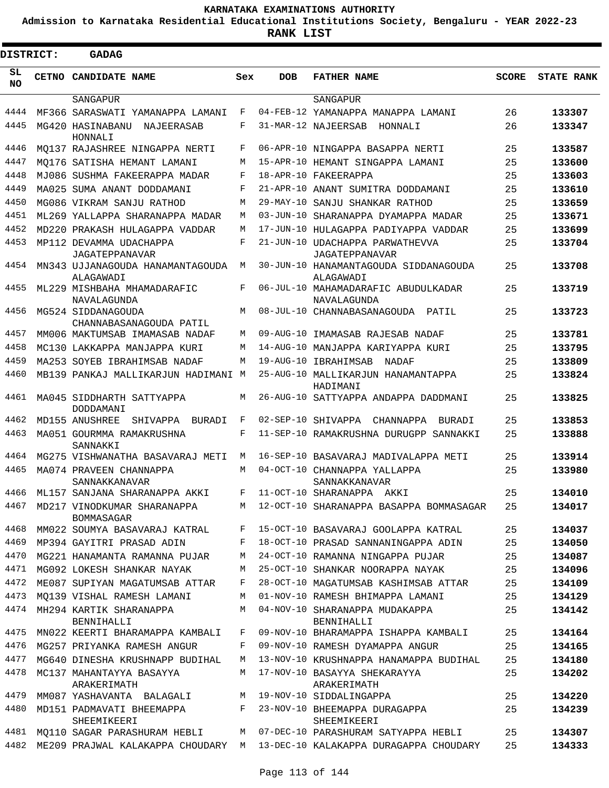**Admission to Karnataka Residential Educational Institutions Society, Bengaluru - YEAR 2022-23**

ı

| <b>DISTRICT:</b> |  | <b>GADAG</b>                                              |        |                 |                                                         |              |                   |
|------------------|--|-----------------------------------------------------------|--------|-----------------|---------------------------------------------------------|--------------|-------------------|
| SL<br><b>NO</b>  |  | CETNO CANDIDATE NAME                                      | Sex    | <b>DOB</b>      | <b>FATHER NAME</b>                                      | <b>SCORE</b> | <b>STATE RANK</b> |
|                  |  | SANGAPUR                                                  |        |                 | SANGAPUR                                                |              |                   |
| 4444<br>4445     |  | MF366 SARASWATI YAMANAPPA LAMANI                          | F<br>F |                 | 04-FEB-12 YAMANAPPA MANAPPA LAMANI                      | 26           | 133307            |
|                  |  | MG420 HASINABANU<br>NAJEERASAB<br>HONNALI                 |        |                 | 31-MAR-12 NAJEERSAB<br>HONNALI                          | 26           | 133347            |
| 4446             |  | MO137 RAJASHREE NINGAPPA NERTI                            | F      |                 | 06-APR-10 NINGAPPA BASAPPA NERTI                        | 25           | 133587            |
| 4447             |  | MO176 SATISHA HEMANT LAMANI                               | М      |                 | 15-APR-10 HEMANT SINGAPPA LAMANI                        | 25           | 133600            |
| 4448             |  | MJ086 SUSHMA FAKEERAPPA MADAR                             | F      | $18 - APR - 10$ | FAKEERAPPA                                              | 25           | 133603            |
| 4449             |  | MA025 SUMA ANANT DODDAMANI                                | F      |                 | 21-APR-10 ANANT SUMITRA DODDAMANI                       | 25           | 133610            |
| 4450             |  | MG086 VIKRAM SANJU RATHOD                                 | М      | 29-MAY-10       | SANJU SHANKAR RATHOD                                    | 25           | 133659            |
| 4451             |  | ML269 YALLAPPA SHARANAPPA MADAR                           | М      | $03 - JUN - 10$ | SHARANAPPA DYAMAPPA MADAR                               | 25           | 133671            |
| 4452             |  | MD220 PRAKASH HULAGAPPA VADDAR                            | М      | $17 - JUN - 10$ | HULAGAPPA PADIYAPPA VADDAR                              | 25           | 133699            |
| 4453             |  | MP112 DEVAMMA UDACHAPPA                                   | F      |                 | 21-JUN-10 UDACHAPPA PARWATHEVVA                         | 25           | 133704            |
| 4454             |  | JAGATEPPANAVAR<br>MN343 UJJANAGOUDA HANAMANTAGOUDA        | М      |                 | JAGATEPPANAVAR<br>30-JUN-10 HANAMANTAGOUDA SIDDANAGOUDA | 25           | 133708            |
|                  |  | ALAGAWADI                                                 |        |                 | ALAGAWADI                                               |              |                   |
| 4455             |  | ML229 MISHBAHA MHAMADARAFIC<br>NAVALAGUNDA                | F      |                 | 06-JUL-10 MAHAMADARAFIC ABUDULKADAR<br>NAVALAGUNDA      | 25           | 133719            |
| 4456             |  | MG524 SIDDANAGOUDA                                        | M      |                 | 08-JUL-10 CHANNABASANAGOUDA PATIL                       | 25           | 133723            |
| 4457             |  | CHANNABASANAGOUDA PATIL<br>MM006 MAKTUMSAB IMAMASAB NADAF | М      | 09-AUG-10       | IMAMASAB RAJESAB NADAF                                  | 25           | 133781            |
| 4458             |  | MC130 LAKKAPPA MANJAPPA KURI                              | М      |                 | 14-AUG-10 MANJAPPA KARIYAPPA KURI                       | 25           | 133795            |
| 4459             |  | MA253 SOYEB IBRAHIMSAB NADAF                              | М      | 19-AUG-10       | IBRAHIMSAB<br>NADAF                                     | 25           | 133809            |
| 4460             |  | MB139 PANKAJ MALLIKARJUN HADIMANI M                       |        |                 | 25-AUG-10 MALLIKARJUN HANAMANTAPPA<br>HADIMANI          | 25           | 133824            |
| 4461             |  | MA045 SIDDHARTH SATTYAPPA<br>DODDAMANI                    | М      |                 | 26-AUG-10 SATTYAPPA ANDAPPA DADDMANI                    | 25           | 133825            |
| 4462             |  | MD155 ANUSHREE<br>SHIVAPPA<br>BURADI                      | F      |                 | 02-SEP-10 SHIVAPPA<br>CHANNAPPA<br>BURADI               | 25           | 133853            |
| 4463             |  | MA051 GOURMMA RAMAKRUSHNA<br>SANNAKKI                     | F      |                 | 11-SEP-10 RAMAKRUSHNA DURUGPP SANNAKKI                  | 25           | 133888            |
| 4464             |  | MG275 VISHWANATHA BASAVARAJ METI                          | М      |                 | 16-SEP-10 BASAVARAJ MADIVALAPPA METI                    | 25           | 133914            |
| 4465             |  | MA074 PRAVEEN CHANNAPPA<br>SANNAKKANAVAR                  | M      |                 | 04-OCT-10 CHANNAPPA YALLAPPA<br>SANNAKKANAVAR           | 25           | 133980            |
|                  |  | 4466 ML157 SANJANA SHARANAPPA AKKI                        |        |                 | F 11-OCT-10 SHARANAPPA AKKI                             | 25           | 134010            |
| 4467             |  | MD217 VINODKUMAR SHARANAPPA<br>BOMMASAGAR                 |        |                 | M 12-OCT-10 SHARANAPPA BASAPPA BOMMASAGAR               | 25           | 134017            |
| 4468             |  | MM022 SOUMYA BASAVARAJ KATRAL                             | F      |                 | 15-OCT-10 BASAVARAJ GOOLAPPA KATRAL                     | 25           | 134037            |
| 4469             |  | MP394 GAYITRI PRASAD ADIN                                 | F      |                 | 18-OCT-10 PRASAD SANNANINGAPPA ADIN                     | 25           | 134050            |
| 4470             |  | MG221 HANAMANTA RAMANNA PUJAR                             | М      |                 | 24-OCT-10 RAMANNA NINGAPPA PUJAR                        | 25           | 134087            |
| 4471             |  | MG092 LOKESH SHANKAR NAYAK                                | М      |                 | 25-OCT-10 SHANKAR NOORAPPA NAYAK                        | 25           | 134096            |
| 4472             |  | ME087 SUPIYAN MAGATUMSAB ATTAR                            | F      |                 | 28-OCT-10 MAGATUMSAB KASHIMSAB ATTAR                    | 25           | 134109            |
| 4473             |  | MO139 VISHAL RAMESH LAMANI                                | М      |                 | 01-NOV-10 RAMESH BHIMAPPA LAMANI                        | 25           | 134129            |
| 4474             |  | MH294 KARTIK SHARANAPPA<br>BENNIHALLI                     | М      |                 | 04-NOV-10 SHARANAPPA MUDAKAPPA<br>BENNIHALLI            | 25           | 134142            |
| 4475             |  | MN022 KEERTI BHARAMAPPA KAMBALI                           | F      |                 | 09-NOV-10 BHARAMAPPA ISHAPPA KAMBALI                    | 25           | 134164            |
| 4476             |  | MG257 PRIYANKA RAMESH ANGUR                               | F      |                 | 09-NOV-10 RAMESH DYAMAPPA ANGUR                         | 25           | 134165            |
| 4477             |  | MG640 DINESHA KRUSHNAPP BUDIHAL                           | М      |                 | 13-NOV-10 KRUSHNAPPA HANAMAPPA BUDIHAL                  | 25           | 134180            |
| 4478             |  | MC137 MAHANTAYYA BASAYYA<br>ARAKERIMATH                   | М      |                 | 17-NOV-10 BASAYYA SHEKARAYYA<br>ARAKERIMATH             | 25           | 134202            |
| 4479             |  | MM087 YASHAVANTA BALAGALI                                 | M      |                 | 19-NOV-10 SIDDALINGAPPA                                 | 25           | 134220            |
| 4480             |  | MD151 PADMAVATI BHEEMAPPA<br>SHEEMIKEERI                  | F      |                 | 23-NOV-10 BHEEMAPPA DURAGAPPA<br>SHEEMIKEERI            | 25           | 134239            |
| 4481             |  | MO110 SAGAR PARASHURAM HEBLI                              |        |                 | M 07-DEC-10 PARASHURAM SATYAPPA HEBLI                   | 25           | 134307            |
| 4482             |  | ME209 PRAJWAL KALAKAPPA CHOUDARY                          |        |                 | M 13-DEC-10 KALAKAPPA DURAGAPPA CHOUDARY                | 25           | 134333            |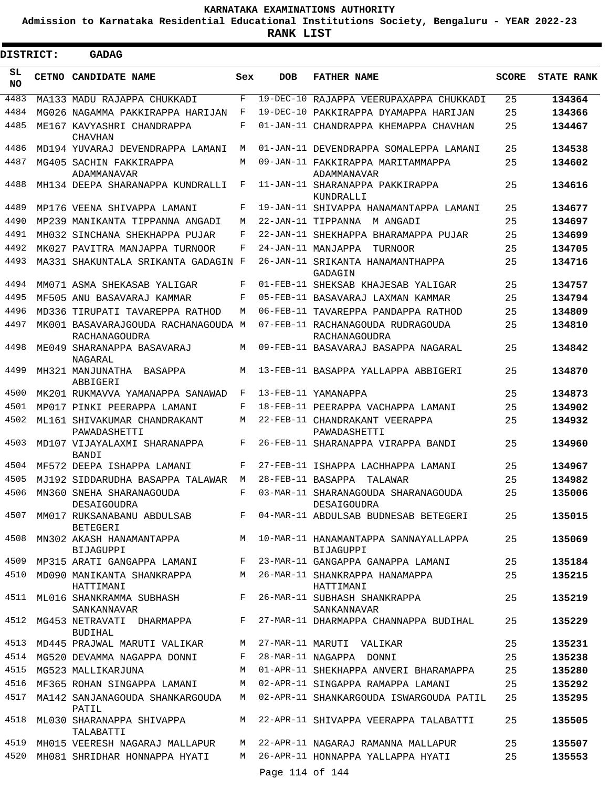**Admission to Karnataka Residential Educational Institutions Society, Bengaluru - YEAR 2022-23**

**RANK LIST**

| <b>DISTRICT:</b> | <b>GADAG</b>                                         |       |                   |                                                     |              |                   |
|------------------|------------------------------------------------------|-------|-------------------|-----------------------------------------------------|--------------|-------------------|
| SL<br><b>NO</b>  | CETNO CANDIDATE NAME                                 | Sex   | <b>DOB</b>        | <b>FATHER NAME</b>                                  | <b>SCORE</b> | <b>STATE RANK</b> |
| 4483             | MA133 MADU RAJAPPA CHUKKADI                          | F     |                   | 19-DEC-10 RAJAPPA VEERUPAXAPPA CHUKKADI             | 25           | 134364            |
| 4484             | MG026 NAGAMMA PAKKIRAPPA HARIJAN                     | F     |                   | 19-DEC-10 PAKKIRAPPA DYAMAPPA HARIJAN               | 25           | 134366            |
| 4485             | ME167 KAVYASHRI CHANDRAPPA<br><b>CHAVHAN</b>         | F     |                   | 01-JAN-11 CHANDRAPPA KHEMAPPA CHAVHAN               | 25           | 134467            |
| 4486             | MD194 YUVARAJ DEVENDRAPPA LAMANI                     | М     |                   | 01-JAN-11 DEVENDRAPPA SOMALEPPA LAMANI              | 25           | 134538            |
| 4487             | MG405 SACHIN FAKKIRAPPA<br>ADAMMANAVAR               | М     |                   | 09-JAN-11 FAKKIRAPPA MARITAMMAPPA<br>ADAMMANAVAR    | 25           | 134602            |
| 4488             | MH134 DEEPA SHARANAPPA KUNDRALLI                     | F     |                   | 11-JAN-11 SHARANAPPA PAKKIRAPPA<br>KUNDRALLI        | 25           | 134616            |
| 4489             | MP176 VEENA SHIVAPPA LAMANI                          | F     | 19-JAN-11         | SHIVAPPA HANAMANTAPPA LAMANI                        | 25           | 134677            |
| 4490             | MP239 MANIKANTA TIPPANNA ANGADI                      | М     |                   | 22-JAN-11 TIPPANNA<br>M ANGADI                      | 25           | 134697            |
| 4491             | MH032 SINCHANA SHEKHAPPA PUJAR                       | F     | 22-JAN-11         | SHEKHAPPA BHARAMAPPA PUJAR                          | 25           | 134699            |
| 4492             | MK027 PAVITRA MANJAPPA TURNOOR                       | F     |                   | 24-JAN-11 MANJAPPA<br>TURNOOR                       | 25           | 134705            |
| 4493             | MA331 SHAKUNTALA SRIKANTA GADAGIN F                  |       | 26-JAN-11         | SRIKANTA HANAMANTHAPPA<br>GADAGIN                   | 25           | 134716            |
| 4494             | MM071 ASMA SHEKASAB YALIGAR                          | F     |                   | 01-FEB-11 SHEKSAB KHAJESAB YALIGAR                  | 25           | 134757            |
| 4495             | MF505 ANU BASAVARAJ KAMMAR                           | F     |                   | 05-FEB-11 BASAVARAJ LAXMAN KAMMAR                   | 25           | 134794            |
| 4496             | MD336 TIRUPATI TAVAREPPA RATHOD                      | М     | 06-FEB-11         | TAVAREPPA PANDAPPA RATHOD                           | 25           | 134809            |
| 4497             | MK001 BASAVARAJGOUDA RACHANAGOUDA M<br>RACHANAGOUDRA |       |                   | 07-FEB-11 RACHANAGOUDA RUDRAGOUDA<br>RACHANAGOUDRA  | 25           | 134810            |
| 4498             | ME049 SHARANAPPA BASAVARAJ<br>NAGARAL                | M     |                   | 09-FEB-11 BASAVARAJ BASAPPA NAGARAL                 | 25           | 134842            |
| 4499             | MH321 MANJUNATHA<br>BASAPPA<br>ABBIGERI              | М     |                   | 13-FEB-11 BASAPPA YALLAPPA ABBIGERI                 | 25           | 134870            |
| 4500             | MK201 RUKMAVVA YAMANAPPA SANAWAD                     | F     |                   | 13-FEB-11 YAMANAPPA                                 | 25           | 134873            |
| 4501             | MP017 PINKI PEERAPPA LAMANI                          | F     |                   | 18-FEB-11 PEERAPPA VACHAPPA LAMANI                  | 25           | 134902            |
| 4502             | ML161 SHIVAKUMAR CHANDRAKANT<br>PAWADASHETTI         | М     |                   | 22-FEB-11 CHANDRAKANT VEERAPPA<br>PAWADASHETTI      | 25           | 134932            |
| 4503             | MD107 VIJAYALAXMI SHARANAPPA<br><b>BANDI</b>         | F     |                   | 26-FEB-11 SHARANAPPA VIRAPPA BANDI                  | 25           | 134960            |
| 4504             | MF572 DEEPA ISHAPPA LAMANI                           | F     |                   | 27-FEB-11 ISHAPPA LACHHAPPA LAMANI                  | 25           | 134967            |
| 4505             | MJ192 SIDDARUDHA BASAPPA TALAWAR                     | М     | 28-FEB-11 BASAPPA | TALAWAR                                             | 25           | 134982            |
|                  | 4506 MN360 SNEHA SHARANAGOUDA<br>DESAIGOUDRA         | F     |                   | 03-MAR-11 SHARANAGOUDA SHARANAGOUDA<br>DESAIGOUDRA  | 25           | 135006            |
| 4507             | MM017 RUKSANABANU ABDULSAB<br>BETEGERI               | F     |                   | 04-MAR-11 ABDULSAB BUDNESAB BETEGERI                | 25           | 135015            |
| 4508             | MN302 AKASH HANAMANTAPPA<br>BIJAGUPPI                |       |                   | M 10-MAR-11 HANAMANTAPPA SANNAYALLAPPA<br>BIJAGUPPI | 25           | 135069            |
| 4509             | MP315 ARATI GANGAPPA LAMANI                          | F     |                   | 23-MAR-11 GANGAPPA GANAPPA LAMANI                   | 25           | 135184            |
| 4510             | MD090 MANIKANTA SHANKRAPPA<br>HATTIMANI              | M     |                   | 26-MAR-11 SHANKRAPPA HANAMAPPA<br>HATTIMANI         | 25           | 135215            |
| 4511             | ML016 SHANKRAMMA SUBHASH<br>SANKANNAVAR              | $F -$ |                   | 26-MAR-11 SUBHASH SHANKRAPPA<br>SANKANNAVAR         | 25           | 135219            |
| 4512             | MG453 NETRAVATI DHARMAPPA<br><b>BUDIHAL</b>          | $F -$ |                   | 27-MAR-11 DHARMAPPA CHANNAPPA BUDIHAL               | 25           | 135229            |
| 4513             | MD445 PRAJWAL MARUTI VALIKAR                         | M     |                   | 27-MAR-11 MARUTI VALIKAR                            | 25           | 135231            |
|                  | 4514 MG520 DEVAMMA NAGAPPA DONNI                     | F     |                   | 28-MAR-11 NAGAPPA DONNI                             | 25           | 135238            |
|                  | 4515 MG523 MALLIKARJUNA                              | M     |                   | 01-APR-11 SHEKHAPPA ANVERI BHARAMAPPA               | 25           | 135280            |
| 4516             | MF365 ROHAN SINGAPPA LAMANI                          | M     |                   | 02-APR-11 SINGAPPA RAMAPPA LAMANI                   | 25           | 135292            |
| 4517             | MA142 SANJANAGOUDA SHANKARGOUDA<br>PATIL             | M     |                   | 02-APR-11 SHANKARGOUDA ISWARGOUDA PATIL             | 25           | 135295            |
|                  | 4518 ML030 SHARANAPPA SHIVAPPA<br>TALABATTI          | M     |                   | 22-APR-11 SHIVAPPA VEERAPPA TALABATTI               | 25           | 135505            |
| 4519             | MH015 VEERESH NAGARAJ MALLAPUR                       | M     |                   | 22-APR-11 NAGARAJ RAMANNA MALLAPUR                  | 25           | 135507            |
| 4520             | MH081 SHRIDHAR HONNAPPA HYATI                        | M     |                   | 26-APR-11 HONNAPPA YALLAPPA HYATI                   | 25           | 135553            |
|                  |                                                      |       | Page 114 of 144   |                                                     |              |                   |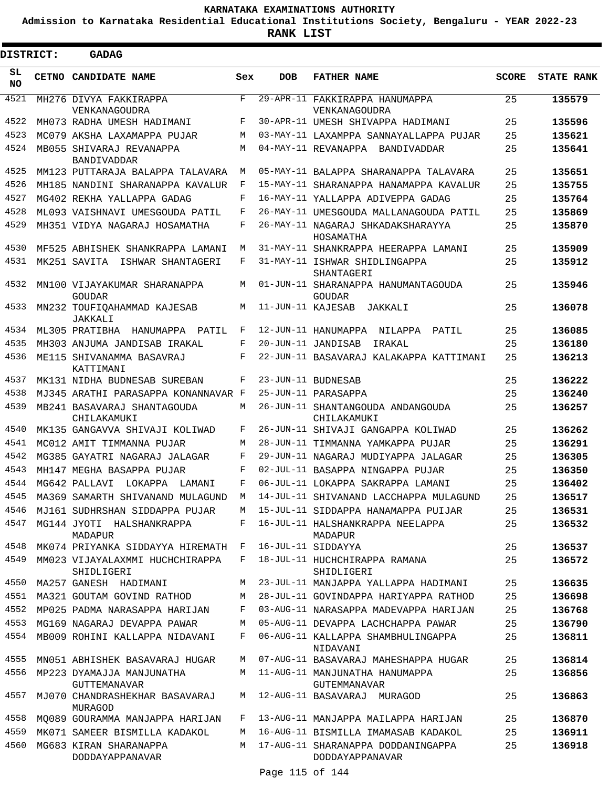**Admission to Karnataka Residential Educational Institutions Society, Bengaluru - YEAR 2022-23**

| <b>DISTRICT:</b> | <b>GADAG</b>                                   |     |                   |                                                                                |              |                   |
|------------------|------------------------------------------------|-----|-------------------|--------------------------------------------------------------------------------|--------------|-------------------|
| SL<br><b>NO</b>  | CETNO CANDIDATE NAME                           | Sex | <b>DOB</b>        | <b>FATHER NAME</b>                                                             | <b>SCORE</b> | <b>STATE RANK</b> |
| 4521             | MH276 DIVYA FAKKIRAPPA<br>VENKANAGOUDRA        | F   |                   | 29-APR-11 FAKKIRAPPA HANUMAPPA<br>VENKANAGOUDRA                                | 25           | 135579            |
| 4522             | MH073 RADHA UMESH HADIMANI                     | F   |                   | 30-APR-11 UMESH SHIVAPPA HADIMANI                                              | 25           | 135596            |
| 4523             | MC079 AKSHA LAXAMAPPA PUJAR                    | M   |                   | 03-MAY-11 LAXAMPPA SANNAYALLAPPA PUJAR                                         | 25           | 135621            |
| 4524             | MB055 SHIVARAJ REVANAPPA<br><b>BANDIVADDAR</b> | M   |                   | 04-MAY-11 REVANAPPA BANDIVADDAR                                                | 25           | 135641            |
| 4525             | MM123 PUTTARAJA BALAPPA TALAVARA               | M   |                   | 05-MAY-11 BALAPPA SHARANAPPA TALAVARA                                          | 25           | 135651            |
| 4526             | MH185 NANDINI SHARANAPPA KAVALUR               | F   |                   | 15-MAY-11 SHARANAPPA HANAMAPPA KAVALUR                                         | 25           | 135755            |
| 4527             | MG402 REKHA YALLAPPA GADAG                     | F   |                   | 16-MAY-11 YALLAPPA ADIVEPPA GADAG                                              | 25           | 135764            |
| 4528             | ML093 VAISHNAVI UMESGOUDA PATIL                | F   |                   | 26-MAY-11 UMESGOUDA MALLANAGOUDA PATIL                                         | 25           | 135869            |
| 4529             | MH351 VIDYA NAGARAJ HOSAMATHA                  | F   |                   | 26-MAY-11 NAGARAJ SHKADAKSHARAYYA<br>HOSAMATHA                                 | 25           | 135870            |
| 4530             | MF525 ABHISHEK SHANKRAPPA LAMANI               | M   |                   | 31-MAY-11 SHANKRAPPA HEERAPPA LAMANI                                           | 25           | 135909            |
| 4531             | MK251 SAVITA ISHWAR SHANTAGERI                 | F   |                   | 31-MAY-11 ISHWAR SHIDLINGAPPA<br>SHANTAGERI                                    | 25           | 135912            |
| 4532             | MN100 VIJAYAKUMAR SHARANAPPA<br><b>GOUDAR</b>  | М   |                   | 01-JUN-11 SHARANAPPA HANUMANTAGOUDA<br><b>GOUDAR</b>                           | 25           | 135946            |
| 4533             | MN232 TOUFIQAHAMMAD KAJESAB<br>JAKKALI         | M   | 11-JUN-11 KAJESAB | JAKKALI                                                                        | 25           | 136078            |
| 4534             | ML305 PRATIBHA<br>HANUMAPPA<br>PATIL           | F   |                   | 12-JUN-11 HANUMAPPA NILAPPA<br>PATIL                                           | 25           | 136085            |
| 4535             | MH303 ANJUMA JANDISAB IRAKAL                   | F   |                   | 20-JUN-11 JANDISAB<br>IRAKAL                                                   | 25           | 136180            |
| 4536             | ME115 SHIVANAMMA BASAVRAJ<br>KATTIMANI         | F   |                   | 22-JUN-11 BASAVARAJ KALAKAPPA KATTIMANI                                        | 25           | 136213            |
| 4537             | MK131 NIDHA BUDNESAB SUREBAN                   | F   |                   | 23-JUN-11 BUDNESAB                                                             | 25           | 136222            |
| 4538             | MJ345 ARATHI PARASAPPA KONANNAVAR F            |     |                   | 25-JUN-11 PARASAPPA                                                            | 25           | 136240            |
| 4539             | MB241 BASAVARAJ SHANTAGOUDA<br>CHILAKAMUKI     | M   |                   | 26-JUN-11 SHANTANGOUDA ANDANGOUDA<br>CHILAKAMUKI                               | 25           | 136257            |
| 4540             | MK135 GANGAVVA SHIVAJI KOLIWAD                 | F   |                   | 26-JUN-11 SHIVAJI GANGAPPA KOLIWAD                                             | 25           | 136262            |
| 4541             | MC012 AMIT TIMMANNA PUJAR                      | M   |                   | 28-JUN-11 TIMMANNA YAMKAPPA PUJAR                                              | 25           | 136291            |
| 4542             | MG385 GAYATRI NAGARAJ JALAGAR                  | F   |                   | 29-JUN-11 NAGARAJ MUDIYAPPA JALAGAR                                            | 25           | 136305            |
| 4543             | MH147 MEGHA BASAPPA PUJAR                      | F   |                   | 02-JUL-11 BASAPPA NINGAPPA PUJAR                                               | 25           | 136350            |
| 4544             | LOKAPPA LAMANI<br>MG642 PALLAVI                | F   |                   | 06-JUL-11 LOKAPPA SAKRAPPA LAMANI                                              | 25           | 136402            |
|                  |                                                |     |                   | 4545 MA369 SAMARTH SHIVANAND MULAGUND M 14-JUL-11 SHIVANAND LACCHAPPA MULAGUND | 25           | 136517            |
| 4546             | MJ161 SUDHRSHAN SIDDAPPA PUJAR                 | M   |                   | 15-JUL-11 SIDDAPPA HANAMAPPA PUIJAR                                            | 25           | 136531            |
| 4547             | MG144 JYOTI HALSHANKRAPPA<br>MADAPUR           | F   |                   | 16-JUL-11 HALSHANKRAPPA NEELAPPA<br>MADAPUR                                    | 25           | 136532            |
| 4548             | MK074 PRIYANKA SIDDAYYA HIREMATH               | F   |                   | 16-JUL-11 SIDDAYYA                                                             | 25           | 136537            |
| 4549             | MM023 VIJAYALAXMMI HUCHCHIRAPPA<br>SHIDLIGERI  | F   |                   | 18-JUL-11 HUCHCHIRAPPA RAMANA<br>SHIDLIGERI                                    | 25           | 136572            |
| 4550             | MA257 GANESH HADIMANI                          | М   |                   | 23-JUL-11 MANJAPPA YALLAPPA HADIMANI                                           | 25           | 136635            |
| 4551             | MA321 GOUTAM GOVIND RATHOD                     | М   |                   | 28-JUL-11 GOVINDAPPA HARIYAPPA RATHOD                                          | 25           | 136698            |
| 4552             | MP025 PADMA NARASAPPA HARIJAN                  | F   |                   | 03-AUG-11 NARASAPPA MADEVAPPA HARIJAN                                          | 25           | 136768            |
| 4553             | MG169 NAGARAJ DEVAPPA PAWAR                    | M   |                   | 05-AUG-11 DEVAPPA LACHCHAPPA PAWAR                                             | 25           | 136790            |
| 4554             | MB009 ROHINI KALLAPPA NIDAVANI                 | F   |                   | 06-AUG-11 KALLAPPA SHAMBHULINGAPPA<br>NIDAVANI                                 | 25           | 136811            |
| 4555             | MN051 ABHISHEK BASAVARAJ HUGAR                 | М   |                   | 07-AUG-11 BASAVARAJ MAHESHAPPA HUGAR                                           | 25           | 136814            |
| 4556             | MP223 DYAMAJJA MANJUNATHA<br>GUTTEMANAVAR      | M   |                   | 11-AUG-11 MANJUNATHA HANUMAPPA<br>GUTEMMANAVAR                                 | 25           | 136856            |
| 4557             | MJ070 CHANDRASHEKHAR BASAVARAJ<br>MURAGOD      | M   |                   | 12-AUG-11 BASAVARAJ MURAGOD                                                    | 25           | 136863            |
| 4558             | MO089 GOURAMMA MANJAPPA HARIJAN                | F   |                   | 13-AUG-11 MANJAPPA MAILAPPA HARIJAN                                            | 25           | 136870            |
| 4559             | MK071 SAMEER BISMILLA KADAKOL                  | М   |                   | 16-AUG-11 BISMILLA IMAMASAB KADAKOL                                            | 25           | 136911            |
| 4560             | MG683 KIRAN SHARANAPPA<br>DODDAYAPPANAVAR      | M   |                   | 17-AUG-11 SHARANAPPA DODDANINGAPPA<br>DODDAYAPPANAVAR                          | 25           | 136918            |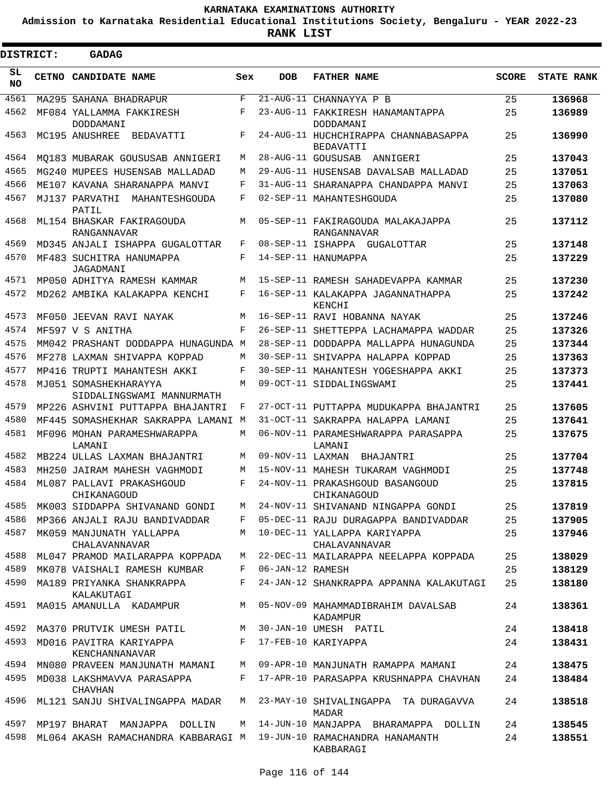**Admission to Karnataka Residential Educational Institutions Society, Bengaluru - YEAR 2022-23**

| <b>DISTRICT:</b> |  | GADAG                                                                    |            |                    |                                                                          |              |                   |
|------------------|--|--------------------------------------------------------------------------|------------|--------------------|--------------------------------------------------------------------------|--------------|-------------------|
| SL<br><b>NO</b>  |  | <b>CETNO CANDIDATE NAME</b>                                              | Sex        | <b>DOB</b>         | <b>FATHER NAME</b>                                                       | <b>SCORE</b> | <b>STATE RANK</b> |
| 4561             |  | MA295 SAHANA BHADRAPUR                                                   | $_{\rm F}$ |                    | 21-AUG-11 CHANNAYYA P B                                                  | 25           | 136968            |
| 4562             |  | MF084 YALLAMMA FAKKIRESH<br>DODDAMANI                                    | F          |                    | 23-AUG-11 FAKKIRESH HANAMANTAPPA<br>DODDAMANI                            | 25           | 136989            |
| 4563             |  | MC195 ANUSHREE<br>BEDAVATTI                                              | F          |                    | 24-AUG-11 HUCHCHIRAPPA CHANNABASAPPA<br>BEDAVATTI                        | 25           | 136990            |
| 4564             |  | MO183 MUBARAK GOUSUSAB ANNIGERI                                          | М          |                    | 28-AUG-11 GOUSUSAB<br>ANNIGERI                                           | 25           | 137043            |
| 4565             |  | MG240 MUPEES HUSENSAB MALLADAD                                           | М          |                    | 29-AUG-11 HUSENSAB DAVALSAB MALLADAD                                     | 25           | 137051            |
| 4566             |  | ME107 KAVANA SHARANAPPA MANVI                                            | F          |                    | 31-AUG-11 SHARANAPPA CHANDAPPA MANVI                                     | 25           | 137063            |
| 4567             |  | MJ137 PARVATHI<br>MAHANTESHGOUDA<br>PATIL                                | F          |                    | 02-SEP-11 MAHANTESHGOUDA                                                 | 25           | 137080            |
| 4568             |  | ML154 BHASKAR FAKIRAGOUDA<br>RANGANNAVAR                                 | М          |                    | 05-SEP-11 FAKIRAGOUDA MALAKAJAPPA<br>RANGANNAVAR                         | 25           | 137112            |
| 4569             |  | MD345 ANJALI ISHAPPA GUGALOTTAR                                          | F          |                    | 08-SEP-11 ISHAPPA GUGALOTTAR                                             | 25           | 137148            |
| 4570             |  | MF483 SUCHITRA HANUMAPPA<br>JAGADMANI                                    | F          |                    | 14-SEP-11 HANUMAPPA                                                      | 25           | 137229            |
| 4571             |  | MP050 ADHITYA RAMESH KAMMAR                                              | М          |                    | 15-SEP-11 RAMESH SAHADEVAPPA KAMMAR                                      | 25           | 137230            |
| 4572             |  | MD262 AMBIKA KALAKAPPA KENCHI                                            | F          |                    | 16-SEP-11 KALAKAPPA JAGANNATHAPPA<br>KENCHI                              | 25           | 137242            |
| 4573             |  | MF050 JEEVAN RAVI NAYAK                                                  | M          |                    | 16-SEP-11 RAVI HOBANNA NAYAK                                             | 25           | 137246            |
| 4574             |  | MF597 V S ANITHA                                                         | F          |                    | 26-SEP-11 SHETTEPPA LACHAMAPPA WADDAR                                    | 25           | 137326            |
| 4575             |  | MM042 PRASHANT DODDAPPA HUNAGUNDA M                                      |            |                    | 28-SEP-11 DODDAPPA MALLAPPA HUNAGUNDA                                    | 25           | 137344            |
| 4576             |  | MF278 LAXMAN SHIVAPPA KOPPAD                                             | М          |                    | 30-SEP-11 SHIVAPPA HALAPPA KOPPAD                                        | 25           | 137363            |
| 4577             |  | MP416 TRUPTI MAHANTESH AKKI                                              | F          |                    | 30-SEP-11 MAHANTESH YOGESHAPPA AKKI                                      | 25           | 137373            |
| 4578             |  | MJ051 SOMASHEKHARAYYA<br>SIDDALINGSWAMI MANNURMATH                       | M          |                    | 09-OCT-11 SIDDALINGSWAMI                                                 | 25           | 137441            |
| 4579             |  | MP226 ASHVINI PUTTAPPA BHAJANTRI                                         | F          |                    | 27-OCT-11 PUTTAPPA MUDUKAPPA BHAJANTRI                                   | 25           | 137605            |
| 4580             |  | MF445 SOMASHEKHAR SAKRAPPA LAMANI M                                      |            |                    | 31-OCT-11 SAKRAPPA HALAPPA LAMANI                                        | 25           | 137641            |
| 4581             |  | MF096 MOHAN PARAMESHWARAPPA<br>LAMANI                                    | M          |                    | 06-NOV-11 PARAMESHWARAPPA PARASAPPA<br>LAMANI                            | 25           | 137675            |
| 4582             |  | MB224 ULLAS LAXMAN BHAJANTRI                                             | M          | 09-NOV-11 LAXMAN   | BHAJANTRI                                                                | 25           | 137704            |
| 4583             |  | MH250 JAIRAM MAHESH VAGHMODI                                             | М          |                    | 15-NOV-11 MAHESH TUKARAM VAGHMODI                                        | 25           | 137748            |
| 4584             |  | ML087 PALLAVI PRAKASHGOUD<br>CHIKANAGOUD                                 | F          |                    | 24-NOV-11 PRAKASHGOUD BASANGOUD<br>CHIKANAGOUD                           | 25           | 137815            |
| 4585             |  | MK003 SIDDAPPA SHIVANAND GONDI                                           | M          |                    | 24-NOV-11 SHIVANAND NINGAPPA GONDI                                       | 25           | 137819            |
| 4586             |  | MP366 ANJALI RAJU BANDIVADDAR                                            |            |                    | F 05-DEC-11 RAJU DURAGAPPA BANDIVADDAR                                   | 25           | 137905            |
| 4587             |  | MK059 MANJUNATH YALLAPPA<br>CHALAVANNAVAR                                |            |                    | M 10-DEC-11 YALLAPPA KARIYAPPA<br>CHALAVANNAVAR                          | 25           | 137946            |
| 4588             |  | ML047 PRAMOD MAILARAPPA KOPPADA                                          |            |                    | M 22-DEC-11 MAILARAPPA NEELAPPA KOPPADA                                  | 25           | 138029            |
|                  |  | 4589 MK078 VAISHALI RAMESH KUMBAR                                        |            | F 06-JAN-12 RAMESH |                                                                          | 25           | 138129            |
| 4590             |  | MA189 PRIYANKA SHANKRAPPA<br>KALAKUTAGI                                  | F          |                    | 24-JAN-12 SHANKRAPPA APPANNA KALAKUTAGI                                  | 25           | 138180            |
|                  |  | 4591 MA015 AMANULLA KADAMPUR                                             |            |                    | M 05-NOV-09 MAHAMMADIBRAHIM DAVALSAB<br>KADAMPUR                         | 24           | 138361            |
|                  |  | 4592 MA370 PRUTVIK UMESH PATIL M 30-JAN-10 UMESH PATIL                   |            |                    |                                                                          | 24           | 138418            |
|                  |  | 4593 MD016 PAVITRA KARIYAPPA<br>KENCHANNANAVAR                           |            |                    | F 17-FEB-10 KARIYAPPA                                                    | 24           | 138431            |
|                  |  |                                                                          |            |                    | 4594 MN080 PRAVEEN MANJUNATH MAMANI M 09-APR-10 MANJUNATH RAMAPPA MAMANI | 24           | 138475            |
|                  |  | 4595 MD038 LAKSHMAVVA PARASAPPA<br>CHAVHAN                               |            |                    | F 17-APR-10 PARASAPPA KRUSHNAPPA CHAVHAN                                 | 24           | 138484            |
| 4596             |  | ML121 SANJU SHIVALINGAPPA MADAR                                          |            |                    | M 23-MAY-10 SHIVALINGAPPA TA DURAGAVVA<br>MADAR                          | 24           | 138518            |
|                  |  | 4597 MP197 BHARAT MANJAPPA DOLLIN                                        |            |                    | M 14-JUN-10 MANJAPPA BHARAMAPPA DOLLIN                                   | 24           | 138545            |
|                  |  | 4598 ML064 AKASH RAMACHANDRA KABBARAGI M 19-JUN-10 RAMACHANDRA HANAMANTH |            |                    | KABBARAGI                                                                | 24           | 138551            |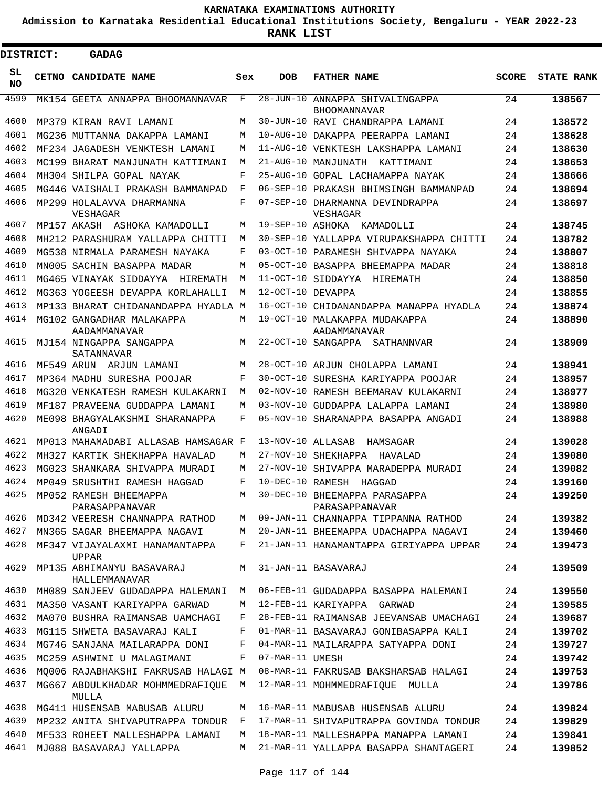**Admission to Karnataka Residential Educational Institutions Society, Bengaluru - YEAR 2022-23**

**RANK LIST**

Е

| <b>DISTRICT:</b> | <b>GADAG</b>                                                            |        |                   |                                                                                |              |                   |
|------------------|-------------------------------------------------------------------------|--------|-------------------|--------------------------------------------------------------------------------|--------------|-------------------|
| SL<br><b>NO</b>  | <b>CETNO CANDIDATE NAME</b>                                             | Sex    | <b>DOB</b>        | <b>FATHER NAME</b>                                                             | <b>SCORE</b> | <b>STATE RANK</b> |
| 4599             | MK154 GEETA ANNAPPA BHOOMANNAVAR                                        | F      |                   | 28-JUN-10 ANNAPPA SHIVALINGAPPA<br><b>BHOOMANNAVAR</b>                         | 24           | 138567            |
| 4600             | MP379 KIRAN RAVI LAMANI                                                 | М      |                   | 30-JUN-10 RAVI CHANDRAPPA LAMANI                                               | 24           | 138572            |
| 4601             | MG236 MUTTANNA DAKAPPA LAMANI                                           | M      |                   | 10-AUG-10 DAKAPPA PEERAPPA LAMANI                                              | 24           | 138628            |
| 4602             | MF234 JAGADESH VENKTESH LAMANI                                          | M      |                   | 11-AUG-10 VENKTESH LAKSHAPPA LAMANI                                            | 24           | 138630            |
| 4603             | MC199 BHARAT MANJUNATH KATTIMANI                                        | M      |                   | 21-AUG-10 MANJUNATH KATTIMANI                                                  | 24           | 138653            |
| 4604             | MH304 SHILPA GOPAL NAYAK                                                | F      |                   | 25-AUG-10 GOPAL LACHAMAPPA NAYAK                                               | 24           | 138666            |
| 4605             | MG446 VAISHALI PRAKASH BAMMANPAD                                        | F      |                   | 06-SEP-10 PRAKASH BHIMSINGH BAMMANPAD                                          | 24           | 138694            |
| 4606             | MP299 HOLALAVVA DHARMANNA<br>VESHAGAR                                   | F      |                   | 07-SEP-10 DHARMANNA DEVINDRAPPA<br>VESHAGAR                                    | 24           | 138697            |
| 4607             | MP157 AKASH ASHOKA KAMADOLLI                                            | M      | 19-SEP-10 ASHOKA  | KAMADOLLI                                                                      | 24           | 138745            |
| 4608             | MH212 PARASHURAM YALLAPPA CHITTI                                        | M      |                   | 30-SEP-10 YALLAPPA VIRUPAKSHAPPA CHITTI                                        | 24           | 138782            |
| 4609             | MG538 NIRMALA PARAMESH NAYAKA                                           | F      |                   | 03-OCT-10 PARAMESH SHIVAPPA NAYAKA                                             | 24           | 138807            |
| 4610             | MN005 SACHIN BASAPPA MADAR                                              | M      |                   | 05-OCT-10 BASAPPA BHEEMAPPA MADAR                                              | 24           | 138818            |
| 4611             | MG465 VINAYAK SIDDAYYA<br>HIREMATH                                      | M      |                   | 11-OCT-10 SIDDAYYA<br>HIREMATH                                                 | 24           | 138850            |
| 4612             | MG363 YOGEESH DEVAPPA KORLAHALLI                                        | M      | 12-OCT-10 DEVAPPA |                                                                                | 24           | 138855            |
| 4613             | MP133 BHARAT CHIDANANDAPPA HYADLA M                                     |        |                   | 16-OCT-10 CHIDANANDAPPA MANAPPA HYADLA                                         | 24           | 138874            |
| 4614<br>4615     | MG102 GANGADHAR MALAKAPPA<br>AADAMMANAVAR<br>MJ154 NINGAPPA SANGAPPA    | M<br>М |                   | 19-OCT-10 MALAKAPPA MUDAKAPPA<br>AADAMMANAVAR<br>22-OCT-10 SANGAPPA SATHANNVAR | 24<br>24     | 138890<br>138909  |
|                  | SATANNAVAR                                                              |        |                   |                                                                                |              |                   |
| 4616             | MF549 ARUN ARJUN LAMANI                                                 | M      |                   | 28-OCT-10 ARJUN CHOLAPPA LAMANI                                                | 24           | 138941            |
| 4617             | MP364 MADHU SURESHA POOJAR                                              | F      |                   | 30-OCT-10 SURESHA KARIYAPPA POOJAR                                             | 24           | 138957            |
| 4618             | MG320 VENKATESH RAMESH KULAKARNI                                        | M      |                   | 02-NOV-10 RAMESH BEEMARAV KULAKARNI                                            | 24           | 138977            |
| 4619             | MF187 PRAVEENA GUDDAPPA LAMANI                                          | M      |                   | 03-NOV-10 GUDDAPPA LALAPPA LAMANI                                              | 24           | 138980            |
| 4620             | ME098 BHAGYALAKSHMI SHARANAPPA<br>ANGADI                                | F      |                   | 05-NOV-10 SHARANAPPA BASAPPA ANGADI                                            | 24           | 138988            |
| 4621             | MP013 MAHAMADABI ALLASAB HAMSAGAR F                                     |        | 13-NOV-10 ALLASAB | HAMSAGAR                                                                       | 24           | 139028            |
| 4622             | MH327 KARTIK SHEKHAPPA HAVALAD                                          | M      |                   | 27-NOV-10 SHEKHAPPA<br>HAVALAD                                                 | 24           | 139080            |
| 4623             | MG023 SHANKARA SHIVAPPA MURADI                                          | M      |                   | 27-NOV-10 SHIVAPPA MARADEPPA MURADI                                            | 24           | 139082            |
| 4624             | MP049 SRUSHTHI RAMESH HAGGAD                                            | F      | 10-DEC-10 RAMESH  | HAGGAD                                                                         | 24           | 139160            |
| 4625             | MP052 RAMESH BHEEMAPPA<br>PARASAPPANAVAR                                | M      |                   | 30-DEC-10 BHEEMAPPA PARASAPPA<br>PARASAPPANAVAR                                | 24           | 139250            |
| 4626             | MD342 VEERESH CHANNAPPA RATHOD                                          | M      |                   | 09-JAN-11 CHANNAPPA TIPPANNA RATHOD                                            | 24           | 139382            |
| 4627             | MN365 SAGAR BHEEMAPPA NAGAVI                                            | М      |                   | 20-JAN-11 BHEEMAPPA UDACHAPPA NAGAVI                                           | 24           | 139460            |
| 4628             | MF347 VIJAYALAXMI HANAMANTAPPA<br><b>UPPAR</b>                          | F      |                   | 21-JAN-11 HANAMANTAPPA GIRIYAPPA UPPAR                                         | 24           | 139473            |
| 4629             | MP135 ABHIMANYU BASAVARAJ<br>HALLEMMANAVAR                              | M      |                   | 31-JAN-11 BASAVARAJ                                                            | 24           | 139509            |
| 4630<br>4631     | MH089 SANJEEV GUDADAPPA HALEMANI                                        | М      |                   | 06-FEB-11 GUDADAPPA BASAPPA HALEMANI                                           | 24           | 139550            |
|                  | MA350 VASANT KARIYAPPA GARWAD                                           | М      |                   | 12-FEB-11 KARIYAPPA GARWAD                                                     | 24           | 139585            |
| 4632             | MA070 BUSHRA RAIMANSAB UAMCHAGI                                         | F      |                   | 28-FEB-11 RAIMANSAB JEEVANSAB UMACHAGI                                         | 24           | 139687            |
| 4633             | MG115 SHWETA BASAVARAJ KALI                                             | F      |                   | 01-MAR-11 BASAVARAJ GONIBASAPPA KALI                                           | 24           | 139702            |
| 4634             | MG746 SANJANA MAILARAPPA DONI                                           | F      |                   | 04-MAR-11 MAILARAPPA SATYAPPA DONI                                             | 24           | 139727            |
| 4635<br>4636     | MC259 ASHWINI U MALAGIMANI                                              | F      | 07-MAR-11 UMESH   |                                                                                | 24           | 139742            |
| 4637             | MQ006 RAJABHAKSHI FAKRUSAB HALAGI M<br>MG667 ABDULKHADAR MOHMMEDRAFIQUE | М      |                   | 08-MAR-11 FAKRUSAB BAKSHARSAB HALAGI                                           | 24           | 139753            |
|                  | MULLA                                                                   |        |                   | 12-MAR-11 MOHMMEDRAFIQUE MULLA                                                 | 24           | 139786            |
| 4638             | MG411 HUSENSAB MABUSAB ALURU                                            | M      |                   | 16-MAR-11 MABUSAB HUSENSAB ALURU                                               | 24           | 139824            |
| 4639             | MP232 ANITA SHIVAPUTRAPPA TONDUR                                        | F      |                   | 17-MAR-11 SHIVAPUTRAPPA GOVINDA TONDUR                                         | 24           | 139829            |
| 4640             | MF533 ROHEET MALLESHAPPA LAMANI                                         | M      |                   | 18-MAR-11 MALLESHAPPA MANAPPA LAMANI                                           | 24           | 139841            |
| 4641             | MJ088 BASAVARAJ YALLAPPA                                                | М      |                   | 21-MAR-11 YALLAPPA BASAPPA SHANTAGERI                                          | 24           | 139852            |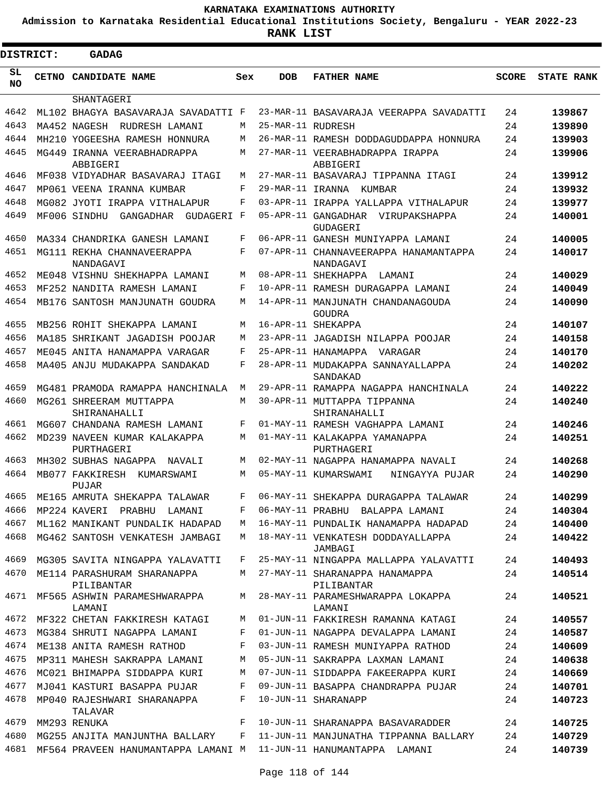**Admission to Karnataka Residential Educational Institutions Society, Bengaluru - YEAR 2022-23**

ı

| <b>DISTRICT:</b> |  | <b>GADAG</b>                               |     |                   |                                                    |              |                   |
|------------------|--|--------------------------------------------|-----|-------------------|----------------------------------------------------|--------------|-------------------|
| SL<br>NO.        |  | CETNO CANDIDATE NAME                       | Sex | <b>DOB</b>        | <b>FATHER NAME</b>                                 | <b>SCORE</b> | <b>STATE RANK</b> |
|                  |  | SHANTAGERI                                 |     |                   |                                                    |              |                   |
| 4642             |  | ML102 BHAGYA BASAVARAJA SAVADATTI F        |     |                   | 23-MAR-11 BASAVARAJA VEERAPPA SAVADATTI            | 24           | 139867            |
| 4643             |  | MA452 NAGESH<br>RUDRESH LAMANI             | М   | 25-MAR-11 RUDRESH |                                                    | 24           | 139890            |
| 4644             |  | MH210 YOGEESHA RAMESH HONNURA              | M   |                   | 26-MAR-11 RAMESH DODDAGUDDAPPA HONNURA             | 24           | 139903            |
| 4645             |  | MG449 IRANNA VEERABHADRAPPA<br>ABBIGERI    | M   |                   | 27-MAR-11 VEERABHADRAPPA IRAPPA<br>ABBIGERI        | 24           | 139906            |
| 4646             |  | MF038 VIDYADHAR BASAVARAJ ITAGI            | M   |                   | 27-MAR-11 BASAVARAJ TIPPANNA ITAGI                 | 24           | 139912            |
| 4647             |  | MP061 VEENA IRANNA KUMBAR                  | F   |                   | 29-MAR-11 IRANNA KUMBAR                            | 24           | 139932            |
| 4648             |  | MG082 JYOTI IRAPPA VITHALAPUR              | F   |                   | 03-APR-11 IRAPPA YALLAPPA VITHALAPUR               | 24           | 139977            |
| 4649             |  | MF006 SINDHU<br>GANGADHAR<br>GUDAGERI F    |     |                   | 05-APR-11 GANGADHAR VIRUPAKSHAPPA<br>GUDAGERI      | 24           | 140001            |
| 4650             |  | MA334 CHANDRIKA GANESH LAMANI              | F   |                   | 06-APR-11 GANESH MUNIYAPPA LAMANI                  | 24           | 140005            |
| 4651             |  | MG111 REKHA CHANNAVEERAPPA<br>NANDAGAVI    | F   |                   | 07-APR-11 CHANNAVEERAPPA HANAMANTAPPA<br>NANDAGAVI | 24           | 140017            |
| 4652             |  | ME048 VISHNU SHEKHAPPA LAMANI              | M   |                   | 08-APR-11 SHEKHAPPA<br>LAMANI                      | 24           | 140029            |
| 4653             |  | MF252 NANDITA RAMESH LAMANI                | F   |                   | 10-APR-11 RAMESH DURAGAPPA LAMANI                  | 24           | 140049            |
| 4654             |  | MB176 SANTOSH MANJUNATH GOUDRA             | M   |                   | 14-APR-11 MANJUNATH CHANDANAGOUDA<br>GOUDRA        | 24           | 140090            |
| 4655             |  | MB256 ROHIT SHEKAPPA LAMANI                | M   |                   | 16-APR-11 SHEKAPPA                                 | 24           | 140107            |
| 4656             |  | MA185 SHRIKANT JAGADISH POOJAR             | M   |                   | 23-APR-11 JAGADISH NILAPPA POOJAR                  | 24           | 140158            |
| 4657             |  | ME045 ANITA HANAMAPPA VARAGAR              | F   |                   | 25-APR-11 HANAMAPPA VARAGAR                        | 24           | 140170            |
| 4658             |  | MA405 ANJU MUDAKAPPA SANDAKAD              | F   |                   | 28-APR-11 MUDAKAPPA SANNAYALLAPPA<br>SANDAKAD      | 24           | 140202            |
| 4659             |  | MG481 PRAMODA RAMAPPA HANCHINALA           | M   |                   | 29-APR-11 RAMAPPA NAGAPPA HANCHINALA               | 24           | 140222            |
| 4660             |  | MG261 SHREERAM MUTTAPPA<br>SHIRANAHALLI    | M   |                   | 30-APR-11 MUTTAPPA TIPPANNA<br>SHIRANAHALLI        | 24           | 140240            |
| 4661             |  | MG607 CHANDANA RAMESH LAMANI               | F   |                   | 01-MAY-11 RAMESH VAGHAPPA LAMANI                   | 24           | 140246            |
| 4662             |  | MD239 NAVEEN KUMAR KALAKAPPA<br>PURTHAGERI | M   |                   | 01-MAY-11 KALAKAPPA YAMANAPPA<br>PURTHAGERI        | 24           | 140251            |
| 4663             |  | MH302 SUBHAS NAGAPPA NAVALI                | M   |                   | 02-MAY-11 NAGAPPA HANAMAPPA NAVALI                 | 24           | 140268            |
| 4664             |  | MB077 FAKKIRESH KUMARSWAMI<br>PUJAR        | M   |                   | 05-MAY-11 KUMARSWAMI<br>NINGAYYA PUJAR             | 24           | 140290            |
| 4665             |  | ME165 AMRUTA SHEKAPPA TALAWAR              | F   |                   | 06-MAY-11 SHEKAPPA DURAGAPPA TALAWAR               | 24           | 140299            |
| 4666             |  | MP224 KAVERI PRABHU LAMANI                 | F   |                   | 06-MAY-11 PRABHU BALAPPA LAMANI                    | 24           | 140304            |
| 4667             |  | ML162 MANIKANT PUNDALIK HADAPAD            | M   |                   | 16-MAY-11 PUNDALIK HANAMAPPA HADAPAD               | 24           | 140400            |
| 4668             |  | MG462 SANTOSH VENKATESH JAMBAGI            | M   |                   | 18-MAY-11 VENKATESH DODDAYALLAPPA<br>JAMBAGI       | 24           | 140422            |
| 4669             |  | MG305 SAVITA NINGAPPA YALAVATTI            | F   |                   | 25-MAY-11 NINGAPPA MALLAPPA YALAVATTI              | 24           | 140493            |
| 4670             |  | ME114 PARASHURAM SHARANAPPA<br>PILIBANTAR  | M   |                   | 27-MAY-11 SHARANAPPA HANAMAPPA<br>PILIBANTAR       | 24           | 140514            |
| 4671             |  | MF565 ASHWIN PARAMESHWARAPPA<br>LAMANI     | M   |                   | 28-MAY-11 PARAMESHWARAPPA LOKAPPA<br>LAMANI        | 24           | 140521            |
| 4672             |  | MF322 CHETAN FAKKIRESH KATAGI              | М   |                   | 01-JUN-11 FAKKIRESH RAMANNA KATAGI                 | 24           | 140557            |
| 4673             |  | MG384 SHRUTI NAGAPPA LAMANI                | F   |                   | 01-JUN-11 NAGAPPA DEVALAPPA LAMANI                 | 24           | 140587            |
| 4674             |  | ME138 ANITA RAMESH RATHOD                  | F   |                   | 03-JUN-11 RAMESH MUNIYAPPA RATHOD                  | 24           | 140609            |
| 4675             |  | MP311 MAHESH SAKRAPPA LAMANI               | М   |                   | 05-JUN-11 SAKRAPPA LAXMAN LAMANI                   | 24           | 140638            |
| 4676             |  | MC021 BHIMAPPA SIDDAPPA KURI               | М   |                   | 07-JUN-11 SIDDAPPA FAKEERAPPA KURI                 | 24           | 140669            |
| 4677             |  | MJ041 KASTURI BASAPPA PUJAR                | F   |                   | 09-JUN-11 BASAPPA CHANDRAPPA PUJAR                 | 24           | 140701            |
| 4678             |  | MP040 RAJESHWARI SHARANAPPA<br>TALAVAR     | F   |                   | 10-JUN-11 SHARANAPP                                | 24           | 140723            |
| 4679             |  | MM293 RENUKA                               | F   |                   | 10-JUN-11 SHARANAPPA BASAVARADDER                  | 24           | 140725            |
| 4680             |  | MG255 ANJITA MANJUNTHA BALLARY             | F   |                   | 11-JUN-11 MANJUNATHA TIPPANNA BALLARY              | 24           | 140729            |
|                  |  | 4681 MF564 PRAVEEN HANUMANTAPPA LAMANI M   |     |                   | 11-JUN-11 HANUMANTAPPA LAMANI                      | 24           | 140739            |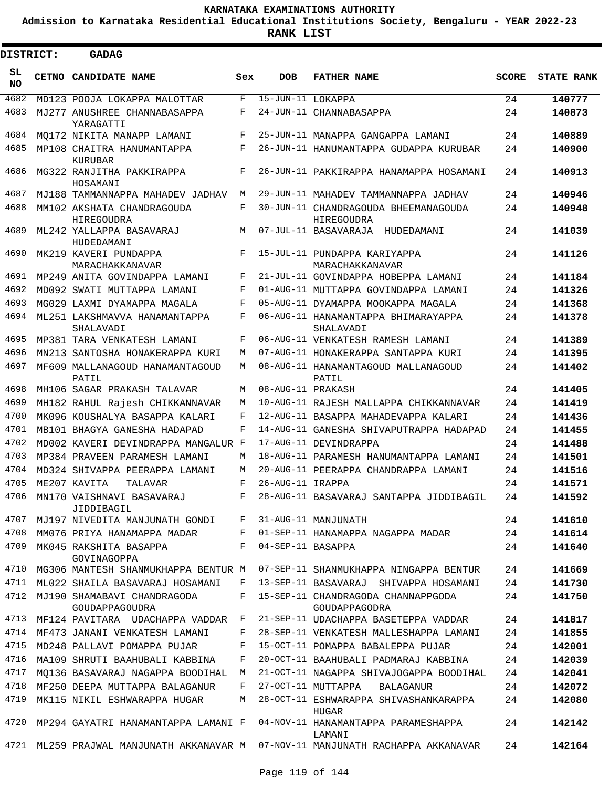**Admission to Karnataka Residential Educational Institutions Society, Bengaluru - YEAR 2022-23**

| <b>DISTRICT:</b> | <b>GADAG</b>                                    |       |                   |                                                                            |              |                   |
|------------------|-------------------------------------------------|-------|-------------------|----------------------------------------------------------------------------|--------------|-------------------|
| SL<br><b>NO</b>  | CETNO CANDIDATE NAME                            | Sex   | <b>DOB</b>        | <b>FATHER NAME</b>                                                         | <b>SCORE</b> | <b>STATE RANK</b> |
| 4682             | MD123 POOJA LOKAPPA MALOTTAR                    | F     | 15-JUN-11 LOKAPPA |                                                                            | 24           | 140777            |
| 4683             | MJ277 ANUSHREE CHANNABASAPPA<br>YARAGATTI       | F     |                   | 24-JUN-11 CHANNABASAPPA                                                    | 24           | 140873            |
| 4684             | MO172 NIKITA MANAPP LAMANI                      | F     |                   | 25-JUN-11 MANAPPA GANGAPPA LAMANI                                          | 24           | 140889            |
| 4685             | MP108 CHAITRA HANUMANTAPPA<br>KURUBAR           | F     |                   | 26-JUN-11 HANUMANTAPPA GUDAPPA KURUBAR                                     | 24           | 140900            |
| 4686             | MG322 RANJITHA PAKKIRAPPA<br>HOSAMANI           | F     |                   | 26-JUN-11 PAKKIRAPPA HANAMAPPA HOSAMANI                                    | 24           | 140913            |
| 4687             | MJ188 TAMMANNAPPA MAHADEV JADHAV                | M     |                   | 29-JUN-11 MAHADEV TAMMANNAPPA JADHAV                                       | 24           | 140946            |
| 4688             | MM102 AKSHATA CHANDRAGOUDA<br><b>HIREGOUDRA</b> | F     |                   | 30-JUN-11 CHANDRAGOUDA BHEEMANAGOUDA<br>HIREGOUDRA                         | 24           | 140948            |
| 4689             | ML242 YALLAPPA BASAVARAJ<br>HUDEDAMANI          | М     |                   | 07-JUL-11 BASAVARAJA HUDEDAMANI                                            | 24           | 141039            |
| 4690             | MK219 KAVERI PUNDAPPA<br>MARACHAKKANAVAR        | F     |                   | 15-JUL-11 PUNDAPPA KARIYAPPA<br>MARACHAKKANAVAR                            | 24           | 141126            |
| 4691             | MP249 ANITA GOVINDAPPA LAMANI                   | F     |                   | 21-JUL-11 GOVINDAPPA HOBEPPA LAMANI                                        | 24           | 141184            |
| 4692             | MD092 SWATI MUTTAPPA LAMANI                     | F     |                   | 01-AUG-11 MUTTAPPA GOVINDAPPA LAMANI                                       | 24           | 141326            |
| 4693             | MG029 LAXMI DYAMAPPA MAGALA                     | F     |                   | 05-AUG-11 DYAMAPPA MOOKAPPA MAGALA                                         | 24           | 141368            |
| 4694             | ML251 LAKSHMAVVA HANAMANTAPPA<br>SHALAVADI      | F     |                   | 06-AUG-11 HANAMANTAPPA BHIMARAYAPPA<br>SHALAVADI                           | 24           | 141378            |
| 4695             | MP381 TARA VENKATESH LAMANI                     | F     |                   | 06-AUG-11 VENKATESH RAMESH LAMANI                                          | 24           | 141389            |
| 4696             | MN213 SANTOSHA HONAKERAPPA KURI                 | М     |                   | 07-AUG-11 HONAKERAPPA SANTAPPA KURI                                        | 24           | 141395            |
| 4697             | MF609 MALLANAGOUD HANAMANTAGOUD<br>PATIL        | M     |                   | 08-AUG-11 HANAMANTAGOUD MALLANAGOUD<br>PATIL                               | 24           | 141402            |
| 4698             | MH106 SAGAR PRAKASH TALAVAR                     | М     | 08-AUG-11 PRAKASH |                                                                            | 24           | 141405            |
| 4699             | MH182 RAHUL Rajesh CHIKKANNAVAR                 | М     |                   | 10-AUG-11 RAJESH MALLAPPA CHIKKANNAVAR                                     | 24           | 141419            |
| 4700             | MK096 KOUSHALYA BASAPPA KALARI                  | F     |                   | 12-AUG-11 BASAPPA MAHADEVAPPA KALARI                                       | 24           | 141436            |
| 4701             | MB101 BHAGYA GANESHA HADAPAD                    | F     |                   | 14-AUG-11 GANESHA SHIVAPUTRAPPA HADAPAD                                    | 24           | 141455            |
| 4702             | MD002 KAVERI DEVINDRAPPA MANGALUR F             |       |                   | 17-AUG-11 DEVINDRAPPA                                                      | 24           | 141488            |
| 4703             | MP384 PRAVEEN PARAMESH LAMANI                   | М     |                   | 18-AUG-11 PARAMESH HANUMANTAPPA LAMANI                                     | 24           | 141501            |
| 4704             | MD324 SHIVAPPA PEERAPPA LAMANI                  | М     |                   | 20-AUG-11 PEERAPPA CHANDRAPPA LAMANI                                       | 24           | 141516            |
| 4705             | ME207 KAVITA<br>TALAVAR                         | F     | 26-AUG-11 IRAPPA  |                                                                            | 24           | 141571            |
|                  | 4706 MN170 VAISHNAVI BASAVARAJ<br>JIDDIBAGIL    | F     |                   | 28-AUG-11 BASAVARAJ SANTAPPA JIDDIBAGIL                                    | 24           | 141592            |
| 4707             | MJ197 NIVEDITA MANJUNATH GONDI                  | $F -$ |                   | 31-AUG-11 MANJUNATH                                                        | 24           | 141610            |
| 4708             | MM076 PRIYA HANAMAPPA MADAR                     | F     |                   | 01-SEP-11 HANAMAPPA NAGAPPA MADAR                                          | 24           | 141614            |
| 4709             | MK045 RAKSHITA BASAPPA<br>GOVINAGOPPA           | F     | 04-SEP-11 BASAPPA |                                                                            | 24           | 141640            |
| 4710             | MG306 MANTESH SHANMUKHAPPA BENTUR M             |       |                   | 07-SEP-11 SHANMUKHAPPA NINGAPPA BENTUR                                     | 24           | 141669            |
| 4711             | ML022 SHAILA BASAVARAJ HOSAMANI                 | F     |                   | 13-SEP-11 BASAVARAJ SHIVAPPA HOSAMANI                                      | 24           | 141730            |
| 4712             | MJ190 SHAMABAVI CHANDRAGODA<br>GOUDAPPAGOUDRA   | F     |                   | 15-SEP-11 CHANDRAGODA CHANNAPPGODA<br>GOUDAPPAGODRA                        | 24           | 141750            |
| 4713             | MF124 PAVITARA UDACHAPPA VADDAR                 | F     |                   | 21-SEP-11 UDACHAPPA BASETEPPA VADDAR                                       | 24           | 141817            |
| 4714             | MF473 JANANI VENKATESH LAMANI                   | F     |                   | 28-SEP-11 VENKATESH MALLESHAPPA LAMANI                                     | 24           | 141855            |
| 4715             | MD248 PALLAVI POMAPPA PUJAR                     | F     |                   | 15-OCT-11 POMAPPA BABALEPPA PUJAR                                          | 24           | 142001            |
| 4716             | MA109 SHRUTI BAAHUBALI KABBINA                  | F     |                   | 20-OCT-11 BAAHUBALI PADMARAJ KABBINA                                       | 24           | 142039            |
| 4717             | MO136 BASAVARAJ NAGAPPA BOODIHAL                | М     |                   | 21-OCT-11 NAGAPPA SHIVAJOGAPPA BOODIHAL                                    | 24           | 142041            |
| 4718             | MF250 DEEPA MUTTAPPA BALAGANUR                  | F     |                   | 27-OCT-11 MUTTAPPA<br>BALAGANUR                                            | 24           | 142072            |
| 4719             | MK115 NIKIL ESHWARAPPA HUGAR                    | М     |                   | 28-OCT-11 ESHWARAPPA SHIVASHANKARAPPA<br>HUGAR                             | 24           | 142080            |
| 4720             | MP294 GAYATRI HANAMANTAPPA LAMANI F             |       |                   | 04-NOV-11 HANAMANTAPPA PARAMESHAPPA<br>LAMANI                              | 24           | 142142            |
| 4721             |                                                 |       |                   | ML259 PRAJWAL MANJUNATH AKKANAVAR M 07-NOV-11 MANJUNATH RACHAPPA AKKANAVAR | 24           | 142164            |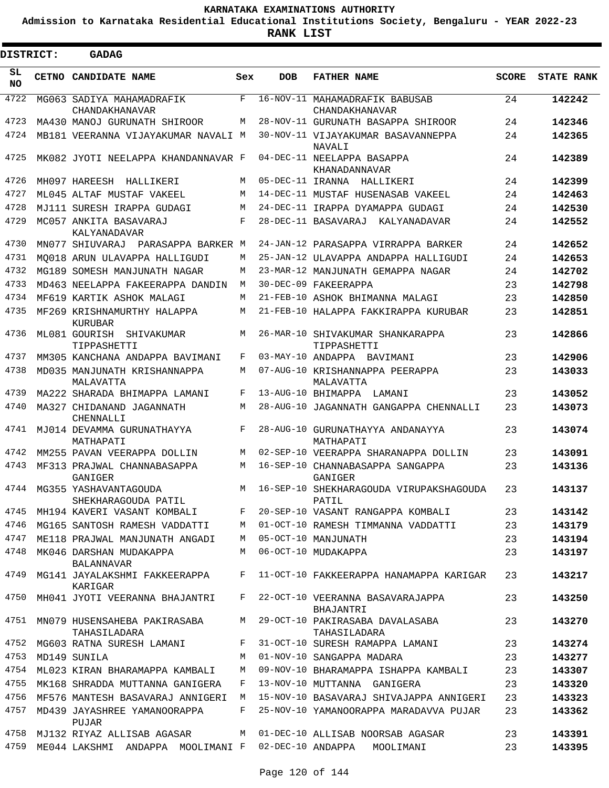**Admission to Karnataka Residential Educational Institutions Society, Bengaluru - YEAR 2022-23**

 $\blacksquare$ 

| <b>DISTRICT:</b> | GADAG                                                         |     |            |                                                       |              |                   |
|------------------|---------------------------------------------------------------|-----|------------|-------------------------------------------------------|--------------|-------------------|
| SL<br><b>NO</b>  | CETNO CANDIDATE NAME                                          | Sex | <b>DOB</b> | <b>FATHER NAME</b>                                    | <b>SCORE</b> | <b>STATE RANK</b> |
| 4722             | MG063 SADIYA MAHAMADRAFIK<br>CHANDAKHANAVAR                   | F   |            | 16-NOV-11 MAHAMADRAFIK BABUSAB<br>CHANDAKHANAVAR      | 24           | 142242            |
| 4723             | MA430 MANOJ GURUNATH SHIROOR                                  | M   |            | 28-NOV-11 GURUNATH BASAPPA SHIROOR                    | 24           | 142346            |
| 4724             | MB181 VEERANNA VIJAYAKUMAR NAVALI M                           |     |            | 30-NOV-11 VIJAYAKUMAR BASAVANNEPPA                    | 24           | 142365            |
| 4725             | MK082 JYOTI NEELAPPA KHANDANNAVAR F                           |     |            | NAVALI<br>04-DEC-11 NEELAPPA BASAPPA<br>KHANADANNAVAR | 24           | 142389            |
| 4726             | MH097 HAREESH HALLIKERI                                       | M   |            | 05-DEC-11 IRANNA HALLIKERI                            | 24           | 142399            |
| 4727             | ML045 ALTAF MUSTAF VAKEEL                                     | M   |            | 14-DEC-11 MUSTAF HUSENASAB VAKEEL                     | 24           | 142463            |
| 4728             | MJ111 SURESH IRAPPA GUDAGI                                    | M   |            | 24-DEC-11 IRAPPA DYAMAPPA GUDAGI                      | 24           | 142530            |
| 4729             | MC057 ANKITA BASAVARAJ<br>KALYANADAVAR                        | F   |            | 28-DEC-11 BASAVARAJ KALYANADAVAR                      | 24           | 142552            |
| 4730             | MN077 SHIUVARAJ PARASAPPA BARKER M                            |     |            | 24-JAN-12 PARASAPPA VIRRAPPA BARKER                   | 24           | 142652            |
| 4731             | MO018 ARUN ULAVAPPA HALLIGUDI                                 | M   |            | 25-JAN-12 ULAVAPPA ANDAPPA HALLIGUDI                  | 24           | 142653            |
| 4732             | MG189 SOMESH MANJUNATH NAGAR                                  | M   |            | 23-MAR-12 MANJUNATH GEMAPPA NAGAR                     | 24           | 142702            |
| 4733             | MD463 NEELAPPA FAKEERAPPA DANDIN                              | M   |            | 30-DEC-09 FAKEERAPPA                                  | 23           | 142798            |
| 4734             | MF619 KARTIK ASHOK MALAGI                                     | M   |            | 21-FEB-10 ASHOK BHIMANNA MALAGI                       | 23           | 142850            |
| 4735             | MF269 KRISHNAMURTHY HALAPPA<br>KURUBAR                        | M   |            | 21-FEB-10 HALAPPA FAKKIRAPPA KURUBAR                  | 23           | 142851            |
| 4736             | ML081 GOURISH<br>SHIVAKUMAR<br>TIPPASHETTI                    | M   |            | 26-MAR-10 SHIVAKUMAR SHANKARAPPA<br>TIPPASHETTI       | 23           | 142866            |
| 4737             | MM305 KANCHANA ANDAPPA BAVIMANI                               | F   |            | 03-MAY-10 ANDAPPA BAVIMANI                            | 23           | 142906            |
| 4738             | MD035 MANJUNATH KRISHANNAPPA<br>MALAVATTA                     | M   |            | 07-AUG-10 KRISHANNAPPA PEERAPPA<br>MALAVATTA          | 23           | 143033            |
| 4739             | MA222 SHARADA BHIMAPPA LAMANI                                 | F   |            | 13-AUG-10 BHIMAPPA LAMANI                             | 23           | 143052            |
| 4740             | MA327 CHIDANAND JAGANNATH<br>CHENNALLI                        | M   | 28-AUG-10  | JAGANNATH GANGAPPA CHENNALLI                          | 23           | 143073            |
| 4741             | MJ014 DEVAMMA GURUNATHAYYA<br>MATHAPATI                       | F   |            | 28-AUG-10 GURUNATHAYYA ANDANAYYA<br>MATHAPATI         | 23           | 143074            |
| 4742             | MM255 PAVAN VEERAPPA DOLLIN                                   | M   |            | 02-SEP-10 VEERAPPA SHARANAPPA DOLLIN                  | 23           | 143091            |
| 4743             | MF313 PRAJWAL CHANNABASAPPA<br>GANIGER                        | M   |            | 16-SEP-10 CHANNABASAPPA SANGAPPA<br>GANIGER           | 23           | 143136            |
| 4744             | MG355 YASHAVANTAGOUDA<br>SHEKHARAGOUDA PATIL                  | M   |            | 16-SEP-10 SHEKHARAGOUDA VIRUPAKSHAGOUDA<br>PATIL      | 23           | 143137            |
| 4745             | MH194 KAVERI VASANT KOMBALI                                   | F   |            | 20-SEP-10 VASANT RANGAPPA KOMBALI                     | 23           | 143142            |
| 4746             | MG165 SANTOSH RAMESH VADDATTI                                 | M   |            | 01-OCT-10 RAMESH TIMMANNA VADDATTI                    | 23           | 143179            |
| 4747             | ME118 PRAJWAL MANJUNATH ANGADI                                | M   |            | 05-OCT-10 MANJUNATH                                   | 23           | 143194            |
| 4748             | MK046 DARSHAN MUDAKAPPA<br>BALANNAVAR                         | M   |            | 06-OCT-10 MUDAKAPPA                                   | 23           | 143197            |
| 4749             | MG141 JAYALAKSHMI FAKKEERAPPA<br>KARIGAR                      | F   |            | 11-OCT-10 FAKKEERAPPA HANAMAPPA KARIGAR               | 23           | 143217            |
| 4750             | MH041 JYOTI VEERANNA BHAJANTRI                                | F   |            | 22-OCT-10 VEERANNA BASAVARAJAPPA<br>BHAJANTRI         | 23           | 143250            |
| 4751             | MN079 HUSENSAHEBA PAKIRASABA<br>TAHASILADARA                  | M   |            | 29-OCT-10 PAKIRASABA DAVALASABA<br>TAHASILADARA       | 23           | 143270            |
| 4752             | MG603 RATNA SURESH LAMANI                                     | F   |            | 31-OCT-10 SURESH RAMAPPA LAMANI                       | 23           | 143274            |
| 4753             | MD149 SUNILA                                                  | M   |            | 01-NOV-10 SANGAPPA MADARA                             | 23           | 143277            |
| 4754             | ML023 KIRAN BHARAMAPPA KAMBALI                                | M   |            | 09-NOV-10 BHARAMAPPA ISHAPPA KAMBALI                  | 23           | 143307            |
| 4755             | MK168 SHRADDA MUTTANNA GANIGERA                               | F   |            | 13-NOV-10 MUTTANNA GANIGERA                           | 23           | 143320            |
| 4756             | MF576 MANTESH BASAVARAJ ANNIGERI                              | M   |            | 15-NOV-10 BASAVARAJ SHIVAJAPPA ANNIGERI               | 23           | 143323            |
| 4757             | MD439 JAYASHREE YAMANOORAPPA<br>PUJAR                         | F   |            | 25-NOV-10 YAMANOORAPPA MARADAVVA PUJAR                | 23           | 143362            |
| 4758             | MJ132 RIYAZ ALLISAB AGASAR                                    | M   |            | 01-DEC-10 ALLISAB NOORSAB AGASAR                      | 23           | 143391            |
| 4759             | ME044 LAKSHMI ANDAPPA MOOLIMANI F 02-DEC-10 ANDAPPA MOOLIMANI |     |            |                                                       | 23           | 143395            |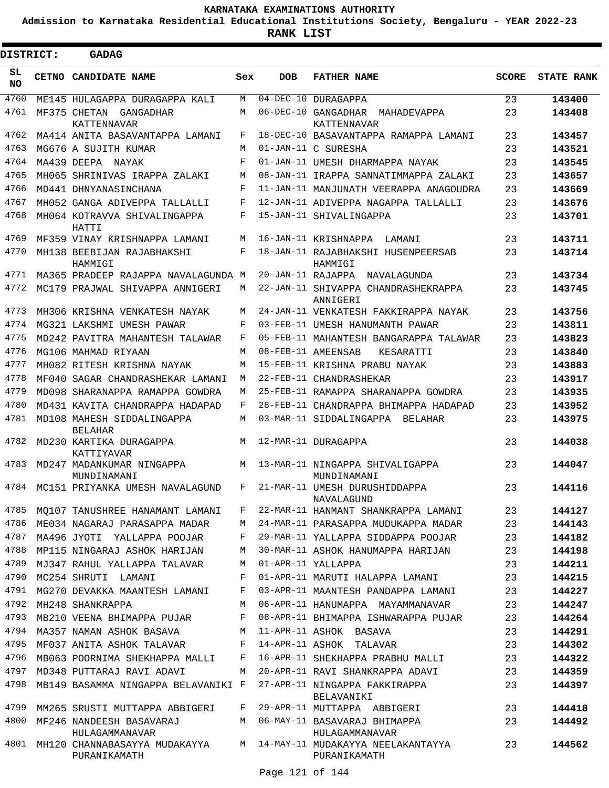**Admission to Karnataka Residential Educational Institutions Society, Bengaluru - YEAR 2022-23**

**RANK LIST**

| <b>DISTRICT:</b> | <b>GADAG</b>                                  |            |            |                                                          |              |                   |
|------------------|-----------------------------------------------|------------|------------|----------------------------------------------------------|--------------|-------------------|
| SL<br><b>NO</b>  | CETNO CANDIDATE NAME                          | Sex        | <b>DOB</b> | <b>FATHER NAME</b>                                       | <b>SCORE</b> | <b>STATE RANK</b> |
| 4760             | ME145 HULAGAPPA DURAGAPPA KALI                | М          |            | 04-DEC-10 DURAGAPPA                                      | 23           | 143400            |
| 4761             | MF375 CHETAN<br>GANGADHAR<br>KATTENNAVAR      | М          |            | 06-DEC-10 GANGADHAR<br>MAHADEVAPPA<br><b>KATTENNAVAR</b> | 23           | 143408            |
| 4762             | MA414 ANITA BASAVANTAPPA LAMANI               | F          |            | 18-DEC-10 BASAVANTAPPA RAMAPPA LAMANI                    | 23           | 143457            |
| 4763             | MG676 A SUJITH KUMAR                          | М          |            | 01-JAN-11 C SURESHA                                      | 23           | 143521            |
| 4764             | MA439 DEEPA NAYAK                             | $_{\rm F}$ |            | 01-JAN-11 UMESH DHARMAPPA NAYAK                          | 23           | 143545            |
| 4765             | MH065 SHRINIVAS IRAPPA ZALAKI                 | M          |            | 08-JAN-11 IRAPPA SANNATIMMAPPA ZALAKI                    | 23           | 143657            |
| 4766             | MD441 DHNYANASINCHANA                         | $_{\rm F}$ |            | 11-JAN-11 MANJUNATH VEERAPPA ANAGOUDRA                   | 23           | 143669            |
| 4767             | MH052 GANGA ADIVEPPA TALLALLI                 | F          |            | 12-JAN-11 ADIVEPPA NAGAPPA TALLALLI                      | 23           | 143676            |
| 4768             | MH064 KOTRAVVA SHIVALINGAPPA<br>HATTI         | F          |            | 15-JAN-11 SHIVALINGAPPA                                  | 23           | 143701            |
| 4769             | MF359 VINAY KRISHNAPPA LAMANI                 | М          |            | 16-JAN-11 KRISHNAPPA<br>LAMANI                           | 23           | 143711            |
| 4770             | MH138 BEEBIJAN RAJABHAKSHI<br>HAMMIGI         | F          |            | 18-JAN-11 RAJABHAKSHI HUSENPEERSAB<br>HAMMIGI            | 23           | 143714            |
| 4771             | MA365 PRADEEP RAJAPPA NAVALAGUNDA M           |            |            | 20-JAN-11 RAJAPPA NAVALAGUNDA                            | 23           | 143734            |
| 4772             | MC179 PRAJWAL SHIVAPPA ANNIGERI               | М          |            | 22-JAN-11 SHIVAPPA CHANDRASHEKRAPPA<br>ANNIGERI          | 23           | 143745            |
| 4773             | MH306 KRISHNA VENKATESH NAYAK                 | М          |            | 24-JAN-11 VENKATESH FAKKIRAPPA NAYAK                     | 23           | 143756            |
| 4774             | MG321 LAKSHMI UMESH PAWAR                     | F          |            | 03-FEB-11 UMESH HANUMANTH PAWAR                          | 23           | 143811            |
| 4775             | MD242 PAVITRA MAHANTESH TALAWAR               | F          |            | 05-FEB-11 MAHANTESH BANGARAPPA TALAWAR                   | 23           | 143823            |
| 4776             | MG106 MAHMAD RIYAAN                           | M          |            | 08-FEB-11 AMEENSAB<br>KESARATTI                          | 23           | 143840            |
| 4777             | MH082 RITESH KRISHNA NAYAK                    | М          |            | 15-FEB-11 KRISHNA PRABU NAYAK                            | 23           | 143883            |
| 4778             | MF040 SAGAR CHANDRASHEKAR LAMANI              | M          |            | 22-FEB-11 CHANDRASHEKAR                                  | 23           | 143917            |
| 4779             | MD098 SHARANAPPA RAMAPPA GOWDRA               | М          |            | 25-FEB-11 RAMAPPA SHARANAPPA GOWDRA                      | 23           | 143935            |
| 4780             | MD431 KAVITA CHANDRAPPA HADAPAD               | F          |            | 28-FEB-11 CHANDRAPPA BHIMAPPA HADAPAD                    | 23           | 143952            |
| 4781             | MD108 MAHESH SIDDALINGAPPA<br><b>BELAHAR</b>  | М          |            | 03-MAR-11 SIDDALINGAPPA<br>BELAHAR                       | 23           | 143975            |
| 4782             | MD230 KARTIKA DURAGAPPA<br>KATTIYAVAR         | М          |            | 12-MAR-11 DURAGAPPA                                      | 23           | 144038            |
| 4783             | MD247 MADANKUMAR NINGAPPA<br>MUNDINAMANI      | М          |            | 13-MAR-11 NINGAPPA SHIVALIGAPPA<br>MUNDINAMANI           | 23           | 144047            |
| 4784             | MC151 PRIYANKA UMESH NAVALAGUND               | F          |            | 21-MAR-11 UMESH DURUSHIDDAPPA<br>NAVALAGUND              | 23           | 144116            |
| 4785             | MO107 TANUSHREE HANAMANT LAMANI               | F          |            | 22-MAR-11 HANMANT SHANKRAPPA LAMANI                      | 23           | 144127            |
| 4786             | ME034 NAGARAJ PARASAPPA MADAR                 | М          |            | 24-MAR-11 PARASAPPA MUDUKAPPA MADAR                      | 23           | 144143            |
| 4787             | MA496 JYOTI YALLAPPA POOJAR                   | F          |            | 29-MAR-11 YALLAPPA SIDDAPPA POOJAR                       | 23           | 144182            |
| 4788             | MP115 NINGARAJ ASHOK HARIJAN                  | М          |            | 30-MAR-11 ASHOK HANUMAPPA HARIJAN                        | 23           | 144198            |
| 4789             | MJ347 RAHUL YALLAPPA TALAVAR                  | M          |            | 01-APR-11 YALLAPPA                                       | 23           | 144211            |
| 4790             | MC254 SHRUTI LAMANI                           | F          |            | 01-APR-11 MARUTI HALAPPA LAMANI                          | 23           | 144215            |
| 4791             | MG270 DEVAKKA MAANTESH LAMANI                 | F          |            | 03-APR-11 MAANTESH PANDAPPA LAMANI                       | 23           | 144227            |
| 4792             | MH248 SHANKRAPPA                              | М          |            | 06-APR-11 HANUMAPPA MAYAMMANAVAR                         | 23           | 144247            |
| 4793             | MB210 VEENA BHIMAPPA PUJAR                    | F          |            | 08-APR-11 BHIMAPPA ISHWARAPPA PUJAR                      | 23           | 144264            |
| 4794             | MA357 NAMAN ASHOK BASAVA                      | М          |            | 11-APR-11 ASHOK BASAVA                                   | 23           | 144291            |
| 4795             | MF037 ANITA ASHOK TALAVAR                     | F          |            | 14-APR-11 ASHOK TALAVAR                                  | 23           | 144302            |
| 4796             | MB063 POORNIMA SHEKHAPPA MALLI                | F          |            | 16-APR-11 SHEKHAPPA PRABHU MALLI                         | 23           | 144322            |
| 4797             | MD348 PUTTARAJ RAVI ADAVI                     | M          |            | 20-APR-11 RAVI SHANKRAPPA ADAVI                          | 23           | 144359            |
| 4798             | MB149 BASAMMA NINGAPPA BELAVANIKI F           |            |            | 27-APR-11 NINGAPPA FAKKIRAPPA<br>BELAVANIKI              | 23           | 144397            |
| 4799             | MM265 SRUSTI MUTTAPPA ABBIGERI                | F          |            | 29-APR-11 MUTTAPPA ABBIGERI                              | 23           | 144418            |
| 4800             | MF246 NANDEESH BASAVARAJ<br>HULAGAMMANAVAR    | M          |            | 06-MAY-11 BASAVARAJ BHIMAPPA<br>HULAGAMMANAVAR           | 23           | 144492            |
| 4801             | MH120 CHANNABASAYYA MUDAKAYYA<br>PURANIKAMATH |            |            | M 14-MAY-11 MUDAKAYYA NEELAKANTAYYA<br>PURANIKAMATH      | 23           | 144562            |

Page 121 of 144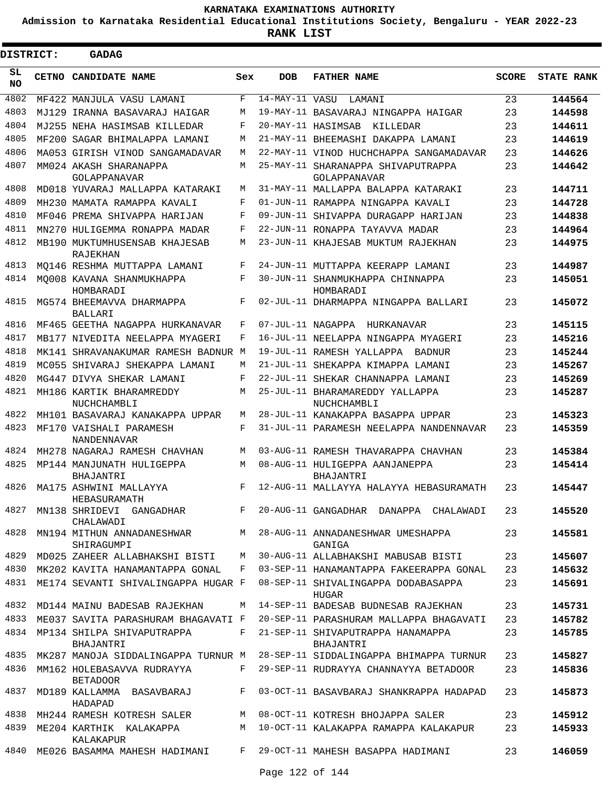**Admission to Karnataka Residential Educational Institutions Society, Bengaluru - YEAR 2022-23**

ı

| <b>DISTRICT:</b> | <b>GADAG</b>                                   |     |                   |                                                    |              |                   |
|------------------|------------------------------------------------|-----|-------------------|----------------------------------------------------|--------------|-------------------|
| SL<br><b>NO</b>  | <b>CETNO CANDIDATE NAME</b>                    | Sex | <b>DOB</b>        | <b>FATHER NAME</b>                                 | <b>SCORE</b> | <b>STATE RANK</b> |
| 4802             | MF422 MANJULA VASU LAMANI                      | F   | $14-MAY-11$ VASU  | LAMANI                                             | 23           | 144564            |
| 4803             | MJ129 IRANNA BASAVARAJ HAIGAR                  | М   |                   | 19-MAY-11 BASAVARAJ NINGAPPA HAIGAR                | 23           | 144598            |
| 4804             | MJ255 NEHA HASIMSAB KILLEDAR                   | F   |                   | 20-MAY-11 HASIMSAB<br>KILLEDAR                     | 23           | 144611            |
| 4805             | MF200 SAGAR BHIMALAPPA LAMANI                  | М   |                   | 21-MAY-11 BHEEMASHI DAKAPPA LAMANI                 | 23           | 144619            |
| 4806             | MA053 GIRISH VINOD SANGAMADAVAR                | М   |                   | 22-MAY-11 VINOD HUCHCHAPPA SANGAMADAVAR            | 23           | 144626            |
| 4807             | MM024 AKASH SHARANAPPA<br>GOLAPPANAVAR         | M   |                   | 25-MAY-11 SHARANAPPA SHIVAPUTRAPPA<br>GOLAPPANAVAR | 23           | 144642            |
| 4808             | MD018 YUVARAJ MALLAPPA KATARAKI                | М   |                   | 31-MAY-11 MALLAPPA BALAPPA KATARAKI                | 23           | 144711            |
| 4809             | MH230 MAMATA RAMAPPA KAVALI                    | F   |                   | 01-JUN-11 RAMAPPA NINGAPPA KAVALI                  | 23           | 144728            |
| 4810             | MF046 PREMA SHIVAPPA HARIJAN                   | F   |                   | 09-JUN-11 SHIVAPPA DURAGAPP HARIJAN                | 23           | 144838            |
| 4811             | MN270 HULIGEMMA RONAPPA MADAR                  | F   |                   | 22-JUN-11 RONAPPA TAYAVVA MADAR                    | 23           | 144964            |
| 4812             | MB190 MUKTUMHUSENSAB KHAJESAB<br>RAJEKHAN      | М   |                   | 23-JUN-11 KHAJESAB MUKTUM RAJEKHAN                 | 23           | 144975            |
| 4813             | MO146 RESHMA MUTTAPPA LAMANI                   | F   |                   | 24-JUN-11 MUTTAPPA KEERAPP LAMANI                  | 23           | 144987            |
| 4814             | MO008 KAVANA SHANMUKHAPPA<br>HOMBARADI         | F   |                   | 30-JUN-11 SHANMUKHAPPA CHINNAPPA<br>HOMBARADI      | 23           | 145051            |
| 4815             | MG574 BHEEMAVVA DHARMAPPA<br><b>BALLARI</b>    | F   |                   | 02-JUL-11 DHARMAPPA NINGAPPA BALLARI               | 23           | 145072            |
| 4816             | MF465 GEETHA NAGAPPA HURKANAVAR                | F   | 07-JUL-11 NAGAPPA | HURKANAVAR                                         | 23           | 145115            |
| 4817             | MB177 NIVEDITA NEELAPPA MYAGERI                | F   |                   | 16-JUL-11 NEELAPPA NINGAPPA MYAGERI                | 23           | 145216            |
| 4818             | MK141 SHRAVANAKUMAR RAMESH BADNUR M            |     |                   | 19-JUL-11 RAMESH YALLAPPA<br><b>BADNUR</b>         | 23           | 145244            |
| 4819             | MC055 SHIVARAJ SHEKAPPA LAMANI                 | M   |                   | 21-JUL-11 SHEKAPPA KIMAPPA LAMANI                  | 23           | 145267            |
| 4820             | MG447 DIVYA SHEKAR LAMANI                      | F   |                   | 22-JUL-11 SHEKAR CHANNAPPA LAMANI                  | 23           | 145269            |
| 4821             | MH186 KARTIK BHARAMREDDY<br>NUCHCHAMBLI        | M   |                   | 25-JUL-11 BHARAMAREDDY YALLAPPA<br>NUCHCHAMBLI     | 23           | 145287            |
| 4822             | MH101 BASAVARAJ KANAKAPPA UPPAR                | М   |                   | 28-JUL-11 KANAKAPPA BASAPPA UPPAR                  | 23           | 145323            |
| 4823             | MF170 VAISHALI PARAMESH<br><b>NANDENNAVAR</b>  | F   |                   | 31-JUL-11 PARAMESH NEELAPPA NANDENNAVAR            | 23           | 145359            |
| 4824             | MH278 NAGARAJ RAMESH CHAVHAN                   | M   |                   | 03-AUG-11 RAMESH THAVARAPPA CHAVHAN                | 23           | 145384            |
| 4825             | MP144 MANJUNATH HULIGEPPA<br>BHAJANTRI         | М   |                   | 08-AUG-11 HULIGEPPA AANJANEPPA<br>BHAJANTRI        | 23           | 145414            |
| 4826             | MA175 ASHWINI MALLAYYA<br>HEBASURAMATH         | F   |                   | 12-AUG-11 MALLAYYA HALAYYA HEBASURAMATH            | 23           | 145447            |
| 4827             | MN138 SHRIDEVI GANGADHAR<br>CHALAWADI          | F   |                   | 20-AUG-11 GANGADHAR DANAPPA CHALAWADI              | 23           | 145520            |
| 4828             | MN194 MITHUN ANNADANESHWAR<br>SHIRAGUMPI       | M   |                   | 28-AUG-11 ANNADANESHWAR UMESHAPPA<br>GANIGA        | 23           | 145581            |
| 4829             | MD025 ZAHEER ALLABHAKSHI BISTI                 | M   |                   | 30-AUG-11 ALLABHAKSHI MABUSAB BISTI                | 23           | 145607            |
| 4830             | MK202 KAVITA HANAMANTAPPA GONAL                | F   |                   | 03-SEP-11 HANAMANTAPPA FAKEERAPPA GONAL            | 23           | 145632            |
| 4831             | ME174 SEVANTI SHIVALINGAPPA HUGAR F            |     |                   | 08-SEP-11 SHIVALINGAPPA DODABASAPPA<br>HUGAR       | 23           | 145691            |
| 4832             | MD144 MAINU BADESAB RAJEKHAN                   | М   |                   | 14-SEP-11 BADESAB BUDNESAB RAJEKHAN                | 23           | 145731            |
| 4833             | ME037 SAVITA PARASHURAM BHAGAVATI F            |     |                   | 20-SEP-11 PARASHURAM MALLAPPA BHAGAVATI            | 23           | 145782            |
| 4834             | MP134 SHILPA SHIVAPUTRAPPA<br><b>BHAJANTRI</b> | F   |                   | 21-SEP-11 SHIVAPUTRAPPA HANAMAPPA<br>BHAJANTRI     | 23           | 145785            |
| 4835             | MK287 MANOJA SIDDALINGAPPA TURNUR M            |     |                   | 28-SEP-11 SIDDALINGAPPA BHIMAPPA TURNUR            | 23           | 145827            |
| 4836             | MM162 HOLEBASAVVA RUDRAYYA<br><b>BETADOOR</b>  | F   |                   | 29-SEP-11 RUDRAYYA CHANNAYYA BETADOOR              | 23           | 145836            |
| 4837             | MD189 KALLAMMA BASAVBARAJ<br>HADAPAD           | F   |                   | 03-OCT-11 BASAVBARAJ SHANKRAPPA HADAPAD            | 23           | 145873            |
| 4838             | MH244 RAMESH KOTRESH SALER                     | M   |                   | 08-OCT-11 KOTRESH BHOJAPPA SALER                   | 23           | 145912            |
| 4839             | ME204 KARTHIK KALAKAPPA<br>KALAKAPUR           | М   |                   | 10-OCT-11 KALAKAPPA RAMAPPA KALAKAPUR              | 23           | 145933            |
| 4840             | ME026 BASAMMA MAHESH HADIMANI                  | F   |                   | 29-OCT-11 MAHESH BASAPPA HADIMANI                  | 23           | 146059            |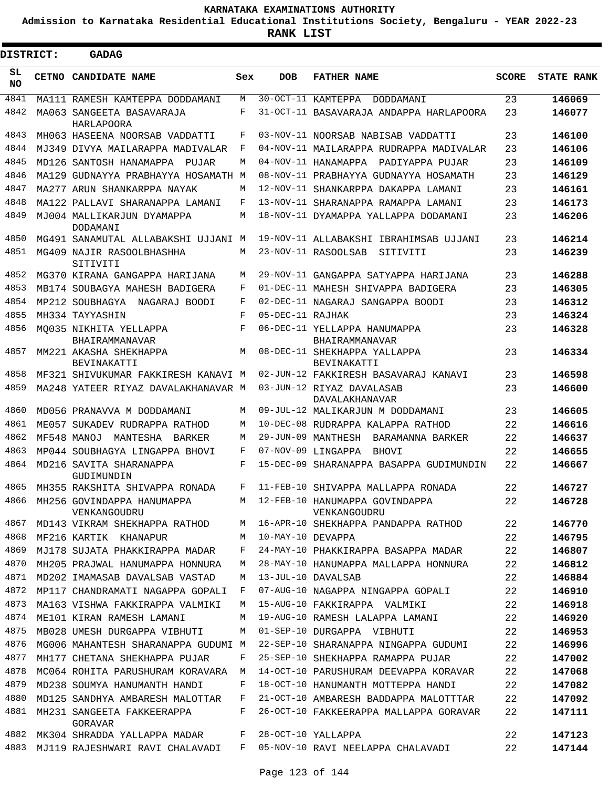**Admission to Karnataka Residential Educational Institutions Society, Bengaluru - YEAR 2022-23**

ı

| <b>DISTRICT:</b> |  | GADAG                                                               |        |                   |                                                         |              |                   |
|------------------|--|---------------------------------------------------------------------|--------|-------------------|---------------------------------------------------------|--------------|-------------------|
| SL<br><b>NO</b>  |  | CETNO CANDIDATE NAME                                                | Sex    | <b>DOB</b>        | <b>FATHER NAME</b>                                      | <b>SCORE</b> | <b>STATE RANK</b> |
| 4841             |  | MA111 RAMESH KAMTEPPA DODDAMANI                                     | М      |                   | 30-OCT-11 KAMTEPPA<br>DODDAMANI                         | 23           | 146069            |
| 4842             |  | MA063 SANGEETA BASAVARAJA<br>HARLAPOORA                             | F      |                   | 31-OCT-11 BASAVARAJA ANDAPPA HARLAPOORA                 | 23           | 146077            |
| 4843             |  | MH063 HASEENA NOORSAB VADDATTI                                      | F      |                   | 03-NOV-11 NOORSAB NABISAB VADDATTI                      | 23           | 146100            |
| 4844             |  | MJ349 DIVYA MAILARAPPA MADIVALAR                                    | F      |                   | 04-NOV-11 MAILARAPPA RUDRAPPA MADIVALAR                 | 23           | 146106            |
| 4845             |  | MD126 SANTOSH HANAMAPPA<br>PILTAR                                   | М      |                   | 04-NOV-11 HANAMAPPA PADIYAPPA PUJAR                     | 23           | 146109            |
| 4846             |  | MA129 GUDNAYYA PRABHAYYA HOSAMATH M                                 |        |                   | 08-NOV-11 PRABHAYYA GUDNAYYA HOSAMATH                   | 23           | 146129            |
| 4847             |  | MA277 ARUN SHANKARPPA NAYAK                                         | М      |                   | 12-NOV-11 SHANKARPPA DAKAPPA LAMANI                     | 23           | 146161            |
| 4848             |  | MA122 PALLAVI SHARANAPPA LAMANI                                     | F      |                   | 13-NOV-11 SHARANAPPA RAMAPPA LAMANI                     | 23           | 146173            |
| 4849             |  | MJ004 MALLIKARJUN DYAMAPPA<br>DODAMANI                              | M      |                   | 18-NOV-11 DYAMAPPA YALLAPPA DODAMANI                    | 23           | 146206            |
| 4850             |  | MG491 SANAMUTAL ALLABAKSHI UJJANI M                                 |        |                   | 19-NOV-11 ALLABAKSHI IBRAHIMSAB UJJANI                  | 23           | 146214            |
| 4851             |  | MG409 NAJIR RASOOLBHASHHA<br>SITIVITI                               | М      |                   | 23-NOV-11 RASOOLSAB<br>SITIVITI                         | 23           | 146239            |
| 4852             |  | MG370 KIRANA GANGAPPA HARIJANA                                      | M      |                   | 29-NOV-11 GANGAPPA SATYAPPA HARIJANA                    | 23           | 146288            |
| 4853             |  | MB174 SOUBAGYA MAHESH BADIGERA                                      | F      |                   | 01-DEC-11 MAHESH SHIVAPPA BADIGERA                      | 23           | 146305            |
| 4854             |  | MP212 SOUBHAGYA<br>NAGARAJ BOODI                                    | F      |                   | 02-DEC-11 NAGARAJ SANGAPPA BOODI                        | 23           | 146312            |
| 4855             |  | MH334 TAYYASHIN                                                     | F      | 05-DEC-11 RAJHAK  |                                                         | 23           | 146324            |
| 4856             |  | MO035 NIKHITA YELLAPPA<br>BHAIRAMMANAVAR                            | F      |                   | 06-DEC-11 YELLAPPA HANUMAPPA<br>BHAIRAMMANAVAR          | 23           | 146328            |
| 4857             |  | MM221 AKASHA SHEKHAPPA<br>BEVINAKATTI                               | M      |                   | 08-DEC-11 SHEKHAPPA YALLAPPA<br>BEVINAKATTI             | 23           | 146334            |
| 4858             |  | MF321 SHIVUKUMAR FAKKIRESH KANAVI M                                 |        |                   | 02-JUN-12 FAKKIRESH BASAVARAJ KANAVI                    | 23           | 146598            |
| 4859             |  | MA248 YATEER RIYAZ DAVALAKHANAVAR M                                 |        |                   | 03-JUN-12 RIYAZ DAVALASAB<br>DAVALAKHANAVAR             | 23           | 146600            |
| 4860             |  | MD056 PRANAVVA M DODDAMANI                                          | M      |                   | 09-JUL-12 MALIKARJUN M DODDAMANI                        | 23           | 146605            |
| 4861             |  | ME057 SUKADEV RUDRAPPA RATHOD                                       | М      |                   | 10-DEC-08 RUDRAPPA KALAPPA RATHOD                       | 22           | 146616            |
| 4862             |  | MF548 MANOJ<br>MANTESHA<br>BARKER                                   | М      |                   | 29-JUN-09 MANTHESH<br>BARAMANNA BARKER                  | 22           | 146637            |
| 4863             |  | MP044 SOUBHAGYA LINGAPPA BHOVI                                      | F      |                   | 07-NOV-09 LINGAPPA<br>BHOVI                             | 22           | 146655            |
| 4864             |  | MD216 SAVITA SHARANAPPA<br>GUDIMUNDIN                               | F      |                   | 15-DEC-09 SHARANAPPA BASAPPA GUDIMUNDIN                 | 22           | 146667            |
| 4865             |  | MH355 RAKSHITA SHIVAPPA RONADA                                      | F      |                   | 11-FEB-10 SHIVAPPA MALLAPPA RONADA                      | 22           | 146727            |
| 4866             |  | MH256 GOVINDAPPA HANUMAPPA<br>VENKANGOUDRU                          | M      |                   | 12-FEB-10 HANUMAPPA GOVINDAPPA<br>VENKANGOUDRU          | 22           | 146728            |
| 4867             |  | MD143 VIKRAM SHEKHAPPA RATHOD                                       | М      |                   | 16-APR-10 SHEKHAPPA PANDAPPA RATHOD                     | 22           | 146770            |
| 4868             |  | MF216 KARTIK KHANAPUR                                               | М      | 10-MAY-10 DEVAPPA |                                                         | 22           | 146795            |
| 4869             |  | MJ178 SUJATA PHAKKIRAPPA MADAR                                      | F      |                   | 24-MAY-10 PHAKKIRAPPA BASAPPA MADAR                     | 22           | 146807            |
| 4870             |  | MH205 PRAJWAL HANUMAPPA HONNURA                                     | М      |                   | 28-MAY-10 HANUMAPPA MALLAPPA HONNURA                    | 22           | 146812            |
| 4871<br>4872     |  | MD202 IMAMASAB DAVALSAB VASTAD                                      | М      |                   | 13-JUL-10 DAVALSAB<br>07-AUG-10 NAGAPPA NINGAPPA GOPALI | 22           | 146884            |
| 4873             |  | MP117 CHANDRAMATI NAGAPPA GOPALI<br>MA163 VISHWA FAKKIRAPPA VALMIKI | F<br>М |                   | 15-AUG-10 FAKKIRAPPA VALMIKI                            | 22<br>22     | 146910<br>146918  |
| 4874             |  | ME101 KIRAN RAMESH LAMANI                                           | M      |                   | 19-AUG-10 RAMESH LALAPPA LAMANI                         | 22           | 146920            |
| 4875             |  | MB028 UMESH DURGAPPA VIBHUTI                                        | М      |                   | 01-SEP-10 DURGAPPA VIBHUTI                              | 22           | 146953            |
| 4876             |  | MG006 MAHANTESH SHARANAPPA GUDUMI M                                 |        |                   | 22-SEP-10 SHARANAPPA NINGAPPA GUDUMI                    | 22           | 146996            |
| 4877             |  |                                                                     | F      |                   | 25-SEP-10 SHEKHAPPA RAMAPPA PUJAR                       | 22           |                   |
| 4878             |  | MH177 CHETANA SHEKHAPPA PUJAR<br>MC064 ROHITA PARUSHURAM KORAVARA   | М      |                   | 14-OCT-10 PARUSHURAM DEEVAPPA KORAVAR                   | 22           | 147002<br>147068  |
| 4879             |  | MD238 SOUMYA HANUMANTH HANDI                                        | F      |                   | 18-OCT-10 HANUMANTH MOTTEPPA HANDI                      | 22           | 147082            |
| 4880             |  | MD125 SANDHYA AMBARESH MALOTTAR                                     | F      |                   | 21-OCT-10 AMBARESH BADDAPPA MALOTTTAR                   | 22           | 147092            |
| 4881             |  | MH231 SANGEETA FAKKEERAPPA                                          | F      |                   | 26-OCT-10 FAKKEERAPPA MALLAPPA GORAVAR                  | 22           | 147111            |
| 4882             |  | GORAVAR<br>MK304 SHRADDA YALLAPPA MADAR                             | F      |                   | 28-OCT-10 YALLAPPA                                      | 22           | 147123            |
| 4883             |  | MJ119 RAJESHWARI RAVI CHALAVADI                                     | F      |                   | 05-NOV-10 RAVI NEELAPPA CHALAVADI                       | 22           | 147144            |
|                  |  |                                                                     |        |                   |                                                         |              |                   |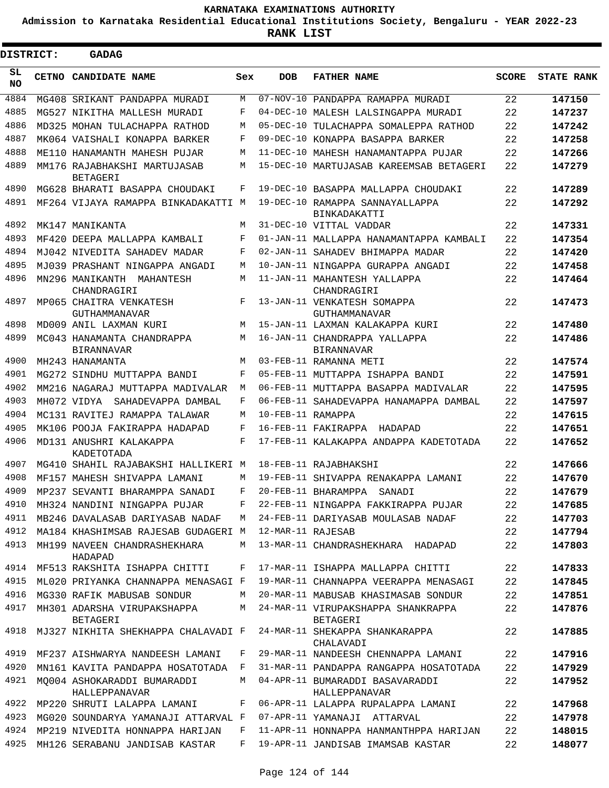**Admission to Karnataka Residential Educational Institutions Society, Bengaluru - YEAR 2022-23**

ı

| <b>DISTRICT:</b> | <b>GADAG</b>                                            |     |                   |                                                             |              |                   |
|------------------|---------------------------------------------------------|-----|-------------------|-------------------------------------------------------------|--------------|-------------------|
| SL<br><b>NO</b>  | <b>CETNO CANDIDATE NAME</b>                             | Sex | <b>DOB</b>        | <b>FATHER NAME</b>                                          | <b>SCORE</b> | <b>STATE RANK</b> |
| 4884             | MG408 SRIKANT PANDAPPA MURADI                           | M   |                   | 07-NOV-10 PANDAPPA RAMAPPA MURADI                           | 22           | 147150            |
| 4885             | MG527 NIKITHA MALLESH MURADI                            | F   | $04-DEC-10$       | MALESH LALSINGAPPA MURADI                                   | 22           | 147237            |
| 4886             | MD325 MOHAN TULACHAPPA RATHOD                           | M   | $05-DEC-10$       | TULACHAPPA SOMALEPPA RATHOD                                 | 22           | 147242            |
| 4887             | MK064 VAISHALI KONAPPA BARKER                           | F   | $09 - DEC - 10$   | KONAPPA BASAPPA BARKER                                      | 22           | 147258            |
| 4888             | ME110 HANAMANTH MAHESH PUJAR                            | M   |                   | 11-DEC-10 MAHESH HANAMANTAPPA PUJAR                         | 22           | 147266            |
| 4889             | MM176 RAJABHAKSHI MARTUJASAB<br><b>BETAGERI</b>         | M   |                   | 15-DEC-10 MARTUJASAB KAREEMSAB BETAGERI                     | 22           | 147279            |
| 4890             | MG628 BHARATI BASAPPA CHOUDAKI                          | F   |                   | 19-DEC-10 BASAPPA MALLAPPA CHOUDAKI                         | 22           | 147289            |
| 4891             | MF264 VIJAYA RAMAPPA BINKADAKATTI M                     |     |                   | 19-DEC-10 RAMAPPA SANNAYALLAPPA<br>BINKADAKATTI             | 22           | 147292            |
| 4892             | MK147 MANIKANTA                                         | M   |                   | 31-DEC-10 VITTAL VADDAR                                     | 22           | 147331            |
| 4893             | MF420 DEEPA MALLAPPA KAMBALI                            | F   |                   | 01-JAN-11 MALLAPPA HANAMANTAPPA KAMBALI                     | 22           | 147354            |
| 4894             | MJ042 NIVEDITA SAHADEV MADAR                            | F   |                   | 02-JAN-11 SAHADEV BHIMAPPA MADAR                            | 22           | 147420            |
| 4895             | MJ039 PRASHANT NINGAPPA ANGADI                          | M   |                   | 10-JAN-11 NINGAPPA GURAPPA ANGADI                           | 22           | 147458            |
| 4896             | MN296 MANIKANTH MAHANTESH                               | M   |                   | 11-JAN-11 MAHANTESH YALLAPPA                                | 22           | 147464            |
| 4897             | CHANDRAGIRI<br>MP065 CHAITRA VENKATESH<br>GUTHAMMANAVAR | F   |                   | CHANDRAGIRI<br>13-JAN-11 VENKATESH SOMAPPA<br>GUTHAMMANAVAR | 22           | 147473            |
| 4898             | MD009 ANIL LAXMAN KURI                                  | M   |                   | 15-JAN-11 LAXMAN KALAKAPPA KURI                             | 22           | 147480            |
| 4899             | MC043 HANAMANTA CHANDRAPPA<br><b>BIRANNAVAR</b>         | M   |                   | 16-JAN-11 CHANDRAPPA YALLAPPA<br><b>BIRANNAVAR</b>          | 22           | 147486            |
| 4900             | MH243 HANAMANTA                                         | M   |                   | 03-FEB-11 RAMANNA METI                                      | 22           | 147574            |
| 4901             | MG272 SINDHU MUTTAPPA BANDI                             | F   |                   | 05-FEB-11 MUTTAPPA ISHAPPA BANDI                            | 22           | 147591            |
| 4902             | MM216 NAGARAJ MUTTAPPA MADIVALAR                        | M   |                   | 06-FEB-11 MUTTAPPA BASAPPA MADIVALAR                        | 22           | 147595            |
| 4903             | MH072 VIDYA SAHADEVAPPA DAMBAL                          | F   |                   | 06-FEB-11 SAHADEVAPPA HANAMAPPA DAMBAL                      | 22           | 147597            |
| 4904             | MC131 RAVITEJ RAMAPPA TALAWAR                           | M   | 10-FEB-11 RAMAPPA |                                                             | 22           | 147615            |
| 4905             | MK106 POOJA FAKIRAPPA HADAPAD                           | F   |                   | 16-FEB-11 FAKIRAPPA HADAPAD                                 | 22           | 147651            |
| 4906             | MD131 ANUSHRI KALAKAPPA<br>KADETOTADA                   | F   |                   | 17-FEB-11 KALAKAPPA ANDAPPA KADETOTADA                      | 22           | 147652            |
| 4907             | MG410 SHAHIL RAJABAKSHI HALLIKERI M                     |     |                   | 18-FEB-11 RAJABHAKSHI                                       | 22           | 147666            |
| 4908             | MF157 MAHESH SHIVAPPA LAMANI                            | M   |                   | 19-FEB-11 SHIVAPPA RENAKAPPA LAMANI                         | 22           | 147670            |
| 4909             | MP237 SEVANTI BHARAMPPA SANADI                          | F   |                   | 20-FEB-11 BHARAMPPA SANADI                                  | 22           | 147679            |
| 4910             | MH324 NANDINI NINGAPPA PUJAR                            | F   |                   | 22-FEB-11 NINGAPPA FAKKIRAPPA PUJAR                         | 22           | 147685            |
| 4911             | MB246 DAVALASAB DARIYASAB NADAF                         | M   |                   | 24-FEB-11 DARIYASAB MOULASAB NADAF                          | 22           | 147703            |
| 4912             | MA184 KHASHIMSAB RAJESAB GUDAGERI M                     |     | 12-MAR-11 RAJESAB |                                                             | 22           | 147794            |
| 4913             | MH199 NAVEEN CHANDRASHEKHARA<br>HADAPAD                 | M   |                   | 13-MAR-11 CHANDRASHEKHARA HADAPAD                           | 22           | 147803            |
| 4914             | MF513 RAKSHITA ISHAPPA CHITTI                           | F   |                   | 17-MAR-11 ISHAPPA MALLAPPA CHITTI                           | 22           | 147833            |
| 4915             | ML020 PRIYANKA CHANNAPPA MENASAGI F                     |     |                   | 19-MAR-11 CHANNAPPA VEERAPPA MENASAGI                       | 22           | 147845            |
| 4916             | MG330 RAFIK MABUSAB SONDUR                              | M   |                   | 20-MAR-11 MABUSAB KHASIMASAB SONDUR                         | 22           | 147851            |
| 4917             | MH301 ADARSHA VIRUPAKSHAPPA<br>BETAGERI                 | M   |                   | 24-MAR-11 VIRUPAKSHAPPA SHANKRAPPA<br>BETAGERI              | 22           | 147876            |
| 4918             | MJ327 NIKHITA SHEKHAPPA CHALAVADI F                     |     |                   | 24-MAR-11 SHEKAPPA SHANKARAPPA<br>CHALAVADI                 | 22           | 147885            |
| 4919             | MF237 AISHWARYA NANDEESH LAMANI                         | F   |                   | 29-MAR-11 NANDEESH CHENNAPPA LAMANI                         | 22           | 147916            |
| 4920             | MN161 KAVITA PANDAPPA HOSATOTADA                        | F   |                   | 31-MAR-11 PANDAPPA RANGAPPA HOSATOTADA                      | 22           | 147929            |
| 4921             | MO004 ASHOKARADDI BUMARADDI<br>HALLEPPANAVAR            | M   |                   | 04-APR-11 BUMARADDI BASAVARADDI<br>HALLEPPANAVAR            | 22           | 147952            |
| 4922             | MP220 SHRUTI LALAPPA LAMANI                             | F   |                   | 06-APR-11 LALAPPA RUPALAPPA LAMANI                          | 22           | 147968            |
| 4923             | MG020 SOUNDARYA YAMANAJI ATTARVAL F                     |     |                   | 07-APR-11 YAMANAJI ATTARVAL                                 | 22           | 147978            |
| 4924             | MP219 NIVEDITA HONNAPPA HARIJAN                         | F   |                   | 11-APR-11 HONNAPPA HANMANTHPPA HARIJAN                      | 22           | 148015            |
| 4925             | MH126 SERABANU JANDISAB KASTAR                          | F   |                   | 19-APR-11 JANDISAB IMAMSAB KASTAR                           | 22           | 148077            |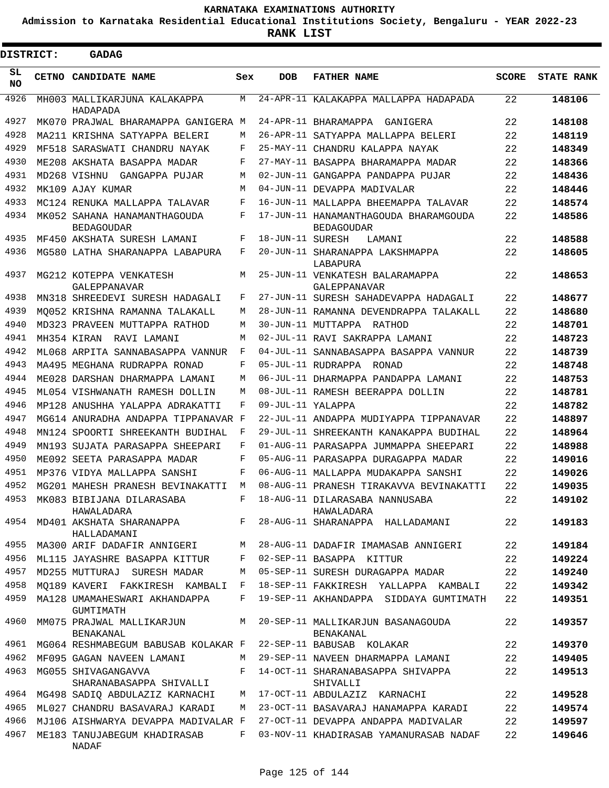**Admission to Karnataka Residential Educational Institutions Society, Bengaluru - YEAR 2022-23**

| <b>DISTRICT:</b> | <b>GADAG</b>                                                    |        |                   |                                                                             |              |                   |
|------------------|-----------------------------------------------------------------|--------|-------------------|-----------------------------------------------------------------------------|--------------|-------------------|
| SL<br><b>NO</b>  | CETNO CANDIDATE NAME                                            | Sex    | <b>DOB</b>        | <b>FATHER NAME</b>                                                          | <b>SCORE</b> | <b>STATE RANK</b> |
| 4926             | MH003 MALLIKARJUNA KALAKAPPA<br>HADAPADA                        | М      |                   | 24-APR-11 KALAKAPPA MALLAPPA HADAPADA                                       | 22           | 148106            |
| 4927             | MK070 PRAJWAL BHARAMAPPA GANIGERA M                             |        |                   | 24-APR-11 BHARAMAPPA GANIGERA                                               | 22           | 148108            |
| 4928             | MA211 KRISHNA SATYAPPA BELERI                                   | М      |                   | 26-APR-11 SATYAPPA MALLAPPA BELERI                                          | 22           | 148119            |
| 4929             | MF518 SARASWATI CHANDRU NAYAK                                   | F      |                   | 25-MAY-11 CHANDRU KALAPPA NAYAK                                             | 22           | 148349            |
| 4930             | ME208 AKSHATA BASAPPA MADAR                                     | F      |                   | 27-MAY-11 BASAPPA BHARAMAPPA MADAR                                          | 22           | 148366            |
| 4931             | MD268 VISHNU<br>GANGAPPA PUJAR                                  | М      |                   | 02-JUN-11 GANGAPPA PANDAPPA PUJAR                                           | 22           | 148436            |
| 4932             | MK109 AJAY KUMAR                                                | М      |                   | 04-JUN-11 DEVAPPA MADIVALAR                                                 | 22           | 148446            |
| 4933             | MC124 RENUKA MALLAPPA TALAVAR                                   | F      |                   | 16-JUN-11 MALLAPPA BHEEMAPPA TALAVAR                                        | 22           | 148574            |
| 4934             | MK052 SAHANA HANAMANTHAGOUDA<br><b>BEDAGOUDAR</b>               | F      |                   | 17-JUN-11 HANAMANTHAGOUDA BHARAMGOUDA<br><b>BEDAGOUDAR</b>                  | 22           | 148586            |
| 4935             | MF450 AKSHATA SURESH LAMANI                                     | F      | 18-JUN-11 SURESH  | LAMANI                                                                      | 22           | 148588            |
| 4936             | MG580 LATHA SHARANAPPA LABAPURA                                 | F      |                   | 20-JUN-11 SHARANAPPA LAKSHMAPPA<br>LABAPURA                                 | 22           | 148605            |
| 4937             | MG212 KOTEPPA VENKATESH<br>GALEPPANAVAR                         | М      |                   | 25-JUN-11 VENKATESH BALARAMAPPA<br><b>GALEPPANAVAR</b>                      | 22           | 148653            |
| 4938             | MN318 SHREEDEVI SURESH HADAGALI                                 | F      |                   | 27-JUN-11 SURESH SAHADEVAPPA HADAGALI                                       | 22           | 148677            |
| 4939             | MO052 KRISHNA RAMANNA TALAKALL                                  | М      |                   | 28-JUN-11 RAMANNA DEVENDRAPPA TALAKALL                                      | 22           | 148680            |
| 4940             | MD323 PRAVEEN MUTTAPPA RATHOD                                   | M      |                   | 30-JUN-11 MUTTAPPA RATHOD                                                   | 22           | 148701            |
| 4941             | MH354 KIRAN<br>RAVI LAMANI                                      | M      |                   | 02-JUL-11 RAVI SAKRAPPA LAMANI                                              | 22           | 148723            |
| 4942             | ML068 ARPITA SANNABASAPPA VANNUR                                | F      |                   | 04-JUL-11 SANNABASAPPA BASAPPA VANNUR                                       | 22           | 148739            |
| 4943             | MA495 MEGHANA RUDRAPPA RONAD                                    | F      |                   | 05-JUL-11 RUDRAPPA RONAD                                                    | 22           | 148748            |
| 4944             | ME028 DARSHAN DHARMAPPA LAMANI                                  | M      |                   | 06-JUL-11 DHARMAPPA PANDAPPA LAMANI                                         | 22           | 148753            |
| 4945             | ML054 VISHWANATH RAMESH DOLLIN                                  | M      |                   | 08-JUL-11 RAMESH BEERAPPA DOLLIN                                            | 22           | 148781            |
| 4946             | MP128 ANUSHHA YALAPPA ADRAKATTI                                 | F      | 09-JUL-11 YALAPPA |                                                                             | 22           | 148782            |
| 4947             | MG614 ANURADHA ANDAPPA TIPPANAVAR F                             |        |                   | 22-JUL-11 ANDAPPA MUDIYAPPA TIPPANAVAR                                      | 22           | 148897            |
| 4948             | MN124 SPOORTI SHREEKANTH BUDIHAL                                | F      |                   | 29-JUL-11 SHREEKANTH KANAKAPPA BUDIHAL                                      | 22           | 148964            |
| 4949             | MN193 SUJATA PARASAPPA SHEEPARI                                 | F      |                   | 01-AUG-11 PARASAPPA JUMMAPPA SHEEPARI                                       | 22           | 148988            |
| 4950             | ME092 SEETA PARASAPPA MADAR                                     | F      |                   | 05-AUG-11 PARASAPPA DURAGAPPA MADAR                                         | 22           | 149016            |
| 4951             | MP376 VIDYA MALLAPPA SANSHI                                     | F      |                   | 06-AUG-11 MALLAPPA MUDAKAPPA SANSHI                                         | 22           | 149026            |
| 4952             | MG201 MAHESH PRANESH BEVINAKATTI                                | М      |                   | 08-AUG-11 PRANESH TIRAKAVVA BEVINAKATTI                                     | 22           | 149035            |
| 4953             | MK083 BIBIJANA DILARASABA<br>HAWALADARA                         | F      |                   | 18-AUG-11 DILARASABA NANNUSABA<br>HAWALADARA                                | 22           | 149102            |
| 4954             | MD401 AKSHATA SHARANAPPA<br>HALLADAMANI                         | $F -$  |                   | 28-AUG-11 SHARANAPPA HALLADAMANI                                            | 22           | 149183            |
| 4955             | MA300 ARIF DADAFIR ANNIGERI                                     | M      |                   | 28-AUG-11 DADAFIR IMAMASAB ANNIGERI                                         | 22           | 149184            |
| 4956             | ML115 JAYASHRE BASAPPA KITTUR                                   | F      |                   | 02-SEP-11 BASAPPA KITTUR                                                    | 22           | 149224            |
| 4957<br>4958     | MD255 MUTTURAJ SURESH MADAR                                     | М      |                   | 05-SEP-11 SURESH DURAGAPPA MADAR                                            | 22           | 149240            |
| 4959             | MO189 KAVERI FAKKIRESH KAMBALI<br>MA128 UMAMAHESWARI AKHANDAPPA | F<br>F |                   | 18-SEP-11 FAKKIRESH YALLAPPA KAMBALI                                        | 22           | 149342            |
| 4960             | GUMTIMATH<br>MM075 PRAJWAL MALLIKARJUN                          | M      |                   | 19-SEP-11 AKHANDAPPA SIDDAYA GUMTIMATH<br>20-SEP-11 MALLIKARJUN BASANAGOUDA | 22<br>22     | 149351<br>149357  |
| 4961             | BENAKANAL<br>MG064 RESHMABEGUM BABUSAB KOLAKAR F                |        |                   | BENAKANAL                                                                   | 22           | 149370            |
| 4962             |                                                                 |        |                   | 22-SEP-11 BABUSAB KOLAKAR                                                   |              |                   |
|                  | MF095 GAGAN NAVEEN LAMANI                                       | М      |                   | 29-SEP-11 NAVEEN DHARMAPPA LAMANI                                           | 22           | 149405            |
| 4963             | MG055 SHIVAGANGAVVA<br>SHARANABASAPPA SHIVALLI                  | F      |                   | 14-OCT-11 SHARANABASAPPA SHIVAPPA<br>SHIVALLI                               | 22           | 149513            |
| 4964             | MG498 SADIQ ABDULAZIZ KARNACHI                                  | M      |                   | 17-OCT-11 ABDULAZIZ KARNACHI                                                | 22           | 149528            |
| 4965             | ML027 CHANDRU BASAVARAJ KARADI                                  | М      |                   | 23-OCT-11 BASAVARAJ HANAMAPPA KARADI                                        | 22           | 149574            |
| 4966             | MJ106 AISHWARYA DEVAPPA MADIVALAR F                             |        |                   | 27-OCT-11 DEVAPPA ANDAPPA MADIVALAR                                         | 22           | 149597            |
| 4967             | ME183 TANUJABEGUM KHADIRASAB<br>NADAF                           | F      |                   | 03-NOV-11 KHADIRASAB YAMANURASAB NADAF                                      | 22           | 149646            |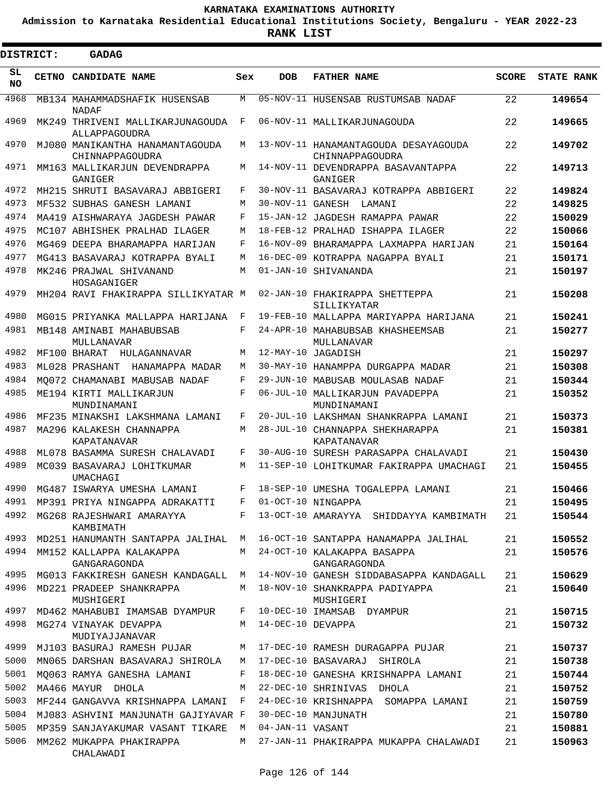**Admission to Karnataka Residential Educational Institutions Society, Bengaluru - YEAR 2022-23**

**RANK LIST**

ı

| <b>DISTRICT:</b> |  | <b>GADAG</b>                                       |              |                   |                                                         |              |                   |
|------------------|--|----------------------------------------------------|--------------|-------------------|---------------------------------------------------------|--------------|-------------------|
| SL<br>NO.        |  | <b>CETNO CANDIDATE NAME</b>                        | Sex          | <b>DOB</b>        | <b>FATHER NAME</b>                                      | <b>SCORE</b> | <b>STATE RANK</b> |
| 4968             |  | MB134 MAHAMMADSHAFIK HUSENSAB<br><b>NADAF</b>      | M            |                   | 05-NOV-11 HUSENSAB RUSTUMSAB NADAF                      | 22           | 149654            |
| 4969             |  | MK249 THRIVENI MALLIKARJUNAGOUDA<br>ALLAPPAGOUDRA  | F            |                   | 06-NOV-11 MALLIKARJUNAGOUDA                             | 22           | 149665            |
| 4970             |  | MJ080 MANIKANTHA HANAMANTAGOUDA<br>CHINNAPPAGOUDRA | M            |                   | 13-NOV-11 HANAMANTAGOUDA DESAYAGOUDA<br>CHINNAPPAGOUDRA | 22           | 149702            |
| 4971             |  | MM163 MALLIKARJUN DEVENDRAPPA<br>GANIGER           | M            |                   | 14-NOV-11 DEVENDRAPPA BASAVANTAPPA<br>GANIGER           | 22           | 149713            |
| 4972             |  | MH215 SHRUTI BASAVARAJ ABBIGERI                    | F            |                   | 30-NOV-11 BASAVARAJ KOTRAPPA ABBIGERI                   | 22           | 149824            |
| 4973             |  | MF532 SUBHAS GANESH LAMANI                         | M            |                   | 30-NOV-11 GANESH LAMANI                                 | 22           | 149825            |
| 4974             |  | MA419 AISHWARAYA JAGDESH PAWAR                     | F            |                   | 15-JAN-12 JAGDESH RAMAPPA PAWAR                         | 22           | 150029            |
| 4975             |  | MC107 ABHISHEK PRALHAD ILAGER                      | M            |                   | 18-FEB-12 PRALHAD ISHAPPA ILAGER                        | 22           | 150066            |
| 4976             |  | MG469 DEEPA BHARAMAPPA HARIJAN                     | F            |                   | 16-NOV-09 BHARAMAPPA LAXMAPPA HARIJAN                   | 21           | 150164            |
| 4977             |  | MG413 BASAVARAJ KOTRAPPA BYALI                     | M            |                   | 16-DEC-09 KOTRAPPA NAGAPPA BYALI                        | 21           | 150171            |
| 4978             |  | MK246 PRAJWAL SHIVANAND<br>HOSAGANIGER             | M            |                   | 01-JAN-10 SHIVANANDA                                    | 21           | 150197            |
| 4979             |  | MH204 RAVI FHAKIRAPPA SILLIKYATAR M                |              |                   | 02-JAN-10 FHAKIRAPPA SHETTEPPA<br>SILLIKYATAR           | 21           | 150208            |
| 4980             |  | MG015 PRIYANKA MALLAPPA HARIJANA                   | F            |                   | 19-FEB-10 MALLAPPA MARIYAPPA HARIJANA                   | 21           | 150241            |
| 4981             |  | MB148 AMINABI MAHABUBSAB<br>MULLANAVAR             | F            |                   | 24-APR-10 MAHABUBSAB KHASHEEMSAB<br>MULLANAVAR          | 21           | 150277            |
| 4982             |  | MF100 BHARAT HULAGANNAVAR                          | M            |                   | 12-MAY-10 JAGADISH                                      | 21           | 150297            |
| 4983             |  | ML028 PRASHANT<br>HANAMAPPA MADAR                  | M            |                   | 30-MAY-10 HANAMPPA DURGAPPA MADAR                       | 21           | 150308            |
| 4984             |  | MO072 CHAMANABI MABUSAB NADAF                      | F            |                   | 29-JUN-10 MABUSAB MOULASAB NADAF                        | 21           | 150344            |
| 4985             |  | ME194 KIRTI MALLIKARJUN<br>MUNDINAMANI             | F            |                   | 06-JUL-10 MALLIKARJUN PAVADEPPA<br>MUNDINAMANI          | 21           | 150352            |
| 4986             |  | MF235 MINAKSHI LAKSHMANA LAMANI                    | F            |                   | 20-JUL-10 LAKSHMAN SHANKRAPPA LAMANI                    | 21           | 150373            |
| 4987             |  | MA296 KALAKESH CHANNAPPA<br>KAPATANAVAR            | M            |                   | 28-JUL-10 CHANNAPPA SHEKHARAPPA<br>KAPATANAVAR          | 21           | 150381            |
| 4988             |  | ML078 BASAMMA SURESH CHALAVADI                     | F            |                   | 30-AUG-10 SURESH PARASAPPA CHALAVADI                    | 21           | 150430            |
| 4989             |  | MC039 BASAVARAJ LOHITKUMAR<br><b>UMACHAGI</b>      | M            |                   | 11-SEP-10 LOHITKUMAR FAKIRAPPA UMACHAGI                 | 21           | 150455            |
| 4990             |  | MG487 ISWARYA UMESHA LAMANI                        | F            |                   | 18-SEP-10 UMESHA TOGALEPPA LAMANI                       | 21           | 150466            |
| 4991             |  | MP391 PRIYA NINGAPPA ADRAKATTI                     | F            |                   | 01-OCT-10 NINGAPPA                                      | 21           | 150495            |
| 4992             |  | MG268 RAJESHWARI AMARAYYA<br>KAMBIMATH             | F            |                   | 13-OCT-10 AMARAYYA SHIDDAYYA KAMBIMATH                  | 21           | 150544            |
| 4993             |  | MD251 HANUMANTH SANTAPPA JALIHAL M                 |              |                   | 16-OCT-10 SANTAPPA HANAMAPPA JALIHAL                    | 21           | 150552            |
| 4994             |  | MM152 KALLAPPA KALAKAPPA<br>GANGARAGONDA           | M            |                   | 24-OCT-10 KALAKAPPA BASAPPA<br>GANGARAGONDA             | 21           | 150576            |
| 4995             |  | MG013 FAKKIRESH GANESH KANDAGALL M                 |              |                   | 14-NOV-10 GANESH SIDDABASAPPA KANDAGALL                 | 21           | 150629            |
| 4996             |  | MD221 PRADEEP SHANKRAPPA<br>MUSHIGERI              | M            |                   | 18-NOV-10 SHANKRAPPA PADIYAPPA<br>MUSHIGERI             | 21           | 150640            |
| 4997             |  | MD462 MAHABUBI IMAMSAB DYAMPUR                     | F            |                   | 10-DEC-10 IMAMSAB DYAMPUR                               | 21           | 150715            |
| 4998             |  | MG274 VINAYAK DEVAPPA<br>MUDIYAJJANAVAR            | M            | 14-DEC-10 DEVAPPA |                                                         | 21           | 150732            |
| 4999             |  | MJ103 BASURAJ RAMESH PUJAR                         | M            |                   | 17-DEC-10 RAMESH DURAGAPPA PUJAR                        | 21           | 150737            |
| 5000             |  | MN065 DARSHAN BASAVARAJ SHIROLA                    | M            |                   | 17-DEC-10 BASAVARAJ SHIROLA                             | 21           | 150738            |
| 5001             |  | MO063 RAMYA GANESHA LAMANI                         | F            |                   | 18-DEC-10 GANESHA KRISHNAPPA LAMANI                     | 21           | 150744            |
| 5002             |  | MA466 MAYUR DHOLA                                  | M            |                   | 22-DEC-10 SHRINIVAS DHOLA                               | 21           | 150752            |
| 5003             |  | MF244 GANGAVVA KRISHNAPPA LAMANI                   | $\mathbf{F}$ |                   | 24-DEC-10 KRISHNAPPA SOMAPPA LAMANI                     | 21           | 150759            |
| 5004             |  | MJ083 ASHVINI MANJUNATH GAJIYAVAR F                |              |                   | 30-DEC-10 MANJUNATH                                     | 21           | 150780            |
| 5005             |  | MP359 SANJAYAKUMAR VASANT TIKARE                   | M            | 04-JAN-11 VASANT  |                                                         | 21           | 150881            |
| 5006             |  | MM262 MUKAPPA PHAKIRAPPA<br>CHALAWADI              | M            |                   | 27-JAN-11 PHAKIRAPPA MUKAPPA CHALAWADI                  | 21           | 150963            |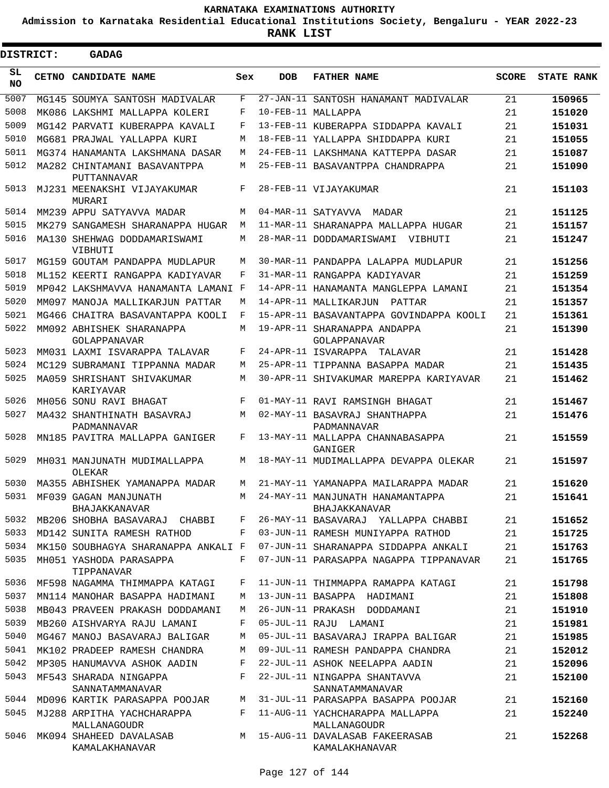**Admission to Karnataka Residential Educational Institutions Society, Bengaluru - YEAR 2022-23**

| DISTRICT:  | <b>GADAG</b>                                |     |            |                                                          |              |                   |
|------------|---------------------------------------------|-----|------------|----------------------------------------------------------|--------------|-------------------|
| SL.<br>NO. | CETNO CANDIDATE NAME                        | Sex | <b>DOB</b> | <b>FATHER NAME</b>                                       | <b>SCORE</b> | <b>STATE RANK</b> |
| 5007       | MG145 SOUMYA SANTOSH MADIVALAR              | F   |            | 27-JAN-11 SANTOSH HANAMANT MADIVALAR                     | 21           | 150965            |
| 5008       | MK086 LAKSHMI MALLAPPA KOLERI               | F   |            | 10-FEB-11 MALLAPPA                                       | 21           | 151020            |
| 5009       | MG142 PARVATI KUBERAPPA KAVALI              | F   |            | 13-FEB-11 KUBERAPPA SIDDAPPA KAVALI                      | 21           | 151031            |
| 5010       | MG681 PRAJWAL YALLAPPA KURI                 | M   |            | 18-FEB-11 YALLAPPA SHIDDAPPA KURI                        | 21           | 151055            |
| 5011       | MG374 HANAMANTA LAKSHMANA DASAR             | M   |            | 24-FEB-11 LAKSHMANA KATTEPPA DASAR                       | 21           | 151087            |
| 5012       | MA282 CHINTAMANI BASAVANTPPA<br>PUTTANNAVAR | M   |            | 25-FEB-11 BASAVANTPPA CHANDRAPPA                         | 21           | 151090            |
| 5013       | MJ231 MEENAKSHI VIJAYAKUMAR<br>MURARI       | F   |            | 28-FEB-11 VIJAYAKUMAR                                    | 21           | 151103            |
| 5014       | MM239 APPU SATYAVVA MADAR                   | M   |            | 04-MAR-11 SATYAVVA<br>MADAR                              | 21           | 151125            |
| 5015       | MK279 SANGAMESH SHARANAPPA HUGAR            | M   |            | 11-MAR-11 SHARANAPPA MALLAPPA HUGAR                      | 21           | 151157            |
| 5016       | MA130 SHEHWAG DODDAMARISWAMI<br>VIBHUTI     | M   |            | 28-MAR-11 DODDAMARISWAMI<br>VIBHUTI                      | 21           | 151247            |
| 5017       | MG159 GOUTAM PANDAPPA MUDLAPUR              | M   |            | 30-MAR-11 PANDAPPA LALAPPA MUDLAPUR                      | 21           | 151256            |
| 5018       | ML152 KEERTI RANGAPPA KADIYAVAR             | F   |            | 31-MAR-11 RANGAPPA KADIYAVAR                             | 21           | 151259            |
| 5019       | MP042 LAKSHMAVVA HANAMANTA LAMANI F         |     |            | 14-APR-11 HANAMANTA MANGLEPPA LAMANI                     | 21           | 151354            |
| 5020       | MM097 MANOJA MALLIKARJUN PATTAR             | M   |            | 14-APR-11 MALLIKARJUN<br>PATTAR                          | 21           | 151357            |
| 5021       | MG466 CHAITRA BASAVANTAPPA KOOLI            | F   |            | 15-APR-11 BASAVANTAPPA GOVINDAPPA KOOLI                  | 21           | 151361            |
| 5022       | MM092 ABHISHEK SHARANAPPA<br>GOLAPPANAVAR   | M   |            | 19-APR-11 SHARANAPPA ANDAPPA<br>GOLAPPANAVAR             | 21           | 151390            |
| 5023       | MM031 LAXMI ISVARAPPA TALAVAR               | F   |            | 24-APR-11 ISVARAPPA<br>TALAVAR                           | 21           | 151428            |
| 5024       | MC129 SUBRAMANI TIPPANNA MADAR              | M   |            | 25-APR-11 TIPPANNA BASAPPA MADAR                         | 21           | 151435            |
| 5025       | MA059 SHRISHANT SHIVAKUMAR<br>KARIYAVAR     | M   |            | 30-APR-11 SHIVAKUMAR MAREPPA KARIYAVAR                   | 21           | 151462            |
| 5026       | MH056 SONU RAVI BHAGAT                      | F   |            | 01-MAY-11 RAVI RAMSINGH BHAGAT                           | 21           | 151467            |
| 5027       | MA432 SHANTHINATH BASAVRAJ<br>PADMANNAVAR   | M   |            | 02-MAY-11 BASAVRAJ SHANTHAPPA<br>PADMANNAVAR             | 21           | 151476            |
| 5028       | MN185 PAVITRA MALLAPPA GANIGER              | F   |            | 13-MAY-11 MALLAPPA CHANNABASAPPA<br>GANIGER              | 21           | 151559            |
| 5029       | MH031 MANJUNATH MUDIMALLAPPA<br>OLEKAR      | M   |            | 18-MAY-11 MUDIMALLAPPA DEVAPPA OLEKAR                    | 21           | 151597            |
| 5030       | MA355 ABHISHEK YAMANAPPA MADAR              | M   |            | 21-MAY-11 YAMANAPPA MAILARAPPA MADAR                     | 21           | 151620            |
| 5031       | MF039 GAGAN MANJUNATH<br>BHAJAKKANAVAR      | M   |            | 24-MAY-11 MANJUNATH HANAMANTAPPA<br><b>BHAJAKKANAVAR</b> | 21           | 151641            |
| 5032       | MB206 SHOBHA BASAVARAJ CHABBI               | F   |            | 26-MAY-11 BASAVARAJ YALLAPPA CHABBI                      | 21           | 151652            |
| 5033       | MD142 SUNITA RAMESH RATHOD                  | F   |            | 03-JUN-11 RAMESH MUNIYAPPA RATHOD                        | 21           | 151725            |
| 5034       | MK150 SOUBHAGYA SHARANAPPA ANKALI F         |     |            | 07-JUN-11 SHARANAPPA SIDDAPPA ANKALI                     | 21           | 151763            |
| 5035       | MH051 YASHODA PARASAPPA<br>TIPPANAVAR       | F   |            | 07-JUN-11 PARASAPPA NAGAPPA TIPPANAVAR                   | 21           | 151765            |
| 5036       | MF598 NAGAMMA THIMMAPPA KATAGI              | F   |            | 11-JUN-11 THIMMAPPA RAMAPPA KATAGI                       | 21           | 151798            |
| 5037       | MN114 MANOHAR BASAPPA HADIMANI              | М   |            | 13-JUN-11 BASAPPA HADIMANI                               | 21           | 151808            |
| 5038       | MB043 PRAVEEN PRAKASH DODDAMANI             | М   |            | 26-JUN-11 PRAKASH DODDAMANI                              | 21           | 151910            |
| 5039       | MB260 AISHVARYA RAJU LAMANI                 | F   |            | 05-JUL-11 RAJU LAMANI                                    | 21           | 151981            |
| 5040       | MG467 MANOJ BASAVARAJ BALIGAR               | М   |            | 05-JUL-11 BASAVARAJ IRAPPA BALIGAR                       | 21           | 151985            |
| 5041       | MK102 PRADEEP RAMESH CHANDRA                | М   |            | 09-JUL-11 RAMESH PANDAPPA CHANDRA                        | 21           | 152012            |
| 5042       | MP305 HANUMAVVA ASHOK AADIN                 | F   |            | 22-JUL-11 ASHOK NEELAPPA AADIN                           | 21           | 152096            |
| 5043       | MF543 SHARADA NINGAPPA<br>SANNATAMMANAVAR   | F   |            | 22-JUL-11 NINGAPPA SHANTAVVA<br>SANNATAMMANAVAR          | 21           | 152100            |
| 5044       | MD096 KARTIK PARASAPPA POOJAR               | М   |            | 31-JUL-11 PARASAPPA BASAPPA POOJAR                       | 21           | 152160            |
| 5045       | MJ288 ARPITHA YACHCHARAPPA<br>MALLANAGOUDR  | F   |            | 11-AUG-11 YACHCHARAPPA MALLAPPA<br>MALLANAGOUDR          | 21           | 152240            |
| 5046       | MK094 SHAHEED DAVALASAB<br>KAMALAKHANAVAR   | M   |            | 15-AUG-11 DAVALASAB FAKEERASAB<br>KAMALAKHANAVAR         | 21           | 152268            |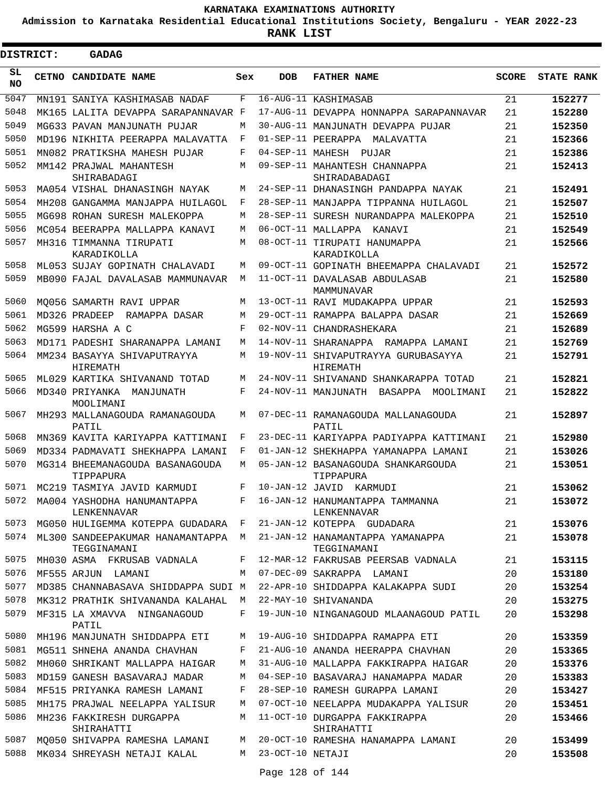**Admission to Karnataka Residential Educational Institutions Society, Bengaluru - YEAR 2022-23**

ı

| DISTRICT:       |  | <b>GADAG</b>                                      |     |                    |                                                  |              |                   |
|-----------------|--|---------------------------------------------------|-----|--------------------|--------------------------------------------------|--------------|-------------------|
| SL<br><b>NO</b> |  | CETNO CANDIDATE NAME                              | Sex | <b>DOB</b>         | <b>FATHER NAME</b>                               | <b>SCORE</b> | <b>STATE RANK</b> |
| 5047            |  | MN191 SANIYA KASHIMASAB NADAF                     | F   |                    | 16-AUG-11 KASHIMASAB                             | 21           | 152277            |
| 5048            |  | MK165 LALITA DEVAPPA SARAPANNAVAR F               |     |                    | 17-AUG-11 DEVAPPA HONNAPPA SARAPANNAVAR          | 21           | 152280            |
| 5049            |  | MG633 PAVAN MANJUNATH PUJAR                       | M   |                    | 30-AUG-11 MANJUNATH DEVAPPA PUJAR                | 21           | 152350            |
| 5050            |  | MD196 NIKHITA PEERAPPA MALAVATTA                  | F   |                    | 01-SEP-11 PEERAPPA<br>MALAVATTA                  | 21           | 152366            |
| 5051            |  | MN082 PRATIKSHA MAHESH PUJAR                      | F   | 04-SEP-11 MAHESH   | PUJAR                                            | 21           | 152386            |
| 5052            |  | MM142 PRAJWAL MAHANTESH<br>SHIRABADAGI            | M   |                    | 09-SEP-11 MAHANTESH CHANNAPPA<br>SHIRADABADAGI   | 21           | 152413            |
| 5053            |  | MA054 VISHAL DHANASINGH NAYAK                     | M   |                    | 24-SEP-11 DHANASINGH PANDAPPA NAYAK              | 21           | 152491            |
| 5054            |  | MH208 GANGAMMA MANJAPPA HUILAGOL                  | F   |                    | 28-SEP-11 MANJAPPA TIPPANNA HUILAGOL             | 21           | 152507            |
| 5055            |  | MG698 ROHAN SURESH MALEKOPPA                      | M   |                    | 28-SEP-11 SURESH NURANDAPPA MALEKOPPA            | 21           | 152510            |
| 5056            |  | MC054 BEERAPPA MALLAPPA KANAVI                    | M   |                    | 06-OCT-11 MALLAPPA KANAVI                        | 21           | 152549            |
| 5057            |  | MH316 TIMMANNA TIRUPATI<br>KARADIKOLLA            | M   |                    | 08-OCT-11 TIRUPATI HANUMAPPA<br>KARADIKOLLA      | 21           | 152566            |
| 5058            |  | ML053 SUJAY GOPINATH CHALAVADI                    | M   |                    | 09-OCT-11 GOPINATH BHEEMAPPA CHALAVADI           | 21           | 152572            |
| 5059            |  | MB090 FAJAL DAVALASAB MAMMUNAVAR                  | M   |                    | 11-OCT-11 DAVALASAB ABDULASAB<br>MAMMUNAVAR      | 21           | 152580            |
| 5060            |  | MO056 SAMARTH RAVI UPPAR                          | M   |                    | 13-OCT-11 RAVI MUDAKAPPA UPPAR                   | 21           | 152593            |
| 5061            |  | MD326 PRADEEP<br>RAMAPPA DASAR                    | M   |                    | 29-OCT-11 RAMAPPA BALAPPA DASAR                  | 21           | 152669            |
| 5062            |  | MG599 HARSHA A C                                  | F   |                    | 02-NOV-11 CHANDRASHEKARA                         | 21           | 152689            |
| 5063            |  | MD171 PADESHI SHARANAPPA LAMANI                   | M   |                    | 14-NOV-11 SHARANAPPA RAMAPPA LAMANI              | 21           | 152769            |
| 5064            |  | MM234 BASAYYA SHIVAPUTRAYYA<br>HIREMATH           | M   |                    | 19-NOV-11 SHIVAPUTRAYYA GURUBASAYYA<br>HIREMATH  | 21           | 152791            |
| 5065            |  | ML029 KARTIKA SHIVANAND TOTAD                     | M   |                    | 24-NOV-11 SHIVANAND SHANKARAPPA TOTAD            | 21           | 152821            |
| 5066            |  | MD340 PRIYANKA<br>MANJUNATH<br>MOOLIMANI          | F   |                    | 24-NOV-11 MANJUNATH BASAPPA<br>MOOLIMANI         | 21           | 152822            |
| 5067            |  | MH293 MALLANAGOUDA RAMANAGOUDA<br>PATIL           | M   |                    | 07-DEC-11 RAMANAGOUDA MALLANAGOUDA<br>PATIL      | 21           | 152897            |
| 5068            |  | MN369 KAVITA KARIYAPPA KATTIMANI                  | F   |                    | 23-DEC-11 KARIYAPPA PADIYAPPA KATTIMANI          | 21           | 152980            |
| 5069            |  | MD334 PADMAVATI SHEKHAPPA LAMANI                  | F   |                    | 01-JAN-12 SHEKHAPPA YAMANAPPA LAMANI             | 21           | 153026            |
| 5070            |  | MG314 BHEEMANAGOUDA BASANAGOUDA<br>TIPPAPURA      | M   |                    | 05-JAN-12 BASANAGOUDA SHANKARGOUDA<br>TIPPAPURA  | 21           | 153051            |
| 5071            |  | MC219 TASMIYA JAVID KARMUDI                       | F   | 10-JAN-12 JAVID    | KARMUDI                                          | 21           | 153062            |
|                 |  | 5072 MA004 YASHODHA HANUMANTAPPA<br>LENKENNAVAR   |     |                    | F 16-JAN-12 HANUMANTAPPA TAMMANNA<br>LENKENNAVAR | 21           | 153072            |
| 5073            |  | MG050 HULIGEMMA KOTEPPA GUDADARA F                |     |                    | 21-JAN-12 KOTEPPA GUDADARA                       | 21           | 153076            |
| 5074            |  | ML300 SANDEEPAKUMAR HANAMANTAPPA M<br>TEGGINAMANI |     |                    | 21-JAN-12 HANAMANTAPPA YAMANAPPA<br>TEGGINAMANI  | 21           | 153078            |
| 5075            |  | MH030 ASMA FKRUSAB VADNALA                        |     |                    | F 12-MAR-12 FAKRUSAB PEERSAB VADNALA             | 21           | 153115            |
| 5076            |  | MF555 ARJUN LAMANI                                | M   |                    | 07-DEC-09 SAKRAPPA LAMANI                        | 20           | 153180            |
| 5077            |  | MD385 CHANNABASAVA SHIDDAPPA SUDI M               |     |                    | 22-APR-10 SHIDDAPPA KALAKAPPA SUDI               | 20           | 153254            |
| 5078            |  | MK312 PRATHIK SHIVANANDA KALAHAL M                |     |                    | 22-MAY-10 SHIVANANDA                             | 20           | 153275            |
| 5079            |  | MF315 LA XMAVVA NINGANAGOUD<br>PATIL              | F   |                    | 19-JUN-10 NINGANAGOUD MLAANAGOUD PATIL           | 20           | 153298            |
| 5080            |  | MH196 MANJUNATH SHIDDAPPA ETI                     | M   |                    | 19-AUG-10 SHIDDAPPA RAMAPPA ETI                  | 20           | 153359            |
| 5081            |  | MG511 SHNEHA ANANDA CHAVHAN                       | F   |                    | 21-AUG-10 ANANDA HEERAPPA CHAVHAN                | 20           | 153365            |
| 5082            |  | MH060 SHRIKANT MALLAPPA HAIGAR                    | М   |                    | 31-AUG-10 MALLAPPA FAKKIRAPPA HAIGAR             | 20           | 153376            |
| 5083            |  | MD159 GANESH BASAVARAJ MADAR                      | М   |                    | 04-SEP-10 BASAVARAJ HANAMAPPA MADAR              | 20           | 153383            |
| 5084            |  | MF515 PRIYANKA RAMESH LAMANI                      | F   |                    | 28-SEP-10 RAMESH GURAPPA LAMANI                  | 20           | 153427            |
| 5085            |  | MH175 PRAJWAL NEELAPPA YALISUR                    | M   |                    | 07-OCT-10 NEELAPPA MUDAKAPPA YALISUR             | 20           | 153451            |
| 5086            |  | MH236 FAKKIRESH DURGAPPA<br>SHIRAHATTI            | M   |                    | 11-OCT-10 DURGAPPA FAKKIRAPPA<br>SHIRAHATTI      | 20           | 153466            |
| 5087            |  | MQ050 SHIVAPPA RAMESHA LAMANI                     |     |                    | M 20-OCT-10 RAMESHA HANAMAPPA LAMANI             | 20           | 153499            |
| 5088            |  | MK034 SHREYASH NETAJI KALAL                       |     | M 23-OCT-10 NETAJI |                                                  | 20           | 153508            |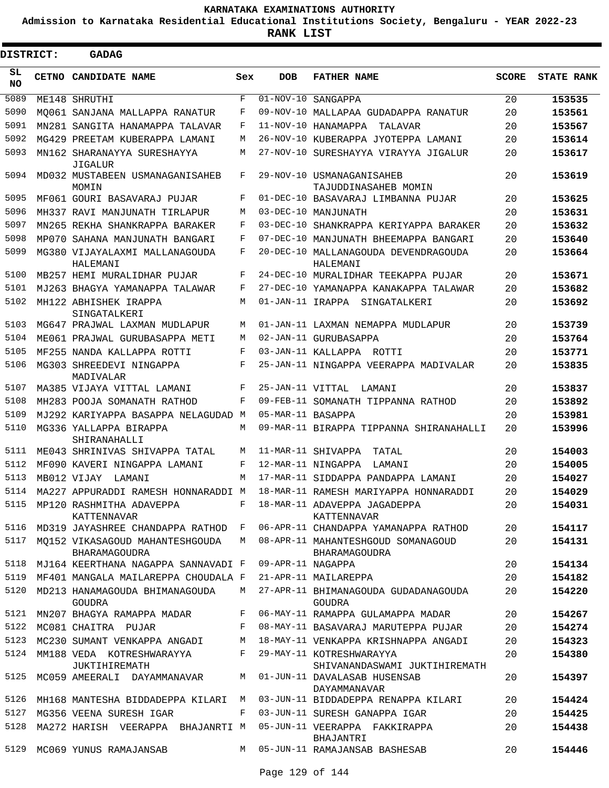**Admission to Karnataka Residential Educational Institutions Society, Bengaluru - YEAR 2022-23**

**RANK LIST**

 $\blacksquare$ 

| DISTRICT:       | <b>GADAG</b>                                     |     |                   |                                                           |              |                   |
|-----------------|--------------------------------------------------|-----|-------------------|-----------------------------------------------------------|--------------|-------------------|
| SL<br><b>NO</b> | <b>CETNO CANDIDATE NAME</b>                      | Sex | <b>DOB</b>        | <b>FATHER NAME</b>                                        | <b>SCORE</b> | <b>STATE RANK</b> |
| 5089            | ME148 SHRUTHI                                    | F   |                   | $\overline{01-NOV-}10$ SANGAPPA                           | 20           | 153535            |
| 5090            | MO061 SANJANA MALLAPPA RANATUR                   | F   |                   | 09-NOV-10 MALLAPAA GUDADAPPA RANATUR                      | 20           | 153561            |
| 5091            | MN281 SANGITA HANAMAPPA TALAVAR                  | F   |                   | 11-NOV-10 HANAMAPPA<br>TALAVAR                            | 20           | 153567            |
| 5092            | MG429 PREETAM KUBERAPPA LAMANI                   | M   |                   | 26-NOV-10 KUBERAPPA JYOTEPPA LAMANI                       | 20           | 153614            |
| 5093            | MN162 SHARANAYYA SURESHAYYA<br><b>JIGALUR</b>    | M   |                   | 27-NOV-10 SURESHAYYA VIRAYYA JIGALUR                      | 20           | 153617            |
| 5094            | MD032 MUSTABEEN USMANAGANISAHEB<br>MOMIN         | F   |                   | 29-NOV-10 USMANAGANISAHEB<br>TAJUDDINASAHEB MOMIN         | 20           | 153619            |
| 5095            | MF061 GOURI BASAVARAJ PUJAR                      | F   |                   | 01-DEC-10 BASAVARAJ LIMBANNA PUJAR                        | 20           | 153625            |
| 5096            | MH337 RAVI MANJUNATH TIRLAPUR                    | M   |                   | 03-DEC-10 MANJUNATH                                       | 20           | 153631            |
| 5097            | MN265 REKHA SHANKRAPPA BARAKER                   | F   |                   | 03-DEC-10 SHANKRAPPA KERIYAPPA BARAKER                    | 20           | 153632            |
| 5098            | MP070 SAHANA MANJUNATH BANGARI                   | F   |                   | 07-DEC-10 MANJUNATH BHEEMAPPA BANGARI                     | 20           | 153640            |
| 5099            | MG380 VIJAYALAXMI MALLANAGOUDA<br>HALEMANI       | F   |                   | 20-DEC-10 MALLANAGOUDA DEVENDRAGOUDA<br>HALEMANI          | 20           | 153664            |
| 5100            | MB257 HEMI MURALIDHAR PUJAR                      | F   |                   | 24-DEC-10 MURALIDHAR TEEKAPPA PUJAR                       | 20           | 153671            |
| 5101            | MJ263 BHAGYA YAMANAPPA TALAWAR                   | F   |                   | 27-DEC-10 YAMANAPPA KANAKAPPA TALAWAR                     | 20           | 153682            |
| 5102            | MH122 ABHISHEK IRAPPA<br>SINGATALKERI            | M   |                   | 01-JAN-11 IRAPPA SINGATALKERI                             | 20           | 153692            |
| 5103            | MG647 PRAJWAL LAXMAN MUDLAPUR                    | М   |                   | 01-JAN-11 LAXMAN NEMAPPA MUDLAPUR                         | 20           | 153739            |
| 5104            | ME061 PRAJWAL GURUBASAPPA METI                   | M   |                   | 02-JAN-11 GURUBASAPPA                                     | 20           | 153764            |
| 5105            | MF255 NANDA KALLAPPA ROTTI                       | F   |                   | 03-JAN-11 KALLAPPA ROTTI                                  | 20           | 153771            |
| 5106            | MG303 SHREEDEVI NINGAPPA<br>MADIVALAR            | F   |                   | 25-JAN-11 NINGAPPA VEERAPPA MADIVALAR                     | 20           | 153835            |
| 5107            | MA385 VIJAYA VITTAL LAMANI                       | F   | 25-JAN-11 VITTAL  | LAMANI                                                    | 20           | 153837            |
| 5108            | MH283 POOJA SOMANATH RATHOD                      | F   |                   | 09-FEB-11 SOMANATH TIPPANNA RATHOD                        | 20           | 153892            |
| 5109            | MJ292 KARIYAPPA BASAPPA NELAGUDAD M              |     | 05-MAR-11 BASAPPA |                                                           | 20           | 153981            |
| 5110            | MG336 YALLAPPA BIRAPPA<br>SHIRANAHALLI           | M   |                   | 09-MAR-11 BIRAPPA TIPPANNA SHIRANAHALLI                   | 20           | 153996            |
| 5111            | ME043 SHRINIVAS SHIVAPPA TATAL                   | M   |                   | 11-MAR-11 SHIVAPPA<br>TATAL                               | 20           | 154003            |
| 5112            | MF090 KAVERI NINGAPPA LAMANI                     | F   |                   | 12-MAR-11 NINGAPPA<br>LAMANI                              | 20           | 154005            |
| 5113            | MB012 VIJAY<br>LAMANI                            | M   |                   | 17-MAR-11 SIDDAPPA PANDAPPA LAMANI                        | 20           | 154027            |
| 5114            | MA227 APPURADDI RAMESH HONNARADDI M              |     |                   | 18-MAR-11 RAMESH MARIYAPPA HONNARADDI                     | 20           | 154029            |
|                 | 5115 MP120 RASHMITHA ADAVEPPA<br>KATTENNAVAR     | F   |                   | 18-MAR-11 ADAVEPPA JAGADEPPA<br>KATTENNAVAR               | 20           | 154031            |
| 5116            | MD319 JAYASHREE CHANDAPPA RATHOD F               |     |                   | 06-APR-11 CHANDAPPA YAMANAPPA RATHOD                      | 20           | 154117            |
| 5117            | MQ152 VIKASAGOUD MAHANTESHGOUDA<br>BHARAMAGOUDRA |     |                   | M 08-APR-11 MAHANTESHGOUD SOMANAGOUD<br>BHARAMAGOUDRA     | 20           | 154131            |
| 5118            | MJ164 KEERTHANA NAGAPPA SANNAVADI F              |     | 09-APR-11 NAGAPPA |                                                           | 20           | 154134            |
| 5119            | MF401 MANGALA MAILAREPPA CHOUDALA F              |     |                   | 21-APR-11 MAILAREPPA                                      | 20           | 154182            |
| 5120            | MD213 HANAMAGOUDA BHIMANAGOUDA<br><b>GOUDRA</b>  | M   |                   | 27-APR-11 BHIMANAGOUDA GUDADANAGOUDA<br>GOUDRA            | 20           | 154220            |
|                 | 5121 MN207 BHAGYA RAMAPPA MADAR                  |     |                   | F 06-MAY-11 RAMAPPA GULAMAPPA MADAR                       | 20           | 154267            |
|                 | 5122 MC081 CHAITRA PUJAR                         | F   |                   | 08-MAY-11 BASAVARAJ MARUTEPPA PUJAR                       | 20           | 154274            |
| 5123            | MC230 SUMANT VENKAPPA ANGADI                     | М   |                   | 18-MAY-11 VENKAPPA KRISHNAPPA ANGADI                      | 20           | 154323            |
| 5124            | MM188 VEDA KOTRESHWARAYYA<br>JUKTIHIREMATH       | F   |                   | 29-MAY-11 KOTRESHWARAYYA<br>SHIVANANDASWAMI JUKTIHIREMATH | 20           | 154380            |
| 5125            | MC059 AMEERALI DAYAMMANAVAR                      | М   |                   | 01-JUN-11 DAVALASAB HUSENSAB<br>DAYAMMANAVAR              | 20           | 154397            |
| 5126            | MH168 MANTESHA BIDDADEPPA KILARI                 | M   |                   | 03-JUN-11 BIDDADEPPA RENAPPA KILARI                       | 20           | 154424            |
| 5127            | MG356 VEENA SURESH IGAR                          | F   |                   | 03-JUN-11 SURESH GANAPPA IGAR                             | 20           | 154425            |
| 5128            | MA272 HARISH VEERAPPA BHAJANRTI M                |     |                   | 05-JUN-11 VEERAPPA FAKKIRAPPA<br>BHAJANTRI                | 20           | 154438            |
| 5129            | MC069 YUNUS RAMAJANSAB                           |     |                   | M 05-JUN-11 RAMAJANSAB BASHESAB                           | 20           | 154446            |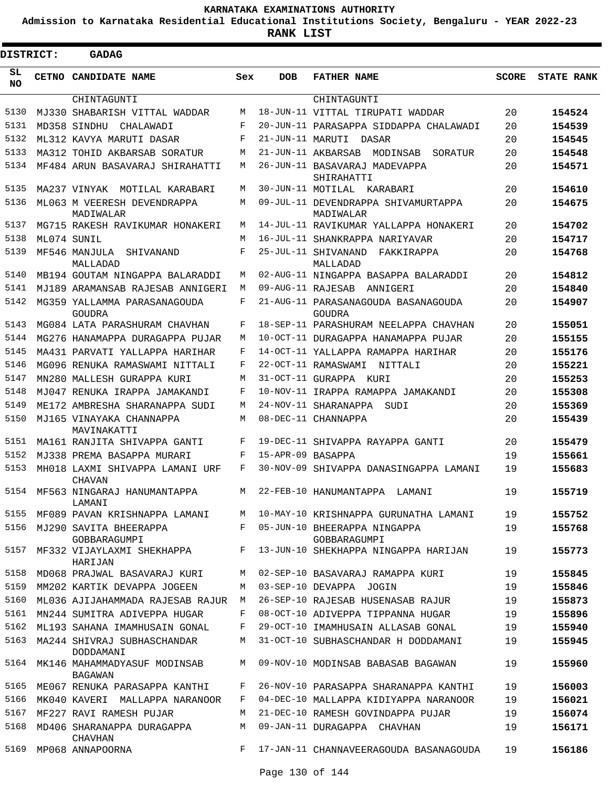**Admission to Karnataka Residential Educational Institutions Society, Bengaluru - YEAR 2022-23**

| <b>DISTRICT:</b> | GADAG                                            |     |                   |                                                  |              |                   |
|------------------|--------------------------------------------------|-----|-------------------|--------------------------------------------------|--------------|-------------------|
| SL<br>NO.        | CETNO CANDIDATE NAME                             | Sex | <b>DOB</b>        | <b>FATHER NAME</b>                               | <b>SCORE</b> | <b>STATE RANK</b> |
|                  | CHINTAGUNTI                                      |     |                   | CHINTAGUNTI                                      |              |                   |
| 5130             | MJ330 SHABARISH VITTAL WADDAR                    | М   |                   | 18-JUN-11 VITTAL TIRUPATI WADDAR                 | 20           | 154524            |
| 5131             | MD358 SINDHU<br>CHALAWADI                        | F   |                   | 20-JUN-11 PARASAPPA SIDDAPPA CHALAWADI           | 20           | 154539            |
| 5132             | ML312 KAVYA MARUTI DASAR                         | F   | 21-JUN-11 MARUTI  | DASAR                                            | 20           | 154545            |
| 5133             | MA312 TOHID AKBARSAB SORATUR                     | М   |                   | 21-JUN-11 AKBARSAB<br>MODINSAB<br>SORATUR        | 20           | 154548            |
| 5134             | MF484 ARUN BASAVARAJ SHIRAHATTI                  | М   |                   | 26-JUN-11 BASAVARAJ MADEVAPPA<br>SHIRAHATTI      | 20           | 154571            |
| 5135             | MA237 VINYAK<br>MOTILAL KARABARI                 | М   | 30-JUN-11 MOTILAL | KARABARI                                         | 20           | 154610            |
| 5136             | ML063 M VEERESH DEVENDRAPPA<br>MADIWALAR         | M   |                   | 09-JUL-11 DEVENDRAPPA SHIVAMURTAPPA<br>MADIWALAR | 20           | 154675            |
| 5137             | MG715 RAKESH RAVIKUMAR HONAKERI                  | М   |                   | 14-JUL-11 RAVIKUMAR YALLAPPA HONAKERI            | 20           | 154702            |
| 5138             | ML074 SUNIL                                      | М   |                   | 16-JUL-11 SHANKRAPPA NARIYAVAR                   | 20           | 154717            |
| 5139             | MF546 MANJULA<br>SHIVANAND<br>MALLADAD           | F   |                   | 25-JUL-11 SHIVANAND<br>FAKKIRAPPA<br>MALLADAD    | 20           | 154768            |
| 5140             | MB194 GOUTAM NINGAPPA BALARADDI                  | М   |                   | 02-AUG-11 NINGAPPA BASAPPA BALARADDI             | 20           | 154812            |
| 5141             | MJ189 ARAMANSAB RAJESAB ANNIGERI                 | M   | 09-AUG-11 RAJESAB | ANNIGERI                                         | 20           | 154840            |
| 5142             | MG359 YALLAMMA PARASANAGOUDA<br>GOUDRA           | F   |                   | 21-AUG-11 PARASANAGOUDA BASANAGOUDA<br>GOUDRA    | 20           | 154907            |
| 5143             | MG084 LATA PARASHURAM CHAVHAN                    | F   |                   | 18-SEP-11 PARASHURAM NEELAPPA CHAVHAN            | 20           | 155051            |
| 5144             | MG276 HANAMAPPA DURAGAPPA PUJAR                  | М   |                   | 10-OCT-11 DURAGAPPA HANAMAPPA PUJAR              | 20           | 155155            |
| 5145             | MA431 PARVATI YALLAPPA HARIHAR                   | F   |                   | 14-OCT-11 YALLAPPA RAMAPPA HARIHAR               | 20           | 155176            |
| 5146             | MG096 RENUKA RAMASWAMI NITTALI                   | F   |                   | 22-OCT-11 RAMASWAMI NITTALI                      | 20           | 155221            |
| 5147             | MN280 MALLESH GURAPPA KURI                       | М   |                   | 31-OCT-11 GURAPPA KURI                           | 20           | 155253            |
| 5148             | MJ047 RENUKA IRAPPA JAMAKANDI                    | F   |                   | 10-NOV-11 IRAPPA RAMAPPA JAMAKANDI               | 20           | 155308            |
| 5149             | ME172 AMBRESHA SHARANAPPA SUDI                   | М   |                   | 24-NOV-11 SHARANAPPA<br>SUDI                     | 20           | 155369            |
| 5150             | MJ165 VINAYAKA CHANNAPPA<br>MAVINAKATTI          | М   |                   | 08-DEC-11 CHANNAPPA                              | 20           | 155439            |
| 5151             | MA161 RANJITA SHIVAPPA GANTI                     | F   |                   | 19-DEC-11 SHIVAPPA RAYAPPA GANTI                 | 20           | 155479            |
| 5152             | MJ338 PREMA BASAPPA MURARI                       | F   | 15-APR-09 BASAPPA |                                                  | 19           | 155661            |
| 5153             | MH018 LAXMI SHIVAPPA LAMANI URF<br><b>CHAVAN</b> | F   |                   | 30-NOV-09 SHIVAPPA DANASINGAPPA LAMANI           | 19           | 155683            |
| 5154             | MF563 NINGARAJ HANUMANTAPPA<br>LAMANI            | М   |                   | 22-FEB-10 HANUMANTAPPA<br>LAMANI                 | 19           | 155719            |
| 5155             | MF089 PAVAN KRISHNAPPA LAMANI                    | M   |                   | 10-MAY-10 KRISHNAPPA GURUNATHA LAMANI            | 19           | 155752            |
| 5156             | MJ290 SAVITA BHEERAPPA<br>GOBBARAGUMPI           | F   |                   | 05-JUN-10 BHEERAPPA NINGAPPA<br>GOBBARAGUMPI     | 19           | 155768            |
| 5157             | MF332 VIJAYLAXMI SHEKHAPPA<br>HARIJAN            | F   |                   | 13-JUN-10 SHEKHAPPA NINGAPPA HARIJAN             | 19           | 155773            |
| 5158             | MD068 PRAJWAL BASAVARAJ KURI                     | M   |                   | 02-SEP-10 BASAVARAJ RAMAPPA KURI                 | 19           | 155845            |
| 5159             | MM202 KARTIK DEVAPPA JOGEEN                      | M   |                   | 03-SEP-10 DEVAPPA JOGIN                          | 19           | 155846            |
| 5160             | ML036 AJIJAHAMMADA RAJESAB RAJUR                 | М   |                   | 26-SEP-10 RAJESAB HUSENASAB RAJUR                | 19           | 155873            |
| 5161             | MN244 SUMITRA ADIVEPPA HUGAR                     | F   |                   | 08-OCT-10 ADIVEPPA TIPPANNA HUGAR                | 19           | 155896            |
| 5162             | ML193 SAHANA IMAMHUSAIN GONAL                    | F   |                   | 29-OCT-10 IMAMHUSAIN ALLASAB GONAL               | 19           | 155940            |
| 5163             | MA244 SHIVRAJ SUBHASCHANDAR<br>DODDAMANI         | M   |                   | 31-OCT-10 SUBHASCHANDAR H DODDAMANI              | 19           | 155945            |
| 5164             | MK146 MAHAMMADYASUF MODINSAB<br><b>BAGAWAN</b>   | M   |                   | 09-NOV-10 MODINSAB BABASAB BAGAWAN               | 19           | 155960            |
| 5165             | ME067 RENUKA PARASAPPA KANTHI                    | F   |                   | 26-NOV-10 PARASAPPA SHARANAPPA KANTHI            | 19           | 156003            |
| 5166             | MK040 KAVERI MALLAPPA NARANOOR                   | F   |                   | 04-DEC-10 MALLAPPA KIDIYAPPA NARANOOR            | 19           | 156021            |
| 5167             | MF227 RAVI RAMESH PUJAR                          | М   |                   | 21-DEC-10 RAMESH GOVINDAPPA PUJAR                | 19           | 156074            |
| 5168             | MD406 SHARANAPPA DURAGAPPA<br><b>CHAVHAN</b>     | М   |                   | 09-JAN-11 DURAGAPPA CHAVHAN                      | 19           | 156171            |
| 5169             | MP068 ANNAPOORNA                                 | F   |                   | 17-JAN-11 CHANNAVEERAGOUDA BASANAGOUDA           | 19           | 156186            |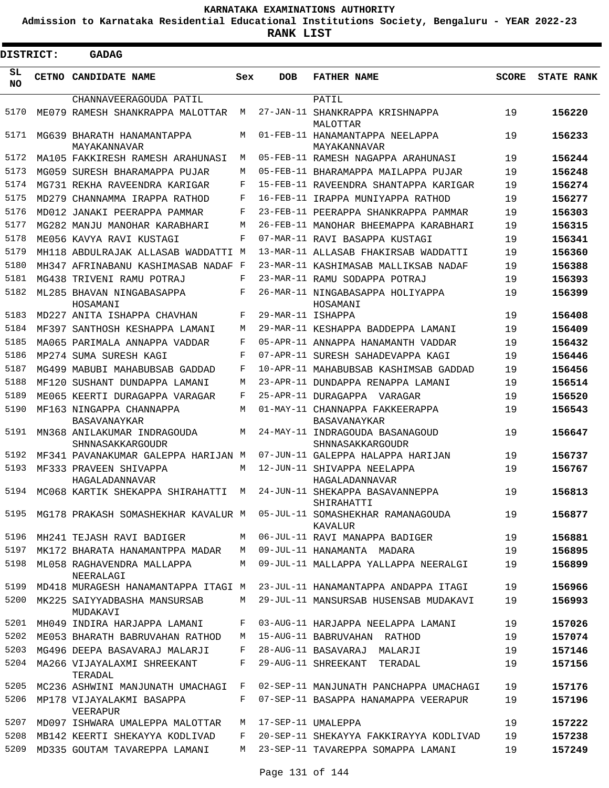**Admission to Karnataka Residential Educational Institutions Society, Bengaluru - YEAR 2022-23**

**RANK LIST**

Е

| <b>DISTRICT:</b> |              | <b>GADAG</b>                                    |     |                   |                                                                                  |              |                   |
|------------------|--------------|-------------------------------------------------|-----|-------------------|----------------------------------------------------------------------------------|--------------|-------------------|
| SL<br><b>NO</b>  | <b>CETNO</b> | <b>CANDIDATE NAME</b>                           | Sex | <b>DOB</b>        | <b>FATHER NAME</b>                                                               | <b>SCORE</b> | <b>STATE RANK</b> |
|                  |              | CHANNAVEERAGOUDA PATIL                          |     |                   | PATIL                                                                            |              |                   |
| 5170             |              | ME079 RAMESH SHANKRAPPA MALOTTAR                | M   |                   | 27-JAN-11 SHANKRAPPA KRISHNAPPA<br>MALOTTAR                                      | 19           | 156220            |
| 5171             |              | MG639 BHARATH HANAMANTAPPA<br>MAYAKANNAVAR      | M   |                   | 01-FEB-11 HANAMANTAPPA NEELAPPA<br>MAYAKANNAVAR                                  | 19           | 156233            |
| 5172             |              | MA105 FAKKIRESH RAMESH ARAHUNASI                | M   |                   | 05-FEB-11 RAMESH NAGAPPA ARAHUNASI                                               | 19           | 156244            |
| 5173             |              | MG059 SURESH BHARAMAPPA PUJAR                   | M   |                   | 05-FEB-11 BHARAMAPPA MAILAPPA PUJAR                                              | 19           | 156248            |
| 5174             |              | MG731 REKHA RAVEENDRA KARIGAR                   | F   |                   | 15-FEB-11 RAVEENDRA SHANTAPPA KARIGAR                                            | 19           | 156274            |
| 5175             |              | MD279 CHANNAMMA IRAPPA RATHOD                   | F   |                   | 16-FEB-11 IRAPPA MUNIYAPPA RATHOD                                                | 19           | 156277            |
| 5176             |              | MD012 JANAKI PEERAPPA PAMMAR                    | F   |                   | 23-FEB-11 PEERAPPA SHANKRAPPA PAMMAR                                             | 19           | 156303            |
| 5177             |              | MG282 MANJU MANOHAR KARABHARI                   | M   |                   | 26-FEB-11 MANOHAR BHEEMAPPA KARABHARI                                            | 19           | 156315            |
| 5178             |              | ME056 KAVYA RAVI KUSTAGI                        | F   |                   | 07-MAR-11 RAVI BASAPPA KUSTAGI                                                   | 19           | 156341            |
| 5179             |              | MH118 ABDULRAJAK ALLASAB WADDATTI M             |     |                   | 13-MAR-11 ALLASAB FHAKIRSAB WADDATTI                                             | 19           | 156360            |
| 5180             |              | MH347 AFRINABANU KASHIMASAB NADAF F             |     |                   | 23-MAR-11 KASHIMASAB MALLIKSAB NADAF                                             | 19           | 156388            |
| 5181             |              | MG438 TRIVENI RAMU POTRAJ                       | F   |                   | 23-MAR-11 RAMU SODAPPA POTRAJ                                                    | 19           | 156393            |
| 5182             |              | ML285 BHAVAN NINGABASAPPA<br>HOSAMANI           | F   |                   | 26-MAR-11 NINGABASAPPA HOLIYAPPA<br>HOSAMANI                                     | 19           | 156399            |
| 5183             |              | MD227 ANITA ISHAPPA CHAVHAN                     | F   | 29-MAR-11 ISHAPPA |                                                                                  | 19           | 156408            |
| 5184             |              | MF397 SANTHOSH KESHAPPA LAMANI                  | М   |                   | 29-MAR-11 KESHAPPA BADDEPPA LAMANI                                               | 19           | 156409            |
| 5185             |              | MA065 PARIMALA ANNAPPA VADDAR                   | F   |                   | 05-APR-11 ANNAPPA HANAMANTH VADDAR                                               | 19           | 156432            |
| 5186             |              | MP274 SUMA SURESH KAGI                          | F   |                   | 07-APR-11 SURESH SAHADEVAPPA KAGI                                                | 19           | 156446            |
| 5187             |              | MG499 MABUBI MAHABUBSAB GADDAD                  | F   |                   | 10-APR-11 MAHABUBSAB KASHIMSAB GADDAD                                            | 19           | 156456            |
| 5188             |              | MF120 SUSHANT DUNDAPPA LAMANI                   | М   |                   | 23-APR-11 DUNDAPPA RENAPPA LAMANI                                                | 19           | 156514            |
| 5189             |              | ME065 KEERTI DURAGAPPA VARAGAR                  | F   |                   | 25-APR-11 DURAGAPPA VARAGAR                                                      | 19           | 156520            |
| 5190             |              | MF163 NINGAPPA CHANNAPPA<br>BASAVANAYKAR        | M   |                   | 01-MAY-11 CHANNAPPA FAKKEERAPPA<br>BASAVANAYKAR                                  | 19           | 156543            |
| 5191             |              | MN368 ANILAKUMAR INDRAGOUDA<br>SHNNASAKKARGOUDR | M   |                   | 24-MAY-11 INDRAGOUDA BASANAGOUD<br>SHNNASAKKARGOUDR                              | 19           | 156647            |
| 5192             |              | MF341 PAVANAKUMAR GALEPPA HARIJAN M             |     |                   | 07-JUN-11 GALEPPA HALAPPA HARIJAN                                                | 19           | 156737            |
| 5193             |              | MF333 PRAVEEN SHIVAPPA<br>HAGALADANNAVAR        | М   |                   | 12-JUN-11 SHIVAPPA NEELAPPA<br>HAGALADANNAVAR                                    | 19           | 156767            |
| 5194             |              | MC068 KARTIK SHEKAPPA SHIRAHATTI M              |     |                   | 24-JUN-11 SHEKAPPA BASAVANNEPPA<br>SHIRAHATTI                                    | 19           | 156813            |
| 5195             |              |                                                 |     |                   | MG178 PRAKASH SOMASHEKHAR KAVALUR M 05-JUL-11 SOMASHEKHAR RAMANAGOUDA<br>KAVALUR | 19           | 156877            |
| 5196             |              | MH241 TEJASH RAVI BADIGER                       | M   |                   | 06-JUL-11 RAVI MANAPPA BADIGER                                                   | 19           | 156881            |
| 5197             |              | MK172 BHARATA HANAMANTPPA MADAR                 | M   |                   | 09-JUL-11 HANAMANTA MADARA                                                       | 19           | 156895            |
| 5198             |              | ML058 RAGHAVENDRA MALLAPPA<br>NEERALAGI         | M   |                   | 09-JUL-11 MALLAPPA YALLAPPA NEERALGI                                             | 19           | 156899            |
| 5199             |              | MD418 MURAGESH HANAMANTAPPA ITAGI M             |     |                   | 23-JUL-11 HANAMANTAPPA ANDAPPA ITAGI                                             | 19           | 156966            |
| 5200             |              | MK225 SAIYYADBASHA MANSURSAB<br>MUDAKAVI        | M   |                   | 29-JUL-11 MANSURSAB HUSENSAB MUDAKAVI                                            | 19           | 156993            |
| 5201             |              | MH049 INDIRA HARJAPPA LAMANI                    | F   |                   | 03-AUG-11 HARJAPPA NEELAPPA LAMANI                                               | 19           | 157026            |
| 5202             |              | ME053 BHARATH BABRUVAHAN RATHOD                 | M   |                   | 15-AUG-11 BABRUVAHAN RATHOD                                                      | 19           | 157074            |
| 5203             |              | MG496 DEEPA BASAVARAJ MALARJI                   | F   |                   | 28-AUG-11 BASAVARAJ MALARJI                                                      | 19           | 157146            |
| 5204             |              | MA266 VIJAYALAXMI SHREEKANT<br>TERADAL          | F   |                   | 29-AUG-11 SHREEKANT TERADAL                                                      | 19           | 157156            |
| 5205             |              | MC236 ASHWINI MANJUNATH UMACHAGI                | F   |                   | 02-SEP-11 MANJUNATH PANCHAPPA UMACHAGI                                           | 19           | 157176            |
| 5206             |              | MP178 VIJAYALAKMI BASAPPA<br>VEERAPUR           | F   |                   | 07-SEP-11 BASAPPA HANAMAPPA VEERAPUR                                             | 19           | 157196            |
| 5207             |              | MD097 ISHWARA UMALEPPA MALOTTAR                 | M   |                   | 17-SEP-11 UMALEPPA                                                               | 19           | 157222            |
| 5208             |              | MB142 KEERTI SHEKAYYA KODLIVAD                  | F   |                   | 20-SEP-11 SHEKAYYA FAKKIRAYYA KODLIVAD                                           | 19           | 157238            |
| 5209             |              | MD335 GOUTAM TAVAREPPA LAMANI                   | M   |                   | 23-SEP-11 TAVAREPPA SOMAPPA LAMANI                                               | 19           | 157249            |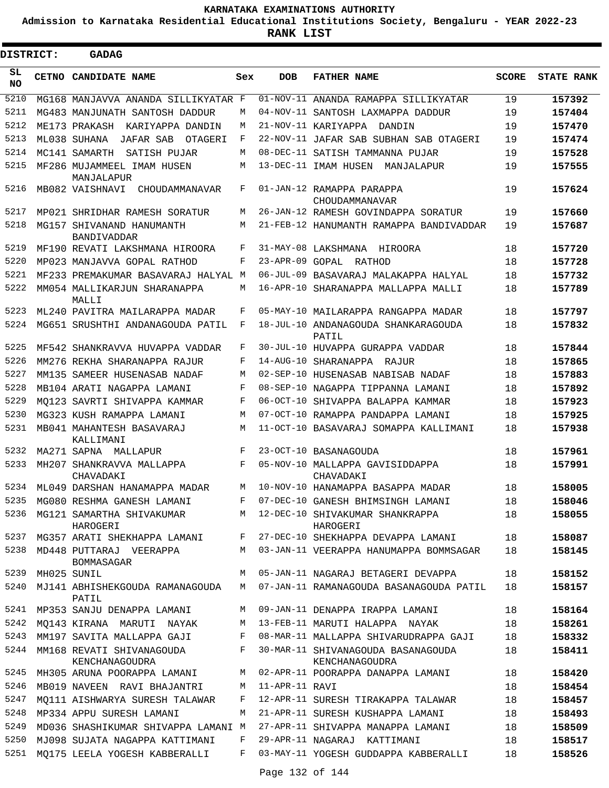**Admission to Karnataka Residential Educational Institutions Society, Bengaluru - YEAR 2022-23**

 $\blacksquare$ 

**RANK LIST**

 $\blacksquare$ 

| <b>DISTRICT:</b> |       | <b>GADAG</b>                                |       |                |                                                      |              |                   |
|------------------|-------|---------------------------------------------|-------|----------------|------------------------------------------------------|--------------|-------------------|
| SL<br>NO.        | CETNO | CANDIDATE NAME                              | Sex   | <b>DOB</b>     | <b>FATHER NAME</b>                                   | <b>SCORE</b> | <b>STATE RANK</b> |
| 5210             |       | MG168 MANJAVVA ANANDA SILLIKYATAR F         |       |                | 01-NOV-11 ANANDA RAMAPPA SILLIKYATAR                 | 19           | 157392            |
| 5211             |       | MG483 MANJUNATH SANTOSH DADDUR              | М     |                | 04-NOV-11 SANTOSH LAXMAPPA DADDUR                    | 19           | 157404            |
| 5212             |       | ME173 PRAKASH KARIYAPPA DANDIN              | М     |                | 21-NOV-11 KARIYAPPA<br>DANDIN                        | 19           | 157470            |
| 5213             |       | ML038 SUHANA<br>JAFAR SAB<br>OTAGERI        | F     |                | 22-NOV-11 JAFAR SAB SUBHAN SAB OTAGERI               | 19           | 157474            |
| 5214             |       | MC141 SAMARTH<br>SATISH PUJAR               | М     |                | 08-DEC-11 SATISH TAMMANNA PUJAR                      | 19           | 157528            |
| 5215             |       | MF286 MUJAMMEEL IMAM HUSEN<br>MANJALAPUR    | М     |                | 13-DEC-11 IMAM HUSEN<br>MANJALAPUR                   | 19           | 157555            |
| 5216             |       | MB082 VAISHNAVI<br>CHOUDAMMANAVAR           | F     |                | 01-JAN-12 RAMAPPA PARAPPA<br>CHOUDAMMANAVAR          | 19           | 157624            |
| 5217             |       | MP021 SHRIDHAR RAMESH SORATUR               | M     |                | 26-JAN-12 RAMESH GOVINDAPPA SORATUR                  | 19           | 157660            |
| 5218             |       | MG157 SHIVANAND HANUMANTH<br>BANDIVADDAR    | М     |                | 21-FEB-12 HANUMANTH RAMAPPA BANDIVADDAR              | 19           | 157687            |
| 5219             |       | MF190 REVATI LAKSHMANA HIROORA              | F     |                | 31-MAY-08 LAKSHMANA<br>HIROORA                       | 18           | 157720            |
| 5220             |       | MP023 MANJAVVA GOPAL RATHOD                 | F     |                | 23-APR-09 GOPAL RATHOD                               | 18           | 157728            |
| 5221             |       | MF233 PREMAKUMAR BASAVARAJ HALYAL M         |       |                | 06-JUL-09 BASAVARAJ MALAKAPPA HALYAL                 | 18           | 157732            |
| 5222             |       | MM054 MALLIKARJUN SHARANAPPA<br>MALLI       | М     |                | 16-APR-10 SHARANAPPA MALLAPPA MALLI                  | 18           | 157789            |
| 5223             |       | ML240 PAVITRA MAILARAPPA MADAR              | F     |                | 05-MAY-10 MAILARAPPA RANGAPPA MADAR                  | 18           | 157797            |
| 5224             |       | MG651 SRUSHTHI ANDANAGOUDA PATIL            | F     |                | 18-JUL-10 ANDANAGOUDA SHANKARAGOUDA<br>PATIL         | 18           | 157832            |
| 5225             |       | MF542 SHANKRAVVA HUVAPPA VADDAR             | F     |                | 30-JUL-10 HUVAPPA GURAPPA VADDAR                     | 18           | 157844            |
| 5226             |       | MM276 REKHA SHARANAPPA RAJUR                | F     |                | 14-AUG-10 SHARANAPPA RAJUR                           | 18           | 157865            |
| 5227             |       | MM135 SAMEER HUSENASAB NADAF                | М     |                | 02-SEP-10 HUSENASAB NABISAB NADAF                    | 18           | 157883            |
| 5228             |       | MB104 ARATI NAGAPPA LAMANI                  | F     |                | 08-SEP-10 NAGAPPA TIPPANNA LAMANI                    | 18           | 157892            |
| 5229             |       | MO123 SAVRTI SHIVAPPA KAMMAR                | F     |                | 06-OCT-10 SHIVAPPA BALAPPA KAMMAR                    | 18           | 157923            |
| 5230             |       | MG323 KUSH RAMAPPA LAMANI                   | M     |                | 07-OCT-10 RAMAPPA PANDAPPA LAMANI                    | 18           | 157925            |
| 5231             |       | MB041 MAHANTESH BASAVARAJ<br>KALLIMANI      | М     |                | 11-OCT-10 BASAVARAJ SOMAPPA KALLIMANI                | 18           | 157938            |
| 5232             |       | MA271 SAPNA MALLAPUR                        | F     |                | 23-OCT-10 BASANAGOUDA                                | 18           | 157961            |
| 5233             |       | MH207 SHANKRAVVA MALLAPPA<br>CHAVADAKI      | F     |                | 05-NOV-10 MALLAPPA GAVISIDDAPPA<br>CHAVADAKI         | 18           | 157991            |
| 5234             |       | ML049 DARSHAN HANAMAPPA MADAR               | М     |                | 10-NOV-10 HANAMAPPA BASAPPA MADAR                    | 18           | 158005            |
| 5235             |       | MG080 RESHMA GANESH LAMANI                  | F     |                | 07-DEC-10 GANESH BHIMSINGH LAMANI                    | 18           | 158046            |
| 5236             |       | MG121 SAMARTHA SHIVAKUMAR<br>HAROGERI       |       |                | M 12-DEC-10 SHIVAKUMAR SHANKRAPPA<br>HAROGERI        | 18           | 158055            |
| 5237             |       | MG357 ARATI SHEKHAPPA LAMANI                | $F$ – |                | 27-DEC-10 SHEKHAPPA DEVAPPA LAMANI                   | 18           | 158087            |
| 5238             |       | MD448 PUTTARAJ VEERAPPA<br>BOMMASAGAR       | M     |                | 03-JAN-11 VEERAPPA HANUMAPPA BOMMSAGAR               | 18           | 158145            |
| 5239             |       | MH025 SUNIL                                 | M     |                | 05-JAN-11 NAGARAJ BETAGERI DEVAPPA                   | 18           | 158152            |
| 5240             |       | MJ141 ABHISHEKGOUDA RAMANAGOUDA<br>PATIL    | M     |                | 07-JAN-11 RAMANAGOUDA BASANAGOUDA PATIL              | 18           | 158157            |
| 5241             |       | MP353 SANJU DENAPPA LAMANI                  | M     |                | 09-JAN-11 DENAPPA IRAPPA LAMANI                      | 18           | 158164            |
| 5242             |       | MQ143 KIRANA MARUTI NAYAK                   | M     |                | 13-FEB-11 MARUTI HALAPPA NAYAK                       | 18           | 158261            |
| 5243             |       | MM197 SAVITA MALLAPPA GAJI                  | F     |                | 08-MAR-11 MALLAPPA SHIVARUDRAPPA GAJI                | 18           | 158332            |
| 5244             |       | MM168 REVATI SHIVANAGOUDA<br>KENCHANAGOUDRA | F     |                | 30-MAR-11 SHIVANAGOUDA BASANAGOUDA<br>KENCHANAGOUDRA | 18           | 158411            |
| 5245             |       | MH305 ARUNA POORAPPA LAMANI                 |       |                | M 02-APR-11 POORAPPA DANAPPA LAMANI                  | 18           | 158420            |
| 5246             |       | MB019 NAVEEN RAVI BHAJANTRI                 | M     | 11-APR-11 RAVI |                                                      | 18           | 158454            |
| 5247             |       | MQ111 AISHWARYA SURESH TALAWAR              | F     |                | 12-APR-11 SURESH TIRAKAPPA TALAWAR                   | 18           | 158457            |
| 5248             |       | MP334 APPU SURESH LAMANI                    | M     |                | 21-APR-11 SURESH KUSHAPPA LAMANI                     | 18           | 158493            |
| 5249             |       | MD036 SHASHIKUMAR SHIVAPPA LAMANI M         |       |                | 27-APR-11 SHIVAPPA MANAPPA LAMANI                    | 18           | 158509            |
| 5250             |       | MJ098 SUJATA NAGAPPA KATTIMANI              | F     |                | 29-APR-11 NAGARAJ KATTIMANI                          | 18           | 158517            |
| 5251             |       | MQ175 LEELA YOGESH KABBERALLI               | F     |                | 03-MAY-11 YOGESH GUDDAPPA KABBERALLI                 | 18           | 158526            |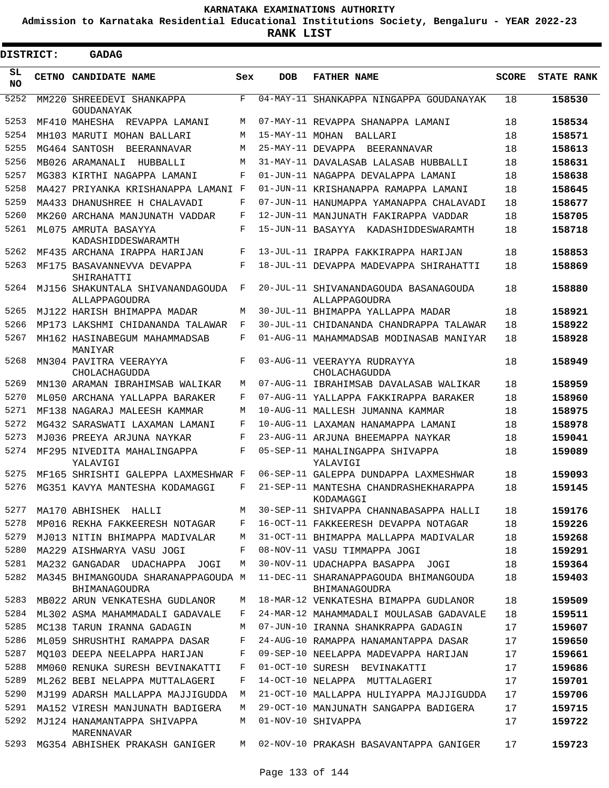**Admission to Karnataka Residential Educational Institutions Society, Bengaluru - YEAR 2022-23**

| DISTRICT:  | <b>GADAG</b>                                         |            |                 |                                                        |              |                   |
|------------|------------------------------------------------------|------------|-----------------|--------------------------------------------------------|--------------|-------------------|
| SL.<br>NO. | CETNO CANDIDATE NAME                                 | Sex        | <b>DOB</b>      | <b>FATHER NAME</b>                                     | <b>SCORE</b> | <b>STATE RANK</b> |
| 5252       | MM220 SHREEDEVI SHANKAPPA<br>GOUDANAYAK              | F          |                 | 04-MAY-11 SHANKAPPA NINGAPPA GOUDANAYAK                | 18           | 158530            |
| 5253       | MF410 MAHESHA REVAPPA LAMANI                         | M          |                 | 07-MAY-11 REVAPPA SHANAPPA LAMANI                      | 18           | 158534            |
| 5254       | MH103 MARUTI MOHAN BALLARI                           | M          | 15-MAY-11 MOHAN | BALLARI                                                | 18           | 158571            |
| 5255       | MG464 SANTOSH<br>BEERANNAVAR                         | M          |                 | 25-MAY-11 DEVAPPA BEERANNAVAR                          | 18           | 158613            |
| 5256       | MB026 ARAMANALI<br><b>HUBBALLT</b>                   | M          |                 | 31-MAY-11 DAVALASAB LALASAB HUBBALLI                   | 18           | 158631            |
| 5257       | MG383 KIRTHI NAGAPPA LAMANI                          | F          |                 | 01-JUN-11 NAGAPPA DEVALAPPA LAMANI                     | 18           | 158638            |
| 5258       | MA427 PRIYANKA KRISHANAPPA LAMANI F                  |            |                 | 01-JUN-11 KRISHANAPPA RAMAPPA LAMANI                   | 18           | 158645            |
| 5259       | MA433 DHANUSHREE H CHALAVADI                         | F          |                 | 07-JUN-11 HANUMAPPA YAMANAPPA CHALAVADI                | 18           | 158677            |
| 5260       | MK260 ARCHANA MANJUNATH VADDAR                       | F          |                 | 12-JUN-11 MANJUNATH FAKIRAPPA VADDAR                   | 18           | 158705            |
| 5261       | ML075 AMRUTA BASAYYA<br>KADASHIDDESWARAMTH           | F          |                 | 15-JUN-11 BASAYYA KADASHIDDESWARAMTH                   | 18           | 158718            |
| 5262       | MF435 ARCHANA IRAPPA HARIJAN                         | F          |                 | 13-JUL-11 IRAPPA FAKKIRAPPA HARIJAN                    | 18           | 158853            |
| 5263       | MF175 BASAVANNEVVA DEVAPPA<br>SHIRAHATTI             | $_{\rm F}$ |                 | 18-JUL-11 DEVAPPA MADEVAPPA SHIRAHATTI                 | 18           | 158869            |
| 5264       | MJ156 SHAKUNTALA SHIVANANDAGOUDA<br>ALLAPPAGOUDRA    | F          |                 | 20-JUL-11 SHIVANANDAGOUDA BASANAGOUDA<br>ALLAPPAGOUDRA | 18           | 158880            |
| 5265       | MJ122 HARISH BHIMAPPA MADAR                          | M          |                 | 30-JUL-11 BHIMAPPA YALLAPPA MADAR                      | 18           | 158921            |
| 5266       | MP173 LAKSHMI CHIDANANDA TALAWAR                     | F          |                 | 30-JUL-11 CHIDANANDA CHANDRAPPA TALAWAR                | 18           | 158922            |
| 5267       | MH162 HASINABEGUM MAHAMMADSAB<br>MANIYAR             | F          |                 | 01-AUG-11 MAHAMMADSAB MODINASAB MANIYAR                | 18           | 158928            |
| 5268       | MN304 PAVITRA VEERAYYA<br>CHOLACHAGUDDA              | F          |                 | 03-AUG-11 VEERAYYA RUDRAYYA<br>CHOLACHAGUDDA           | 18           | 158949            |
| 5269       | MN130 ARAMAN IBRAHIMSAB WALIKAR                      | М          |                 | 07-AUG-11 IBRAHIMSAB DAVALASAB WALIKAR                 | 18           | 158959            |
| 5270       | ML050 ARCHANA YALLAPPA BARAKER                       | F          |                 | 07-AUG-11 YALLAPPA FAKKIRAPPA BARAKER                  | 18           | 158960            |
| 5271       | MF138 NAGARAJ MALEESH KAMMAR                         | M          |                 | 10-AUG-11 MALLESH JUMANNA KAMMAR                       | 18           | 158975            |
| 5272       | MG432 SARASWATI LAXAMAN LAMANI                       | F          |                 | 10-AUG-11 LAXAMAN HANAMAPPA LAMANI                     | 18           | 158978            |
| 5273       | MJ036 PREEYA ARJUNA NAYKAR                           | F          |                 | 23-AUG-11 ARJUNA BHEEMAPPA NAYKAR                      | 18           | 159041            |
| 5274       | MF295 NIVEDITA MAHALINGAPPA<br>YALAVIGI              | F          |                 | 05-SEP-11 MAHALINGAPPA SHIVAPPA<br>YALAVIGI            | 18           | 159089            |
| 5275       | MF165 SHRISHTI GALEPPA LAXMESHWAR F                  |            |                 | 06-SEP-11 GALEPPA DUNDAPPA LAXMESHWAR                  | 18           | 159093            |
| 5276       | MG351 KAVYA MANTESHA KODAMAGGI                       | F          |                 | 21-SEP-11 MANTESHA CHANDRASHEKHARAPPA<br>KODAMAGGI     | 18           | 159145            |
| 5277       | MA170 ABHISHEK HALLI                                 | M          |                 | 30-SEP-11 SHIVAPPA CHANNABASAPPA HALLI                 | 18           | 159176            |
| 5278       | MP016 REKHA FAKKEERESH NOTAGAR                       | F          |                 | 16-OCT-11 FAKKEERESH DEVAPPA NOTAGAR                   | 18           | 159226            |
| 5279       | MJ013 NITIN BHIMAPPA MADIVALAR                       | M          |                 | 31-OCT-11 BHIMAPPA MALLAPPA MADIVALAR                  | 18           | 159268            |
| 5280       | MA229 AISHWARYA VASU JOGI                            | F          |                 | 08-NOV-11 VASU TIMMAPPA JOGI                           | 18           | 159291            |
| 5281       | MA232 GANGADAR UDACHAPPA JOGI                        | M          |                 | 30-NOV-11 UDACHAPPA BASAPPA JOGI                       | 18           | 159364            |
| 5282       | MA345 BHIMANGOUDA SHARANAPPAGOUDA M<br>BHIMANAGOUDRA |            |                 | 11-DEC-11 SHARANAPPAGOUDA BHIMANGOUDA<br>BHIMANAGOUDRA | 18           | 159403            |
| 5283       | MB022 ARUN VENKATESHA GUDLANOR                       | M          |                 | 18-MAR-12 VENKATESHA BIMAPPA GUDLANOR                  | 18           | 159509            |
| 5284       | ML302 ASMA MAHAMMADALI GADAVALE                      | F          |                 | 24-MAR-12 MAHAMMADALI MOULASAB GADAVALE                | 18           | 159511            |
| 5285       | MC138 TARUN IRANNA GADAGIN                           | M          |                 | 07-JUN-10 IRANNA SHANKRAPPA GADAGIN                    | 17           | 159607            |
| 5286       | ML059 SHRUSHTHI RAMAPPA DASAR                        | F          |                 | 24-AUG-10 RAMAPPA HANAMANTAPPA DASAR                   | 17           | 159650            |
| 5287       | MO103 DEEPA NEELAPPA HARIJAN                         | F          |                 | 09-SEP-10 NEELAPPA MADEVAPPA HARIJAN                   | 17           | 159661            |
| 5288       | MM060 RENUKA SURESH BEVINAKATTI                      | F          |                 | 01-OCT-10 SURESH BEVINAKATTI                           | 17           | 159686            |
| 5289       | ML262 BEBI NELAPPA MUTTALAGERI                       | F          |                 | 14-OCT-10 NELAPPA MUTTALAGERI                          | 17           | 159701            |
| 5290       | MJ199 ADARSH MALLAPPA MAJJIGUDDA                     | М          |                 | 21-OCT-10 MALLAPPA HULIYAPPA MAJJIGUDDA                | 17           | 159706            |
| 5291       | MA152 VIRESH MANJUNATH BADIGERA                      | M          |                 | 29-OCT-10 MANJUNATH SANGAPPA BADIGERA                  | 17           | 159715            |
| 5292       | MJ124 HANAMANTAPPA SHIVAPPA<br>MARENNAVAR            | М          |                 | 01-NOV-10 SHIVAPPA                                     | 17           | 159722            |
| 5293       | MG354 ABHISHEK PRAKASH GANIGER                       | M          |                 | 02-NOV-10 PRAKASH BASAVANTAPPA GANIGER                 | 17           | 159723            |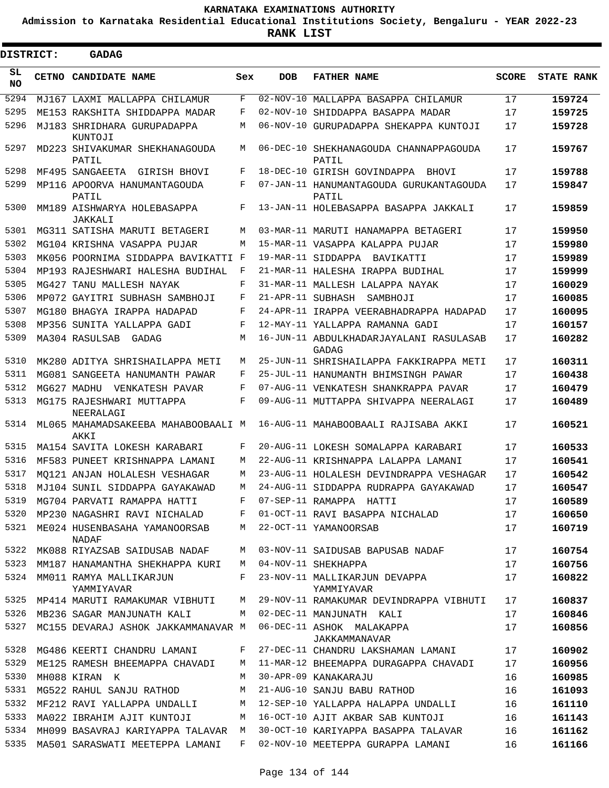**Admission to Karnataka Residential Educational Institutions Society, Bengaluru - YEAR 2022-23**

ı

| <b>DISTRICT:</b> | <b>GADAG</b>                                |     |                   |                                                  |              |                   |
|------------------|---------------------------------------------|-----|-------------------|--------------------------------------------------|--------------|-------------------|
| SL<br><b>NO</b>  | CETNO CANDIDATE NAME                        | Sex | <b>DOB</b>        | <b>FATHER NAME</b>                               | <b>SCORE</b> | <b>STATE RANK</b> |
| 5294             | MJ167 LAXMI MALLAPPA CHILAMUR               | F   |                   | 02-NOV-10 MALLAPPA BASAPPA CHILAMUR              | 17           | 159724            |
| 5295             | ME153 RAKSHITA SHIDDAPPA MADAR              | F   |                   | 02-NOV-10 SHIDDAPPA BASAPPA MADAR                | 17           | 159725            |
| 5296             | MJ183 SHRIDHARA GURUPADAPPA<br>KUNTOJI      | М   |                   | 06-NOV-10 GURUPADAPPA SHEKAPPA KUNTOJI           | 17           | 159728            |
| 5297             | MD223 SHIVAKUMAR SHEKHANAGOUDA<br>PATIL     | М   |                   | 06-DEC-10 SHEKHANAGOUDA CHANNAPPAGOUDA<br>PATIL  | 17           | 159767            |
| 5298             | MF495 SANGAEETA GIRISH BHOVI                | F   |                   | 18-DEC-10 GIRISH GOVINDAPPA<br>BHOVI             | 17           | 159788            |
| 5299             | MP116 APOORVA HANUMANTAGOUDA<br>PATIL       | F   |                   | 07-JAN-11 HANUMANTAGOUDA GURUKANTAGOUDA<br>PATIL | 17           | 159847            |
| 5300             | MM189 AISHWARYA HOLEBASAPPA<br>JAKKALI      | F   |                   | 13-JAN-11 HOLEBASAPPA BASAPPA JAKKALI            | 17           | 159859            |
| 5301             | MG311 SATISHA MARUTI BETAGERI               | М   |                   | 03-MAR-11 MARUTI HANAMAPPA BETAGERI              | 17           | 159950            |
| 5302             | MG104 KRISHNA VASAPPA PUJAR                 | М   |                   | 15-MAR-11 VASAPPA KALAPPA PUJAR                  | 17           | 159980            |
| 5303             | MK056 POORNIMA SIDDAPPA BAVIKATTI F         |     |                   | 19-MAR-11 SIDDAPPA BAVIKATTI                     | 17           | 159989            |
| 5304             | MP193 RAJESHWARI HALESHA BUDIHAL            | F   |                   | 21-MAR-11 HALESHA IRAPPA BUDIHAL                 | 17           | 159999            |
| 5305             | MG427 TANU MALLESH NAYAK                    | F   |                   | 31-MAR-11 MALLESH LALAPPA NAYAK                  | 17           | 160029            |
| 5306             | MP072 GAYITRI SUBHASH SAMBHOJI              | F   | 21-APR-11 SUBHASH | SAMBHOJI                                         | 17           | 160085            |
| 5307             | MG180 BHAGYA IRAPPA HADAPAD                 | F   |                   | 24-APR-11 IRAPPA VEERABHADRAPPA HADAPAD          | 17           | 160095            |
| 5308             | MP356 SUNITA YALLAPPA GADI                  | F   |                   | 12-MAY-11 YALLAPPA RAMANNA GADI                  | 17           | 160157            |
| 5309             | MA304 RASULSAB<br>GADAG                     | М   |                   | 16-JUN-11 ABDULKHADARJAYALANI RASULASAB<br>GADAG | 17           | 160282            |
| 5310             | MK280 ADITYA SHRISHAILAPPA METI             | M   |                   | 25-JUN-11 SHRISHAILAPPA FAKKIRAPPA METI          | 17           | 160311            |
| 5311             | MG081 SANGEETA HANUMANTH PAWAR              | F   |                   | 25-JUL-11 HANUMANTH BHIMSINGH PAWAR              | 17           | 160438            |
| 5312             | MG627 MADHU<br>VENKATESH PAVAR              | F   |                   | 07-AUG-11 VENKATESH SHANKRAPPA PAVAR             | 17           | 160479            |
| 5313             | MG175 RAJESHWARI MUTTAPPA<br>NEERALAGI      | F   |                   | 09-AUG-11 MUTTAPPA SHIVAPPA NEERALAGI            | 17           | 160489            |
| 5314             | ML065 MAHAMADSAKEEBA MAHABOOBAALI M<br>AKKI |     |                   | 16-AUG-11 MAHABOOBAALI RAJISABA AKKI             | 17           | 160521            |
| 5315             | MA154 SAVITA LOKESH KARABARI                | F   |                   | 20-AUG-11 LOKESH SOMALAPPA KARABARI              | 17           | 160533            |
| 5316             | MF583 PUNEET KRISHNAPPA LAMANI              | M   |                   | 22-AUG-11 KRISHNAPPA LALAPPA LAMANI              | 17           | 160541            |
| 5317             | MO121 ANJAN HOLALESH VESHAGAR               | М   |                   | 23-AUG-11 HOLALESH DEVINDRAPPA VESHAGAR          | 17           | 160542            |
| 5318             | MJ104 SUNIL SIDDAPPA GAYAKAWAD              | М   |                   | 24-AUG-11 SIDDAPPA RUDRAPPA GAYAKAWAD            | 17           | 160547            |
| 5319             | MG704 PARVATI RAMAPPA HATTI                 | F   |                   | 07-SEP-11 RAMAPPA HATTI                          | 17           | 160589            |
| 5320             | MP230 NAGASHRI RAVI NICHALAD                | F   |                   | 01-OCT-11 RAVI BASAPPA NICHALAD                  | 17           | 160650            |
| 5321             | ME024 HUSENBASAHA YAMANOORSAB<br>NADAF      | M   |                   | 22-OCT-11 YAMANOORSAB                            | 17           | 160719            |
| 5322             | MK088 RIYAZSAB SAIDUSAB NADAF               | М   |                   | 03-NOV-11 SAIDUSAB BAPUSAB NADAF                 | 17           | 160754            |
| 5323             | MM187 HANAMANTHA SHEKHAPPA KURI             | M   |                   | 04-NOV-11 SHEKHAPPA                              | 17           | 160756            |
| 5324             | MM011 RAMYA MALLIKARJUN<br>YAMMIYAVAR       | F   |                   | 23-NOV-11 MALLIKARJUN DEVAPPA<br>YAMMIYAVAR      | 17           | 160822            |
| 5325             | MP414 MARUTI RAMAKUMAR VIBHUTI              | M   |                   | 29-NOV-11 RAMAKUMAR DEVINDRAPPA VIBHUTI          | 17           | 160837            |
| 5326             | MB236 SAGAR MANJUNATH KALI                  | M   |                   | 02-DEC-11 MANJUNATH KALI                         | 17           | 160846            |
| 5327             | MC155 DEVARAJ ASHOK JAKKAMMANAVAR M         |     |                   | 06-DEC-11 ASHOK MALAKAPPA<br>JAKKAMMANAVAR       | 17           | 160856            |
| 5328             | MG486 KEERTI CHANDRU LAMANI                 | F   |                   | 27-DEC-11 CHANDRU LAKSHAMAN LAMANI               | 17           | 160902            |
| 5329             | ME125 RAMESH BHEEMAPPA CHAVADI              | M   |                   | 11-MAR-12 BHEEMAPPA DURAGAPPA CHAVADI            | 17           | 160956            |
| 5330             | MH088 KIRAN K                               | M   |                   | 30-APR-09 KANAKARAJU                             | 16           | 160985            |
| 5331             | MG522 RAHUL SANJU RATHOD                    | М   |                   | 21-AUG-10 SANJU BABU RATHOD                      | 16           | 161093            |
| 5332             | MF212 RAVI YALLAPPA UNDALLI                 | M   |                   | 12-SEP-10 YALLAPPA HALAPPA UNDALLI               | 16           | 161110            |
| 5333             | MA022 IBRAHIM AJIT KUNTOJI                  | M   |                   | 16-OCT-10 AJIT AKBAR SAB KUNTOJI                 | 16           | 161143            |
|                  | 5334 MH099 BASAVRAJ KARIYAPPA TALAVAR M     |     |                   | 30-OCT-10 KARIYAPPA BASAPPA TALAVAR              | 16           | 161162            |
|                  | 5335 MA501 SARASWATI MEETEPPA LAMANI        | F   |                   | 02-NOV-10 MEETEPPA GURAPPA LAMANI                | 16           | 161166            |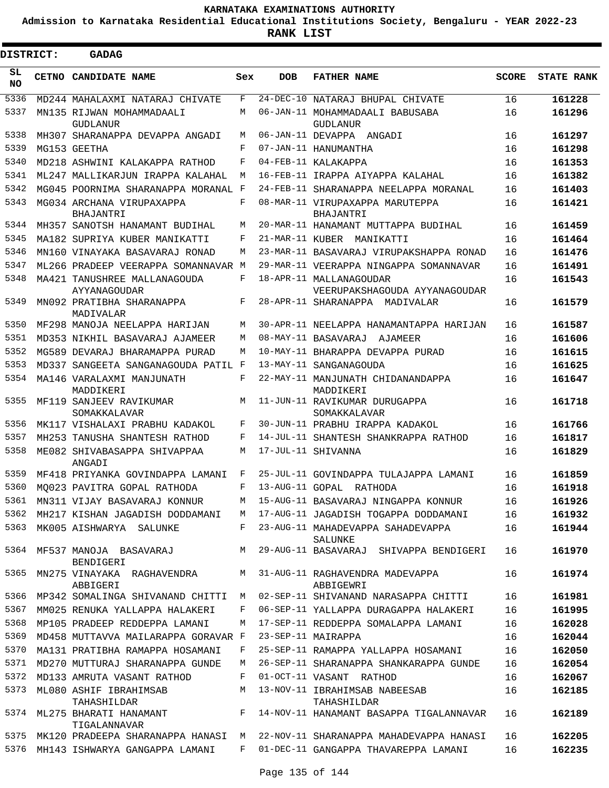**Admission to Karnataka Residential Educational Institutions Society, Bengaluru - YEAR 2022-23**

 $\blacksquare$ 

**RANK LIST**

Е

| <b>DISTRICT:</b> |  | <b>GADAG</b>                                           |     |            |                                                                            |              |                   |
|------------------|--|--------------------------------------------------------|-----|------------|----------------------------------------------------------------------------|--------------|-------------------|
| SL.<br>NO.       |  | <b>CETNO CANDIDATE NAME</b>                            | Sex | <b>DOB</b> | <b>FATHER NAME</b>                                                         | <b>SCORE</b> | <b>STATE RANK</b> |
| 5336             |  | MD244 MAHALAXMI NATARAJ CHIVATE                        | F   |            | 24-DEC-10 NATARAJ BHUPAL CHIVATE                                           | 16           | 161228            |
| 5337             |  | MN135 RIJWAN MOHAMMADAALI<br><b>GUDLANUR</b>           | M   |            | 06-JAN-11 MOHAMMADAALI BABUSABA<br>GUDLANUR                                | 16           | 161296            |
| 5338             |  | MH307 SHARANAPPA DEVAPPA ANGADI                        | M   |            | 06-JAN-11 DEVAPPA ANGADI                                                   | 16           | 161297            |
| 5339             |  | MG153 GEETHA                                           | F   |            | 07-JAN-11 HANUMANTHA                                                       | 16           | 161298            |
| 5340             |  | MD218 ASHWINI KALAKAPPA RATHOD                         | F   |            | 04-FEB-11 KALAKAPPA                                                        | 16           | 161353            |
| 5341             |  | ML247 MALLIKARJUN IRAPPA KALAHAL                       | M   |            | 16-FEB-11 IRAPPA AIYAPPA KALAHAL                                           | 16           | 161382            |
| 5342             |  | MG045 POORNIMA SHARANAPPA MORANAL F                    |     |            | 24-FEB-11 SHARANAPPA NEELAPPA MORANAL                                      | 16           | 161403            |
| 5343             |  | MG034 ARCHANA VIRUPAXAPPA<br>BHAJANTRI                 | F   |            | 08-MAR-11 VIRUPAXAPPA MARUTEPPA<br>BHAJANTRI                               | 16           | 161421            |
| 5344             |  | MH357 SANOTSH HANAMANT BUDIHAL                         | M   |            | 20-MAR-11 HANAMANT MUTTAPPA BUDIHAL                                        | 16           | 161459            |
| 5345             |  | MA182 SUPRIYA KUBER MANIKATTI                          | F   |            | 21-MAR-11 KUBER MANIKATTI                                                  | 16           | 161464            |
| 5346             |  | MN160 VINAYAKA BASAVARAJ RONAD                         | M   |            | 23-MAR-11 BASAVARAJ VIRUPAKSHAPPA RONAD                                    | 16           | 161476            |
| 5347             |  | ML266 PRADEEP VEERAPPA SOMANNAVAR M                    |     |            | 29-MAR-11 VEERAPPA NINGAPPA SOMANNAVAR                                     | 16           | 161491            |
| 5348             |  | MA421 TANUSHREE MALLANAGOUDA                           | F   |            | 18-APR-11 MALLANAGOUDAR                                                    | 16           | 161543            |
| 5349             |  | AYYANAGOUDAR<br>MN092 PRATIBHA SHARANAPPA<br>MADIVALAR | F   |            | VEERUPAKSHAGOUDA AYYANAGOUDAR<br>28-APR-11 SHARANAPPA MADIVALAR            | 16           | 161579            |
| 5350             |  | MF298 MANOJA NEELAPPA HARIJAN                          | M   |            | 30-APR-11 NEELAPPA HANAMANTAPPA HARIJAN                                    | 16           | 161587            |
| 5351             |  | MD353 NIKHIL BASAVARAJ AJAMEER                         | M   |            | 08-MAY-11 BASAVARAJ AJAMEER                                                | 16           | 161606            |
| 5352             |  | MG589 DEVARAJ BHARAMAPPA PURAD                         | M   |            | 10-MAY-11 BHARAPPA DEVAPPA PURAD                                           | 16           | 161615            |
| 5353             |  | MD337 SANGEETA SANGANAGOUDA PATIL F                    |     |            | 13-MAY-11 SANGANAGOUDA                                                     | 16           | 161625            |
| 5354             |  | MA146 VARALAXMI MANJUNATH<br>MADDIKERI                 | F   |            | 22-MAY-11 MANJUNATH CHIDANANDAPPA<br>MADDIKERI                             | 16           | 161647            |
| 5355             |  | MF119 SANJEEV RAVIKUMAR<br>SOMAKKALAVAR                | M   |            | 11-JUN-11 RAVIKUMAR DURUGAPPA<br>SOMAKKALAVAR                              | 16           | 161718            |
| 5356             |  | MK117 VISHALAXI PRABHU KADAKOL                         | F   |            | 30-JUN-11 PRABHU IRAPPA KADAKOL                                            | 16           | 161766            |
| 5357             |  | MH253 TANUSHA SHANTESH RATHOD                          | F   |            | 14-JUL-11 SHANTESH SHANKRAPPA RATHOD                                       | 16           | 161817            |
| 5358             |  | ME082 SHIVABASAPPA SHIVAPPAA<br>ANGADI                 | M   |            | 17-JUL-11 SHIVANNA                                                         | 16           | 161829            |
| 5359             |  | MF418 PRIYANKA GOVINDAPPA LAMANI                       | F   |            | 25-JUL-11 GOVINDAPPA TULAJAPPA LAMANI                                      | 16           | 161859            |
| 5360             |  | MO023 PAVITRA GOPAL RATHODA                            | F   |            | 13-AUG-11 GOPAL RATHODA                                                    | 16           | 161918            |
| 5361             |  | MN311 VIJAY BASAVARAJ KONNUR                           | M   |            | 15-AUG-11 BASAVARAJ NINGAPPA KONNUR                                        | 16           | 161926            |
| 5362             |  | MH217 KISHAN JAGADISH DODDAMANI                        | M   |            | 17-AUG-11 JAGADISH TOGAPPA DODDAMANI                                       | 16           | 161932            |
| 5363             |  | MK005 AISHWARYA SALUNKE                                | F   |            | 23-AUG-11 MAHADEVAPPA SAHADEVAPPA<br>SALUNKE                               | 16           | 161944            |
| 5364             |  | BENDIGERI                                              |     |            | MF537 MANOJA BASAVARAJ M 29-AUG-11 BASAVARAJ SHIVAPPA BENDIGERI            | 16           | 161970            |
| 5365             |  | MN275 VINAYAKA RAGHAVENDRA<br>ABBIGERI                 |     |            | M 31-AUG-11 RAGHAVENDRA MADEVAPPA<br>ABBIGEWRI                             | 16           | 161974            |
| 5366             |  | MP342 SOMALINGA SHIVANAND CHITTI M                     |     |            | 02-SEP-11 SHIVANAND NARASAPPA CHITTI                                       | 16           | 161981            |
| 5367             |  | MM025 RENUKA YALLAPPA HALAKERI                         | F   |            | 06-SEP-11 YALLAPPA DURAGAPPA HALAKERI                                      | 16           | 161995            |
| 5368             |  | MP105 PRADEEP REDDEPPA LAMANI                          | M   |            | 17-SEP-11 REDDEPPA SOMALAPPA LAMANI                                        | 16           | 162028            |
| 5369             |  | MD458 MUTTAVVA MAILARAPPA GORAVAR F                    |     |            | 23-SEP-11 MAIRAPPA                                                         | 16           | 162044            |
| 5370             |  | MA131 PRATIBHA RAMAPPA HOSAMANI                        | F   |            | 25-SEP-11 RAMAPPA YALLAPPA HOSAMANI                                        | 16           | 162050            |
| 5371             |  | MD270 MUTTURAJ SHARANAPPA GUNDE                        | M   |            | 26-SEP-11 SHARANAPPA SHANKARAPPA GUNDE                                     | 16           | 162054            |
| 5372             |  | MD133 AMRUTA VASANT RATHOD                             | F   |            | 01-OCT-11 VASANT RATHOD                                                    | 16           | 162067            |
| 5373             |  | ML080 ASHIF IBRAHIMSAB<br>TAHASHILDAR                  | M   |            | 13-NOV-11 IBRAHIMSAB NABEESAB<br>TAHASHILDAR                               | 16           | 162185            |
| 5374             |  | ML275 BHARATI HANAMANT<br>TIGALANNAVAR                 |     |            | F 14-NOV-11 HANAMANT BASAPPA TIGALANNAVAR                                  | 16           | 162189            |
| 5375             |  |                                                        |     |            | MK120 PRADEEPA SHARANAPPA HANASI M 22-NOV-11 SHARANAPPA MAHADEVAPPA HANASI | 16           | 162205            |
|                  |  | 5376 MH143 ISHWARYA GANGAPPA LAMANI                    |     |            | F 01-DEC-11 GANGAPPA THAVAREPPA LAMANI                                     | 16           | 162235            |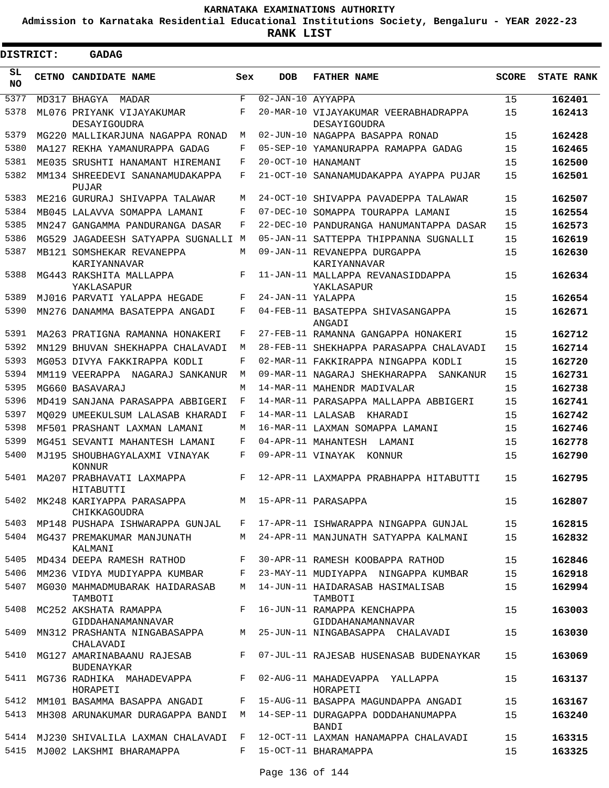**Admission to Karnataka Residential Educational Institutions Society, Bengaluru - YEAR 2022-23**

| <b>DISTRICT:</b> | GADAG                                                          |        |                   |                                                                         |              |                   |
|------------------|----------------------------------------------------------------|--------|-------------------|-------------------------------------------------------------------------|--------------|-------------------|
| SL<br><b>NO</b>  | <b>CETNO CANDIDATE NAME</b>                                    | Sex    | <b>DOB</b>        | <b>FATHER NAME</b>                                                      | <b>SCORE</b> | <b>STATE RANK</b> |
| 5377             | MD317 BHAGYA<br>MADAR                                          | F      | 02-JAN-10 AYYAPPA |                                                                         | 15           | 162401            |
| 5378             | ML076 PRIYANK VIJAYAKUMAR<br>DESAYIGOUDRA                      | F      |                   | 20-MAR-10 VIJAYAKUMAR VEERABHADRAPPA<br>DESAYIGOUDRA                    | 15           | 162413            |
| 5379             | MG220 MALLIKARJUNA NAGAPPA RONAD                               | M      |                   | 02-JUN-10 NAGAPPA BASAPPA RONAD                                         | 15           | 162428            |
| 5380             | MA127 REKHA YAMANURAPPA GADAG                                  | F      |                   | 05-SEP-10 YAMANURAPPA RAMAPPA GADAG                                     | 15           | 162465            |
| 5381             | ME035 SRUSHTI HANAMANT HIREMANI                                | F      |                   | 20-OCT-10 HANAMANT                                                      | 15           | 162500            |
| 5382             | MM134 SHREEDEVI SANANAMUDAKAPPA<br>PUJAR                       | F      |                   | 21-OCT-10 SANANAMUDAKAPPA AYAPPA PUJAR                                  | 15           | 162501            |
| 5383             | ME216 GURURAJ SHIVAPPA TALAWAR                                 | М      |                   | 24-OCT-10 SHIVAPPA PAVADEPPA TALAWAR                                    | 15           | 162507            |
| 5384             | MB045 LALAVVA SOMAPPA LAMANI                                   | F      |                   | 07-DEC-10 SOMAPPA TOURAPPA LAMANI                                       | 15           | 162554            |
| 5385             | MN247 GANGAMMA PANDURANGA DASAR                                | F      |                   | 22-DEC-10 PANDURANGA HANUMANTAPPA DASAR                                 | 15           | 162573            |
| 5386             | MG529 JAGADEESH SATYAPPA SUGNALLI M                            |        |                   | 05-JAN-11 SATTEPPA THIPPANNA SUGNALLI                                   | 15           | 162619            |
| 5387             | MB121 SOMSHEKAR REVANEPPA<br>KARIYANNAVAR                      | М      |                   | 09-JAN-11 REVANEPPA DURGAPPA<br>KARIYANNAVAR                            | 15           | 162630            |
| 5388             | MG443 RAKSHITA MALLAPPA<br>YAKLASAPUR                          | F      |                   | 11-JAN-11 MALLAPPA REVANASIDDAPPA<br>YAKLASAPUR                         | 15           | 162634            |
| 5389             | MJ016 PARVATI YALAPPA HEGADE                                   | F      | 24-JAN-11 YALAPPA |                                                                         | 15           | 162654            |
| 5390             | MN276 DANAMMA BASATEPPA ANGADI                                 | F      |                   | 04-FEB-11 BASATEPPA SHIVASANGAPPA<br>ANGADI                             | 15           | 162671            |
| 5391             | MA263 PRATIGNA RAMANNA HONAKERI                                | F      |                   | 27-FEB-11 RAMANNA GANGAPPA HONAKERI                                     | 15           | 162712            |
| 5392             | MN129 BHUVAN SHEKHAPPA CHALAVADI                               | M      |                   | 28-FEB-11 SHEKHAPPA PARASAPPA CHALAVADI                                 | 15           | 162714            |
| 5393             | MG053 DIVYA FAKKIRAPPA KODLI                                   | F      |                   | 02-MAR-11 FAKKIRAPPA NINGAPPA KODLI                                     | 15           | 162720            |
| 5394             | MM119 VEERAPPA NAGARAJ SANKANUR                                | M      |                   | 09-MAR-11 NAGARAJ SHEKHARAPPA<br><b>SANKANUR</b>                        | 15           | 162731            |
| 5395             | MG660 BASAVARAJ                                                | М      |                   | 14-MAR-11 MAHENDR MADIVALAR                                             | 15           | 162738            |
| 5396             | MD419 SANJANA PARASAPPA ABBIGERI                               | F      |                   | 14-MAR-11 PARASAPPA MALLAPPA ABBIGERI                                   | 15           | 162741            |
| 5397             | MO029 UMEEKULSUM LALASAB KHARADI                               | F      | 14-MAR-11 LALASAB | KHARADI                                                                 | 15           | 162742            |
| 5398             | MF501 PRASHANT LAXMAN LAMANI                                   | M      |                   | 16-MAR-11 LAXMAN SOMAPPA LAMANI                                         | 15           | 162746            |
| 5399             | MG451 SEVANTI MAHANTESH LAMANI                                 | F      |                   | 04-APR-11 MAHANTESH LAMANI                                              | 15           | 162778            |
| 5400             | MJ195 SHOUBHAGYALAXMI VINAYAK<br><b>KONNUR</b>                 | F      | 09-APR-11 VINAYAK | KONNUR                                                                  | 15           | 162790            |
| 5401             | MA207 PRABHAVATI LAXMAPPA<br>HITABUTTI                         | F      |                   | 12-APR-11 LAXMAPPA PRABHAPPA HITABUTTI                                  | 15           | 162795            |
| 5402             | MK248 KARIYAPPA PARASAPPA<br>CHIKKAGOUDRA                      | M      |                   | 15-APR-11 PARASAPPA                                                     | 15           | 162807            |
| 5403             | MP148 PUSHAPA ISHWARAPPA GUNJAL                                | F      |                   | 17-APR-11 ISHWARAPPA NINGAPPA GUNJAL                                    | 15           | 162815            |
| 5404             | MG437 PREMAKUMAR MANJUNATH<br>KALMANI                          |        |                   | M 24-APR-11 MANJUNATH SATYAPPA KALMANI                                  | 15           | 162832            |
| 5405             | MD434 DEEPA RAMESH RATHOD                                      | F      |                   | 30-APR-11 RAMESH KOOBAPPA RATHOD                                        | 15           | 162846            |
| 5406<br>5407     | MM236 VIDYA MUDIYAPPA KUMBAR<br>MG030 MAHMADMUBARAK HAIDARASAB | F<br>M |                   | 23-MAY-11 MUDIYAPPA NINGAPPA KUMBAR<br>14-JUN-11 HAIDARASAB HASIMALISAB | 15<br>15     | 162918<br>162994  |
| 5408             | TAMBOTI<br>MC252 AKSHATA RAMAPPA<br>GIDDAHANAMANNAVAR          | F      |                   | TAMBOTI<br>16-JUN-11 RAMAPPA KENCHAPPA<br>GIDDAHANAMANNAVAR             | 15           | 163003            |
| 5409             | MN312 PRASHANTA NINGABASAPPA<br>CHALAVADI                      | M      |                   | 25-JUN-11 NINGABASAPPA CHALAVADI                                        | 15           | 163030            |
| 5410             | MG127 AMARINABAANU RAJESAB<br><b>BUDENAYKAR</b>                | F      |                   | 07-JUL-11 RAJESAB HUSENASAB BUDENAYKAR                                  | 15           | 163069            |
| 5411             | MG736 RADHIKA MAHADEVAPPA<br>HORAPETI                          | F      |                   | 02-AUG-11 MAHADEVAPPA YALLAPPA<br>HORAPETI                              | 15           | 163137            |
|                  | 5412 MM101 BASAMMA BASAPPA ANGADI                              | F      |                   | 15-AUG-11 BASAPPA MAGUNDAPPA ANGADI                                     | 15           | 163167            |
| 5413             | MH308 ARUNAKUMAR DURAGAPPA BANDI                               | M      |                   | 14-SEP-11 DURAGAPPA DODDAHANUMAPPA<br>BANDI                             | 15           | 163240            |
|                  | 5414 MJ230 SHIVALILA LAXMAN CHALAVADI                          | F      |                   | 12-OCT-11 LAXMAN HANAMAPPA CHALAVADI                                    | 15           | 163315            |
| 5415             | MJ002 LAKSHMI BHARAMAPPA                                       | F      |                   | 15-OCT-11 BHARAMAPPA                                                    | 15           | 163325            |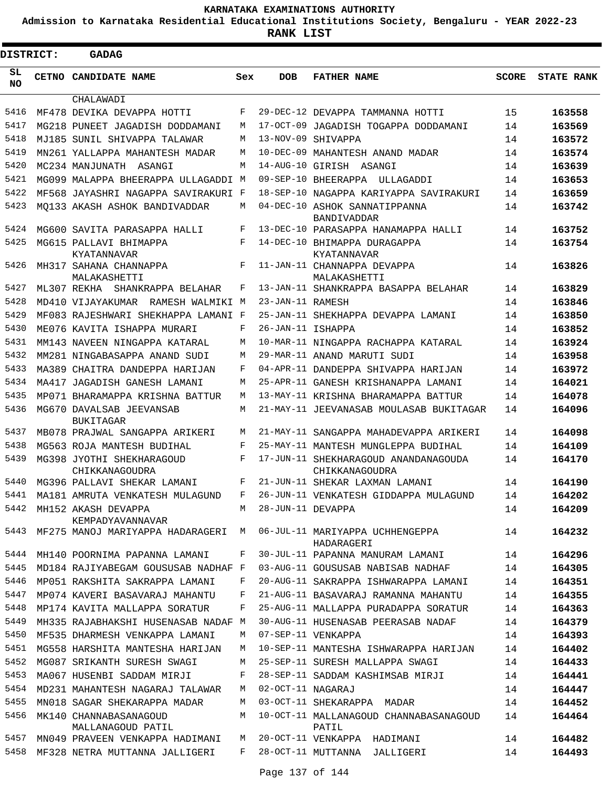**Admission to Karnataka Residential Educational Institutions Society, Bengaluru - YEAR 2022-23**

| DISTRICT: |  | <b>GADAG</b>                                 |     |                   |                                                        |              |                   |
|-----------|--|----------------------------------------------|-----|-------------------|--------------------------------------------------------|--------------|-------------------|
| SL<br>NO. |  | <b>CETNO CANDIDATE NAME</b>                  | Sex | <b>DOB</b>        | <b>FATHER NAME</b>                                     | <b>SCORE</b> | <b>STATE RANK</b> |
| 5416      |  | CHALAWADI                                    | F   |                   |                                                        |              |                   |
| 5417      |  | MF478 DEVIKA DEVAPPA HOTTI                   |     |                   | 29-DEC-12 DEVAPPA TAMMANNA HOTTI                       | 15           | 163558            |
|           |  | MG218 PUNEET JAGADISH DODDAMANI              | M   |                   | 17-OCT-09 JAGADISH TOGAPPA DODDAMANI                   | 14           | 163569            |
| 5418      |  | MJ185 SUNIL SHIVAPPA TALAWAR                 | M   |                   | 13-NOV-09 SHIVAPPA                                     | 14           | 163572            |
| 5419      |  | MN261 YALLAPPA MAHANTESH MADAR               | M   |                   | 10-DEC-09 MAHANTESH ANAND MADAR                        | 14           | 163574            |
| 5420      |  | MC234 MANJUNATH ASANGI                       | M   |                   | 14-AUG-10 GIRISH ASANGI                                | 14           | 163639            |
| 5421      |  | MG099 MALAPPA BHEERAPPA ULLAGADDI M          |     |                   | 09-SEP-10 BHEERAPPA ULLAGADDI                          | 14           | 163653            |
| 5422      |  | MF568 JAYASHRI NAGAPPA SAVIRAKURI F          |     |                   | 18-SEP-10 NAGAPPA KARIYAPPA SAVIRAKURI                 | 14           | 163659            |
| 5423      |  | MO133 AKASH ASHOK BANDIVADDAR                | M   |                   | 04-DEC-10 ASHOK SANNATIPPANNA<br>BANDIVADDAR           | 14           | 163742            |
| 5424      |  | MG600 SAVITA PARASAPPA HALLI                 | F   |                   | 13-DEC-10 PARASAPPA HANAMAPPA HALLI                    | 14           | 163752            |
| 5425      |  | MG615 PALLAVI BHIMAPPA<br>KYATANNAVAR        | F   |                   | 14-DEC-10 BHIMAPPA DURAGAPPA<br>KYATANNAVAR            | 14           | 163754            |
| 5426      |  | MH317 SAHANA CHANNAPPA<br>MALAKASHETTI       | F   |                   | 11-JAN-11 CHANNAPPA DEVAPPA<br>MALAKASHETTI            | 14           | 163826            |
| 5427      |  | ML307 REKHA<br>SHANKRAPPA BELAHAR            | F   |                   | 13-JAN-11 SHANKRAPPA BASAPPA BELAHAR                   | 14           | 163829            |
| 5428      |  | MD410 VIJAYAKUMAR RAMESH WALMIKI M           |     | 23-JAN-11 RAMESH  |                                                        | 14           | 163846            |
| 5429      |  | MF083 RAJESHWARI SHEKHAPPA LAMANI F          |     |                   | 25-JAN-11 SHEKHAPPA DEVAPPA LAMANI                     | 14           | 163850            |
| 5430      |  | ME076 KAVITA ISHAPPA MURARI                  | F   | 26-JAN-11 ISHAPPA |                                                        | 14           | 163852            |
| 5431      |  | MM143 NAVEEN NINGAPPA KATARAL                | M   |                   | 10-MAR-11 NINGAPPA RACHAPPA KATARAL                    | 14           | 163924            |
| 5432      |  | MM281 NINGABASAPPA ANAND SUDI                | M   |                   | 29-MAR-11 ANAND MARUTI SUDI                            | 14           | 163958            |
| 5433      |  | MA389 CHAITRA DANDEPPA HARIJAN               | F   |                   | 04-APR-11 DANDEPPA SHIVAPPA HARIJAN                    | 14           | 163972            |
| 5434      |  | MA417 JAGADISH GANESH LAMANI                 | М   |                   | 25-APR-11 GANESH KRISHANAPPA LAMANI                    | 14           | 164021            |
| 5435      |  | MP071 BHARAMAPPA KRISHNA BATTUR              | M   |                   | 13-MAY-11 KRISHNA BHARAMAPPA BATTUR                    | 14           | 164078            |
| 5436      |  | MG670 DAVALSAB JEEVANSAB<br><b>BUKITAGAR</b> | M   |                   | 21-MAY-11 JEEVANASAB MOULASAB BUKITAGAR                | 14           | 164096            |
| 5437      |  | MB078 PRAJWAL SANGAPPA ARIKERI               | M   |                   | 21-MAY-11 SANGAPPA MAHADEVAPPA ARIKERI                 | 14           | 164098            |
| 5438      |  | MG563 ROJA MANTESH BUDIHAL                   | F   |                   | 25-MAY-11 MANTESH MUNGLEPPA BUDIHAL                    | 14           | 164109            |
| 5439      |  | MG398 JYOTHI SHEKHARAGOUD<br>CHIKKANAGOUDRA  | F   |                   | 17-JUN-11 SHEKHARAGOUD ANANDANAGOUDA<br>CHIKKANAGOUDRA | 14           | 164170            |
| 5440      |  | MG396 PALLAVI SHEKAR LAMANI                  | F   |                   | 21-JUN-11 SHEKAR LAXMAN LAMANI                         | 14           | 164190            |
| 5441      |  | MA181 AMRUTA VENKATESH MULAGUND              | F   |                   | 26-JUN-11 VENKATESH GIDDAPPA MULAGUND                  | 14           | 164202            |
| 5442      |  | MH152 AKASH DEVAPPA<br>KEMPADYAVANNAVAR      | M   | 28-JUN-11 DEVAPPA |                                                        | 14           | 164209            |
| 5443      |  | MF275 MANOJ MARIYAPPA HADARAGERI             | M   |                   | 06-JUL-11 MARIYAPPA UCHHENGEPPA<br>HADARAGERI          | 14           | 164232            |
| 5444      |  | MH140 POORNIMA PAPANNA LAMANI                | F   |                   | 30-JUL-11 PAPANNA MANURAM LAMANI                       | 14           | 164296            |
| 5445      |  | MD184 RAJIYABEGAM GOUSUSAB NADHAF F          |     |                   | 03-AUG-11 GOUSUSAB NABISAB NADHAF                      | 14           | 164305            |
| 5446      |  | MP051 RAKSHITA SAKRAPPA LAMANI               | F   |                   | 20-AUG-11 SAKRAPPA ISHWARAPPA LAMANI                   | 14           | 164351            |
| 5447      |  | MP074 KAVERI BASAVARAJ MAHANTU               | F   |                   | 21-AUG-11 BASAVARAJ RAMANNA MAHANTU                    | 14           | 164355            |
| 5448      |  | MP174 KAVITA MALLAPPA SORATUR                | F   |                   | 25-AUG-11 MALLAPPA PURADAPPA SORATUR                   | 14           | 164363            |
| 5449      |  | MH335 RAJABHAKSHI HUSENASAB NADAF M          |     |                   | 30-AUG-11 HUSENASAB PEERASAB NADAF                     | 14           | 164379            |
| 5450      |  | MF535 DHARMESH VENKAPPA LAMANI               | М   |                   | 07-SEP-11 VENKAPPA                                     | 14           | 164393            |
| 5451      |  | MG558 HARSHITA MANTESHA HARIJAN              | М   |                   | 10-SEP-11 MANTESHA ISHWARAPPA HARIJAN                  | 14           | 164402            |
| 5452      |  | MG087 SRIKANTH SURESH SWAGI                  | М   |                   | 25-SEP-11 SURESH MALLAPPA SWAGI                        | 14           | 164433            |
| 5453      |  | MA067 HUSENBI SADDAM MIRJI                   | F   |                   | 28-SEP-11 SADDAM KASHIMSAB MIRJI                       | 14           | 164441            |
| 5454      |  | MD231 MAHANTESH NAGARAJ TALAWAR              | М   | 02-OCT-11 NAGARAJ |                                                        | 14           | 164447            |
| 5455      |  | MN018 SAGAR SHEKARAPPA MADAR                 | М   |                   | 03-OCT-11 SHEKARAPPA MADAR                             | 14           | 164452            |
| 5456      |  | MK140 CHANNABASANAGOUD<br>MALLANAGOUD PATIL  | M   |                   | 10-OCT-11 MALLANAGOUD CHANNABASANAGOUD<br>PATIL        | 14           | 164464            |
| 5457      |  | MN049 PRAVEEN VENKAPPA HADIMANI              | М   |                   | 20-OCT-11 VENKAPPA HADIMANI                            | 14           | 164482            |
| 5458      |  | MF328 NETRA MUTTANNA JALLIGERI               | F   |                   | 28-OCT-11 MUTTANNA JALLIGERI                           | 14           | 164493            |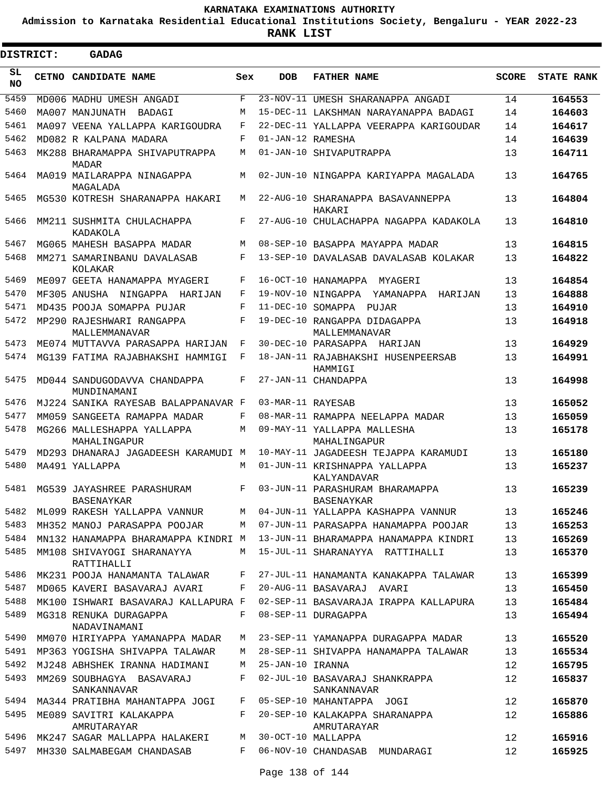**Admission to Karnataka Residential Educational Institutions Society, Bengaluru - YEAR 2022-23**

**RANK LIST**

Е

 $\blacksquare$ 

| <b>DISTRICT:</b> |  | <b>GADAG</b>                                                    |       |                   |                                                 |              |                   |
|------------------|--|-----------------------------------------------------------------|-------|-------------------|-------------------------------------------------|--------------|-------------------|
| SL.<br><b>NO</b> |  | CETNO CANDIDATE NAME                                            | Sex   | <b>DOB</b>        | <b>FATHER NAME</b>                              | <b>SCORE</b> | <b>STATE RANK</b> |
| 5459             |  | MD006 MADHU UMESH ANGADI                                        | F     |                   | 23-NOV-11 UMESH SHARANAPPA ANGADI               | 14           | 164553            |
| 5460             |  | MA007 MANJUNATH BADAGI                                          | М     |                   | 15-DEC-11 LAKSHMAN NARAYANAPPA BADAGI           | 14           | 164603            |
| 5461             |  | MA097 VEENA YALLAPPA KARIGOUDRA                                 | F     |                   | 22-DEC-11 YALLAPPA VEERAPPA KARIGOUDAR          | 14           | 164617            |
| 5462             |  | MD082 R KALPANA MADARA                                          | F     | 01-JAN-12 RAMESHA |                                                 | 14           | 164639            |
| 5463             |  | MK288 BHARAMAPPA SHIVAPUTRAPPA<br>MADAR                         | M     |                   | 01-JAN-10 SHIVAPUTRAPPA                         | 13           | 164711            |
| 5464             |  | MA019 MAILARAPPA NINAGAPPA<br>MAGALADA                          | М     |                   | 02-JUN-10 NINGAPPA KARIYAPPA MAGALADA           | 13           | 164765            |
| 5465             |  | MG530 KOTRESH SHARANAPPA HAKARI                                 | М     |                   | 22-AUG-10 SHARANAPPA BASAVANNEPPA<br>HAKARI     | 13           | 164804            |
| 5466             |  | MM211 SUSHMITA CHULACHAPPA<br>KADAKOLA                          | F     |                   | 27-AUG-10 CHULACHAPPA NAGAPPA KADAKOLA          | 13           | 164810            |
| 5467             |  | MG065 MAHESH BASAPPA MADAR                                      | М     |                   | 08-SEP-10 BASAPPA MAYAPPA MADAR                 | 13           | 164815            |
| 5468             |  | MM271 SAMARINBANU DAVALASAB<br>KOLAKAR                          | F     |                   | 13-SEP-10 DAVALASAB DAVALASAB KOLAKAR           | 13           | 164822            |
| 5469             |  | ME097 GEETA HANAMAPPA MYAGERI                                   | F     |                   | 16-OCT-10 HANAMAPPA MYAGERI                     | 13           | 164854            |
| 5470             |  | MF305 ANUSHA NINGAPPA HARIJAN                                   | F     |                   | 19-NOV-10 NINGAPPA YAMANAPPA HARIJAN            | 13           | 164888            |
| 5471             |  | MD435 POOJA SOMAPPA PUJAR                                       | F     |                   | 11-DEC-10 SOMAPPA PUJAR                         | 13           | 164910            |
| 5472             |  | MP290 RAJESHWARI RANGAPPA<br>MALLEMMANAVAR                      | F     |                   | 19-DEC-10 RANGAPPA DIDAGAPPA<br>MALLEMMANAVAR   | 13           | 164918            |
| 5473             |  | ME074 MUTTAVVA PARASAPPA HARIJAN                                | F     |                   | 30-DEC-10 PARASAPPA HARIJAN                     | 13           | 164929            |
| 5474             |  | MG139 FATIMA RAJABHAKSHI HAMMIGI                                | F     |                   | 18-JAN-11 RAJABHAKSHI HUSENPEERSAB<br>HAMMIGI   | 13           | 164991            |
| 5475             |  | MD044 SANDUGODAVVA CHANDAPPA<br>MUNDINAMANI                     | F     |                   | 27-JAN-11 CHANDAPPA                             | 13           | 164998            |
| 5476             |  | MJ224 SANIKA RAYESAB BALAPPANAVAR F                             |       | 03-MAR-11 RAYESAB |                                                 | 13           | 165052            |
| 5477             |  | MM059 SANGEETA RAMAPPA MADAR                                    | F     |                   | 08-MAR-11 RAMAPPA NEELAPPA MADAR                | 13           | 165059            |
| 5478             |  | MG266 MALLESHAPPA YALLAPPA<br>MAHALINGAPUR                      | M     |                   | 09-MAY-11 YALLAPPA MALLESHA<br>MAHALINGAPUR     | 13           | 165178            |
| 5479             |  | MD293 DHANARAJ JAGADEESH KARAMUDI M                             |       |                   | 10-MAY-11 JAGADEESH TEJAPPA KARAMUDI            | 13           | 165180            |
| 5480             |  | MA491 YALLAPPA                                                  | М     |                   | 01-JUN-11 KRISHNAPPA YALLAPPA<br>KALYANDAVAR    | 13           | 165237            |
| 5481             |  | MG539 JAYASHREE PARASHURAM<br>BASENAYKAR                        | F     |                   | 03-JUN-11 PARASHURAM BHARAMAPPA<br>BASENAYKAR   | 13           | 165239            |
|                  |  | 5482 ML099 RAKESH YALLAPPA VANNUR                               |       |                   | M 04-JUN-11 YALLAPPA KASHAPPA VANNUR            | 13           | 165246            |
| 5483             |  | MH352 MANOJ PARASAPPA POOJAR                                    | M     |                   | 07-JUN-11 PARASAPPA HANAMAPPA POOJAR            | 13           | 165253            |
| 5484             |  | MN132 HANAMAPPA BHARAMAPPA KINDRI M                             |       |                   | 13-JUN-11 BHARAMAPPA HANAMAPPA KINDRI           | 13           | 165269            |
| 5485             |  | MM108 SHIVAYOGI SHARANAYYA<br>RATTIHALLI                        |       |                   | M 15-JUL-11 SHARANAYYA RATTIHALLI               | 13           | 165370            |
| 5486             |  | MK231 POOJA HANAMANTA TALAWAR F                                 |       |                   | 27-JUL-11 HANAMANTA KANAKAPPA TALAWAR           | 13           | 165399            |
| 5487             |  | MD065 KAVERI BASAVARAJ AVARI F                                  |       |                   | 20-AUG-11 BASAVARAJ AVARI                       | 13           | 165450            |
| 5488             |  | MK100 ISHWARI BASAVARAJ KALLAPURA F                             |       |                   | 02-SEP-11 BASAVARAJA IRAPPA KALLAPURA           | 13           | 165484            |
| 5489             |  | MG318 RENUKA DURAGAPPA<br>NADAVINAMANI                          | $F$ – |                   | 08-SEP-11 DURAGAPPA                             | 13           | 165494            |
| 5490             |  | MM070 HIRIYAPPA YAMANAPPA MADAR                                 | M     |                   | 23-SEP-11 YAMANAPPA DURAGAPPA MADAR             | 13           | 165520            |
| 5491             |  | MP363 YOGISHA SHIVAPPA TALAWAR                                  | M     |                   | 28-SEP-11 SHIVAPPA HANAMAPPA TALAWAR            | 13           | 165534            |
| 5492             |  | MJ248 ABHSHEK IRANNA HADIMANI                                   | M     | 25-JAN-10 IRANNA  |                                                 | 12           | 165795            |
| 5493             |  | MM269 SOUBHAGYA BASAVARAJ<br>SANKANNAVAR                        | F     |                   | 02-JUL-10 BASAVARAJ SHANKRAPPA<br>SANKANNAVAR   | 12           | 165837            |
|                  |  | 5494 MA344 PRATIBHA MAHANTAPPA JOGI F 05-SEP-10 MAHANTAPPA JOGI |       |                   |                                                 | 12           | 165870            |
|                  |  | 5495 ME089 SAVITRI KALAKAPPA<br>AMRUTARAYAR                     |       |                   | F 20-SEP-10 KALAKAPPA SHARANAPPA<br>AMRUTARAYAR | 12           | 165886            |
|                  |  | 5496 MK247 SAGAR MALLAPPA HALAKERI M 30-OCT-10 MALLAPPA         |       |                   |                                                 | 12           | 165916            |
|                  |  | 5497 MH330 SALMABEGAM CHANDASAB                                 |       |                   | F 06-NOV-10 CHANDASAB MUNDARAGI                 | 12           | 165925            |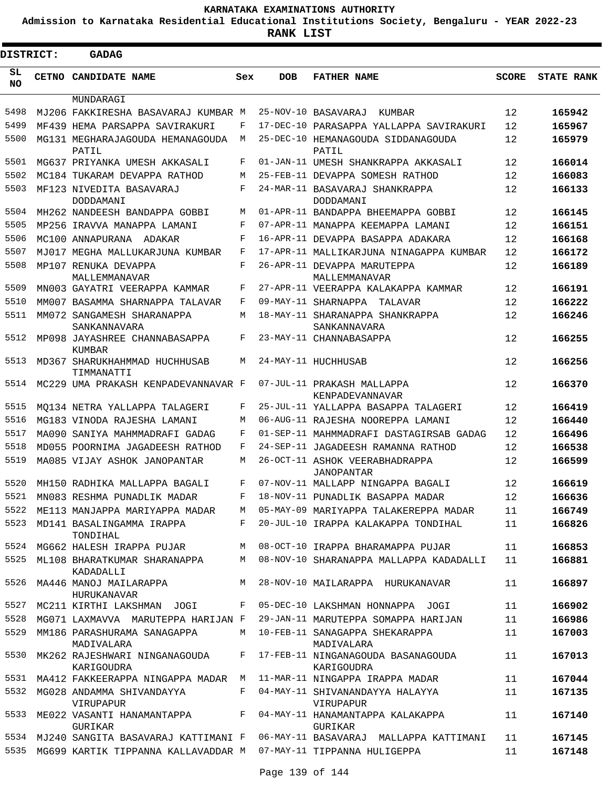**Admission to Karnataka Residential Educational Institutions Society, Bengaluru - YEAR 2022-23**

 $\blacksquare$ 

**RANK LIST**

Е

| <b>DISTRICT:</b> | <b>GADAG</b>                                                          |            |                 |                                                                                 |              |                   |
|------------------|-----------------------------------------------------------------------|------------|-----------------|---------------------------------------------------------------------------------|--------------|-------------------|
| SL<br><b>NO</b>  | CETNO CANDIDATE NAME                                                  | Sex        | <b>DOB</b>      | <b>FATHER NAME</b>                                                              | <b>SCORE</b> | <b>STATE RANK</b> |
|                  | MUNDARAGI                                                             |            |                 |                                                                                 |              |                   |
| 5498             | MJ206 FAKKIRESHA BASAVARAJ KUMBAR M                                   |            | 25-NOV-10       | BASAVARAJ<br>KUMBAR                                                             | 12           | 165942            |
| 5499             | MF439 HEMA PARSAPPA SAVIRAKURI                                        | F          | $17 - DEC - 10$ | PARASAPPA YALLAPPA SAVIRAKURI                                                   | 12           | 165967            |
| 5500             | MG131 MEGHARAJAGOUDA HEMANAGOUDA<br>PATIL                             | M          | $25 - DEC - 10$ | HEMANAGOUDA SIDDANAGOUDA<br>PATIL                                               | 12           | 165979            |
| 5501             | MG637 PRIYANKA UMESH AKKASALI                                         | F          |                 | 01-JAN-11 UMESH SHANKRAPPA AKKASALI                                             | 12           | 166014            |
| 5502             | MC184 TUKARAM DEVAPPA RATHOD                                          | М          |                 | 25-FEB-11 DEVAPPA SOMESH RATHOD                                                 | 12           | 166083            |
| 5503             | MF123 NIVEDITA BASAVARAJ<br>DODDAMANI                                 | $_{\rm F}$ |                 | 24-MAR-11 BASAVARAJ SHANKRAPPA<br>DODDAMANI                                     | 12           | 166133            |
| 5504             | MH262 NANDEESH BANDAPPA GOBBI                                         | М          |                 | 01-APR-11 BANDAPPA BHEEMAPPA GOBBI                                              | 12           | 166145            |
| 5505             | MP256 IRAVVA MANAPPA LAMANI                                           | F          |                 | 07-APR-11 MANAPPA KEEMAPPA LAMANI                                               | 12           | 166151            |
| 5506             | MC100 ANNAPURANA<br>ADAKAR                                            | F          |                 | 16-APR-11 DEVAPPA BASAPPA ADAKARA                                               | 12           | 166168            |
| 5507             | MJ017 MEGHA MALLUKARJUNA KUMBAR                                       | F          |                 | 17-APR-11 MALLIKARJUNA NINAGAPPA KUMBAR                                         | 12           | 166172            |
| 5508             | MP107 RENUKA DEVAPPA<br>MALLEMMANAVAR                                 | F          |                 | 26-APR-11 DEVAPPA MARUTEPPA<br>MALLEMMANAVAR                                    | 12           | 166189            |
| 5509             | MN003 GAYATRI VEERAPPA KAMMAR                                         | F          |                 | 27-APR-11 VEERAPPA KALAKAPPA KAMMAR                                             | 12           | 166191            |
| 5510             | MM007 BASAMMA SHARNAPPA TALAVAR                                       | F          |                 | 09-MAY-11 SHARNAPPA TALAVAR                                                     | 12           | 166222            |
| 5511             | MM072 SANGAMESH SHARANAPPA<br>SANKANNAVARA                            | М          |                 | 18-MAY-11 SHARANAPPA SHANKRAPPA<br>SANKANNAVARA                                 | 12           | 166246            |
| 5512             | MP098 JAYASHREE CHANNABASAPPA<br>KUMBAR                               | F          |                 | 23-MAY-11 CHANNABASAPPA                                                         | 12           | 166255            |
| 5513             | MD367 SHARUKHAHMMAD HUCHHUSAB<br>TIMMANATTI                           | М          |                 | 24-MAY-11 HUCHHUSAB                                                             | 12           | 166256            |
| 5514             | MC229 UMA PRAKASH KENPADEVANNAVAR F                                   |            |                 | 07-JUL-11 PRAKASH MALLAPPA<br>KENPADEVANNAVAR                                   | 12           | 166370            |
| 5515             | MO134 NETRA YALLAPPA TALAGERI                                         | F          |                 | 25-JUL-11 YALLAPPA BASAPPA TALAGERI                                             | 12           | 166419            |
| 5516             | MG183 VINODA RAJESHA LAMANI                                           | М          |                 | 06-AUG-11 RAJESHA NOOREPPA LAMANI                                               | 12           | 166440            |
| 5517             | MA090 SANIYA MAHMMADRAFI GADAG                                        | F          |                 | 01-SEP-11 MAHMMADRAFI DASTAGIRSAB GADAG                                         | 12           | 166496            |
| 5518             | MD055 POORNIMA JAGADEESH RATHOD                                       | F          |                 | 24-SEP-11 JAGADEESH RAMANNA RATHOD                                              | 12           | 166538            |
| 5519             | MA085 VIJAY ASHOK JANOPANTAR                                          | М          |                 | 26-OCT-11 ASHOK VEERABHADRAPPA<br>JANOPANTAR                                    | 12           | 166599            |
| 5520             | MH150 RADHIKA MALLAPPA BAGALI                                         | F          |                 | 07-NOV-11 MALLAPP NINGAPPA BAGALI                                               | 12           | 166619            |
| 5521             | MN083 RESHMA PUNADLIK MADAR                                           | F          |                 | 18-NOV-11 PUNADLIK BASAPPA MADAR                                                | 12           | 166636            |
| 5522             | ME113 MANJAPPA MARIYAPPA MADAR                                        |            |                 | M 05-MAY-09 MARIYAPPA TALAKEREPPA MADAR                                         | 11           | 166749            |
|                  | 5523 MD141 BASALINGAMMA IRAPPA<br>TONDIHAL                            | F          |                 | 20-JUL-10 IRAPPA KALAKAPPA TONDIHAL                                             | 11           | 166826            |
|                  | 5524 MG662 HALESH IRAPPA PUJAR                                        |            |                 | M 08-OCT-10 IRAPPA BHARAMAPPA PUJAR                                             | 11           | 166853            |
| 5525             | ML108 BHARATKUMAR SHARANAPPA<br>KADADALLI                             |            |                 | M 08-NOV-10 SHARANAPPA MALLAPPA KADADALLI                                       | 11           | 166881            |
| 5526             | MA446 MANOJ MAILARAPPA<br>HURUKANAVAR                                 | M          |                 | 28-NOV-10 MAILARAPPA HURUKANAVAR                                                | 11           | 166897            |
| 5527             | MC211 KIRTHI LAKSHMAN JOGI                                            | F          |                 | 05-DEC-10 LAKSHMAN HONNAPPA JOGI                                                | 11           | 166902            |
| 5528             | MG071 LAXMAVVA MARUTEPPA HARIJAN F                                    |            |                 | 29-JAN-11 MARUTEPPA SOMAPPA HARIJAN                                             | 11           | 166986            |
| 5529             | MM186 PARASHURAMA SANAGAPPA<br>MADIVALARA                             |            |                 | M 10-FEB-11 SANAGAPPA SHEKARAPPA<br>MADIVALARA                                  | 11           | 167003            |
|                  | 5530 MK262 RAJESHWARI NINGANAGOUDA<br>KARIGOUDRA                      |            |                 | F 17-FEB-11 NINGANAGOUDA BASANAGOUDA<br>KARIGOUDRA                              | 11           | 167013            |
|                  | 5531 MA412 FAKKEERAPPA NINGAPPA MADAR M                               |            |                 | 11-MAR-11 NINGAPPA IRAPPA MADAR                                                 | 11           | 167044            |
| 5532             | MG028 ANDAMMA SHIVANDAYYA<br>VIRUPAPUR                                | F          |                 | 04-MAY-11 SHIVANANDAYYA HALAYYA<br>VIRUPAPUR                                    | 11           | 167135            |
|                  | 5533 ME022 VASANTI HANAMANTAPPA<br>GURIKAR                            | $F$ and    |                 | 04-MAY-11 HANAMANTAPPA KALAKAPPA<br>GURIKAR                                     | 11           | 167140            |
|                  |                                                                       |            |                 | 5534 MJ240 SANGITA BASAVARAJ KATTIMANI F 06-MAY-11 BASAVARAJ MALLAPPA KATTIMANI | 11           | 167145            |
|                  | 5535 MG699 KARTIK TIPPANNA KALLAVADDAR M 07-MAY-11 TIPPANNA HULIGEPPA |            |                 |                                                                                 | 11           | 167148            |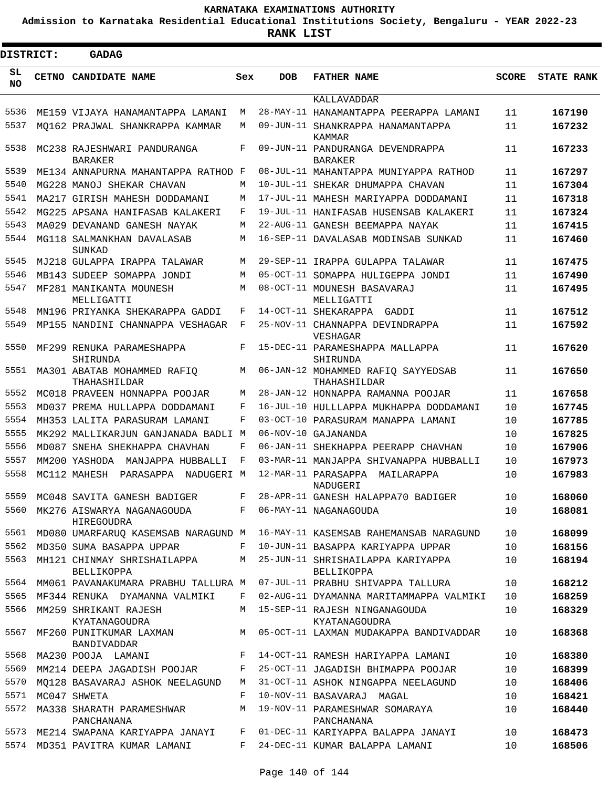**Admission to Karnataka Residential Educational Institutions Society, Bengaluru - YEAR 2022-23**

 $\blacksquare$ 

**RANK LIST**

Е

| <b>DISTRICT:</b> |  | <b>GADAG</b>                                    |     |                 |                                                    |              |                   |
|------------------|--|-------------------------------------------------|-----|-----------------|----------------------------------------------------|--------------|-------------------|
| SL<br>NO.        |  | <b>CETNO CANDIDATE NAME</b>                     | Sex | <b>DOB</b>      | <b>FATHER NAME</b>                                 | <b>SCORE</b> | <b>STATE RANK</b> |
|                  |  |                                                 |     |                 | KALLAVADDAR                                        |              |                   |
| 5536             |  | ME159 VIJAYA HANAMANTAPPA LAMANI                | М   |                 | 28-MAY-11 HANAMANTAPPA PEERAPPA LAMANI             | 11           | 167190            |
| 5537             |  | MO162 PRAJWAL SHANKRAPPA KAMMAR                 | M   |                 | 09-JUN-11 SHANKRAPPA HANAMANTAPPA<br>KAMMAR        | 11           | 167232            |
| 5538             |  | MC238 RAJESHWARI PANDURANGA<br><b>BARAKER</b>   | F   |                 | 09-JUN-11 PANDURANGA DEVENDRAPPA<br><b>BARAKER</b> | 11           | 167233            |
| 5539             |  | ME134 ANNAPURNA MAHANTAPPA RATHOD F             |     |                 | 08-JUL-11 MAHANTAPPA MUNIYAPPA RATHOD              | 11           | 167297            |
| 5540             |  | MG228 MANOJ SHEKAR CHAVAN                       | M   |                 | 10-JUL-11 SHEKAR DHUMAPPA CHAVAN                   | 11           | 167304            |
| 5541             |  | MA217 GIRISH MAHESH DODDAMANI                   | M   |                 | 17-JUL-11 MAHESH MARIYAPPA DODDAMANI               | 11           | 167318            |
| 5542             |  | MG225 APSANA HANIFASAB KALAKERI                 | F   |                 | 19-JUL-11 HANIFASAB HUSENSAB KALAKERI              | 11           | 167324            |
| 5543             |  | MA029 DEVANAND GANESH NAYAK                     | M   |                 | 22-AUG-11 GANESH BEEMAPPA NAYAK                    | 11           | 167415            |
| 5544             |  | MG118 SALMANKHAN DAVALASAB<br>SUNKAD            | M   |                 | 16-SEP-11 DAVALASAB MODINSAB SUNKAD                | 11           | 167460            |
| 5545             |  | MJ218 GULAPPA IRAPPA TALAWAR                    | M   |                 | 29-SEP-11 IRAPPA GULAPPA TALAWAR                   | 11           | 167475            |
| 5546             |  | MB143 SUDEEP SOMAPPA JONDI                      | M   |                 | 05-OCT-11 SOMAPPA HULIGEPPA JONDI                  | 11           | 167490            |
| 5547             |  | MF281 MANIKANTA MOUNESH<br>MELLIGATTI           | M   |                 | 08-OCT-11 MOUNESH BASAVARAJ<br>MELLIGATTI          | 11           | 167495            |
| 5548             |  | MN196 PRIYANKA SHEKARAPPA GADDI                 | F   |                 | 14-OCT-11 SHEKARAPPA<br>GADDI                      | 11           | 167512            |
| 5549             |  | MP155 NANDINI CHANNAPPA VESHAGAR                | F   |                 | 25-NOV-11 CHANNAPPA DEVINDRAPPA<br>VESHAGAR        | 11           | 167592            |
| 5550             |  | MF299 RENUKA PARAMESHAPPA<br>SHIRUNDA           | F   |                 | 15-DEC-11 PARAMESHAPPA MALLAPPA<br>SHIRUNDA        | 11           | 167620            |
| 5551             |  | MA301 ABATAB MOHAMMED RAFIQ<br>THAHASHILDAR     | M   |                 | 06-JAN-12 MOHAMMED RAFIQ SAYYEDSAB<br>THAHASHILDAR | 11           | 167650            |
| 5552             |  | MC018 PRAVEEN HONNAPPA POOJAR                   | M   |                 | 28-JAN-12 HONNAPPA RAMANNA POOJAR                  | 11           | 167658            |
| 5553             |  | MD037 PREMA HULLAPPA DODDAMANI                  | F   |                 | 16-JUL-10 HULLLAPPA MUKHAPPA DODDAMANI             | 10           | 167745            |
| 5554             |  | MH353 LALITA PARASURAM LAMANI                   | F   | $03 - OCT - 10$ | PARASURAM MANAPPA LAMANI                           | 10           | 167785            |
| 5555             |  | MK292 MALLIKARJUN GANJANADA BADLI M             |     |                 | 06-NOV-10 GAJANANDA                                | 10           | 167825            |
| 5556             |  | MD087 SNEHA SHEKHAPPA CHAVHAN                   | F   |                 | 06-JAN-11 SHEKHAPPA PEERAPP CHAVHAN                | 10           | 167906            |
| 5557             |  | MM200 YASHODA<br>MANJAPPA HUBBALLI              | F   |                 | 03-MAR-11 MANJAPPA SHIVANAPPA HUBBALLI             | 10           | 167973            |
| 5558             |  | MC112 MAHESH PARASAPPA<br>NADUGERI M            |     |                 | 12-MAR-11 PARASAPPA MAILARAPPA<br>NADUGERI         | 10           | 167983            |
| 5559             |  | MC048 SAVITA GANESH BADIGER                     | F   |                 | 28-APR-11 GANESH HALAPPA70 BADIGER                 | 10           | 168060            |
| 5560             |  | MK276 AISWARYA NAGANAGOUDA<br><b>HIREGOUDRA</b> | F   |                 | 06-MAY-11 NAGANAGOUDA                              | 10           | 168081            |
| 5561             |  | MD080 UMARFARUQ KASEMSAB NARAGUND M             |     |                 | 16-MAY-11 KASEMSAB RAHEMANSAB NARAGUND             | 10           | 168099            |
| 5562             |  | MD350 SUMA BASAPPA UPPAR                        | F   |                 | 10-JUN-11 BASAPPA KARIYAPPA UPPAR                  | 10           | 168156            |
| 5563             |  | MH121 CHINMAY SHRISHAILAPPA<br>BELLIKOPPA       | M   |                 | 25-JUN-11 SHRISHAILAPPA KARIYAPPA<br>BELLIKOPPA    | 10           | 168194            |
| 5564             |  | MM061 PAVANAKUMARA PRABHU TALLURA M             |     |                 | 07-JUL-11 PRABHU SHIVAPPA TALLURA                  | 10           | 168212            |
| 5565             |  | MF344 RENUKA DYAMANNA VALMIKI                   | F   |                 | 02-AUG-11 DYAMANNA MARITAMMAPPA VALMIKI            | 10           | 168259            |
| 5566             |  | MM259 SHRIKANT RAJESH<br>KYATANAGOUDRA          | M   |                 | 15-SEP-11 RAJESH NINGANAGOUDA<br>KYATANAGOUDRA     | 10           | 168329            |
| 5567             |  | MF260 PUNITKUMAR LAXMAN<br>BANDIVADDAR          |     |                 | M 05-OCT-11 LAXMAN MUDAKAPPA BANDIVADDAR           | 10           | 168368            |
| 5568             |  | MA230 POOJA LAMANI                              | F   |                 | 14-OCT-11 RAMESH HARIYAPPA LAMANI                  | 10           | 168380            |
| 5569             |  | MM214 DEEPA JAGADISH POOJAR                     | F   |                 | 25-OCT-11 JAGADISH BHIMAPPA POOJAR                 | 10           | 168399            |
| 5570             |  | MO128 BASAVARAJ ASHOK NEELAGUND                 | M   |                 | 31-OCT-11 ASHOK NINGAPPA NEELAGUND                 | 10           | 168406            |
| 5571             |  | MC047 SHWETA                                    | F   |                 | 10-NOV-11 BASAVARAJ MAGAL                          | 10           | 168421            |
| 5572             |  | MA338 SHARATH PARAMESHWAR<br>PANCHANANA         | M   |                 | 19-NOV-11 PARAMESHWAR SOMARAYA<br>PANCHANANA       | 10           | 168440            |
| 5573             |  | ME214 SWAPANA KARIYAPPA JANAYI                  | F   |                 | 01-DEC-11 KARIYAPPA BALAPPA JANAYI                 | 10           | 168473            |
| 5574             |  | MD351 PAVITRA KUMAR LAMANI                      | F   |                 | 24-DEC-11 KUMAR BALAPPA LAMANI                     | 10           | 168506            |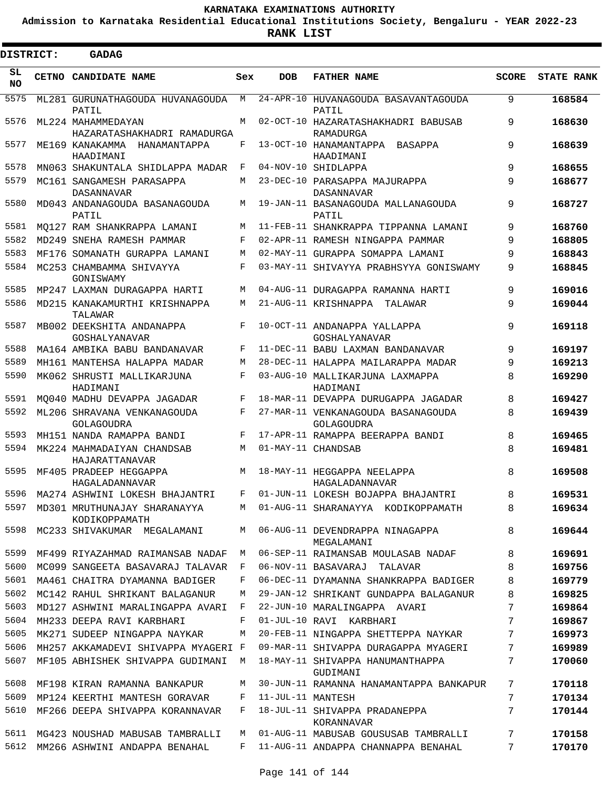**Admission to Karnataka Residential Educational Institutions Society, Bengaluru - YEAR 2022-23**

 $\blacksquare$ 

**RANK LIST**

 $\blacksquare$ 

| DISTRICT:       |  | <b>GADAG</b>                                                             |     |                    |                                                    |              |                   |
|-----------------|--|--------------------------------------------------------------------------|-----|--------------------|----------------------------------------------------|--------------|-------------------|
| SL<br><b>NO</b> |  | CETNO CANDIDATE NAME                                                     | Sex | <b>DOB</b>         | <b>FATHER NAME</b>                                 | <b>SCORE</b> | <b>STATE RANK</b> |
| 5575            |  | ML281 GURUNATHAGOUDA HUVANAGOUDA<br>PATIL                                | M   |                    | 24-APR-10 HUVANAGOUDA BASAVANTAGOUDA<br>PATIL      | 9            | 168584            |
| 5576            |  | ML224 MAHAMMEDAYAN<br>HAZARATASHAKHADRI RAMADURGA                        | M   |                    | 02-OCT-10 HAZARATASHAKHADRI BABUSAB<br>RAMADURGA   | 9            | 168630            |
| 5577            |  | ME169 KANAKAMMA HANAMANTAPPA<br>HAADIMANI                                | F   |                    | 13-OCT-10 HANAMANTAPPA BASAPPA<br>HAADIMANI        | 9            | 168639            |
| 5578            |  | MN063 SHAKUNTALA SHIDLAPPA MADAR                                         | F   |                    | 04-NOV-10 SHIDLAPPA                                | 9            | 168655            |
| 5579            |  | MC161 SANGAMESH PARASAPPA<br><b>DASANNAVAR</b>                           | M   |                    | 23-DEC-10 PARASAPPA MAJURAPPA<br><b>DASANNAVAR</b> | 9            | 168677            |
| 5580            |  | MD043 ANDANAGOUDA BASANAGOUDA<br>PATIL                                   | M   |                    | 19-JAN-11 BASANAGOUDA MALLANAGOUDA<br>PATIL        | 9            | 168727            |
| 5581            |  | MO127 RAM SHANKRAPPA LAMANI                                              | М   |                    | 11-FEB-11 SHANKRAPPA TIPPANNA LAMANI               | 9            | 168760            |
| 5582            |  | MD249 SNEHA RAMESH PAMMAR                                                | F   |                    | 02-APR-11 RAMESH NINGAPPA PAMMAR                   | 9            | 168805            |
| 5583            |  | MF176 SOMANATH GURAPPA LAMANI                                            | M   |                    | 02-MAY-11 GURAPPA SOMAPPA LAMANI                   | 9            | 168843            |
| 5584            |  | MC253 CHAMBAMMA SHIVAYYA<br>GONISWAMY                                    | F   |                    | 03-MAY-11 SHIVAYYA PRABHSYYA GONISWAMY             | 9            | 168845            |
| 5585            |  | MP247 LAXMAN DURAGAPPA HARTI                                             | M   |                    | 04-AUG-11 DURAGAPPA RAMANNA HARTI                  | 9            | 169016            |
| 5586            |  | MD215 KANAKAMURTHI KRISHNAPPA<br>TALAWAR                                 | М   |                    | 21-AUG-11 KRISHNAPPA TALAWAR                       | 9            | 169044            |
| 5587            |  | MB002 DEEKSHITA ANDANAPPA<br>GOSHALYANAVAR                               | F   |                    | 10-OCT-11 ANDANAPPA YALLAPPA<br>GOSHALYANAVAR      | 9            | 169118            |
| 5588            |  | MA164 AMBIKA BABU BANDANAVAR                                             | F   |                    | 11-DEC-11 BABU LAXMAN BANDANAVAR                   | 9            | 169197            |
| 5589            |  | MH161 MANTEHSA HALAPPA MADAR                                             | М   |                    | 28-DEC-11 HALAPPA MAILARAPPA MADAR                 | 9            | 169213            |
| 5590            |  | MK062 SHRUSTI MALLIKARJUNA<br>HADIMANI                                   | F   |                    | 03-AUG-10 MALLIKARJUNA LAXMAPPA<br>HADIMANI        | 8            | 169290            |
| 5591            |  | MO040 MADHU DEVAPPA JAGADAR                                              | F   |                    | 18-MAR-11 DEVAPPA DURUGAPPA JAGADAR                | 8            | 169427            |
| 5592            |  | ML206 SHRAVANA VENKANAGOUDA<br>GOLAGOUDRA                                | F   |                    | 27-MAR-11 VENKANAGOUDA BASANAGOUDA<br>GOLAGOUDRA   | 8            | 169439            |
| 5593            |  | MH151 NANDA RAMAPPA BANDI                                                | F   |                    | 17-APR-11 RAMAPPA BEERAPPA BANDI                   | 8            | 169465            |
| 5594            |  | MK224 MAHMADAIYAN CHANDSAB<br>HAJARATTANAVAR                             | M   | 01-MAY-11 CHANDSAB |                                                    | 8            | 169481            |
| 5595            |  | MF405 PRADEEP HEGGAPPA<br>HAGALADANNAVAR                                 |     |                    | M 18-MAY-11 HEGGAPPA NEELAPPA<br>HAGALADANNAVAR    | 8            | 169508            |
|                 |  | 5596 MA274 ASHWINI LOKESH BHAJANTRI F 01-JUN-11 LOKESH BOJAPPA BHAJANTRI |     |                    |                                                    | 8            | 169531            |
| 5597            |  | MD301 MRUTHUNAJAY SHARANAYYA<br>KODIKOPPAMATH                            | M   |                    | 01-AUG-11 SHARANAYYA KODIKOPPAMATH                 | 8            | 169634            |
| 5598            |  | MC233 SHIVAKUMAR MEGALAMANI                                              | M   |                    | 06-AUG-11 DEVENDRAPPA NINAGAPPA<br>MEGALAMANI      | 8            | 169644            |
| 5599            |  | MF499 RIYAZAHMAD RAIMANSAB NADAF                                         | M   |                    | 06-SEP-11 RAIMANSAB MOULASAB NADAF                 | 8            | 169691            |
| 5600            |  | MC099 SANGEETA BASAVARAJ TALAVAR                                         | F   |                    | 06-NOV-11 BASAVARAJ TALAVAR                        | 8            | 169756            |
| 5601            |  | MA461 CHAITRA DYAMANNA BADIGER                                           | F   |                    | 06-DEC-11 DYAMANNA SHANKRAPPA BADIGER              | 8            | 169779            |
| 5602            |  | MC142 RAHUL SHRIKANT BALAGANUR                                           | М   |                    | 29-JAN-12 SHRIKANT GUNDAPPA BALAGANUR              | 8            | 169825            |
| 5603            |  | MD127 ASHWINI MARALINGAPPA AVARI                                         | F   |                    | 22-JUN-10 MARALINGAPPA AVARI                       | 7            | 169864            |
| 5604            |  | MH233 DEEPA RAVI KARBHARI                                                | F   |                    | 01-JUL-10 RAVI KARBHARI                            | 7            | 169867            |
| 5605            |  | MK271 SUDEEP NINGAPPA NAYKAR                                             | М   |                    | 20-FEB-11 NINGAPPA SHETTEPPA NAYKAR                | 7            | 169973            |
| 5606            |  | MH257 AKKAMADEVI SHIVAPPA MYAGERI F                                      |     |                    | 09-MAR-11 SHIVAPPA DURAGAPPA MYAGERI               | 7            | 169989            |
| 5607            |  | MF105 ABHISHEK SHIVAPPA GUDIMANI                                         | М   |                    | 18-MAY-11 SHIVAPPA HANUMANTHAPPA<br>GUDIMANI       | 7            | 170060            |
| 5608            |  | MF198 KIRAN RAMANNA BANKAPUR                                             | М   |                    | 30-JUN-11 RAMANNA HANAMANTAPPA BANKAPUR            | 7            | 170118            |
| 5609            |  | MP124 KEERTHI MANTESH GORAVAR                                            | F   | 11-JUL-11 MANTESH  |                                                    | 7            | 170134            |
| 5610            |  | MF266 DEEPA SHIVAPPA KORANNAVAR                                          | F   |                    | 18-JUL-11 SHIVAPPA PRADANEPPA<br>KORANNAVAR        | 7            | 170144            |
| 5611            |  | MG423 NOUSHAD MABUSAB TAMBRALLI                                          | М   |                    | 01-AUG-11 MABUSAB GOUSUSAB TAMBRALLI               | 7            | 170158            |
| 5612            |  | MM266 ASHWINI ANDAPPA BENAHAL                                            | F   |                    | 11-AUG-11 ANDAPPA CHANNAPPA BENAHAL                | 7            | 170170            |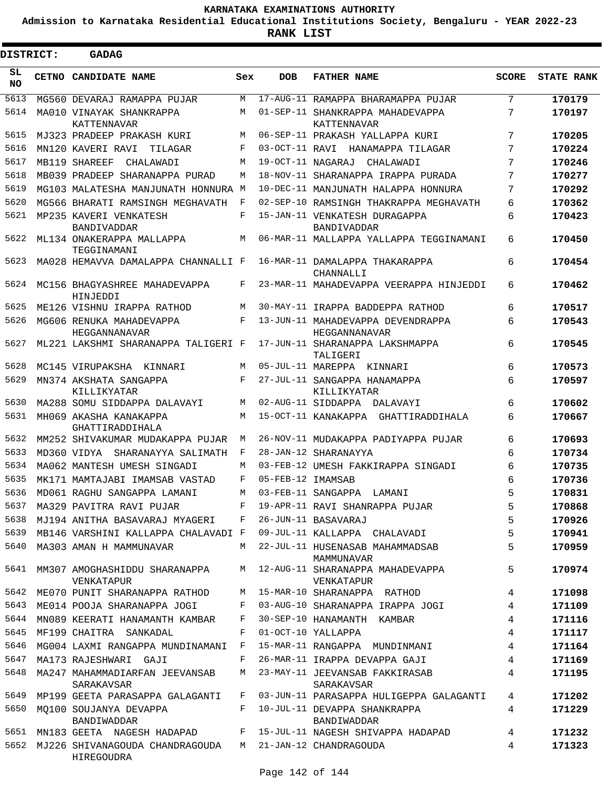**Admission to Karnataka Residential Educational Institutions Society, Bengaluru - YEAR 2022-23**

 $\blacksquare$ 

| <b>DISTRICT:</b> | <b>GADAG</b>                                  |              |                   |                                                        |                |                   |
|------------------|-----------------------------------------------|--------------|-------------------|--------------------------------------------------------|----------------|-------------------|
| SL<br><b>NO</b>  | CETNO CANDIDATE NAME                          | Sex          | <b>DOB</b>        | <b>FATHER NAME</b>                                     | <b>SCORE</b>   | <b>STATE RANK</b> |
| 5613             | MG560 DEVARAJ RAMAPPA PUJAR                   | M            |                   | 17-AUG-11 RAMAPPA BHARAMAPPA PUJAR                     | 7              | 170179            |
| 5614             | MA010 VINAYAK SHANKRAPPA<br>KATTENNAVAR       | M            |                   | 01-SEP-11 SHANKRAPPA MAHADEVAPPA<br><b>KATTENNAVAR</b> | 7              | 170197            |
| 5615             | MJ323 PRADEEP PRAKASH KURI                    | М            |                   | 06-SEP-11 PRAKASH YALLAPPA KURI                        | 7              | 170205            |
| 5616             | MN120 KAVERI RAVI<br>TILAGAR                  | F            |                   | 03-OCT-11 RAVI HANAMAPPA TILAGAR                       | 7              | 170224            |
| 5617             | MB119 SHAREEF<br>CHALAWADI                    | M            |                   | 19-OCT-11 NAGARAJ<br>CHALAWADI                         | 7              | 170246            |
| 5618             | MB039 PRADEEP SHARANAPPA PURAD                | M            |                   | 18-NOV-11 SHARANAPPA IRAPPA PURADA                     | 7              | 170277            |
| 5619             | MG103 MALATESHA MANJUNATH HONNURA M           |              |                   | 10-DEC-11 MANJUNATH HALAPPA HONNURA                    | 7              | 170292            |
| 5620             | MG566 BHARATI RAMSINGH MEGHAVATH              | F            |                   | 02-SEP-10 RAMSINGH THAKRAPPA MEGHAVATH                 | 6              | 170362            |
| 5621             | MP235 KAVERI VENKATESH<br><b>BANDIVADDAR</b>  | F            |                   | 15-JAN-11 VENKATESH DURAGAPPA<br>BANDIVADDAR           | 6              | 170423            |
| 5622             | ML134 ONAKERAPPA MALLAPPA<br>TEGGINAMANI      | M            |                   | 06-MAR-11 MALLAPPA YALLAPPA TEGGINAMANI                | 6              | 170450            |
| 5623             | MA028 HEMAVVA DAMALAPPA CHANNALLI F           |              |                   | 16-MAR-11 DAMALAPPA THAKARAPPA<br>CHANNALLI            | 6              | 170454            |
| 5624             | MC156 BHAGYASHREE MAHADEVAPPA<br>HINJEDDI     | F            |                   | 23-MAR-11 MAHADEVAPPA VEERAPPA HINJEDDI                | 6              | 170462            |
| 5625             | ME126 VISHNU IRAPPA RATHOD                    | M            |                   | 30-MAY-11 IRAPPA BADDEPPA RATHOD                       | 6              | 170517            |
| 5626             | MG606 RENUKA MAHADEVAPPA<br>HEGGANNANAVAR     | F            |                   | 13-JUN-11 MAHADEVAPPA DEVENDRAPPA<br>HEGGANNANAVAR     | 6              | 170543            |
| 5627             | ML221 LAKSHMI SHARANAPPA TALIGERI F           |              |                   | 17-JUN-11 SHARANAPPA LAKSHMAPPA<br>TALIGERI            | 6              | 170545            |
| 5628             | MC145 VIRUPAKSHA KINNARI                      | M            |                   | 05-JUL-11 MAREPPA KINNARI                              | 6              | 170573            |
| 5629             | MN374 AKSHATA SANGAPPA<br>KILLIKYATAR         | F            |                   | 27-JUL-11 SANGAPPA HANAMAPPA<br>KILLIKYATAR            | 6              | 170597            |
| 5630             | MA288 SOMU SIDDAPPA DALAVAYI                  | M            |                   | 02-AUG-11 SIDDAPPA DALAVAYI                            | 6              | 170602            |
| 5631             | MH069 AKASHA KANAKAPPA<br>GHATTIRADDIHALA     | M            |                   | 15-OCT-11 KANAKAPPA GHATTIRADDIHALA                    | 6              | 170667            |
| 5632             | MM252 SHIVAKUMAR MUDAKAPPA PUJAR              | М            |                   | 26-NOV-11 MUDAKAPPA PADIYAPPA PUJAR                    | 6              | 170693            |
| 5633             | MD360 VIDYA<br>SHARANAYYA SALIMATH            | F            |                   | 28-JAN-12 SHARANAYYA                                   | 6              | 170734            |
| 5634             | MA062 MANTESH UMESH SINGADI                   | М            |                   | 03-FEB-12 UMESH FAKKIRAPPA SINGADI                     | 6              | 170735            |
| 5635             | MK171 MAMTAJABI IMAMSAB VASTAD                | F            | 05-FEB-12 IMAMSAB |                                                        | 6              | 170736            |
| 5636             | MD061 RAGHU SANGAPPA LAMANI                   | М            |                   | 03-FEB-11 SANGAPPA<br>LAMANI                           | 5              | 170831            |
| 5637             | MA329 PAVITRA RAVI PUJAR                      | F            |                   | 19-APR-11 RAVI SHANRAPPA PUJAR                         | 5              | 170868            |
| 5638             | MJ194 ANITHA BASAVARAJ MYAGERI F              |              |                   | 26-JUN-11 BASAVARAJ                                    | 5              | 170926            |
| 5639             | MB146 VARSHINI KALLAPPA CHALAVADI F           |              |                   | 09-JUL-11 KALLAPPA CHALAVADI                           | 5              | 170941            |
| 5640             | MA303 AMAN H MAMMUNAVAR                       | M            |                   | 22-JUL-11 HUSENASAB MAHAMMADSAB<br>MAMMUNAVAR          | 5              | 170959            |
| 5641             | MM307 AMOGHASHIDDU SHARANAPPA<br>VENKATAPUR   |              |                   | M 12-AUG-11 SHARANAPPA MAHADEVAPPA<br>VENKATAPUR       | 5              | 170974            |
| 5642             | ME070 PUNIT SHARANAPPA RATHOD                 | M            |                   | 15-MAR-10 SHARANAPPA RATHOD                            | 4              | 171098            |
| 5643             | ME014 POOJA SHARANAPPA JOGI                   | F            |                   | 03-AUG-10 SHARANAPPA IRAPPA JOGI                       | $\overline{4}$ | 171109            |
| 5644             | MN089 KEERATI HANAMANTH KAMBAR                | F            |                   | 30-SEP-10 HANAMANTH KAMBAR                             | 4              | 171116            |
| 5645             | MF199 CHAITRA SANKADAL                        | F            |                   | 01-OCT-10 YALLAPPA                                     | 4              | 171117            |
| 5646             | MG004 LAXMI RANGAPPA MUNDINAMANI              | $\mathbf{F}$ |                   | 15-MAR-11 RANGAPPA MUNDINMANI                          | 4              | 171164            |
| 5647             | MA173 RAJESHWARI GAJI                         | F            |                   | 26-MAR-11 IRAPPA DEVAPPA GAJI                          | $\overline{4}$ | 171169            |
| 5648             | MA247 MAHAMMADIARFAN JEEVANSAB<br>SARAKAVSAR  | M            |                   | 23-MAY-11 JEEVANSAB FAKKIRASAB<br>SARAKAVSAR           | 4              | 171195            |
| 5649             | MP199 GEETA PARASAPPA GALAGANTI               | F            |                   | 03-JUN-11 PARASAPPA HULIGEPPA GALAGANTI                | 4              | 171202            |
| 5650             | MO100 SOUJANYA DEVAPPA<br>BANDIWADDAR         | F            |                   | 10-JUL-11 DEVAPPA SHANKRAPPA<br>BANDIWADDAR            | 4              | 171229            |
| 5651             | MN183 GEETA NAGESH HADAPAD                    |              |                   | F 15-JUL-11 NAGESH SHIVAPPA HADAPAD                    | 4              | 171232            |
| 5652             | MJ226 SHIVANAGOUDA CHANDRAGOUDA<br>HIREGOUDRA |              |                   | M 21-JAN-12 CHANDRAGOUDA                               | 4              | 171323            |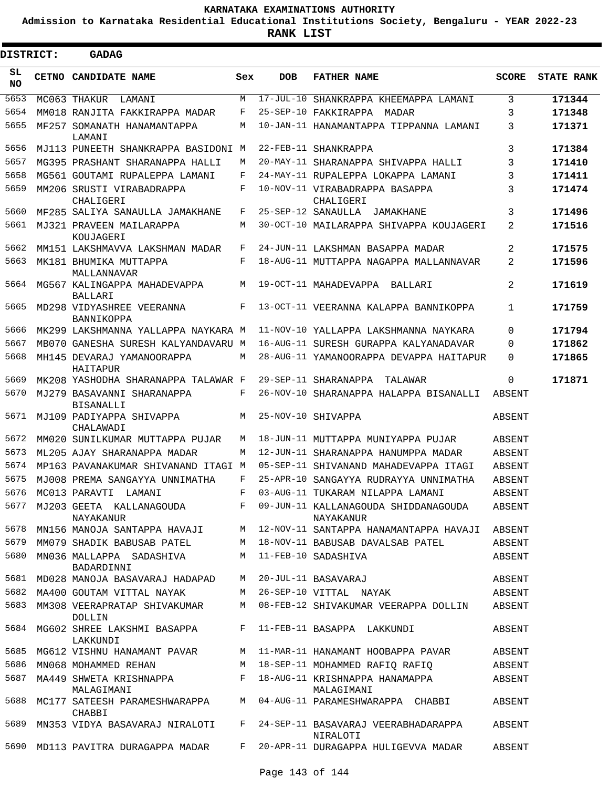**Admission to Karnataka Residential Educational Institutions Society, Bengaluru - YEAR 2022-23**

**RANK LIST**

 $\blacksquare$ 

.

| DISTRICT:  |  | <b>GADAG</b>                                   |                |                 |                                                                              |              |                   |
|------------|--|------------------------------------------------|----------------|-----------------|------------------------------------------------------------------------------|--------------|-------------------|
| SL.<br>NO. |  | CETNO CANDIDATE NAME                           | Sex            | <b>DOB</b>      | <b>FATHER NAME</b>                                                           | <b>SCORE</b> | <b>STATE RANK</b> |
| 5653       |  | MC063 THAKUR<br>LAMANI                         | М              | $17 - JUL - 10$ | SHANKRAPPA KHEEMAPPA LAMANI                                                  | 3            | 171344            |
| 5654       |  | MM018 RANJITA FAKKIRAPPA MADAR                 | F              |                 | 25-SEP-10 FAKKIRAPPA MADAR                                                   | 3            | 171348            |
| 5655       |  | MF257 SOMANATH HANAMANTAPPA<br>LAMANI          | М              |                 | 10-JAN-11 HANAMANTAPPA TIPPANNA LAMANI                                       | 3            | 171371            |
| 5656       |  | MJ113 PUNEETH SHANKRAPPA BASIDONI M            |                |                 | 22-FEB-11 SHANKRAPPA                                                         | 3            | 171384            |
| 5657       |  | MG395 PRASHANT SHARANAPPA HALLI                | M              |                 | 20-MAY-11 SHARANAPPA SHIVAPPA HALLI                                          | 3            | 171410            |
| 5658       |  | MG561 GOUTAMI RUPALEPPA LAMANI                 | F              |                 | 24-MAY-11 RUPALEPPA LOKAPPA LAMANI                                           | 3            | 171411            |
| 5659       |  | MM206 SRUSTI VIRABADRAPPA<br>CHALIGERI         | F              |                 | 10-NOV-11 VIRABADRAPPA BASAPPA<br>CHALIGERI                                  | 3            | 171474            |
| 5660       |  | MF285 SALIYA SANAULLA JAMAKHANE                | F              |                 | 25-SEP-12 SANAULLA JAMAKHANE                                                 | 3            | 171496            |
| 5661       |  | MJ321 PRAVEEN MAILARAPPA<br>KOUJAGERI          | M              |                 | 30-OCT-10 MAILARAPPA SHIVAPPA KOUJAGERI                                      | 2            | 171516            |
| 5662       |  | MM151 LAKSHMAVVA LAKSHMAN MADAR                | F              |                 | 24-JUN-11 LAKSHMAN BASAPPA MADAR                                             | 2            | 171575            |
| 5663       |  | MK181 BHUMIKA MUTTAPPA<br>MALLANNAVAR          | F              |                 | 18-AUG-11 MUTTAPPA NAGAPPA MALLANNAVAR                                       | 2            | 171596            |
| 5664       |  | MG567 KALINGAPPA MAHADEVAPPA<br><b>BALLARI</b> | М              |                 | 19-OCT-11 MAHADEVAPPA BALLARI                                                | 2            | 171619            |
| 5665       |  | MD298 VIDYASHREE VEERANNA<br>BANNIKOPPA        | F              |                 | 13-OCT-11 VEERANNA KALAPPA BANNIKOPPA                                        | 1            | 171759            |
| 5666       |  | MK299 LAKSHMANNA YALLAPPA NAYKARA M            |                |                 | 11-NOV-10 YALLAPPA LAKSHMANNA NAYKARA                                        | $\Omega$     | 171794            |
| 5667       |  | MB070 GANESHA SURESH KALYANDAVARU M            |                |                 | 16-AUG-11 SURESH GURAPPA KALYANADAVAR                                        | $\Omega$     | 171862            |
| 5668       |  | MH145 DEVARAJ YAMANOORAPPA<br>HAITAPUR         | М              |                 | 28-AUG-11 YAMANOORAPPA DEVAPPA HAITAPUR                                      | $\Omega$     | 171865            |
| 5669       |  | MK208 YASHODHA SHARANAPPA TALAWAR F            |                |                 | 29-SEP-11 SHARANAPPA<br>TALAWAR                                              | $\Omega$     | 171871            |
| 5670       |  | MJ279 BASAVANNI SHARANAPPA<br><b>BISANALLI</b> | F              |                 | 26-NOV-10 SHARANAPPA HALAPPA BISANALLI                                       | ABSENT       |                   |
| 5671       |  | MJ109 PADIYAPPA SHIVAPPA<br>CHALAWADI          | M              |                 | 25-NOV-10 SHIVAPPA                                                           | ABSENT       |                   |
| 5672       |  | MM020 SUNILKUMAR MUTTAPPA PUJAR                | М              |                 | 18-JUN-11 MUTTAPPA MUNIYAPPA PUJAR                                           | ABSENT       |                   |
| 5673       |  | ML205 AJAY SHARANAPPA MADAR                    | М              |                 | 12-JUN-11 SHARANAPPA HANUMPPA MADAR                                          | ABSENT       |                   |
| 5674       |  | MP163 PAVANAKUMAR SHIVANAND ITAGI M            |                |                 | 05-SEP-11 SHIVANAND MAHADEVAPPA ITAGI                                        | ABSENT       |                   |
| 5675       |  | MJ008 PREMA SANGAYYA UNNIMATHA                 | F              |                 | 25-APR-10 SANGAYYA RUDRAYYA UNNIMATHA                                        | ABSENT       |                   |
|            |  | 5676 MC013 PARAVTI LAMANI                      | $$\mathbf{F}$$ |                 | 03-AUG-11 TUKARAM NILAPPA LAMANI                                             | ABSENT       |                   |
| 5677       |  | NAYAKANUR                                      |                |                 | MJ203 GEETA KALLANAGOUDA F 09-JUN-11 KALLANAGOUDA SHIDDANAGOUDA<br>NAYAKANUR | ABSENT       |                   |
| 5678       |  |                                                |                |                 | MN156 MANOJA SANTAPPA HAVAJI M 12-NOV-11 SANTAPPA HANAMANTAPPA HAVAJI ABSENT |              |                   |
| 5679       |  | MM079 SHADIK BABUSAB PATEL                     | M              |                 | 18-NOV-11 BABUSAB DAVALSAB PATEL                                             | ABSENT       |                   |
| 5680       |  | MN036 MALLAPPA SADASHIVA<br>BADARDINNI         |                |                 | M 11-FEB-10 SADASHIVA                                                        | ABSENT       |                   |
| 5681       |  | MD028 MANOJA BASAVARAJ HADAPAD                 |                |                 | M 20-JUL-11 BASAVARAJ                                                        | ABSENT       |                   |
| 5682       |  | MA400 GOUTAM VITTAL NAYAK                      |                |                 | M 26-SEP-10 VITTAL NAYAK                                                     | ABSENT       |                   |
| 5683       |  | MM308 VEERAPRATAP SHIVAKUMAR<br>DOLLIN         | M              |                 | 08-FEB-12 SHIVAKUMAR VEERAPPA DOLLIN                                         | ABSENT       |                   |
| 5684       |  | MG602 SHREE LAKSHMI BASAPPA<br>LAKKUNDI        |                |                 | F 11-FEB-11 BASAPPA LAKKUNDI                                                 | ABSENT       |                   |
| 5685       |  | MG612 VISHNU HANAMANT PAVAR                    |                |                 | M 11-MAR-11 HANAMANT HOOBAPPA PAVAR                                          | ABSENT       |                   |
| 5686       |  | MN068 MOHAMMED REHAN                           |                |                 | M 18-SEP-11 MOHAMMED RAFIQ RAFIQ                                             | ABSENT       |                   |
| 5687       |  | MA449 SHWETA KRISHNAPPA F<br>MALAGIMANI        |                |                 | 18-AUG-11 KRISHNAPPA HANAMAPPA<br>MALAGIMANI                                 | ABSENT       |                   |
| 5688       |  | MC177 SATEESH PARAMESHWARAPPA<br>CHABBI        | M              |                 | 04-AUG-11 PARAMESHWARAPPA CHABBI                                             | ABSENT       |                   |
| 5689       |  | MN353 VIDYA BASAVARAJ NIRALOTI                 | F              |                 | 24-SEP-11 BASAVARAJ VEERABHADARAPPA<br>NIRALOTI                              | ABSENT       |                   |
| 5690       |  | MD113 PAVITRA DURAGAPPA MADAR                  | $F$ and        |                 | 20-APR-11 DURAGAPPA HULIGEVVA MADAR                                          | ABSENT       |                   |